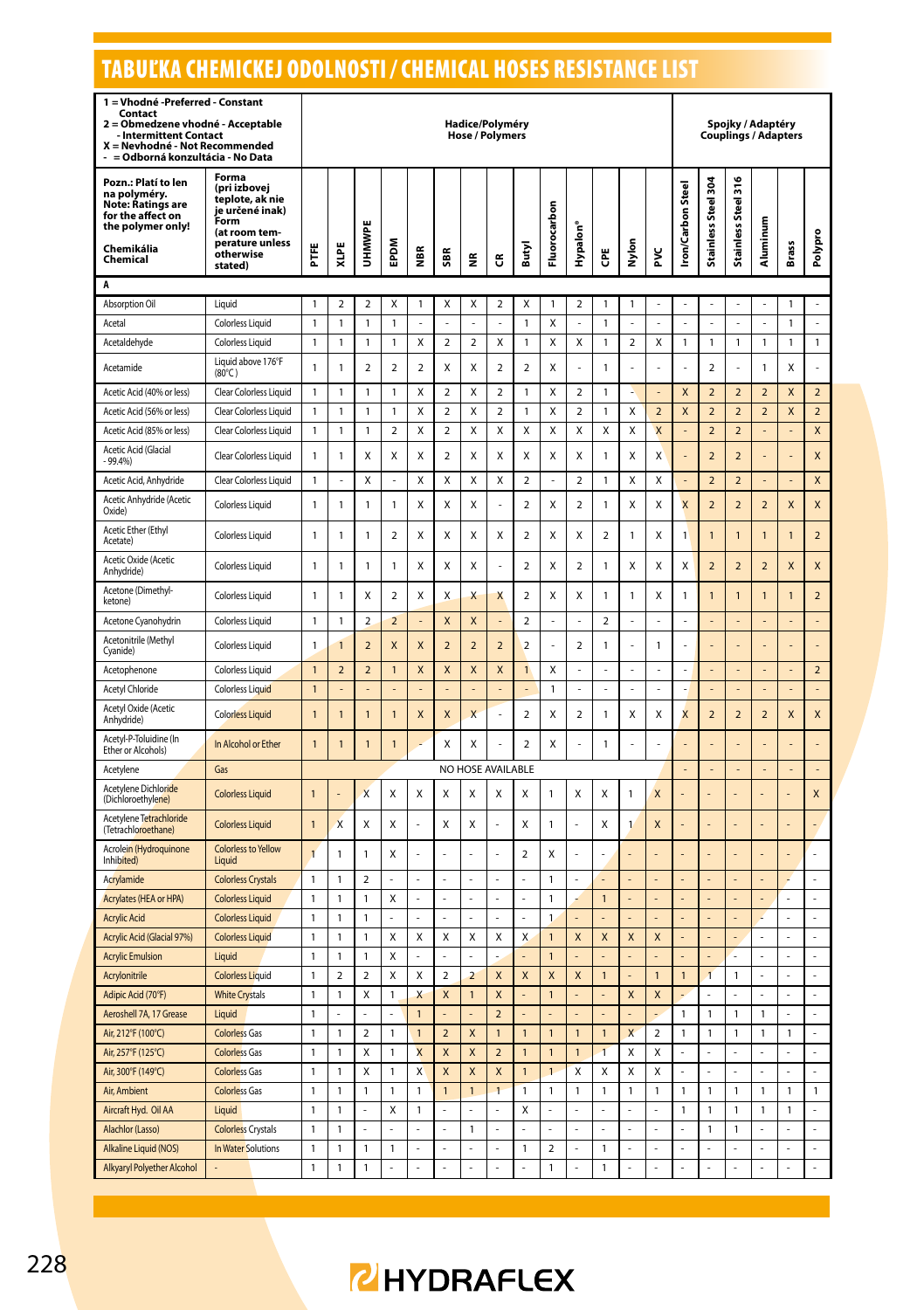#### TABUĽKA CHEMICKEJ ODOLNOSTI / CHEMICAL HOSES RESISTANCE LIST**1 = Vhodné -Preferred - Constant Contact 2 = Obmedzene vhodné - Acceptable - Intermittent Contact X = Nevhodné - Not Recommended - = Odborná konzultácia - No Data Hadice/Polyméry Hose / Polymers Spojky / Adaptéry Couplings / Adapters**  $= 52$ **Pozn.: Platí to len Forma (pri izbovej**   $\overline{\phantom{a}}$ **na polyméry. teplote, ak nie Note: Ratings are je určené inak)**

| Pozn.: Platí to len<br>na polyméry.<br><b>Note: Ratings are</b><br>for the affect on<br>the polymer only!<br>Chemikália<br>Chemical | (pri izbovej<br>teplote, ak nie<br>je určené inak)<br>Form<br>(at room tem-<br>perature unless<br>otherwise<br>stated) | Ë              | XLPE           | ш<br><b>MMHU</b>        | EPDM                    | l∰             | SBR                     | ž                       | ű                       | Butyl                   | Fluorocarbon   | Hypalon'                | Ğ                       | Nylon          | ž              | <b>Iron/Carbon Steel</b> | Stainless Steel 30      | 뉴<br><b>Stainless Steel</b> | Aluminum       | <b>Brass</b> | Polypro        |
|-------------------------------------------------------------------------------------------------------------------------------------|------------------------------------------------------------------------------------------------------------------------|----------------|----------------|-------------------------|-------------------------|----------------|-------------------------|-------------------------|-------------------------|-------------------------|----------------|-------------------------|-------------------------|----------------|----------------|--------------------------|-------------------------|-----------------------------|----------------|--------------|----------------|
| A                                                                                                                                   |                                                                                                                        |                |                |                         |                         |                |                         |                         |                         |                         |                |                         |                         |                |                |                          |                         |                             |                |              |                |
| Absorption Oil                                                                                                                      | Liquid                                                                                                                 | 1              | 2              | $\overline{2}$          | Χ                       | 1              | X                       | Χ                       | 2                       | Χ                       | $\mathbf{1}$   | $\overline{\mathbf{c}}$ | 1                       | 1              |                |                          |                         |                             |                | 1            |                |
| Acetal                                                                                                                              | Colorless Liquid                                                                                                       | 1              | 1              | 1                       | 1                       |                |                         | J.                      |                         | 1                       | Χ              |                         | 1                       | L.             |                |                          | L.                      |                             |                | 1            | L.             |
| Acetaldehyde                                                                                                                        | Colorless Liquid                                                                                                       | $\mathbf{1}$   | 1              | $\mathbf{1}$            | $\mathbf{1}$            | Χ              | $\overline{2}$          | $\overline{2}$          | Χ                       | 1                       | X              | Χ                       | 1                       | $\overline{2}$ | Χ              | $\mathbf{1}$             | $\mathbf{1}$            | $\mathbf{1}$                | 1              | $\mathbf{1}$ | 1              |
| Acetamide                                                                                                                           | Liquid above 176°F<br>$(80^{\circ}$ C)                                                                                 | $\mathbf{1}$   | 1              | $\mathcal{P}$           | $\overline{2}$          | $\overline{2}$ | X                       | X                       | $\overline{\mathbf{c}}$ | $\overline{a}$          | Χ              |                         | 1                       |                |                |                          | $\overline{\mathbf{c}}$ |                             | 1              | Χ            |                |
| Acetic Acid (40% or less)                                                                                                           | Clear Colorless Liquid                                                                                                 | 1              | 1              | 1                       | 1                       | X              | $\overline{\mathbf{2}}$ | Χ                       | $\overline{2}$          | $\mathbf{1}$            | Χ              | $\overline{2}$          | 1                       | ÷              |                | X                        | $\overline{2}$          | $\overline{2}$              | $\overline{2}$ | X            | $\overline{2}$ |
| Acetic Acid (56% or less)                                                                                                           | Clear Colorless Liquid                                                                                                 | 1              | 1              | 1                       | 1                       | X              | $\overline{\mathbf{c}}$ | Χ                       | $\overline{\mathbf{c}}$ | 1                       | Χ              | $\overline{\mathbf{c}}$ | 1                       | X              | $\overline{2}$ | X                        | $\overline{2}$          | $\overline{2}$              | $\overline{2}$ | X            | $\overline{2}$ |
| Acetic Acid (85% or less)                                                                                                           | Clear Colorless Liquid                                                                                                 | 1              | 1              | 1                       | $\overline{\mathbf{c}}$ | Χ              | $\overline{a}$          | X                       | Χ                       | Χ                       | X              | Χ                       | Χ                       | Χ              | X              |                          | $\overline{2}$          | $\overline{2}$              |                |              | X              |
| Acetic Acid (Glacial<br>$-99.4%$                                                                                                    | Clear Colorless Liquid                                                                                                 | 1              | 1              | Χ                       | Χ                       | х              | $\overline{\mathbf{2}}$ | Χ                       | Χ                       | Χ                       | Χ              | Χ                       | 1                       | X              | X              |                          | $\overline{2}$          | $\overline{2}$              |                |              | X              |
| Acetic Acid, Anhydride                                                                                                              | Clear Colorless Liquid                                                                                                 | 1              | ä,             | Χ                       | ÷,                      | Χ              | Χ                       | Χ                       | Χ                       | $\mathbf 2$             | ÷,             | $\mathbf 2$             | 1                       | Χ              | Χ              | ä,                       | $\overline{\mathbf{c}}$ | $\mathbf 2$                 | ä,             | ä,           | X              |
| Acetic Anhydride (Acetic<br>Oxide)                                                                                                  | <b>Colorless Liquid</b>                                                                                                | 1              | 1              | 1                       | 1                       | X              | Χ                       | Χ                       |                         | $\overline{a}$          | Χ              | $\overline{2}$          | 1                       | X              | Χ              | X                        | $\overline{2}$          | $\overline{2}$              | $\overline{a}$ | X            | X              |
| Acetic Ether (Ethyl<br>Acetate)                                                                                                     | Colorless Liquid                                                                                                       | 1              | 1              | $\mathbf{1}$            | $\overline{\mathbf{2}}$ | Χ              | Χ                       | Χ                       | Χ                       | $\overline{\mathbf{2}}$ | Χ              | Χ                       | 2                       | 1              | Χ              | 1                        | $\mathbf{1}$            | 1                           | $\mathbf{1}$   | 1            | $\overline{2}$ |
| Acetic Oxide (Acetic<br>Anhydride)                                                                                                  | <b>Colorless Liquid</b>                                                                                                | 1              | 1              | 1                       | 1                       | X              | Χ                       | X                       |                         | $\overline{a}$          | Χ              | $\overline{\mathbf{c}}$ | 1                       | Χ              | X              | X                        | $\overline{2}$          | $\overline{2}$              | $\overline{a}$ | X            | X              |
| Acetone (Dimethyl-<br>ketone)                                                                                                       | Colorless Liquid                                                                                                       | 1              | 1              | Χ                       | $\overline{\mathbf{2}}$ | Χ              | X                       | Χ                       | X                       | $\overline{\mathbf{2}}$ | Χ              | Χ                       | 1                       | 1              | Χ              | 1                        | $\mathbf{1}$            | 1                           | $\mathbf{1}$   | $\mathbf{1}$ | $\overline{2}$ |
| Acetone Cyanohydrin                                                                                                                 | Colorless Liquid                                                                                                       | 1              | 1              | $\overline{2}$          | $\overline{2}$          |                | X                       | X                       |                         | $\overline{\mathbf{c}}$ | ä,             | ä,                      | $\overline{\mathbf{c}}$ | ä,             | ä,             | ÷                        | ä,                      |                             |                | ÷            | L,             |
| Acetonitrile (Methyl<br>Cyanide)                                                                                                    | Colorless Liquid                                                                                                       | 1              | 1              | $\overline{2}$          | X                       | X              | $\overline{a}$          | $\overline{2}$          | $\overline{\mathbf{c}}$ | $\overline{a}$          |                | $\overline{\mathbf{2}}$ | 1                       |                | $\mathbf{1}$   |                          |                         |                             |                |              |                |
| Acetophenone                                                                                                                        | Colorless Liquid                                                                                                       | $\mathbf{1}$   | $\overline{2}$ | $\overline{2}$          | $\mathbf{1}$            | X              | X                       | X                       | X                       | $\overline{1}$          | X              | ÷,                      | Î,                      | ÷,             | J.             | ä,                       | ÷,                      | ä,                          |                | ä,           | $\overline{2}$ |
| Acetyl Chloride                                                                                                                     | Colorless Liquid                                                                                                       | $\mathbf{1}$   |                |                         | L,                      |                |                         | ÷,                      |                         |                         | $\mathbf{1}$   | ÷,                      |                         | $\overline{a}$ |                |                          | L,                      |                             |                | ÷,           | L,             |
| Acetyl Oxide (Acetic<br>Anhydride)                                                                                                  | <b>Colorless Liquid</b>                                                                                                | $\mathbf{1}$   | $\overline{1}$ | $\mathbf{1}$            | $\mathbf{1}$            | X              | X                       | X                       |                         | $\overline{2}$          | X              | $\overline{2}$          | 1                       | X              | Χ              | X                        | $\overline{2}$          | $\overline{2}$              | $\overline{2}$ | X            | X              |
| Acetyl-P-Toluidine (In<br>Ether or Alcohols)                                                                                        | In Alcohol or Ether                                                                                                    | $\mathbf{1}$   | 1              | $\mathbf{1}$            | 1                       |                | Χ                       | Χ                       |                         | $\overline{2}$          | χ              | ä,                      | 1                       | ä,             | ä,             |                          | í,                      |                             |                | ÷            |                |
| Acetylene                                                                                                                           | Gas                                                                                                                    |                |                |                         |                         |                |                         |                         | NO HOSE AVAILABLE       |                         |                |                         |                         |                |                |                          |                         |                             |                |              |                |
| Acetylene Dichloride<br>(Dichloroethylene)                                                                                          | <b>Colorless Liquid</b>                                                                                                | $\mathbf{1}$   |                | $\overline{\mathsf{x}}$ | Χ                       | Χ              | X                       | X                       | X                       | x                       | 1              | X                       | X                       | 1              | X              |                          |                         |                             |                |              | X              |
| Acetylene Tetrachloride<br>(Tetrachloroethane)                                                                                      | <b>Colorless Liquid</b>                                                                                                | $\mathbf{1}$   | X              | Χ                       | Χ                       |                | X                       | Χ                       | Î,                      | Χ                       | 1              |                         | Χ                       | 1              | X              |                          |                         |                             |                |              |                |
| Acrolein (Hydroquinone<br>Inhibited)                                                                                                | <b>Colorless to Yellow</b><br>Liquid                                                                                   | $\overline{1}$ | 1              | 1                       | Χ                       |                | L                       |                         |                         | 2                       | X              |                         | ä,                      |                |                |                          |                         |                             |                |              |                |
| Acrylamide                                                                                                                          | <b>Colorless Crystals</b>                                                                                              | 1              | 1              | 2                       |                         |                | í,                      | L,                      |                         | L                       | 1              |                         |                         |                |                |                          |                         |                             |                |              | Į,             |
| Acrylates (HEA or HPA)                                                                                                              | <b>Colorless Liquid</b>                                                                                                | 1              | 1              | 1                       | X                       |                |                         |                         |                         |                         | 1              |                         | $\overline{1}$          |                |                |                          |                         |                             |                |              |                |
| <b>Acrylic Acid</b>                                                                                                                 | <b>Colorless Liquid</b>                                                                                                | 1              | $\mathbf{1}$   | 1                       | ä,                      | J,             | í,                      | ä,                      | ä,                      | ä,                      | $\mathbf{1}$   |                         |                         |                |                | ä,                       |                         |                             | à,             |              |                |
| Acrylic Acid (Glacial 97%)                                                                                                          | <b>Colorless Liquid</b>                                                                                                | 1              | 1              | 1                       | Χ                       | X              | X                       | Χ                       | Χ                       | X                       | $\mathbf{1}$   | X                       | X                       | X              | X              | í,                       | L,                      |                             | ÷,             | ÷,           | ł              |
| <b>Acrylic Emulsion</b>                                                                                                             | Liquid                                                                                                                 | $\mathbf{1}$   | $\mathbf{1}$   | 1                       | X                       | $\overline{a}$ | L                       | L                       |                         |                         | $\mathbf{1}$   |                         |                         |                |                |                          |                         |                             |                |              |                |
| Acrylonitrile                                                                                                                       | <b>Colorless Liquid</b>                                                                                                | $\mathbf{1}$   | $\overline{2}$ | $\overline{2}$          | Χ                       | Χ              | $\overline{a}$          | $\overline{\mathbf{c}}$ | X                       | X                       | X              | X                       | $\mathbf{1}$            |                | $\mathbf{1}$   | $\mathbf{1}$             | $\overline{1}$          | 1                           |                | ÷            |                |
| Adipic Acid (70°F)                                                                                                                  | <b>White Crystals</b>                                                                                                  | $\mathbf{1}$   | 1              | X                       | 1                       | X              | X                       | $\mathbf{1}$            | X                       | ä,                      | $\mathbf{1}$   |                         | ä,                      | X              | X              |                          | ÷,                      | ä,                          | ä,             | ÷,           | J,             |
| Aeroshell 7A, 17 Grease                                                                                                             | Liquid                                                                                                                 | $\mathbf{1}$   | ä,             | ä,                      | ÷                       | $\overline{1}$ | ÷,                      | ÷.                      | $\overline{2}$          | ä,                      | L.             | ä,                      | ÷,                      | ä,             |                | $\mathbf{1}$             | $\mathbf{1}$            | $\mathbf{1}$                | $\mathbf{1}$   | ÷,           | ä,             |
| Air, 212°F (100°C)                                                                                                                  | <b>Colorless Gas</b>                                                                                                   | 1              | 1              | $\overline{2}$          | 1                       | $\mathbf{1}$   | $\overline{2}$          | $\pmb{\mathsf{X}}$      | $\overline{1}$          | $\overline{1}$          | $\mathbf{1}$   | $\overline{1}$          | $\overline{1}$          | X              | $\overline{2}$ | $\mathbf{1}$             | 1                       | 1                           | $\mathbf{1}$   | 1            |                |
| Air, 257°F (125°C)                                                                                                                  | <b>Colorless Gas</b>                                                                                                   | 1              | 1              | Χ                       | 1                       | X              | X                       | X                       | $\overline{2}$          | 1                       | $\mathbf{1}$   | 1                       | $\mathbf{1}$            | Χ              | Χ              |                          | l,                      |                             |                |              |                |
| Air, 300°F (149°C)                                                                                                                  | <b>Colorless Gas</b>                                                                                                   | j,             | 1              | X                       | 1                       | X              | X                       | X                       | X                       | $\overline{1}$          | $\overline{1}$ | Χ                       | X                       | X              | X              | L.                       | L                       | L.                          | L.             | L.           | L              |
| Air, Ambient                                                                                                                        | <b>Colorless Gas</b>                                                                                                   | $\mathbf{1}$   | 1              | $\mathbf{1}$            | $\mathbf{1}$            | $\mathbf{1}$   | $\mathbf{1}$            | $\mathbf{1}$            | $\overline{1}$          | $\mathbf{1}$            | $\mathbf{1}$   | $\mathbf{1}$            | $\mathbf{1}$            | 1              | $\mathbf{1}$   | $\mathbf{1}$             | $\mathbf{1}$            | $\mathbf{1}$                | $\mathbf{1}$   | $\mathbf{1}$ | $\mathbf{1}$   |
| Aircraft Hyd. Oil AA                                                                                                                | Liquid                                                                                                                 | $\mathbf{1}$   | 1              | ÷,                      | Χ                       | 1              | i,                      |                         |                         | Χ                       | $\overline{a}$ |                         | ł,                      |                |                | 1                        | 1                       | 1                           | $\mathbf{1}$   | 1            |                |
| Alachlor (Lasso)                                                                                                                    | <b>Colorless Crystals</b>                                                                                              | 1              | 1              | ä,                      |                         |                | l,                      | 1                       |                         | l,                      | İ.             |                         | J.                      | J,             |                |                          | 1                       | 1                           |                |              |                |
| Alkaline Liquid (NOS)                                                                                                               | In Water Solutions                                                                                                     | $\mathbf{1}$   | 1              | 1                       | 1                       | l,             | ä,                      | L,                      | L.                      | $\mathbf{1}$            | $\overline{2}$ | ä,                      | 1                       | ä,             | Ē,             | ä,                       | ä,                      | í,                          | ä,             | ä,           | í,             |
| Alkyaryl Polyether Alcohol                                                                                                          | ä,                                                                                                                     | $\mathbf{1}$   | 1              | $\mathbf{1}$            |                         |                | ä,                      |                         | L.                      | L                       | $\mathbf{1}$   |                         | $\mathbf{1}$            | J,             |                | í,                       |                         |                             | ä,             |              |                |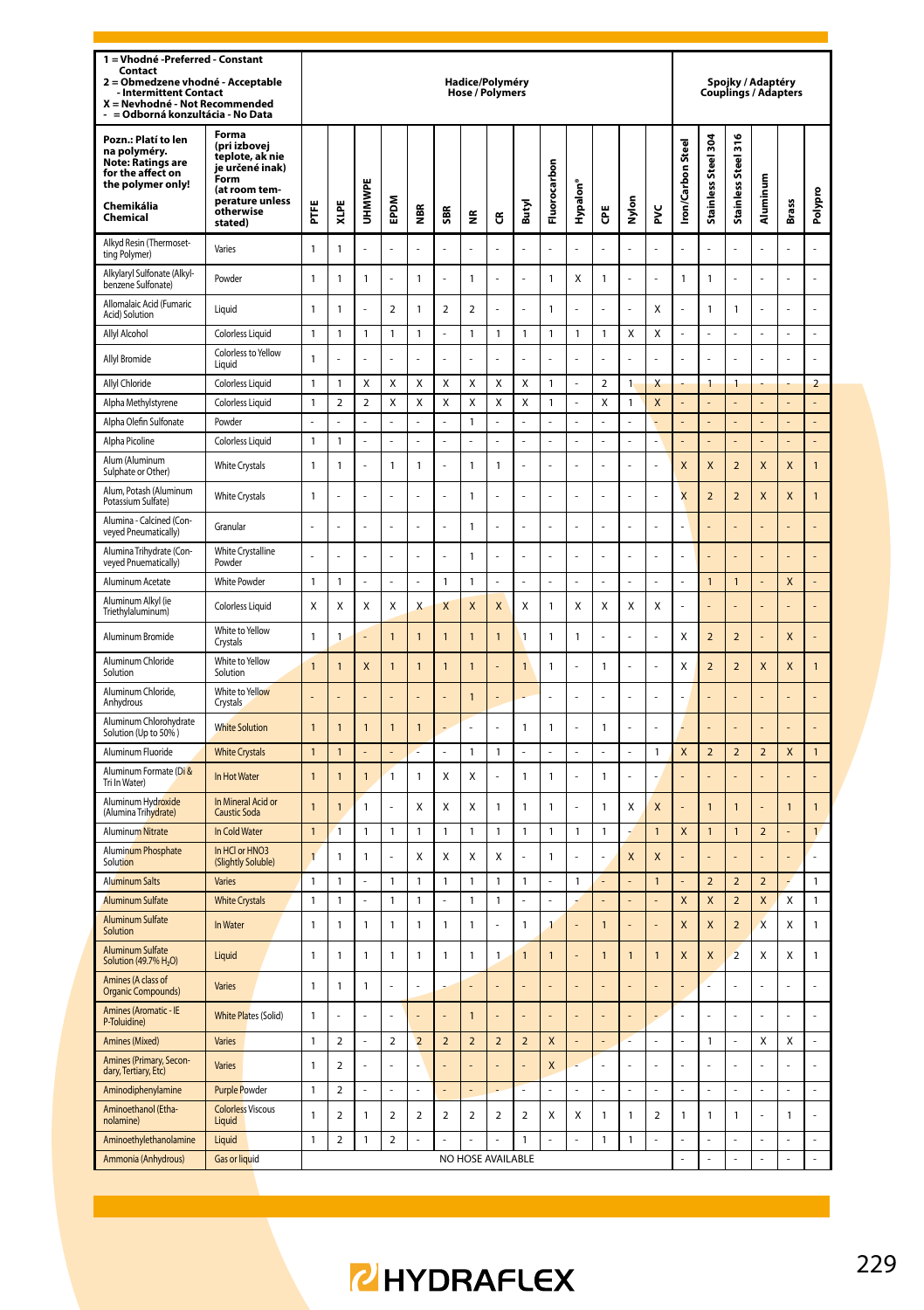| 1 = Vhodné - Preferred - Constant<br>Contact<br>= Obmedzene vhodné - Acceptable<br>$\overline{\mathbf{z}}$<br><b>Intermittent Contact</b><br>X = Nevhodné - Not Recommended<br>= Odborná konzultácia - No Data |                                                                                                                                 |                |                          |                  |                         |                          |                          | Hadice/Polyméry<br><b>Hose / Polymers</b> |                          |                          |                         |                      |                  |               |                  |                          |                               | Spoiky / Adaptéry       |                          | <b>Couplings / Adapters</b> |                      |
|----------------------------------------------------------------------------------------------------------------------------------------------------------------------------------------------------------------|---------------------------------------------------------------------------------------------------------------------------------|----------------|--------------------------|------------------|-------------------------|--------------------------|--------------------------|-------------------------------------------|--------------------------|--------------------------|-------------------------|----------------------|------------------|---------------|------------------|--------------------------|-------------------------------|-------------------------|--------------------------|-----------------------------|----------------------|
| Pozn.: Platí to len<br>na polyméry.<br><b>Note: Ratings are</b><br>for the affect on<br>the polymer only!<br>Chemikália<br>Chemical                                                                            | Forma<br>(pri izbovej<br>teplote, ak nie<br>je určené inak)<br>Form<br>(at room tem-<br>perature unless<br>otherwise<br>stated) | Ë              | XLPE                     | ۳<br><b>WWHO</b> | EPDM                    | 띂                        | SBR                      | ≝                                         | ෪                        | Butyl                    | Fluorocarbon            | Hypalon <sup>®</sup> | Ğ                | Nylon         | ž                | <b>Iron/Carbon Steel</b> | Steel 304<br><b>Stainless</b> | Stainless Steel 316     | Aluminum                 | Brass                       | Polypro              |
| Alkyd Resin (Thermoset-<br>ting Polymer)                                                                                                                                                                       | Varies                                                                                                                          | $\mathbf{1}$   | $\mathbf{1}$             |                  |                         |                          |                          |                                           |                          |                          |                         |                      |                  |               |                  |                          |                               |                         |                          |                             |                      |
| Alkylaryl Sulfonate (Alkyl-<br>benzene Sulfonate)                                                                                                                                                              | Powder                                                                                                                          | $\mathbf{1}$   | $\mathbf{1}$             | $\mathbf{1}$     | L                       | $\mathbf{1}$             |                          | $\mathbf{1}$                              |                          |                          | $\mathbf{1}$            | X                    | $\mathbf{1}$     | L,            | Ļ                | 1                        | $\mathbf{1}$                  | l                       |                          |                             | l,                   |
| Allomalaic Acid (Fumaric<br>Acid) Solution                                                                                                                                                                     | Liquid                                                                                                                          | 1              | 1                        |                  | $\overline{\mathbf{c}}$ | 1                        | $\overline{\mathbf{c}}$  | $\overline{\mathbf{c}}$                   |                          |                          | $\mathbf{1}$            |                      |                  |               | X                |                          | $\mathbf{1}$                  | 1                       |                          |                             |                      |
| Allyl Alcohol                                                                                                                                                                                                  | Colorless Liquid                                                                                                                | 1              | 1                        | 1                | 1                       | 1                        | l,                       | 1                                         | 1                        | 1                        | 1                       | 1                    | 1                | X             | X                | J,                       | L                             | L.                      |                          | L                           | L.                   |
| Allyl Bromide                                                                                                                                                                                                  | Colorless to Yellow<br>Liquid                                                                                                   | 1              |                          |                  |                         |                          |                          |                                           |                          |                          |                         |                      |                  |               |                  |                          |                               |                         |                          |                             | ł,                   |
| Allyl Chloride                                                                                                                                                                                                 | <b>Colorless Liquid</b>                                                                                                         | $\mathbf{1}$   | 1                        | Χ                | Χ                       | Χ                        | X                        | Χ                                         | Χ                        | X                        | $\mathbf{1}$            | ä,                   | $\boldsymbol{2}$ | 1             | X                |                          | 1                             | 1                       |                          |                             | $\mathbf 2$          |
| Alpha Methylstyrene                                                                                                                                                                                            | Colorless Liquid                                                                                                                | $\mathbf{1}$   | $\overline{\mathbf{c}}$  | $\overline{a}$   | Χ                       | Χ                        | X                        | Χ                                         | X                        | X                        | $\mathbf{1}$            |                      | X                | $\mathbbm{1}$ | X                |                          |                               |                         |                          |                             |                      |
| Alpha Olefin Sulfonate                                                                                                                                                                                         | Powder                                                                                                                          | L,             |                          |                  |                         |                          |                          | $\mathbf{1}$                              | L                        |                          | l,                      | Ļ                    |                  | L,            |                  |                          | $\overline{a}$                |                         |                          | $\overline{a}$              | L,                   |
| Alpha Picoline                                                                                                                                                                                                 | <b>Colorless Liquid</b>                                                                                                         | $\mathbf{1}$   | 1                        |                  | ÷,                      | L                        |                          | ÷,                                        | L                        |                          | L                       | l,                   |                  | ÷,            |                  |                          | $\overline{a}$                |                         |                          | $\overline{a}$              | $\overline{a}$       |
| Alum (Aluminum<br>Sulphate or Other)                                                                                                                                                                           | <b>White Crystals</b>                                                                                                           | $\mathbf{1}$   | 1                        |                  | 1                       | 1                        |                          | $\mathbf{1}$                              | $\mathbf{1}$             |                          |                         |                      |                  |               |                  | X                        | X                             | $\overline{\mathbf{c}}$ | X                        | X                           | 1                    |
| Alum, Potash (Aluminum<br>Potassium Sulfate)                                                                                                                                                                   | <b>White Crystals</b>                                                                                                           | $\mathbf{1}$   |                          |                  | L.                      |                          | L.                       | $\mathbf{1}$                              | l,                       | L.                       | L.                      | í.                   | J.               | ÷.            | í.               | $\overline{\mathsf{x}}$  | $\overline{2}$                | $\overline{2}$          | X                        | X                           | $\mathbf{1}$         |
| Alumina - Calcined (Con-<br>veyed Pneumatically)                                                                                                                                                               | Granular                                                                                                                        |                |                          |                  |                         |                          |                          | $\mathbf{1}$                              |                          |                          |                         |                      |                  |               |                  |                          |                               |                         |                          |                             |                      |
| Alumina Trihydrate (Con-<br>veyed Pnuematically)                                                                                                                                                               | <b>White Crystalline</b><br>Powder                                                                                              |                |                          |                  |                         |                          |                          | $\mathbf{1}$                              |                          |                          |                         |                      |                  |               |                  |                          |                               |                         |                          |                             |                      |
| Aluminum Acetate                                                                                                                                                                                               | <b>White Powder</b>                                                                                                             | $\mathbf{1}$   | $\mathbf{1}$             | L                | L                       | L                        | $\mathbf{1}$             | $\mathbf{1}$                              | $\overline{a}$           | L                        | L                       | L                    | l,               | L,            | L                |                          | $\mathbf{1}$                  | $\mathbf{1}$            |                          | X                           | $\overline{a}$       |
| Aluminum Alkyl (ie<br>Triethylaluminum)                                                                                                                                                                        | Colorless Liquid                                                                                                                | Χ              | Χ                        | Χ                | Χ                       | X                        | X                        | X                                         | X                        | X                        | $\mathbf{1}$            | Χ                    | Χ                | X             | Χ                | L                        | L                             |                         |                          | L                           | L                    |
| Aluminum Bromide                                                                                                                                                                                               | White to Yellow<br>Crystals                                                                                                     | 1              | 1                        |                  | $\overline{1}$          | $\overline{1}$           | 1                        | $\overline{1}$                            | $\overline{1}$           | 1                        | $\mathbf{1}$            | 1                    | ä,               | ä,            | J,               | X                        | $\overline{2}$                | $\overline{\mathbf{c}}$ |                          | X                           | ä,                   |
| Aluminum Chloride<br>Solution                                                                                                                                                                                  | White to Yellow<br>Solution                                                                                                     | 1              | 1                        | X                | 1                       | 1                        | 1                        | $\mathbf{1}$                              |                          | 1                        | 1                       | į,                   | 1                | ä,            |                  | Х                        | $\overline{\mathbf{c}}$       | $\overline{\mathbf{c}}$ | X                        | X                           | 1                    |
| Aluminum Chloride,<br>Anhydrous                                                                                                                                                                                | White to Yellow<br>Crystals                                                                                                     |                |                          |                  |                         |                          |                          | $\mathbf{1}$                              |                          |                          |                         | J                    |                  | ä,            | J                |                          | L                             |                         |                          |                             |                      |
| Aluminum Chlorohydrate<br>Solution (Up to 50%)                                                                                                                                                                 | <b>White Solution</b>                                                                                                           | $\mathbf{1}$   | $\overline{1}$           | $\overline{1}$   | $\overline{1}$          | 1                        |                          | ä,                                        | l,                       | $\mathbf{1}$             | $\mathbf{1}$            | í,                   | 1                | ä,            | L                |                          | ä,                            | í,                      |                          |                             | í,                   |
| Aluminum Fluoride                                                                                                                                                                                              | <b>White Crystals</b>                                                                                                           | $\mathbf{1}$   | $\overline{1}$           |                  |                         |                          |                          | $\mathbf{1}$                              | $\mathbf{1}$             |                          |                         |                      |                  |               | 1                | X                        | $\overline{2}$                | $\overline{2}$          | $\overline{a}$           | X                           | $\mathbf{1}$         |
| Aluminum Formate (Di &<br>Tri In Water)                                                                                                                                                                        | In Hot Water                                                                                                                    | $\overline{1}$ | 1                        | $\overline{1}$   | 1                       | 1                        | X                        | X                                         |                          | $\mathbf{1}$             | $\mathbf{1}$            | í.                   | $\mathbf{1}$     |               |                  |                          |                               |                         |                          |                             |                      |
| Aluminum Hydroxide<br>(Alumina Trihydrate)                                                                                                                                                                     | In Mineral Acid or<br><b>Caustic Soda</b>                                                                                       | 1              | 1                        | $\mathbf{1}$     | ÷                       | Χ                        | X                        | Χ                                         | $\mathbf{1}$             | $\mathbf{1}$             | $\mathbf{1}$            | í.                   | 1                | X             | X                |                          | $\overline{1}$                | $\overline{1}$          |                          | $\overline{1}$              | 1                    |
| <b>Aluminum</b> Nitrate                                                                                                                                                                                        | In Cold Water                                                                                                                   | $\mathbf{1}$   | $\overline{1}$           | $\mathbf{1}$     | 1                       | $\mathbf{1}$             | $\overline{1}$           | $\mathbf{1}$                              | $\overline{1}$           | $\mathbf{1}$             | $\mathbf{1}$            | 1                    | 1                |               | $\overline{1}$   | X                        | $\mathbf{1}$                  | $\overline{1}$          | $\overline{a}$           | L                           | $\mathbf{1}$         |
| Aluminum Phosphate<br>Solution                                                                                                                                                                                 | In HCI or HNO3<br>(Slightly Soluble)                                                                                            | $\mathbf{1}$   | 1                        | 1                | L.                      | Χ                        | X                        | X                                         | Χ                        |                          | $\mathbf{1}$            | J                    |                  | X             | X                |                          |                               |                         |                          |                             | L                    |
| <b>Aluminum Salts</b>                                                                                                                                                                                          | Varies                                                                                                                          | 1              | 1                        |                  | 1                       | 1                        | 1                        | 1                                         | 1                        | 1                        |                         | 1                    |                  |               | $\mathbf{1}$     |                          | $\overline{\phantom{a}}$      | $\mathcal{P}$           | $\overline{\phantom{0}}$ |                             | $\mathbf{1}$         |
| <b>Aluminum Sulfate</b>                                                                                                                                                                                        | <b>White Crystals</b>                                                                                                           | 1              | 1                        | $\overline{a}$   | 1                       | 1                        |                          | $\overline{1}$                            | $\mathbf{1}$             |                          | L                       |                      |                  | L,            |                  | $\overline{\mathsf{x}}$  | $\mathsf{x}$                  | $\overline{2}$          | $\overline{\mathsf{x}}$  | X                           | $\mathbf{1}$         |
| <b>Aluminum Sulfate</b><br>Solution                                                                                                                                                                            | In Water                                                                                                                        | 1              | 1                        | 1                | 1                       | 1                        | 1                        | $\mathbf{1}$                              | L                        | 1                        | $\mathbf{1}$            | l,                   | 1                | ÷,            | L                | X                        | X                             | $\overline{2}$          | X                        | X                           | 1                    |
| <b>Aluminum Sulfate</b><br>Solution (49.7% H <sub>2</sub> O)                                                                                                                                                   | Liquid                                                                                                                          | 1              | 1                        | 1                | 1                       | 1                        | 1                        | $\mathbf{1}$                              | 1                        | 1                        | 1                       |                      | $\overline{1}$   | $\mathbf{1}$  | $\overline{1}$   | X                        | X                             | $\overline{a}$          | х                        | Χ                           | 1                    |
| Amines (A class of<br>Organic Compounds)                                                                                                                                                                       | Varies                                                                                                                          | 1              | 1                        | 1                | ÷,                      |                          |                          |                                           |                          |                          |                         |                      |                  | L,            |                  |                          | $\overline{a}$                | $\overline{a}$          |                          | $\overline{a}$              |                      |
| Amines (Aromatic - IE<br>P-Toluidine)                                                                                                                                                                          | <b>White Plates (Solid)</b>                                                                                                     | 1              | L                        | L.               | L.                      |                          |                          | $\overline{1}$                            |                          |                          |                         |                      |                  | L             |                  | L                        | L                             | l,                      |                          | L.                          | l,                   |
| <b>Amines (Mixed)</b>                                                                                                                                                                                          | Varies                                                                                                                          | 1              | $\overline{\phantom{a}}$ |                  | $\mathcal{P}$           | $\overline{\phantom{a}}$ | $\overline{\phantom{0}}$ | $\overline{\phantom{a}}$                  | $\overline{\phantom{0}}$ | $\overline{\phantom{0}}$ | $\overline{\mathsf{x}}$ |                      |                  | ٤             |                  |                          | $\mathbf{1}$                  |                         | X                        | X                           | L                    |
| Amines (Primary, Secon-<br>dary, Tertiary, Etc)                                                                                                                                                                | Varies                                                                                                                          | 1              | $\overline{2}$           |                  | L.                      |                          |                          |                                           |                          |                          | X                       |                      |                  | ä,            | l,               |                          | L.                            | l,                      |                          | L.                          | l,                   |
| Aminodiphenylamine                                                                                                                                                                                             | <b>Purple Powder</b>                                                                                                            | 1              | $\overline{\phantom{a}}$ | ä,               | ÷,                      | í,                       | ä,                       | ä,                                        |                          | ä,                       | ä,                      | í,                   | ä,               | ä,            | ä,               | ä,                       | ä,                            | l,                      | í,                       | ä,                          | ÷,                   |
| Aminoethanol (Etha-<br>nolamine)                                                                                                                                                                               | <b>Colorless Viscous</b><br>Liquid                                                                                              | 1              | $\overline{\mathbf{c}}$  | 1                | $\mathbf 2$             | $\overline{\mathbf{c}}$  | $\overline{\mathbf{c}}$  | $\overline{\mathbf{c}}$                   | $\overline{\mathbf{2}}$  | $\mathbf 2$              | Χ                       | X                    | 1                | $\mathbbm{1}$ | $\boldsymbol{2}$ | 1                        | $\mathbf{1}$                  | 1                       |                          | $\mathbf{1}$                | Ļ                    |
| Aminoethylethanolamine<br>Ammonia (Anhydrous)                                                                                                                                                                  | Liquid<br><b>Gas or liquid</b>                                                                                                  | $\mathbf{1}$   | $\overline{\mathbf{c}}$  | $\mathbf{1}$     | 2                       | l,                       | ä,                       | NO HOSE AVAILABLE                         | í,                       | $\mathbf{1}$             | ä,                      | L                    | 1                | $\mathbf{1}$  | ä,               | í,<br>$\overline{a}$     | ä,<br>L,                      | ÷,<br>$\overline{a}$    | ä,<br>$\overline{a}$     | ä,<br>$\overline{a}$        | ÷,<br>$\overline{a}$ |
|                                                                                                                                                                                                                |                                                                                                                                 |                |                          |                  |                         |                          |                          |                                           |                          |                          |                         |                      |                  |               |                  |                          |                               |                         |                          |                             |                      |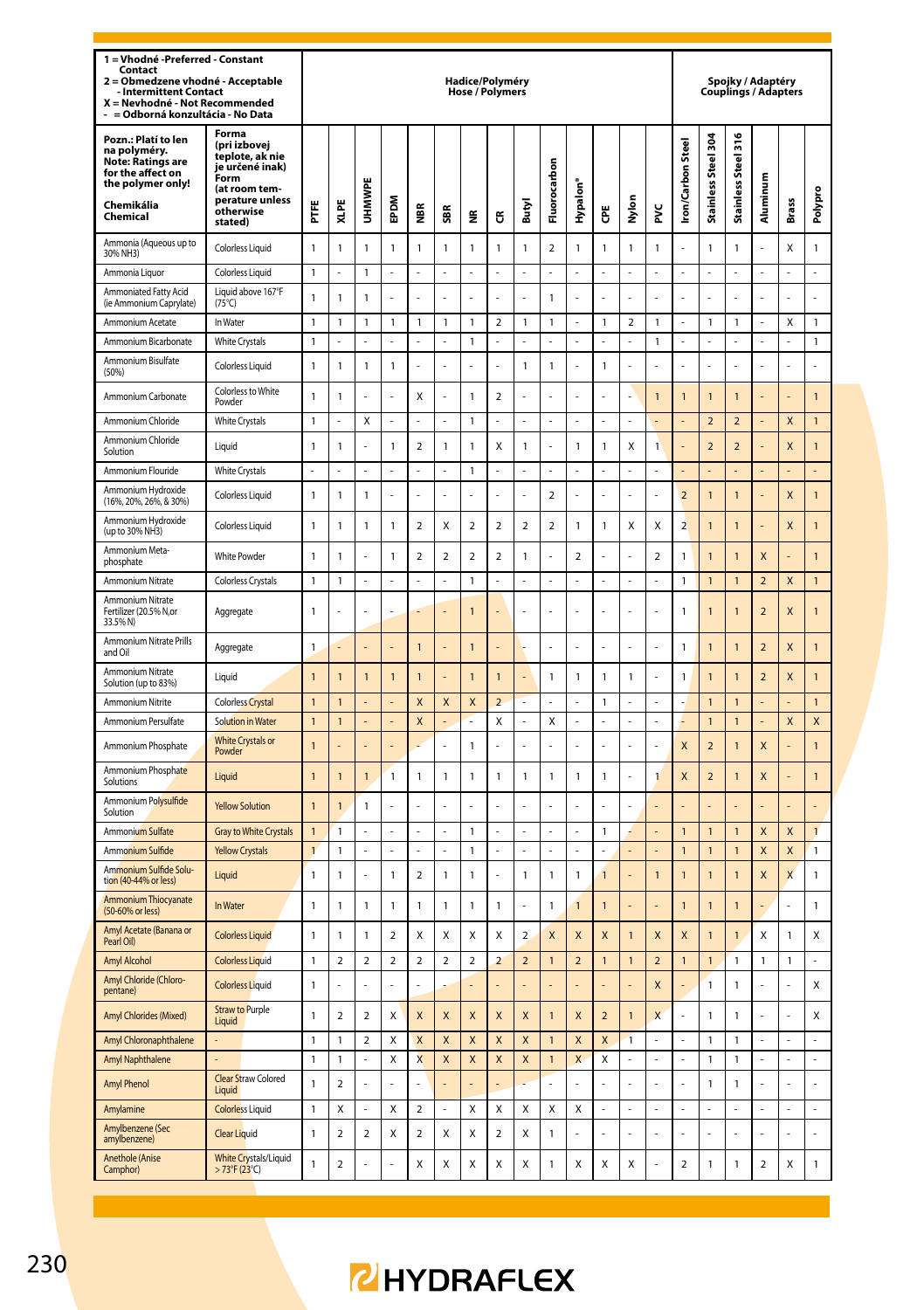| 1 = Vhodné -Preferred - Constant<br>Contact<br>2 = Obmedzene vhodné - Acceptable<br>Intermittent Contact<br>X = Nevhodné - Not Recommended<br>= Odborná konzultácia - No Data |                                                                                                                                 |                   |                                         |                         |                |                              |                  | Hadice/Polyméry<br>Hose / Polymers |                          |                |                         |                         |                         |                |                |                          | Spojky / Adaptéry<br>Couplings / Adapters |                          |                           |                         |                |
|-------------------------------------------------------------------------------------------------------------------------------------------------------------------------------|---------------------------------------------------------------------------------------------------------------------------------|-------------------|-----------------------------------------|-------------------------|----------------|------------------------------|------------------|------------------------------------|--------------------------|----------------|-------------------------|-------------------------|-------------------------|----------------|----------------|--------------------------|-------------------------------------------|--------------------------|---------------------------|-------------------------|----------------|
| Pozn.: Platí to len<br>na polyméry.<br><b>Note: Ratings are</b><br>for the affect on<br>the polymer only!<br>Chemikália<br>Chemical                                           | Forma<br>(pri izbovej<br>teplote, ak nie<br>je určené inak)<br>Form<br>(at room tem-<br>perature unless<br>otherwise<br>stated) | Ë                 | XLPE                                    | UHMWP                   | <b>MGdE</b>    | €                            | SBR              | ž                                  | ű                        | Butyl          | Fluorocarbon            | Hypalon <sup>®</sup>    | Ğ                       | Nylon          | ž              | <b>Iron/Carbon Steel</b> | Stainless Steel 304                       | Stainless Steel 316      | Aluminum                  | Brass                   | Polypro        |
| Ammonia (Aqueous up to<br>30% NH3)                                                                                                                                            | <b>Colorless Liquid</b>                                                                                                         | $\mathbf{1}$      | $\mathbf{1}$                            | $\mathbf{1}$            | $\mathbf{1}$   | 1                            | $\mathbbm{1}$    | $\mathbf{1}$                       | 1                        | $\mathbbm{1}$  | $\mathbf 2$             | $\mathbf{1}$            | 1                       | $\mathbf{1}$   | 1              |                          | $\mathbf{1}$                              | $\mathbf{1}$             |                           | Χ                       | $\mathbf{1}$   |
| Ammonia Liquor                                                                                                                                                                | <b>Colorless Liquid</b>                                                                                                         | $\mathbf{1}$      | L.                                      | $\overline{1}$          | L              | ä,                           | ä,               | ä,                                 | J,                       | ä,             | ÷,                      | ż                       | ä,                      | ä,             | ź              | ä,                       | ä,                                        | ż                        | ä,                        | ÷.                      | ä,             |
| Ammoniated Fatty Acid<br>(ie Ammonium Caprylate)                                                                                                                              | Liquid above 167°F<br>$(75^{\circ}C)$                                                                                           | $\mathbf{1}$      | $\overline{1}$                          | $\overline{1}$          |                |                              |                  |                                    |                          |                | 1                       |                         |                         |                |                |                          |                                           |                          |                           |                         | l,             |
| Ammonium Acetate                                                                                                                                                              | In Water                                                                                                                        | $\overline{1}$    | $\mathbf{1}$                            | $\mathbf{1}$            | $\mathbf{1}$   | 1                            | $\mathbf{1}$     | $\overline{1}$                     | $\overline{\phantom{a}}$ | $\mathbf{1}$   | $\mathbf{1}$            | l,                      | $\mathbf{1}$            | $\mathfrak{p}$ | $\mathbf{1}$   | ä,                       | $\mathbf{1}$                              | $\overline{1}$           | ÷,                        | X                       | $\mathbf{1}$   |
| Ammonium Bicarbonate                                                                                                                                                          | <b>White Crystals</b>                                                                                                           | $\mathbf{1}$      | $\overline{a}$                          | L.                      | $\overline{a}$ | L                            | L.               | $\mathbbm{1}$                      | L                        |                | $\overline{a}$          | L                       | L.                      | $\overline{a}$ | 1              | L.                       | $\overline{a}$                            | L                        | L.                        | L.                      | $\mathbf{1}$   |
| Ammonium Bisulfate<br>(50%)                                                                                                                                                   | <b>Colorless Liquid</b>                                                                                                         | $\mathbf{1}$      | $\mathbf{1}$                            | $\mathbf{1}$            | $\mathbf{1}$   |                              |                  |                                    |                          | $\mathbf{1}$   | $\mathbf{1}$            |                         | $\mathbf{1}$            |                |                |                          |                                           |                          |                           |                         |                |
| Ammonium Carbonate                                                                                                                                                            | Colorless to White<br>Powder                                                                                                    | $\mathbf{1}$      | 1                                       |                         |                | X                            |                  | $\mathbf{1}$                       | $\overline{\mathbf{c}}$  |                |                         |                         |                         |                | 1              | 1                        | $\overline{1}$                            | $\overline{1}$           |                           |                         | $\overline{1}$ |
| Ammonium Chloride                                                                                                                                                             | <b>White Crystals</b>                                                                                                           | $\mathbf{1}$      | L.                                      | $\mathbf{x}$            | L.             | L                            | J.               | $\overline{1}$                     | L                        | L,             | L                       | L                       | L,                      | ÷,             | L              |                          | $\overline{\phantom{a}}$                  | $\overline{\phantom{0}}$ | L.                        | $\overline{\mathsf{x}}$ | $\mathbf{1}$   |
| Ammonium Chloride<br>Solution                                                                                                                                                 | Liquid                                                                                                                          | $\mathbf{1}$      | $\overline{1}$                          | l,                      | $\mathbf{1}$   | $\overline{a}$               | $\mathbbm{1}$    | 1                                  | X                        | $\mathbbm{1}$  | L,                      | $\mathbf{1}$            | 1                       | Χ              | 1              |                          | $\overline{\mathbf{c}}$                   | $\overline{\mathbf{c}}$  |                           | X                       | 1              |
| Ammonium Flouride                                                                                                                                                             | <b>White Crystals</b>                                                                                                           | ä,                | ä,                                      | ä,                      | ä,             | í,                           | ä,               | 1                                  | J,                       | ä,             | ÷,                      | ż                       | ä,                      | ÷              | J,             | ä,                       |                                           |                          |                           |                         | L              |
| Ammonium Hydroxide<br>(16%, 20%, 26%, & 30%)                                                                                                                                  | Colorless Liquid                                                                                                                | $\mathbf{1}$      | $\mathbf{1}$                            | $\mathbf{1}$            |                |                              |                  |                                    |                          |                | $\overline{\mathbf{c}}$ | L                       |                         |                |                | $\overline{2}$           | $\overline{1}$                            | $\overline{1}$           |                           | X                       | $\overline{1}$ |
| Ammonium Hydroxide<br>(up to 30% NH3)                                                                                                                                         | Colorless Liquid                                                                                                                | $\mathbf{1}$      | $\overline{1}$                          | $\overline{1}$          | $\mathbf{1}$   | $\overline{\mathbf{c}}$      | X                | $\mathfrak{p}$                     | $\overline{\mathbf{c}}$  | $\mathfrak{p}$ | $\mathfrak{p}$          | $\mathbf{1}$            | 1                       | X              | Χ              | $\overline{\phantom{a}}$ | $\overline{1}$                            | $\overline{1}$           |                           | $\overline{\mathsf{x}}$ | $\mathbf{1}$   |
| Ammonium Meta-<br>phosphate                                                                                                                                                   | <b>White Powder</b>                                                                                                             | $\mathbf{1}$      | $\overline{1}$                          |                         | $\mathbf{1}$   | $\overline{\mathbf{c}}$      | $\boldsymbol{2}$ | $\mathbf 2$                        | $\overline{\mathbf{c}}$  | 1              |                         | $\overline{\mathbf{c}}$ |                         |                | $\overline{a}$ | $\mathbf{1}$             | $\overline{1}$                            | $\overline{1}$           | X                         |                         | $\overline{1}$ |
| Ammonium Nitrate                                                                                                                                                              | <b>Colorless Crystals</b>                                                                                                       | $\mathbf{1}$      | $\mathbf{1}$                            | ä,                      | $\overline{a}$ | L                            | L.               | $\mathbf{1}$                       | L                        | L.             | ÷,                      | L                       | L.                      | L.             | L              | 1                        | $\overline{1}$                            | $\overline{1}$           | $\overline{\phantom{a}}$  | $\overline{\mathsf{x}}$ | $\overline{1}$ |
| Ammonium Nitrate<br>Fertilizer (20.5% N,or<br>33.5% N)                                                                                                                        | Aggregate                                                                                                                       | $\mathbf{1}$      |                                         |                         |                |                              |                  | $\mathbf{1}$                       |                          |                |                         |                         |                         |                |                | 1                        | $\overline{1}$                            | $\mathbf{1}$             | $\overline{\phantom{a}}$  | $\mathsf{x}$            | $\mathbf{1}$   |
| Ammonium Nitrate Prills<br>and Oil                                                                                                                                            | Aggregate                                                                                                                       | $\mathbf{1}$      |                                         |                         |                | 1                            |                  | $\mathbf{1}$                       |                          |                | L.                      | L                       |                         | L.             | L              | 1                        | $\mathbf{1}$                              | $\overline{1}$           | $\overline{a}$            | X                       | $\overline{1}$ |
| <b>Ammonium Nitrate</b><br>Solution (up to 83%)                                                                                                                               | Liquid                                                                                                                          | $\overline{1}$    | 1                                       | $\overline{1}$          | $\overline{1}$ | 1                            |                  | $\mathbf{1}$                       | $\mathbf{1}$             |                | 1                       | 1                       | 1                       | 1              | L              | 1                        | $\overline{1}$                            | $\overline{1}$           | $\overline{a}$            | X                       | $\overline{1}$ |
| <b>Ammonium Nitrite</b>                                                                                                                                                       | <b>Colorless Crystal</b>                                                                                                        | $\overline{1}$    | $\overline{1}$                          |                         |                | X                            | X                | X                                  | $\overline{\phantom{a}}$ |                |                         |                         | 1                       |                |                |                          | $\overline{1}$                            | $\overline{1}$           |                           |                         | $\overline{1}$ |
| Ammonium Persulfate                                                                                                                                                           | <b>Solution in Water</b>                                                                                                        | $\mathbf{1}$      | $\overline{1}$                          |                         |                | X                            |                  |                                    | Χ                        |                | X                       |                         |                         | ä,             |                |                          | $\overline{1}$                            | $\overline{1}$           |                           | X                       | X              |
| Ammonium Phosphate                                                                                                                                                            | <b>White Crystals or</b><br>Powder                                                                                              | $\mathbf{1}$      |                                         |                         |                |                              | L,               | 1                                  | L                        |                | L                       | L                       |                         | L              | L              | X                        | $\overline{2}$                            | $\overline{1}$           | X                         |                         | $\overline{1}$ |
| Ammonium Phosphate<br>Solutions                                                                                                                                               | Liquid                                                                                                                          | $\mathbf{1}$      | 1                                       | $\overline{1}$          | 1              | 1                            | $\mathbf{1}$     | 1                                  | 1                        | $\mathbf{1}$   | 1                       | 1                       | 1                       | L.             | 1              | X                        | $\overline{2}$                            | $\overline{1}$           | X                         |                         | $\overline{1}$ |
| Ammonium Po <mark>lysulfide</mark><br>Solution                                                                                                                                | <b>Yellow Solution</b>                                                                                                          | $\overline{1}$    | 1                                       | $\mathbf{1}$            |                |                              |                  |                                    |                          |                |                         |                         |                         |                |                |                          |                                           |                          |                           |                         |                |
| Ammonium Sulfate                                                                                                                                                              | Gray to White Crystals                                                                                                          | $\overline{1}$    | $\mathbf{1}$                            |                         |                |                              |                  | 1                                  |                          |                | $\overline{a}$          |                         | $\mathbf{1}$            | z              |                | $\mathbf{1}$             | $\mathbf{1}$                              | $\mathbf{1}$             | $\boldsymbol{\mathsf{x}}$ | X                       | $\mathbf{1}$   |
| Ammonium Sulfide<br>Ammonium Sulfide Solu-                                                                                                                                    | <b>Yellow Crystals</b>                                                                                                          | $\mathbf{1}$      | 1                                       |                         |                |                              |                  | 1                                  |                          |                |                         |                         |                         |                |                | $\mathbf{1}$             | $\mathbf{1}$                              | $\mathbf{1}$             | X                         | X                       | $\mathbf{1}$   |
| tion (40-44% or less)                                                                                                                                                         | Liquid                                                                                                                          | $\mathbf{1}$      | 1                                       | L                       | $\mathbf{1}$   | $\overline{\mathbf{c}}$      | $\mathbf{1}$     | $\mathbf{1}$                       | L                        | $\mathbf{1}$   | 1                       | 1                       | 1                       | L              | 1              | 1                        | $\mathbf{1}$                              | $\overline{1}$           | X                         | X                       | $\mathbf{1}$   |
| Ammonium Thiocyanate<br>(50-60% or less)                                                                                                                                      | In Water                                                                                                                        | 1                 | 1                                       | $\mathbf{1}$            | $\mathbf{1}$   | 1                            | $\mathbf{1}$     | $\mathbf{1}$                       | 1                        |                | 1                       | $\overline{1}$          | $\overline{1}$          |                |                | $\overline{1}$           | $\overline{1}$                            | $\overline{1}$           |                           |                         | 1              |
| Amyl Acetate (Banana or<br>Pearl Oil!                                                                                                                                         | <b>Colorless Liquid</b>                                                                                                         | $\mathbf{1}$      | $\mathbf{1}$                            | $\mathbf{1}$            | $\overline{a}$ | X                            | X                | X                                  | X                        | $\overline{2}$ | X                       | X                       | $\overline{\mathsf{x}}$ | $\overline{1}$ | X              | $\overline{\mathsf{x}}$  | $\overline{1}$                            | $\overline{1}$           | X                         | $\mathbf{1}$            | X              |
| <b>Amyl Alcohol</b>                                                                                                                                                           | <b>Colorless Liquid</b>                                                                                                         | $\mathbf{1}$      | $\overline{2}$                          | $\overline{2}$          | $\overline{2}$ | $\overline{a}$               | $\overline{a}$   | $\overline{a}$                     | $\overline{2}$           | $\overline{a}$ | $\mathbf{1}$            | $\overline{a}$          | $\mathbf{1}$            | $\mathbf{1}$   | $\overline{a}$ | $\overline{1}$           | $\mathbf{1}$                              | $\mathbf{1}$             | $\mathbf{1}$              | $\mathbf{1}$            | $\overline{a}$ |
| Amyl Chloride (Chloro-<br>pentane)                                                                                                                                            | <b>Colorless Liquid</b>                                                                                                         | 1                 |                                         | ÷                       |                |                              |                  |                                    |                          |                |                         |                         |                         |                | X              |                          | 1                                         | 1                        |                           |                         | X              |
| Amyl Chlorides (Mixed)                                                                                                                                                        | <b>Straw to Purple</b><br>Liquid                                                                                                | $\mathbf{1}$      | $\mathbf 2$                             | $\overline{\mathbf{2}}$ | X              | X                            | X                | X                                  | X                        | X              | $\overline{1}$          | X                       | $\overline{\mathbf{c}}$ | $\overline{1}$ | X              |                          | $\mathbf{1}$                              | $\mathbf{1}$             |                           |                         | Χ              |
| Amyl Chloronaphthalene                                                                                                                                                        |                                                                                                                                 | $\mathbf{1}$      | $\mathbf{1}$                            | $\overline{2}$          | X              | X                            | X                | X                                  | X                        | X              | $\mathbf{1}$            | X                       | X                       | $\overline{1}$ |                |                          | $\mathbf{1}$                              | $\mathbf{1}$             |                           |                         |                |
| Amyl Naphthalene<br><b>Amyl Phenol</b>                                                                                                                                        | <b>Clear Straw Colored</b>                                                                                                      | $\mathbf{1}$<br>1 | $\mathbf{1}$<br>$\overline{\mathbf{c}}$ | ä,                      | X<br>ä,        | $\overline{\mathsf{x}}$<br>ı | X                | X<br>ä,                            | X                        | X              | $\mathbf{1}$<br>ä,      | X                       | X                       | ä,             |                |                          | $\mathbf{1}$<br>1                         | $\mathbf{1}$<br>1        |                           | ä,                      | L,<br>ä,       |
|                                                                                                                                                                               | Liquid                                                                                                                          |                   |                                         |                         |                |                              |                  |                                    |                          |                |                         |                         |                         |                |                |                          |                                           |                          |                           |                         |                |
| Amylamine<br>Amylbenzene (Sec                                                                                                                                                 | <b>Colorless Liquid</b>                                                                                                         | $\mathbf{1}$      | X                                       |                         | X              | $\overline{a}$               |                  | X                                  | Χ                        | X              | Χ                       | X                       |                         |                |                |                          |                                           |                          |                           | ÷,                      |                |
| amvlbenzene)                                                                                                                                                                  | <b>Clear Liquid</b>                                                                                                             | $\mathbf{1}$      | $\overline{2}$                          | $\overline{2}$          | X              | $\overline{2}$               | X                | X                                  | $\overline{2}$           | X              | 1                       |                         |                         |                |                |                          | ÷                                         |                          |                           |                         | ı              |
| <b>Anethole (Anise</b><br>Camphor)                                                                                                                                            | <b>White Crystals/Liquid</b><br>$>73^{\circ}$ F (23°C)                                                                          | $\mathbf{1}$      | $\overline{a}$                          |                         |                | X                            | X                | X                                  | X                        | X              | 1                       | X                       | Χ                       | X              |                | $\overline{2}$           | $\mathbf{1}$                              | $\mathbf{1}$             | $\overline{2}$            | Χ                       | $\mathbf{1}$   |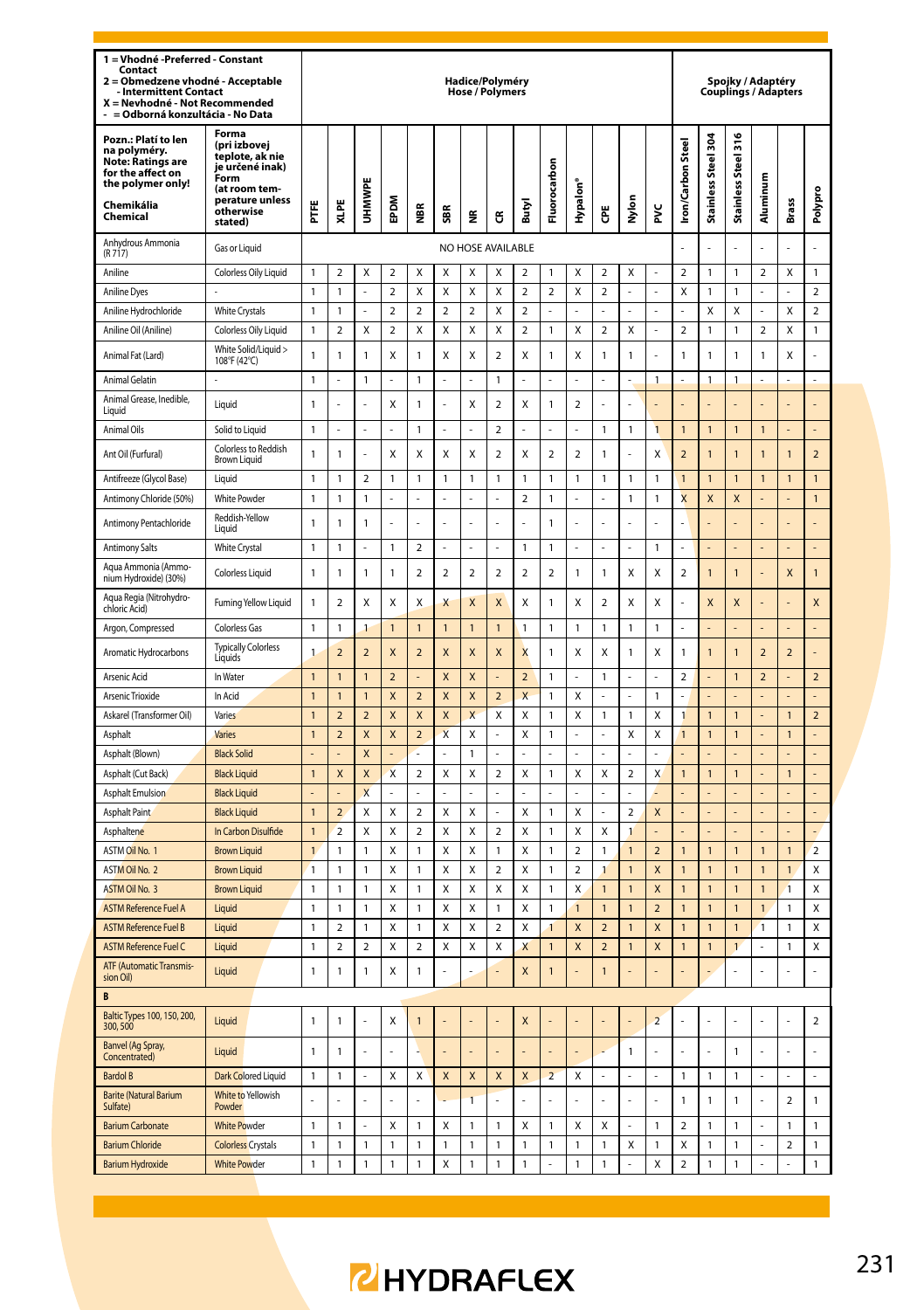| 1 = Vhodné - Preferred - Constant<br>Contact<br>2 = Obmedzene vhodné - Acceptable<br>- Intermittent Contact<br>X = Nevhodné - Not Recommended<br>- = Odborná konzultácia - No Data |                                                                                                                                 |                |                          |                          |                         |                          |                         | Hadice/Polyméry<br><b>Hose / Polymers</b> |                         |                          |                         |                         |                         |                          |                |                          | Spojky / Adaptéry<br>Couplings / Adapters |                               |                          |                         |                         |
|------------------------------------------------------------------------------------------------------------------------------------------------------------------------------------|---------------------------------------------------------------------------------------------------------------------------------|----------------|--------------------------|--------------------------|-------------------------|--------------------------|-------------------------|-------------------------------------------|-------------------------|--------------------------|-------------------------|-------------------------|-------------------------|--------------------------|----------------|--------------------------|-------------------------------------------|-------------------------------|--------------------------|-------------------------|-------------------------|
| Pozn.: Platí to len<br>na polyméry.<br><b>Note: Ratings are</b><br>for the affect on<br>the polymer only!<br>Chemikália<br>Chemical                                                | Forma<br>(pri izbovei<br>teplote, ak nie<br>je určené inak)<br>Form<br>(at room tem-<br>perature unless<br>otherwise<br>stated) | PTFE           | XLPE                     | UHMWP                    | EPDM                    | €                        | ã                       | ž                                         | G                       | Butyl                    | Fluorocarbon            | Hypalon <sup>®</sup>    | Ğ                       | Nylon                    | ž              | <b>Iron/Carbon Steel</b> | Stainless Steel 304                       | Steel 316<br><b>Stainless</b> | Aluminum                 | Brass                   | Polypro                 |
| Anhydrous Ammonia<br>(R717)                                                                                                                                                        | Gas or Liquid                                                                                                                   |                |                          |                          |                         |                          |                         | NO HOSE AVAILABLE                         |                         |                          |                         |                         |                         |                          |                |                          |                                           |                               |                          |                         | L                       |
| Aniline                                                                                                                                                                            | Colorless Oily Liquid                                                                                                           | 1              | $\overline{2}$           | X                        | $\overline{2}$          | X                        | X                       | X                                         | X                       | $\overline{2}$           | 1                       | X                       | $\overline{2}$          | X                        |                | $\overline{\mathbf{c}}$  | 1                                         | 1                             | $\overline{2}$           | X                       | 1                       |
| <b>Aniline Dyes</b>                                                                                                                                                                |                                                                                                                                 | 1              | 1                        |                          | $\overline{2}$          | X                        | X                       | Χ                                         | X                       | $\overline{\mathbf{c}}$  | $\overline{\mathbf{c}}$ | Χ                       | $\overline{\mathbf{c}}$ |                          |                | X                        | $\mathbf{1}$                              | 1                             |                          |                         | $\overline{\mathbf{c}}$ |
| Aniline Hydrochloride                                                                                                                                                              | <b>White Crystals</b>                                                                                                           | 1              | 1                        |                          | $\overline{2}$          | $\overline{2}$           | $\overline{\mathbf{c}}$ | $\overline{a}$                            | X                       | $\overline{\mathbf{c}}$  | L,                      |                         |                         |                          |                |                          | X                                         | Χ                             |                          | X                       | $\overline{2}$          |
| Aniline Oil (Aniline)                                                                                                                                                              | Colorless Oily Liquid                                                                                                           | 1              | $\overline{2}$           | X                        | $\overline{\mathbf{c}}$ | X                        | Χ                       | Χ                                         | Χ                       | $\overline{\mathbf{c}}$  | $\mathbf{1}$            | Χ                       | $\overline{\mathbf{c}}$ | Χ                        |                | $\overline{\mathbf{c}}$  | $\mathbf{1}$                              | 1                             | $\overline{2}$           | Χ                       | 1                       |
| Animal Fat (Lard)                                                                                                                                                                  | White Solid/Liquid ><br>108°F (42°C)                                                                                            | 1              | 1                        | 1                        | X                       | 1                        | X                       | Χ                                         | $\overline{2}$          | X                        | 1                       | X                       | 1                       | 1                        |                | 1                        | 1                                         | 1                             | 1                        | Χ                       |                         |
| Animal Gelatin                                                                                                                                                                     |                                                                                                                                 | $\mathbf{1}$   |                          | $\mathbf{1}$             | i,                      | $\mathbf{1}$             |                         | ÷,                                        | $\overline{1}$          |                          | i,                      |                         |                         | L,                       | 1              |                          | $\mathbf{1}$                              | 1                             |                          |                         |                         |
| Animal Grease, Inedible,<br>Liquid                                                                                                                                                 | Liquid                                                                                                                          | 1              |                          | L                        | Χ                       | 1                        |                         | Χ                                         | $\mathbf 2$             | X                        | $\mathbf{1}$            | $\boldsymbol{2}$        |                         | L                        |                |                          |                                           |                               |                          |                         | L                       |
| Animal Oils                                                                                                                                                                        | Solid to Liquid                                                                                                                 | $\mathbf{1}$   |                          | ä,                       | Į,                      | 1                        |                         | L,                                        | $\overline{2}$          |                          | L,                      |                         | 1                       | 1                        | $\overline{1}$ | $\mathbf{1}$             | $\mathbf{1}$                              | $\overline{1}$                | $\overline{1}$           |                         | L                       |
| Ant Oil (Furfural)                                                                                                                                                                 | Colorless to Reddish<br><b>Brown Liquid</b>                                                                                     | 1              | 1                        | l,                       | Χ                       | Χ                        | X                       | Χ                                         | $\overline{\mathbf{2}}$ | X                        | $\overline{\mathbf{2}}$ | $\boldsymbol{2}$        | 1                       | L                        | Χ              | $\overline{\mathbf{c}}$  | 1                                         | 1                             | 1                        | 1                       | $\overline{\mathbf{c}}$ |
| Antifreeze (Glycol Base)                                                                                                                                                           | Liquid                                                                                                                          | $\mathbf{1}$   | 1                        | $\overline{a}$           | $\mathbf{1}$            | 1                        | $\overline{1}$          | $\mathbf{1}$                              | $\mathbf{1}$            | $\mathbf{1}$             | $\mathbf{1}$            | 1                       | $\overline{1}$          | $\mathbf{1}$             | $\mathbf{1}$   | $\overline{1}$           | $\overline{1}$                            | $\overline{1}$                | $\overline{1}$           | $\overline{1}$          | $\overline{1}$          |
| Antimony Chloride (50%)                                                                                                                                                            | <b>White Powder</b>                                                                                                             | 1              | 1                        | 1                        | L,                      |                          | ä,                      | L                                         | L                       | $\overline{2}$           | 1                       | J,                      |                         | 1                        | 1              | $\overline{\mathsf{x}}$  | X                                         | X                             |                          |                         | $\mathbf{1}$            |
| Antimony Pentachloride                                                                                                                                                             | Reddish-Yellow<br>Liquid                                                                                                        | 1              | 1                        | 1                        |                         |                          |                         |                                           |                         |                          | $\mathbf{1}$            |                         |                         |                          |                |                          |                                           |                               |                          |                         |                         |
| <b>Antimony Salts</b>                                                                                                                                                              | <b>White Crystal</b>                                                                                                            | 1              | 1                        | ÷,                       | 1                       | $\overline{\mathbf{c}}$  | L.                      | L                                         | L.                      | $\mathbf{1}$             | $\mathbf{1}$            | L                       | L.                      | L.                       | 1              | L.                       | L.                                        |                               | L.                       |                         | L                       |
| Aqua Ammonia (Ammo-<br>nium Hydroxide) (30%)                                                                                                                                       | Colorless Liquid                                                                                                                | $\mathbf{1}$   | 1                        | $\mathbf{1}$             | 1                       | $\overline{2}$           | $\overline{2}$          | $\overline{a}$                            | $\overline{a}$          | $\overline{2}$           | $\overline{a}$          | 1                       | $\mathbf{1}$            | X                        | Χ              | $\overline{a}$           | $\mathbf{1}$                              | 1                             |                          | X                       | $\mathbf{1}$            |
| Aqua Regia (Nitrohydro-<br>chloric Acid)                                                                                                                                           | Fuming Yellow Liquid                                                                                                            | 1              | $\overline{\mathbf{c}}$  | Χ                        | Χ                       | X                        | X                       | X                                         | X                       | Χ                        | $\mathbf{1}$            | Χ                       | $\boldsymbol{2}$        | X                        | Χ              |                          | X                                         | X                             |                          |                         | X                       |
| Argon, Compressed                                                                                                                                                                  | <b>Colorless Gas</b>                                                                                                            | 1              | 1                        | 1                        | $\mathbf{1}$            | $\mathbf{1}$             | $\overline{1}$          | $\mathbf{1}$                              | $\overline{1}$          | $\mathbf{1}$             | $\mathbf{1}$            | 1                       | $\mathbf{1}$            | 1                        | 1              | ä,                       | L.                                        | l,                            | ä,                       | L.                      | L                       |
| Aromatic Hydrocarbons                                                                                                                                                              | <b>Typically Colorless</b><br>Liquids                                                                                           | $\mathbf{1}$   | $\overline{\phantom{0}}$ | $\overline{\phantom{0}}$ | X                       | $\overline{\phantom{0}}$ | $\mathsf{x}$            | $\mathsf{x}$                              | $\overline{\mathsf{x}}$ | $\overline{\mathsf{x}}$  | $\mathbf{1}$            | X                       | X                       | $\mathbf{1}$             | X              | $\mathbf{1}$             | $\mathbf{1}$                              | 1                             | $\overline{\phantom{0}}$ | $\overline{\mathbf{c}}$ | Į.                      |
| Arsenic Acid                                                                                                                                                                       | In Water                                                                                                                        | $\mathbf{1}$   | 1                        | $\mathbf{1}$             | $\overline{a}$          |                          | X                       | X                                         |                         | $\overline{\phantom{0}}$ | 1                       | ı                       | $\mathbf{1}$            | $\overline{a}$           | L              | $\overline{\mathbf{c}}$  |                                           | $\overline{1}$                | $\overline{a}$           |                         | $\overline{a}$          |
| Arsenic Trioxide                                                                                                                                                                   | In Acid                                                                                                                         | $\mathbf{1}$   | 1                        | $\mathbf{1}$             | X                       | $\overline{2}$           | X                       | X                                         | $\overline{2}$          | X                        | $\mathbf{1}$            | X                       | ä,                      | L.                       | 1              | ä,                       | L,                                        | L                             |                          |                         | L,                      |
| Askarel (Transformer Oil)                                                                                                                                                          | Varies                                                                                                                          | $\mathbf{1}$   | $\overline{a}$           | $\overline{a}$           | X                       | X                        | X                       | X                                         | Χ                       | X                        | 1                       | X                       | 1                       | 1                        | Χ              | 1                        | $\mathbf{1}$                              | 1                             |                          | $\mathbf{1}$            | $\overline{\mathbf{c}}$ |
| Asphalt                                                                                                                                                                            | <b>Varies</b>                                                                                                                   | $\mathbf{1}$   | $\overline{a}$           | X                        | X                       | $\overline{a}$           | $\overline{\mathsf{x}}$ | Χ                                         |                         | Χ                        | $\mathbf{1}$            |                         |                         | X                        | X              | $\mathbf{1}$             | $\mathbf{1}$                              | $\overline{1}$                |                          | $\mathbf{1}$            |                         |
| Asphalt (Blown)<br>Asphalt (Cut Back)                                                                                                                                              | <b>Black Solid</b><br><b>Black Liquid</b>                                                                                       | $\mathbf{1}$   | X                        | X<br>X                   | X                       | $\overline{2}$           | Χ                       | 1<br>Χ                                    | $\overline{\mathbf{c}}$ | Χ                        | $\mathbf{1}$            | X                       | X                       | $\overline{\mathbf{c}}$  | X              | $\mathbf{1}$             | $\mathbf{1}$                              | $\overline{1}$                |                          | $\mathbf{1}$            | $\overline{a}$          |
| <b>Asphalt Emulsion</b>                                                                                                                                                            | <b>Black Liquid</b>                                                                                                             |                |                          | $\mathbf{x}$             |                         |                          |                         |                                           |                         |                          |                         |                         |                         |                          |                |                          |                                           |                               |                          |                         |                         |
| <b>Asphalt Paint</b>                                                                                                                                                               | <b>Black Liquid</b>                                                                                                             | $\overline{1}$ | $\overline{\phantom{0}}$ | X                        | X                       | $\overline{\phantom{a}}$ | X                       | $\mathsf{x}$                              | $\overline{a}$          | $\mathsf{x}$             | $\mathbf{1}$            | X                       |                         | $\overline{\phantom{a}}$ | $\mathsf{x}$   |                          | L.                                        |                               |                          | L.                      | $\overline{a}$          |
| Asphaltene                                                                                                                                                                         | In Carbon Disulfide                                                                                                             | $\overline{1}$ | $\overline{\phantom{a}}$ | x                        | X                       | $\overline{2}$           | X                       | $\mathsf{x}$                              | $\overline{2}$          | $\mathsf{x}$             | 1                       | X                       | X                       | 1                        |                |                          |                                           |                               |                          |                         | L                       |
| ASTM Oil No. 1                                                                                                                                                                     | <b>Brown Liquid</b>                                                                                                             | $\mathbf{1}$   | 1                        | 1                        | X                       | 1                        | X                       | Χ                                         | 1                       | X                        | 1                       | $\overline{2}$          | 1                       | $\overline{1}$           | $\overline{2}$ | $\overline{1}$           | $\overline{1}$                            | $\overline{1}$                | $\overline{1}$           | $\overline{1}$          | $\overline{\mathbf{c}}$ |
| <b>ASTM Oil No. 2</b>                                                                                                                                                              | <b>Brown Liquid</b>                                                                                                             | 1              | 1                        | 1                        | Χ                       | 1                        | X                       | Χ                                         | $\overline{\mathbf{c}}$ | X                        | $\mathbf{1}$            | $\overline{\mathbf{c}}$ | $\mathbf{1}$            | $\mathbf{1}$             | X              | $\overline{1}$           | $\mathbf{1}$                              | 1                             | $\overline{1}$           | $\mathbf{1}$            | Χ                       |
| <b>ASTM Oil No. 3</b>                                                                                                                                                              | <b>Brown Liquid</b>                                                                                                             | 1              | 1                        | 1                        | X                       | 1                        | $\mathsf{x}$            | Χ                                         | X                       | $\mathsf{x}$             | 1                       | Χ                       | $\overline{1}$          | $\overline{1}$           | X              | $\overline{1}$           | $\mathbf{1}$                              | $\overline{1}$                | $\overline{1}$           | $\mathbf{1}$            | X                       |
| <b>ASTM Reference Fuel A</b>                                                                                                                                                       | Liquid                                                                                                                          | 1              | 1                        | 1                        | Χ                       | 1                        | X                       | Χ                                         | $\overline{1}$          | X                        | 1                       | $\overline{1}$          | $\mathbf{1}$            | $\mathbf{1}$             | $\overline{2}$ | $\mathbf{1}$             | $\mathbf{1}$                              | $\overline{1}$                | $\overline{1}$           | 1                       | Χ                       |
| <b>ASTM Reference Fuel B</b>                                                                                                                                                       | Liquid                                                                                                                          | 1              | $\overline{\mathbf{c}}$  | 1                        | Χ                       | 1                        | X                       | Χ                                         | $\overline{\mathbf{2}}$ | X                        | 1                       | X                       | $\overline{2}$          | $\mathbf{1}$             | X              | 1                        | $\mathbf{1}$                              | 1                             | 1                        | 1                       | Χ                       |
| <b>ASTM Reference Fuel C</b>                                                                                                                                                       | Liquid                                                                                                                          | 1              | $\overline{2}$           | $\overline{2}$           | Χ                       | $\overline{2}$           | X                       | Χ                                         | X                       | X                        | $\mathbf{1}$            | X                       | $\overline{2}$          | $\mathbf{1}$             | X              | 1                        | $\mathbf{1}$                              | 1                             |                          | 1                       | Χ                       |
| ATF (Automatic Transmis-<br>sion Oil)                                                                                                                                              | Liquid                                                                                                                          | 1              | 1                        | 1                        | Χ                       | 1                        | š                       |                                           |                         | X                        | $\overline{1}$          | Ĭ.                      | 1                       |                          |                |                          | L,                                        | ł,                            | ä,                       | J,                      | ł                       |
| B                                                                                                                                                                                  |                                                                                                                                 |                |                          |                          |                         |                          |                         |                                           |                         |                          |                         |                         |                         |                          |                |                          |                                           |                               |                          |                         |                         |
| Baltic Types 100, 150, 200,<br>300, 500                                                                                                                                            | Liquid                                                                                                                          | $\mathbf{1}$   | 1                        | L                        | X                       | 1                        | í.                      |                                           |                         | X                        |                         |                         |                         |                          | $\overline{a}$ |                          |                                           |                               |                          |                         | $\overline{a}$          |
| <b>Banvel (Ag Spray,</b><br>Concentrated)                                                                                                                                          | Liquid                                                                                                                          | 1              | 1                        | L                        | L                       |                          | Í.                      |                                           |                         | Í.                       |                         | L,                      | l,                      | 1                        | J,             |                          | ÷,                                        | 1                             | L.                       | ÷,                      | ä,                      |
| <b>Bardol B</b>                                                                                                                                                                    | Dark Colored Liquid                                                                                                             | 1              | 1                        | L,                       | Χ                       | X                        | X                       | X                                         | X                       | X                        | $\overline{a}$          | X                       | l,                      | L,                       |                | $\mathbf{1}$             | 1                                         | 1                             | $\overline{a}$           | L,                      | l,                      |
| <b>Barite (Natural Barium</b><br>Sulfate)                                                                                                                                          | <b>White to Yellowish</b><br>Powder                                                                                             | L.             |                          |                          |                         |                          |                         | $\overline{1}$                            |                         |                          |                         |                         |                         |                          | J,             | 1                        | 1                                         | 1                             |                          | $\overline{\mathbf{c}}$ | 1                       |
| <b>Barium Carbonate</b>                                                                                                                                                            | <b>White Powder</b>                                                                                                             | 1              | 1                        |                          | Χ                       | 1                        | X                       | 1                                         | 1                       | X                        | $\mathbf{1}$            | X                       | X                       |                          | 1              | $\overline{\mathbf{c}}$  | 1                                         | 1                             |                          | 1                       | 1                       |
| <b>Barium Chloride</b>                                                                                                                                                             | <b>Colorless Crystals</b>                                                                                                       | $\mathbf{1}$   | $\mathbf{1}$             | $\mathbf{1}$             | $\mathbf{1}$            | $\mathbf{1}$             | $\mathbf{1}$            | $\mathbf{1}$                              | $\overline{1}$          | $\mathbf{1}$             | $\mathbf{1}$            | 1                       | 1                       | X                        | 1              | X                        | $\mathbf{1}$                              | $\mathbf{1}$                  |                          | $\overline{\mathbf{c}}$ | $\mathbf{1}$            |
| <b>Barium Hydroxide</b>                                                                                                                                                            | <b>White Powder</b>                                                                                                             | 1              | 1                        | 1                        | 1                       | 1                        | X                       | 1                                         | $\overline{1}$          | $\mathbf{1}$             |                         | 1                       | 1                       |                          | X              | $\mathfrak{p}$           | 1                                         | 1                             |                          |                         | 1                       |

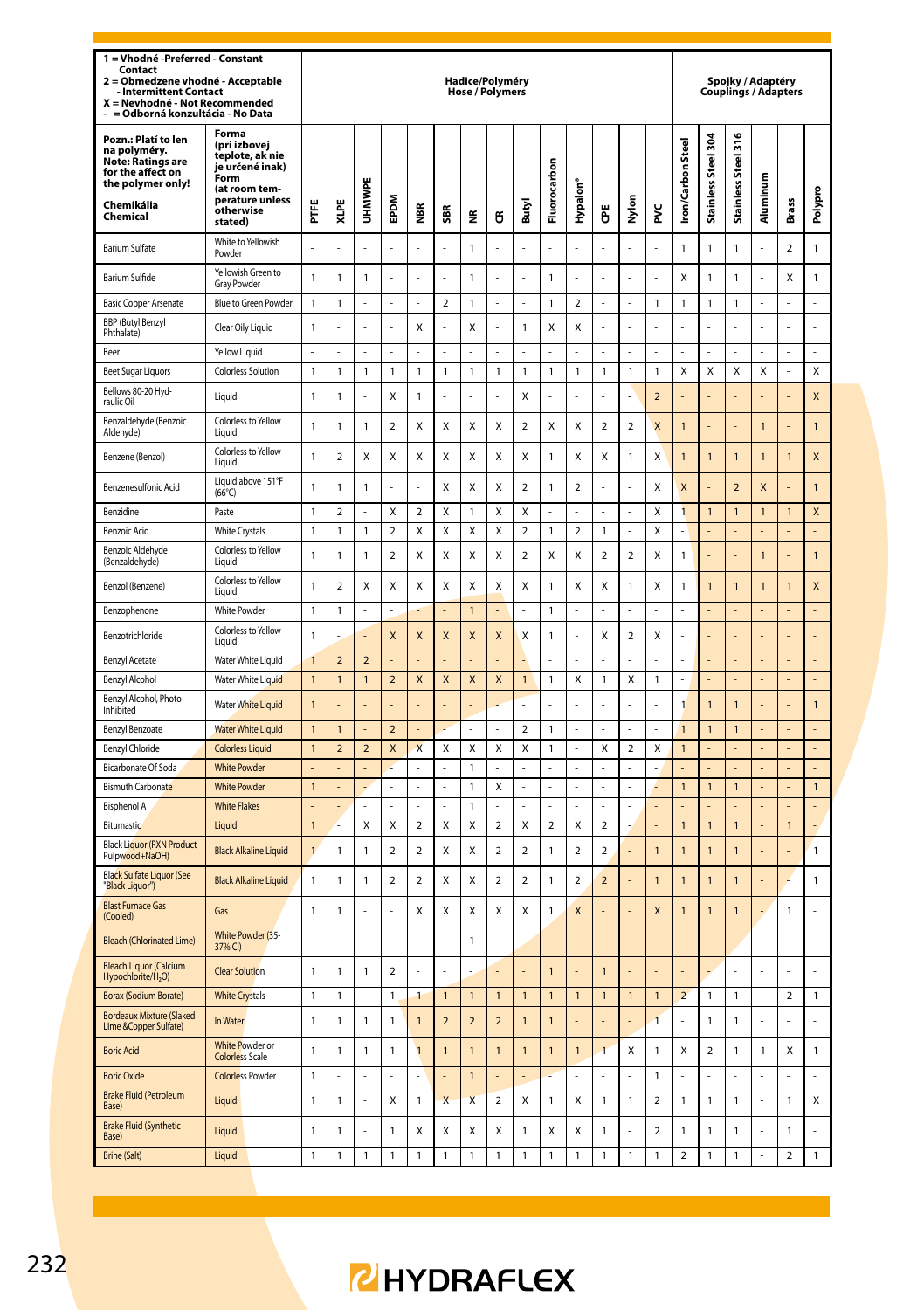| 1 = Vhodné - Preferred - Constant<br>Contact<br>Obmedzene vhodné - Acceptable<br>$\overline{\mathbf{z}}$<br><b>Intermittent Contact</b><br>X = Nevhodné - Not Recommended<br>= Odborná konzultácia - No Data |                                                                                                                                 |                      |                |                |                          |                         |                          | Hadice/Polyméry<br><b>Hose / Polymers</b> |                |                          |                    |                |                          |                         |                         |                          |                     |                     | Spojky / Adaptéry | <b>Couplings / Adapters</b> |                         |
|--------------------------------------------------------------------------------------------------------------------------------------------------------------------------------------------------------------|---------------------------------------------------------------------------------------------------------------------------------|----------------------|----------------|----------------|--------------------------|-------------------------|--------------------------|-------------------------------------------|----------------|--------------------------|--------------------|----------------|--------------------------|-------------------------|-------------------------|--------------------------|---------------------|---------------------|-------------------|-----------------------------|-------------------------|
| Pozn.: Platí to len<br>na polyméry.<br>Note: Ratings are<br>for the affect on<br>the polymer only!<br>Chemikália<br>Chemical                                                                                 | Forma<br>(pri izbovej<br>teplote, ak nie<br>je určené inak)<br>Form<br>(at room tem-<br>perature unless<br>otherwise<br>stated) | Ë                    | XLPE           | UHMWPE         | EPDM                     | Š                       | SBR                      | £                                         | ű              | Butyl                    | Fluorocarbon       | Hypalon'       | Ğ                        | Nylon                   | š                       | ron/Carbon Steel         | Stainless Steel 304 | Stainless Steel 316 | Aluminum          | Brass                       | Polypro                 |
| <b>Barium Sulfate</b>                                                                                                                                                                                        | White to Yellowish<br>Powder                                                                                                    | L.                   |                |                |                          | L                       |                          | $\mathbf{1}$                              | L              |                          |                    | l,             |                          | L,                      | l,                      | 1                        | 1                   | 1                   |                   | $\overline{\mathbf{c}}$     | 1                       |
| Barium Sulfide                                                                                                                                                                                               | Yellowish Green to<br><b>Gray Powder</b>                                                                                        | $\mathbf{1}$         | 1              | 1              |                          | L                       |                          | $\mathbf{1}$                              | L              |                          | $\mathbf{1}$       |                |                          | L,                      | L,                      | X                        | 1                   | 1                   |                   | Χ                           | 1                       |
| <b>Basic Copper Arsenate</b>                                                                                                                                                                                 | Blue to Green Powder                                                                                                            | $\mathbf{1}$         | $\mathbf{1}$   | $\overline{a}$ | $\overline{a}$           | L                       | $\overline{\phantom{a}}$ | $\mathbf{1}$                              | $\overline{a}$ | l,                       | $\mathbf{1}$       | $\mathfrak{p}$ | J,                       | $\overline{a}$          | $\mathbf{1}$            | $\mathbf{1}$             | $\mathbf{1}$        | $\mathbf{1}$        | ż                 | ź                           | L                       |
| <b>BBP</b> (Butyl Benzyl<br>Phthalate)                                                                                                                                                                       | Clear Oily Liquid                                                                                                               | $\mathbf{1}$         |                |                |                          | Χ                       |                          | X                                         |                | $\mathbf{1}$             | X                  | X              |                          |                         |                         |                          |                     |                     |                   |                             | l,                      |
| Reer                                                                                                                                                                                                         | Yellow Liquid                                                                                                                   | ä,                   |                | Î,             | ä,                       | í,                      | l,                       | ä,                                        | í,             |                          | ä,                 | J.             |                          | ä,                      | J.                      |                          | J.                  |                     |                   |                             | ä,                      |
| <b>Beet Sugar Liquors</b>                                                                                                                                                                                    | <b>Colorless Solution</b>                                                                                                       | $\mathbf{1}$         | 1              | 1              | $\mathbf{1}$             | 1                       | 1                        | $\mathbf{1}$                              | $\mathbf{1}$   | $\mathbf{1}$             | $\mathbf{1}$       | $\mathbf{1}$   | $\mathbf{1}$             | $\mathbf{1}$            | $\mathbf{1}$            | X                        | X                   | X                   | X                 | L                           | $\overline{\mathsf{x}}$ |
| Bellows 80-20 Hyd-<br>raulic Oil                                                                                                                                                                             | Liquid                                                                                                                          | $\mathbf{1}$         | 1              |                | Χ                        | 1                       |                          |                                           | ł              | X                        |                    |                |                          |                         | $\overline{2}$          |                          |                     |                     |                   |                             | X                       |
| Benzaldehyde (Benzoic<br>Aldehyde)                                                                                                                                                                           | Colorless to Yellow<br>Liquid                                                                                                   | $\mathbf{1}$         | 1              | $\mathbf{1}$   | $\overline{a}$           | X                       | X                        | X                                         | X              | $\overline{\phantom{a}}$ | X                  | X              | $\overline{\phantom{a}}$ | $\overline{2}$          | $\overline{\mathsf{x}}$ | $\mathbf{1}$             | L                   |                     | $\overline{1}$    | L                           | $\mathbf{1}$            |
| Benzene (Benzol)                                                                                                                                                                                             | Colorless to Yellow<br>Liquid                                                                                                   | $\mathbf{1}$         | $\mathfrak{p}$ | x              | x                        | Χ                       | X                        | X                                         | X              | X                        | $\mathbf{1}$       | X              | X                        | 1                       | X                       | $\mathbf{1}$             | $\overline{1}$      | $\mathbf{1}$        | $\mathbf{1}$      | $\overline{1}$              | X                       |
| Benzenesulfonic Acid                                                                                                                                                                                         | Liquid above 151°F<br>$(66^{\circ}C)$                                                                                           | $\mathbf{1}$         | $\mathbf{1}$   | $\mathbf{1}$   | L,                       | l,                      | $\mathsf{x}$             | X                                         | X              | $\overline{\phantom{a}}$ | $\mathbf{1}$       | $\overline{a}$ |                          | L,                      | X                       | $\overline{\mathsf{x}}$  | l,                  | $\overline{2}$      | $\mathsf{x}$      | Į.                          | $\mathbf{1}$            |
| Benzidine                                                                                                                                                                                                    | Paste                                                                                                                           | $\mathbf{1}$         | $\overline{a}$ | L.             | Χ                        | $\overline{a}$          | X                        | $\mathbf{1}$                              | Χ              | X                        | L.                 | L.             |                          | ä,                      | X                       | 1                        | $\mathbf{1}$        | $\mathbf{1}$        | 1                 | $\mathbf{1}$                | X                       |
| <b>Benzoic Acid</b>                                                                                                                                                                                          | <b>White Crystals</b>                                                                                                           | $\mathbf{1}$         | 1              | 1              | $\overline{2}$           | Χ                       | X                        | X                                         | Χ              | $\overline{a}$           | $\mathbf{1}$       | $\overline{a}$ | 1                        | l,                      | X                       |                          |                     |                     |                   |                             |                         |
| <b>Benzoic Aldehyde</b><br>(Benzaldehyde)                                                                                                                                                                    | Colorless to Yellow<br>Liquid                                                                                                   | $\mathbf{1}$         | 1              | 1              | 2                        | X                       | X                        | X                                         | X              | $\overline{2}$           | X                  | X              | $\overline{2}$           | $\overline{2}$          | X                       | 1                        | Į.                  |                     | $\overline{1}$    |                             | 1                       |
| Benzol (Benzene)                                                                                                                                                                                             | Colorless to Yellow<br>Liquid                                                                                                   | $\mathbf{1}$         | $\mathfrak{p}$ | x              | x                        | x                       | X                        | X                                         | X              | X                        | $\mathbf{1}$       | x              | X                        | $\mathbf{1}$            | X                       | $\mathbf{1}$             | $\overline{1}$      | $\overline{1}$      | $\overline{1}$    | $\overline{1}$              | X                       |
| Benzophenone                                                                                                                                                                                                 | <b>White Powder</b>                                                                                                             | $\mathbf{1}$         | $\mathbf{1}$   | l,             | L,                       |                         |                          | $\overline{1}$                            |                |                          | $\mathbf{1}$       | l,             |                          | l,                      | L,                      |                          | L,                  |                     |                   | L,                          | L,                      |
| Benzotrichloride                                                                                                                                                                                             | Colorless to Yellow<br>Liauid                                                                                                   | $\mathbf{1}$         |                |                | X                        | X                       | X                        | X                                         | X              | X                        | $\mathbf{1}$       | ä,             | X                        | $\overline{\mathbf{2}}$ | Χ                       |                          | í,                  |                     |                   | Į.                          | ä,                      |
| <b>Benzyl Acetate</b>                                                                                                                                                                                        | Water White Liquid                                                                                                              | $\overline{1}$       | $\overline{a}$ | $\overline{a}$ |                          |                         |                          |                                           |                |                          |                    |                |                          |                         |                         |                          |                     |                     |                   |                             | ÷                       |
| Benzyl Alcohol                                                                                                                                                                                               | Water White Liquid                                                                                                              | $\overline{1}$       | $\overline{1}$ | $\overline{1}$ | $\overline{\phantom{0}}$ | X                       | $\overline{\mathsf{x}}$  | $\mathsf{x}$                              | X              | $\overline{1}$           | $\mathbf{1}$       | X              | $\mathbf{1}$             | X                       | $\mathbf{1}$            | l                        | L                   | $\overline{a}$      | L.                | L.                          | L,                      |
| Benzyl Alcohol, Photo<br>Inhibited                                                                                                                                                                           | Water White Liquid                                                                                                              | $\mathbf{1}$         |                |                |                          |                         |                          |                                           |                |                          |                    |                |                          |                         |                         | $\overline{1}$           | $\overline{1}$      | 1                   |                   |                             | $\mathbf{1}$            |
| Benzyl Benzoate                                                                                                                                                                                              | <b>Water White Liquid</b>                                                                                                       | $\mathbf{1}$         | $\overline{1}$ |                | $\overline{2}$           |                         |                          | ÷,                                        | ä,             | $\overline{2}$           | $\mathbf{1}$       | ä,<br>L.       |                          | ä,                      | ä,                      | $\overline{1}$           | $\mathbf{1}$<br>L   | $\mathbf{1}$        |                   | í,                          | ä,                      |
| Benzyl Chloride<br>Bicarbonate Of Soda                                                                                                                                                                       | <b>Colorless Liquid</b><br><b>White Powder</b>                                                                                  | $\overline{1}$<br>ä, | $\overline{a}$ | $\overline{2}$ | X                        | X                       | X<br>L,                  | X<br>$\mathbf{1}$                         | X              | X                        | $\mathbf{1}$<br>ä, | ä,             | X                        | $\overline{2}$<br>ä,    | X                       | $\overline{1}$           | ł,                  |                     |                   | L<br>L,                     | L<br>÷,                 |
| <b>Bismuth Carbonate</b>                                                                                                                                                                                     | <b>White Powder</b>                                                                                                             | $\mathbf{1}$         |                | $\overline{a}$ | ÷,                       | L.                      | l,                       | $\mathbf{1}$                              | Χ              | L.                       | L.                 | L.             | L                        | L.                      | L                       | $\overline{1}$           | $\mathbf{1}$        | $\mathbf{1}$        |                   |                             | $\mathbf{1}$            |
| <b>Bisphenol A</b>                                                                                                                                                                                           | <b>White Flakes</b>                                                                                                             | L,                   | $\overline{a}$ | L              | $\overline{a}$           | l,                      | L                        | $\mathbf{1}$                              | $\overline{a}$ |                          | $\overline{a}$     | l,             |                          | l,                      | L,                      |                          | $\overline{a}$      |                     |                   | L                           | L,                      |
| Bitumastic                                                                                                                                                                                                   | Liquid                                                                                                                          | $\overline{1}$       |                | X              | Χ                        | $\overline{\mathbf{c}}$ | X                        | X                                         | $\mathbf 2$    | X                        | $\mathbf 2$        | X              | $\overline{\mathbf{c}}$  |                         |                         | $\overline{1}$           | $\overline{1}$      | $\overline{1}$      |                   | $\overline{1}$              | L,                      |
| <b>Black Liquor (RXN Product</b><br>Pulpwood+NaOH)                                                                                                                                                           | <b>Black Alkaline Liquid</b>                                                                                                    | $\overline{1}$       | 1              | 1              | $\overline{\phantom{a}}$ | $\mathfrak{p}$          | X                        | X                                         | $\mathbf 2$    | $\overline{\phantom{a}}$ | $\mathbf{1}$       | $\mathfrak{p}$ | $\overline{\mathbf{c}}$  | ÷,                      | $\overline{1}$          | $\overline{1}$           | $\overline{1}$      | $\mathbf{1}$        |                   | L                           | $\mathbf{1}$            |
| <b>Black Sulfate Liquor (See</b><br>"Black Liguor")                                                                                                                                                          | <b>Black Alkaline Liquid</b>                                                                                                    | $\mathbf{1}$         | 1              | 1              | $\overline{2}$           | $\overline{2}$          | X                        | X                                         | $\overline{2}$ | $\overline{2}$           | $\mathbf{1}$       | $\overline{2}$ | $\overline{2}$           | L                       | $\overline{1}$          | $\mathbf{1}$             | $\mathbf{1}$        | 1                   |                   |                             | 1                       |
| <b>Blast Furnace Gas</b><br>(Cooled)                                                                                                                                                                         | Gas                                                                                                                             | $\mathbf{1}$         | 1              |                |                          | X                       | X                        | X                                         | Χ              | X                        | $\mathbf{1}$       | X              |                          | L                       | X                       | $\overline{1}$           | 1                   | 1                   |                   | 1                           | L.                      |
| <b>Bleach (Chlorinated Lime)</b>                                                                                                                                                                             | White Powder (35-<br>37% CI)                                                                                                    | L.                   |                |                | ÷                        | ż                       |                          | $\overline{1}$                            | ż              |                          |                    |                |                          | L                       |                         |                          | l,                  |                     | l,                | ż                           | ä,                      |
| <b>Bleach Liquor (Calcium</b><br>Hypochlorite/H <sub>2</sub> O)                                                                                                                                              | <b>Clear Solution</b>                                                                                                           | $\mathbf{1}$         | $\mathbf{1}$   | 1              | $\overline{2}$           | ż                       |                          |                                           |                |                          | $\overline{1}$     |                | $\overline{1}$           | L                       |                         |                          |                     |                     |                   |                             | ÷                       |
| <b>Borax (Sodium Borate)</b>                                                                                                                                                                                 | <b>White Crystals</b>                                                                                                           | $\mathbf{1}$         | $\mathbf{1}$   | L              | $\mathbf{1}$             | $\blacksquare$          | $\overline{1}$           | $\overline{1}$                            | $\overline{1}$ | $\overline{1}$           | $\overline{1}$     | $\overline{1}$ | $\mathbf{1}$             | $\overline{1}$          | $\overline{1}$          | $\overline{\phantom{a}}$ | $\mathbf{1}$        | $\mathbf{1}$        | l,                | $\overline{2}$              | $\mathbf{1}$            |
| <b>Bordeaux Mixture (Slaked</b><br>Lime & Copper Sulfate)                                                                                                                                                    | In Water                                                                                                                        | $\mathbf{1}$         | 1              | 1              | $\mathbf{1}$             | $\mathbf{1}$            | $\overline{2}$           | $\overline{2}$                            | $\overline{2}$ | 1                        | $\overline{1}$     |                |                          |                         | $\overline{1}$          |                          | 1                   | 1                   |                   |                             | L                       |
| <b>Boric Acid</b>                                                                                                                                                                                            | <b>White Powder or</b><br><b>Colorless Scale</b>                                                                                | $\mathbf{1}$         | 1              | 1              | $\mathbf{1}$             | $\overline{1}$          | $\overline{1}$           | 1                                         | $\overline{1}$ | $\overline{1}$           | $\overline{1}$     | 1              | 1                        | X                       | 1                       | Χ                        | $\overline{a}$      | 1                   | 1                 | X                           | 1                       |
| <b>Boric Oxide</b>                                                                                                                                                                                           | <b>Colorless Powder</b>                                                                                                         | $\mathbf{1}$         | L              | J.             | L.                       | $\overline{a}$          | L                        | $\overline{1}$                            | L,             | $\overline{a}$           | L.                 | ä,             | L                        | J.                      | $\mathbf{1}$            | J                        | L,                  | $\overline{a}$      | L                 | l,                          | $\overline{a}$          |
| <b>Brake Fluid (Petroleum</b><br>Base)                                                                                                                                                                       | Liquid                                                                                                                          | $\mathbf{1}$         | 1              |                | Χ                        | 1                       | X                        | $\overline{\mathsf{x}}$                   | $\mathbf 2$    | X                        | $\mathbf{1}$       | X              | $\mathbf{1}$             | $\mathbbm{1}$           | $\boldsymbol{2}$        | 1                        | 1                   | 1                   |                   | 1                           | Χ                       |
| <b>Brake Fluid (Synthetic</b><br>Base)                                                                                                                                                                       | Liquid                                                                                                                          | $\mathbf{1}$         | 1              |                | $\mathbf{1}$             | Χ                       | X                        | X                                         | Χ              | $\mathbf{1}$             | X                  | X              | $\mathbf{1}$             |                         | $\overline{\mathbf{c}}$ | 1                        | 1                   | 1                   |                   | 1                           |                         |
| <b>Brine (Salt)</b>                                                                                                                                                                                          | Liquid                                                                                                                          | $\mathbf{1}$         | 1              | $\mathbf{1}$   | $\mathbf{1}$             | $\mathbf{1}$            | 1                        | $\mathbf 1$                               | $\mathbf{1}$   | $\mathbf{1}$             | $\mathbf 1$        | $\mathbf{1}$   | $\mathbf{1}$             | $\mathbf 1$             | $\mathbf{1}$            | $\overline{a}$           | $\mathbf{1}$        | $\mathbf{1}$        | L                 | $\overline{a}$              | $\mathbf{1}$            |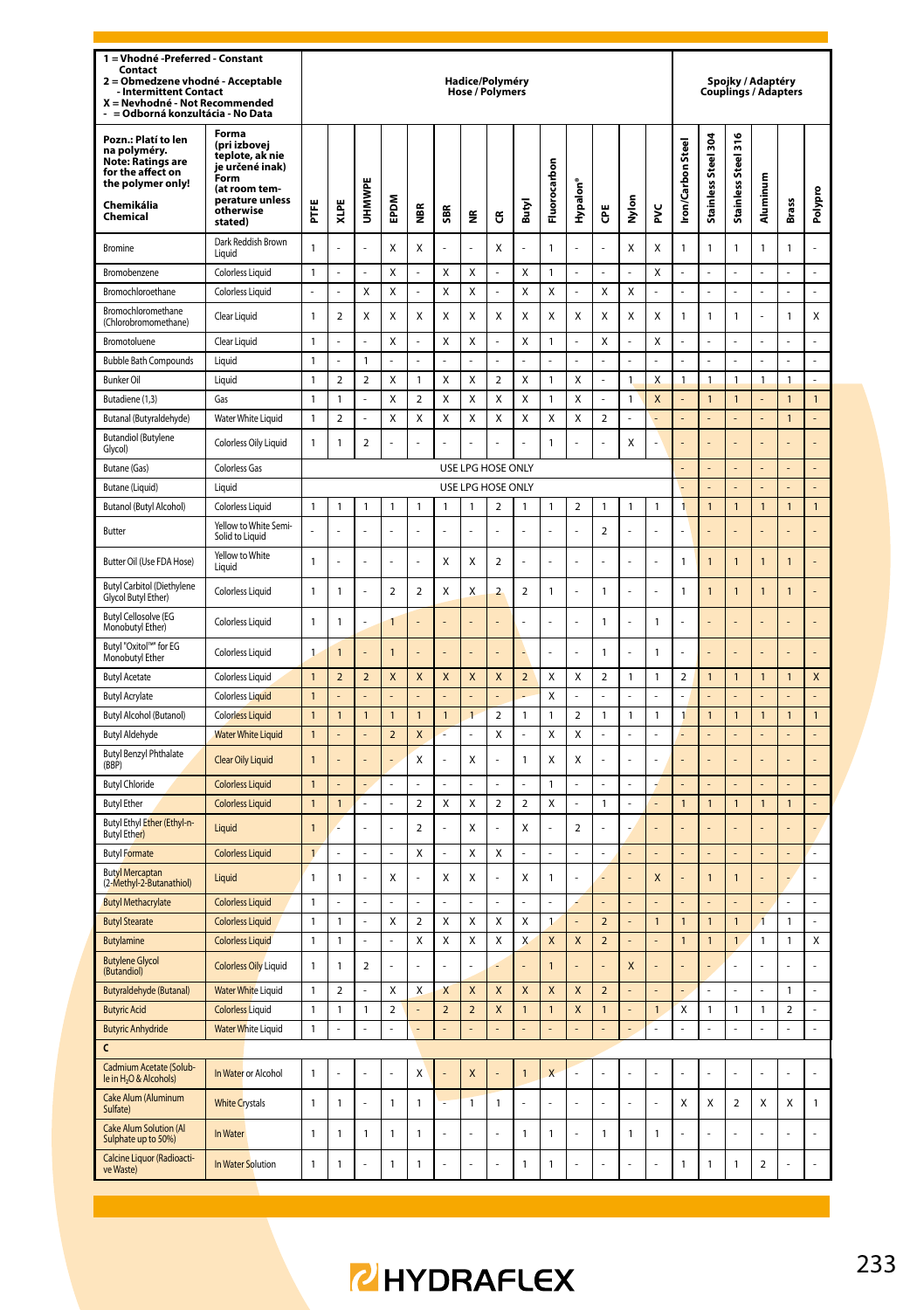| 1 = Vhodné -Preferred - Constant<br>Contact<br>Obmedzene vhodné - Acceptable<br><b>Intermittent Contact</b><br>X = Nevhodné - Not Recommended<br>= Odborná konzultácia - No Data |                                                                                                                                 |                              |                         |                         |                     |                         |                         |                         | Hadice/Polyméry<br>Hose / Polymers |                         |                    |                         |                                                    |             |                |                                |                     |                              | Spojky / Adaptéry       | <b>Couplings / Adapters</b> |                |
|----------------------------------------------------------------------------------------------------------------------------------------------------------------------------------|---------------------------------------------------------------------------------------------------------------------------------|------------------------------|-------------------------|-------------------------|---------------------|-------------------------|-------------------------|-------------------------|------------------------------------|-------------------------|--------------------|-------------------------|----------------------------------------------------|-------------|----------------|--------------------------------|---------------------|------------------------------|-------------------------|-----------------------------|----------------|
| Pozn.: Platí to len<br>na polyméry.<br>Note: Ŕatings are<br>for the affect on<br>the polymer only!<br>Chemikália<br>Chemical                                                     | Forma<br>(pri izbovej<br>teplote, ak nie<br>je určené inak)<br>Form<br>(at room tem-<br>perature unless<br>otherwise<br>stated) | Ë                            | XLPE                    | <b>UHMWPE</b>           | EPDM                | Š                       | SBR                     | ž                       | ű                                  | Butyl                   | Fluorocarbon       | Hypalon'                | ĕ                                                  | 5<br>Σ      | š              | <b>Iron/Carbon Steel</b>       | Stainless Steel 304 | Stainless Steel 316          | Aluminum                | <b>Brass</b>                | Polypro        |
| Bromine                                                                                                                                                                          | Dark Reddish Brown<br>Liquid                                                                                                    | $\mathbf{1}$                 | í.                      | L.                      | X                   | X                       | L                       | L.                      | X                                  | ä,                      | $\overline{1}$     | l,                      |                                                    | x           | X              | $\mathbf{1}$                   | $\mathbf{1}$        | $\overline{1}$               | 1                       | $\mathbf{1}$                | L.             |
| Bromobenzene                                                                                                                                                                     | <b>Colorless Liquid</b>                                                                                                         | $\mathbf{1}$                 |                         |                         | X                   |                         | X                       | X                       |                                    | X                       | $\mathbf{1}$       |                         |                                                    |             | X              |                                |                     |                              |                         |                             | l,             |
| Bromochloroethane                                                                                                                                                                | Colorless Liquid                                                                                                                | l,                           |                         | X                       | Χ                   |                         | X                       | Χ                       |                                    | X                       | Χ                  |                         | Х                                                  | X           |                |                                | ł.                  |                              |                         |                             |                |
| Bromochloromethane<br>(Chlorobromomethane)                                                                                                                                       | Clear Liquid                                                                                                                    | $\mathbf{1}$                 | $\mathfrak{p}$          | X                       | x                   | X                       | Χ                       | X                       | $\mathsf{x}$                       | Χ                       | X                  | x                       | X                                                  | X           | $\mathsf{x}$   | 1                              | 1                   | 1                            |                         | 1                           | $\mathsf{x}$   |
| Bromotoluene                                                                                                                                                                     | Clear Liquid                                                                                                                    | $\mathbf{1}$                 |                         |                         | Χ                   |                         | X                       | X                       |                                    | X                       | $\overline{1}$     |                         | X                                                  | l,          | X              |                                |                     |                              |                         |                             |                |
| <b>Bubble Bath Compounds</b>                                                                                                                                                     | Liquid                                                                                                                          | $\mathbf{1}$                 |                         | 1                       |                     |                         |                         |                         |                                    |                         |                    |                         |                                                    |             |                |                                |                     |                              |                         |                             |                |
| <b>Bunker Oil</b>                                                                                                                                                                | Liquid                                                                                                                          | $\mathbf{1}$                 | $\overline{\mathbf{c}}$ | $\overline{a}$          | Χ                   | 1                       | X                       | X                       | $\mathbf 2$                        | X                       | $\mathbf{1}$       | X                       | L                                                  | 1           | X              | 1                              | $\mathbf{1}$        | $\mathbf{1}$                 | 1                       | $\mathbf{1}$                | ÷,             |
| Butadiene (1,3)                                                                                                                                                                  | Gas                                                                                                                             | $\mathbf{1}$                 | $\mathbf{1}$            |                         | Χ                   | $\overline{\mathbf{c}}$ | X                       | X                       | X                                  | X                       | $\mathbf{1}$       | X                       |                                                    | 1           | X              |                                | $\overline{1}$      | $\mathbf{1}$                 |                         | $\overline{1}$              | $\mathbf{1}$   |
| Butanal (Butyraldehyde)                                                                                                                                                          | Water White Liquid                                                                                                              | $\mathbf{1}$                 | $\overline{2}$          |                         | Χ                   | X                       | X                       | X                       | X                                  | X                       | X                  | X                       | $\overline{a}$                                     |             |                |                                | L                   |                              |                         | $\mathbf{1}$                | $\overline{a}$ |
| <b>Butandiol (Butylene</b><br>Glycol)                                                                                                                                            | Colorless Oily Liquid                                                                                                           | $\mathbf{1}$                 | 1                       | $\overline{\mathbf{2}}$ | ä,                  |                         | L,                      |                         |                                    | í,                      | $\mathbf{1}$       |                         |                                                    | X           | ä,             |                                |                     |                              |                         |                             |                |
| Butane (Gas)                                                                                                                                                                     | Colorless Gas                                                                                                                   |                              |                         |                         |                     |                         |                         |                         | USE LPG HOSE ONLY                  |                         |                    |                         |                                                    |             |                |                                |                     |                              |                         |                             |                |
| Butane (Liquid)                                                                                                                                                                  | Liquid                                                                                                                          |                              |                         |                         |                     |                         |                         |                         | USE LPG HOSE ONLY                  |                         |                    |                         |                                                    |             |                | L,                             | L,                  |                              |                         | $\overline{a}$              | L,             |
| Butanol (Butyl Alcohol)<br>Butter                                                                                                                                                | <b>Colorless Liquid</b><br>Yellow to White Semi-<br>Solid to Liquid                                                             | $\mathbf{1}$                 | $\mathbf{1}$            | 1                       | $\mathbf{1}$        | $\mathbf{1}$            | $\overline{1}$          | $\mathbf{1}$            | $\overline{a}$                     | $\mathbf{1}$            | $\mathbf{1}$       | $\overline{a}$          | 1<br>$\overline{2}$                                | 1<br>L      | $\mathbf{1}$   | 1                              | $\mathbf{1}$        | $\mathbf{1}$                 | $\overline{1}$          | $\mathbf{1}$                | $\mathbf{1}$   |
| Butter Oil (Use FDA Hose)                                                                                                                                                        | Yellow to White<br>Liquid                                                                                                       | $\overline{1}$               | l,                      | L.                      | ÷.                  | ż                       | X                       | X                       | $\overline{2}$                     | ż                       | L.                 | l,                      | í.                                                 | ä,          | J.             | $\mathbf{1}$                   | $\overline{1}$      | 1                            | $\overline{1}$          | $\overline{1}$              | L              |
| <b>Butyl Carbitol (Diethylene</b><br>Glycol Butyl Ether)                                                                                                                         | <b>Colorless Liquid</b>                                                                                                         | $\mathbf{1}$                 | 1                       | J.                      | $\overline{2}$      | $\overline{2}$          | X                       | X                       | $\overline{2}$                     | $\overline{2}$          | $\overline{1}$     | l,                      | $\mathbf{1}$                                       | ä,          | ä,             | $\overline{1}$                 | $\mathbf{1}$        | 1                            | $\overline{1}$          | $\overline{1}$              |                |
| <b>Butyl Cellosolve (EG</b><br>Monobutyl Ether)                                                                                                                                  | <b>Colorless Liquid</b>                                                                                                         | $\mathbf{1}$                 | 1                       | J.                      | $\mathbf{1}$        | í.                      | l,                      | ÷                       | L.                                 | ä,                      | L.                 | Ĭ.                      | $\mathbf{1}$                                       | ÷,          | $\mathbf{1}$   | í.                             | l,                  |                              | í.                      | l,                          | L              |
| Butyl "Oxitol"" for EG<br>Monobutyl Ether                                                                                                                                        | <b>Colorless Liquid</b>                                                                                                         | $\mathbf{1}$                 | 1                       |                         | $\overline{1}$      |                         |                         |                         |                                    |                         |                    |                         | $\mathbf{1}$                                       |             | $\mathbf{1}$   |                                |                     |                              |                         |                             |                |
| <b>Butyl Acetate</b>                                                                                                                                                             | <b>Colorless Liquid</b>                                                                                                         | $\mathbf{1}$                 | $\overline{\mathbf{c}}$ | $\mathbf 2$             | X                   | X                       | $\mathsf X$             | $\pmb{\mathsf{X}}$      | X                                  | $\overline{\mathbf{c}}$ | X                  | Χ                       | $\boldsymbol{2}$                                   | $\mathbf 1$ | $\mathbbm{1}$  | $\mathbf 2$                    | $\mathbf{1}$        | $\mathbf{1}$                 | 1                       | $\mathbf{1}$                | X              |
| <b>Butyl Acrylate</b>                                                                                                                                                            | <b>Colorless Liquid</b>                                                                                                         | $\overline{1}$               |                         |                         |                     |                         |                         |                         |                                    |                         | Χ                  |                         |                                                    |             |                |                                |                     |                              |                         |                             |                |
| Butyl Alcohol (Butanol)                                                                                                                                                          | <b>Colorless Liquid</b>                                                                                                         | $\mathbf{1}$                 | $\mathbf{1}$            | $\mathbf{1}$            | $\mathbf{1}$        | $\mathbf{1}$            | $\mathbf{1}$            | $\mathbf{1}$            | $\boldsymbol{2}$                   | $\mathbf{1}$            | $\mathbf{1}$       | $\overline{\mathbf{c}}$ | 1                                                  | 1           | 1              | 1                              | $\mathbf{1}$        | $\mathbf{1}$                 | 1                       | $\mathbf{1}$                | $\mathbf{1}$   |
| <b>Butyl Aldehyde</b>                                                                                                                                                            | <b>Water White Liquid</b>                                                                                                       | $\mathbf{1}$                 |                         | L                       | $\mathbf 2$         | X                       | ż                       | ä,                      | Χ                                  | L.                      | X                  | X                       | L                                                  | L,          | $\overline{a}$ |                                |                     | $\overline{a}$               |                         |                             | L.             |
| <b>Butyl Benzyl Phthalate</b><br>(BBP)                                                                                                                                           | Clear Oily Liquid                                                                                                               | $\overline{1}$               |                         |                         |                     | X                       |                         | X                       | í,                                 | $\mathbf{1}$            | X                  | X                       |                                                    |             |                |                                |                     |                              |                         |                             |                |
| <b>Butyl Chloride</b>                                                                                                                                                            | <b>Colorless Liquid</b>                                                                                                         | $\mathbf{1}$                 |                         | ÷,                      | ä,                  |                         | L.                      | ä,                      | L.                                 | L.                      | $\mathbf{1}$       | L.                      |                                                    | ÷,          |                |                                | ä,                  |                              |                         | L                           | L,             |
| <b>Butyl Ether</b>                                                                                                                                                               | <b>Colorless Liquid</b>                                                                                                         | $\mathbf{1}$                 | $\overline{1}$          |                         |                     | $\overline{\mathbf{c}}$ | X                       | Χ                       | $\mathbf 2$                        | $\overline{\mathbf{c}}$ | Χ                  |                         | $\mathbf{1}$                                       |             |                | $\overline{1}$                 | $\overline{1}$      | $\mathbf{1}$                 | $\overline{1}$          | $\overline{1}$              | $\overline{a}$ |
| Butyl Ethyl Ether (Ethyl-n-<br><b>Butyl Ether)</b>                                                                                                                               | Liquid                                                                                                                          | $\overline{1}$               |                         |                         | L,                  | $\mathfrak{p}$          |                         | X                       | í,                                 | X                       | L,                 | $\overline{a}$          |                                                    |             |                |                                |                     |                              |                         |                             | L,             |
| <b>Butyl Formate</b>                                                                                                                                                             | <b>Colorless Liquid</b>                                                                                                         | $\overline{1}$               |                         | l,                      |                     | Χ                       | L                       | X                       | X                                  |                         | ä,                 |                         |                                                    | L,          |                |                                | L,                  |                              |                         | L                           | L.             |
| <b>Butyl Mercaptan</b><br>(2-Methyl-2-Butanathiol)                                                                                                                               | Liquid                                                                                                                          | $\overline{1}$               | 1<br>L.                 | $\overline{a}$          | X<br>$\overline{a}$ | L.                      | X<br>$\overline{a}$     | X<br>L.                 | $\overline{a}$                     | $\mathsf{x}$<br>L       | $\mathbf{1}$<br>÷. |                         |                                                    | L.          | $\mathsf{x}$   |                                | $\overline{1}$<br>L | $\overline{1}$<br>L          |                         | L.                          | L.             |
| <b>Butyl Methacrylate</b>                                                                                                                                                        | <b>Colorless Liquid</b>                                                                                                         | $\mathbf{1}$                 |                         | ÷,                      |                     |                         |                         |                         |                                    |                         |                    | ÷,                      |                                                    | ÷,          |                |                                |                     |                              |                         |                             | ÷,             |
| <b>Butyl Stearate</b><br>Butylamine                                                                                                                                              | <b>Colorless Liquid</b><br><b>Colorless Liquid</b>                                                                              | $\mathbf{1}$<br>$\mathbf{1}$ | 1<br>1                  | L.                      | Χ                   | 2<br>Χ                  | X<br>Χ                  | Χ<br>X                  | Χ<br>Χ                             | X<br>X                  | $\mathbf{1}$<br>X  | X                       | $\overline{\mathbf{c}}$<br>$\overline{\mathbf{c}}$ |             | $\mathbf{1}$   | $\overline{1}$<br>$\mathbf{1}$ | $\mathbf{1}$<br>1   | $\mathbf{1}$<br>$\mathbf{1}$ | $\overline{1}$<br>1     | 1<br>1                      | Χ              |
| <b>Butylene Glycol</b><br>(Butandiol)                                                                                                                                            | <b>Colorless Oily Liquid</b>                                                                                                    | $\mathbf{1}$                 | $\mathbf{1}$            | $\overline{2}$          | L,                  |                         |                         |                         |                                    |                         | $\overline{1}$     |                         |                                                    | X           |                |                                | L                   |                              |                         |                             |                |
| Butyraldehyde (Butanal)                                                                                                                                                          | <b>Water White Liquid</b>                                                                                                       | $\mathbf{1}$                 | $\overline{\mathbf{c}}$ | L                       | Χ                   | X                       | X                       | X                       | X                                  | X                       | X                  | X                       | $\overline{\mathbf{c}}$                            | L,          |                |                                | ł                   |                              |                         | 1                           | $\overline{a}$ |
| <b>Butyric Acid</b>                                                                                                                                                              | <b>Colorless Liquid</b>                                                                                                         | $\mathbf{1}$                 | 1                       | $\mathbf{1}$            | $\mathbf 2$         |                         | $\overline{\mathbf{c}}$ | $\overline{\mathbf{2}}$ | X                                  | $\overline{1}$          | $\mathbf{1}$       | X                       | $\mathbf{1}$                                       | ÷,          | $\mathbf{1}$   | X                              | $\mathbf{1}$        | $\mathbf{1}$                 | 1                       | $\overline{a}$              | ÷,             |
| <b>Butyric Anhydride</b>                                                                                                                                                         | <b>Water White Liquid</b>                                                                                                       | $\mathbf{1}$                 | L                       | L                       | L.                  | L                       | $\overline{a}$          | L,                      | L,                                 | L,                      | L.                 | L.                      |                                                    | ÷,          |                |                                | l,                  | L.                           |                         | l,                          | ÷,             |
| $\epsilon$                                                                                                                                                                       |                                                                                                                                 |                              |                         |                         |                     |                         |                         |                         |                                    |                         |                    |                         |                                                    |             |                |                                |                     |                              |                         |                             |                |
| Cadmium Acetate (Solub-<br>le in H <sub>2</sub> O & Alcohols)                                                                                                                    | In Water or Alcohol                                                                                                             | $\mathbf{1}$                 |                         | J.                      | ÷                   | X                       |                         | $\mathbf{x}$            |                                    | $\overline{1}$          | $\mathbf{x}$       | ż                       |                                                    | L           |                |                                | L                   |                              |                         | ź                           |                |
| Cake Alum (Aluminum<br>Sulfate)                                                                                                                                                  | <b>White Crystals</b>                                                                                                           | $\overline{1}$               | 1                       | l,                      | $\overline{1}$      | 1                       |                         | $\overline{1}$          | $\mathbf{1}$                       |                         | L                  | l,                      |                                                    | l,          |                | X                              | X                   | $\overline{\phantom{a}}$     | X                       | X                           | $\mathbf{1}$   |
| <b>Cake Alum Solution (Al</b><br>Sulphate up to 50%)                                                                                                                             | In Water                                                                                                                        | $\mathbf{1}$                 | 1                       | 1                       | $\mathbf{1}$        | 1                       | L                       | l,                      | í,                                 | $\mathbf{1}$            | $\overline{1}$     | l,                      | $\mathbf{1}$                                       | 1           | $\mathbf{1}$   |                                | l,                  |                              |                         |                             |                |
| Calcine Liquor (Radioacti-<br>ve Waste)                                                                                                                                          | In Water Solution                                                                                                               | $\mathbf{1}$                 | $\mathbf{1}$            |                         | $\mathbf{1}$        | $\mathbf{1}$            |                         |                         |                                    | $\mathbf{1}$            | $\mathbf{1}$       |                         |                                                    |             |                | $\mathbf{1}$                   | $\mathbf{1}$        | $\mathbf{1}$                 | $\overline{\mathbf{c}}$ |                             |                |

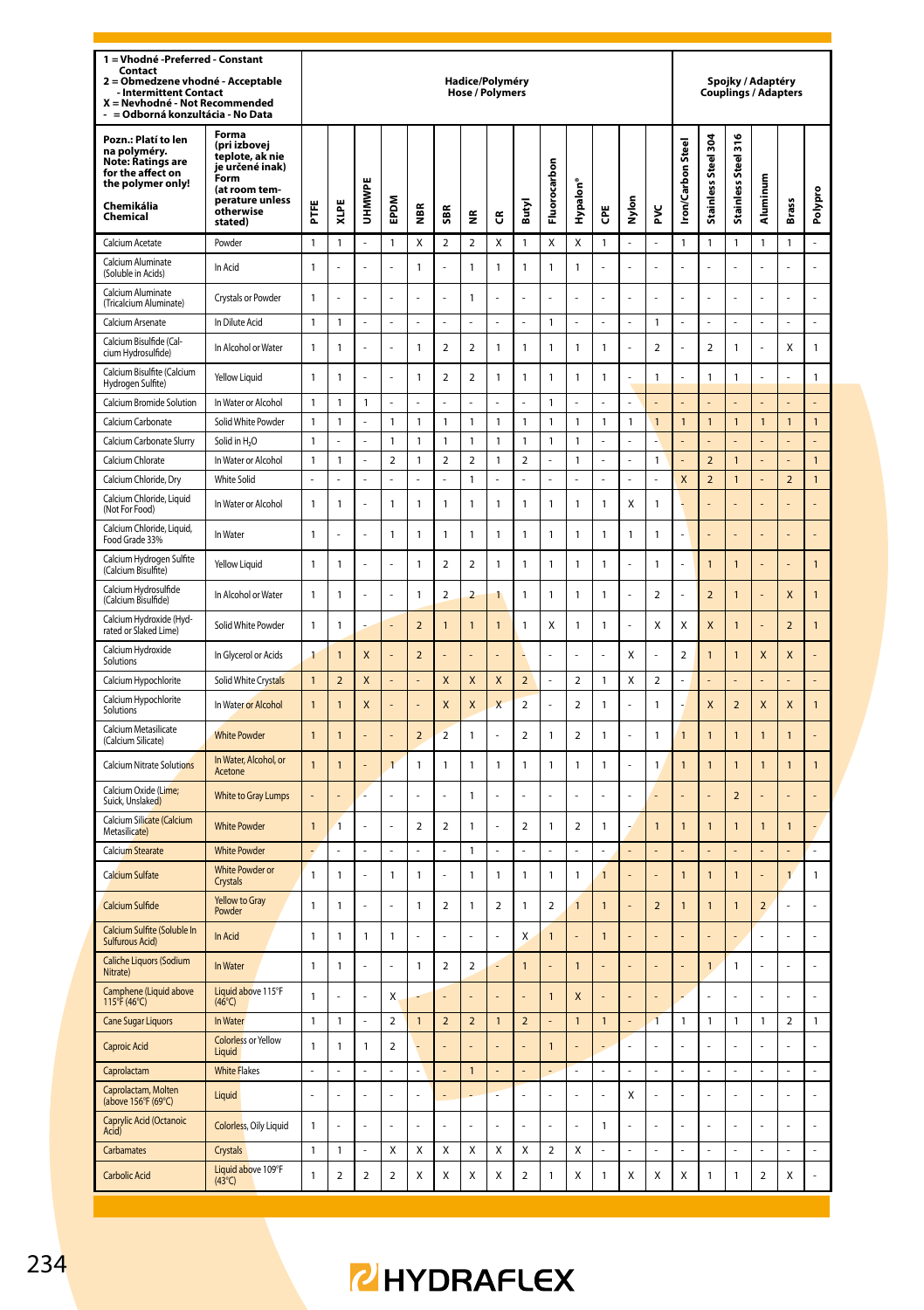| 1 = Vhodné -Preferred - Constant<br>Contact<br>2 = Obmedzene vhodné - Acceptable<br><b>Intermittent Contact</b><br>X = Nevhodné - Not Recommended<br>- = Odborná konzultácia - No Data |                                                                                                                      |                                |                          |                |                     |                          |                              | Hadice/Polyméry<br><b>Hose / Polymers</b> |                          |                                |                                |                      |                |                |                          |                              |                               | Spojky / Adaptéry<br><b>Couplings / Adapters</b> |                          |                               |                   |
|----------------------------------------------------------------------------------------------------------------------------------------------------------------------------------------|----------------------------------------------------------------------------------------------------------------------|--------------------------------|--------------------------|----------------|---------------------|--------------------------|------------------------------|-------------------------------------------|--------------------------|--------------------------------|--------------------------------|----------------------|----------------|----------------|--------------------------|------------------------------|-------------------------------|--------------------------------------------------|--------------------------|-------------------------------|-------------------|
| Pozn.: Platí to len<br>na polyméry.<br><b>Note: Ratings are</b><br>for the affect on<br>the polymer only!<br>Chemikália                                                                | Forma<br>(pri izbovej<br>teplote, ak nie<br>je určené inak)<br>Form<br>(at room tem-<br>perature unless<br>otherwise | FTE                            | XLPE                     | <b>UHMWP</b>   | EPDM                | ã                        | SBR                          |                                           |                          | Butyl                          | Fluorocarbon                   | Hypalon <sup>®</sup> | Ğ              | Nylon          | ž                        | <b>Iron/Carbon Steel</b>     | ğ<br>Stainless Steel          | 316<br>Stainless Steel                           | Aluminum                 | Brass                         | Polypro           |
| Chemical                                                                                                                                                                               | stated)                                                                                                              |                                |                          |                |                     |                          |                              | ž                                         | ෪                        |                                |                                |                      |                | $\overline{a}$ | L                        |                              |                               |                                                  |                          |                               |                   |
| Calcium Acetate<br>Calcium Aluminate                                                                                                                                                   | Powder<br>In Acid                                                                                                    | $\mathbf{1}$<br>$\mathbf{1}$   | 1                        | L,<br>l,       | 1<br>L              | Χ<br>$\mathbf{1}$        | $\overline{\mathbf{c}}$<br>L | $\overline{\mathbf{2}}$<br>$\mathbf{1}$   | Χ<br>$\mathbf{1}$        | $\mathbf{1}$<br>$\overline{1}$ | Χ<br>$\mathbf{1}$              | Χ<br>$\mathbf{1}$    | 1              | l,             | l,                       | 1                            | 1                             | $\mathbf{1}$<br>L,                               | 1<br>l,                  | 1                             | L.<br>L           |
| (Soluble in Acids)<br>Calcium Aluminate<br>(Tricalcium Aluminate)                                                                                                                      | Crystals or Powder                                                                                                   | $\mathbf{1}$                   |                          |                | l,                  |                          |                              | $\mathbf{1}$                              |                          |                                |                                |                      |                |                |                          |                              | l,                            |                                                  |                          |                               | l,                |
| Calcium Arsenate                                                                                                                                                                       | In Dilute Acid                                                                                                       | $\mathbf{1}$                   | 1                        | ä,             | ÷                   |                          | ä,                           | L.                                        |                          | ä,                             | $\mathbf{1}$                   |                      | J,             | ä,             | $\mathbf{1}$             |                              | ä,                            |                                                  | ż                        | ż                             | ä,                |
| Calcium Bisulfide (Cal-<br>cium Hydrosulfide)                                                                                                                                          | In Alcohol or Water                                                                                                  | $\mathbf{1}$                   | 1                        |                | l,                  | 1                        | $\overline{\mathbf{c}}$      | $\overline{\mathbf{2}}$                   | $\overline{1}$           | $\mathbf{1}$                   | $\mathbf{1}$                   | $\mathbf{1}$         | 1              | l,             | $\mathbf 2$              |                              | $\overline{\mathbf{c}}$       | 1                                                |                          | Χ                             | $\mathbf{1}$      |
| Calcium Bisulfite (Calcium<br>Hydrogen Sulfite)                                                                                                                                        | Yellow Liquid                                                                                                        | $\mathbf{1}$                   | 1                        | L.             | L.                  | 1                        | $\overline{\phantom{a}}$     | $\overline{\mathbf{2}}$                   | $\mathbf{1}$             | $\mathbf{1}$                   | $\mathbf{1}$                   | $\mathbf{1}$         | 1              | ÷.             | $\overline{1}$           | ı                            | $\mathbf{1}$                  | $\mathbf{1}$                                     | L                        | L                             | 1                 |
| Calcium Bromide Solution                                                                                                                                                               | In Water or Alcohol                                                                                                  | $\mathbf{1}$                   | $\mathbf{1}$             | $\mathbf{1}$   | $\overline{a}$      |                          |                              |                                           |                          |                                | $\mathbf{1}$                   |                      |                | l,             |                          |                              | $\overline{a}$                | L,                                               |                          |                               | L,                |
| Calcium Carbonate                                                                                                                                                                      | Solid White Powder                                                                                                   | 1                              | 1                        |                | 1                   | 1                        | 1                            | $\mathbf{1}$                              | 1                        | 1                              | $\mathbf{1}$                   | 1                    | 1              | $\mathbf{1}$   | $\mathbf{1}$             | $\mathbf{1}$                 | $\mathbf{1}$                  | $\mathbf{1}$                                     | $\mathbf{1}$             | $\mathbf{1}$                  | $\mathbf{1}$      |
| Calcium Carbonate Slurry                                                                                                                                                               | Solid in H <sub>2</sub> O                                                                                            | $\mathbf{1}$                   | L                        | ä,             | 1                   | $\mathbf{1}$             | $\overline{1}$               | $\overline{1}$                            | $\overline{1}$           | $\mathbf{1}$                   | $\mathbf{1}$                   | $\mathbf{1}$         |                | l,             |                          |                              | L                             | L.                                               |                          |                               | L,                |
| Calcium Chlorate                                                                                                                                                                       | In Water or Alcohol                                                                                                  | $\mathbf{1}$                   | $\mathbf{1}$             |                | $\overline{a}$      | $\mathbf{1}$             | $\overline{2}$               | $\overline{2}$                            | $\mathbf{1}$             | $\overline{a}$                 |                                | $\mathbf{1}$         |                |                | $\mathbf{1}$             |                              | $\overline{a}$                | $\overline{1}$                                   |                          |                               | $\mathbf{1}$      |
| Calcium Chloride, Dry<br>Calcium Chloride, Liquid                                                                                                                                      | <b>White Solid</b><br>In Water or Alcohol                                                                            | $\overline{a}$<br>$\mathbf{1}$ | 1                        | L<br>L.        | $\overline{a}$<br>1 | 1                        | $\overline{1}$               | $\overline{1}$<br>$\mathbf{1}$            | 1                        | 1                              | $\overline{a}$<br>$\mathbf{1}$ | L<br>$\mathbf{1}$    | 1              | L<br>Χ         | L<br>$\mathbf{1}$        | $\overline{\mathbf{x}}$<br>L | $\overline{\phantom{0}}$<br>L | $\overline{1}$                                   |                          | $\overline{\phantom{0}}$<br>L | $\mathbf{1}$<br>L |
| (Not For Food)<br>Calcium Chloride, Liquid,<br>Food Grade 33%                                                                                                                          | In Water                                                                                                             | $\mathbf{1}$                   | ä,                       | ä,             | $\mathbf{1}$        | 1                        | $\mathbf{1}$                 | $\mathbf{1}$                              | $\mathbf{1}$             | $\mathbf{1}$                   | $\mathbf{1}$                   | $\mathbf{1}$         | 1              | $\mathbf{1}$   | $\mathbf{1}$             | ä,                           | L                             |                                                  |                          | L,                            | ÷,                |
| Calcium Hydrogen Sulfite<br>(Calcium Bisulfite)                                                                                                                                        | Yellow Liquid                                                                                                        | $\mathbf{1}$                   | $\mathbf{1}$             | ä,             | L                   | $\mathbf{1}$             | $\overline{2}$               | $\overline{a}$                            | $\mathbf{1}$             | $\mathbf{1}$                   | $\mathbf{1}$                   | $\mathbf{1}$         | 1              | ÷,             | $\mathbf{1}$             | L,                           | $\overline{1}$                | 1                                                | l,                       | L                             | $\mathbf{1}$      |
| Calcium Hydrosulfide<br>(Calcium Bisulfide)                                                                                                                                            | In Alcohol or Water                                                                                                  | $\mathbf{1}$                   | $\mathbf{1}$             | Î,             | ä,                  | $\mathbf{1}$             | $\overline{\phantom{a}}$     | $\overline{2}$                            | 1                        | $\mathbf{1}$                   | $\mathbf{1}$                   | $\mathbf{1}$         | 1              | J.             | $\overline{2}$           |                              | $\overline{\phantom{0}}$      | 1                                                |                          | $\mathsf{x}$                  | $\mathbf{1}$      |
| Calcium Hydroxide (Hyd-<br>rated or Slaked Lime)                                                                                                                                       | Solid White Powder                                                                                                   | $\mathbf{1}$                   | $\mathbf{1}$             |                |                     | $\overline{2}$           | $\overline{1}$               | $\overline{1}$                            | $\overline{1}$           | $\mathbf{1}$                   | X                              | $\mathbf{1}$         | 1              |                | X                        | X                            | X                             | $\mathbf{1}$                                     |                          | $\overline{a}$                | $\mathbf{1}$      |
| Calcium Hydroxide<br>Solutions                                                                                                                                                         | In Glycerol or Acids                                                                                                 | $\overline{1}$                 | 1                        | X              |                     | $\overline{a}$           |                              |                                           |                          |                                |                                |                      |                | X              |                          | $\overline{a}$               | $\overline{1}$                | 1                                                | X                        | X                             |                   |
| Calcium Hypochlorite                                                                                                                                                                   | Solid White Crystals                                                                                                 | $\overline{1}$                 | $\overline{\phantom{0}}$ | $\mathsf{x}$   | L.                  | L                        | $\overline{\mathsf{x}}$      | $\mathbf{x}$                              | $\overline{\mathsf{x}}$  | $\overline{\phantom{0}}$       | L                              | $\mathfrak{p}$       | $\mathbf{1}$   | X              | $\mathfrak{p}$           | í,                           | L                             | L.                                               |                          | L                             | L                 |
| Calcium Hypochlorite<br>Solutions                                                                                                                                                      | In Water or Alcohol                                                                                                  | $\overline{1}$                 | $\overline{1}$           | X              |                     |                          | X                            | $\overline{\mathsf{x}}$                   | $\overline{\mathsf{x}}$  | $\mathbf 2$                    |                                | $\mathbf 2$          | 1              | l,             | $\mathbf{1}$             |                              | X                             | $\mathbf 2$                                      | X                        | X                             | $\mathbf{1}$      |
| Calcium Metasilicate<br>(Calcium Silicate)                                                                                                                                             | <b>White Powder</b>                                                                                                  | $\overline{1}$                 | 1                        |                |                     | $\overline{\mathbf{c}}$  | $\overline{2}$               | $\mathbf{1}$                              |                          | $\overline{\mathbf{c}}$        | $\mathbf{1}$                   | $\mathbf 2$          | 1              | l,             | $\mathbf{1}$             | $\overline{1}$               | $\overline{1}$                | $\overline{1}$                                   | $\overline{1}$           | $\overline{1}$                |                   |
| Calcium Nitrate Solutions                                                                                                                                                              | In Water, Alcohol, or<br>Acetone                                                                                     | $\mathbf{1}$                   | 1                        |                | $\overline{1}$      | 1                        | $\overline{1}$               | $\mathbf{1}$                              | 1                        | 1                              | $\mathbf{1}$                   | $\mathbf{1}$         | 1              | ÷,             | $\mathbf{1}$             | $\overline{1}$               | $\overline{1}$                | 1                                                | $\overline{1}$           | 1                             | $\mathbf{1}$      |
| Calcium Oxide (Lime:<br>Suick, Unslaked)                                                                                                                                               | White to Gray Lumps                                                                                                  |                                |                          | L              | L.                  | L.                       | J.                           | $\mathbf{1}$                              | l,                       | Í,                             | L.                             | í,                   | L,             | ÷,             |                          |                              | L.                            | $\overline{2}$                                   |                          | L                             | ä,                |
| Calcium Silicate (Calcium<br>Metasilicate)                                                                                                                                             | <b>White Powder</b>                                                                                                  | $\overline{1}$                 | $\overline{1}$           | ä,             | L.                  | $\overline{\phantom{0}}$ | $\overline{\phantom{a}}$     | $\mathbf{1}$                              | L                        | $\overline{\phantom{a}}$       | $\mathbf{1}$                   | $\mathbf 2$          | 1              | ä,             | $\mathbf{1}$             | $\overline{1}$               | $\overline{1}$                | 1                                                | $\overline{1}$           | $\overline{1}$                | L.                |
| Calcium Stearate                                                                                                                                                                       | <b>White Powder</b>                                                                                                  |                                | Ļ                        | ÷,             | L,                  | Ļ                        | l,                           | $\mathbf{1}$                              | L,                       | l,                             | l,                             | l,                   | Ļ              |                |                          |                              | $\overline{a}$                |                                                  |                          |                               | ÷,                |
| Calcium Sulfate                                                                                                                                                                        | <b>White Powder or</b><br>Crystals                                                                                   | $\mathbf{1}$                   | 1                        | ä,             | $\mathbf{1}$        | $\mathbf{1}$             | ä,                           | $\overline{1}$                            | $\mathbf{1}$             | $\mathbf{1}$                   | $\mathbf{1}$                   | $\mathbf{1}$         | $\mathbf{1}$   | ä,             | ł,                       | $\mathbf{1}$                 | $\overline{1}$                | $\mathbf{1}$                                     |                          | $\overline{1}$                | $\mathbf{1}$      |
| Calcium Sulfide                                                                                                                                                                        | <b>Yellow to Gray</b><br>Powder                                                                                      | $\mathbf{1}$                   | 1                        | ä,             | L                   | 1                        | $\overline{\phantom{a}}$     | $\overline{1}$                            | $\overline{\phantom{a}}$ | $\mathbf{1}$                   | $\overline{\phantom{a}}$       | $\mathbf{1}$         | $\mathbf{1}$   | ä,             | $\overline{\phantom{a}}$ | $\mathbf{1}$                 | $\overline{1}$                | $\overline{1}$                                   | $\overline{\phantom{0}}$ | l,                            | L,                |
| Calcium Sulfite (Soluble In<br>Sulfurous Acid)                                                                                                                                         | In Acid                                                                                                              | $\mathbf{1}$                   | 1                        | $\mathbf{1}$   | 1                   |                          |                              |                                           |                          | X                              | $\overline{1}$                 |                      | $\overline{1}$ |                |                          |                              |                               |                                                  |                          |                               | l,                |
| Caliche Liquors (Sodium<br>Nitrate)                                                                                                                                                    | In Water                                                                                                             | $\mathbf{1}$                   | $\mathbf{1}$             | ÷,             | ÷,                  | $\mathbf{1}$             | $\mathbf 2$                  | $\overline{\mathbf{c}}$                   |                          | $\mathbf{1}$                   |                                | $\mathbf{1}$         |                | L,             |                          |                              | $\mathbf{1}$                  | 1                                                | $\overline{a}$           | $\overline{a}$                | ÷,                |
| Camphene (Liquid above<br>115°F (46°C)                                                                                                                                                 | Liquid above 115°F<br>$(46^{\circ}C)$                                                                                | $\mathbf{1}$                   |                          |                | X                   |                          |                              |                                           |                          |                                | $\overline{1}$                 | X                    |                |                |                          |                              |                               |                                                  |                          |                               | l,                |
| <b>Cane Sugar Liquors</b>                                                                                                                                                              | In Water                                                                                                             | $\mathbf{1}$                   | 1                        | ä,             | $\overline{2}$      | $\overline{1}$           | $\overline{a}$               | $\overline{a}$                            | $\mathbf{1}$             | $\overline{2}$                 |                                | $\mathbf{1}$         | $\mathbf{1}$   | L,             | $\overline{1}$           | 1                            | 1                             | $\mathbf{1}$                                     | 1                        | $\overline{2}$                | $\mathbf{1}$      |
| Caproic Acid                                                                                                                                                                           | <b>Colorless or Yellow</b><br>Liquid                                                                                 | $\mathbf{1}$                   | 1                        | $\mathbf{1}$   | $\mathbf 2$         | l,                       |                              |                                           |                          |                                | $\overline{1}$                 |                      |                | ÷,             | l,                       |                              | L                             |                                                  |                          | L                             | ċ                 |
| Caprolactam                                                                                                                                                                            | <b>White Flakes</b>                                                                                                  | $\overline{a}$                 | $\overline{a}$           | L,             | $\overline{a}$      | L                        | l.                           | $\mathbf{1}$                              | $\overline{a}$           | l.                             | L,                             | L,                   | L              | L.             | L                        |                              | L,                            | L,                                               | L                        | L,                            | L.                |
| Caprolactam, Molten<br>(above 156°F (69°C)                                                                                                                                             | Liquid                                                                                                               | ä,                             | í,                       | ä,             | ä,                  | í,                       | ÷,                           |                                           |                          | ÷,                             | ä,                             | ä,                   | í,             | X              | ä,                       |                              | ÷,                            | ä,                                               | Į,                       | í,                            | í,                |
| Caprylic Acid (Octanoic<br>Acidi                                                                                                                                                       | <b>Colorless</b> , Oily Liquid                                                                                       | $\mathbf{1}$                   |                          | Î,             | ä,                  |                          |                              | ä,                                        |                          |                                | ä,                             | í,                   | 1              | ä,             | š                        |                              | ä,                            |                                                  | Į,                       | Î,                            | ä,                |
| Carbamates                                                                                                                                                                             | Crystals                                                                                                             | 1                              | 1                        |                | X                   | Χ                        | X                            | X                                         | Χ                        | X                              | $\overline{\mathbf{c}}$        | X                    |                |                |                          |                              | L.                            |                                                  |                          | L.                            | ÷,                |
| Carbolic Acid                                                                                                                                                                          | Liquid above 109°F<br>$(43^{\circ}C)$                                                                                | $\mathbf{1}$                   | $\overline{\mathbf{c}}$  | $\overline{2}$ | $\overline{2}$      | Χ                        | $\mathsf{x}$                 | X                                         | X                        | $\overline{a}$                 | $\mathbf{1}$                   | Χ                    | 1              | X              | Χ                        | Χ                            | $\mathbf{1}$                  | $\mathbf{1}$                                     | $\overline{2}$           | Χ                             |                   |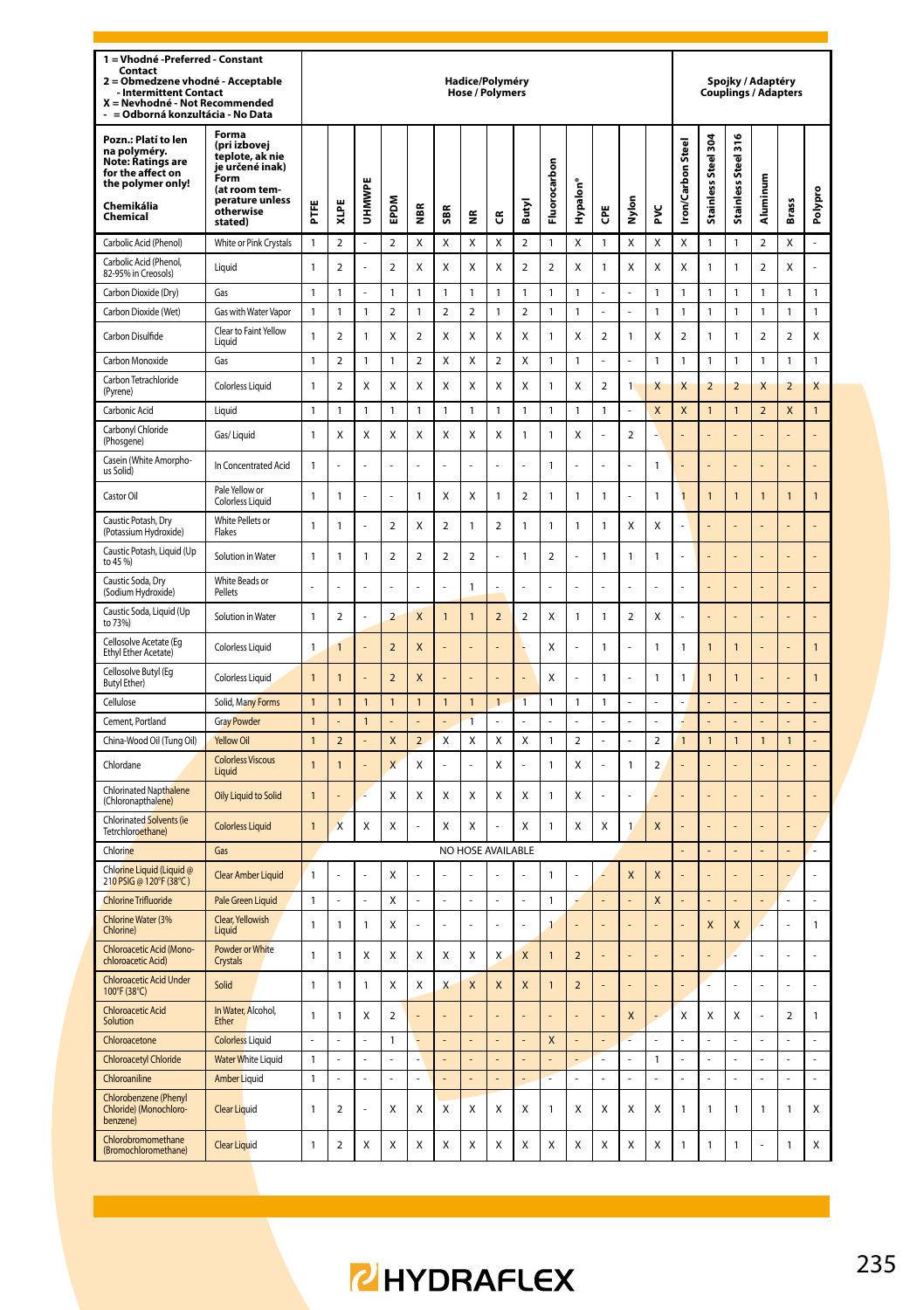| 1 = Vhodné -Preferred - Constant<br>Contact<br>Obmedzene vhodné - Acceptable<br>$\overline{a}$<br><b>Intermittent Contact</b><br>X = Nevhodné - Not Recommended<br>= Odborná konzultácia - No Data |                                                                                                                                 |                |                          |                |                         |                         |                          | Hadice/Polyméry<br><b>Hose / Polymers</b> |                          |                          |                         |                         |                         |                         |                         |                          |                            | Spojky / Adaptéry<br><b>Couplings / Adapters</b> |                          |                         |                |
|----------------------------------------------------------------------------------------------------------------------------------------------------------------------------------------------------|---------------------------------------------------------------------------------------------------------------------------------|----------------|--------------------------|----------------|-------------------------|-------------------------|--------------------------|-------------------------------------------|--------------------------|--------------------------|-------------------------|-------------------------|-------------------------|-------------------------|-------------------------|--------------------------|----------------------------|--------------------------------------------------|--------------------------|-------------------------|----------------|
| Pozn.: Platí to len<br>na polyméry.<br>Note: Ratings are<br>for the affect on<br>the polymer only!<br>Chemikália<br>Chemical                                                                       | Forma<br>(pri izbovej<br>teplote, ak nie<br>je určené inak)<br>Form<br>(at room tem-<br>perature unless<br>otherwise<br>stated) | Ш<br>Ë         | XLPE                     | UHMWPE         | EPDM                    | €                       | SBR                      | 뚣                                         | ű                        | Butyl                    | rbon<br>Fluoroca        | Hypalon'                | Ğ                       | Nylon                   | ž                       | ron/Carbon Stee          | š8<br>less Steel<br>Stainl | Stainless Steel 316                              | Aluminum                 | Brass                   | Polypro        |
| Carbolic Acid (Phenol)                                                                                                                                                                             | White or Pink Crystals                                                                                                          | 1              | $\overline{\mathbf{c}}$  |                | $\mathbf 2$             | Χ                       | X                        | Χ                                         | X                        | $\overline{\mathbf{c}}$  | $\mathbf{1}$            | X                       | 1                       | Χ                       | X                       | X                        | $\mathbf{1}$               | $\mathbf{1}$                                     | $\overline{\mathbf{c}}$  | Χ                       | $\overline{a}$ |
| Carbolic Acid (Phenol,<br>82-95% in Creosols)                                                                                                                                                      | Liquid                                                                                                                          | 1              | $\mathcal{P}$            |                | $\mathcal{P}$           | x                       | X                        | X                                         | x                        | $\overline{2}$           | $\mathcal{P}$           | x                       | 1                       | X                       | X                       | X                        | $\mathbf{1}$               | 1                                                | $\mathcal{P}$            | X                       | L              |
| Carbon Dioxide (Dry)                                                                                                                                                                               | Gas                                                                                                                             | 1              | 1                        |                | 1                       | 1                       | $\mathbf{1}$             | $\mathbf{1}$                              | $\mathbf{1}$             | $\mathbf{1}$             | $\mathbf{1}$            | 1                       |                         | l,                      | 1                       | 1                        | $\mathbf{1}$               | 1                                                | 1                        | $\mathbf{1}$            | 1              |
| Carbon Dioxide (Wet)                                                                                                                                                                               | Gas with Water Vapor                                                                                                            | 1              | 1                        | $\mathbf{1}$   | $\overline{\mathbf{c}}$ | 1                       | $\overline{2}$           | $\overline{2}$                            | 1                        | $\overline{2}$           | $\mathbf{1}$            | 1                       |                         |                         | 1                       | 1                        | $\mathbf{1}$               | 1                                                | 1                        | 1                       | $\mathbf{1}$   |
| Carbon Disulfide                                                                                                                                                                                   | Clear to Faint Yellow<br>Liauid                                                                                                 | 1              | $\overline{\mathbf{c}}$  | 1              | Χ                       | $\overline{\mathbf{c}}$ | X                        | X                                         | Χ                        | X                        | $\mathbf{1}$            | X                       | $\boldsymbol{2}$        | $\mathbf{1}$            | X                       | $\overline{\phantom{a}}$ | $\mathbf{1}$               | 1                                                | $\overline{\phantom{a}}$ | $\overline{\mathbf{c}}$ | Χ              |
| Carbon Monoxide                                                                                                                                                                                    | Gas                                                                                                                             | 1              | $\overline{\phantom{a}}$ | 1              | 1                       | $\overline{a}$          | $\mathsf{x}$             | X                                         | $\overline{a}$           | $\mathsf{x}$             | $\mathbf{1}$            | 1                       | L                       | L,                      | $\mathbf{1}$            | 1                        | $\mathbf{1}$               | 1                                                | 1                        | $\mathbf{1}$            | $\mathbf{1}$   |
| Carbon Tetrachloride<br>(Pyrene)                                                                                                                                                                   | <b>Colorless Liquid</b>                                                                                                         | $\mathbf{1}$   | $\overline{\mathbf{c}}$  | Χ              | Χ                       | Χ                       | X                        | X                                         | X                        | X                        | $\mathbf{1}$            | X                       | $\overline{\mathbf{c}}$ | <sup>1</sup>            | Χ                       | X                        | $\overline{2}$             | $\overline{\mathbf{c}}$                          | X                        | $\overline{2}$          | X              |
| Carbonic Acid                                                                                                                                                                                      | Liquid                                                                                                                          | 1              | 1                        | $\mathbf{1}$   | 1                       | 1                       | $\mathbf{1}$             | $\mathbf{1}$                              | $\mathbf{1}$             | $\mathbf{1}$             | $\mathbf{1}$            | 1                       | 1                       | ä,                      | X                       | X                        | $\mathbf{1}$               | $\mathbf{1}$                                     | $\overline{2}$           | X                       | $\mathbf{1}$   |
| Carbonyl Chloride<br>(Phosgene)                                                                                                                                                                    | Gas/Liguid                                                                                                                      | 1              | Χ                        | X              | Χ                       | Χ                       | X                        | Χ                                         | Χ                        | $\mathbf{1}$             | $\mathbf{1}$            | X                       |                         | $\overline{\mathbf{c}}$ |                         |                          |                            |                                                  |                          |                         |                |
| Casein (White Amorpho-<br>us Solid)                                                                                                                                                                | In Concentrated Acid                                                                                                            | 1              |                          |                | í,                      |                         |                          | ä,                                        |                          |                          | $\mathbf{1}$            |                         |                         | ä,                      | $\mathbf{1}$            |                          |                            |                                                  |                          |                         |                |
| Castor Oil                                                                                                                                                                                         | Pale Yellow or<br><b>Colorless Liquid</b>                                                                                       | 1              | 1                        |                | í,                      | 1                       | X                        | X                                         | $\mathbf{1}$             | $\overline{a}$           | $\mathbf{1}$            | 1                       | 1                       | ä,                      | 1                       | $\overline{1}$           | $\mathbf{1}$               | $\mathbf{1}$                                     | 1                        | 1                       | $\mathbf{1}$   |
| Caustic Potash, Dry<br>(Potassium Hydroxide)                                                                                                                                                       | White Pellets or<br>Flakes                                                                                                      | 1              | 1                        |                | $\mathfrak{p}$          | X                       | $\overline{\phantom{a}}$ | $\mathbf{1}$                              | $\overline{\phantom{a}}$ | 1                        | $\mathbf{1}$            | 1                       | $\mathbf{1}$            | X                       | X                       |                          |                            |                                                  |                          |                         |                |
| Caustic Potash, Liquid (Up<br>to 45 %)                                                                                                                                                             | Solution in Water                                                                                                               | 1              | 1                        | 1              | $\overline{2}$          | $\overline{a}$          | $\overline{2}$           | $\overline{2}$                            | l,                       | 1                        | $\overline{2}$          | í.                      | 1                       | 1                       | 1                       | ä,                       | ÷                          |                                                  |                          |                         | ł,             |
| Caustic Soda, Dry<br>(Sodium Hydroxide)                                                                                                                                                            | White Beads or<br>Pellets                                                                                                       | ÷,             | ź                        | ÷              | ä,                      | ź                       |                          | $\mathbf{1}$                              | į,                       | L.                       | ä,                      | į,                      | ä,                      | ä,                      | J,                      | J,                       |                            |                                                  |                          |                         | í,             |
| Caustic Soda, Liquid (Up<br>to 73%)                                                                                                                                                                | Solution in Water                                                                                                               | $\mathbf{1}$   | $\overline{\phantom{a}}$ | ÷,             | $\overline{2}$          | X                       | $\overline{1}$           | $\overline{1}$                            | $\overline{\phantom{0}}$ | $\overline{\phantom{a}}$ | X                       | 1                       | 1                       | $\mathfrak{p}$          | X                       | Ē,                       | ÷,                         | ł,                                               | í,                       | ä,                      | l,             |
| Cellosolve Acetate (Eg<br>Ethyl Ether Acetate)                                                                                                                                                     | Colorless Liquid                                                                                                                | 1              | 1                        |                | $\overline{2}$          | X                       |                          |                                           |                          |                          | X                       |                         | 1                       | ä,                      | 1                       | 1                        | 1                          | 1                                                |                          |                         | 1              |
| Cellosolve Butyl (Eg<br><b>Butvl Ether)</b>                                                                                                                                                        | Colorless Liquid                                                                                                                | $\mathbf{1}$   | $\overline{1}$           |                | $\overline{\mathbf{c}}$ | X                       |                          | L.                                        |                          |                          | X                       | J                       | 1                       | ä,                      | 1                       | 1                        | $\mathbf{1}$               | 1                                                |                          | L                       | $\mathbf{1}$   |
| Cellulose                                                                                                                                                                                          | Solid, Many Forms                                                                                                               | $\mathbf{1}$   | 1                        | 1              | 1                       | 1                       | 1                        | 1                                         | $\mathbf{1}$             | 1                        | 1                       | 1                       | 1                       |                         |                         |                          |                            |                                                  |                          |                         |                |
| Cement, Portland                                                                                                                                                                                   | <b>Gray Powder</b>                                                                                                              | $\overline{1}$ |                          | $\overline{1}$ |                         |                         |                          | $\overline{1}$                            |                          |                          |                         |                         |                         |                         | l,                      |                          |                            |                                                  |                          |                         |                |
| China-Wood Oil (Tung Oil)                                                                                                                                                                          | <b>Yellow Oil</b>                                                                                                               | $\mathbf{1}$   | $\overline{2}$           | ä,             | X                       | $\overline{2}$          | X                        | X                                         | X                        | X                        | $\mathbf{1}$            | $\overline{2}$          | ä,                      | ä,                      | $\overline{2}$          | $\mathbf{1}$             | $\mathbf{1}$               | 1                                                | $\mathbf{1}$             | $\mathbf{1}$            | ÷.             |
| Chlordane                                                                                                                                                                                          | <b>Colorless Viscous</b><br>Liquid                                                                                              | $\overline{1}$ | 1                        |                | $\mathsf{x}$            | X                       |                          |                                           | X                        |                          | $\mathbf{1}$            | X                       |                         | $\mathbf{1}$            | $\overline{a}$          |                          |                            |                                                  |                          |                         |                |
| Chlorinated Napthalene<br>(Chloronapthalene)                                                                                                                                                       | Oily Liquid to Solid                                                                                                            | $\overline{1}$ |                          |                | X                       | X                       | X                        | X                                         | X                        | X                        | $\mathbf{1}$            | X                       |                         |                         |                         |                          |                            |                                                  |                          |                         |                |
| Chlorinated Solvents (ie<br>Tetrchloroethane)                                                                                                                                                      | <b>Colorless Liquid</b>                                                                                                         | $\mathbf{1}$   | $\overline{\mathbf{x}}$  | X              | Χ                       |                         | $\mathsf{x}$             | X                                         |                          | $\mathsf{x}$             | $\mathbf{1}$            | X                       | X                       | $\mathbf{1}$            | X                       |                          |                            |                                                  |                          |                         | í,             |
| Chlorine                                                                                                                                                                                           | Gas                                                                                                                             |                |                          |                |                         |                         |                          | NO HOSE AVAILABLE                         |                          |                          |                         |                         |                         |                         |                         |                          |                            |                                                  |                          |                         | L              |
| Chlorine Liquid (Liquid @<br>210 PSIG @ 120°F (38°C)                                                                                                                                               | Clear Amber Liquid                                                                                                              | $\mathbf{1}$   | ź                        | ÷              | X                       | ź                       |                          | L.                                        |                          |                          | $\overline{1}$          | í.                      |                         | X                       | $\overline{\mathsf{x}}$ |                          | L                          | l,                                               |                          | L,                      | L              |
| <b>Chlorine Trifluoride</b>                                                                                                                                                                        | Pale Green Liquid                                                                                                               | 1              |                          |                | X                       |                         |                          |                                           |                          |                          | $\mathbf{1}$            |                         |                         |                         | X                       |                          |                            |                                                  |                          |                         |                |
| Chlorine Water (3%<br>Chlorine)                                                                                                                                                                    | Clear, Yellowish<br>Liquid                                                                                                      | 1              | 1                        | 1              | Χ                       |                         |                          |                                           |                          |                          | $\mathbf{1}$            |                         |                         |                         |                         |                          | $\overline{\mathsf{x}}$    | X                                                |                          |                         | 1              |
| Chloroacetic Acid (Mono-<br>chloroacetic Acid)                                                                                                                                                     | Powder or White<br>Crystals                                                                                                     | 1              | 1                        | X              | X                       | Χ                       | X                        | Χ                                         | X                        | X                        | $\mathbf{1}$            | $\overline{2}$          |                         |                         |                         |                          |                            |                                                  | L.                       | ä,                      | ä,             |
| <b>Chloroacetic Acid Under</b><br>100°F (38°C)                                                                                                                                                     | Solid                                                                                                                           | 1              | 1                        | 1              | Χ                       | Χ                       | X                        | X                                         | X                        | X                        | $\mathbf{1}$            | $\overline{\mathbf{c}}$ |                         |                         |                         |                          |                            | L                                                |                          | L.                      | L              |
| Chloroacetic Acid<br>Solution                                                                                                                                                                      | In Water, Alcohol,<br>Fther                                                                                                     | 1              | 1                        | Χ              | $\overline{\mathbf{c}}$ |                         |                          |                                           |                          |                          |                         |                         |                         | X                       |                         | X                        | X                          | X                                                |                          | $\overline{2}$          | 1              |
| Chloroacetone                                                                                                                                                                                      | <b>Colorless Liquid</b>                                                                                                         | L.             |                          | ä,             | 1                       |                         |                          | ÷.                                        |                          |                          | $\overline{\mathsf{x}}$ |                         |                         |                         | í.                      |                          | L.                         | ä,                                               | ź                        | L.                      | L.             |
| <b>Chloroacetyl Chloride</b>                                                                                                                                                                       | <b>Water White Liquid</b>                                                                                                       | 1              | L                        | L,             | L.                      | ź                       | ÷,                       | L.                                        | L                        | L.                       |                         | l,                      | l,                      | ä,                      | $\mathbf{1}$            | L                        | ä,                         | L                                                | L                        | ä,                      | L,             |
| Chloroaniline                                                                                                                                                                                      | <b>Amber Liquid</b>                                                                                                             | 1              | L                        | L              | L.                      | L                       | L,                       |                                           |                          | L,                       |                         |                         | l,                      | ä,                      | L                       |                          | L                          |                                                  | l,                       | L                       | L.             |
| Chlorobenzene (Phenyl<br>Chloride) (Monochloro-<br>benzene)                                                                                                                                        | <b>Clear Liquid</b>                                                                                                             | 1              | $\overline{a}$           |                | Χ                       | X                       | X                        | X                                         | X                        | X                        | $\mathbf{1}$            | Χ                       | X                       | X                       | X                       | 1                        | 1                          | 1                                                | 1                        | 1                       | Χ              |
| Chlorobromomethane<br>(Bromochloromethane)                                                                                                                                                         | <b>Clear Liquid</b>                                                                                                             | 1              | $\mathcal{P}$            | X              | X                       | X                       | X                        | X                                         | X                        | X                        | X                       | X                       | X                       | X                       | Χ                       | 1                        | 1                          | 1                                                |                          | 1                       | X              |

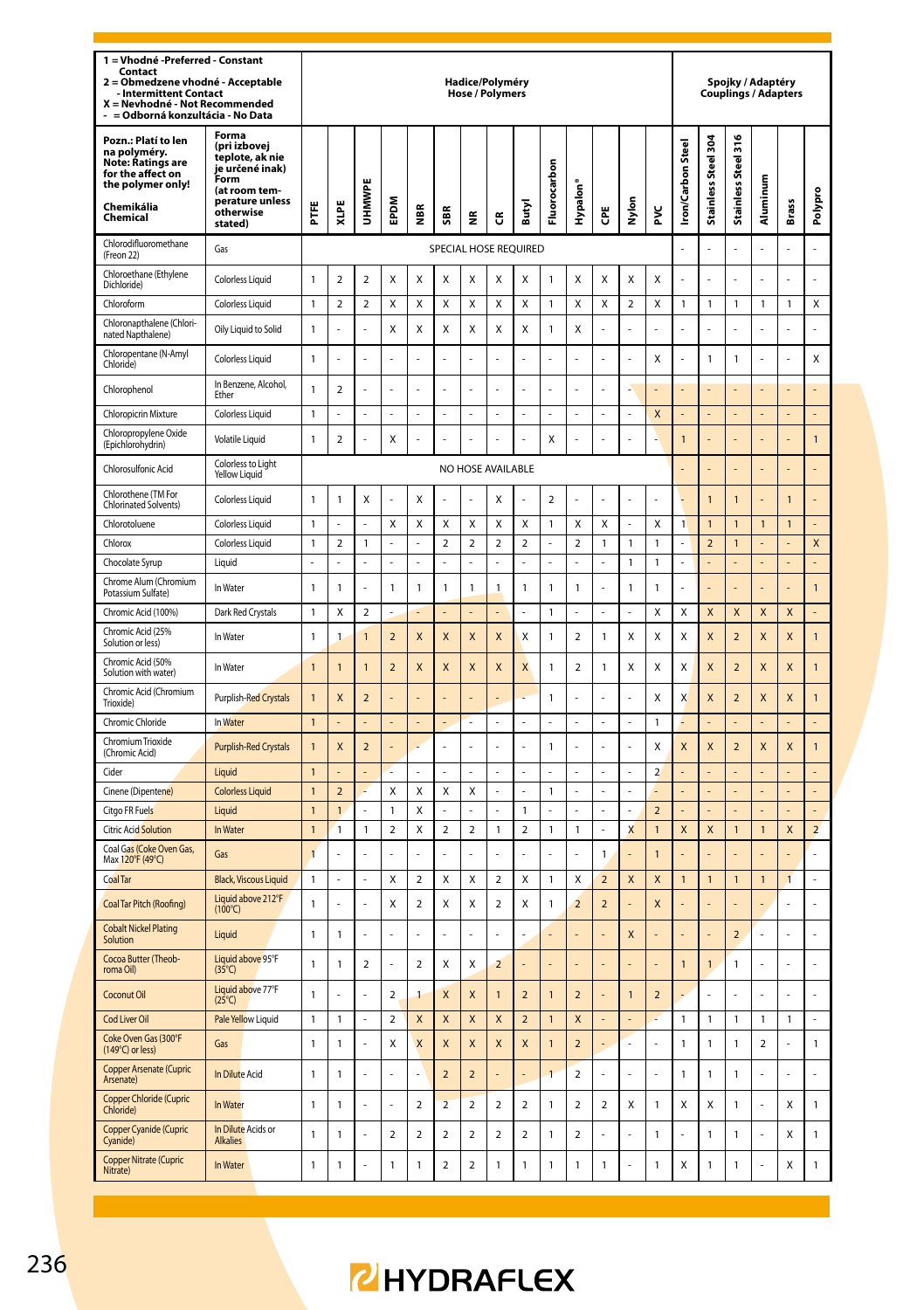| 1 = Vhodné - Preferred - Constant<br>Contact<br>2 = Obmedzene vhodné - Acceptable<br><b>Intermittent Contact</b><br>X = Nevhodné - Not Recommended<br>- = Odborná konzultácia - No Data |                                                                                                                                 | Hadice/Polyméry<br><b>Hose / Polymers</b> |                |                          |                                         |                          |                          |                          |                          |                                |                                |                          |                         |                |                         |                         |                      | Spojky / Adaptéry<br><b>Couplings / Adapters</b> |                         |                |                                  |
|-----------------------------------------------------------------------------------------------------------------------------------------------------------------------------------------|---------------------------------------------------------------------------------------------------------------------------------|-------------------------------------------|----------------|--------------------------|-----------------------------------------|--------------------------|--------------------------|--------------------------|--------------------------|--------------------------------|--------------------------------|--------------------------|-------------------------|----------------|-------------------------|-------------------------|----------------------|--------------------------------------------------|-------------------------|----------------|----------------------------------|
| Pozn.: Platí to len<br>na polyméry.<br>Note: Ratings are<br>for the affect on<br>the polymer only!<br>Chemikália<br>Chemical                                                            | Forma<br>(pri izbovej<br>teplote, ak nie<br>je určené inak)<br>Form<br>(at room tem-<br>perature unless<br>otherwise<br>stated) | Ë                                         | XLPE           | <b>MMHU</b>              | EPDM                                    | ₽                        | SBR                      | ž                        | ũ                        | Butyl                          | Fluorocarbon                   | Hypalon'                 | ĕ                       | Nylon          | ž                       | <b>Iron/Carbon Stee</b> | ğ<br>Stainless Steel | 1316<br>Stainless Steel                          | Aluminum                | <b>Brass</b>   | Polypro                          |
| Chlorodifluoromethane<br>(Freon 22)                                                                                                                                                     | Gas                                                                                                                             |                                           |                |                          |                                         |                          | SPECIAL HOSE REQUIRED    |                          |                          |                                |                                |                          |                         |                |                         |                         | $\overline{a}$       | L.                                               | l,                      |                | l,                               |
| Chloroethane (Ethylene<br>Dichloride)                                                                                                                                                   | Colorless Liquid                                                                                                                | 1                                         | $\overline{2}$ | $\overline{2}$           | Χ                                       | Χ                        | X                        | X                        | Χ                        | X                              | 1                              | X                        | X                       | X              | X                       | ä,                      | L                    |                                                  | ä,                      |                |                                  |
| Chloroform                                                                                                                                                                              | Colorless Liquid                                                                                                                | 1                                         | $\overline{a}$ | $\overline{a}$           | Χ                                       | X                        | X                        | X                        | X                        | X                              | 1                              | X                        | X                       | $\overline{2}$ | X                       | 1                       | 1                    | $\mathbf{1}$                                     | 1                       | 1              | X                                |
| Chloronapthalene (Chlori-<br>nated Napthalene)                                                                                                                                          | Oily Liquid to Solid                                                                                                            | 1                                         |                |                          | X                                       | Χ                        | X                        | X                        | Χ                        | X                              | 1                              | X                        |                         |                |                         |                         |                      |                                                  |                         |                |                                  |
| Chloropentane (N-Amyl<br>Chloride)                                                                                                                                                      | <b>Colorless Liquid</b>                                                                                                         | $\mathbf{1}$                              |                | ż                        |                                         |                          | í,                       |                          |                          | ł.                             |                                |                          |                         |                | X                       | ı                       | 1                    | 1                                                | í,                      |                | Χ                                |
| Chlorophenol                                                                                                                                                                            | In Benzene, Alcohol,<br>Ether                                                                                                   | 1                                         | $\mathbf 2$    | ż                        |                                         |                          |                          |                          |                          | ł.                             |                                |                          |                         |                |                         |                         |                      |                                                  |                         |                |                                  |
| Chloropicrin Mixture                                                                                                                                                                    | <b>Colorless Liquid</b>                                                                                                         | $\mathbf{1}$                              |                | L,                       |                                         |                          | L,                       | L,                       |                          | l,                             |                                |                          | l,                      |                | X                       |                         |                      |                                                  | $\overline{a}$          |                |                                  |
| Chloropropylene Oxide<br>(Epichlorohydrin)                                                                                                                                              | Volatile Liquid                                                                                                                 | 1                                         | $\mathbf 2$    | ÷                        | X                                       |                          | í,                       |                          |                          | í,                             | X                              |                          | ÷,                      | J,             |                         | $\mathbf{1}$            |                      |                                                  |                         |                | 1                                |
| Chlorosulfonic Acid                                                                                                                                                                     | Colorless to Light<br><b>Yellow Liquid</b>                                                                                      |                                           |                |                          |                                         |                          |                          |                          | NO HOSE AVAILABLE        |                                |                                |                          |                         |                |                         |                         | $\overline{a}$       |                                                  | L,                      | L              | l,                               |
| Chlorothene (TM For<br>Chlorinated Solvents)                                                                                                                                            | <b>Colorless Liquid</b>                                                                                                         | $\mathbf{1}$                              | $\mathbf{1}$   | X                        | ÷.                                      | X                        | L                        | L.                       | X                        | L.                             | $\overline{\phantom{a}}$       | J.                       | L.                      |                | L.                      |                         | $\overline{1}$       | $\overline{1}$                                   |                         | $\overline{1}$ | l,                               |
| Chlorotoluene                                                                                                                                                                           | <b>Colorless Liquid</b>                                                                                                         | 1                                         |                |                          | Χ                                       | Χ                        | Χ                        | Χ                        | X                        | Χ                              | 1                              | Χ                        | X                       |                | X                       | 1                       | $\overline{1}$       | 1                                                | $\overline{1}$          | $\overline{1}$ |                                  |
| Chlorox                                                                                                                                                                                 | Colorless Liquid                                                                                                                | $\mathbf{1}$                              | $\overline{a}$ | $\mathbf{1}$             | $\overline{a}$                          |                          | $\mathbf 2$              | $\overline{2}$           | $\overline{a}$           | $\overline{2}$                 | $\overline{a}$                 | $\mathbf 2$              | $\mathbf{1}$            | 1              | $\mathbf{1}$            | L                       | $\overline{a}$       | $\overline{1}$                                   | $\overline{a}$          | $\overline{a}$ | X                                |
| Chocolate Syrup                                                                                                                                                                         | Liquid                                                                                                                          | ÷                                         |                |                          |                                         |                          |                          |                          |                          |                                |                                |                          |                         | 1              | $\mathbf{1}$            |                         |                      |                                                  |                         |                | i,                               |
| Chrome Alum (Chromium<br>Potassium Sulfate)                                                                                                                                             | In Water                                                                                                                        | 1                                         | $\mathbf{1}$   | L                        | 1                                       | $\mathbf{1}$             | $\overline{1}$           | 1                        | $\mathbf{1}$             | $\mathbf{1}$                   | 1                              | $\mathbf{1}$             | L.                      | 1              | $\mathbf{1}$            |                         |                      |                                                  |                         | ٠              | $\mathbf{1}$                     |
| Chromic Acid (100%)                                                                                                                                                                     | Dark Red Crystals                                                                                                               | $\mathbf{1}$                              | X              | $\overline{a}$           |                                         |                          |                          |                          |                          | l,                             | $\mathbf{1}$                   | Ĭ.                       | l,                      | L,             | X                       | X                       | X                    | $\overline{\mathsf{x}}$                          | $\overline{\mathsf{x}}$ | X              | $\overline{a}$                   |
| Chromic Acid (25%<br>Solution or less)                                                                                                                                                  | In Water                                                                                                                        | 1                                         | 1              | $\mathbf{1}$             | $\overline{\mathbf{c}}$                 | X                        | X                        | X                        | X                        | Χ                              | 1                              | $\sqrt{2}$               | $\mathbf{1}$            | Χ              | X                       | X                       | X                    | $\mathbf 2$                                      | X                       | X              | 1                                |
| Chromic Acid (50%<br>Solution with water)                                                                                                                                               | In Water                                                                                                                        | $\mathbf{1}$                              | $\mathbf{1}$   | 1                        | $\overline{\mathbf{c}}$                 | X                        | X                        | X                        | X                        | X                              | 1                              | $\sqrt{2}$               | $\mathbf{1}$            | Χ              | Χ                       | X                       | X                    | $\mathbf 2$                                      | X                       | X              | 1                                |
| Chromic Acid (Chromium<br><b>Trioxide</b>                                                                                                                                               | Purplish-Red Crystals                                                                                                           | $\mathbf{1}$                              | X              | $\overline{2}$           |                                         |                          | Í.                       | L                        |                          | l,                             | 1                              | J.                       | L.                      | L              | X                       | X                       | X                    | $\overline{\mathbf{c}}$                          | X                       | X              | $\mathbf{1}$                     |
| Chromic Chloride                                                                                                                                                                        | In Water                                                                                                                        | $\mathbf{1}$                              |                |                          |                                         |                          |                          | L                        |                          | l,                             |                                |                          | l,                      | L,             | $\mathbf{1}$            |                         |                      |                                                  |                         |                |                                  |
| Chromium Trioxide<br>(Chromic Acid)                                                                                                                                                     | <b>Purplish-Red Crystals</b>                                                                                                    | $\mathbf{1}$                              | X              | $\overline{\phantom{0}}$ |                                         |                          | l,                       | L                        |                          | L.                             | 1                              |                          | L,                      | L              | X                       | X                       | X                    | $\overline{2}$                                   | X                       | X              | $\overline{1}$                   |
| Cider                                                                                                                                                                                   | Liquid                                                                                                                          | $\mathbf{1}$                              |                | $\overline{a}$           |                                         |                          | L,                       | L,                       |                          | L,                             | L,                             | l,                       | l,                      | L,             | $\overline{a}$          |                         | L,                   |                                                  |                         |                | L,                               |
| Cinene (Dipentene)                                                                                                                                                                      | <b>Colorless Liquid</b>                                                                                                         | $\mathbf{1}$                              | $\overline{2}$ |                          | Χ                                       | X                        | X                        | X                        |                          |                                | $\mathbf{1}$                   |                          |                         | ä,             |                         |                         |                      |                                                  |                         |                | l,                               |
| Citgo FR Fuels<br><b>Citric Acid Solution</b>                                                                                                                                           | Liquid<br>In Water                                                                                                              | $\mathbf{1}$<br>$\mathbf{1}$              | 1              | l,<br>$\mathbf{1}$       | $\mathbf{1}$<br>$\overline{\mathbf{c}}$ | X<br>X                   | $\mathbf 2$              | $\overline{2}$           | $\mathbf{1}$             | $\mathbf{1}$<br>$\overline{a}$ | $\overline{a}$<br>$\mathbf{1}$ | 1                        |                         | L<br>X         | $\overline{2}$          |                         | X                    | $\overline{1}$                                   |                         | X              | $\overline{a}$<br>$\overline{a}$ |
|                                                                                                                                                                                         |                                                                                                                                 |                                           | 1              |                          |                                         |                          |                          |                          |                          |                                |                                |                          | ä,                      |                | $\overline{1}$          | X                       |                      |                                                  | $\mathbf{1}$            |                |                                  |
| Coal Gas (Coke Oven Gas,<br>Max 120°F (49°C)                                                                                                                                            | Gas                                                                                                                             | $\overline{1}$                            |                |                          |                                         |                          |                          |                          |                          |                                |                                |                          | $\mathbf{1}$            |                | $\overline{1}$          |                         |                      |                                                  |                         |                |                                  |
| <b>Coal Tar</b>                                                                                                                                                                         | <b>Black, Viscous Liquid</b>                                                                                                    | $\mathbf{1}$                              |                | L,                       | Χ                                       | $\overline{a}$           | X                        | Χ                        | $\overline{a}$           | X                              | $\mathbf{1}$                   | X                        | $\overline{2}$          | X              | X                       | $\overline{1}$          | $\mathbf{1}$         | $\overline{1}$                                   | $\mathbf{1}$            | $\overline{1}$ | l,                               |
| Coal Tar Pitch (Roofing)                                                                                                                                                                | Liquid above 212°F<br>$(100^{\circ}C)$                                                                                          | 1                                         |                | l,                       | X                                       | $\mathbf 2$              | Χ                        | Χ                        | $\mathbf 2$              | Χ                              | 1                              | $\overline{2}$           | $\overline{\mathbf{c}}$ |                | X                       |                         | $\overline{a}$       |                                                  | L                       | L              |                                  |
| <b>Cobalt Nickel Plating</b><br>Solution                                                                                                                                                | Liquid                                                                                                                          | 1                                         | $\mathbf{1}$   | l,                       | L                                       |                          | l,                       | L                        |                          | l,                             |                                |                          |                         | X              |                         |                         | $\overline{a}$       | $\overline{\mathbf{c}}$                          | L                       | L              | l,                               |
| Cocoa Butter (Theob-<br>roma Oil)                                                                                                                                                       | Liquid above 95°F<br>$(35^{\circ}C)$                                                                                            | 1                                         | $\mathbf{1}$   | $\overline{\mathbf{c}}$  | L                                       | $\mathbf 2$              | Χ                        | Χ                        | $\overline{\mathbf{c}}$  | L,                             |                                |                          | l,                      | L              |                         | $\mathbf{1}$            | 1                    | 1                                                | $\overline{a}$          | L              | l,                               |
| Coconut Oil                                                                                                                                                                             | Liquid above 77°F<br>$(25^{\circ}C)$                                                                                            | $\mathbf{1}$                              | J.             | ä,                       | 2                                       | $\mathbf{1}$             | X                        | X                        | 1                        | $\overline{2}$                 | $\overline{1}$                 | $\overline{2}$           | ä,                      | $\mathbf{1}$   | $\overline{\mathbf{c}}$ |                         | L.                   | J.                                               | L                       | L              | Î,                               |
| Cod Liver Oil                                                                                                                                                                           | Pale Yellow Liquid                                                                                                              | 1                                         | 1              |                          | $\overline{2}$                          | X                        | $\mathsf{X}$             | X                        | $\mathsf{X}$             | $\overline{2}$                 | $\mathbf{1}$                   | X                        |                         |                |                         | 1                       | 1                    | 1                                                | 1                       | 1              |                                  |
| Coke Oven Gas (300°F<br>$(149^{\circ}C)$ or less)                                                                                                                                       | Gas                                                                                                                             | 1                                         | $\mathbf{1}$   | l,                       | X                                       | X                        | $\mathsf{x}$             | X                        | X                        | $\mathsf{x}$                   | $\overline{1}$                 | $\overline{2}$           | í,                      | J,             |                         | 1                       | 1                    | 1                                                | $\overline{2}$          | $\overline{a}$ | $\mathbf{1}$                     |
| <b>Copper Arsenate (Cupric</b><br>Arsenate)                                                                                                                                             | In Dilute Acid                                                                                                                  | 1                                         | $\mathbf{1}$   | L                        |                                         |                          | $\overline{\phantom{0}}$ | $\overline{2}$           |                          | í,                             | $\overline{1}$                 | $\overline{2}$           | J.                      |                |                         | 1                       | 1                    | 1                                                | ż                       |                | J.                               |
| Copper Chloride (Cupric<br>Chloride)                                                                                                                                                    | In Water                                                                                                                        | 1                                         | $\mathbf{1}$   |                          |                                         | $\overline{2}$           | $\overline{2}$           | $\overline{a}$           | $\overline{\mathbf{c}}$  | $\overline{2}$                 | 1                              | $\overline{2}$           | $\overline{2}$          | X              | $\mathbf{1}$            | X                       | X                    | 1                                                | l,                      | X              | 1                                |
| Copper Cyanide (Cupric<br>Cyanide)                                                                                                                                                      | In Dilute Acids or<br><b>Alkalies</b>                                                                                           | $\mathbf{1}$                              | $\mathbf{1}$   | í,                       | $\mathfrak{p}$                          | $\overline{\phantom{a}}$ | $\mathcal{P}$            | $\overline{\phantom{a}}$ | $\overline{\phantom{a}}$ | $\overline{\phantom{a}}$       | 1                              | $\overline{\phantom{a}}$ | í,                      |                | 1                       | í,                      | 1                    | 1                                                | í,                      | x              | $\mathbf{1}$                     |
| <b>Copper Nitrate (Cupric</b><br>Nitrate)                                                                                                                                               | In Water                                                                                                                        | $\mathbf{1}$                              | $\mathbf{1}$   | ł,                       | $\mathbf{1}$                            | $\mathbf{1}$             | $\overline{2}$           | $\overline{a}$           | 1                        | $\mathbf{1}$                   | $\overline{1}$                 | 1                        | $\mathbf{1}$            | J,             | 1                       | X                       | $\mathbf{1}$         | $\mathbf{1}$                                     | i,                      | X              | $\mathbf{1}$                     |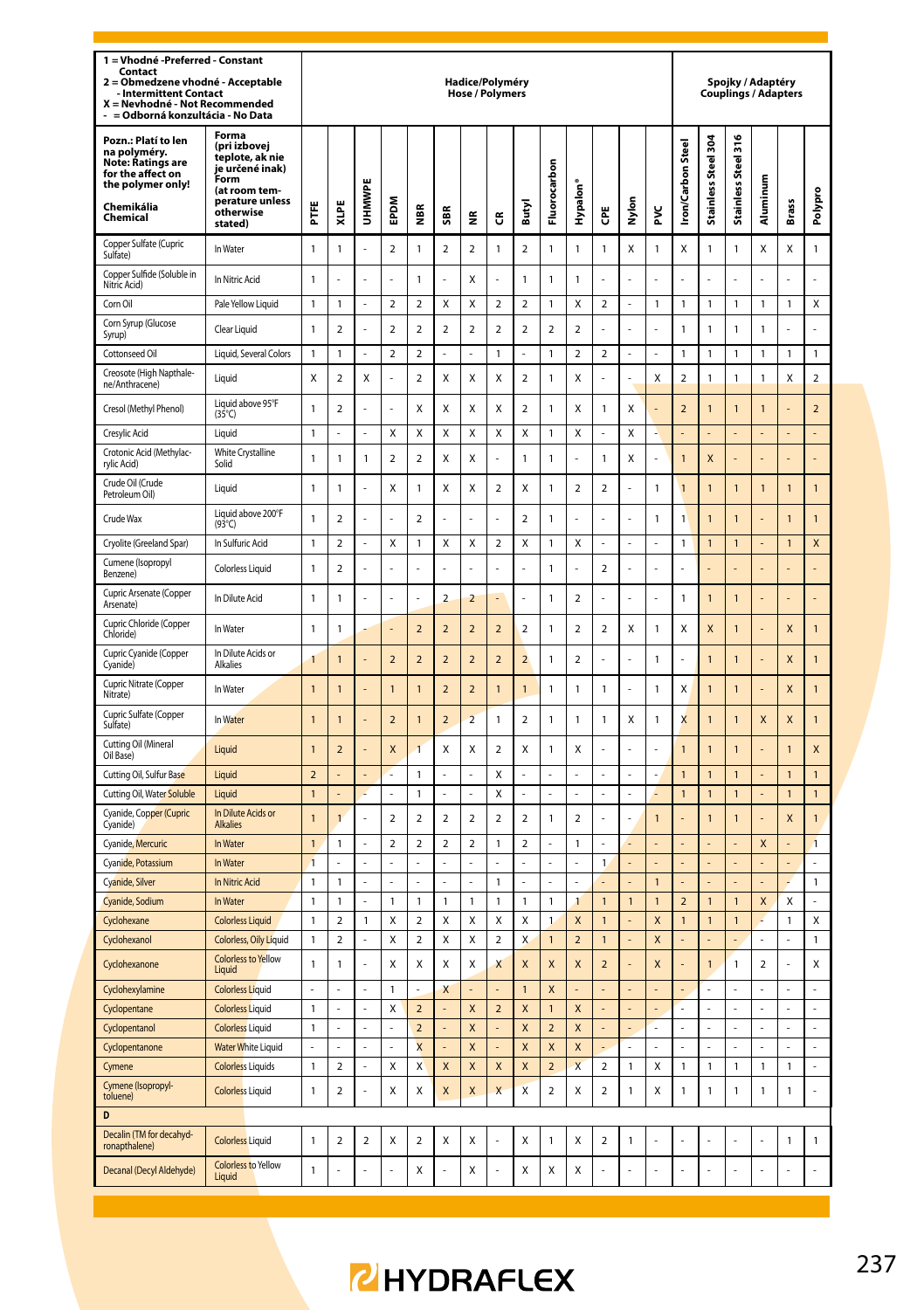| 1 = Vhodné - Preferred - Constant<br>Contact<br>= Obmedzene vhodné - Acceptable<br>$\overline{a}$<br><b>Intermittent Contact</b><br>X = Nevhodné - Not Recommended<br>= Odborná konzultácia - No Data |                                                                                                                                 |                |                         |                |                         |                          |                          | Hadice/Polyméry<br><b>Hose / Polymers</b> |                          |                          |                              |                         |                                  |                      |                     |                         |                                       | Spojky / Adaptéry<br><b>Couplings / Adapters</b> |                         |                         |                         |
|-------------------------------------------------------------------------------------------------------------------------------------------------------------------------------------------------------|---------------------------------------------------------------------------------------------------------------------------------|----------------|-------------------------|----------------|-------------------------|--------------------------|--------------------------|-------------------------------------------|--------------------------|--------------------------|------------------------------|-------------------------|----------------------------------|----------------------|---------------------|-------------------------|---------------------------------------|--------------------------------------------------|-------------------------|-------------------------|-------------------------|
| Pozn.: Platí to len<br>na polyméry.<br>Note: Ratings are<br>for the affect on<br>the polymer only!<br>Chemikália<br>Chemical                                                                          | Forma<br>(pri izbovej<br>teplote, ak nie<br>je určené inak)<br>Form<br>(at room tem-<br>perature unless<br>otherwise<br>stated) | FFE            | XLPE                    | UHMWPI         | EPDM                    | ă                        | ã                        | €                                         | ű                        | Butyl                    | Fluorocarbon                 | Hypalon                 | ĕ                                | Nylon                | ž                   | <b>Iron/Carbon Stee</b> | <b>1304</b><br><b>Stainless Steel</b> | 1316<br>Stainless Steel                          | Aluminum                | Brass                   | Polypro                 |
| Copper Sulfate (Cupric<br>Sulfate)                                                                                                                                                                    | In Water                                                                                                                        | 1              | 1                       | ÷.             | $\mathbf 2$             | 1                        | $\overline{2}$           | $\overline{2}$                            | $\mathbf{1}$             | $\overline{\mathbf{c}}$  | $\mathbf{1}$                 | 1                       | $\mathbf{1}$                     | X                    | 1                   | X                       | $\mathbf{1}$                          | 1                                                | X                       | X                       | 1                       |
| Copper Sulfide (Soluble in<br>Nitric Acid)                                                                                                                                                            | In Nitric Acid                                                                                                                  | 1              |                         |                | ä,                      | 1                        |                          | X                                         | į,                       | $\mathbf{1}$             | $\mathbf{1}$                 | 1                       |                                  |                      | į,                  |                         |                                       | Į,                                               |                         |                         | í,                      |
| Corn Oil                                                                                                                                                                                              | Pale Yellow Liquid                                                                                                              | 1              | 1                       | ÷,             | $\mathbf 2$             | $\overline{\mathbf{c}}$  | X                        | Χ                                         | $\overline{\mathbf{2}}$  | $\overline{\mathbf{2}}$  | $\mathbf{1}$                 | X                       | $\boldsymbol{2}$                 | ÷,                   | $\mathbf{1}$        | 1                       | $\mathbf{1}$                          | 1                                                | 1                       | 1                       | Χ                       |
| Corn Syrup (Glucose<br>Syrup)                                                                                                                                                                         | Clear Liquid                                                                                                                    | $\mathbf{1}$   | $\overline{2}$          |                | $\overline{\mathbf{c}}$ | $\overline{2}$           | $\overline{2}$           | $\overline{2}$                            | $\overline{2}$           | $\overline{2}$           | $\overline{2}$               | $\overline{a}$          |                                  |                      |                     | $\mathbf{1}$            | $\mathbf{1}$                          | $\mathbf{1}$                                     | $\mathbf{1}$            |                         |                         |
| Cottonseed Oil                                                                                                                                                                                        | Liquid, Several Colors                                                                                                          | 1              | 1                       | L,             | 2                       | $\overline{\mathbf{c}}$  | ÷,                       | ä,                                        | $\mathbf{1}$             | l,                       | $\overline{1}$               | $\mathbf 2$             | $\boldsymbol{2}$                 | L,                   | L,                  | 1                       | $\mathbf{1}$                          | 1                                                | 1                       | $\mathbf{1}$            | 1                       |
| Creosote (High Napthale-<br>ne/Anthracene)                                                                                                                                                            | Liquid                                                                                                                          | Χ              | $\overline{\mathbf{c}}$ | Χ              |                         | $\overline{\mathbf{c}}$  | X                        | X                                         | X                        | $\overline{\mathbf{c}}$  | $\mathbf{1}$                 | X                       |                                  |                      | X                   | $\overline{\mathbf{c}}$ | $\mathbf{1}$                          | 1                                                | 1                       | X                       | $\overline{\mathbf{c}}$ |
| Cresol (Methyl Phenol)                                                                                                                                                                                | Liquid above 95°F<br>$(35^{\circ}C)$                                                                                            | $\mathbf{1}$   | $\overline{\mathbf{c}}$ |                | l,                      | X                        | X                        | X                                         | X                        | $\mathbf 2$              | $\mathbf{1}$                 | X                       | 1                                | X                    |                     | $\overline{\mathbf{c}}$ | $\overline{1}$                        | 1                                                | 1                       |                         | $\overline{\mathbf{c}}$ |
| Cresvlic Acid                                                                                                                                                                                         | Liquid                                                                                                                          | 1              |                         |                | $\mathsf{x}$            | X                        | X                        | X                                         | X                        | X                        | $\mathbf{1}$                 | x                       |                                  | $\mathsf{x}$         |                     |                         |                                       |                                                  |                         |                         |                         |
| Crotonic Acid (Methylac-<br>rvlic Acid)                                                                                                                                                               | White Crystalline<br>Solid                                                                                                      | $\mathbf{1}$   | 1                       | 1              | $\mathbf 2$             | $\overline{\mathbf{c}}$  | X                        | Χ                                         | L                        | 1                        | $\mathbf{1}$                 | J                       | 1                                | X                    | J                   | 1                       | X                                     |                                                  |                         |                         | l,                      |
| Crude Oil (Crude<br>Petroleum Oil)                                                                                                                                                                    | Liquid                                                                                                                          | $\mathbf{1}$   | 1                       |                | Χ                       | 1                        | X                        | Χ                                         | $\overline{\mathbf{2}}$  | X                        | $\mathbf{1}$                 | $\mathbf 2$             | $\overline{2}$                   | L.                   | 1                   | $\overline{1}$          | $\mathbf{1}$                          | 1                                                | $\mathbf{1}$            | $\mathbf{1}$            | 1                       |
| Crude Wax                                                                                                                                                                                             | Liquid above 200°F<br>$(93^{\circ}C)$                                                                                           | $\mathbf{1}$   | $\mathcal{P}$           | ÷              | ä,                      | $\overline{\phantom{a}}$ |                          |                                           | J,                       | $\overline{\phantom{a}}$ | $\mathbf{1}$                 | í.                      |                                  | L.                   | 1                   | 1                       | $\overline{1}$                        | $\overline{1}$                                   |                         | $\overline{1}$          | $\overline{1}$          |
| Cryolite (Greeland Spar)                                                                                                                                                                              | In Sulfuric Acid                                                                                                                | 1              | $\overline{a}$          |                | X                       | 1                        | X                        | Χ                                         | $\overline{a}$           | X                        | $\mathbf{1}$                 | X                       |                                  |                      |                     | 1                       | $\mathbf{1}$                          | $\mathbf{1}$                                     |                         | $\mathbf{1}$            | $\mathsf{x}$            |
| Cumene (Isopropyl<br>Benzene)                                                                                                                                                                         | <b>Colorless Liquid</b>                                                                                                         | 1              | $\overline{\mathbf{c}}$ | ä,             | ÷,                      | í,                       | ä,                       | ä,                                        | L                        | ä,                       | $\mathbf{1}$                 | L                       | $\boldsymbol{2}$                 | ä,                   | L                   | ä,                      | ä,                                    | í,                                               | í,                      | ä,                      | ä,                      |
| Cupric Arsenate (Copper<br>Arsenate)                                                                                                                                                                  | In Dilute Acid                                                                                                                  | 1              | $\mathbf{1}$            |                |                         |                          | $\overline{a}$           | $\overline{2}$                            |                          |                          | $\mathbf{1}$                 | $\overline{a}$          |                                  |                      |                     | 1                       | $\mathbf{1}$                          | $\overline{1}$                                   |                         |                         |                         |
| Cupric Chloride (Copper<br>Chloride)                                                                                                                                                                  | In Water                                                                                                                        | 1              | $\mathbf{1}$            |                |                         | $\overline{a}$           | $\overline{2}$           | $\overline{a}$                            | $\overline{a}$           | $\overline{a}$           | $\mathbf{1}$                 | $\overline{a}$          | $\overline{a}$                   | X                    | 1                   | X                       | $\overline{\mathsf{x}}$               | $\overline{1}$                                   |                         | $\overline{\mathsf{x}}$ | $\overline{1}$          |
| Cupric Cyanide (Copper<br>Cyanide)                                                                                                                                                                    | In Dilute Acids or<br>Alkalies                                                                                                  | 1              | $\overline{1}$          |                | $\overline{a}$          | $\overline{a}$           | $\overline{2}$           | $\overline{a}$                            | $\overline{2}$           | $\overline{2}$           | $\mathbf{1}$                 | $\overline{a}$          |                                  |                      | 1                   |                         | 1                                     | 1                                                |                         | X                       | $\mathbf{1}$            |
| Cupric Nitrate (Copper<br>Nitrate)                                                                                                                                                                    | In Water                                                                                                                        | $\mathbf{1}$   | 1                       |                | $\mathbf{1}$            | 1                        | $\overline{a}$           | $\overline{2}$                            | $\overline{1}$           | 1                        | $\mathbf{1}$                 | 1                       | 1                                | L.                   | 1                   | X                       | 1                                     | 1                                                |                         | X                       | $\mathbf{1}$            |
| Cupric Sulfate (Copper<br>Sulfate)                                                                                                                                                                    | In Water                                                                                                                        | 1              | 1                       |                | $\overline{\mathbf{c}}$ | $\overline{1}$           | $\overline{\mathbf{c}}$  | $\overline{a}$                            | $\mathbf{1}$             | $\overline{\mathbf{c}}$  | $\mathbf{1}$                 | 1                       | 1                                | Χ                    | 1                   | X                       | $\mathbf{1}$                          | 1                                                | X                       | X                       | 1                       |
| Cutting Oil (Mineral<br>Oil Base)                                                                                                                                                                     | Liquid                                                                                                                          | 1              | $\overline{a}$          |                | X                       | 1                        | X                        | Χ                                         | $\overline{\mathbf{2}}$  | X                        | $\mathbf{1}$                 | X                       |                                  |                      |                     | 1                       | $\overline{1}$                        | $\overline{1}$                                   |                         | $\overline{1}$          | X                       |
| Cutting Oil, Sulfur Base                                                                                                                                                                              | Liquid                                                                                                                          | $\overline{2}$ |                         |                |                         | $\mathbf{1}$             |                          |                                           | X                        |                          |                              |                         | l,                               | L,                   |                     | $\mathbf{1}$            | $\mathbf{1}$                          | $\mathbf{1}$                                     |                         | $\mathbf{1}$            | $\mathbf{1}$            |
| Cutting Oil, Water Soluble                                                                                                                                                                            | Liquid                                                                                                                          | $\mathbf{1}$   |                         |                |                         | 1                        |                          |                                           | Χ                        |                          |                              |                         |                                  |                      |                     | $\overline{1}$          | Ó                                     | 1                                                |                         | 1                       | $\mathbf{1}$            |
| Cyanide, Copper (Cupric<br>Cyanide)                                                                                                                                                                   | In Dilute Acids or<br><b>Alkalies</b>                                                                                           | $\overline{1}$ | $\overline{1}$          | L.             | $\mathfrak{p}$          | $\overline{\phantom{a}}$ | $\overline{\phantom{a}}$ | $\mathfrak{p}$                            | $\overline{\phantom{a}}$ | $\overline{\phantom{a}}$ | $\mathbf{1}$                 | $\mathfrak{p}$          | L.                               | ä,                   | $\overline{1}$      |                         | $\overline{1}$                        | $\overline{1}$                                   | L                       | $\mathsf{x}$            | $\mathbf{1}$            |
| Cyanide, Mercuric                                                                                                                                                                                     | In Water                                                                                                                        | $\overline{1}$ | 1                       |                | $\overline{\mathbf{c}}$ | $\overline{\mathbf{c}}$  | $\overline{\mathbf{c}}$  | $\overline{\mathbf{2}}$                   | $\overline{1}$           | $\overline{\mathbf{c}}$  |                              | 1                       |                                  | $\overline{a}$       |                     |                         |                                       |                                                  | $\overline{\mathsf{x}}$ |                         | 1                       |
| Cyanide, Potassium                                                                                                                                                                                    | In Water                                                                                                                        | 1              |                         |                | L.                      |                          |                          |                                           |                          |                          | L.                           | L                       | $\mathbf{1}$                     |                      |                     |                         |                                       |                                                  |                         |                         | $\overline{a}$          |
| Cyanide, Silver                                                                                                                                                                                       | In Nitric Acid                                                                                                                  | 1              | 1                       |                | L                       |                          |                          | L                                         | $\overline{1}$           |                          | L                            |                         |                                  |                      | $\overline{1}$      |                         |                                       |                                                  |                         |                         | $\mathbf{1}$            |
| Cyanide, Sodium<br>Cyclohexane                                                                                                                                                                        | In Water<br><b>Colorless Liquid</b>                                                                                             | 1<br>1         | 1<br>$\overline{2}$     | 1              | 1<br>X                  | 1<br>$\overline{2}$      | 1<br>X                   | $\overline{1}$<br>X                       | $\overline{1}$<br>X      | $\overline{1}$<br>X      | $\mathbf{1}$<br>$\mathbf{1}$ | $\mathbf{1}$<br>X       | $\overline{1}$<br>$\overline{1}$ | $\overline{1}$<br>L, | $\overline{1}$<br>X | $\overline{2}$<br>1     | $\overline{1}$<br>$\mathbf{1}$        | 1<br>1                                           | X                       | Χ<br>1                  | Χ                       |
| Cyclohexanol                                                                                                                                                                                          | <b>Colorless, Oily Liquid</b>                                                                                                   | 1              | $\overline{\mathbf{c}}$ |                | Χ                       | 2                        | X                        | Χ                                         | $\overline{\mathbf{2}}$  | X                        | 1                            | $\overline{\mathbf{c}}$ | $\mathbf{1}$                     |                      | X                   |                         |                                       |                                                  |                         |                         | 1                       |
| Cyclohexanone                                                                                                                                                                                         | <b>Colorless to Yellow</b><br>Liquid                                                                                            | $\mathbf{1}$   | 1                       | ÷              | X                       | X                        | X                        | X                                         | X                        | X                        | X                            | X                       | $\overline{2}$                   | ÷,                   | X                   |                         | $\mathbf{1}$                          | $\mathbf{1}$                                     | $\overline{2}$          | ÷,                      | X                       |
| Cyclohexylamine                                                                                                                                                                                       | <b>Colorless Liquid</b>                                                                                                         | ÷,             | L                       | ä,             | 1                       | L                        | X                        |                                           |                          | $\overline{1}$           | X                            |                         |                                  | ÷,                   |                     |                         | L                                     | L                                                |                         | ÷,                      | $\overline{a}$          |
| Cyclopentane                                                                                                                                                                                          | <b>Colorless Liquid</b>                                                                                                         | $\mathbf{1}$   |                         | L.             | Χ                       | $\overline{2}$           |                          | X                                         | $\overline{2}$           | X                        | 1                            | X                       |                                  |                      |                     |                         | L.                                    | L.                                               |                         | L.                      | L.                      |
| Cyclopentanol                                                                                                                                                                                         | <b>Colorless Liquid</b>                                                                                                         | 1              | L                       | ä,             | ÷,                      | $\overline{\mathbf{c}}$  | L,                       | X                                         |                          | X                        | $\overline{\mathbf{c}}$      | X                       | l,                               | ÷,                   |                     |                         | ä,                                    | ÷,                                               | l,                      | ÷,                      | $\overline{a}$          |
| Cyclopentanone                                                                                                                                                                                        | <b>Water White Liquid</b>                                                                                                       | L              |                         | $\overline{a}$ | L                       | X                        |                          | X                                         |                          | X                        | X                            | X                       |                                  | L,                   |                     |                         | L                                     | J.                                               |                         | $\overline{a}$          | $\overline{a}$          |
| Cymene                                                                                                                                                                                                | <b>Colorless Liquids</b>                                                                                                        | 1              | $\overline{2}$          | ä,             | X                       | X                        | X                        | X                                         | X                        | X                        | $\overline{2}$               | X                       | $\overline{\mathbf{c}}$          | $\mathbf{1}$         | X                   | 1                       | $\mathbf{1}$                          | 1                                                | 1                       | 1                       | ÷,                      |
| Cymene (Isopropyl-<br>toluene)                                                                                                                                                                        | <b>Colorless Liquid</b>                                                                                                         | $\mathbf{1}$   | $\overline{2}$          |                | X                       | Χ                        | X                        | X                                         | $\overline{\mathsf{x}}$  | $\overline{\mathbf{x}}$  | $\overline{2}$               | Χ                       | $\overline{a}$                   | $\mathbf{1}$         | X                   | 1                       | $\mathbf{1}$                          | 1                                                | $\mathbf{1}$            | $\mathbf{1}$            | Ļ                       |
| D                                                                                                                                                                                                     |                                                                                                                                 |                |                         |                |                         |                          |                          |                                           |                          |                          |                              |                         |                                  |                      |                     |                         |                                       |                                                  |                         |                         |                         |
| Decalin (TM for decahyd-<br>ronapthalene)                                                                                                                                                             | <b>Colorless Liquid</b>                                                                                                         | $\mathbf{1}$   | $\overline{2}$          | $\overline{2}$ | X                       | $\overline{2}$           | X                        | X                                         |                          | X                        | $\mathbf{1}$                 | X                       | $\overline{a}$                   | 1                    |                     |                         |                                       |                                                  |                         | 1                       | $\mathbf{1}$            |
| Decanal (Decyl Aldehyde)                                                                                                                                                                              | <b>Colorless to Yellow</b><br>Liquid                                                                                            | 1              |                         |                | L,                      | Χ                        |                          | X                                         |                          | Χ                        | Χ                            | Χ                       |                                  |                      |                     |                         |                                       |                                                  |                         |                         |                         |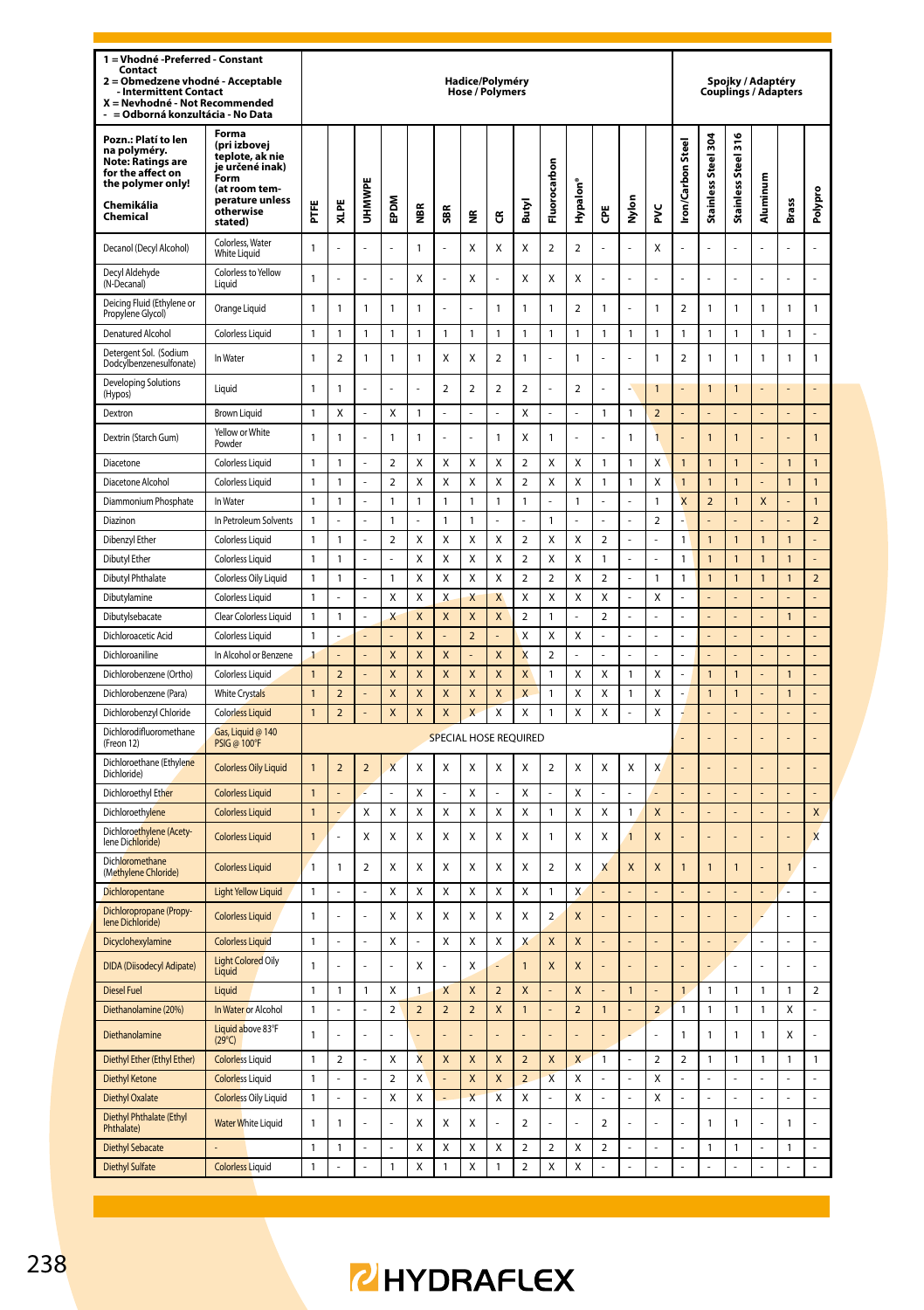| 1 = Vhodné -Preferred - Constant<br>Contact<br>Obmedzene vhodné - Acceptable<br><b>Intermittent Contact</b><br>X = Nevhodné - Not Recommended<br>= Odborná konzultácia - No Data |                                                                                                                                 |              |                         |               |                          |                         |                           | Hadice/Polyméry<br>Hose / Polymers |                |                           |                         |                |                          |                |                |                          |                          |                     | Spojky / Adaptéry<br><b>Couplings / Adapters</b> |                |                |
|----------------------------------------------------------------------------------------------------------------------------------------------------------------------------------|---------------------------------------------------------------------------------------------------------------------------------|--------------|-------------------------|---------------|--------------------------|-------------------------|---------------------------|------------------------------------|----------------|---------------------------|-------------------------|----------------|--------------------------|----------------|----------------|--------------------------|--------------------------|---------------------|--------------------------------------------------|----------------|----------------|
| Pozn.: Platí to len<br>na polyméry.<br><b>Note: Ratings are</b><br>for the affect on<br>the polymer only!<br>Chemikália<br>Chemical                                              | Forma<br>(pri izbovej<br>teplote, ak nie<br>je určené inak)<br>Form<br>(at room tem-<br>perature unless<br>otherwise<br>stated) | FTE          | XLPE                    | <b>UHMWPE</b> | EPDM                     | ã                       | SBR                       | g                                  | ű              | Butyl                     | Fluorocarbon            | Hypalon'       | Ğ                        | Nylon          | ž              | <b>Iron/Carbon Steel</b> | Stainless Steel 304      | Stainless Steel 316 | Aluminum                                         | <b>Brass</b>   | Polypro        |
| Decanol (Decyl Alcohol)                                                                                                                                                          | Colorless, Water<br>White Liquid                                                                                                | $\mathbf{1}$ |                         |               |                          | 1                       |                           | Χ                                  | Χ              | X                         | $\overline{a}$          | $\overline{a}$ |                          |                | X              |                          |                          |                     |                                                  |                |                |
| Decyl Aldehyde<br>(N-Decanal)                                                                                                                                                    | Colorless to Yellow<br>Liauid                                                                                                   | $\mathbf{1}$ | L                       |               | L.                       | Χ                       |                           | Χ                                  | L              | X                         | Χ                       | Χ              |                          | $\overline{a}$ | J              |                          | L.                       | L                   |                                                  | L.             | l,             |
| Deicing Fluid (Ethylene or<br>Propylene Glycol)                                                                                                                                  | Orange Liquid                                                                                                                   | 1            | 1                       | $\mathbf{1}$  | 1                        | 1                       |                           | L.                                 | 1              | $\mathbf{1}$              | $\mathbf{1}$            | 2              | $\mathbf{1}$             | L.             | 1              | $\boldsymbol{2}$         | 1                        | 1                   | 1                                                | 1              | 1              |
| Denatured Alcohol                                                                                                                                                                | <b>Colorless Liquid</b>                                                                                                         | $\mathbf{1}$ | 1                       | $\mathbf{1}$  | $\mathbf{1}$             | $\mathbf{1}$            | $\overline{1}$            | $\mathbf{1}$                       | 1              | $\mathbf{1}$              | $\mathbf{1}$            | $\mathbf{1}$   | $\mathbf{1}$             | $\overline{1}$ | $\mathbf{1}$   | $\mathbf{1}$             | 1                        | 1                   | 1                                                | 1              | L              |
| Detergent Sol. (Sodium<br>Dodcylbenzenesulfonate)                                                                                                                                | In Water                                                                                                                        | 1            | $\overline{\mathbf{c}}$ | $\mathbf{1}$  | 1                        | 1                       | X                         | Χ                                  | 2              | $\mathbf{1}$              | L.                      | 1              |                          | L.             | 1              | $\boldsymbol{2}$         | 1                        | 1                   | 1                                                | 1              | 1              |
| <b>Developing Solutions</b><br>(Hypos)                                                                                                                                           | Liquid                                                                                                                          | 1            | 1                       | ÷.            | L.                       |                         | $\overline{\mathbf{c}}$   | 2                                  | 2              | $\overline{\mathbf{c}}$   | ä,                      | 2              | J.                       | ٠              | 1              |                          | 1                        | 1                   |                                                  |                |                |
| Dextron                                                                                                                                                                          | <b>Brown Liquid</b>                                                                                                             | 1            | Χ                       |               | Χ                        | 1                       |                           |                                    |                | Χ                         |                         |                | 1                        | $\mathbf{1}$   | $\overline{a}$ |                          |                          |                     |                                                  |                |                |
| Dextrin (Starch Gum)                                                                                                                                                             | Yellow or White<br>Powder                                                                                                       | $\mathbf{1}$ | 1                       |               | 1                        | 1                       |                           |                                    | 1              | X                         | $\mathbf{1}$            |                |                          | $\mathbf{1}$   | 1              |                          | $\overline{1}$           | $\overline{1}$      |                                                  |                | $\overline{1}$ |
| Diacetone                                                                                                                                                                        | <b>Colorless Liquid</b>                                                                                                         | $\mathbf{1}$ | $\mathbf{1}$            |               | $\overline{a}$           | X                       | X                         | X                                  | X              | $\overline{a}$            | X                       | X              | $\mathbf{1}$             | $\mathbf{1}$   | X              | $\overline{1}$           | $\mathbf{1}$             | $\overline{1}$      | ł,                                               | $\mathbf{1}$   | $\mathbf{1}$   |
| Diacetone Alcohol                                                                                                                                                                | <b>Colorless Liquid</b>                                                                                                         | 1            | 1                       |               | $\mathfrak{p}$           | X                       | X                         | X                                  | X              | $\overline{\phantom{a}}$  | Χ                       | X              | 1                        | 1              | Χ              | 1                        | $\mathbf{1}$             | 1                   |                                                  | $\mathbf{1}$   | $\overline{1}$ |
| Diammonium Phosphate                                                                                                                                                             | In Water                                                                                                                        | $\mathbf{1}$ | $\mathbf{1}$            | L,            | $\mathbf{1}$             | $\mathbf{1}$            | $\mathbf{1}$              | $\mathbf{1}$                       | $\mathbf{1}$   | $\mathbf{1}$              | L                       | $\mathbf{1}$   | l.                       | L,             | $\mathbf{1}$   | $\overline{\mathsf{x}}$  | $\overline{\phantom{0}}$ | $\overline{1}$      | $\mathsf{x}$                                     |                | $\mathbf{1}$   |
| Diazinon                                                                                                                                                                         | In Petroleum Solvents                                                                                                           | 1            |                         |               | $\mathbf{1}$             |                         | 1                         | $\mathbf{1}$                       |                |                           | $\mathbf{1}$            | L              |                          | ä,             | $\overline{a}$ |                          |                          |                     |                                                  |                | $\overline{2}$ |
| Dibenzyl Ether                                                                                                                                                                   | <b>Colorless Liquid</b>                                                                                                         | $\mathbf{1}$ | $\mathbf{1}$            | L.            | $\overline{\phantom{a}}$ | X                       | $\mathbf{x}$              | X                                  | X              | $\overline{\phantom{a}}$  | $\mathsf{x}$            | X              | $\overline{\phantom{a}}$ | ä,             | L              | $\mathbf{1}$             | $\overline{1}$           | 1                   | $\overline{1}$                                   | $\overline{1}$ | L              |
| Dibutyl Ether                                                                                                                                                                    | <b>Colorless Liquid</b>                                                                                                         | 1            | $\mathbf{1}$            | ä,            | ÷,                       | X                       | X                         | X                                  | X              | $\overline{\phantom{a}}$  | X                       | x              | $\mathbf{1}$             | ä,             | í,             | $\mathbf{1}$             | $\mathbf{1}$             | $\overline{1}$      | $\overline{1}$                                   | $\overline{1}$ | ä,             |
| Dibutyl Phthalate                                                                                                                                                                | Colorless Oily Liquid                                                                                                           | $\mathbf{1}$ | $\mathbf{1}$            | L.            | $\mathbf{1}$             | X                       | $\mathsf{x}$              | X                                  | X              | $\overline{\phantom{a}}$  | $\overline{2}$          | X              | $\mathcal{L}$            | L,             | $\mathbf{1}$   | $\mathbf{1}$             | $\overline{1}$           | $\overline{1}$      | $\mathbf{1}$                                     | $\mathbf{1}$   | $\overline{a}$ |
| Dibutylamine                                                                                                                                                                     | <b>Colorless Liquid</b>                                                                                                         | 1            | L.                      | L.            | Χ                        | Χ                       | X                         | X                                  | X              | Χ                         | X                       | Χ              | X                        | L.             | X              |                          | L                        | L                   | L                                                | L              | $\overline{a}$ |
| Dibutylsebacate                                                                                                                                                                  | Clear Colorless Liquid                                                                                                          | 1            | 1                       | ÷             | X                        | X                       | X                         | X                                  | X              | $\overline{2}$            | $\mathbf{1}$            |                | $\mathbf 2$              | $\overline{a}$ |                |                          |                          |                     |                                                  | 1              | $\overline{a}$ |
| Dichloroacetic Acid                                                                                                                                                              | <b>Colorless Liquid</b>                                                                                                         | 1            |                         | ÷.            | ÷,                       | X                       | $\overline{\phantom{a}}$  | $\mathbf 2$                        |                | Χ                         | Χ                       | Χ              | ÷,                       | ÷,             | í              | ÷.                       | ÷,                       |                     | ÷,                                               | L,             | ÷,             |
| Dichloroaniline                                                                                                                                                                  | In Alcohol or Benzene                                                                                                           | 1            |                         |               | X                        | X                       | $\boldsymbol{\mathsf{x}}$ |                                    | X              | X                         | $\overline{\mathbf{c}}$ | ı              |                          | L              |                |                          |                          |                     |                                                  |                |                |
| Dichlorobenzene (Ortho)                                                                                                                                                          | <b>Colorless Liquid</b>                                                                                                         | $\mathbf{1}$ | $\overline{a}$          |               | X                        | X                       | $\boldsymbol{\mathsf{x}}$ | X                                  | X              | X                         | $\mathbf{1}$            | X              | X                        | $\mathbf{1}$   | X              |                          | $\mathbf{1}$             | 1                   |                                                  | $\mathbf{1}$   | L,             |
| Dichlorobenzene (Para)                                                                                                                                                           | <b>White Crystals</b>                                                                                                           | $\mathbf{1}$ | $\overline{a}$          |               | X                        | X                       | X                         | X                                  | X              | X                         | $\mathbf{1}$            | X              | X                        | $\mathbf{1}$   | X              |                          | $\mathbf{1}$             | $\overline{1}$      |                                                  | $\overline{1}$ |                |
| Dichlorobenzyl Chloride                                                                                                                                                          | <b>Colorless Liquid</b>                                                                                                         | $\mathbf{1}$ | $\overline{a}$          | L,            | X                        | X                       | $\boldsymbol{\mathsf{x}}$ | $\overline{\mathsf{x}}$            | X              | X                         | $\mathbf{1}$            | X              | X                        | ÷,             | X              |                          |                          |                     |                                                  |                |                |
| Dichlorodifluoromethane<br>(Freon 12)                                                                                                                                            | Gas, Liquid @ 140<br><b>PSIG @ 100°F</b>                                                                                        |              |                         |               |                          |                         | SPECIAL HOSE REQUIRED     |                                    |                |                           |                         |                |                          |                |                |                          |                          |                     |                                                  | L.             | L              |
| Dichloroethane (Ethylene<br>Dichloride)                                                                                                                                          | <b>Colorless Oily Liquid</b>                                                                                                    | $\mathbf{1}$ | $\overline{a}$          | $\mathbf 2$   | X                        | X                       | X                         | X                                  | X              | X                         | $\overline{2}$          | X              | X                        | Χ              | X              |                          |                          |                     |                                                  |                |                |
| Dichloroethyl Ether                                                                                                                                                              | <b>Colorless Liquid</b>                                                                                                         | $\mathbf{1}$ |                         |               |                          | X                       |                           | Χ                                  |                | Χ                         |                         | X              |                          |                |                |                          |                          |                     |                                                  |                |                |
| Dichloroethylene                                                                                                                                                                 | <b>Colorless Liquid</b>                                                                                                         | $\mathbf{1}$ |                         | X             | Χ                        | X                       | X                         | Χ                                  | Χ              | Χ                         | $\mathbf{1}$            | X              | Χ                        | $\mathbf{1}$   | X              |                          |                          |                     |                                                  |                | X              |
| Dichloroethylene (Acety-<br>lene Dichloridel                                                                                                                                     | <b>Colorless Liquid</b>                                                                                                         | 1            | ź                       | X             | χ                        | Х                       | X                         | Χ                                  | X              | Χ                         | 1                       | Χ              | X                        | $\mathbf{1}$   | X              |                          | ä,                       |                     |                                                  | ä,             | X              |
| Dichloromethane<br>(Methylene Chloride)                                                                                                                                          | <b>Colorless Liquid</b>                                                                                                         | 1            | 1                       | 2             | χ                        | X                       | X                         | Χ                                  | X              | X                         | 2                       | Χ              | X                        | X              | X              | 1                        | 1                        | 1                   |                                                  | 1              |                |
| Dichloropentane                                                                                                                                                                  | <b>Light Yellow Liquid</b>                                                                                                      | $\mathbf{1}$ |                         |               | Χ                        | X                       | X                         | X                                  | X              | X                         | $\mathbf{1}$            | X              |                          |                |                |                          |                          |                     |                                                  |                |                |
| Dichloropropane (Propy-<br>lene Dichloride)                                                                                                                                      | <b>Colorless Liquid</b>                                                                                                         | $\mathbf{1}$ |                         |               | X                        | X                       | X                         | Χ                                  | X              | X                         | $\overline{a}$          | X              |                          | i.             |                |                          |                          |                     |                                                  | $\overline{a}$ |                |
| Dicyclohexylamine                                                                                                                                                                | <b>Colorless Liquid</b>                                                                                                         | $\mathbf{1}$ |                         | L,            | Χ                        |                         | X                         | X                                  | X              | $\boldsymbol{\mathsf{X}}$ | X                       | X              |                          |                |                |                          |                          |                     | l,                                               | $\overline{a}$ | Ļ              |
| <b>DIDA</b> (Diisodecyl Adipate)                                                                                                                                                 | <b>Light Colored Oily</b><br>Liquid                                                                                             | $\mathbf{1}$ |                         |               |                          | Χ                       |                           | Χ                                  |                | $\overline{1}$            | X                       | X              |                          |                |                |                          |                          |                     |                                                  |                |                |
| <b>Diesel Fuel</b>                                                                                                                                                               | Liquid                                                                                                                          | $\mathbf{1}$ | $\mathbf{1}$            | $\mathbf{1}$  | Χ                        | $\mathbf{1}$            | X                         | X                                  | $\overline{2}$ | $\mathsf{x}$              |                         | X              |                          | $\mathbf{1}$   |                | $\overline{1}$           | $\mathbf{1}$             | $\mathbf{1}$        | $\mathbf{1}$                                     | $\mathbf{1}$   | $\overline{a}$ |
| Diethanolamine (20%)                                                                                                                                                             | In Water or Alcohol                                                                                                             | $\mathbf{1}$ |                         |               | $\overline{\mathbf{c}}$  | $\overline{a}$          | $\overline{2}$            | $\overline{a}$                     | X              | $\overline{1}$            | $\overline{a}$          | $\overline{a}$ | $\mathbf{1}$             | $\overline{a}$ | $\overline{a}$ | $\mathbf{1}$             | $\mathbf{1}$             | $\mathbf{1}$        | $\mathbf{1}$                                     | X              | $\overline{a}$ |
| Diethanolamine                                                                                                                                                                   | Liquid above 83°F<br>$(29^{\circ}C)$                                                                                            | $\mathbf{1}$ |                         |               | ÷                        |                         |                           |                                    |                |                           | ÷.                      |                |                          | ı.             |                | $\mathbf{1}$             | 1                        | 1                   | 1                                                | Χ              | L              |
| Diethyl Ether (Ethyl Ether)                                                                                                                                                      | <b>Colorless Liquid</b>                                                                                                         | $\mathbf{1}$ | $\overline{2}$          |               | Χ                        | $\overline{\mathsf{x}}$ | $\overline{\mathsf{x}}$   | $\overline{\mathsf{x}}$            | X              | $\overline{2}$            | $\overline{\mathsf{x}}$ | X              | $\mathbf{1}$             |                | $\overline{2}$ | $\overline{a}$           | $\mathbf{1}$             | 1                   | 1                                                | $\mathbf{1}$   | $\mathbf{1}$   |
| <b>Diethyl Ketone</b>                                                                                                                                                            | <b>Colorless Liquid</b>                                                                                                         | $\mathbf{1}$ |                         |               | $\overline{\mathbf{c}}$  | X                       |                           | X                                  | X              | $\overline{2}$            | $\overline{\mathsf{x}}$ | X              |                          | l,             | X              |                          |                          |                     |                                                  |                |                |
| <b>Diethyl Oxalate</b>                                                                                                                                                           | <b>Colorless Oily Liquid</b>                                                                                                    | 1            |                         |               | χ                        | X                       |                           | X                                  | X              | X                         | ä,                      | Χ              |                          | ÷,             | X              |                          |                          |                     |                                                  | ä,             |                |
| Diethyl Phthalate (Ethyl<br>Phthalate)                                                                                                                                           | <b>Water White Liquid</b>                                                                                                       | 1            | 1                       |               |                          | X                       | X                         | X                                  |                | $\overline{a}$            |                         |                | $\overline{2}$           |                |                |                          | $\mathbf{1}$             | 1                   |                                                  | $\mathbf{1}$   |                |
| <b>Diethyl Sebacate</b>                                                                                                                                                          |                                                                                                                                 | $\mathbf{1}$ | $\mathbf{1}$            | ä,            | $\overline{a}$           | X                       | X                         | X                                  | X              | $\mathfrak{p}$            | $\overline{2}$          | X              | $\overline{\phantom{a}}$ | L              |                | í,                       | 1                        | 1                   | L                                                | $\mathbf{1}$   |                |
| <b>Diethyl Sulfate</b>                                                                                                                                                           | <b>Colorless Liquid</b>                                                                                                         | $\mathbf{1}$ |                         |               | $\mathbf{1}$             | $\mathsf{x}$            | $\overline{1}$            | X                                  | $\overline{1}$ | $\overline{a}$            | X                       | X              |                          |                |                |                          |                          |                     |                                                  |                |                |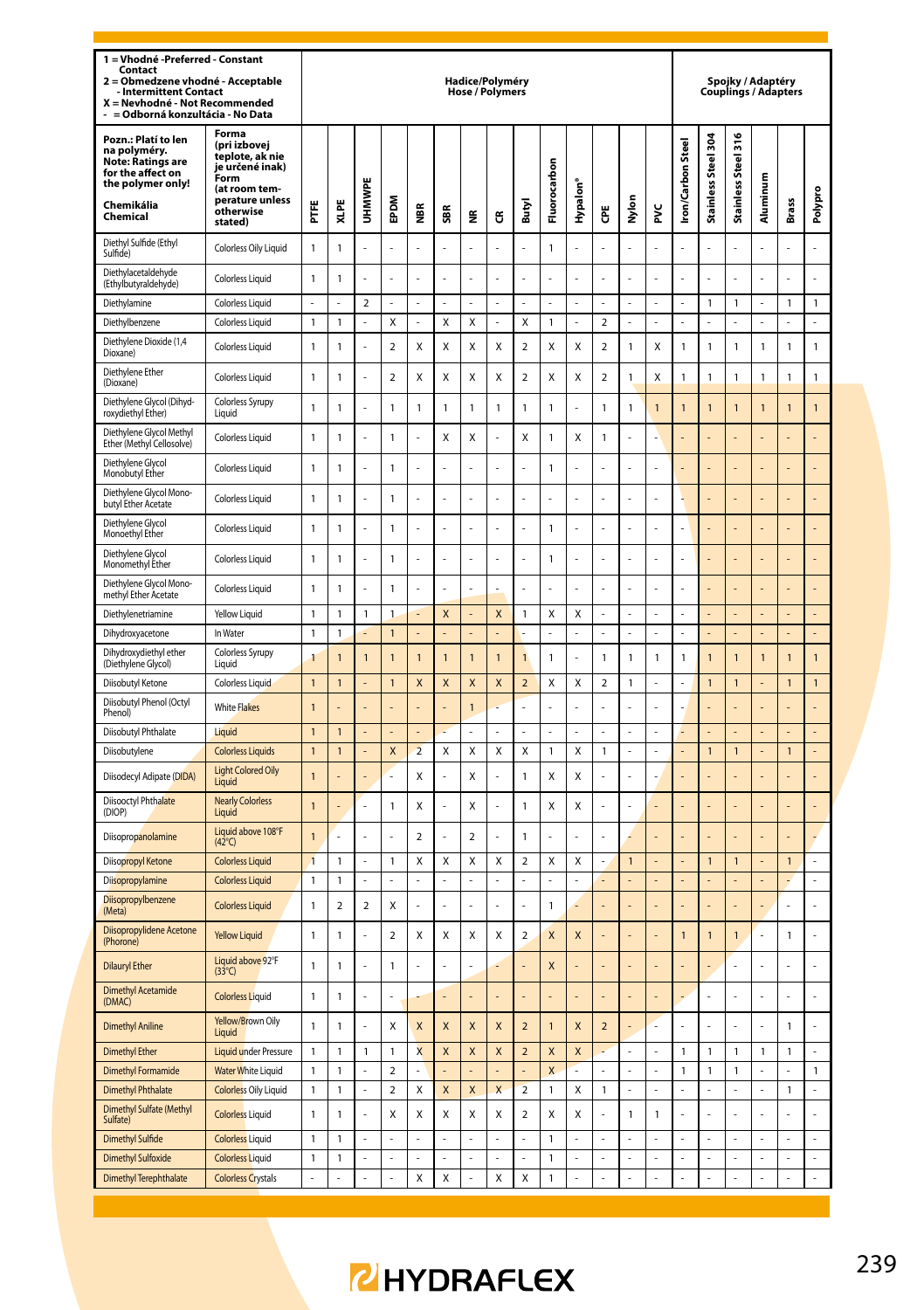| 1 = Vhodné - Preferred - Constant<br>Contact<br>Obmedzene vhodné - Acceptable<br>$\overline{ }$<br><b>Intermittent Contact</b><br>X = Nevhodné - Not Recommended<br>= Odborná konzultácia - No Data |                                                                                                                                 |                |                |                          |                          |                         |                           | Hadice/Polyméry<br><b>Hose / Polymers</b> |                         |                          |                              |                         |                          |                |    |                   |                      | Spojky / Adaptéry<br><b>Couplings / Adapters</b> |                |                      |                |
|-----------------------------------------------------------------------------------------------------------------------------------------------------------------------------------------------------|---------------------------------------------------------------------------------------------------------------------------------|----------------|----------------|--------------------------|--------------------------|-------------------------|---------------------------|-------------------------------------------|-------------------------|--------------------------|------------------------------|-------------------------|--------------------------|----------------|----|-------------------|----------------------|--------------------------------------------------|----------------|----------------------|----------------|
| Pozn.: Platí to len<br>na polyméry.<br><b>Note: Ratings are</b><br>for the affect on<br>the polymer only!<br>Chemikália<br>Chemical                                                                 | Forma<br>(pri izbovej<br>teplote, ak nie<br>ie určené inak)<br>Form<br>(at room tem-<br>perature unless<br>otherwise<br>stated) | Ë              | XLPE           | <b>UHMWP</b>             | EPDM                     | ă                       | SBR                       | ž                                         | ű                       | Butyl                    | Fluorocarbon                 | Hypalon <sup>®</sup>    | Ğ                        | Nylon          | ž  | Iron/Carbon Steel | Stainless Steel 304  | Steel 316<br><b>Stainless</b>                    | Aluminum       | <b>Brass</b>         | Polypro        |
| Diethyl Sulfide (Ethyl<br>Sulfide)                                                                                                                                                                  | Colorless Oily Liquid                                                                                                           | $\mathbf{1}$   | $\mathbf{1}$   |                          |                          |                         |                           |                                           |                         |                          | $\mathbf{1}$                 |                         |                          |                |    |                   |                      |                                                  |                |                      |                |
| Diethylacetaldehyde<br>(Ethylbutyraldehyde)                                                                                                                                                         | <b>Colorless Liquid</b>                                                                                                         | $\mathbf{1}$   | $\mathbf{1}$   |                          |                          |                         |                           |                                           |                         |                          |                              |                         |                          |                |    |                   |                      |                                                  |                |                      |                |
| Diethylamine                                                                                                                                                                                        | <b>Colorless Liquid</b>                                                                                                         | ÷,             |                | $\overline{2}$           | L.                       |                         |                           |                                           |                         | ÷.                       | L.                           |                         | ä,                       | ä,             |    |                   | 1                    | 1                                                | Î,             | 1                    | 1              |
| Diethylbenzene                                                                                                                                                                                      | <b>Colorless Liquid</b>                                                                                                         | $\mathbf{1}$   | $\mathbf{1}$   | $\overline{a}$           | X                        | $\overline{a}$          | X                         | Χ                                         | L                       | X                        | $\mathbf{1}$                 | L                       | $\mathcal{L}$            | ä,             | L  | L                 | L                    | L                                                | L,             | L.                   | $\overline{a}$ |
| Diethylene Dioxide (1,4<br>Dioxane)                                                                                                                                                                 | <b>Colorless Liquid</b>                                                                                                         | $\mathbf{1}$   | $\mathbf{1}$   | l,                       | $\mathbf 2$              | Χ                       | X                         | Χ                                         | X                       | $\mathbf 2$              | X                            | Χ                       | $\boldsymbol{2}$         | $\mathbf{1}$   | Χ  | 1                 | $\mathbf{1}$         | 1                                                | $\mathbf{1}$   | $\mathbf{1}$         | $\mathbf{1}$   |
| Diethylene Ether<br>(Dioxane)                                                                                                                                                                       | <b>Colorless Liquid</b>                                                                                                         | $\mathbf{1}$   | $\mathbf{1}$   | l,                       | $\mathbf 2$              | X                       | X                         | X                                         | X                       | $\mathbf 2$              | X                            | X                       | $\boldsymbol{2}$         | $\mathbf{1}$   | X  | 1                 | $\mathbf{1}$         | 1                                                | 1              | $\mathbf{1}$         | $\mathbf{1}$   |
| Diethylene Glycol (Dihyd-<br>roxydiethyl Ether)                                                                                                                                                     | Colorless Syrupy<br>Liauid                                                                                                      | 1              | 1              | J.                       | 1                        | 1                       | 1                         | $\mathbf{1}$                              | 1                       | $\mathbf{1}$             | $\mathbf{1}$                 |                         | 1                        | $\mathbf{1}$   | 1  | 1                 | $\overline{1}$       | 1                                                | 1              | $\overline{1}$       | 1              |
| Diethylene Glycol Methyl<br>Ether (Methyl Cellosolve)                                                                                                                                               | <b>Colorless Liquid</b>                                                                                                         | $\mathbf{1}$   | 1              | ä,                       | 1                        | Î,                      | X                         | X                                         | L                       | X                        | $\mathbf{1}$                 | X                       | $\mathbf{1}$             | ÷.             | í. |                   |                      |                                                  |                |                      | Į.             |
| Diethylene Glycol<br>Monobutyl Ether                                                                                                                                                                | <b>Colorless Liquid</b>                                                                                                         | $\mathbf{1}$   | 1              | L.                       | 1                        | ä,                      | L.                        | L.                                        | l,                      | L.                       | $\mathbf{1}$                 | L                       | J.                       | ä,             | l, |                   | L.                   |                                                  |                | L.                   | l,             |
| Diethylene Glycol Mono-<br>butyl Ether Acetate                                                                                                                                                      | <b>Colorless Liquid</b>                                                                                                         | $\mathbf{1}$   | 1              | ä,                       | $\mathbf{1}$             | l,                      | L.                        | l,                                        | L                       | ÷,                       | L.                           | L                       | J.                       | ä,             | l, |                   | L.                   |                                                  |                | L.                   | l,             |
| Diethylene Glycol<br>Monoethyl Ether                                                                                                                                                                | Colorless Liquid                                                                                                                | $\mathbf{1}$   | $\mathbf{1}$   |                          | $\mathbf{1}$             |                         |                           |                                           |                         |                          | $\mathbf{1}$                 |                         |                          |                |    |                   |                      |                                                  |                |                      |                |
| Diethylene Glycol<br>Monomethyl Ether                                                                                                                                                               | <b>Colorless Liquid</b>                                                                                                         | $\mathbf{1}$   | $\mathbf{1}$   |                          | $\mathbf{1}$             |                         |                           |                                           |                         |                          | $\mathbf{1}$                 |                         |                          |                |    |                   |                      |                                                  |                |                      |                |
| Diethylene Glycol Mono-<br>methyl Ether Acetate                                                                                                                                                     | Colorless Liquid                                                                                                                | 1              | 1              |                          | $\mathbf{1}$             |                         |                           |                                           |                         |                          |                              |                         |                          |                |    |                   |                      |                                                  |                |                      |                |
| Diethylenetriamine                                                                                                                                                                                  | Yellow Liquid                                                                                                                   | 1              | 1              | $\mathbf{1}$             | 1                        |                         | $\overline{\mathsf{x}}$   | ÷.                                        | $\overline{\mathsf{x}}$ | $\overline{1}$           | X                            | X                       | J.                       | ä,             | l  | L,                |                      |                                                  |                |                      | L              |
| Dihydroxyacetone                                                                                                                                                                                    | In Water                                                                                                                        | $\mathbf{1}$   | $\mathbf{1}$   |                          | $\mathbf{1}$             |                         | ÷,                        | ä,                                        | L                       | ä,                       | ä,                           | L                       | ÷,                       | ä,             | L  | ä,                | ä,                   |                                                  | J.             | L.                   | Į.             |
| Dihydroxydiethyl ether<br>(Diethylene Glycol)                                                                                                                                                       | Colorless Syrupy<br>Liquid                                                                                                      | 1              | 1              | 1                        | $\overline{1}$           | 1                       | $\overline{1}$            | $\overline{1}$                            | $\overline{1}$          | $\overline{1}$           | $\mathbf{1}$                 |                         | 1                        | $\mathbf{1}$   | 1  | 1                 | $\overline{1}$       | 1                                                | 1              | $\overline{1}$       | 1              |
| Diisobutyl Ketone                                                                                                                                                                                   | Colorless Liquid                                                                                                                | $\overline{1}$ | $\overline{1}$ |                          | $\overline{1}$           | $\mathsf{x}$            | $\mathsf{x}$              | $\overline{\mathsf{x}}$                   | $\overline{\mathsf{x}}$ | $\overline{\phantom{0}}$ | Χ                            | X                       | $\overline{\phantom{a}}$ | $\mathbf{1}$   |    |                   | $\overline{1}$       | $\overline{1}$                                   |                | $\overline{1}$       | $\overline{1}$ |
| Diisobutyl Phenol (Octyl<br>Phenoll                                                                                                                                                                 | <b>White Flakes</b>                                                                                                             | 1              |                |                          | L                        |                         |                           | $\mathbf{1}$                              |                         | ÷,                       | ä,                           | J                       | L,                       | ä,             | L  |                   | L                    |                                                  |                |                      |                |
| Diisobutyl Phthalate                                                                                                                                                                                | Liquid                                                                                                                          | $\mathbf{1}$   | 1              |                          |                          |                         |                           |                                           |                         |                          |                              |                         |                          |                |    |                   |                      |                                                  |                |                      |                |
| Diisobutylene                                                                                                                                                                                       | <b>Colorless Liquids</b>                                                                                                        | $\overline{1}$ | $\overline{1}$ |                          | X                        | $\overline{z}$          | X                         | X                                         | X                       | $\mathsf{x}$             | $\mathbf{1}$                 | X                       | $\overline{1}$           | L              |    |                   | $\overline{1}$       | $\overline{1}$                                   | l,             | $\overline{1}$       |                |
| Diisodecyl Adipate (DIDA)                                                                                                                                                                           | <b>Light Colored Oily</b><br>Liquid                                                                                             | $\mathbf{1}$   |                |                          | L                        | X                       |                           | Χ                                         | L                       | $\mathbf{1}$             | Χ                            | X                       |                          | L,             |    |                   |                      |                                                  |                |                      |                |
| Diisooctyl Phthalate<br>(DIOP)                                                                                                                                                                      | <b>Nearly Colorless</b><br>Liquid                                                                                               | $\overline{1}$ |                | ä,                       | $\mathbf{1}$             | X                       | ä,                        | X                                         | ä,                      | $\mathbf{1}$             | X                            | X                       | J.                       | ä,             | l  |                   | L.                   |                                                  |                | L.                   | l,             |
| Diisopropanolamine                                                                                                                                                                                  | Liquid above 108°F<br>$(42^{\circ}C)$                                                                                           | $\overline{1}$ | ż              | L.                       | L.                       | $\mathcal{P}$           | ÷.                        | $\mathfrak{p}$                            | $\overline{a}$          | $\overline{1}$           | L.                           | J,                      |                          |                |    |                   | L.                   |                                                  |                |                      | L              |
| Diisopropyl Ketone                                                                                                                                                                                  | <b>Colorless Liquid</b>                                                                                                         | $\overline{1}$ | 1              |                          | 1                        | Χ                       | X                         | Χ                                         | X                       | $\mathbf 2$              | Χ                            | X                       |                          | $\mathbf{1}$   |    |                   | $\mathbf{1}$         | $\overline{1}$                                   |                | $\mathbf{1}$         |                |
| Diisopropylamine                                                                                                                                                                                    | <b>Colorless Liquid</b>                                                                                                         | $\mathbf{1}$   | $\mathbf{1}$   | ı                        | L                        | L                       | i,                        | L                                         | $\overline{a}$          |                          | i,                           | L                       |                          |                |    |                   |                      |                                                  |                |                      |                |
| Diisopropylbenzene<br>(Meta)                                                                                                                                                                        | <b>Colorless Liquid</b>                                                                                                         | $\mathbf{1}$   | $\overline{2}$ | $\overline{\phantom{a}}$ | Χ                        | í,                      | J.                        | ä,                                        |                         | J.                       | $\mathbf{1}$                 |                         |                          | ä,             |    |                   | L,                   |                                                  |                | ä,                   |                |
| Diisopropylidene Acetone<br>(Phorone)                                                                                                                                                               | <b>Yellow Liquid</b>                                                                                                            | $\mathbf{1}$   | 1              | l,                       | $\overline{\phantom{a}}$ | X                       | X                         | X                                         | X                       | $\overline{a}$           | $\mathsf{x}$                 | $\overline{\mathsf{x}}$ |                          |                |    | $\mathbf{1}$      | $\overline{1}$       | 1                                                | l,             | 1                    |                |
| <b>Dilauryl Ether</b>                                                                                                                                                                               | Liquid above 92°F<br>$(33^{\circ}C)$                                                                                            | $\mathbf{1}$   | $\mathbf{1}$   | l,                       | $\mathbf{1}$             |                         |                           |                                           |                         |                          | $\overline{\mathsf{x}}$      |                         |                          |                |    |                   |                      |                                                  |                |                      |                |
| <b>Dimethyl Acetamide</b><br>(DMAC)                                                                                                                                                                 | <b>Colorless Liquid</b>                                                                                                         | $\mathbf{1}$   | $\mathbf{1}$   | ÷,                       |                          |                         |                           |                                           |                         |                          |                              |                         |                          |                |    |                   | l,                   | l,                                               |                |                      |                |
| <b>Dimethyl Aniline</b>                                                                                                                                                                             | Yellow/Brown Oily<br>Liquid                                                                                                     | $\mathbf{1}$   | 1              | l,                       | Χ                        | X                       | $\boldsymbol{\mathsf{x}}$ | $\overline{\mathsf{x}}$                   | X                       | $\overline{2}$           | $\overline{1}$               | X                       | $\overline{2}$           |                |    |                   |                      |                                                  |                | $\mathbf{1}$         |                |
| <b>Dimethyl Ether</b>                                                                                                                                                                               | <b>Liquid under Pressure</b>                                                                                                    | $\mathbf{1}$   | $\mathbf{1}$   | $\mathbf{1}$             | $\mathbf{1}$             | $\overline{\mathbf{x}}$ | $\mathsf{x}$              | $\overline{\mathsf{x}}$                   | $\overline{\mathsf{x}}$ | $\overline{\phantom{0}}$ | $\overline{\mathsf{x}}$      | $\overline{\mathsf{x}}$ |                          | L,             |    | $\mathbf{1}$      | $\mathbf{1}$         | 1                                                | $\mathbf{1}$   | $\mathbf{1}$         |                |
| <b>Dimethyl Formamide</b>                                                                                                                                                                           | <b>Water White Liquid</b>                                                                                                       | $\mathbf{1}$   | 1              |                          | $\overline{a}$           |                         |                           |                                           |                         |                          | $\overline{\mathsf{x}}$      |                         |                          |                |    | 1                 | $\mathbf{1}$         | 1                                                |                |                      | $\mathbf{1}$   |
| <b>Dimethyl Phthalate</b>                                                                                                                                                                           | <b>Colorless Oily Liquid</b>                                                                                                    | $\mathbf{1}$   | $\mathbf{1}$   | $\overline{a}$           | $\overline{a}$           | X                       | $\overline{\mathsf{x}}$   | X                                         | $\overline{\mathsf{x}}$ | $\overline{\phantom{a}}$ | $\mathbf{1}$                 | X                       | $\mathbf{1}$             | $\overline{a}$ | l  | L                 | $\overline{a}$       | L                                                | $\overline{a}$ | $\mathbf{1}$         |                |
| <b>Dimethyl Sulfate (Methyl</b><br>Sulfate)                                                                                                                                                         | <b>Colorless Liquid</b>                                                                                                         | $\mathbf{1}$   | 1              |                          | Χ                        | X                       | Χ                         | X                                         | X                       | $\overline{a}$           | X                            | X                       |                          | $\mathbf{1}$   | 1  |                   |                      |                                                  |                |                      |                |
| <b>Dimethyl Sulfide</b>                                                                                                                                                                             | <b>Colorless Liquid</b>                                                                                                         | 1              | 1              |                          | ä,<br>$\overline{a}$     |                         |                           | L                                         |                         |                          | $\mathbf{1}$                 |                         | l,                       | L,             |    |                   | ä,<br>$\overline{a}$ |                                                  | l,             | ä,<br>$\overline{a}$ | L              |
| <b>Dimethyl Sulfoxide</b><br><b>Dimethyl Terephthalate</b>                                                                                                                                          | <b>Colorless Liquid</b><br><b>Colorless Crystals</b>                                                                            | $\mathbf{1}$   | $\mathbf{1}$   |                          | ÷                        | X                       | X                         | ÷                                         | X                       | X                        | $\mathbf{1}$<br>$\mathbf{1}$ |                         |                          |                |    |                   |                      |                                                  | ł,             |                      |                |
|                                                                                                                                                                                                     |                                                                                                                                 |                |                |                          |                          |                         |                           |                                           |                         |                          |                              |                         |                          |                |    |                   |                      |                                                  |                |                      |                |

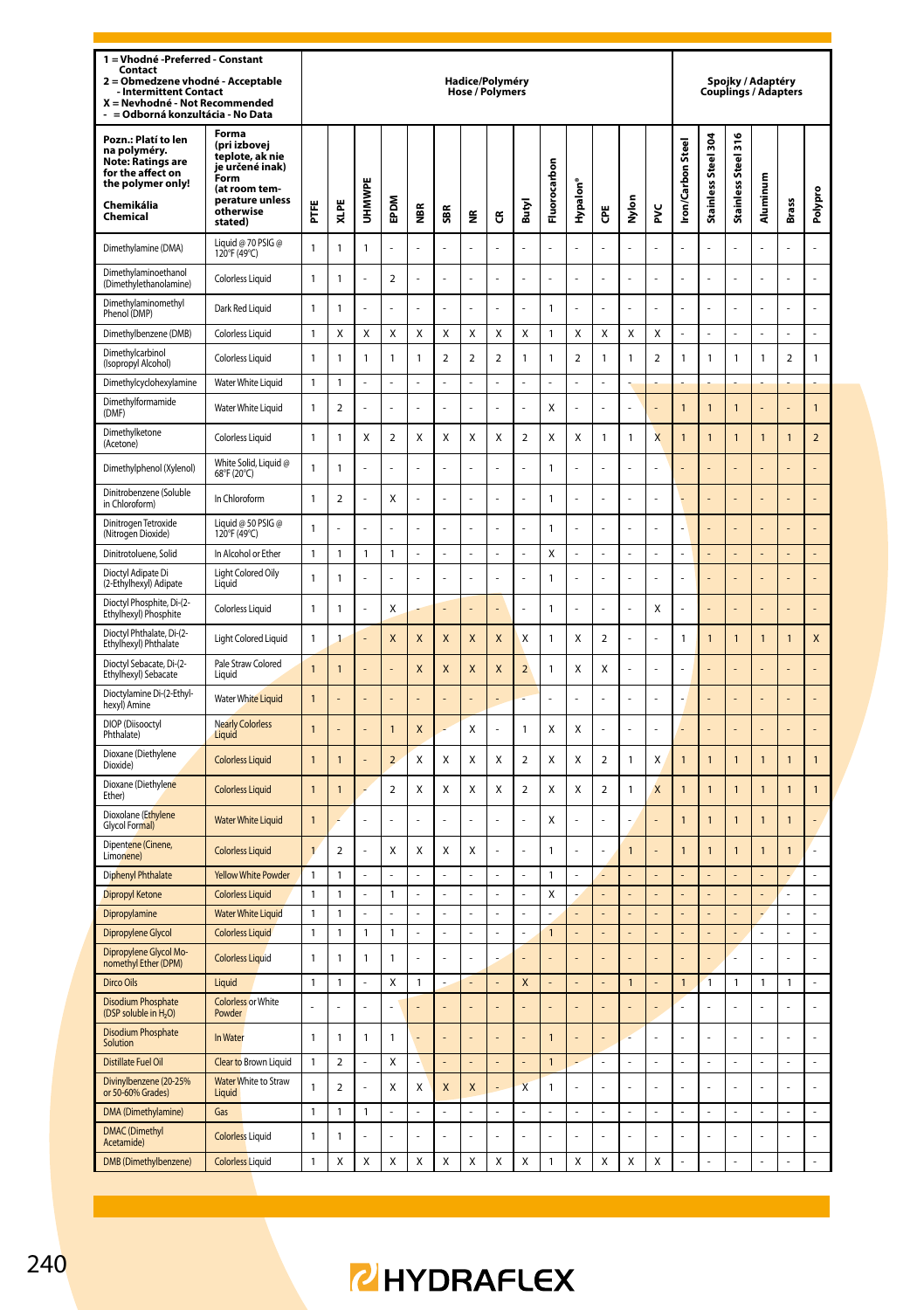| 1 = Vhodné -Preferred - Constant<br>Contact<br>Obmedzene vhodné - Acceptable<br>$\overline{2}$<br><b>Intermittent Contact</b><br>X = Nevhodné - Not Recommended<br>= Odborná konzultácia - No Data |                                                                                                                                 |                |                         |                |                         |                         |                         |                | Hadice/Polyméry<br><b>Hose / Polymers</b> |                         |                                |                  |                  |                |                         |                         |                     | Spojky / Adaptéry<br><b>Couplings / Adapters</b> |                |                |                |
|----------------------------------------------------------------------------------------------------------------------------------------------------------------------------------------------------|---------------------------------------------------------------------------------------------------------------------------------|----------------|-------------------------|----------------|-------------------------|-------------------------|-------------------------|----------------|-------------------------------------------|-------------------------|--------------------------------|------------------|------------------|----------------|-------------------------|-------------------------|---------------------|--------------------------------------------------|----------------|----------------|----------------|
| Pozn.: Platí to len<br>na polyméry.<br><b>Note: Ratings are</b><br>for the affect on<br>the polymer only!<br>Chemikália<br>Chemical                                                                | Forma<br>(pri izbovej<br>teplote, ak nie<br>je určené inak)<br>Form<br>(at room tem-<br>perature unless<br>otherwise<br>stated) | Ë              | XLPE                    | UHMWP          | EPDM                    | ₩                       | SBR                     | ž              | ජ                                         | Butyl                   | Fluorocarbon                   | Hypalon'         | Ğ                | Nylon          | ž                       | <b>Iron/Carbon Stee</b> | Stainless Steel 304 | ۰<br>Stainless Steel 31                          | Aluminum       | Brass          | Polypro        |
| Dimethylamine (DMA)                                                                                                                                                                                | Liquid @ 70 PSIG @<br>120°F (49°C)                                                                                              | 1              | 1                       | 1              |                         |                         |                         |                |                                           |                         |                                |                  |                  |                |                         |                         |                     | L                                                |                |                | L              |
| Dimethylaminoethanol<br>(Dimethylethanolamine)                                                                                                                                                     | Colorless Liquid                                                                                                                | 1              | 1                       | J              | $\overline{2}$          |                         |                         |                |                                           |                         |                                |                  |                  | L              | L,                      |                         | L.                  | L                                                |                |                | L.             |
| Dimethylaminomethyl<br>Phenol (DMP)                                                                                                                                                                | Dark Red Liquid                                                                                                                 | $\mathbf{1}$   | 1                       |                |                         |                         |                         |                |                                           |                         | $\mathbf{1}$                   |                  |                  |                |                         |                         |                     |                                                  |                |                | Ļ              |
| Dimethylbenzene (DMB)                                                                                                                                                                              | <b>Colorless Liquid</b>                                                                                                         | $\mathbf{1}$   | $\mathbf{x}$            | $\mathbf x$    | X                       | X                       | $\mathbf{x}$            | X              | X                                         | $\mathbf{x}$            | $\overline{1}$                 | X                | $\mathbf{x}$     | X              | X                       | $\overline{a}$          | $\overline{a}$      | L                                                | $\overline{a}$ | L.             | L              |
| Dimethylcarbinol<br>(Isopropyl Alcohol)                                                                                                                                                            | Colorless Liquid                                                                                                                | 1              | 1                       | 1              | 1                       | 1                       | $\overline{\mathbf{2}}$ | $\mathbf 2$    | $\mathbf 2$                               | $\mathbf{1}$            | $\mathbf{1}$                   | $\boldsymbol{2}$ | $\mathbbm{1}$    | 1              | $\boldsymbol{2}$        | 1                       | 1                   | 1                                                | 1              | $\mathbf 2$    | 1              |
| Dimethylcyclohexylamine                                                                                                                                                                            | Water White Liquid                                                                                                              | 1              | 1                       | L              | ä,                      |                         | ä,                      | L              | ä,                                        | ä,                      | ä,                             | ä,               | ä,               |                |                         |                         |                     |                                                  |                |                |                |
| Dimethylformamide<br>(DMF)                                                                                                                                                                         | Water White Liquid                                                                                                              | 1              | $\overline{2}$          |                |                         |                         |                         |                |                                           |                         | X                              |                  |                  |                |                         | $\mathbf{1}$            | $\mathbf{1}$        | 1                                                |                |                | $\mathbf{1}$   |
| Dimethylketone<br>(Acetone)                                                                                                                                                                        | <b>Colorless Liquid</b>                                                                                                         | $\mathbf{1}$   | 1                       | X              | $\overline{\mathbf{c}}$ | Χ                       | X                       | X              | X                                         | $\overline{2}$          | X                              | X                | $\mathbf{1}$     | 1              | $\overline{\mathsf{x}}$ | $\overline{1}$          | 1                   | 1                                                | $\overline{1}$ | 1              | $\overline{a}$ |
| Dimethylphenol (Xylenol)                                                                                                                                                                           | White Solid, Liquid @<br>68°F (20°C)                                                                                            | 1              | 1                       |                |                         |                         |                         |                |                                           |                         | $\mathbf{1}$                   |                  |                  |                |                         |                         |                     |                                                  |                |                |                |
| Dinitrobenzene (Soluble<br>in Chloroform)                                                                                                                                                          | In Chloroform                                                                                                                   | 1              | $\overline{2}$          |                | Χ                       |                         |                         |                |                                           |                         | $\mathbf{1}$                   |                  |                  |                |                         |                         |                     |                                                  |                |                |                |
| Dinitrogen Tetroxide<br>(Nitrogen Dioxide)                                                                                                                                                         | Liquid @ 50 PSIG @<br>120°F (49°C)                                                                                              | $\mathbf{1}$   |                         | l              |                         |                         | l,                      |                |                                           |                         | $\overline{1}$                 |                  |                  |                |                         |                         |                     |                                                  |                |                |                |
| Dinitrotoluene, Solid                                                                                                                                                                              | In Alcohol or Ether                                                                                                             | $\mathbf{1}$   | $\mathbf{1}$            | $\mathbf{1}$   | $\mathbf{1}$            | L.                      | L.                      | L.             | L.                                        | L.                      | X                              | L,               | J.               | ä,             | l,                      | L.                      | L.                  |                                                  | L.             | L.             | L              |
| Dioctyl Adipate Di<br>(2-Ethylhexyl) Adipate                                                                                                                                                       | Light Colored Oily<br>Liquid                                                                                                    | 1              | 1                       | l,             |                         |                         | l,                      | L,             |                                           | l,                      | $\mathbf{1}$                   |                  | l,               | L,             |                         | L,                      |                     |                                                  |                |                |                |
| Dioctyl Phosphite, Di-(2-<br>Ethylhexyl) Phosphite                                                                                                                                                 | <b>Colorless Liquid</b>                                                                                                         | 1              | 1                       | Ļ              | Χ                       |                         |                         |                |                                           |                         | 1                              |                  |                  | L,             | X                       |                         |                     |                                                  |                |                |                |
| Dioctyl Phthalate, Di-(2-<br>Ethylhexyl) Phthalate                                                                                                                                                 | <b>Light Colored Liquid</b>                                                                                                     | $\mathbf{1}$   | 1                       | ł,             | X                       | X                       | X                       | X              | X                                         | X                       | $\mathbf{1}$                   | Χ                | $\overline{a}$   |                |                         | $\mathbf{1}$            | $\mathbf{1}$        | 1                                                | $\overline{1}$ | $\mathbf{1}$   | X              |
| Dioctyl Sebacate, Di-(2-<br>Ethylhexyl) Sebacate                                                                                                                                                   | Pale Straw Colored<br>Liquid                                                                                                    | $\overline{1}$ | 1                       | ä,             |                         | $\overline{\mathsf{x}}$ | X                       | X              | $\overline{\mathsf{x}}$                   | $\overline{2}$          | $\mathbf{1}$                   | Χ                | X                | L              |                         |                         |                     |                                                  |                |                |                |
| Dioctylamine Di-(2-Ethyl-<br>hexyl) Amine                                                                                                                                                          | <b>Water White Liquid</b>                                                                                                       | $\mathbf{1}$   |                         |                |                         |                         |                         |                |                                           |                         |                                |                  |                  |                |                         |                         |                     |                                                  |                |                |                |
| DIOP (Diisooctyl<br>Phthalate)                                                                                                                                                                     | <b>Nearly Colorless</b><br>Liquid                                                                                               | $\mathbf{1}$   |                         | L,             | 1                       | X                       |                         | Χ              |                                           | $\mathbf{1}$            | Χ                              | Χ                |                  |                |                         |                         |                     |                                                  |                |                |                |
| Dioxane (Diethylene<br>Dioxide)                                                                                                                                                                    | <b>Colorless Liquid</b>                                                                                                         | $\overline{1}$ | 1                       | L,             | $\overline{a}$          | Χ                       | X                       | X              | X                                         | $\overline{2}$          | X                              | Χ                | $\overline{a}$   | 1              | Χ                       | $\overline{1}$          | $\overline{1}$      | $\overline{1}$                                   | $\overline{1}$ | $\overline{1}$ | $\overline{1}$ |
| Dioxane (Diethylene<br>Ether)                                                                                                                                                                      | <b>Colorless Liquid</b>                                                                                                         | $\mathbf{1}$   | 1                       |                | $\overline{\mathbf{c}}$ | Χ                       | Χ                       | Χ              | Χ                                         | $\overline{\mathbf{2}}$ | Χ                              | Χ                | $\boldsymbol{2}$ | 1              | X                       | $\overline{1}$          | $\mathbf{1}$        | $\overline{1}$                                   | $\overline{1}$ | 1              | 1              |
| Dioxolane (Ethylene<br>Glycol Formal)                                                                                                                                                              | <b>Water White Liquid</b>                                                                                                       | $\mathbf{1}$   |                         |                |                         |                         |                         |                |                                           |                         | Χ                              |                  |                  |                |                         | $\overline{1}$          | $\mathbf{1}$        | 1                                                | $\overline{1}$ | $\mathbf{1}$   |                |
| Dipentene (Cinene,<br>Limonene)                                                                                                                                                                    | <b>Colorless Liquid</b>                                                                                                         | $\mathbf{1}$   | $\overline{a}$          | L,             | Χ                       | Χ                       | X                       | X              |                                           | l,                      | $\mathbf{1}$                   |                  | ÷,               | $\overline{1}$ |                         | $\overline{1}$          | $\overline{1}$      | $\overline{1}$                                   | $\overline{1}$ | $\overline{1}$ |                |
| <b>Diphenyl Phthalate</b>                                                                                                                                                                          | <b>Yellow White Powder</b>                                                                                                      | 1              | 1                       | L.             | $\overline{a}$          |                         | L.                      | L              |                                           | L.                      | $\mathbf{1}$                   | L                | L                |                |                         |                         |                     |                                                  |                |                | L              |
| <b>Dipropyl Ketone</b>                                                                                                                                                                             | <b>Colorless Liquid</b>                                                                                                         | 1              | 1                       | $\overline{a}$ | 1                       | L.                      | $\overline{a}$          | $\overline{a}$ | L.                                        | $\overline{a}$          | Χ                              |                  | $\overline{a}$   | L              |                         |                         |                     |                                                  | i.             | L.             | L              |
| Dipropylamine                                                                                                                                                                                      | <b>Water White Liquid</b>                                                                                                       | 1<br>1         | 1                       | ÷,             | $\overline{a}$<br>1     | L.                      | ä,                      | ÷,<br>L,       | L.                                        | ä,                      | L.                             | L                | ÷,               | L.             | L                       | L,                      | L,                  | L                                                | ä,             | ÷,             | L<br>L         |
| Dipropylene Glycol<br>Dipropylene Glycol Mo-                                                                                                                                                       | <b>Colorless Liquid</b><br><b>Colorless Liquid</b>                                                                              | 1              | 1<br>1                  | 1<br>1         | 1                       | L.                      | l,                      | ä,             |                                           | l,                      | $\mathbf{1}$<br>$\overline{a}$ |                  | L.               | L              |                         |                         | L.                  | ź                                                |                | ÷,             | l,             |
| nomethyl Ether (DPM)<br>Dirco Oils                                                                                                                                                                 | Liquid                                                                                                                          | 1              | 1                       | L,             | Χ                       | 1                       |                         |                |                                           | X                       |                                |                  |                  | $\mathbf{1}$   |                         | $\mathbf{1}$            | $\mathbf{1}$        | 1                                                | 1              | 1              |                |
| <b>Disodium Phosphate</b>                                                                                                                                                                          | <b>Colorless or White</b>                                                                                                       |                |                         | L              |                         |                         |                         |                |                                           |                         |                                |                  |                  |                |                         |                         | L.                  |                                                  |                | L.             | l,             |
| (DSP soluble in H <sub>2</sub> O)<br><b>Disodium Phosphate</b>                                                                                                                                     | Powder                                                                                                                          | $\mathbf{1}$   |                         |                |                         |                         |                         | L              |                                           |                         |                                |                  |                  |                | J,                      |                         | L.                  |                                                  |                | L.             |                |
| Solution                                                                                                                                                                                           | In Water                                                                                                                        |                | 1                       | 1              | 1                       |                         |                         |                |                                           |                         | $\mathbf{1}$                   |                  |                  |                |                         |                         |                     |                                                  |                |                | ł,             |
| Distillate Fuel Oil<br>Divinylbenzene (20-25%                                                                                                                                                      | <b>Clear to Brown Liquid</b><br>Water White to Straw                                                                            | 1              | $\overline{a}$          | $\overline{a}$ | Χ                       |                         |                         |                |                                           |                         | 1                              | i.               | l,               | L,             | Ļ                       | L,                      | L,                  | L                                                |                | L,             | L,             |
| or 50-60% Grades)                                                                                                                                                                                  | Liquid                                                                                                                          | 1              | $\overline{\mathbf{c}}$ | L              | x                       | X                       | X                       | X              |                                           | X                       | $\mathbf{1}$                   |                  | J.               | J,             |                         |                         | L.                  |                                                  |                |                | ż              |
| DMA (Dimethylamine)<br><b>DMAC</b> (Dimethyl                                                                                                                                                       | Gas                                                                                                                             | 1              | 1                       | 1              | L,                      |                         | L,                      | $\overline{a}$ |                                           | L                       |                                | l,               | l,               | L,             | Ļ                       |                         | L,                  | Ļ                                                | l,             | L,             | ÷,             |
| Acetamide)                                                                                                                                                                                         | <b>Colorless Liquid</b>                                                                                                         | 1              | 1                       | ä,             | ä,                      |                         | ä,                      | ä,             |                                           | ä,                      | ä,                             | J,               | ÷.               | ä,             | J,                      |                         | ä,                  | Į.                                               | ä,             | ä,             | L              |
| DMB (Dimethylbenzene)                                                                                                                                                                              | <b>Colorless Liquid</b>                                                                                                         | $\mathbf{1}$   | X                       | X              | X                       | X                       | X                       | X              | X                                         | X                       | $\mathbf{1}$                   | X                | X                | X              | Χ                       |                         | ä,                  |                                                  |                |                |                |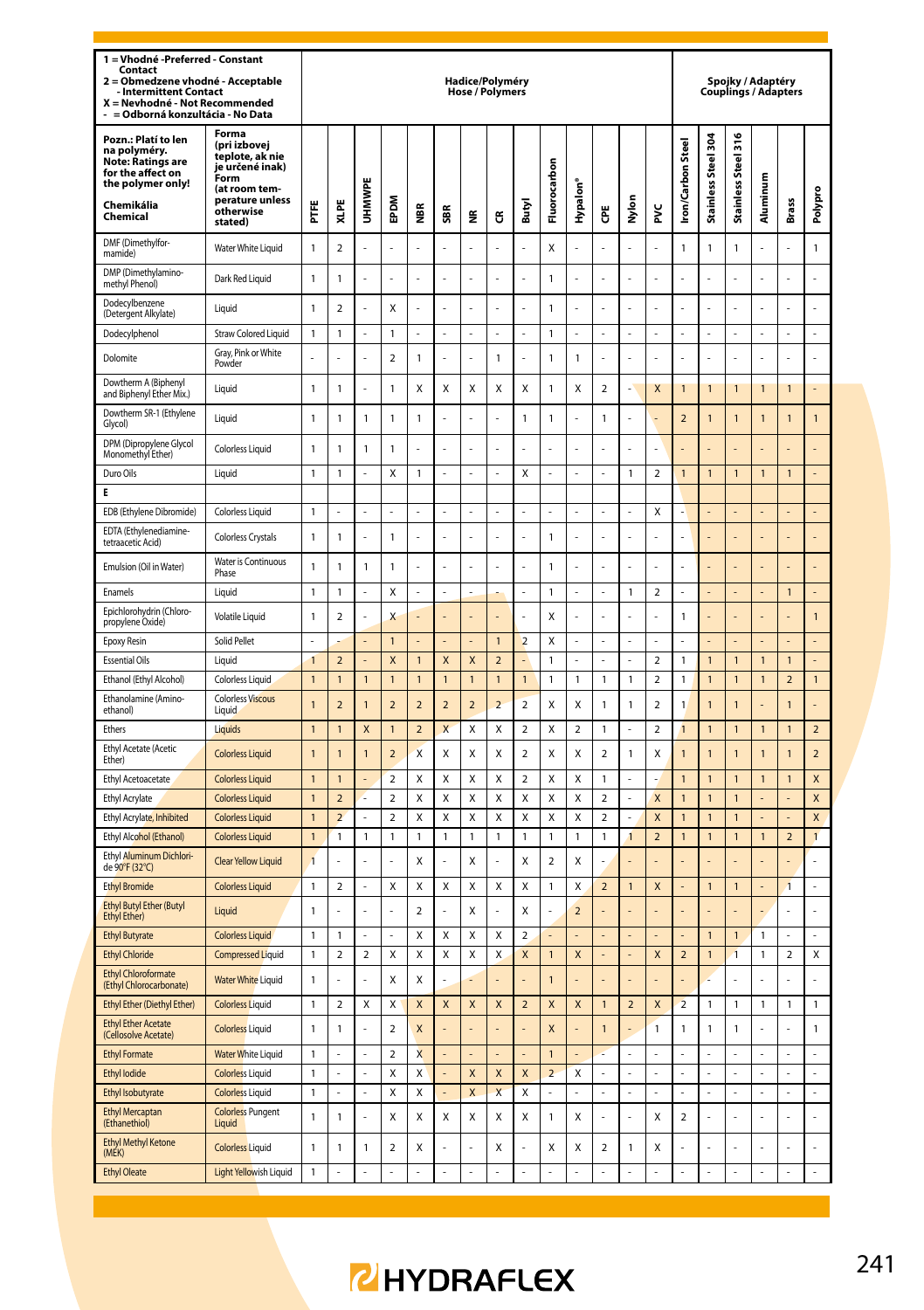| 1 = Vhodné - Preferred - Constant<br>Contact<br>Obmedzene vhodné - Acceptable<br>$\overline{a}$<br><b>Intermittent Contact</b><br>X = Nevhodné - Not Recommended<br>= Odborná konzultácia - No Data |                                                                                                                                 |                              |                          |                |                              |                         |                         | Hadice/Polyméry<br><b>Hose / Polymers</b> |                         |                         |                         |                      |                          |                     |                     |                          |                              | Spojky / Adaptéry<br><b>Couplings / Adapters</b> |                |                                  |                   |
|-----------------------------------------------------------------------------------------------------------------------------------------------------------------------------------------------------|---------------------------------------------------------------------------------------------------------------------------------|------------------------------|--------------------------|----------------|------------------------------|-------------------------|-------------------------|-------------------------------------------|-------------------------|-------------------------|-------------------------|----------------------|--------------------------|---------------------|---------------------|--------------------------|------------------------------|--------------------------------------------------|----------------|----------------------------------|-------------------|
| Pozn.: Platí to len<br>na polyméry.<br><b>Note: Ratings are</b><br>for the affect on<br>the polymer only!<br>Chemikália<br>Chemical                                                                 | Forma<br>(pri izbovej<br>teplote, ak nie<br>ie určené inak)<br>Form<br>(at room tem-<br>perature unless<br>otherwise<br>stated) | Ë                            | XLPE                     | UHMWPI         | <b>MGdE</b>                  | ă                       | SBR                     | €                                         | G                       | Butyl                   | Fluorocarbon            | Hypalon <sup>®</sup> | Ğ                        | Nylon               | ž                   | <b>Iron/Carbon Stee</b>  | Stainless Steel 304          | Stainless Steel 316                              | Aluminum       | Brass                            | Polypro           |
| DMF (Dimethylfor-<br>mamide)                                                                                                                                                                        | Water White Liquid                                                                                                              | 1                            | $\overline{\phantom{a}}$ |                | $\overline{a}$               |                         | l,                      | ä,                                        |                         |                         | $\mathsf{x}$            | Ļ                    | l,                       | L,                  | Ļ                   | 1                        | $\mathbf{1}$                 | 1                                                | l,             | $\overline{a}$                   | 1                 |
| DMP (Dimethylamino-<br>methyl Phenol)                                                                                                                                                               | Dark Red Liquid                                                                                                                 | 1                            | 1                        |                | $\overline{a}$               |                         |                         | L                                         | L                       |                         | $\mathbf{1}$            | Ļ                    |                          | L,                  | Ļ                   |                          | $\overline{a}$               | l,                                               |                |                                  | l,                |
| Dodecylbenzene<br>(Detergent Alkylate)                                                                                                                                                              | Liquid                                                                                                                          | $\mathbf{1}$                 | $\overline{\phantom{a}}$ | ä,             | X                            | Į.                      | L                       | L                                         | L                       | L                       | $\mathbf{1}$            | Ļ                    | l,                       | L,                  | Ļ                   |                          | L,                           | l,                                               |                | L                                | L                 |
| Dodecylphenol                                                                                                                                                                                       | <b>Straw Colored Liquid</b>                                                                                                     | 1                            | 1                        | L              | 1                            |                         | l,                      | L.                                        |                         | l,                      | $\mathbf{1}$            | J                    | l,                       | L                   | L                   | J                        | L                            |                                                  | L              | L                                | L.                |
| Dolomite                                                                                                                                                                                            | Gray, Pink or White<br>Powder                                                                                                   |                              |                          |                | $\overline{a}$               | $\mathbf{1}$            |                         |                                           | $\mathbf{1}$            |                         | $\mathbf{1}$            | 1                    |                          |                     |                     |                          |                              |                                                  |                |                                  | l,                |
| Dowtherm A (Bipheny<br>and Biphenyl Ether Mix.)                                                                                                                                                     | Liquid                                                                                                                          | $\mathbf{1}$                 | $\mathbf{1}$             |                | 1                            | Χ                       | X                       | X                                         | X                       | X                       | $\mathbf{1}$            | X                    | $\overline{\mathbf{c}}$  | $\overline{a}$      | X                   | $\mathbf{1}$             | $\mathbf{1}$                 | 1                                                | 1              | $\mathbf{1}$                     | l                 |
| Dowtherm SR-1 (Ethylene<br>Glycol)                                                                                                                                                                  | Liquid                                                                                                                          | $\mathbf{1}$                 | $\mathbf{1}$             | $\mathbf{1}$   | $\mathbf{1}$                 | $\mathbf{1}$            |                         |                                           | $\overline{a}$          | $\mathbf{1}$            | $\mathbf{1}$            | $\overline{a}$       | 1                        | L                   |                     | $\overline{a}$           | 1                            | 1                                                | 1              | 1                                | $\mathbf{1}$      |
| DPM (Dipropylene Glycol<br>Monomethyl Ether)                                                                                                                                                        | <b>Colorless Liquid</b>                                                                                                         | $\mathbf{1}$                 | 1                        | 1              | 1                            | ı                       |                         |                                           | l,                      |                         |                         | Ļ                    |                          |                     | Ļ                   |                          |                              |                                                  |                |                                  |                   |
| Duro Oils                                                                                                                                                                                           | Liauid                                                                                                                          | 1                            | $\mathbf{1}$             | $\overline{a}$ | X                            | 1                       | L                       | L                                         | L                       | $\mathsf{x}$            | L                       | L                    | l,                       | $\mathbf{1}$        | $\overline{a}$      | $\overline{1}$           | $\overline{1}$               | $\overline{1}$                                   | $\overline{1}$ | $\overline{1}$                   | L,                |
| E                                                                                                                                                                                                   |                                                                                                                                 |                              |                          |                |                              |                         |                         |                                           |                         |                         |                         |                      |                          |                     |                     |                          |                              |                                                  |                |                                  |                   |
| EDB (Ethylene Dibromide)                                                                                                                                                                            | Colorless Liquid                                                                                                                | $\mathbf{1}$                 |                          | L,             | L                            |                         | L                       | L                                         |                         | L                       | L                       | L                    | l,                       |                     | X                   |                          | L                            | L.                                               |                | L                                | L,                |
| EDTA (Ethylenediamine-<br>tetraacetic Acid)                                                                                                                                                         | Colorless Crystals                                                                                                              | 1                            | 1                        | L.             | 1                            |                         | L.                      | L.                                        | L                       | L.                      | $\mathbf{1}$            | J                    | L,                       | L.                  | J                   |                          | L                            |                                                  |                |                                  |                   |
| Emulsion (Oil in Water)                                                                                                                                                                             | <b>Water is Continuous</b><br>Phase                                                                                             | 1                            | 1                        | 1              | 1                            |                         | L.                      | L.                                        |                         | L.                      | $\mathbf{1}$            | J                    | L,                       | L.                  | L                   |                          | L,                           |                                                  |                | L                                | L,                |
| Enamels                                                                                                                                                                                             | Liquid                                                                                                                          | $\mathbf{1}$                 | $\mathbf{1}$             |                | Χ                            |                         |                         |                                           |                         |                         | $\mathbf{1}$            |                      |                          | $\mathbf{1}$        | $\overline{a}$      |                          |                              |                                                  |                | $\mathbf{1}$                     |                   |
| Epichlorohydrin (Chloro-<br>propylene Oxide)                                                                                                                                                        | Volatile Liquid                                                                                                                 | 1                            | $\overline{2}$           |                | X                            |                         |                         |                                           |                         |                         | X                       |                      |                          |                     | l,                  | 1                        |                              |                                                  |                | L                                | $\mathbf{1}$      |
| Epoxy Resin                                                                                                                                                                                         | Solid Pellet                                                                                                                    | L,                           |                          |                | $\mathbf{1}$                 |                         |                         |                                           | $\overline{1}$          | $\overline{2}$          | Χ                       |                      | l,                       | L                   | L,                  |                          |                              |                                                  |                |                                  |                   |
| <b>Essential Oils</b>                                                                                                                                                                               | Liquid                                                                                                                          | $\mathbf{1}$                 | $\overline{a}$           |                | X                            | $\overline{1}$          | $\overline{\mathsf{x}}$ | $\overline{\mathsf{x}}$                   | $\overline{a}$          |                         | $\mathbf{1}$            |                      |                          |                     | $\overline{a}$      | 1                        | $\mathbf{1}$                 | $\overline{1}$                                   | 1              | $\mathbf{1}$                     |                   |
| Ethanol (Ethyl Alcohol)                                                                                                                                                                             | Colorless Liquid<br><b>Colorless Viscous</b>                                                                                    | $\mathbf{1}$                 | $\mathbf{1}$             | $\mathbf{1}$   | $\mathbf{1}$                 | $\mathbf{1}$            | $\overline{1}$          | $\mathbf{1}$                              | $\overline{1}$          | $\mathbf{1}$            | $\mathbf{1}$            | 1                    | 1                        | $\mathbf{1}$        | $\overline{a}$      | 1                        | $\mathbf{1}$                 | $\mathbf{1}$                                     | $\overline{1}$ | $\overline{2}$                   | $\mathbf{1}$      |
| Ethanolamine (Amino-<br>ethanol)                                                                                                                                                                    | Liquid                                                                                                                          | $\mathbf{1}$                 | $\overline{\mathbf{c}}$  | $\overline{1}$ | $\overline{\mathbf{c}}$      | $\overline{\mathbf{c}}$ | $\overline{\mathbf{c}}$ | $\mathbf 2$                               | $\overline{\mathbf{c}}$ | $\overline{\mathbf{c}}$ | Χ                       | X                    | 1                        | $\mathbbm{1}$       | $\mathbf 2$         | 1                        | $\mathbf{1}$                 | 1                                                |                | $\overline{1}$                   | ä,                |
| Ethers                                                                                                                                                                                              | Liquids                                                                                                                         | $\mathbf{1}$                 | $\overline{1}$           | X              | $\mathbf{1}$                 | $\overline{a}$          | $\overline{\mathsf{x}}$ | X                                         | X                       | $\overline{2}$          | X                       | $\overline{a}$       | 1                        |                     | $\overline{a}$      | $\overline{1}$           | $\mathbf{1}$                 | $\mathbf{1}$                                     | 1              | $\mathbf{1}$                     | $\overline{a}$    |
| Ethyl Acetate (Acetic<br>Ether)                                                                                                                                                                     | <b>Colorless Liquid</b>                                                                                                         | $\overline{1}$               | $\overline{1}$           | 1              | $\overline{2}$               | $\mathbf{x}$            | X                       | X                                         | X                       | $\overline{a}$          | X                       | X                    | $\overline{\phantom{a}}$ | $\mathbf{1}$        | X                   | $\mathbf{1}$             | $\overline{1}$               | $\overline{1}$                                   | $\overline{1}$ | $\overline{1}$                   | $\overline{2}$    |
| Ethyl Acetoacetate                                                                                                                                                                                  | <b>Colorless Liquid</b>                                                                                                         | $\mathbf{1}$                 | $\overline{1}$           |                | 2                            | Χ                       | X                       | X                                         | Χ                       | $\overline{\mathbf{c}}$ | Χ                       | X                    | 1                        |                     |                     | $\overline{1}$           | $\mathbf{1}$                 | 1                                                | $\overline{1}$ | 1                                | X                 |
| Ethyl Acrylate                                                                                                                                                                                      | <b>Colorless Liquid</b>                                                                                                         | $\overline{1}$               | $\overline{\mathbf{c}}$  |                | 2                            | Χ                       | X                       | X                                         | Χ                       | X                       | X                       | X                    | $\overline{\mathbf{c}}$  |                     | X                   | $\overline{1}$           | $\overline{1}$               | 1                                                |                |                                  | X                 |
| Ethyl Acrylate, Inhibited<br>Ethyl Alcohol (Ethanol)                                                                                                                                                | <b>Colorless Liquid</b><br><b>Colorless Liquid</b>                                                                              | $\mathbf{1}$<br>$\mathbf{1}$ | $\overline{a}$<br>1      | 1              | $\overline{\mathbf{c}}$<br>1 | X<br>1                  | X<br>1                  | X<br>$\mathbf{1}$                         | X<br>1                  | X<br>$\overline{1}$     | X<br>$\mathbf{1}$       | X<br>1               | $\overline{2}$<br>1      | $\overline{a}$<br>1 | X<br>$\overline{a}$ | $\overline{1}$<br>1      | $\mathbf{1}$<br>$\mathbf{1}$ | $\mathbf{1}$<br>1                                | $\overline{1}$ | $\overline{a}$<br>$\overline{2}$ | X<br>$\mathbf{1}$ |
| Ethyl Aluminum Dichlori-<br>de 90°F (32°C)                                                                                                                                                          | Clear Yellow Liquid                                                                                                             | $\overline{1}$               | ź                        |                | L.                           | x                       |                         | X                                         | l,                      | X                       | $\overline{\mathbf{c}}$ | x                    |                          |                     |                     |                          |                              |                                                  |                |                                  | ÷,                |
| <b>Ethyl Bromide</b>                                                                                                                                                                                | <b>Colorless Liquid</b>                                                                                                         | 1                            | $\overline{\mathbf{c}}$  | L,             | Χ                            | Χ                       | X                       | Χ                                         | Χ                       | X                       | $\mathbf{1}$            | X                    | $\overline{\mathbf{c}}$  | $\mathbf{1}$        | X                   |                          | $\mathbf{1}$                 | 1                                                |                | 1                                | ÷,                |
| <b>Ethyl Butyl Ether (Butyl</b><br><b>Ethyl Ether)</b>                                                                                                                                              | Liquid                                                                                                                          | $\mathbf{1}$                 | ź                        |                | ÷,                           | $\overline{a}$          |                         | X                                         | L                       | X                       | L.                      | $\overline{2}$       |                          |                     |                     |                          |                              |                                                  |                | L.                               | ÷,                |
| <b>Ethyl Butyrate</b>                                                                                                                                                                               | <b>Colorless Liquid</b>                                                                                                         | 1                            | 1                        |                |                              | Χ                       | X                       | X                                         | Χ                       | $\overline{\mathbf{c}}$ |                         |                      |                          |                     |                     |                          | $\overline{1}$               | $\overline{1}$                                   | 1              |                                  |                   |
| <b>Ethyl Chloride</b>                                                                                                                                                                               | <b>Compressed Liquid</b>                                                                                                        | 1                            | $\overline{\mathbf{c}}$  | $\overline{2}$ | X                            | X                       | X                       | X                                         | X                       | X                       | $\mathbf{1}$            | X                    |                          | L,                  | X                   | $\overline{a}$           | $\overline{1}$               | $\overline{1}$                                   | 1              | $\overline{\mathbf{c}}$          | Χ                 |
| <b>Ethyl Chloroformate</b><br>(Ethyl Chlorocarbonate)                                                                                                                                               | <b>Water White Liquid</b>                                                                                                       | 1                            |                          |                | X                            | x                       |                         |                                           |                         |                         | $\overline{1}$          |                      |                          | ÷,                  |                     |                          |                              | Į,                                               |                |                                  | í,                |
| Ethyl Ether (Diethyl Ether)                                                                                                                                                                         | <b>Colorless Liquid</b>                                                                                                         | 1                            | $\overline{2}$           | X              | Χ                            | X                       | X                       | X                                         | X                       | $\overline{2}$          | X                       | X                    | $\overline{1}$           | $\overline{2}$      | X                   | $\overline{2}$           | $\mathbf{1}$                 | 1                                                | 1              | 1                                | 1                 |
| <b>Ethyl Ether Acetate</b><br>(Cellosolve Acetate)                                                                                                                                                  | <b>Colorless Liquid</b>                                                                                                         | $\mathbf{1}$                 | $\mathbf{1}$             | ä,             | $\overline{a}$               | X                       |                         | ä,                                        |                         |                         | $\overline{\mathsf{x}}$ | Į.                   | $\mathbf{1}$             | ÷,                  | 1                   | 1                        | $\mathbf{1}$                 | $\mathbf{1}$                                     | l,             | L,                               | $\mathbf{1}$      |
| <b>Ethyl Formate</b>                                                                                                                                                                                | <b>Water White Liquid</b>                                                                                                       | 1                            |                          | ä,             | $\mathbf 2$                  | X                       | L,                      |                                           |                         |                         | $\mathbf{1}$            |                      | ł.                       | L                   |                     |                          | L                            |                                                  |                | L                                | ä,                |
| <b>Ethyl Iodide</b>                                                                                                                                                                                 | <b>Colorless Liquid</b>                                                                                                         | 1                            |                          | l,             | X                            | Χ                       |                         | X                                         | X                       | X                       | $\overline{a}$          | X                    | l,                       | L                   | L,                  |                          | l,                           | L,                                               |                | l,                               | L                 |
| Ethyl Isobutyrate                                                                                                                                                                                   | <b>Colorless Liquid</b>                                                                                                         | $\mathbf{1}$                 | L                        | ä,             | X                            | X                       |                         | X                                         | X                       | X                       | ä,                      | L                    | l,                       | ä,                  | L                   |                          | ä,                           | ÷,                                               | L              | L                                | l,                |
| <b>Ethyl Mercaptan</b><br>(Ethanethiol)                                                                                                                                                             | <b>Colorless Pungent</b><br>Liquid                                                                                              | $\mathbf{1}$                 | 1                        |                | X                            | x                       | X                       | X                                         | X                       | $\mathsf{x}$            | $\mathbf{1}$            | X                    |                          | L,                  | X                   | $\overline{\phantom{a}}$ | L,                           | l,                                               |                |                                  | l                 |
| <b>Ethyl Methyl Ketone</b><br>(MEK)                                                                                                                                                                 | <b>Colorless Liquid</b>                                                                                                         | $\mathbf{1}$                 | 1                        | 1              | $\overline{\mathbf{c}}$      | X                       |                         | l,                                        | X                       |                         | X                       | X                    | $\overline{\mathbf{c}}$  | $\mathbf{1}$        | X                   |                          |                              |                                                  |                |                                  | l                 |
| <b>Ethyl Oleate</b>                                                                                                                                                                                 | Light Yellowish Liquid                                                                                                          | 1                            | Ļ                        | l,             | L,                           | L                       | l,                      | L,                                        | L                       | l,                      | L                       | L                    | l,                       | l,                  | L                   | L                        | ÷,                           | L                                                | l,             | ÷,                               | $\overline{a}$    |

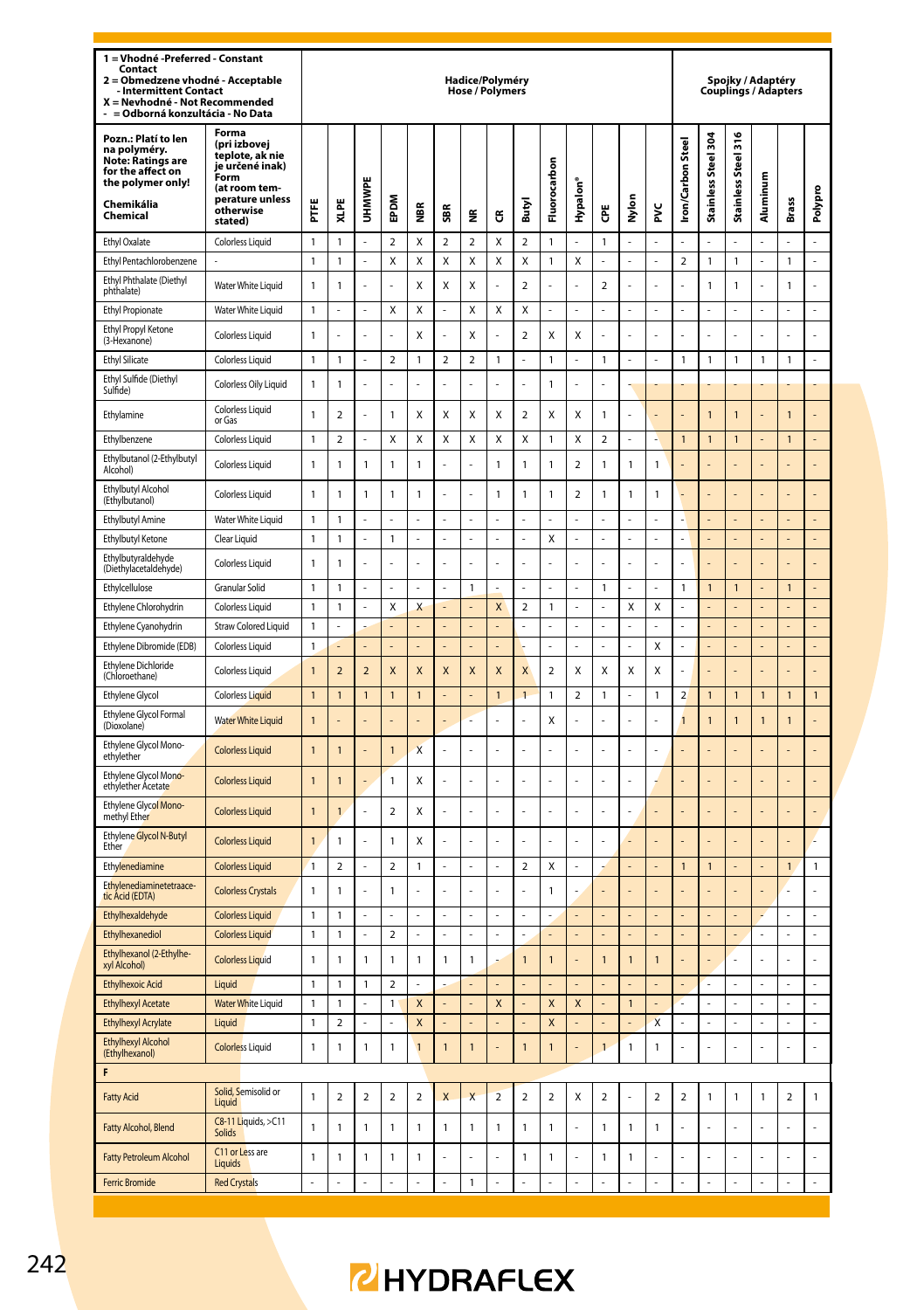| 1 = Vhodné -Preferred - Constant<br>Contact<br>2 = Obmedzene vhodné - Acceptable<br>- Intermittent Contact<br>X = Nevhodné - Not Recommended<br>- = Odborná konzultácia - No Data |                                                                                                                                 |                              |                |                    |                     |                         |                          | Hadice/Polyméry<br>Hose / Polymers |                         |                              |                    |             |                          |                                          |                           |                          |                      |                     | Spojky / Adaptéry<br><b>Couplings / Adapters</b> |                |                |
|-----------------------------------------------------------------------------------------------------------------------------------------------------------------------------------|---------------------------------------------------------------------------------------------------------------------------------|------------------------------|----------------|--------------------|---------------------|-------------------------|--------------------------|------------------------------------|-------------------------|------------------------------|--------------------|-------------|--------------------------|------------------------------------------|---------------------------|--------------------------|----------------------|---------------------|--------------------------------------------------|----------------|----------------|
| Pozn.: Platí to len<br>na polyméry.<br><b>Note: Ratings are</b><br>for the affect on<br>the polymer only!<br>Chemikália<br>Chemical                                               | Forma<br>(pri izbovej<br>teplote, ak nie<br>je určené inak)<br>Form<br>(at room tem-<br>perature unless<br>otherwise<br>stated) | FTFE                         | XLPE           | UHMWPE             | EPDM                | ã                       | SBR                      | ž                                  | ũ                       | Butyl                        | Fluorocarbon       | Hypalon'    | Ğ                        | š<br>Σ                                   | ž                         | <b>Iron/Carbon Steel</b> | Stainless Steel 304  | Stainless Steel 316 | Aluminum                                         | Brass          | Polypro        |
| <b>Ethyl Oxalate</b>                                                                                                                                                              | Colorless Liquid                                                                                                                | 1                            | 1              | ÷,                 | $\overline{2}$      | Χ                       | $\overline{\mathbf{c}}$  | $\overline{2}$                     | X                       | $\overline{\mathbf{c}}$      | $\mathbf{1}$       | ÷,          | 1                        | ÷,                                       |                           |                          |                      |                     |                                                  |                |                |
| Ethyl Pentachlorobenzene                                                                                                                                                          |                                                                                                                                 | 1                            | 1              |                    | Χ                   | Χ                       | Χ                        | Χ                                  | X                       | Χ                            | $\mathbf{1}$       | Χ           |                          | ÷,                                       | l,                        | $\overline{2}$           | 1                    | 1                   |                                                  | 1              | $\overline{a}$ |
| Ethyl Phthalate (Diethyl<br>phthalate)                                                                                                                                            | Water White Liquid                                                                                                              | $\mathbf{1}$                 | 1              | Ĭ.                 | L                   | Χ                       | Χ                        | X                                  | L                       | $\overline{2}$               | l,                 | l,          | 2                        | J.                                       | l,                        |                          | 1                    | 1                   |                                                  | $\mathbf{1}$   | L              |
| <b>Ethyl Propionate</b>                                                                                                                                                           | Water White Liquid                                                                                                              | 1                            | ł,             | ÷,                 | Χ                   | Χ                       | í,                       | Χ                                  | Χ                       | Χ                            | Ĭ.                 | l,          | į,                       | Ĭ.                                       | l,                        |                          | Ĭ.                   |                     |                                                  |                |                |
| Ethyl Propyl Ketone<br>(3-Hexanone)                                                                                                                                               | <b>Colorless Liquid</b>                                                                                                         | $\mathbf{1}$                 |                | ł,                 | ä,                  | Χ                       |                          | Χ                                  |                         | $\overline{\mathbf{c}}$      | Χ                  | Χ           |                          |                                          |                           |                          |                      |                     |                                                  |                |                |
| <b>Ethyl Silicate</b>                                                                                                                                                             | Colorless Liquid                                                                                                                | 1                            | 1              | ÷,                 | 2                   | 1                       | $\overline{2}$           | 2                                  | 1                       | í,                           | $\mathbf{1}$       |             | 1                        | ÷,                                       |                           | 1                        | 1                    | 1                   | 1                                                | 1              |                |
| Ethyl Sulfide (Diethyl<br>Sulfide)                                                                                                                                                | Colorless Oily Liquid                                                                                                           | $\mathbf{1}$                 | 1              | ł,                 |                     |                         |                          |                                    |                         |                              | $\mathbf{1}$       | í,          |                          |                                          |                           |                          |                      |                     |                                                  |                |                |
| Ethylamine                                                                                                                                                                        | Colorless Liquid<br>or Gas                                                                                                      | 1                            | 2              |                    | 1                   | х                       | Χ                        | х                                  | Χ                       | $\overline{\mathbf{c}}$      | Χ                  | Χ           | 1                        | ä,                                       |                           |                          | $\mathbf{1}$         | 1                   |                                                  | $\mathbf{1}$   |                |
| Ethylbenzene                                                                                                                                                                      | Colorless Liquid                                                                                                                | $\mathbf{1}$                 | $\overline{2}$ | ÷,                 | X                   | Χ                       | X                        | Χ                                  | X                       | X                            | $\mathbf{1}$       | Χ           | $\overline{\mathbf{c}}$  | ÷,                                       |                           | $\mathbf{1}$             | $\mathbf{1}$         | $\mathbf{1}$        |                                                  | $\mathbf{1}$   |                |
| Ethylbutanol (2-Ethylbutyl<br>Alcohol)                                                                                                                                            | <b>Colorless Liquid</b>                                                                                                         | 1                            | 1              | $\mathbf{1}$       | $\mathbf{1}$        | 1                       |                          |                                    | $\mathbf{1}$            | 1                            | 1                  | 2           | 1                        | $\mathbf{1}$                             | 1                         |                          |                      |                     |                                                  |                |                |
| Ethylbutyl Alcohol<br>(Ethylbutanol)                                                                                                                                              | <b>Colorless Liquid</b>                                                                                                         | 1                            | 1              | $\mathbf{1}$       | 1                   | 1                       |                          | ä,                                 | $\mathbf{1}$            | 1                            | 1                  | 2           | 1                        | 1                                        | 1                         |                          |                      |                     |                                                  |                |                |
| <b>Ethylbutyl Amine</b>                                                                                                                                                           | Water White Liquid                                                                                                              | $\mathbf{1}$                 | 1              |                    | ÷,                  |                         |                          | í,                                 |                         |                              | í,                 |             |                          | ÷,                                       |                           |                          | L,                   |                     |                                                  | L,             |                |
| Ethylbutyl Ketone<br>Ethylbutyraldehyde                                                                                                                                           | Clear Liquid<br><b>Colorless Liquid</b>                                                                                         | $\mathbf{1}$<br>1            | 1<br>1         | ÷,                 | 1                   |                         | í,                       | í,                                 | i,                      | ÷,                           | X                  | ÷           | ł,                       | ÷,                                       | ÷,                        |                          | L,                   | ÷,                  |                                                  | L,             | L,             |
| (Diethylacetaldehyde)                                                                                                                                                             |                                                                                                                                 |                              |                |                    |                     |                         |                          |                                    |                         |                              |                    |             |                          |                                          |                           |                          |                      |                     |                                                  |                |                |
| Ethylcellulose<br>Ethylene Chlorohydrin                                                                                                                                           | Granular Solid<br><b>Colorless Liquid</b>                                                                                       | $\mathbf{1}$<br>1            | 1<br>1         | ٠                  | ٠<br>Χ              | Χ                       | ÷                        | $\mathbf{1}$                       | X                       | ٠<br>$\overline{\mathbf{c}}$ | 1                  | ÷           | 1                        | ÷,<br>Χ                                  | ÷<br>Χ                    | 1                        | $\mathbf{1}$         | $\mathbf{1}$        |                                                  | $\mathbf{1}$   | L,             |
| Ethylene Cyanohydrin                                                                                                                                                              | <b>Straw Colored Liquid</b>                                                                                                     | 1                            |                |                    |                     |                         |                          | ä,                                 |                         |                              |                    |             |                          | L                                        |                           |                          |                      |                     |                                                  |                | L              |
| Ethylene Dibromide (EDB)                                                                                                                                                          | <b>Colorless Liquid</b>                                                                                                         | $\mathbf{1}$                 |                |                    |                     |                         |                          |                                    |                         |                              |                    |             |                          | ÷.                                       | X                         |                          |                      |                     |                                                  |                | L,             |
| <b>Ethylene Dichloride</b><br>(Chloroethane)                                                                                                                                      | Colorless Liquid                                                                                                                | $\mathbf{1}$                 | $\overline{2}$ | $\overline{2}$     | X                   | X                       | X                        | X                                  | X                       | X                            | $\overline{2}$     | Χ           | X                        | X                                        | Χ                         |                          |                      |                     |                                                  |                |                |
| Ethylene Glycol                                                                                                                                                                   | <b>Colorless Liquid</b>                                                                                                         | 1                            | 1              | $\mathbf{1}$       | 1                   | 1                       |                          | ä,                                 | $\mathbf{1}$            | $\overline{1}$               | $\mathbf{1}$       | $\mathbf 2$ | 1                        | $\overline{\phantom{a}}$                 | 1                         | $\overline{2}$           | 1                    | 1                   | 1                                                | 1              | $\mathbf{1}$   |
| Ethylene Glycol Formal<br>(Dioxolane)                                                                                                                                             | <b>Water White Liquid</b>                                                                                                       | $\mathbf{1}$                 |                |                    |                     |                         |                          |                                    |                         |                              | Χ                  |             |                          |                                          |                           | $\mathbf{1}$             | $\mathbf{1}$         | $\mathbf{1}$        | $\mathbf{1}$                                     | $\mathbf{1}$   |                |
| Ethylene Glycol Mono-<br>ethylether                                                                                                                                               | <b>Colorless Liquid</b>                                                                                                         | $\mathbf{1}$                 | $\overline{1}$ |                    | $\mathbf{1}$        | $\overline{\mathsf{x}}$ |                          |                                    |                         |                              |                    |             |                          |                                          |                           |                          |                      |                     |                                                  |                |                |
| Ethylene Glycol Mono-<br>ethylether Acetate                                                                                                                                       | <b>Colorless Liquid</b>                                                                                                         | $\mathbf{1}$                 | $\mathbf{1}$   | ä,                 | $\mathbf{1}$        | Χ                       |                          |                                    |                         |                              |                    |             |                          |                                          |                           |                          |                      |                     |                                                  |                |                |
| Ethylene Glycol Mono-<br>methyl Ether                                                                                                                                             | <b>Colorless Liquid</b>                                                                                                         | 1                            | 1              |                    | 2                   | х                       |                          |                                    |                         |                              |                    |             |                          | ä,                                       |                           |                          |                      |                     |                                                  |                |                |
| Ethylene Glycol N-Butyl<br>Ether                                                                                                                                                  | <b>Colorless Liquid</b>                                                                                                         | 1                            | 1              |                    | 1                   | χ                       |                          |                                    |                         |                              |                    |             |                          | L                                        |                           |                          |                      |                     |                                                  |                |                |
| Ethylenediamine                                                                                                                                                                   | <b>Colorless Liquid</b>                                                                                                         | $\mathbf{1}$                 | $\overline{2}$ | i,                 | $\overline{2}$      | 1                       | $\overline{\phantom{a}}$ | ÷,                                 | ÷,                      | $\overline{\mathbf{c}}$      | Χ                  | ÷,          | ÷                        | ÷                                        | ÷                         | $\mathbf{1}$             | $\mathbf{1}$         | ÷,                  | ٠                                                | $\mathbf{1}$   | $\mathbf{1}$   |
| Ethylenediaminetetraace-<br>tic Acid (EDTA)                                                                                                                                       | <b>Colorless Crystals</b>                                                                                                       | 1                            | 1              |                    | 1                   |                         |                          |                                    |                         |                              | 1                  |             |                          |                                          |                           |                          |                      |                     |                                                  |                |                |
| Ethylhexaldehyde                                                                                                                                                                  | <b>Colorless Liquid</b>                                                                                                         | $\mathbf{1}$                 | 1              | ÷,                 | ÷,                  |                         | í,                       | í,                                 |                         | ł,                           | í,                 |             | i,                       | $\overline{\phantom{a}}$                 |                           |                          | L,                   |                     |                                                  | ł,             |                |
| Ethylhexanediol<br>Ethylhexanol (2-Ethylhe-                                                                                                                                       | <b>Colorless Liquid</b><br><b>Colorless Liquid</b>                                                                              | $\mathbf{1}$<br>1            | 1<br>1         | ÷,<br>$\mathbf{1}$ | $\overline{2}$<br>1 | 1                       | í,<br>1                  | $\overline{a}$<br>1                | i,                      | ł,<br>$\mathbf{1}$           | ÷,<br>$\mathbf{1}$ | ÷,          | i,<br>1                  | $\overline{\phantom{a}}$<br>$\mathbf{1}$ | ÷,<br>$\mathbf{1}$        |                          | ÷,<br>í,             | ÷,                  |                                                  | ÷,             | ÷              |
| xyl Alcohol)                                                                                                                                                                      |                                                                                                                                 |                              |                |                    |                     |                         |                          |                                    |                         |                              |                    |             |                          |                                          |                           |                          |                      |                     |                                                  |                |                |
| <b>Ethylhexoic Acid</b><br><b>Ethylhexyl Acetate</b>                                                                                                                              | Liquid<br><b>Water White Liquid</b>                                                                                             | $\mathbf{1}$<br>$\mathbf{1}$ | 1<br>1         | 1<br>ä,            | $\overline{2}$<br>1 | X                       | ٠                        |                                    | X                       |                              | X                  | X           |                          | ÷,<br>$\mathbf{1}$                       |                           |                          | ÷,<br>$\overline{a}$ | ÷,<br>ä,            | ۰                                                | ÷,<br>Ĭ.       | ÷,<br>÷,       |
| <b>Ethylhexyl Acrylate</b>                                                                                                                                                        | Liquid                                                                                                                          | $\mathbf{1}$                 | $\overline{2}$ |                    |                     | X                       |                          |                                    |                         |                              | X                  |             |                          |                                          | $\boldsymbol{\mathsf{x}}$ |                          | $\overline{a}$       |                     |                                                  | L              | $\overline{a}$ |
| <b>Ethylhexyl Alcohol</b><br>(Ethylhexanol)                                                                                                                                       | <b>Colorless Liquid</b>                                                                                                         | $\mathbf 1$                  | 1              | $\mathbf 1$        | $\mathbf 1$         | 1                       | $\mathbf{1}$             | $\mathbf{1}$                       |                         | $\mathbf{1}$                 | $\mathbf{1}$       |             | $\mathbf{1}$             | $\mathbf 1$                              | $\mathbf{1}$              |                          |                      |                     |                                                  | l,             |                |
| F                                                                                                                                                                                 |                                                                                                                                 |                              |                |                    |                     |                         |                          |                                    |                         |                              |                    |             |                          |                                          |                           |                          |                      |                     |                                                  |                |                |
| <b>Fatty Acid</b>                                                                                                                                                                 | Solid, Semisolid or<br>Liquid                                                                                                   | $\mathbf{1}$                 | $\mathbf 2$    | $\overline{2}$     | $\overline{2}$      | $\overline{2}$          | $\mathsf{x}$             | $\overline{\mathsf{x}}$            | $\overline{\mathbf{c}}$ | $\overline{\mathbf{c}}$      | $\overline{2}$     | X           | $\overline{2}$           | J.                                       | $\sqrt{2}$                | $\boldsymbol{2}$         | $\mathbf{1}$         | $\mathbf{1}$        | $\mathbf{1}$                                     | $\overline{2}$ | $\mathbf{1}$   |
| Fatty Alcohol, Blend                                                                                                                                                              | C8-11 Liquids, >C11<br>Solids                                                                                                   | $\mathbf{1}$                 | $\mathbf{1}$   | $\mathbf{1}$       | $\mathbf 1$         | 1                       | $\mathbf{1}$             | $\mathbf{1}$                       | $\mathbf{1}$            | $\mathbf{1}$                 | $\mathbf{1}$       | Ĭ.          | 1                        | $\mathbf 1$                              | $\mathbf{1}$              | l,                       | ä,                   | l,                  |                                                  | l,             | ä,             |
| <b>Fatty Petroleum Alcohol</b>                                                                                                                                                    | C11 or Less are<br>Liquids                                                                                                      | $\mathbf{1}$                 | 1              | 1                  | 1                   | 1                       | ä,                       | ä,                                 | í,                      | $\mathbf{1}$                 | $\mathbf{1}$       | ł,          | 1                        | $\mathbf{1}$                             | ä,                        |                          | ä,                   |                     |                                                  | Î,             | ÷,             |
| <b>Ferric Bromide</b>                                                                                                                                                             | <b>Red Crystals</b>                                                                                                             |                              | ÷,             | ÷,                 | $\overline{a}$      | ÷,                      | ÷,                       | $\mathbf{1}$                       | $\overline{a}$          | $\overline{\phantom{a}}$     | ÷,                 | ÷,          | $\overline{\phantom{a}}$ | ÷,                                       | ÷,                        | ä,                       | ä,                   | ÷,                  | ÷,                                               | ä,             | ÷.             |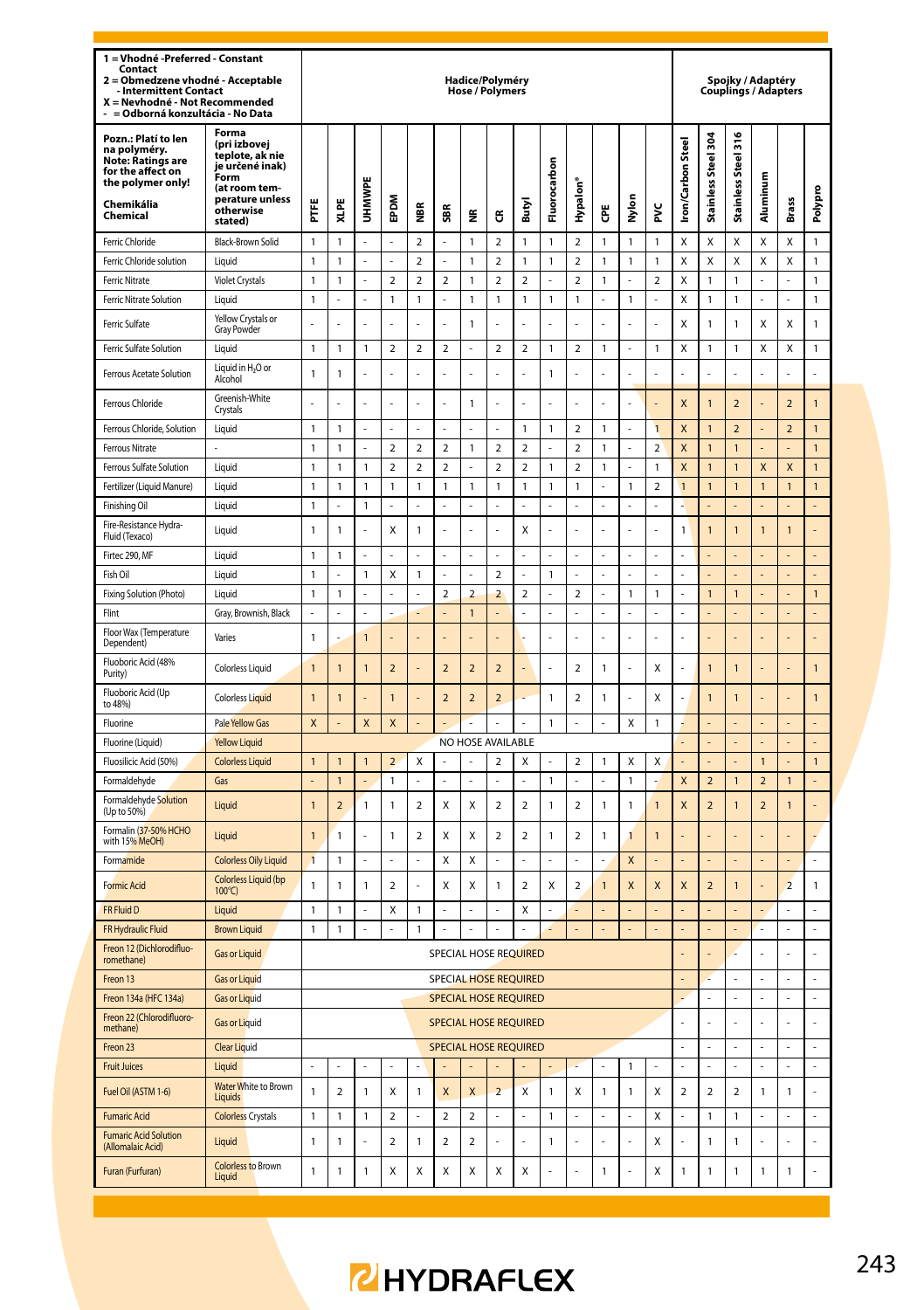| Forma<br>Pozn.: Platí to len<br>Stainless Steel 304<br>(pri izbovej<br>ron/Carbon Steel<br>듮<br>na polyméry.<br>teplote, ak nie<br><b>Stainless Steel</b><br><b>Note: Ratings are</b><br>Fluorocarbon<br>je určené inak)<br>for the affect on<br>Form<br>Aluminum<br>the polymer only!<br>UHMWPE<br>Hypalon <sup>®</sup><br>(at room tem-<br>Polypro<br>Nylon<br>perature unless<br>EPDM<br>Brass<br>XLPE<br>Chemikália<br>Ë<br>Butyl<br>₩<br>Ğ<br>ž<br>SBR<br>otherwise<br>$\tilde{\mathbf{z}}$<br>ű<br>Chemical<br>stated)<br>Ferric Chloride<br>Black-Brown Solid<br>$\mathbf{1}$<br>1<br>$\mathbf 2$<br>$\mathbf{1}$<br>$\overline{\mathbf{2}}$<br>1<br>$\mathbf{1}$<br>$\overline{2}$<br>1<br>$\mathbf{1}$<br>$\mathbf{1}$<br>X<br>Χ<br>X<br>Χ<br>Χ<br>$\mathbf{1}$<br>$\overline{a}$<br>$\mathbf{1}$<br>$\mathbf 2$<br>$\overline{2}$<br>$\mathbf{1}$<br>X<br>X<br>Χ<br>X<br>$\mathbf{1}$<br>Ferric Chloride solution<br>Liquid<br>$\mathbf{1}$<br>$\mathbf{1}$<br>1<br>$\mathbf{1}$<br>$\overline{2}$<br>1<br>$\mathbf{1}$<br>X<br>$\mathbf{1}$<br>$\boldsymbol{2}$<br>$\overline{\mathbf{c}}$<br>$\overline{\mathbf{c}}$<br>$\overline{\mathbf{c}}$<br>$\boldsymbol{2}$<br>X<br>1<br><b>Ferric Nitrate</b><br><b>Violet Crystals</b><br>1<br>$\overline{2}$<br>2<br>$\mathbf{1}$<br>1<br>1<br>$\mathbf{1}$<br>l,<br>ä,<br>ä,<br>ä,<br>ä,<br>$\mathbf{1}$<br>$\mathbf 1$<br>$\mathbf{1}$<br>Ferric Nitrate Solution<br>Liquid<br>$\overline{a}$<br>L<br>$\mathbf{1}$<br>$\overline{a}$<br>$\mathbf{1}$<br>$\mathbf{1}$<br>$\mathbf{1}$<br>$\mathbf{1}$<br>L<br>$\mathbf{1}$<br>$\overline{a}$<br>X<br>1<br>$\mathbf{1}$<br>$\overline{a}$<br>L<br>1<br>Yellow Crystals or<br>Χ<br>Χ<br>Χ<br>$\mathbf{1}$<br>Ferric Sulfate<br>1<br>1<br>$\mathbf{1}$<br><b>Gray Powder</b><br>Ferric Sulfate Solution<br>Liquid<br>$\mathbf{1}$<br>1<br>1<br>$\overline{\mathbf{2}}$<br>2<br>$\overline{\mathbf{c}}$<br>$\overline{\mathbf{c}}$<br>$\overline{\mathbf{c}}$<br>$\mathbf{1}$<br>2<br>1<br>1<br>Χ<br>1<br>$\mathbf{1}$<br>χ<br>χ<br>1<br>ä,<br>÷,<br>Liquid in H <sub>2</sub> O or<br>Ferrous Acetate Solution<br>$\mathbf{1}$<br>1<br>$\mathbf{1}$<br>Alcohol<br>Greenish-White<br>Ferrous Chloride<br>$\mathbf{1}$<br>X<br>1<br>$\overline{\mathbf{c}}$<br>$\overline{\mathbf{c}}$<br>1<br>L.<br>L.<br>L<br>L<br>L<br>Crystals<br>$\mathbf{1}$<br>$\overline{a}$<br>1<br>$\overline{1}$<br>X<br>$\mathbf{1}$<br>$\overline{2}$<br>$\overline{2}$<br>$\mathbf{1}$<br>Ferrous Chloride, Solution<br>Liquid<br>$\mathbf{1}$<br>l,<br>l,<br>$\mathbf{1}$<br>$\mathbf{1}$<br>Ĭ.<br>L,<br>$\mathfrak{p}$<br>$\mathfrak{p}$<br>$\overline{\phantom{a}}$<br>$\mathfrak{p}$<br><b>Ferrous Nitrate</b><br>$\mathbf{1}$<br>$\overline{2}$<br>$\mathfrak{p}$<br>$\mathfrak{p}$<br>X<br>$\overline{1}$<br>1<br>1<br>1<br>1<br>1<br>$\overline{a}$<br>$\overline{a}$<br>$\overline{a}$<br>$\overline{a}$<br>$\overline{a}$<br>$\overline{2}$<br>X<br>$\overline{1}$<br>$\overline{\mathsf{x}}$<br>$\overline{1}$<br>$\mathbf{1}$<br>$\mathbf{1}$<br>1<br>$\mathbf{1}$<br>1<br>J.<br>$\mathbf{1}$<br>$\overline{1}$<br>$\mathsf{x}$<br>Ferrous Sulfate Solution<br>Liquid<br>L<br>$\mathbf{1}$<br>$\overline{a}$<br>Fertilizer (Liquid Manure)<br>$\mathbf{1}$<br>$\mathbf{1}$<br>1<br>Liquid<br>$\mathbf{1}$<br>1<br>$\mathbf{1}$<br>1<br>1<br>$\mathbf{1}$<br>1<br>$\mathbf{1}$<br>1<br>1<br>$\mathbf{1}$<br>1<br>1<br>$\mathbf{1}$<br>L<br>$\mathbf{1}$<br>1<br>Finishing Oil<br>Liquid<br>Fire-Resistance Hydra-<br>$\mathbf{1}$<br>1<br>X<br>1<br>X<br>1<br>$\mathbf{1}$<br>Liquid<br>l<br>Ĭ.<br>÷,<br>l,<br>L<br>J.<br>ä,<br>1<br>1<br>$\overline{1}$<br>L,<br>Fluid (Texaco)<br>Firtec 290. MF<br>$\mathbf{1}$<br>I iguid<br>1<br>ä,<br>ä,<br>$\mathbf{1}$<br>X<br>$\mathbf{1}$<br>$\overline{2}$<br>Fish Oil<br>1<br>$\mathbf{1}$<br>L,<br>Ļ<br>$\overline{a}$<br>Liquid<br>L<br>L,<br>Fixing Solution (Photo)<br>$\mathbf{1}$<br>$\overline{2}$<br>$\overline{a}$<br>$\overline{2}$<br>$\overline{a}$<br>$\overline{a}$<br>$\mathbf{1}$<br>$\mathbf{1}$<br>$\mathbf{1}$<br>Liquid<br>$\mathbf{1}$<br>1<br>$\mathbf{1}$<br>Flint<br>$\overline{a}$<br>$\overline{a}$<br>$\overline{1}$<br>L<br>L,<br>$\overline{a}$<br>Gray, Brownish, Black<br>Floor Wax (Temperature<br>Varies<br>$\mathbf{1}$<br>1<br>L<br>L<br>L<br>l,<br>L.<br>L,<br>ä,<br>J<br>÷,<br>Dependent)<br>Fluoboric Acid (48%<br>$\overline{2}$<br>$\overline{2}$<br>$\overline{2}$<br>X<br>$\overline{1}$<br><b>Colorless Liquid</b><br>$\mathbf{1}$<br>$\overline{1}$<br>1<br>$\overline{2}$<br>$\overline{2}$<br>ł<br>1<br>Ļ<br>1<br>$\overline{1}$<br>÷,<br>Ĭ.<br>Purity)<br>Fluoboric Acid (Up<br>$\overline{\phantom{a}}$<br>$\overline{2}$<br>$\overline{2}$<br>$\mathbf{1}$<br>$\mathfrak{p}$<br>X<br>$\mathbf{1}$<br><b>Colorless Liquid</b><br>$\mathbf{1}$<br>$\mathbf{1}$<br>1<br>1<br>J.<br>1<br>1<br>to 48%)<br>Fluorine<br>Pale Yellow Gas<br>X<br>X<br>X<br>$\mathbf{1}$<br>Χ<br>$\mathbf{1}$<br>L<br>L<br>Fluorine (Liquid)<br><b>Yellow Liquid</b><br>NO HOSE AVAILABLE<br>l,<br>÷,<br>L.<br>Fluosilicic Acid (50%)<br><b>Colorless Liquid</b><br>X<br>$\mathbf{1}$<br>$\mathbf{1}$<br>1<br>1<br>$\overline{2}$<br>$\overline{\mathbf{2}}$<br>X<br>$\mathbf 2$<br>1<br>Χ<br>Χ<br>$\overline{1}$<br>1<br>1<br>$\mathbf{1}$<br>$\mathbf{1}$<br>X<br>$\overline{2}$<br>$\overline{2}$<br>Formaldehyde<br>Gas<br>$\overline{a}$<br>L.<br>ä,<br>L.<br>L.<br>L<br>ä,<br>$\overline{1}$<br>$\mathbf{1}$<br>÷,<br>Formaldehyde Solution<br>$\overline{2}$<br>X<br>$\overline{2}$<br>$\overline{a}$<br>$\overline{\phantom{0}}$<br>$\mathbf{1}$<br>X<br>$\overline{1}$<br>$\mathfrak{p}$<br>$\mathbf{1}$<br>$\overline{1}$<br>$\mathsf{x}$<br>$\overline{\phantom{0}}$<br>$\overline{\phantom{0}}$<br>Liquid<br>$\overline{1}$<br>1<br>$\mathbf{1}$<br>$\overline{1}$<br>$\overline{1}$<br>(Up to 50%)<br>Formalin (37-50% HCHO<br>$\overline{2}$<br>X<br>$\overline{2}$<br>$\overline{a}$<br>$\overline{a}$<br>$\overline{1}$<br>$\mathbf{1}$<br>$\overline{1}$<br>Liquid<br>1<br>X<br>1<br>$\mathbf{1}$<br>$\overline{1}$<br>with 15% MeOH)<br>$\overline{1}$<br>$\mathbf{1}$<br>$\mathsf{x}$<br>Formamide<br><b>Colorless Oily Liquid</b><br>X<br>X<br>L<br>ı<br><b>Colorless Liquid (bp</b><br>$\overline{a}$<br><b>Formic Acid</b><br>$\mathbf{1}$<br>1<br>1<br>$\overline{2}$<br>X<br>Χ<br>1<br>$\overline{\mathbf{c}}$<br>X<br>X<br>X<br>X<br>$\overline{a}$<br>$\mathbf{1}$<br>$\overline{2}$<br>1<br>$\overline{1}$<br>$100^{\circ}$ C)<br>FR Fluid D<br>Liquid<br>$\mathbf{1}$<br>1<br>x<br>1<br>X<br>l<br>l,<br>L<br>í,<br>L<br>í,<br>ż<br>ä,<br>$\mathbf{1}$<br>$\mathbf{1}$<br>$\mathbf{1}$<br>L,<br>FR Hydraulic Fluid<br><b>Brown Liquid</b><br>L<br>ä,<br>l,<br>÷,<br>ċ<br>L.<br>ä,<br>L<br>l,<br>ä,<br>L.<br>ä,<br>ä,<br>L,<br>Freon 12 (Dichlorodifluo-<br>SPECIAL HOSE REQUIRED<br>Gas or Liquid<br>$\overline{a}$<br>romethane)<br><b>SPECIAL HOSE REQUIRED</b><br>Freon 13<br><b>Gas or Liquid</b><br>l,<br>$\overline{a}$<br>SPECIAL HOSE REQUIRED<br>l,<br>L<br>$\overline{a}$<br>$\overline{a}$<br>L<br>Freon 134a (HFC 134a)<br><b>Gas or Liquid</b><br>Freon 22 (Chlorodifluoro-<br><b>Gas or Liquid</b><br>SPECIAL HOSE REQUIRED<br>l,<br>methane)<br><b>SPECIAL HOSE REQUIRED</b><br>Freon 23<br><b>Clear Liquid</b><br>L<br>L,<br>L<br><b>Fruit Juices</b><br>1<br>l,<br>Liquid<br>Water White to Brown<br>Fuel Oil (ASTM 1-6)<br>$\mathbf{1}$<br>$\mathbf 2$<br>1<br>X<br>$\mathbf{1}$<br>X<br>X<br>$\overline{2}$<br>X<br>$\mathbf{1}$<br>X<br>1<br>$\mathbf{1}$<br>Χ<br>$\boldsymbol{2}$<br>$\overline{\mathbf{c}}$<br>$\mathbf 2$<br>$\mathbf{1}$<br>$\mathbf{1}$<br>l,<br>Liquids<br>$\overline{2}$<br><b>Colorless Crystals</b><br>$\mathbf{1}$<br>$\mathbf{1}$<br>$\overline{2}$<br>$\overline{2}$<br>$\mathbf{1}$<br>X<br>1<br>$\mathbf{1}$<br><b>Fumaric Acid</b><br>$\mathbf{1}$<br>÷,<br>÷<br>i,<br><b>Fumaric Acid Solution</b><br>Liquid<br>$\mathbf{1}$<br>1<br>$\overline{2}$<br>$\mathbf{1}$<br>$\overline{\mathbf{c}}$<br>$\overline{2}$<br>$\mathbf{1}$<br>X<br>1<br>1<br>(Allomalaic Acid)<br><b>Colorless to Brown</b><br>Furan (Furfuran)<br>$\mathbf{1}$<br>1<br>1<br>X<br>x<br>X<br>X<br>X<br>X<br>l,<br>1<br>J.<br>X<br>1<br>1<br>$\mathbf{1}$<br>$\mathbf{1}$<br>1<br>L.<br>Liquid | 1 = Vhodné -Preferred - Constant<br>Contact<br>2 = Obmedzene vhodné - Acceptable<br>Intermittent Contact<br>X = Nevhodné - Not Recommended<br>= Odborná konzultácia - No Data |  |  |  |  |  |  | Hadice/Polyméry<br><b>Hose / Polymers</b> |  |  |  |  |  |  |  |  |  | Spojky / Adaptéry<br><b>Couplings / Adapters</b> |  |
|-----------------------------------------------------------------------------------------------------------------------------------------------------------------------------------------------------------------------------------------------------------------------------------------------------------------------------------------------------------------------------------------------------------------------------------------------------------------------------------------------------------------------------------------------------------------------------------------------------------------------------------------------------------------------------------------------------------------------------------------------------------------------------------------------------------------------------------------------------------------------------------------------------------------------------------------------------------------------------------------------------------------------------------------------------------------------------------------------------------------------------------------------------------------------------------------------------------------------------------------------------------------------------------------------------------------------------------------------------------------------------------------------------------------------------------------------------------------------------------------------------------------------------------------------------------------------------------------------------------------------------------------------------------------------------------------------------------------------------------------------------------------------------------------------------------------------------------------------------------------------------------------------------------------------------------------------------------------------------------------------------------------------------------------------------------------------------------------------------------------------------------------------------------------------------------------------------------------------------------------------------------------------------------------------------------------------------------------------------------------------------------------------------------------------------------------------------------------------------------------------------------------------------------------------------------------------------------------------------------------------------------------------------------------------------------------------------------------------------------------------------------------------------------------------------------------------------------------------------------------------------------------------------------------------------------------------------------------------------------------------------------------------------------------------------------------------------------------------------------------------------------------------------------------------------------------------------------------------------------------------------------------------------------------------------------------------------------------------------------------------------------------------------------------------------------------------------------------------------------------------------------------------------------------------------------------------------------------------------------------------------------------------------------------------------------------------------------------------------------------------------------------------------------------------------------------------------------------------------------------------------------------------------------------------------------------------------------------------------------------------------------------------------------------------------------------------------------------------------------------------------------------------------------------------------------------------------------------------------------------------------------------------------------------------------------------------------------------------------------------------------------------------------------------------------------------------------------------------------------------------------------------------------------------------------------------------------------------------------------------------------------------------------------------------------------------------------------------------------------------------------------------------------------------------------------------------------------------------------------------------------------------------------------------------------------------------------------------------------------------------------------------------------------------------------------------------------------------------------------------------------------------------------------------------------------------------------------------------------------------------------------------------------------------------------------------------------------------------------------------------------------------------------------------------------------------------------------------------------------------------------------------------------------------------------------------------------------------------------------------------------------------------------------------------------------------------------------------------------------------------------------------------------------------------------------------------------------------------------------------------------------------------------------------------------------------------------------------------------------------------------------------------------------------------------------------------------------------------------------------------------------------------------------------------------------------------------------------------------------------------------------------------------------------------------------------------------------------------------------------------------------------------------------------------------------------------------------------------------------------------------------------------------------------------------------------------------------------------------------------------------------------------------------------------------------------------------------------------------------------------------------------------------------------------------------------------------------------------------------------------------------------------------------------------------------------------------------------------------------------------------------------------------------------------------------------------------------------------------------------------------------------------------------------------------------------------------------------------------------------------------------------------------------------------------------------------------------------------------------------------------------------------------------------------------------------------------------------------------------------------------------------------------------------------------------------------------------------------------------------------------------------------------------------------------------------------------------------------------------------------------------------------------------------------------------------------------------------------------------------------------------------------------------------------------------------------------------------------------------------------------------------------------------------------------------------------------------------------------------------------------------------------------------------------------------------------------------------------------------------------------------------------------------------------------------------|-------------------------------------------------------------------------------------------------------------------------------------------------------------------------------|--|--|--|--|--|--|-------------------------------------------|--|--|--|--|--|--|--|--|--|--------------------------------------------------|--|
|                                                                                                                                                                                                                                                                                                                                                                                                                                                                                                                                                                                                                                                                                                                                                                                                                                                                                                                                                                                                                                                                                                                                                                                                                                                                                                                                                                                                                                                                                                                                                                                                                                                                                                                                                                                                                                                                                                                                                                                                                                                                                                                                                                                                                                                                                                                                                                                                                                                                                                                                                                                                                                                                                                                                                                                                                                                                                                                                                                                                                                                                                                                                                                                                                                                                                                                                                                                                                                                                                                                                                                                                                                                                                                                                                                                                                                                                                                                                                                                                                                                                                                                                                                                                                                                                                                                                                                                                                                                                                                                                                                                                                                                                                                                                                                                                                                                                                                                                                                                                                                                                                                                                                                                                                                                                                                                                                                                                                                                                                                                                                                                                                                                                                                                                                                                                                                                                                                                                                                                                                                                                                                                                                                                                                                                                                                                                                                                                                                                                                                                                                                                                                                                                                                                                                                                                                                                                                                                                                                                                                                                                                                                                                                                                                                                                                                                                                                                                                                                                                                                                                                                                                                                                                                                                                                                                                                                                                                                                                                                                                                                                                                                                                                                                                                                                                                                 |                                                                                                                                                                               |  |  |  |  |  |  |                                           |  |  |  |  |  |  |  |  |  |                                                  |  |
|                                                                                                                                                                                                                                                                                                                                                                                                                                                                                                                                                                                                                                                                                                                                                                                                                                                                                                                                                                                                                                                                                                                                                                                                                                                                                                                                                                                                                                                                                                                                                                                                                                                                                                                                                                                                                                                                                                                                                                                                                                                                                                                                                                                                                                                                                                                                                                                                                                                                                                                                                                                                                                                                                                                                                                                                                                                                                                                                                                                                                                                                                                                                                                                                                                                                                                                                                                                                                                                                                                                                                                                                                                                                                                                                                                                                                                                                                                                                                                                                                                                                                                                                                                                                                                                                                                                                                                                                                                                                                                                                                                                                                                                                                                                                                                                                                                                                                                                                                                                                                                                                                                                                                                                                                                                                                                                                                                                                                                                                                                                                                                                                                                                                                                                                                                                                                                                                                                                                                                                                                                                                                                                                                                                                                                                                                                                                                                                                                                                                                                                                                                                                                                                                                                                                                                                                                                                                                                                                                                                                                                                                                                                                                                                                                                                                                                                                                                                                                                                                                                                                                                                                                                                                                                                                                                                                                                                                                                                                                                                                                                                                                                                                                                                                                                                                                                                 |                                                                                                                                                                               |  |  |  |  |  |  |                                           |  |  |  |  |  |  |  |  |  |                                                  |  |
|                                                                                                                                                                                                                                                                                                                                                                                                                                                                                                                                                                                                                                                                                                                                                                                                                                                                                                                                                                                                                                                                                                                                                                                                                                                                                                                                                                                                                                                                                                                                                                                                                                                                                                                                                                                                                                                                                                                                                                                                                                                                                                                                                                                                                                                                                                                                                                                                                                                                                                                                                                                                                                                                                                                                                                                                                                                                                                                                                                                                                                                                                                                                                                                                                                                                                                                                                                                                                                                                                                                                                                                                                                                                                                                                                                                                                                                                                                                                                                                                                                                                                                                                                                                                                                                                                                                                                                                                                                                                                                                                                                                                                                                                                                                                                                                                                                                                                                                                                                                                                                                                                                                                                                                                                                                                                                                                                                                                                                                                                                                                                                                                                                                                                                                                                                                                                                                                                                                                                                                                                                                                                                                                                                                                                                                                                                                                                                                                                                                                                                                                                                                                                                                                                                                                                                                                                                                                                                                                                                                                                                                                                                                                                                                                                                                                                                                                                                                                                                                                                                                                                                                                                                                                                                                                                                                                                                                                                                                                                                                                                                                                                                                                                                                                                                                                                                                 |                                                                                                                                                                               |  |  |  |  |  |  |                                           |  |  |  |  |  |  |  |  |  |                                                  |  |
|                                                                                                                                                                                                                                                                                                                                                                                                                                                                                                                                                                                                                                                                                                                                                                                                                                                                                                                                                                                                                                                                                                                                                                                                                                                                                                                                                                                                                                                                                                                                                                                                                                                                                                                                                                                                                                                                                                                                                                                                                                                                                                                                                                                                                                                                                                                                                                                                                                                                                                                                                                                                                                                                                                                                                                                                                                                                                                                                                                                                                                                                                                                                                                                                                                                                                                                                                                                                                                                                                                                                                                                                                                                                                                                                                                                                                                                                                                                                                                                                                                                                                                                                                                                                                                                                                                                                                                                                                                                                                                                                                                                                                                                                                                                                                                                                                                                                                                                                                                                                                                                                                                                                                                                                                                                                                                                                                                                                                                                                                                                                                                                                                                                                                                                                                                                                                                                                                                                                                                                                                                                                                                                                                                                                                                                                                                                                                                                                                                                                                                                                                                                                                                                                                                                                                                                                                                                                                                                                                                                                                                                                                                                                                                                                                                                                                                                                                                                                                                                                                                                                                                                                                                                                                                                                                                                                                                                                                                                                                                                                                                                                                                                                                                                                                                                                                                                 |                                                                                                                                                                               |  |  |  |  |  |  |                                           |  |  |  |  |  |  |  |  |  |                                                  |  |
|                                                                                                                                                                                                                                                                                                                                                                                                                                                                                                                                                                                                                                                                                                                                                                                                                                                                                                                                                                                                                                                                                                                                                                                                                                                                                                                                                                                                                                                                                                                                                                                                                                                                                                                                                                                                                                                                                                                                                                                                                                                                                                                                                                                                                                                                                                                                                                                                                                                                                                                                                                                                                                                                                                                                                                                                                                                                                                                                                                                                                                                                                                                                                                                                                                                                                                                                                                                                                                                                                                                                                                                                                                                                                                                                                                                                                                                                                                                                                                                                                                                                                                                                                                                                                                                                                                                                                                                                                                                                                                                                                                                                                                                                                                                                                                                                                                                                                                                                                                                                                                                                                                                                                                                                                                                                                                                                                                                                                                                                                                                                                                                                                                                                                                                                                                                                                                                                                                                                                                                                                                                                                                                                                                                                                                                                                                                                                                                                                                                                                                                                                                                                                                                                                                                                                                                                                                                                                                                                                                                                                                                                                                                                                                                                                                                                                                                                                                                                                                                                                                                                                                                                                                                                                                                                                                                                                                                                                                                                                                                                                                                                                                                                                                                                                                                                                                                 |                                                                                                                                                                               |  |  |  |  |  |  |                                           |  |  |  |  |  |  |  |  |  |                                                  |  |
|                                                                                                                                                                                                                                                                                                                                                                                                                                                                                                                                                                                                                                                                                                                                                                                                                                                                                                                                                                                                                                                                                                                                                                                                                                                                                                                                                                                                                                                                                                                                                                                                                                                                                                                                                                                                                                                                                                                                                                                                                                                                                                                                                                                                                                                                                                                                                                                                                                                                                                                                                                                                                                                                                                                                                                                                                                                                                                                                                                                                                                                                                                                                                                                                                                                                                                                                                                                                                                                                                                                                                                                                                                                                                                                                                                                                                                                                                                                                                                                                                                                                                                                                                                                                                                                                                                                                                                                                                                                                                                                                                                                                                                                                                                                                                                                                                                                                                                                                                                                                                                                                                                                                                                                                                                                                                                                                                                                                                                                                                                                                                                                                                                                                                                                                                                                                                                                                                                                                                                                                                                                                                                                                                                                                                                                                                                                                                                                                                                                                                                                                                                                                                                                                                                                                                                                                                                                                                                                                                                                                                                                                                                                                                                                                                                                                                                                                                                                                                                                                                                                                                                                                                                                                                                                                                                                                                                                                                                                                                                                                                                                                                                                                                                                                                                                                                                                 |                                                                                                                                                                               |  |  |  |  |  |  |                                           |  |  |  |  |  |  |  |  |  |                                                  |  |
|                                                                                                                                                                                                                                                                                                                                                                                                                                                                                                                                                                                                                                                                                                                                                                                                                                                                                                                                                                                                                                                                                                                                                                                                                                                                                                                                                                                                                                                                                                                                                                                                                                                                                                                                                                                                                                                                                                                                                                                                                                                                                                                                                                                                                                                                                                                                                                                                                                                                                                                                                                                                                                                                                                                                                                                                                                                                                                                                                                                                                                                                                                                                                                                                                                                                                                                                                                                                                                                                                                                                                                                                                                                                                                                                                                                                                                                                                                                                                                                                                                                                                                                                                                                                                                                                                                                                                                                                                                                                                                                                                                                                                                                                                                                                                                                                                                                                                                                                                                                                                                                                                                                                                                                                                                                                                                                                                                                                                                                                                                                                                                                                                                                                                                                                                                                                                                                                                                                                                                                                                                                                                                                                                                                                                                                                                                                                                                                                                                                                                                                                                                                                                                                                                                                                                                                                                                                                                                                                                                                                                                                                                                                                                                                                                                                                                                                                                                                                                                                                                                                                                                                                                                                                                                                                                                                                                                                                                                                                                                                                                                                                                                                                                                                                                                                                                                                 |                                                                                                                                                                               |  |  |  |  |  |  |                                           |  |  |  |  |  |  |  |  |  |                                                  |  |
|                                                                                                                                                                                                                                                                                                                                                                                                                                                                                                                                                                                                                                                                                                                                                                                                                                                                                                                                                                                                                                                                                                                                                                                                                                                                                                                                                                                                                                                                                                                                                                                                                                                                                                                                                                                                                                                                                                                                                                                                                                                                                                                                                                                                                                                                                                                                                                                                                                                                                                                                                                                                                                                                                                                                                                                                                                                                                                                                                                                                                                                                                                                                                                                                                                                                                                                                                                                                                                                                                                                                                                                                                                                                                                                                                                                                                                                                                                                                                                                                                                                                                                                                                                                                                                                                                                                                                                                                                                                                                                                                                                                                                                                                                                                                                                                                                                                                                                                                                                                                                                                                                                                                                                                                                                                                                                                                                                                                                                                                                                                                                                                                                                                                                                                                                                                                                                                                                                                                                                                                                                                                                                                                                                                                                                                                                                                                                                                                                                                                                                                                                                                                                                                                                                                                                                                                                                                                                                                                                                                                                                                                                                                                                                                                                                                                                                                                                                                                                                                                                                                                                                                                                                                                                                                                                                                                                                                                                                                                                                                                                                                                                                                                                                                                                                                                                                                 |                                                                                                                                                                               |  |  |  |  |  |  |                                           |  |  |  |  |  |  |  |  |  |                                                  |  |
|                                                                                                                                                                                                                                                                                                                                                                                                                                                                                                                                                                                                                                                                                                                                                                                                                                                                                                                                                                                                                                                                                                                                                                                                                                                                                                                                                                                                                                                                                                                                                                                                                                                                                                                                                                                                                                                                                                                                                                                                                                                                                                                                                                                                                                                                                                                                                                                                                                                                                                                                                                                                                                                                                                                                                                                                                                                                                                                                                                                                                                                                                                                                                                                                                                                                                                                                                                                                                                                                                                                                                                                                                                                                                                                                                                                                                                                                                                                                                                                                                                                                                                                                                                                                                                                                                                                                                                                                                                                                                                                                                                                                                                                                                                                                                                                                                                                                                                                                                                                                                                                                                                                                                                                                                                                                                                                                                                                                                                                                                                                                                                                                                                                                                                                                                                                                                                                                                                                                                                                                                                                                                                                                                                                                                                                                                                                                                                                                                                                                                                                                                                                                                                                                                                                                                                                                                                                                                                                                                                                                                                                                                                                                                                                                                                                                                                                                                                                                                                                                                                                                                                                                                                                                                                                                                                                                                                                                                                                                                                                                                                                                                                                                                                                                                                                                                                                 |                                                                                                                                                                               |  |  |  |  |  |  |                                           |  |  |  |  |  |  |  |  |  |                                                  |  |
|                                                                                                                                                                                                                                                                                                                                                                                                                                                                                                                                                                                                                                                                                                                                                                                                                                                                                                                                                                                                                                                                                                                                                                                                                                                                                                                                                                                                                                                                                                                                                                                                                                                                                                                                                                                                                                                                                                                                                                                                                                                                                                                                                                                                                                                                                                                                                                                                                                                                                                                                                                                                                                                                                                                                                                                                                                                                                                                                                                                                                                                                                                                                                                                                                                                                                                                                                                                                                                                                                                                                                                                                                                                                                                                                                                                                                                                                                                                                                                                                                                                                                                                                                                                                                                                                                                                                                                                                                                                                                                                                                                                                                                                                                                                                                                                                                                                                                                                                                                                                                                                                                                                                                                                                                                                                                                                                                                                                                                                                                                                                                                                                                                                                                                                                                                                                                                                                                                                                                                                                                                                                                                                                                                                                                                                                                                                                                                                                                                                                                                                                                                                                                                                                                                                                                                                                                                                                                                                                                                                                                                                                                                                                                                                                                                                                                                                                                                                                                                                                                                                                                                                                                                                                                                                                                                                                                                                                                                                                                                                                                                                                                                                                                                                                                                                                                                                 |                                                                                                                                                                               |  |  |  |  |  |  |                                           |  |  |  |  |  |  |  |  |  |                                                  |  |
|                                                                                                                                                                                                                                                                                                                                                                                                                                                                                                                                                                                                                                                                                                                                                                                                                                                                                                                                                                                                                                                                                                                                                                                                                                                                                                                                                                                                                                                                                                                                                                                                                                                                                                                                                                                                                                                                                                                                                                                                                                                                                                                                                                                                                                                                                                                                                                                                                                                                                                                                                                                                                                                                                                                                                                                                                                                                                                                                                                                                                                                                                                                                                                                                                                                                                                                                                                                                                                                                                                                                                                                                                                                                                                                                                                                                                                                                                                                                                                                                                                                                                                                                                                                                                                                                                                                                                                                                                                                                                                                                                                                                                                                                                                                                                                                                                                                                                                                                                                                                                                                                                                                                                                                                                                                                                                                                                                                                                                                                                                                                                                                                                                                                                                                                                                                                                                                                                                                                                                                                                                                                                                                                                                                                                                                                                                                                                                                                                                                                                                                                                                                                                                                                                                                                                                                                                                                                                                                                                                                                                                                                                                                                                                                                                                                                                                                                                                                                                                                                                                                                                                                                                                                                                                                                                                                                                                                                                                                                                                                                                                                                                                                                                                                                                                                                                                                 |                                                                                                                                                                               |  |  |  |  |  |  |                                           |  |  |  |  |  |  |  |  |  |                                                  |  |
|                                                                                                                                                                                                                                                                                                                                                                                                                                                                                                                                                                                                                                                                                                                                                                                                                                                                                                                                                                                                                                                                                                                                                                                                                                                                                                                                                                                                                                                                                                                                                                                                                                                                                                                                                                                                                                                                                                                                                                                                                                                                                                                                                                                                                                                                                                                                                                                                                                                                                                                                                                                                                                                                                                                                                                                                                                                                                                                                                                                                                                                                                                                                                                                                                                                                                                                                                                                                                                                                                                                                                                                                                                                                                                                                                                                                                                                                                                                                                                                                                                                                                                                                                                                                                                                                                                                                                                                                                                                                                                                                                                                                                                                                                                                                                                                                                                                                                                                                                                                                                                                                                                                                                                                                                                                                                                                                                                                                                                                                                                                                                                                                                                                                                                                                                                                                                                                                                                                                                                                                                                                                                                                                                                                                                                                                                                                                                                                                                                                                                                                                                                                                                                                                                                                                                                                                                                                                                                                                                                                                                                                                                                                                                                                                                                                                                                                                                                                                                                                                                                                                                                                                                                                                                                                                                                                                                                                                                                                                                                                                                                                                                                                                                                                                                                                                                                                 |                                                                                                                                                                               |  |  |  |  |  |  |                                           |  |  |  |  |  |  |  |  |  |                                                  |  |
|                                                                                                                                                                                                                                                                                                                                                                                                                                                                                                                                                                                                                                                                                                                                                                                                                                                                                                                                                                                                                                                                                                                                                                                                                                                                                                                                                                                                                                                                                                                                                                                                                                                                                                                                                                                                                                                                                                                                                                                                                                                                                                                                                                                                                                                                                                                                                                                                                                                                                                                                                                                                                                                                                                                                                                                                                                                                                                                                                                                                                                                                                                                                                                                                                                                                                                                                                                                                                                                                                                                                                                                                                                                                                                                                                                                                                                                                                                                                                                                                                                                                                                                                                                                                                                                                                                                                                                                                                                                                                                                                                                                                                                                                                                                                                                                                                                                                                                                                                                                                                                                                                                                                                                                                                                                                                                                                                                                                                                                                                                                                                                                                                                                                                                                                                                                                                                                                                                                                                                                                                                                                                                                                                                                                                                                                                                                                                                                                                                                                                                                                                                                                                                                                                                                                                                                                                                                                                                                                                                                                                                                                                                                                                                                                                                                                                                                                                                                                                                                                                                                                                                                                                                                                                                                                                                                                                                                                                                                                                                                                                                                                                                                                                                                                                                                                                                                 |                                                                                                                                                                               |  |  |  |  |  |  |                                           |  |  |  |  |  |  |  |  |  |                                                  |  |
|                                                                                                                                                                                                                                                                                                                                                                                                                                                                                                                                                                                                                                                                                                                                                                                                                                                                                                                                                                                                                                                                                                                                                                                                                                                                                                                                                                                                                                                                                                                                                                                                                                                                                                                                                                                                                                                                                                                                                                                                                                                                                                                                                                                                                                                                                                                                                                                                                                                                                                                                                                                                                                                                                                                                                                                                                                                                                                                                                                                                                                                                                                                                                                                                                                                                                                                                                                                                                                                                                                                                                                                                                                                                                                                                                                                                                                                                                                                                                                                                                                                                                                                                                                                                                                                                                                                                                                                                                                                                                                                                                                                                                                                                                                                                                                                                                                                                                                                                                                                                                                                                                                                                                                                                                                                                                                                                                                                                                                                                                                                                                                                                                                                                                                                                                                                                                                                                                                                                                                                                                                                                                                                                                                                                                                                                                                                                                                                                                                                                                                                                                                                                                                                                                                                                                                                                                                                                                                                                                                                                                                                                                                                                                                                                                                                                                                                                                                                                                                                                                                                                                                                                                                                                                                                                                                                                                                                                                                                                                                                                                                                                                                                                                                                                                                                                                                                 |                                                                                                                                                                               |  |  |  |  |  |  |                                           |  |  |  |  |  |  |  |  |  |                                                  |  |
|                                                                                                                                                                                                                                                                                                                                                                                                                                                                                                                                                                                                                                                                                                                                                                                                                                                                                                                                                                                                                                                                                                                                                                                                                                                                                                                                                                                                                                                                                                                                                                                                                                                                                                                                                                                                                                                                                                                                                                                                                                                                                                                                                                                                                                                                                                                                                                                                                                                                                                                                                                                                                                                                                                                                                                                                                                                                                                                                                                                                                                                                                                                                                                                                                                                                                                                                                                                                                                                                                                                                                                                                                                                                                                                                                                                                                                                                                                                                                                                                                                                                                                                                                                                                                                                                                                                                                                                                                                                                                                                                                                                                                                                                                                                                                                                                                                                                                                                                                                                                                                                                                                                                                                                                                                                                                                                                                                                                                                                                                                                                                                                                                                                                                                                                                                                                                                                                                                                                                                                                                                                                                                                                                                                                                                                                                                                                                                                                                                                                                                                                                                                                                                                                                                                                                                                                                                                                                                                                                                                                                                                                                                                                                                                                                                                                                                                                                                                                                                                                                                                                                                                                                                                                                                                                                                                                                                                                                                                                                                                                                                                                                                                                                                                                                                                                                                                 |                                                                                                                                                                               |  |  |  |  |  |  |                                           |  |  |  |  |  |  |  |  |  |                                                  |  |
|                                                                                                                                                                                                                                                                                                                                                                                                                                                                                                                                                                                                                                                                                                                                                                                                                                                                                                                                                                                                                                                                                                                                                                                                                                                                                                                                                                                                                                                                                                                                                                                                                                                                                                                                                                                                                                                                                                                                                                                                                                                                                                                                                                                                                                                                                                                                                                                                                                                                                                                                                                                                                                                                                                                                                                                                                                                                                                                                                                                                                                                                                                                                                                                                                                                                                                                                                                                                                                                                                                                                                                                                                                                                                                                                                                                                                                                                                                                                                                                                                                                                                                                                                                                                                                                                                                                                                                                                                                                                                                                                                                                                                                                                                                                                                                                                                                                                                                                                                                                                                                                                                                                                                                                                                                                                                                                                                                                                                                                                                                                                                                                                                                                                                                                                                                                                                                                                                                                                                                                                                                                                                                                                                                                                                                                                                                                                                                                                                                                                                                                                                                                                                                                                                                                                                                                                                                                                                                                                                                                                                                                                                                                                                                                                                                                                                                                                                                                                                                                                                                                                                                                                                                                                                                                                                                                                                                                                                                                                                                                                                                                                                                                                                                                                                                                                                                                 |                                                                                                                                                                               |  |  |  |  |  |  |                                           |  |  |  |  |  |  |  |  |  |                                                  |  |
|                                                                                                                                                                                                                                                                                                                                                                                                                                                                                                                                                                                                                                                                                                                                                                                                                                                                                                                                                                                                                                                                                                                                                                                                                                                                                                                                                                                                                                                                                                                                                                                                                                                                                                                                                                                                                                                                                                                                                                                                                                                                                                                                                                                                                                                                                                                                                                                                                                                                                                                                                                                                                                                                                                                                                                                                                                                                                                                                                                                                                                                                                                                                                                                                                                                                                                                                                                                                                                                                                                                                                                                                                                                                                                                                                                                                                                                                                                                                                                                                                                                                                                                                                                                                                                                                                                                                                                                                                                                                                                                                                                                                                                                                                                                                                                                                                                                                                                                                                                                                                                                                                                                                                                                                                                                                                                                                                                                                                                                                                                                                                                                                                                                                                                                                                                                                                                                                                                                                                                                                                                                                                                                                                                                                                                                                                                                                                                                                                                                                                                                                                                                                                                                                                                                                                                                                                                                                                                                                                                                                                                                                                                                                                                                                                                                                                                                                                                                                                                                                                                                                                                                                                                                                                                                                                                                                                                                                                                                                                                                                                                                                                                                                                                                                                                                                                                                 |                                                                                                                                                                               |  |  |  |  |  |  |                                           |  |  |  |  |  |  |  |  |  |                                                  |  |
|                                                                                                                                                                                                                                                                                                                                                                                                                                                                                                                                                                                                                                                                                                                                                                                                                                                                                                                                                                                                                                                                                                                                                                                                                                                                                                                                                                                                                                                                                                                                                                                                                                                                                                                                                                                                                                                                                                                                                                                                                                                                                                                                                                                                                                                                                                                                                                                                                                                                                                                                                                                                                                                                                                                                                                                                                                                                                                                                                                                                                                                                                                                                                                                                                                                                                                                                                                                                                                                                                                                                                                                                                                                                                                                                                                                                                                                                                                                                                                                                                                                                                                                                                                                                                                                                                                                                                                                                                                                                                                                                                                                                                                                                                                                                                                                                                                                                                                                                                                                                                                                                                                                                                                                                                                                                                                                                                                                                                                                                                                                                                                                                                                                                                                                                                                                                                                                                                                                                                                                                                                                                                                                                                                                                                                                                                                                                                                                                                                                                                                                                                                                                                                                                                                                                                                                                                                                                                                                                                                                                                                                                                                                                                                                                                                                                                                                                                                                                                                                                                                                                                                                                                                                                                                                                                                                                                                                                                                                                                                                                                                                                                                                                                                                                                                                                                                                 |                                                                                                                                                                               |  |  |  |  |  |  |                                           |  |  |  |  |  |  |  |  |  |                                                  |  |
|                                                                                                                                                                                                                                                                                                                                                                                                                                                                                                                                                                                                                                                                                                                                                                                                                                                                                                                                                                                                                                                                                                                                                                                                                                                                                                                                                                                                                                                                                                                                                                                                                                                                                                                                                                                                                                                                                                                                                                                                                                                                                                                                                                                                                                                                                                                                                                                                                                                                                                                                                                                                                                                                                                                                                                                                                                                                                                                                                                                                                                                                                                                                                                                                                                                                                                                                                                                                                                                                                                                                                                                                                                                                                                                                                                                                                                                                                                                                                                                                                                                                                                                                                                                                                                                                                                                                                                                                                                                                                                                                                                                                                                                                                                                                                                                                                                                                                                                                                                                                                                                                                                                                                                                                                                                                                                                                                                                                                                                                                                                                                                                                                                                                                                                                                                                                                                                                                                                                                                                                                                                                                                                                                                                                                                                                                                                                                                                                                                                                                                                                                                                                                                                                                                                                                                                                                                                                                                                                                                                                                                                                                                                                                                                                                                                                                                                                                                                                                                                                                                                                                                                                                                                                                                                                                                                                                                                                                                                                                                                                                                                                                                                                                                                                                                                                                                                 |                                                                                                                                                                               |  |  |  |  |  |  |                                           |  |  |  |  |  |  |  |  |  |                                                  |  |
|                                                                                                                                                                                                                                                                                                                                                                                                                                                                                                                                                                                                                                                                                                                                                                                                                                                                                                                                                                                                                                                                                                                                                                                                                                                                                                                                                                                                                                                                                                                                                                                                                                                                                                                                                                                                                                                                                                                                                                                                                                                                                                                                                                                                                                                                                                                                                                                                                                                                                                                                                                                                                                                                                                                                                                                                                                                                                                                                                                                                                                                                                                                                                                                                                                                                                                                                                                                                                                                                                                                                                                                                                                                                                                                                                                                                                                                                                                                                                                                                                                                                                                                                                                                                                                                                                                                                                                                                                                                                                                                                                                                                                                                                                                                                                                                                                                                                                                                                                                                                                                                                                                                                                                                                                                                                                                                                                                                                                                                                                                                                                                                                                                                                                                                                                                                                                                                                                                                                                                                                                                                                                                                                                                                                                                                                                                                                                                                                                                                                                                                                                                                                                                                                                                                                                                                                                                                                                                                                                                                                                                                                                                                                                                                                                                                                                                                                                                                                                                                                                                                                                                                                                                                                                                                                                                                                                                                                                                                                                                                                                                                                                                                                                                                                                                                                                                                 |                                                                                                                                                                               |  |  |  |  |  |  |                                           |  |  |  |  |  |  |  |  |  |                                                  |  |
|                                                                                                                                                                                                                                                                                                                                                                                                                                                                                                                                                                                                                                                                                                                                                                                                                                                                                                                                                                                                                                                                                                                                                                                                                                                                                                                                                                                                                                                                                                                                                                                                                                                                                                                                                                                                                                                                                                                                                                                                                                                                                                                                                                                                                                                                                                                                                                                                                                                                                                                                                                                                                                                                                                                                                                                                                                                                                                                                                                                                                                                                                                                                                                                                                                                                                                                                                                                                                                                                                                                                                                                                                                                                                                                                                                                                                                                                                                                                                                                                                                                                                                                                                                                                                                                                                                                                                                                                                                                                                                                                                                                                                                                                                                                                                                                                                                                                                                                                                                                                                                                                                                                                                                                                                                                                                                                                                                                                                                                                                                                                                                                                                                                                                                                                                                                                                                                                                                                                                                                                                                                                                                                                                                                                                                                                                                                                                                                                                                                                                                                                                                                                                                                                                                                                                                                                                                                                                                                                                                                                                                                                                                                                                                                                                                                                                                                                                                                                                                                                                                                                                                                                                                                                                                                                                                                                                                                                                                                                                                                                                                                                                                                                                                                                                                                                                                                 |                                                                                                                                                                               |  |  |  |  |  |  |                                           |  |  |  |  |  |  |  |  |  |                                                  |  |
|                                                                                                                                                                                                                                                                                                                                                                                                                                                                                                                                                                                                                                                                                                                                                                                                                                                                                                                                                                                                                                                                                                                                                                                                                                                                                                                                                                                                                                                                                                                                                                                                                                                                                                                                                                                                                                                                                                                                                                                                                                                                                                                                                                                                                                                                                                                                                                                                                                                                                                                                                                                                                                                                                                                                                                                                                                                                                                                                                                                                                                                                                                                                                                                                                                                                                                                                                                                                                                                                                                                                                                                                                                                                                                                                                                                                                                                                                                                                                                                                                                                                                                                                                                                                                                                                                                                                                                                                                                                                                                                                                                                                                                                                                                                                                                                                                                                                                                                                                                                                                                                                                                                                                                                                                                                                                                                                                                                                                                                                                                                                                                                                                                                                                                                                                                                                                                                                                                                                                                                                                                                                                                                                                                                                                                                                                                                                                                                                                                                                                                                                                                                                                                                                                                                                                                                                                                                                                                                                                                                                                                                                                                                                                                                                                                                                                                                                                                                                                                                                                                                                                                                                                                                                                                                                                                                                                                                                                                                                                                                                                                                                                                                                                                                                                                                                                                                 |                                                                                                                                                                               |  |  |  |  |  |  |                                           |  |  |  |  |  |  |  |  |  |                                                  |  |
|                                                                                                                                                                                                                                                                                                                                                                                                                                                                                                                                                                                                                                                                                                                                                                                                                                                                                                                                                                                                                                                                                                                                                                                                                                                                                                                                                                                                                                                                                                                                                                                                                                                                                                                                                                                                                                                                                                                                                                                                                                                                                                                                                                                                                                                                                                                                                                                                                                                                                                                                                                                                                                                                                                                                                                                                                                                                                                                                                                                                                                                                                                                                                                                                                                                                                                                                                                                                                                                                                                                                                                                                                                                                                                                                                                                                                                                                                                                                                                                                                                                                                                                                                                                                                                                                                                                                                                                                                                                                                                                                                                                                                                                                                                                                                                                                                                                                                                                                                                                                                                                                                                                                                                                                                                                                                                                                                                                                                                                                                                                                                                                                                                                                                                                                                                                                                                                                                                                                                                                                                                                                                                                                                                                                                                                                                                                                                                                                                                                                                                                                                                                                                                                                                                                                                                                                                                                                                                                                                                                                                                                                                                                                                                                                                                                                                                                                                                                                                                                                                                                                                                                                                                                                                                                                                                                                                                                                                                                                                                                                                                                                                                                                                                                                                                                                                                                 |                                                                                                                                                                               |  |  |  |  |  |  |                                           |  |  |  |  |  |  |  |  |  |                                                  |  |
|                                                                                                                                                                                                                                                                                                                                                                                                                                                                                                                                                                                                                                                                                                                                                                                                                                                                                                                                                                                                                                                                                                                                                                                                                                                                                                                                                                                                                                                                                                                                                                                                                                                                                                                                                                                                                                                                                                                                                                                                                                                                                                                                                                                                                                                                                                                                                                                                                                                                                                                                                                                                                                                                                                                                                                                                                                                                                                                                                                                                                                                                                                                                                                                                                                                                                                                                                                                                                                                                                                                                                                                                                                                                                                                                                                                                                                                                                                                                                                                                                                                                                                                                                                                                                                                                                                                                                                                                                                                                                                                                                                                                                                                                                                                                                                                                                                                                                                                                                                                                                                                                                                                                                                                                                                                                                                                                                                                                                                                                                                                                                                                                                                                                                                                                                                                                                                                                                                                                                                                                                                                                                                                                                                                                                                                                                                                                                                                                                                                                                                                                                                                                                                                                                                                                                                                                                                                                                                                                                                                                                                                                                                                                                                                                                                                                                                                                                                                                                                                                                                                                                                                                                                                                                                                                                                                                                                                                                                                                                                                                                                                                                                                                                                                                                                                                                                                 |                                                                                                                                                                               |  |  |  |  |  |  |                                           |  |  |  |  |  |  |  |  |  |                                                  |  |
|                                                                                                                                                                                                                                                                                                                                                                                                                                                                                                                                                                                                                                                                                                                                                                                                                                                                                                                                                                                                                                                                                                                                                                                                                                                                                                                                                                                                                                                                                                                                                                                                                                                                                                                                                                                                                                                                                                                                                                                                                                                                                                                                                                                                                                                                                                                                                                                                                                                                                                                                                                                                                                                                                                                                                                                                                                                                                                                                                                                                                                                                                                                                                                                                                                                                                                                                                                                                                                                                                                                                                                                                                                                                                                                                                                                                                                                                                                                                                                                                                                                                                                                                                                                                                                                                                                                                                                                                                                                                                                                                                                                                                                                                                                                                                                                                                                                                                                                                                                                                                                                                                                                                                                                                                                                                                                                                                                                                                                                                                                                                                                                                                                                                                                                                                                                                                                                                                                                                                                                                                                                                                                                                                                                                                                                                                                                                                                                                                                                                                                                                                                                                                                                                                                                                                                                                                                                                                                                                                                                                                                                                                                                                                                                                                                                                                                                                                                                                                                                                                                                                                                                                                                                                                                                                                                                                                                                                                                                                                                                                                                                                                                                                                                                                                                                                                                                 |                                                                                                                                                                               |  |  |  |  |  |  |                                           |  |  |  |  |  |  |  |  |  |                                                  |  |
|                                                                                                                                                                                                                                                                                                                                                                                                                                                                                                                                                                                                                                                                                                                                                                                                                                                                                                                                                                                                                                                                                                                                                                                                                                                                                                                                                                                                                                                                                                                                                                                                                                                                                                                                                                                                                                                                                                                                                                                                                                                                                                                                                                                                                                                                                                                                                                                                                                                                                                                                                                                                                                                                                                                                                                                                                                                                                                                                                                                                                                                                                                                                                                                                                                                                                                                                                                                                                                                                                                                                                                                                                                                                                                                                                                                                                                                                                                                                                                                                                                                                                                                                                                                                                                                                                                                                                                                                                                                                                                                                                                                                                                                                                                                                                                                                                                                                                                                                                                                                                                                                                                                                                                                                                                                                                                                                                                                                                                                                                                                                                                                                                                                                                                                                                                                                                                                                                                                                                                                                                                                                                                                                                                                                                                                                                                                                                                                                                                                                                                                                                                                                                                                                                                                                                                                                                                                                                                                                                                                                                                                                                                                                                                                                                                                                                                                                                                                                                                                                                                                                                                                                                                                                                                                                                                                                                                                                                                                                                                                                                                                                                                                                                                                                                                                                                                                 |                                                                                                                                                                               |  |  |  |  |  |  |                                           |  |  |  |  |  |  |  |  |  |                                                  |  |
|                                                                                                                                                                                                                                                                                                                                                                                                                                                                                                                                                                                                                                                                                                                                                                                                                                                                                                                                                                                                                                                                                                                                                                                                                                                                                                                                                                                                                                                                                                                                                                                                                                                                                                                                                                                                                                                                                                                                                                                                                                                                                                                                                                                                                                                                                                                                                                                                                                                                                                                                                                                                                                                                                                                                                                                                                                                                                                                                                                                                                                                                                                                                                                                                                                                                                                                                                                                                                                                                                                                                                                                                                                                                                                                                                                                                                                                                                                                                                                                                                                                                                                                                                                                                                                                                                                                                                                                                                                                                                                                                                                                                                                                                                                                                                                                                                                                                                                                                                                                                                                                                                                                                                                                                                                                                                                                                                                                                                                                                                                                                                                                                                                                                                                                                                                                                                                                                                                                                                                                                                                                                                                                                                                                                                                                                                                                                                                                                                                                                                                                                                                                                                                                                                                                                                                                                                                                                                                                                                                                                                                                                                                                                                                                                                                                                                                                                                                                                                                                                                                                                                                                                                                                                                                                                                                                                                                                                                                                                                                                                                                                                                                                                                                                                                                                                                                                 |                                                                                                                                                                               |  |  |  |  |  |  |                                           |  |  |  |  |  |  |  |  |  |                                                  |  |
|                                                                                                                                                                                                                                                                                                                                                                                                                                                                                                                                                                                                                                                                                                                                                                                                                                                                                                                                                                                                                                                                                                                                                                                                                                                                                                                                                                                                                                                                                                                                                                                                                                                                                                                                                                                                                                                                                                                                                                                                                                                                                                                                                                                                                                                                                                                                                                                                                                                                                                                                                                                                                                                                                                                                                                                                                                                                                                                                                                                                                                                                                                                                                                                                                                                                                                                                                                                                                                                                                                                                                                                                                                                                                                                                                                                                                                                                                                                                                                                                                                                                                                                                                                                                                                                                                                                                                                                                                                                                                                                                                                                                                                                                                                                                                                                                                                                                                                                                                                                                                                                                                                                                                                                                                                                                                                                                                                                                                                                                                                                                                                                                                                                                                                                                                                                                                                                                                                                                                                                                                                                                                                                                                                                                                                                                                                                                                                                                                                                                                                                                                                                                                                                                                                                                                                                                                                                                                                                                                                                                                                                                                                                                                                                                                                                                                                                                                                                                                                                                                                                                                                                                                                                                                                                                                                                                                                                                                                                                                                                                                                                                                                                                                                                                                                                                                                                 |                                                                                                                                                                               |  |  |  |  |  |  |                                           |  |  |  |  |  |  |  |  |  |                                                  |  |
|                                                                                                                                                                                                                                                                                                                                                                                                                                                                                                                                                                                                                                                                                                                                                                                                                                                                                                                                                                                                                                                                                                                                                                                                                                                                                                                                                                                                                                                                                                                                                                                                                                                                                                                                                                                                                                                                                                                                                                                                                                                                                                                                                                                                                                                                                                                                                                                                                                                                                                                                                                                                                                                                                                                                                                                                                                                                                                                                                                                                                                                                                                                                                                                                                                                                                                                                                                                                                                                                                                                                                                                                                                                                                                                                                                                                                                                                                                                                                                                                                                                                                                                                                                                                                                                                                                                                                                                                                                                                                                                                                                                                                                                                                                                                                                                                                                                                                                                                                                                                                                                                                                                                                                                                                                                                                                                                                                                                                                                                                                                                                                                                                                                                                                                                                                                                                                                                                                                                                                                                                                                                                                                                                                                                                                                                                                                                                                                                                                                                                                                                                                                                                                                                                                                                                                                                                                                                                                                                                                                                                                                                                                                                                                                                                                                                                                                                                                                                                                                                                                                                                                                                                                                                                                                                                                                                                                                                                                                                                                                                                                                                                                                                                                                                                                                                                                                 |                                                                                                                                                                               |  |  |  |  |  |  |                                           |  |  |  |  |  |  |  |  |  |                                                  |  |
|                                                                                                                                                                                                                                                                                                                                                                                                                                                                                                                                                                                                                                                                                                                                                                                                                                                                                                                                                                                                                                                                                                                                                                                                                                                                                                                                                                                                                                                                                                                                                                                                                                                                                                                                                                                                                                                                                                                                                                                                                                                                                                                                                                                                                                                                                                                                                                                                                                                                                                                                                                                                                                                                                                                                                                                                                                                                                                                                                                                                                                                                                                                                                                                                                                                                                                                                                                                                                                                                                                                                                                                                                                                                                                                                                                                                                                                                                                                                                                                                                                                                                                                                                                                                                                                                                                                                                                                                                                                                                                                                                                                                                                                                                                                                                                                                                                                                                                                                                                                                                                                                                                                                                                                                                                                                                                                                                                                                                                                                                                                                                                                                                                                                                                                                                                                                                                                                                                                                                                                                                                                                                                                                                                                                                                                                                                                                                                                                                                                                                                                                                                                                                                                                                                                                                                                                                                                                                                                                                                                                                                                                                                                                                                                                                                                                                                                                                                                                                                                                                                                                                                                                                                                                                                                                                                                                                                                                                                                                                                                                                                                                                                                                                                                                                                                                                                                 |                                                                                                                                                                               |  |  |  |  |  |  |                                           |  |  |  |  |  |  |  |  |  |                                                  |  |
|                                                                                                                                                                                                                                                                                                                                                                                                                                                                                                                                                                                                                                                                                                                                                                                                                                                                                                                                                                                                                                                                                                                                                                                                                                                                                                                                                                                                                                                                                                                                                                                                                                                                                                                                                                                                                                                                                                                                                                                                                                                                                                                                                                                                                                                                                                                                                                                                                                                                                                                                                                                                                                                                                                                                                                                                                                                                                                                                                                                                                                                                                                                                                                                                                                                                                                                                                                                                                                                                                                                                                                                                                                                                                                                                                                                                                                                                                                                                                                                                                                                                                                                                                                                                                                                                                                                                                                                                                                                                                                                                                                                                                                                                                                                                                                                                                                                                                                                                                                                                                                                                                                                                                                                                                                                                                                                                                                                                                                                                                                                                                                                                                                                                                                                                                                                                                                                                                                                                                                                                                                                                                                                                                                                                                                                                                                                                                                                                                                                                                                                                                                                                                                                                                                                                                                                                                                                                                                                                                                                                                                                                                                                                                                                                                                                                                                                                                                                                                                                                                                                                                                                                                                                                                                                                                                                                                                                                                                                                                                                                                                                                                                                                                                                                                                                                                                                 |                                                                                                                                                                               |  |  |  |  |  |  |                                           |  |  |  |  |  |  |  |  |  |                                                  |  |
|                                                                                                                                                                                                                                                                                                                                                                                                                                                                                                                                                                                                                                                                                                                                                                                                                                                                                                                                                                                                                                                                                                                                                                                                                                                                                                                                                                                                                                                                                                                                                                                                                                                                                                                                                                                                                                                                                                                                                                                                                                                                                                                                                                                                                                                                                                                                                                                                                                                                                                                                                                                                                                                                                                                                                                                                                                                                                                                                                                                                                                                                                                                                                                                                                                                                                                                                                                                                                                                                                                                                                                                                                                                                                                                                                                                                                                                                                                                                                                                                                                                                                                                                                                                                                                                                                                                                                                                                                                                                                                                                                                                                                                                                                                                                                                                                                                                                                                                                                                                                                                                                                                                                                                                                                                                                                                                                                                                                                                                                                                                                                                                                                                                                                                                                                                                                                                                                                                                                                                                                                                                                                                                                                                                                                                                                                                                                                                                                                                                                                                                                                                                                                                                                                                                                                                                                                                                                                                                                                                                                                                                                                                                                                                                                                                                                                                                                                                                                                                                                                                                                                                                                                                                                                                                                                                                                                                                                                                                                                                                                                                                                                                                                                                                                                                                                                                                 |                                                                                                                                                                               |  |  |  |  |  |  |                                           |  |  |  |  |  |  |  |  |  |                                                  |  |
|                                                                                                                                                                                                                                                                                                                                                                                                                                                                                                                                                                                                                                                                                                                                                                                                                                                                                                                                                                                                                                                                                                                                                                                                                                                                                                                                                                                                                                                                                                                                                                                                                                                                                                                                                                                                                                                                                                                                                                                                                                                                                                                                                                                                                                                                                                                                                                                                                                                                                                                                                                                                                                                                                                                                                                                                                                                                                                                                                                                                                                                                                                                                                                                                                                                                                                                                                                                                                                                                                                                                                                                                                                                                                                                                                                                                                                                                                                                                                                                                                                                                                                                                                                                                                                                                                                                                                                                                                                                                                                                                                                                                                                                                                                                                                                                                                                                                                                                                                                                                                                                                                                                                                                                                                                                                                                                                                                                                                                                                                                                                                                                                                                                                                                                                                                                                                                                                                                                                                                                                                                                                                                                                                                                                                                                                                                                                                                                                                                                                                                                                                                                                                                                                                                                                                                                                                                                                                                                                                                                                                                                                                                                                                                                                                                                                                                                                                                                                                                                                                                                                                                                                                                                                                                                                                                                                                                                                                                                                                                                                                                                                                                                                                                                                                                                                                                                 |                                                                                                                                                                               |  |  |  |  |  |  |                                           |  |  |  |  |  |  |  |  |  |                                                  |  |
|                                                                                                                                                                                                                                                                                                                                                                                                                                                                                                                                                                                                                                                                                                                                                                                                                                                                                                                                                                                                                                                                                                                                                                                                                                                                                                                                                                                                                                                                                                                                                                                                                                                                                                                                                                                                                                                                                                                                                                                                                                                                                                                                                                                                                                                                                                                                                                                                                                                                                                                                                                                                                                                                                                                                                                                                                                                                                                                                                                                                                                                                                                                                                                                                                                                                                                                                                                                                                                                                                                                                                                                                                                                                                                                                                                                                                                                                                                                                                                                                                                                                                                                                                                                                                                                                                                                                                                                                                                                                                                                                                                                                                                                                                                                                                                                                                                                                                                                                                                                                                                                                                                                                                                                                                                                                                                                                                                                                                                                                                                                                                                                                                                                                                                                                                                                                                                                                                                                                                                                                                                                                                                                                                                                                                                                                                                                                                                                                                                                                                                                                                                                                                                                                                                                                                                                                                                                                                                                                                                                                                                                                                                                                                                                                                                                                                                                                                                                                                                                                                                                                                                                                                                                                                                                                                                                                                                                                                                                                                                                                                                                                                                                                                                                                                                                                                                                 |                                                                                                                                                                               |  |  |  |  |  |  |                                           |  |  |  |  |  |  |  |  |  |                                                  |  |
|                                                                                                                                                                                                                                                                                                                                                                                                                                                                                                                                                                                                                                                                                                                                                                                                                                                                                                                                                                                                                                                                                                                                                                                                                                                                                                                                                                                                                                                                                                                                                                                                                                                                                                                                                                                                                                                                                                                                                                                                                                                                                                                                                                                                                                                                                                                                                                                                                                                                                                                                                                                                                                                                                                                                                                                                                                                                                                                                                                                                                                                                                                                                                                                                                                                                                                                                                                                                                                                                                                                                                                                                                                                                                                                                                                                                                                                                                                                                                                                                                                                                                                                                                                                                                                                                                                                                                                                                                                                                                                                                                                                                                                                                                                                                                                                                                                                                                                                                                                                                                                                                                                                                                                                                                                                                                                                                                                                                                                                                                                                                                                                                                                                                                                                                                                                                                                                                                                                                                                                                                                                                                                                                                                                                                                                                                                                                                                                                                                                                                                                                                                                                                                                                                                                                                                                                                                                                                                                                                                                                                                                                                                                                                                                                                                                                                                                                                                                                                                                                                                                                                                                                                                                                                                                                                                                                                                                                                                                                                                                                                                                                                                                                                                                                                                                                                                                 |                                                                                                                                                                               |  |  |  |  |  |  |                                           |  |  |  |  |  |  |  |  |  |                                                  |  |
|                                                                                                                                                                                                                                                                                                                                                                                                                                                                                                                                                                                                                                                                                                                                                                                                                                                                                                                                                                                                                                                                                                                                                                                                                                                                                                                                                                                                                                                                                                                                                                                                                                                                                                                                                                                                                                                                                                                                                                                                                                                                                                                                                                                                                                                                                                                                                                                                                                                                                                                                                                                                                                                                                                                                                                                                                                                                                                                                                                                                                                                                                                                                                                                                                                                                                                                                                                                                                                                                                                                                                                                                                                                                                                                                                                                                                                                                                                                                                                                                                                                                                                                                                                                                                                                                                                                                                                                                                                                                                                                                                                                                                                                                                                                                                                                                                                                                                                                                                                                                                                                                                                                                                                                                                                                                                                                                                                                                                                                                                                                                                                                                                                                                                                                                                                                                                                                                                                                                                                                                                                                                                                                                                                                                                                                                                                                                                                                                                                                                                                                                                                                                                                                                                                                                                                                                                                                                                                                                                                                                                                                                                                                                                                                                                                                                                                                                                                                                                                                                                                                                                                                                                                                                                                                                                                                                                                                                                                                                                                                                                                                                                                                                                                                                                                                                                                                 |                                                                                                                                                                               |  |  |  |  |  |  |                                           |  |  |  |  |  |  |  |  |  |                                                  |  |
|                                                                                                                                                                                                                                                                                                                                                                                                                                                                                                                                                                                                                                                                                                                                                                                                                                                                                                                                                                                                                                                                                                                                                                                                                                                                                                                                                                                                                                                                                                                                                                                                                                                                                                                                                                                                                                                                                                                                                                                                                                                                                                                                                                                                                                                                                                                                                                                                                                                                                                                                                                                                                                                                                                                                                                                                                                                                                                                                                                                                                                                                                                                                                                                                                                                                                                                                                                                                                                                                                                                                                                                                                                                                                                                                                                                                                                                                                                                                                                                                                                                                                                                                                                                                                                                                                                                                                                                                                                                                                                                                                                                                                                                                                                                                                                                                                                                                                                                                                                                                                                                                                                                                                                                                                                                                                                                                                                                                                                                                                                                                                                                                                                                                                                                                                                                                                                                                                                                                                                                                                                                                                                                                                                                                                                                                                                                                                                                                                                                                                                                                                                                                                                                                                                                                                                                                                                                                                                                                                                                                                                                                                                                                                                                                                                                                                                                                                                                                                                                                                                                                                                                                                                                                                                                                                                                                                                                                                                                                                                                                                                                                                                                                                                                                                                                                                                                 |                                                                                                                                                                               |  |  |  |  |  |  |                                           |  |  |  |  |  |  |  |  |  |                                                  |  |
|                                                                                                                                                                                                                                                                                                                                                                                                                                                                                                                                                                                                                                                                                                                                                                                                                                                                                                                                                                                                                                                                                                                                                                                                                                                                                                                                                                                                                                                                                                                                                                                                                                                                                                                                                                                                                                                                                                                                                                                                                                                                                                                                                                                                                                                                                                                                                                                                                                                                                                                                                                                                                                                                                                                                                                                                                                                                                                                                                                                                                                                                                                                                                                                                                                                                                                                                                                                                                                                                                                                                                                                                                                                                                                                                                                                                                                                                                                                                                                                                                                                                                                                                                                                                                                                                                                                                                                                                                                                                                                                                                                                                                                                                                                                                                                                                                                                                                                                                                                                                                                                                                                                                                                                                                                                                                                                                                                                                                                                                                                                                                                                                                                                                                                                                                                                                                                                                                                                                                                                                                                                                                                                                                                                                                                                                                                                                                                                                                                                                                                                                                                                                                                                                                                                                                                                                                                                                                                                                                                                                                                                                                                                                                                                                                                                                                                                                                                                                                                                                                                                                                                                                                                                                                                                                                                                                                                                                                                                                                                                                                                                                                                                                                                                                                                                                                                                 |                                                                                                                                                                               |  |  |  |  |  |  |                                           |  |  |  |  |  |  |  |  |  |                                                  |  |
|                                                                                                                                                                                                                                                                                                                                                                                                                                                                                                                                                                                                                                                                                                                                                                                                                                                                                                                                                                                                                                                                                                                                                                                                                                                                                                                                                                                                                                                                                                                                                                                                                                                                                                                                                                                                                                                                                                                                                                                                                                                                                                                                                                                                                                                                                                                                                                                                                                                                                                                                                                                                                                                                                                                                                                                                                                                                                                                                                                                                                                                                                                                                                                                                                                                                                                                                                                                                                                                                                                                                                                                                                                                                                                                                                                                                                                                                                                                                                                                                                                                                                                                                                                                                                                                                                                                                                                                                                                                                                                                                                                                                                                                                                                                                                                                                                                                                                                                                                                                                                                                                                                                                                                                                                                                                                                                                                                                                                                                                                                                                                                                                                                                                                                                                                                                                                                                                                                                                                                                                                                                                                                                                                                                                                                                                                                                                                                                                                                                                                                                                                                                                                                                                                                                                                                                                                                                                                                                                                                                                                                                                                                                                                                                                                                                                                                                                                                                                                                                                                                                                                                                                                                                                                                                                                                                                                                                                                                                                                                                                                                                                                                                                                                                                                                                                                                                 |                                                                                                                                                                               |  |  |  |  |  |  |                                           |  |  |  |  |  |  |  |  |  |                                                  |  |
|                                                                                                                                                                                                                                                                                                                                                                                                                                                                                                                                                                                                                                                                                                                                                                                                                                                                                                                                                                                                                                                                                                                                                                                                                                                                                                                                                                                                                                                                                                                                                                                                                                                                                                                                                                                                                                                                                                                                                                                                                                                                                                                                                                                                                                                                                                                                                                                                                                                                                                                                                                                                                                                                                                                                                                                                                                                                                                                                                                                                                                                                                                                                                                                                                                                                                                                                                                                                                                                                                                                                                                                                                                                                                                                                                                                                                                                                                                                                                                                                                                                                                                                                                                                                                                                                                                                                                                                                                                                                                                                                                                                                                                                                                                                                                                                                                                                                                                                                                                                                                                                                                                                                                                                                                                                                                                                                                                                                                                                                                                                                                                                                                                                                                                                                                                                                                                                                                                                                                                                                                                                                                                                                                                                                                                                                                                                                                                                                                                                                                                                                                                                                                                                                                                                                                                                                                                                                                                                                                                                                                                                                                                                                                                                                                                                                                                                                                                                                                                                                                                                                                                                                                                                                                                                                                                                                                                                                                                                                                                                                                                                                                                                                                                                                                                                                                                                 |                                                                                                                                                                               |  |  |  |  |  |  |                                           |  |  |  |  |  |  |  |  |  |                                                  |  |
|                                                                                                                                                                                                                                                                                                                                                                                                                                                                                                                                                                                                                                                                                                                                                                                                                                                                                                                                                                                                                                                                                                                                                                                                                                                                                                                                                                                                                                                                                                                                                                                                                                                                                                                                                                                                                                                                                                                                                                                                                                                                                                                                                                                                                                                                                                                                                                                                                                                                                                                                                                                                                                                                                                                                                                                                                                                                                                                                                                                                                                                                                                                                                                                                                                                                                                                                                                                                                                                                                                                                                                                                                                                                                                                                                                                                                                                                                                                                                                                                                                                                                                                                                                                                                                                                                                                                                                                                                                                                                                                                                                                                                                                                                                                                                                                                                                                                                                                                                                                                                                                                                                                                                                                                                                                                                                                                                                                                                                                                                                                                                                                                                                                                                                                                                                                                                                                                                                                                                                                                                                                                                                                                                                                                                                                                                                                                                                                                                                                                                                                                                                                                                                                                                                                                                                                                                                                                                                                                                                                                                                                                                                                                                                                                                                                                                                                                                                                                                                                                                                                                                                                                                                                                                                                                                                                                                                                                                                                                                                                                                                                                                                                                                                                                                                                                                                                 |                                                                                                                                                                               |  |  |  |  |  |  |                                           |  |  |  |  |  |  |  |  |  |                                                  |  |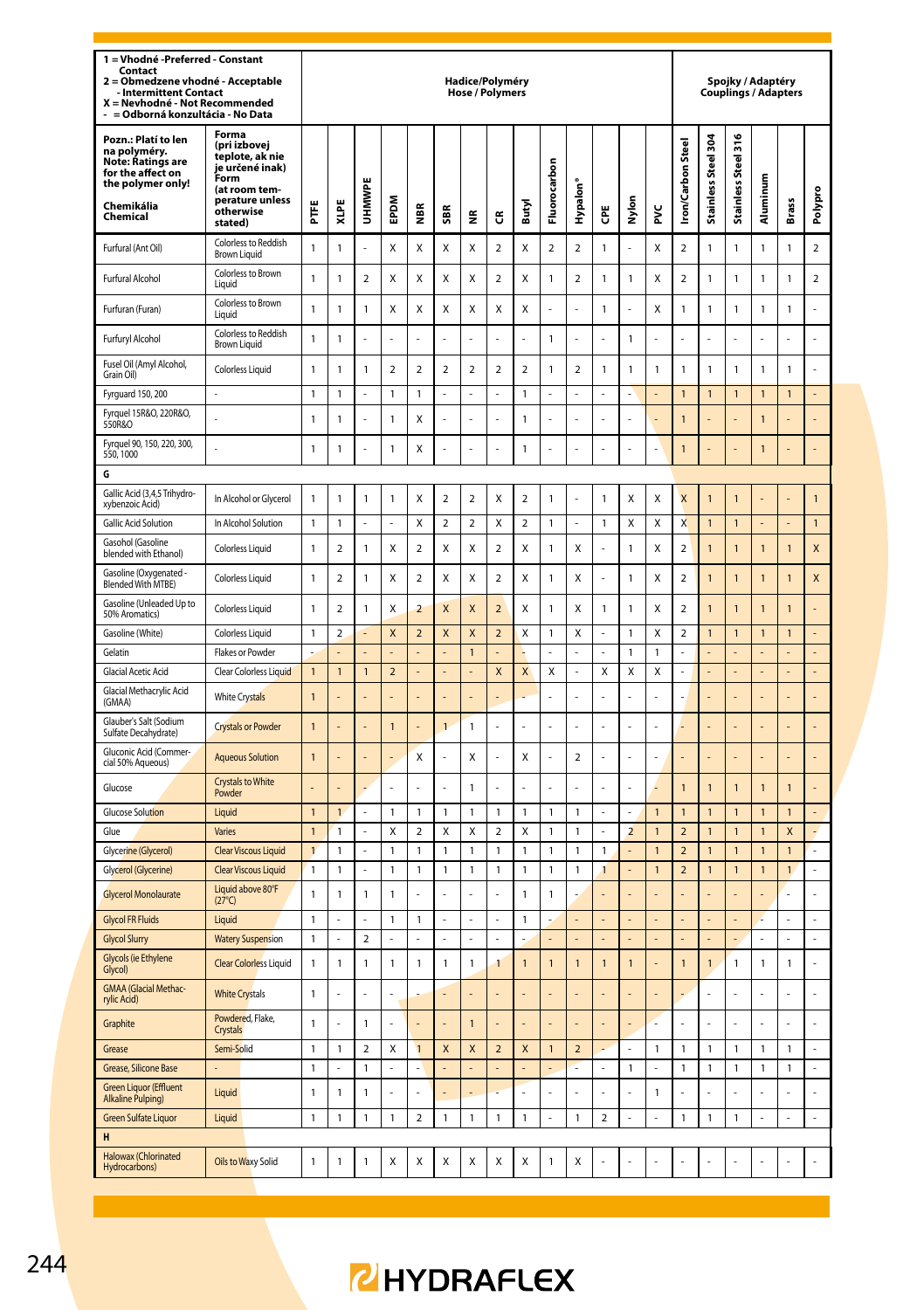| 1 = Vhodné -Preferred - Constant<br>Contact<br>$\overline{ }$<br>Obmedzene vhodné - Acceptable<br>- Intermittent Contact<br>X = Nevhodné - Not Recommended<br>= Odborná konzultácia - No Data |                                                                                                                                 |                |                         |                         |                |                         |                | Hadice/Polyméry<br><b>Hose / Polymers</b> |                         |                |                |                |                  |                         |                |                         |                             | Spojky / Adaptéry<br><b>Couplings / Adapters</b> |                |                         |                |
|-----------------------------------------------------------------------------------------------------------------------------------------------------------------------------------------------|---------------------------------------------------------------------------------------------------------------------------------|----------------|-------------------------|-------------------------|----------------|-------------------------|----------------|-------------------------------------------|-------------------------|----------------|----------------|----------------|------------------|-------------------------|----------------|-------------------------|-----------------------------|--------------------------------------------------|----------------|-------------------------|----------------|
| Pozn.: Platí to len<br>na polyméry.<br>Note: Ratings are<br>for the affect on<br>the polymer only!<br>Chemikália<br>Chemical                                                                  | Forma<br>(pri izbovej<br>teplote, ak nie<br>je určené inak)<br>Form<br>(at room tem-<br>perature unless<br>otherwise<br>stated) | Ë              | XLPE                    | UHMWPI                  | <b>MGdE</b>    | €                       | SBR            | €                                         | G                       | Butyl          | Fluorocarbon   | Hypalon        | ĕ                | Nylon                   | ž              | <b>Iron/Carbon Stee</b> | ğ<br><b>Stainless Steel</b> | 516<br>Stainless Steel                           | Aluminum       | Brass                   | Polypro        |
| Furfural (Ant Oil)                                                                                                                                                                            | Colorless to Reddish<br><b>Brown Liquid</b>                                                                                     | $\mathbf{1}$   | 1                       | L.                      | X              | X                       | X              | X                                         | $\overline{a}$          | X              | $\overline{2}$ | $\overline{2}$ | $\mathbf{1}$     | ä,                      | X              | $\overline{2}$          | $\mathbf{1}$                | $\mathbf{1}$                                     | 1              | $\mathbf{1}$            | $\mathbf 2$    |
| <b>Furfural Alcohol</b>                                                                                                                                                                       | Colorless to Brown<br>Liquid                                                                                                    | $\mathbf{1}$   | 1                       | $\mathcal{P}$           | x              | x                       | X              | X                                         | $\mathfrak{p}$          | X              | $\mathbf{1}$   | $\mathcal{P}$  | 1                | $\mathbf{1}$            | x              | $\mathfrak{p}$          | $\mathbf{1}$                | 1                                                | 1              | 1                       | 2              |
| Furfuran (Furan)                                                                                                                                                                              | Colorless to Brown<br>Liquid                                                                                                    | $\mathbf{1}$   | 1                       | 1                       | x              | x                       | X              | X                                         | X                       | X              | ä,             | į,             | 1                | L,                      | X              | 1                       | $\mathbf{1}$                | 1                                                | 1              | 1                       | l,             |
| Furfuryl Alcohol                                                                                                                                                                              | Colorless to Reddish<br><b>Brown Liquid</b>                                                                                     | 1              | 1                       |                         | L              |                         |                | l,                                        | l,                      |                | $\mathbf{1}$   | Ļ              |                  | $\mathbf{1}$            | į,             |                         | L                           | l,                                               |                |                         | l              |
| Fusel Oil (Amyl Alcohol,<br>Grain Oil)                                                                                                                                                        | Colorless Liquid                                                                                                                | $\mathbf{1}$   | 1                       | $\mathbf{1}$            | $\overline{a}$ | $\overline{a}$          | $\overline{2}$ | $\overline{2}$                            | $\overline{2}$          | $\overline{2}$ | $\mathbf{1}$   | $\overline{a}$ | $\mathbf{1}$     | $\mathbf{1}$            | 1              | 1                       | $\mathbf{1}$                | $\mathbf{1}$                                     | 1              | $\mathbf{1}$            |                |
| Fyrguard 150, 200                                                                                                                                                                             | ä,                                                                                                                              | 1              | 1                       |                         | 1              | 1                       |                |                                           |                         | $\mathbf{1}$   |                |                |                  |                         |                | $\overline{1}$          | $\mathbf{1}$                | 1                                                | 1              | $\mathbf{1}$            |                |
| Fyrquel 15R&O, 220R&O,<br>550R&O                                                                                                                                                              |                                                                                                                                 | $\mathbf{1}$   | 1                       |                         | $\mathbf{1}$   | X                       |                |                                           |                         | $\overline{1}$ |                |                |                  |                         |                | $\overline{1}$          |                             |                                                  | 1              |                         |                |
| Fyrquel 90, 150, 220, 300,<br>550, 1000                                                                                                                                                       |                                                                                                                                 | $\mathbf{1}$   | $\mathbf{1}$            |                         | $\mathbf{1}$   | Χ                       |                |                                           |                         | $\mathbf{1}$   |                |                |                  |                         |                | $\mathbf{1}$            |                             |                                                  | $\mathbf{1}$   | $\overline{a}$          | $\overline{a}$ |
| G                                                                                                                                                                                             |                                                                                                                                 |                |                         |                         |                |                         |                |                                           |                         |                |                |                |                  |                         |                |                         |                             |                                                  |                |                         |                |
| Gallic Acid (3,4,5 Trihydro-<br>xybenzoic Acid)                                                                                                                                               | In Alcohol or Glycerol                                                                                                          | $\mathbf{1}$   | $\mathbf{1}$            | $\mathbf{1}$            | $\mathbf{1}$   | X                       | $\overline{a}$ | $\overline{a}$                            | X                       | $\overline{a}$ | $\mathbf{1}$   |                | 1                | X                       | X              | $\overline{\mathsf{x}}$ | $\overline{1}$              | $\overline{1}$                                   |                |                         | $\overline{1}$ |
| Gallic Acid Solution                                                                                                                                                                          | In Alcohol Solution                                                                                                             | 1              | 1                       | ä,                      | ä,             | Χ                       | $\mathbf 2$    | $\overline{\mathbf{2}}$                   | Χ                       | $\mathbf 2$    | $\mathbf{1}$   | ä,             | $\mathbf{1}$     | X                       | X              | X                       | $\mathbf{1}$                | 1                                                |                | L,                      | $\mathbf{1}$   |
| Gasohol (Gasoline<br>blended with Ethanol)                                                                                                                                                    | <b>Colorless Liquid</b>                                                                                                         | $\mathbf{1}$   | $\overline{\mathbf{c}}$ | $\mathbf{1}$            | X              | $\overline{\mathbf{c}}$ | X              | X                                         | $\overline{a}$          | X              | $\mathbf{1}$   | X              |                  | $\mathbf{1}$            | Χ              | $\overline{a}$          | $\overline{1}$              | $\mathbf{1}$                                     | 1              | $\mathbf{1}$            | X              |
| Gasoline (Oxygenated<br>Blended With MTBE)                                                                                                                                                    | Colorless Liquid                                                                                                                | $\mathbf{1}$   | $\overline{a}$          | $\mathbf{1}$            | X              | $\overline{\mathbf{c}}$ | X              | X                                         | $\overline{a}$          | X              | $\mathbf{1}$   | X              |                  | $\mathbf{1}$            | X              | $\overline{a}$          | $\overline{1}$              | $\mathbf{1}$                                     | 1              | $\mathbf{1}$            | X              |
| Gasoline (Unleaded Up to<br>50% Aromatics)                                                                                                                                                    | Colorless Liquid                                                                                                                | $\mathbf{1}$   | $\overline{2}$          | $\mathbf{1}$            | X              | $\overline{a}$          | X              | $\overline{\mathsf{x}}$                   | $\overline{a}$          | X              | $\mathbf{1}$   | X              | $\mathbf{1}$     | $\mathbf{1}$            | X              | $\overline{a}$          | $\overline{1}$              | $\overline{1}$                                   | 1              | $\overline{1}$          |                |
| Gasoline (White)                                                                                                                                                                              | <b>Colorless Liquid</b>                                                                                                         | 1              | $\overline{2}$          |                         | X              | $\overline{a}$          | X              | $\overline{\mathsf{x}}$                   | $\overline{2}$          | X              | $\mathbf{1}$   | X              |                  | $\mathbf{1}$            | X              | $\overline{a}$          | $\overline{1}$              | $\mathbf{1}$                                     | $\overline{1}$ | $\overline{1}$          | $\overline{a}$ |
| Gelatin                                                                                                                                                                                       | Flakes or Powder                                                                                                                |                |                         |                         |                |                         | $\overline{a}$ | $\mathbf{1}$                              |                         |                | L.             |                |                  | $\mathbf{1}$            | 1              |                         | L,                          |                                                  |                | L,                      | L,             |
| <b>Glacial Acetic Acid</b>                                                                                                                                                                    | Clear Colorless Liquid                                                                                                          | 1              | $\overline{1}$          | $\mathbf{1}$            | $\mathbf 2$    | ı.                      | L              |                                           | X                       | X              | Χ              | $\overline{a}$ | Χ                | X                       | X              | L                       | $\overline{a}$              | L.                                               |                | $\overline{a}$          | $\overline{a}$ |
| Glacial Methacrylic Acid<br>(GMAA)                                                                                                                                                            | <b>White Crystals</b>                                                                                                           | $\overline{1}$ |                         |                         |                |                         |                |                                           |                         |                |                |                |                  |                         |                |                         |                             |                                                  |                |                         |                |
| Glauber's Salt (Sodium<br>Sulfate Decahydrate)                                                                                                                                                | <b>Crystals or Powder</b>                                                                                                       | $\overline{1}$ |                         |                         | $\overline{1}$ |                         | $\overline{1}$ | $\mathbf{1}$                              | L                       |                |                | ì,             |                  | ÷,                      | Ļ              |                         |                             |                                                  |                | ÷                       | L,             |
| Gluconic Acid (Commer-<br>cial 50% Aqueous)                                                                                                                                                   | <b>Aqueous Solution</b>                                                                                                         | $\overline{1}$ |                         |                         | ÷.             | Χ                       | l,             | X                                         | L                       | X              | ä,             | $\overline{a}$ | í,               | ä,                      | L              |                         |                             |                                                  |                | ä,                      | L,             |
| Glucose                                                                                                                                                                                       | <b>Crystals to White</b><br>Powder                                                                                              |                |                         |                         |                |                         |                | $\mathbf{1}$                              |                         |                |                |                |                  |                         |                | $\overline{1}$          | $\overline{1}$              | 1                                                | $\overline{1}$ | $\overline{1}$          |                |
| <b>Glucose Solution</b>                                                                                                                                                                       | Liquid                                                                                                                          | $\overline{1}$ | $\overline{1}$          | ä,                      | 1              | 1                       | $\mathbf{1}$   | $\mathbf{1}$                              | $\mathbf{1}$            | $\mathbf{1}$   | $\mathbf{1}$   | 1              | J.               | ä,                      | $\overline{1}$ | $\mathbf{1}$            | $\mathbf{1}$                | $\overline{1}$                                   | $\overline{1}$ | $\overline{1}$          | ä,             |
| Glue                                                                                                                                                                                          | Varies                                                                                                                          | $\mathbf{1}$   | 1                       |                         | Χ              | $\overline{\mathbf{c}}$ | X              | X                                         | $\overline{\mathbf{c}}$ | X              | $\mathbf{1}$   | 1              |                  | $\overline{\mathbf{2}}$ | $\mathbf{1}$   | $\overline{a}$          | $\overline{1}$              | $\mathbf{1}$                                     | $\overline{1}$ | $\overline{\mathsf{x}}$ | $\overline{a}$ |
| Glycerine (Glycerol)                                                                                                                                                                          | <b>Clear Viscous Liquid</b>                                                                                                     | $\mathbf{1}$   | 1                       | ä,                      | 1              | 1                       | $\mathbf{1}$   | $\mathbf{1}$                              | $\mathbf{1}$            | $\mathbf{1}$   | $\mathbf{1}$   | $\mathbf{1}$   | $\mathbf{1}$     | L,                      | $\mathbf{1}$   | $\overline{\mathbf{c}}$ | $\mathbf{1}$                | $\mathbf{1}$                                     | 1              | $\mathbf{1}$            | L              |
| Glycerol (Glycerine)                                                                                                                                                                          | <b>Clear Viscous Liquid</b>                                                                                                     | $\mathbf{1}$   | 1                       | $\overline{a}$          | $\mathbf{1}$   | 1                       | $\mathbf{1}$   | $\mathbf{1}$                              | $\mathbf{1}$            | $\mathbf{1}$   | $\mathbf{1}$   | 1              | 1                | $\overline{a}$          | $\mathbf{1}$   | $\overline{\mathbf{c}}$ | $\mathbf{1}$                | $\mathbf{1}$                                     | 1              | $\mathbf{1}$            | $\overline{a}$ |
| <b>Glycerol Monolaurate</b>                                                                                                                                                                   | Liquid above 80°F<br>$(27^{\circ}C)$                                                                                            | $\mathbf{1}$   | $\mathbf{1}$            | $\mathbf{1}$            | $\mathbf{1}$   |                         |                |                                           |                         | $\mathbf{1}$   | $\mathbf{1}$   |                |                  |                         |                |                         |                             |                                                  |                |                         | l,             |
| <b>Glycol FR Fluids</b>                                                                                                                                                                       | Liquid                                                                                                                          | $\mathbf{1}$   |                         | L.                      | $\mathbf{1}$   | 1                       | ÷,             | ä,                                        | l,                      | $\mathbf{1}$   | ä,             | L              | l,               | ÷,                      | L              |                         | ä,                          | L.                                               | ż              | ä,                      | ÷,             |
| <b>Glycol Slurry</b>                                                                                                                                                                          | <b>Watery Suspension</b>                                                                                                        | $\mathbf{1}$   |                         | $\overline{a}$          |                |                         |                |                                           |                         |                |                |                |                  |                         |                |                         |                             |                                                  |                |                         | L              |
| Glycols (ie Ethylene<br>Glycol)                                                                                                                                                               | <b>Clear Colorless Liquid</b>                                                                                                   | $\mathbf{1}$   | 1                       | 1                       | $\mathbf{1}$   | $\mathbf{1}$            | $\mathbf{1}$   | $\mathbf{1}$                              | $\mathbf{1}$            | $\mathbf{1}$   | $\overline{1}$ | $\mathbf{1}$   | $\mathbf{1}$     | $\overline{1}$          | í.             | $\mathbf{1}$            | $\overline{1}$              | $\mathbf{1}$                                     | $\mathbf{1}$   | $\mathbf{1}$            | Ļ              |
| <b>GMAA</b> (Glacial Methac-<br>rylic Acid)                                                                                                                                                   | <b>White Crystals</b>                                                                                                           | $\mathbf{1}$   |                         |                         | L              |                         |                |                                           |                         |                |                |                |                  |                         |                |                         |                             | í,                                               |                |                         | L              |
| Graphite                                                                                                                                                                                      | Powdered, Flake,<br>Crystals                                                                                                    | $\mathbf{1}$   |                         | $\mathbf{1}$            | L              |                         |                | $\overline{1}$                            |                         |                | L.             | Į.             |                  | ÷,                      | į,             |                         | L,                          | l,                                               |                | L                       | L              |
| Grease                                                                                                                                                                                        | Semi-Solid                                                                                                                      | 1              | 1                       | $\overline{\mathbf{c}}$ | Χ              | 1                       | X              | X                                         | $\mathbf 2$             | X              | $\mathbf{1}$   | $\mathbf 2$    |                  | ä,                      | 1              | 1                       | $\mathbf{1}$                | 1                                                | 1              | 1                       | ÷,             |
| Grease, Silicone Base                                                                                                                                                                         |                                                                                                                                 | $\mathbf{1}$   | L                       | 1                       | L              | L.                      |                |                                           |                         |                |                |                | l,               | $\mathbbm{1}$           | L.             | 1                       | $\mathbf{1}$                | 1                                                | 1              | $\mathbf{1}$            | L              |
| <b>Green Liquor (Effluent</b><br>Alkaline Pulping)                                                                                                                                            | Liquid                                                                                                                          | $\mathbf{1}$   | $\mathbf{1}$            | 1                       | L              |                         |                |                                           |                         |                |                |                |                  |                         | $\mathbf{1}$   |                         |                             |                                                  |                |                         | l,             |
| Green Sulfate Liquor                                                                                                                                                                          | Liquid                                                                                                                          | $\mathbf{1}$   | 1                       | 1                       | 1              | 2                       | $\mathbf{1}$   | $\mathbf{1}$                              | $\mathbf{1}$            | $\mathbf{1}$   | ä,             | 1              | $\boldsymbol{2}$ | L.                      |                | 1                       | 1                           | 1                                                |                | L                       | ä,             |
| H                                                                                                                                                                                             |                                                                                                                                 |                |                         |                         |                |                         |                |                                           |                         |                |                |                |                  |                         |                |                         |                             |                                                  |                |                         |                |
| Halowax (Chlorinated<br>Hydrocarbons)                                                                                                                                                         | Oils to Waxy Solid                                                                                                              | 1              | 1                       | 1                       | Χ              | X                       | Х              | X                                         | Χ                       | Х              | $\mathbf{1}$   | X              |                  |                         |                |                         |                             |                                                  |                |                         |                |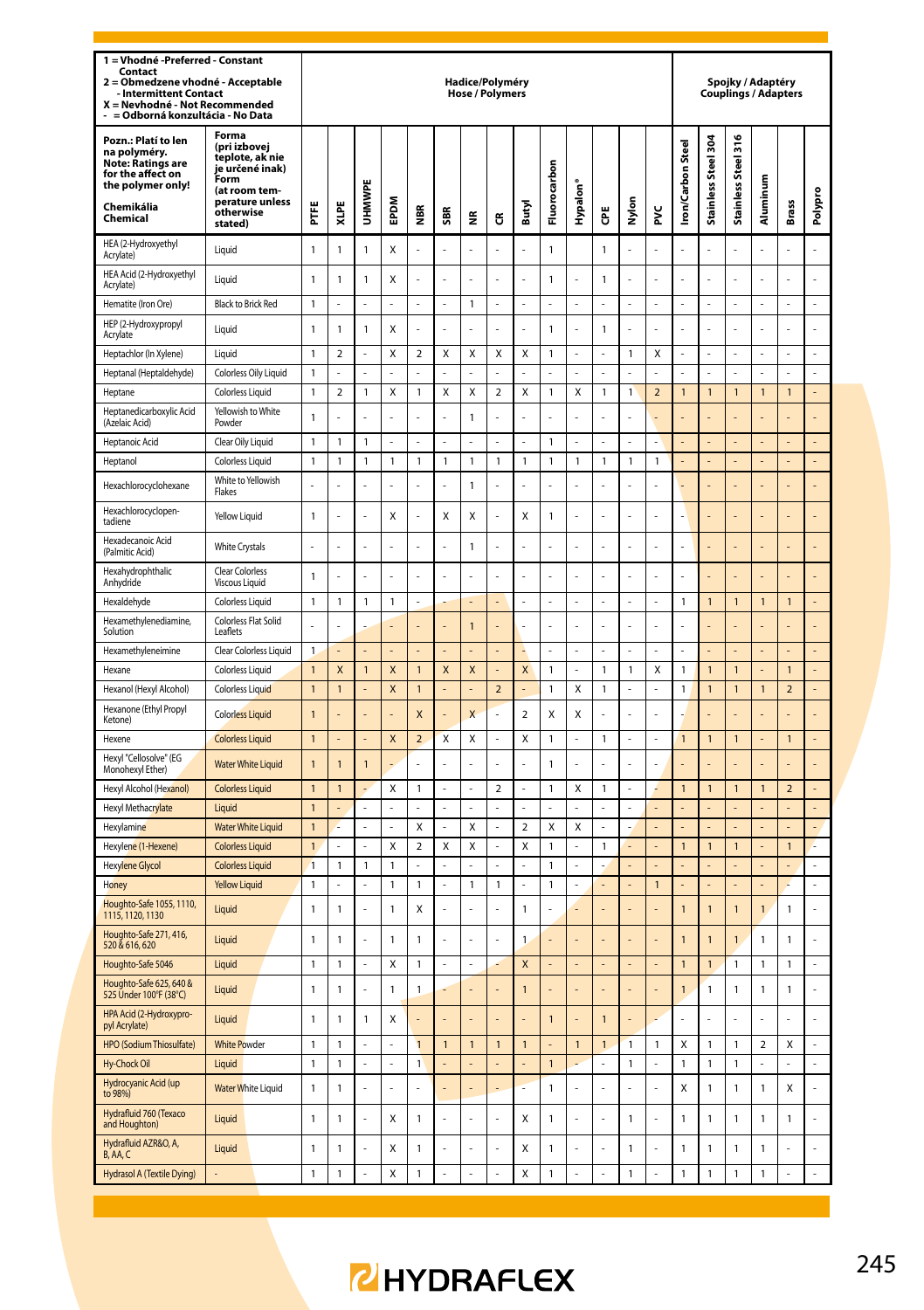| 1 = Vhodné - Preferred - Constant<br>Contact<br>= Obmedzene vhodné - Acceptable<br>$\overline{\mathbf{z}}$<br>- Intermittent Contact<br>X = Nevhodné - Not Recommended<br>= Odborná konzultácia - No Data |                                                                                                                                 |                              |                |                |                |                              |                           | Hadice/Polyméry<br><b>Hose / Polymers</b> |                         |                          |                              |                      |                |                |                |                  |                                |                     | Spojky / Adaptéry       | <b>Couplings / Adapters</b> |                |
|-----------------------------------------------------------------------------------------------------------------------------------------------------------------------------------------------------------|---------------------------------------------------------------------------------------------------------------------------------|------------------------------|----------------|----------------|----------------|------------------------------|---------------------------|-------------------------------------------|-------------------------|--------------------------|------------------------------|----------------------|----------------|----------------|----------------|------------------|--------------------------------|---------------------|-------------------------|-----------------------------|----------------|
| Pozn.: Platí to len<br>na polyméry.<br><b>Note: Ratings are</b><br>for the affect on<br>the polymer only!<br>Chemikália<br>Chemical                                                                       | Forma<br>(pri izbovej<br>teplote, ak nie<br>je určené inak)<br>Form<br>(at room tem-<br>perature unless<br>otherwise<br>stated) | Ë                            | XLPE           | UHMWPE         | EPDM           | ă                            | <b>SBR</b>                | š                                         | ű                       | Butyl                    | Fluorocarbon                 | Hypalon <sup>®</sup> | Ğ              | Nylon          | š              | ron/Carbon Steel | Stainless Steel 304            | Stainless Steel 316 | Aluminum                | <b>Brass</b>                | Polypro        |
| HEA (2-Hydroxyethyl<br>Acrylate)                                                                                                                                                                          | Liquid                                                                                                                          | $\mathbf{1}$                 | $\mathbf{1}$   | 1              | Χ              | Ļ                            |                           | i,                                        |                         |                          | $\mathbf{1}$                 |                      | 1              | L              |                |                  | Ļ                              |                     |                         |                             | $\overline{a}$ |
| HEA Acid (2-Hydroxyethyl<br>Acrylate)                                                                                                                                                                     | Liquid                                                                                                                          | $\mathbf{1}$                 | $\mathbf{1}$   | 1              | Χ              | Ļ                            |                           | l,                                        | l,                      |                          | $\mathbf{1}$                 |                      | 1              | ÷,             | l,             |                  | l,                             | l,                  |                         |                             | $\overline{a}$ |
| Hematite (Iron Ore)                                                                                                                                                                                       | <b>Black to Brick Red</b>                                                                                                       | $\mathbf{1}$                 |                |                |                |                              |                           | $\mathbf{1}$                              |                         |                          |                              |                      |                |                |                |                  |                                |                     |                         |                             |                |
| HEP (2-Hydroxypropyl<br>Acrylate                                                                                                                                                                          | Liquid                                                                                                                          | $\mathbf{1}$                 | 1              | 1              | Χ              | L                            |                           |                                           | L                       |                          | $\mathbf{1}$                 | L,                   | 1              | L,             | L,             |                  | L.                             | L.                  |                         | J.                          | $\overline{a}$ |
| Heptachlor (In Xylene)                                                                                                                                                                                    | Liquid                                                                                                                          | $\mathbf{1}$                 | $\overline{a}$ | L              | X              | $\overline{a}$               | $\mathsf{x}$              | X                                         | X                       | $\mathsf{x}$             | $\mathbf{1}$                 | l,                   |                | 1              | X              |                  | l,                             | $\overline{a}$      |                         |                             | $\overline{a}$ |
| Heptanal (Heptaldehyde)                                                                                                                                                                                   | Colorless Oily Liquid                                                                                                           | $\mathbf{1}$                 |                |                |                |                              |                           |                                           |                         |                          |                              |                      |                |                |                |                  | í,                             | L                   |                         |                             | L,             |
| Heptane                                                                                                                                                                                                   | <b>Colorless Liquid</b>                                                                                                         | $\mathbf{1}$                 | $\overline{2}$ | $\mathbf{1}$   | Χ              | $\mathbf{1}$                 | X                         | X                                         | $\mathbf 2$             | X                        | $\mathbf{1}$                 | X                    | $\mathbf{1}$   | $\mathbf{1}$   | $\overline{2}$ | $\overline{1}$   | $\mathbf{1}$                   | $\mathbf{1}$        | $\overline{1}$          | $\mathbf{1}$                | $\overline{a}$ |
| Heptanedicarboxylic Acid<br>(Azelaic Acid)                                                                                                                                                                | Yellowish to White<br>Powder                                                                                                    | $\mathbf{1}$                 |                |                | L.             | L                            |                           | $\mathbf{1}$                              | L                       |                          | L.                           | L.                   |                | ÷,             | į,             |                  |                                |                     |                         |                             |                |
| Heptanoic Acid                                                                                                                                                                                            | Clear Oily Liquid                                                                                                               | $\mathbf{1}$                 | 1              | 1              |                |                              |                           |                                           |                         |                          | $\mathbf{1}$                 |                      |                |                |                |                  |                                |                     |                         |                             |                |
| Heptanol                                                                                                                                                                                                  | Colorless Liquid                                                                                                                | $\overline{1}$               | 1              | 1              | $\mathbf{1}$   | $\mathbf{1}$                 | $\overline{1}$            | $\mathbf{1}$                              | $\overline{1}$          | $\mathbf{1}$             | $\mathbf{1}$                 | $\mathbf{1}$         | $\mathbf{1}$   | 1              | $\mathbf{1}$   |                  | $\overline{a}$                 | $\overline{a}$      |                         | L                           | L,             |
| Hexachlorocyclohexane                                                                                                                                                                                     | White to Yellowish<br>Flakes                                                                                                    | J.                           | l,             | ı              |                | L                            | L                         | $\mathbf{1}$                              | L                       |                          | L.                           | L.                   |                | L.             | L.             |                  |                                |                     |                         |                             |                |
| Hexachlorocyclopen-<br>tadiene                                                                                                                                                                            | Yellow Liquid                                                                                                                   | $\mathbf{1}$                 | L              | ÷,             | X              | L                            | X                         | X                                         | ÷,                      | X                        | $\mathbf{1}$                 | ä,                   | ä,             | ÷,             | ä,             | l,               | í,                             |                     |                         | í,                          | L              |
| Hexadecanoic Acid<br>(Palmitic Acid)                                                                                                                                                                      | <b>White Crystals</b>                                                                                                           | L.                           | L              | J.             | L.             | L                            | ÷,                        | $\mathbf{1}$                              | l,                      | L.                       | L.                           | í,                   | L.             | ÷,             | ä,             | l,               | L,                             |                     |                         | L                           | L.             |
| Hexahydrophthalic<br>Anhydride                                                                                                                                                                            | <b>Clear Colorless</b><br><b>Viscous Liquid</b>                                                                                 | $\mathbf{1}$                 | L              | l,             | L.             | L                            | ÷,                        | L.                                        | l,                      | L.                       | L.                           | í,                   | L,             | ÷,             | ä,             | J                | L,                             |                     |                         | L                           | L              |
| Hexaldehyde                                                                                                                                                                                               | Colorless Liquid                                                                                                                | $\mathbf{1}$                 | 1              | $\mathbf{1}$   | $\mathbf 1$    | $\overline{a}$               |                           |                                           |                         |                          | l,                           | L,                   |                | ÷,             | L,             | $\mathbf{1}$     | $\mathbf{1}$                   | $\mathbf{1}$        | 1                       | $\mathbf{1}$                |                |
| Hexamethylenediamine,<br>Solution                                                                                                                                                                         | Colorless Flat Solid<br>Leaflets                                                                                                | L.                           | í.             |                |                | L.                           | l,                        | $\overline{1}$                            | L.                      |                          | ÷,                           | ł                    | í.             | ÷,             | Ĭ.             | í.               | l,                             |                     |                         | l,                          | ÷              |
| Hexamethyleneimine                                                                                                                                                                                        | Clear Colorless Liquid                                                                                                          | $\mathbf{1}$                 | $\overline{a}$ | l,             | $\overline{a}$ |                              |                           |                                           | L,                      |                          | ÷,                           | ÷,                   |                | l,             | l,             |                  | L,                             | $\overline{a}$      |                         | $\overline{a}$              | L,             |
| Hexane                                                                                                                                                                                                    | <b>Colorless Liquid</b>                                                                                                         | $\overline{1}$               | X              | 1              | X              | $\mathbf{1}$                 | X                         | X                                         |                         | X                        | $\mathbf{1}$                 |                      | 1              | 1              | Χ              | 1                | $\mathbf{1}$                   | $\mathbf{1}$        |                         | 1                           |                |
| Hexanol (Hexyl Alcohol)                                                                                                                                                                                   | Colorless Liquid                                                                                                                | $\mathbf{1}$                 | $\overline{1}$ |                | X              | $\overline{1}$               |                           |                                           | $\overline{\mathbf{2}}$ |                          | $\mathbf{1}$                 | X                    | $\mathbf{1}$   | l,             | L,             | $\mathbf{1}$     | $\mathbf{1}$                   | $\mathbf{1}$        | $\overline{1}$          | $\overline{\mathbf{c}}$     | $\overline{a}$ |
| Hexanone (Ethyl Propyl<br>Ketone)                                                                                                                                                                         | <b>Colorless Liquid</b>                                                                                                         | $\overline{1}$               | l,             |                | ÷.             | $\mathsf{x}$                 |                           | $\mathbf{x}$                              | l,                      | $\overline{\phantom{a}}$ | X                            | X                    | J,             | ÷,             | ä,             |                  | L,                             |                     |                         | L                           |                |
| Hexene                                                                                                                                                                                                    | <b>Colorless Liquid</b>                                                                                                         | $\mathbf{1}$                 |                |                | X              | $\overline{\mathbf{c}}$      | $\boldsymbol{\mathsf{x}}$ | Χ                                         | ÷,                      | X                        | $\mathbf{1}$                 | L.                   | $\mathbf{1}$   | ÷,             | ÷,             | $\mathbf{1}$     | $\mathbf{1}$                   | $\mathbf{1}$        |                         | $\mathbf{1}$                | ä,             |
| Hexyl "Cellosolve" (EG<br>Monohexyl Ether)                                                                                                                                                                | <b>Water White Liquid</b>                                                                                                       | $\overline{1}$               | $\overline{1}$ | 1              |                | L                            |                           |                                           | L                       |                          | $\overline{1}$               | l,                   |                | L              | Ĭ.             |                  |                                |                     |                         |                             |                |
| Hexyl Alcohol (Hexanol)                                                                                                                                                                                   | <b>Colorless Liquid</b>                                                                                                         | $\overline{1}$               | $\overline{1}$ | L,             | Χ              | $\mathbf{1}$                 | l,                        | l,                                        | $\mathbf 2$             | L                        | $\mathbf{1}$                 | X                    | $\mathbf{1}$   | ÷,             | Z              | $\overline{1}$   | $\mathbf{1}$                   | $\mathbf{1}$        | $\overline{1}$          | $\overline{a}$              | L,             |
| Hexyl Methacrylate                                                                                                                                                                                        | Liquid                                                                                                                          | $\mathbf{1}$                 |                | L.             |                |                              |                           |                                           |                         |                          |                              |                      | L              |                |                |                  |                                |                     |                         |                             | L              |
| Hexylamine<br>Hexylene (1-Hexene)                                                                                                                                                                         | <b>Water White Liquid</b><br><b>Colorless Liquid</b>                                                                            | $\mathbf{1}$<br>$\mathbf{1}$ |                | ä,             | ÷,<br>Χ        | Χ<br>$\overline{\mathbf{c}}$ | l,<br>X                   | X<br>X                                    | ä,<br>L                 | $\overline{a}$           | Χ                            | Χ<br>L,              | 1              | ÷,             | ÷,             | $\overline{1}$   | ÷,                             | L.<br>$\mathbf{1}$  |                         | L,<br>$\overline{1}$        | ä,<br>L        |
| <b>Hexylene Glycol</b>                                                                                                                                                                                    | <b>Colorless Liquid</b>                                                                                                         | $\overline{1}$               | $\mathbf{1}$   | 1              | $\mathbf{1}$   | l,                           | L                         | l,                                        | l,                      | X<br>L                   | $\mathbf{1}$<br>$\mathbf{1}$ | l,                   |                | $\overline{a}$ |                |                  | $\mathbf{1}$<br>$\overline{a}$ |                     |                         |                             | ÷,             |
| Honey                                                                                                                                                                                                     | <b>Yellow Liquid</b>                                                                                                            | $\mathbf{1}$                 |                |                | $\mathbf{1}$   | $\mathbf{1}$                 |                           | $\mathbf{1}$                              | $\mathbf{1}$            |                          | $\mathbf{1}$                 |                      |                |                | $\mathbf{1}$   |                  |                                |                     |                         |                             | l,             |
| Houghto-Safe 1055, 1110,<br>1115, 1120, 1130                                                                                                                                                              | Liquid                                                                                                                          | $\mathbf{1}$                 | 1              | J.             | $\mathbf{1}$   | Χ                            | į,                        | ÷,                                        | í,                      | $\mathbf{1}$             | ä,                           |                      |                | L,             | ä,             | $\mathbf{1}$     | $\overline{1}$                 | $\mathbf{1}$        | $\overline{1}$          | $\mathbf{1}$                | L,             |
| Houghto-Safe 271, 416,<br>520 & 616, 620                                                                                                                                                                  | Liquid                                                                                                                          | $\mathbf{1}$                 | 1              | l,             | $\mathbf{1}$   | 1                            | l,                        | L.                                        | l,                      | 1                        | L.                           | í,                   |                | L              | ä,             | $\mathbf{1}$     | $\overline{1}$                 | $\mathbf{1}$        | 1                       | $\mathbf{1}$                | $\overline{a}$ |
| Houghto-Safe 5046                                                                                                                                                                                         | Liquid                                                                                                                          | $\mathbf{1}$                 | 1              | ÷,             | Χ              | 1                            | l,                        | ÷,                                        |                         | X                        | ÷,                           | L.                   | L              | L,             | L,             | $\overline{1}$   | $\mathbf{1}$                   | 1                   | 1                       | 1                           | ä,             |
| Houghto-Safe 625, 640 &<br>525 Under 100°F (38°C)                                                                                                                                                         | Liquid                                                                                                                          | $\mathbf{1}$                 | $\mathbf{1}$   |                | $\mathbf{1}$   | $\mathbf{1}$                 |                           |                                           |                         | $\overline{1}$           |                              |                      |                |                |                | $\mathbf{1}$     | $\mathbf{1}$                   | $\mathbf{1}$        | 1                       | $\mathbf{1}$                |                |
| HPA Acid (2-Hydroxypro-<br>pyl Acrylate)                                                                                                                                                                  | Liquid                                                                                                                          | $\mathbf{1}$                 | $\mathbf{1}$   | $\mathbf{1}$   | Χ              |                              |                           |                                           |                         |                          | $\overline{1}$               |                      | $\overline{1}$ |                |                |                  |                                |                     |                         |                             |                |
| HPO (Sodium Thiosulfate)                                                                                                                                                                                  | <b>White Powder</b>                                                                                                             | $\mathbf{1}$                 | 1              | $\overline{a}$ | L.             | $\mathbf{1}$                 | 1                         | $\mathbf{1}$                              | $\mathbf{1}$            | $\overline{1}$           | $\overline{a}$               | $\mathbf{1}$         | $\mathbf{1}$   | $\mathbf{1}$   | $\mathbf{1}$   | X                | 1                              | $\mathbf{1}$        | $\overline{\mathbf{c}}$ | X                           | $\overline{a}$ |
| Hy-Chock Oil                                                                                                                                                                                              | Liquid                                                                                                                          | $\mathbf{1}$                 | 1              | ÷,             | ÷,             | 1                            | L,                        | L,                                        | ä,                      | ÷,                       | $\mathbf{1}$                 |                      | í,             | $\mathbbm{1}$  | ä,             | 1                | 1                              | $\mathbf{1}$        |                         | ä,                          | ÷,             |
| Hydrocyanic Acid (up<br>to 98%)                                                                                                                                                                           | <b>Water White Liquid</b>                                                                                                       | $\mathbf{1}$                 | 1              |                |                |                              |                           |                                           |                         |                          | $\mathbf{1}$                 |                      |                |                |                | X                | $\mathbf{1}$                   | $\mathbf{1}$        | 1                       | Χ                           |                |
| Hydrafluid 760 (Texaco<br>and Houghton)                                                                                                                                                                   | Liquid                                                                                                                          | $\mathbf{1}$                 | 1              |                | Χ              | 1                            |                           |                                           |                         | X                        | $\mathbf{1}$                 |                      |                | 1              |                | 1                | 1                              | 1                   | 1                       | 1                           |                |
| Hydrafluid AZR&O, A,<br>B, AA, C                                                                                                                                                                          | Liquid                                                                                                                          | $\mathbf{1}$                 | 1              | J.             | Χ              | 1                            | L.                        | ÷,                                        | l,                      | X                        | $\mathbf{1}$                 | l,                   | l,             | 1              | L,             | 1                | 1                              | 1                   | 1                       | L                           | L.             |
| Hydrasol A (Textile Dying)                                                                                                                                                                                |                                                                                                                                 | $\mathbf{1}$                 | 1              | L,             | X              | $\mathbf{1}$                 | $\overline{a}$            | L                                         | L                       | X                        | $\mathbf{1}$                 |                      | L              | 1              |                | 1                | $\mathbf{1}$                   | $\mathbf{1}$        | 1                       |                             |                |

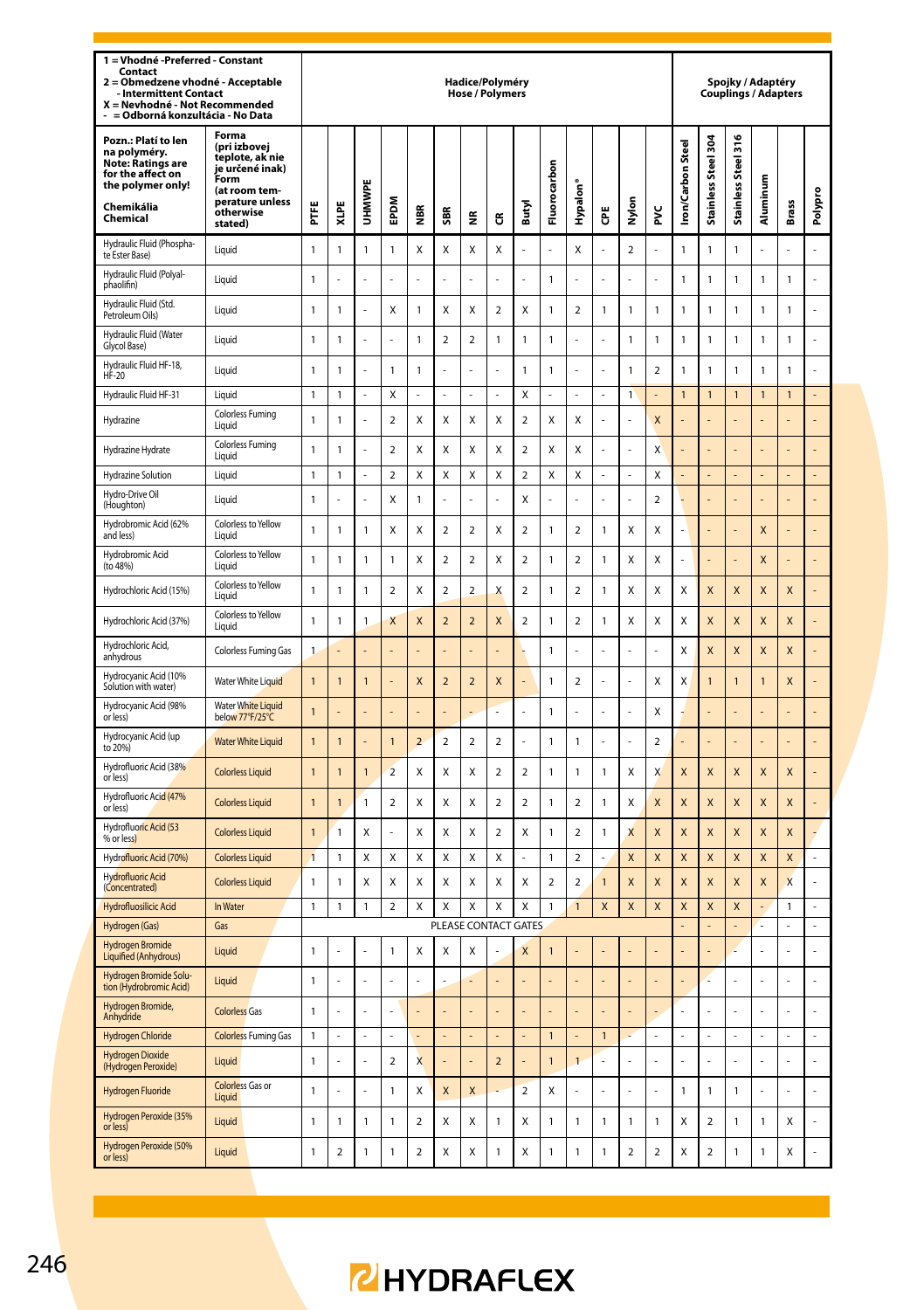| 1 = Vhodné - Preferred - Constant<br>Contact<br>= Obmedzene vhodné - Acceptable<br>2<br><b>Intermittent Contact</b><br>X = Nevhodné - Not Recommended<br>-   = Odborná konzultácia - No Data |                                                                                                                                 |                |                |                |                |                         |                         | Hadice/Polyméry<br><b>Hose / Polymers</b> |                |                          |                |                         |                |                |                         |                  |                     |                     | Spojky / Adaptéry<br><b>Couplings / Adapters</b> |                |         |
|----------------------------------------------------------------------------------------------------------------------------------------------------------------------------------------------|---------------------------------------------------------------------------------------------------------------------------------|----------------|----------------|----------------|----------------|-------------------------|-------------------------|-------------------------------------------|----------------|--------------------------|----------------|-------------------------|----------------|----------------|-------------------------|------------------|---------------------|---------------------|--------------------------------------------------|----------------|---------|
| Pozn.: Platí to len<br>na polyméry.<br>Note: Ratings are<br>for the affect on<br>the polymer only!<br>Chemikália<br>Chemical                                                                 | Forma<br>(pri izbovej<br>teplote, ak nie<br>je určené inak)<br>Form<br>(at room tem-<br>perature unless<br>otherwise<br>stated) | Ë              | XLPE           | UHMWPE         | <b>MGdE</b>    | NBR<br>2                | <b>SBR</b>              | ž                                         | ű              | Butyl                    | Fluorocarbon   | Hypalon <sup>®</sup>    | Ğ              | Nylon          | ž                       | ron/Carbon Steel | Stainless Steel 304 | Stainless Steel 316 | luminum<br>₹                                     | Brass          | Polypro |
| Hydraulic Fluid (Phospha-<br>te Ester Base)                                                                                                                                                  | Liquid                                                                                                                          | 1              | 1              | $\mathbf{1}$   | 1              | Χ                       | Χ                       | Χ                                         | Χ              |                          |                | Χ                       |                | $\sqrt{2}$     |                         | $\overline{1}$   | $\mathbf{1}$        | 1                   |                                                  |                |         |
| Hydraulic Fluid (Polyal-<br>phaolifin)                                                                                                                                                       | Liquid                                                                                                                          | $\mathbf{1}$   |                |                |                |                         |                         |                                           |                |                          | $\mathbf{1}$   |                         |                |                |                         | $\mathbf{1}$     | $\mathbf{1}$        | $\mathbf{1}$        | $\mathbf{1}$                                     | $\mathbf{1}$   |         |
| Hydraulic Fluid (Std.<br>Petroleum Oils)                                                                                                                                                     | Liquid                                                                                                                          | 1              | 1              |                | Χ              | 1                       | X                       | Χ                                         | $\mathbf 2$    | Χ                        | $\mathbf{1}$   | $\overline{\mathbf{c}}$ | 1              | 1              | 1                       | $\mathbf{1}$     | 1                   | 1                   | $\mathbf{1}$                                     | 1              |         |
| Hydraulic Fluid (Water<br>Glycol Base)                                                                                                                                                       | Liquid                                                                                                                          | $\mathbf{1}$   | $\mathbf{1}$   |                |                | $\mathbf{1}$            | $\overline{2}$          | $\overline{a}$                            | $\mathbf{1}$   | $\mathbf{1}$             | $\mathbf{1}$   |                         |                | 1              | $\mathbf{1}$            | $\mathbf{1}$     | $\mathbf{1}$        | $\mathbf{1}$        | $\mathbf{1}$                                     | $\mathbf{1}$   |         |
| Hydraulic Fluid HF-18,<br>HF-20                                                                                                                                                              | Liquid                                                                                                                          | $\mathbf{1}$   | 1              |                | $\mathbf{1}$   | $\mathbf{1}$            |                         |                                           | l,             | $\mathbf{1}$             | $\mathbf{1}$   | l,                      |                | $\mathbf{1}$   | $\mathcal{P}$           | $\mathbf{1}$     | $\mathbf{1}$        | $\mathbf{1}$        | $\mathbf{1}$                                     | 1              |         |
| Hydraulic Fluid HF-31                                                                                                                                                                        | Liquid                                                                                                                          | $\mathbf 1$    | $\mathbf{1}$   | ÷,             | Χ              | $\overline{a}$          | ÷,                      | l,                                        | $\overline{a}$ | X                        | $\overline{a}$ | L                       | $\overline{a}$ | $\mathbf{1}$   |                         | $\overline{1}$   | $\mathbf{1}$        | $\mathbf{1}$        | 1                                                | $\mathbf{1}$   | L,      |
| Hydrazine                                                                                                                                                                                    | <b>Colorless Fuming</b><br>Liquid                                                                                               | $\mathbf{1}$   | 1              | J.             | $\mathcal{P}$  | X                       | X                       | X                                         | Χ              | $\mathcal{P}$            | X              | X                       | í.             |                | X                       |                  |                     |                     |                                                  |                |         |
| Hydrazine Hydrate                                                                                                                                                                            | <b>Colorless Fuming</b><br>Liquid                                                                                               | $\mathbf{1}$   | 1              |                | $\overline{2}$ | X                       | X                       | X                                         | X              | $\overline{a}$           | X              | X                       |                | í.             | X                       |                  | L.                  |                     |                                                  | í.             | l,      |
| Hydrazine Solution                                                                                                                                                                           | Liquid                                                                                                                          | 1              | $\mathbf{1}$   | l,             | 2              | Χ                       | X                       | X                                         | X              | $\overline{\mathbf{c}}$  | Χ              | X                       | L,             | ÷,             | X                       |                  | $\overline{a}$      | $\overline{a}$      |                                                  | L,             | L,      |
| Hydro-Drive Oil<br>(Houghton)                                                                                                                                                                | Liquid                                                                                                                          | 1              |                | J.             | X              | 1                       | į,                      | ÷,                                        | ä,             | X                        | ä,             | ÷.                      | í.             | ä,             | $\overline{\mathbf{2}}$ | ч                | ä,                  | ä,                  |                                                  | ä,             | ÷,      |
| Hydrobromic Acid (62%<br>and less)                                                                                                                                                           | Colorless to Yellow<br>I iguid                                                                                                  | 1              | 1              | $\mathbf{1}$   | Χ              | Χ                       | $\overline{\mathbf{2}}$ | $\mathbf 2$                               | Χ              | $\overline{\mathbf{c}}$  | $\mathbf{1}$   | $\boldsymbol{2}$        | 1              | Χ              | Χ                       | í,               | L,                  | L                   | X                                                | l,             | L       |
| Hydrobromic Acid<br>(to 48%)                                                                                                                                                                 | Colorless to Yellow<br>Liauid                                                                                                   | 1              | 1              | 1              | 1              | Χ                       | 2                       | $\overline{\mathbf{c}}$                   | X              | $\overline{\mathbf{c}}$  | $\mathbf{1}$   | $\overline{\mathbf{c}}$ | 1              | X              | Χ                       |                  | į,                  |                     | X                                                |                |         |
| Hydrochloric Acid (15%)                                                                                                                                                                      | Colorless to Yellow<br>Liauid                                                                                                   | 1              | 1              | 1              | 2              | Χ                       | $\overline{\mathbf{c}}$ | $\overline{\phantom{a}}$                  | X              | $\overline{\mathbf{c}}$  | $\mathbf{1}$   | $\mathbf 2$             | $\mathbf{1}$   | X              | Χ                       | X                | X                   | X                   | X                                                | X              |         |
| Hydrochloric Acid (37%)                                                                                                                                                                      | Colorless to Yellow<br>Liquid                                                                                                   | 1              | 1              | 1              | X              | X                       | $\overline{\mathbf{c}}$ | $\overline{a}$                            | X              | 2                        | $\mathbf{1}$   | $\overline{a}$          | 1              | X              | X                       | X                | X                   | X                   | X                                                | X              |         |
| Hydrochloric Acid.<br>anhydrous                                                                                                                                                              | Colorless Fuming Gas                                                                                                            | $\mathbf{1}$   |                |                |                |                         |                         |                                           |                |                          | $\mathbf{1}$   |                         |                |                |                         | X                | X                   | X                   | X                                                | X              |         |
| Hydrocyanic Acid (10%<br>Solution with water)                                                                                                                                                | Water White Liquid                                                                                                              | $\overline{1}$ | 1              | $\overline{1}$ |                | X                       | $\overline{a}$          | $\overline{2}$                            | X              |                          | $\mathbf{1}$   | $\overline{a}$          | į,             |                | X                       | X                | $\overline{1}$      | $\mathbf{1}$        | 1                                                | X              |         |
| Hydrocyanic Acid (98%<br>or less)                                                                                                                                                            | <b>Water White Liquid</b><br>below 77°F/25°C                                                                                    | $\mathbf{1}$   |                |                |                |                         |                         |                                           |                |                          | $\mathbf{1}$   |                         |                |                | Χ                       |                  |                     |                     |                                                  |                |         |
| Hydrocyanic Acid (up<br>to 20%)                                                                                                                                                              | <b>Water White Liquid</b>                                                                                                       | $\overline{1}$ | 1              | l,             | $\overline{1}$ | $\overline{a}$          | $\overline{a}$          | $\overline{a}$                            | $\mathbf 2$    | L                        | $\mathbf{1}$   | $\mathbf{1}$            | Ļ              | L              | $\mathbf 2$             |                  | L                   | L                   |                                                  | L              |         |
| Hydrofluoric Acid (38%<br>or less)                                                                                                                                                           | <b>Colorless Liquid</b>                                                                                                         | $\overline{1}$ | 1              | $\overline{1}$ | $\overline{2}$ | Χ                       | X                       | X                                         | $\overline{2}$ | $\mathcal{P}$            | $\mathbf{1}$   | 1                       | 1              | x              | X                       | X                | X                   | X                   | X                                                | X              |         |
| Hydrofluoric Acid (47%<br>or less)                                                                                                                                                           | <b>Colorless Liquid</b>                                                                                                         | $\overline{1}$ | $\overline{1}$ | $\mathbf{1}$   | $\overline{a}$ | X                       | X                       | X                                         | $\mathfrak{p}$ | $\overline{\phantom{a}}$ | $\mathbf{1}$   | $\mathfrak{p}$          | 1              | x              | $\mathbf{x}$            | X                | X                   | $\mathsf{x}$        | X                                                | X              |         |
| Hydrofluoric Acid (53<br>% or less)                                                                                                                                                          | <b>Colorless Liquid</b>                                                                                                         | $\overline{1}$ | 1              | x              | ä,             | X                       | X                       | X                                         | $\overline{2}$ | X                        | $\mathbf{1}$   | $\overline{2}$          | 1              | X              | X                       | X                | X                   | X                   | X                                                | X              |         |
| Hydrofluoric Acid (70%)                                                                                                                                                                      | <b>Colorless Liquid</b>                                                                                                         | $\overline{1}$ | 1              | Χ              | Χ              | Χ                       | X                       | X                                         | Χ              |                          | $\mathbf{1}$   | $\boldsymbol{2}$        |                | X              | X                       | X                | X                   | X                   | X                                                | X              | L       |
| <b>Hydrofluoric Acid</b><br>(Concentrated)                                                                                                                                                   | <b>Colorless Liquid</b>                                                                                                         | 1              | 1              | X              | X              | X                       | X                       | X                                         | X              | X                        | $\overline{a}$ | $\boldsymbol{2}$        | $\overline{1}$ | $\mathbf{x}$   | X                       | X                | X                   | X                   | X                                                | X              | L       |
| <b>Hydrofluosilicic Acid</b>                                                                                                                                                                 | In Water                                                                                                                        | $\mathbf{1}$   | $\mathbf{1}$   | $\mathbf{1}$   | $\overline{2}$ | Χ                       | X                       | X                                         | X              | X                        | $\mathbf{1}$   | $\mathbf{1}$            | X              | $\pmb{\chi}$   | $\mathsf{x}$            | X                | X                   | X                   |                                                  | $\mathbf{1}$   | L,      |
| Hydrogen (Gas)                                                                                                                                                                               | Gas                                                                                                                             |                |                |                |                |                         |                         | PLEASE CONTACT GATES                      |                |                          |                |                         |                |                |                         |                  | l,                  | $\overline{a}$      |                                                  | $\overline{a}$ | L       |
| <b>Hydrogen Bromide</b><br>Liquified (Anhydrous)                                                                                                                                             | Liquid                                                                                                                          | 1              |                |                | 1              | Χ                       | X                       | X                                         |                | $\overline{\mathsf{x}}$  | 1              |                         |                |                |                         |                  | l,                  |                     |                                                  | l,             | L       |
| Hydrogen Bromide Solu-<br>tion (Hydrobromic Acid)                                                                                                                                            | Liquid                                                                                                                          | 1              |                | l,             |                |                         |                         |                                           |                |                          |                |                         |                |                |                         |                  | L                   | L                   |                                                  | $\overline{a}$ | Ļ       |
| Hydrogen Bromide,<br>Anhydride                                                                                                                                                               | <b>Colorless Gas</b>                                                                                                            | 1              |                |                |                |                         | ł,                      | ä,                                        | ä,             |                          | ÷              |                         |                | L,             |                         |                  | ł                   |                     |                                                  | $\overline{a}$ | L       |
| <b>Hydrogen Chloride</b>                                                                                                                                                                     | <b>Colorless Fuming Gas</b>                                                                                                     | 1              |                | ÷              |                |                         |                         |                                           |                |                          | $\mathbf{1}$   |                         | $\mathbf{1}$   | ż              |                         |                  | L.                  | L.                  |                                                  | L.             | L.      |
| <b>Hydrogen Dioxide</b><br>(Hydrogen Peroxide)                                                                                                                                               | Liquid                                                                                                                          | $\mathbf{1}$   |                |                | $\overline{2}$ | $\overline{\mathsf{x}}$ |                         |                                           | $\overline{a}$ |                          | $\overline{1}$ | $\overline{1}$          |                |                |                         |                  | L                   |                     |                                                  | l              | L       |
| Hydrogen Fluoride                                                                                                                                                                            | <b>Colorless Gas or</b><br>Liquid                                                                                               | $\mathbf{1}$   |                |                | $\mathbf{1}$   | X                       | $\overline{\mathsf{x}}$ | $\mathsf{x}$                              |                | $\overline{a}$           | Χ              |                         |                |                |                         | $\mathbf{1}$     | $\mathbf{1}$        | $\mathbf{1}$        |                                                  |                |         |
| Hydrogen Peroxide (35%<br>or less)                                                                                                                                                           | Liquid                                                                                                                          | 1              | 1              | 1              | 1              | $\mathfrak{p}$          | X                       | X                                         | $\mathbf{1}$   | X                        | $\mathbf{1}$   | $\mathbf{1}$            | 1              | $\mathbf{1}$   | $\mathbf{1}$            | X                | $\mathcal{P}$       | $\mathbf{1}$        | 1                                                | X              |         |
| Hydrogen Peroxide (50%<br>or less)                                                                                                                                                           | Liquid                                                                                                                          | 1              | $\overline{2}$ | 1              | 1              | $\overline{2}$          | X                       | X                                         | $\mathbf{1}$   | X                        | $\mathbf{1}$   | $\mathbf{1}$            | 1              | $\overline{2}$ | $\overline{2}$          | X                | $\overline{2}$      | $\mathbf{1}$        | $\mathbf{1}$                                     | X              | l,      |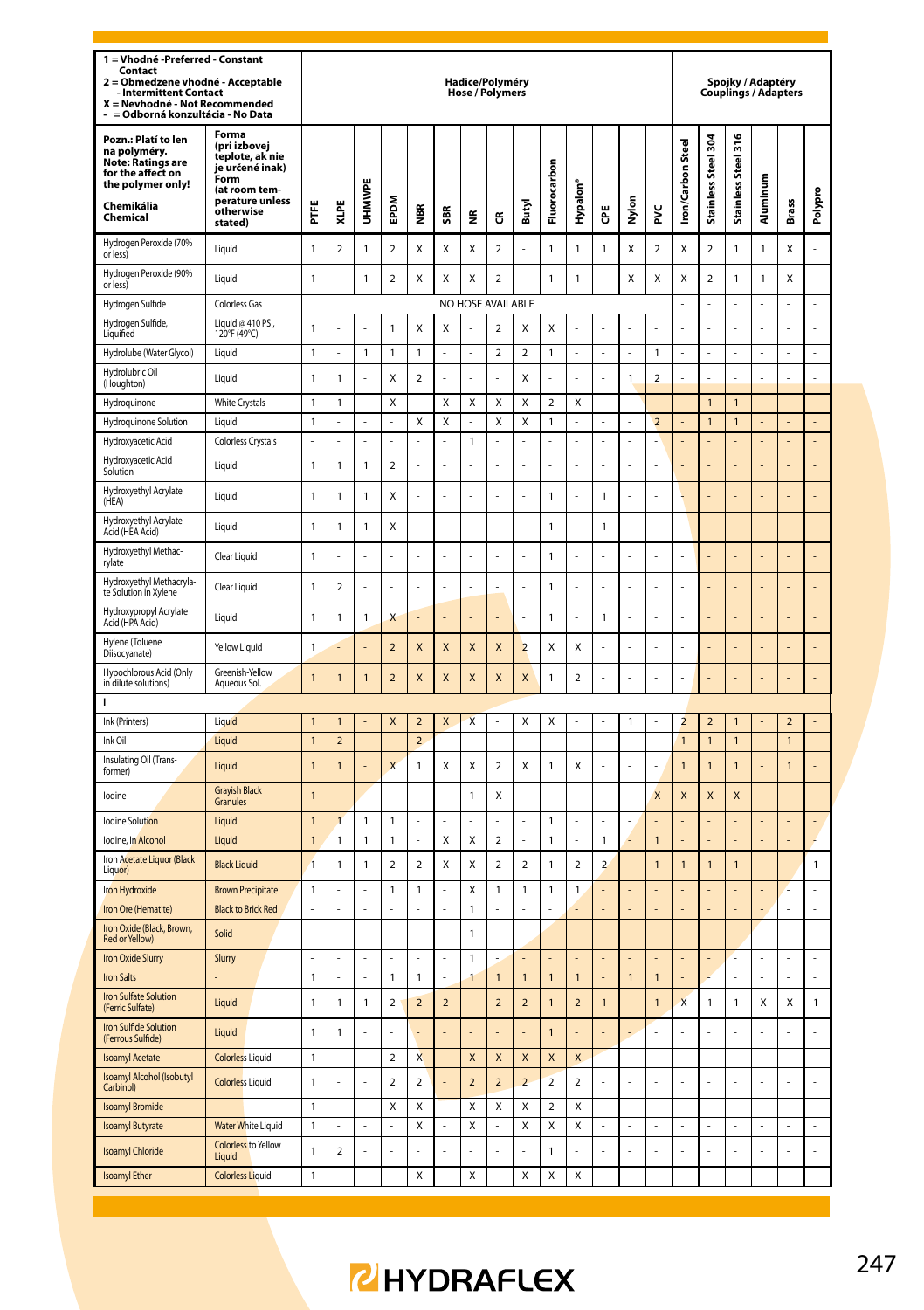| 1 = Vhodné - Preferred - Constant<br>Contact<br>Obmedzene vhodné - Acceptable<br>$\overline{2}$<br><b>Intermittent Contact</b><br>X = Nevhodné - Not Recommended<br>= Odborná konzultácia - No Data |                                                                                                                                 |                |                |                |                         |                          |                         | Hadice/Polyméry<br>Hose / Polymers |                         |                |                |                         |                |              |                          |                          | <b>Couplings / Adapters</b> | Spojky / Adaptéry   |                |                |                |
|-----------------------------------------------------------------------------------------------------------------------------------------------------------------------------------------------------|---------------------------------------------------------------------------------------------------------------------------------|----------------|----------------|----------------|-------------------------|--------------------------|-------------------------|------------------------------------|-------------------------|----------------|----------------|-------------------------|----------------|--------------|--------------------------|--------------------------|-----------------------------|---------------------|----------------|----------------|----------------|
| Pozn.: Platí to len<br>na polyméry.<br>Note: Ratings are<br>for the affect on<br>the polymer only!<br>Chemikália<br>Chemical                                                                        | Forma<br>(pri izbovej<br>teplote, ak nie<br>je určené inak)<br>Form<br>(at room tem-<br>perature unless<br>otherwise<br>stated) | Ë              | XLPE           | UHMWPE         | EPDM                    | $\sim$<br>ē              | SBR                     | ž                                  | ű                       | Butyl          | Fluorocarbon   | Hypalon'                | Ğ              | å<br>Σ       | š                        | <b>Iron/Carbon Steel</b> | Stainless Steel 304         | Stainless Steel 316 | Aluminum       | Brass          | Polypro        |
| Hydrogen Peroxide (70%<br>or less)                                                                                                                                                                  | Liquid                                                                                                                          | 1              | $\overline{a}$ | $\mathbf{1}$   | $\mathfrak{p}$          | X                        | X                       | X                                  | $\overline{2}$          | ÷,             | $\mathbf{1}$   | $\mathbf{1}$            | $\mathbf{1}$   | X            | $\overline{a}$           | X                        | $\mathfrak{p}$              | 1                   | 1              | X              | l,             |
| Hydrogen Peroxide (90%<br>or less)                                                                                                                                                                  | Liquid                                                                                                                          | $\mathbf{1}$   |                | $\mathbf{1}$   | $\mathfrak{p}$          | x                        | X                       | X                                  | $\mathfrak{p}$          | ÷,             | $\mathbf{1}$   | $\mathbf{1}$            | í,             | X            | X                        | X                        | $\overline{\phantom{a}}$    | 1                   | 1              | X              | L              |
| Hydrogen Sulfide                                                                                                                                                                                    | <b>Colorless Gas</b>                                                                                                            |                |                |                |                         |                          |                         | NO HOSE AVAILABLE                  |                         |                |                |                         |                |              |                          |                          | ä,                          | L.                  | L              | L              | L.             |
| Hydrogen Sulfide,<br>Liquified                                                                                                                                                                      | Liquid @ 410 PSI,<br>120°F (49°C)                                                                                               | $\mathbf{1}$   |                |                | $\mathbf{1}$            | X                        | X                       |                                    | $\overline{a}$          | X              | X              |                         |                |              |                          |                          |                             |                     |                |                | l,             |
| Hydrolube (Water Glycol)                                                                                                                                                                            | Liquid                                                                                                                          | $\mathbf{1}$   | L              | $\mathbf{1}$   | 1                       | 1                        | L.                      | L.                                 | $\overline{\mathbf{c}}$ | $\mathbf 2$    | $\mathbf{1}$   |                         | L.             |              | $\mathbf{1}$             | L.                       | L                           | L.                  | L              | L              | L,             |
| Hydrolubric Oil<br>(Houghton)                                                                                                                                                                       | Liquid                                                                                                                          | 1              | 1              |                | Χ                       | $\mathbf 2$              |                         |                                    |                         | X              |                |                         |                | $\mathbf{1}$ | $\overline{\mathbf{c}}$  |                          |                             |                     |                |                |                |
| Hydroquinone                                                                                                                                                                                        | <b>White Crystals</b>                                                                                                           | 1              | 1              | ä,             | X                       | í,                       | X                       | X                                  | X                       | X              | $\overline{2}$ | X                       | ä,             | ÷.           |                          |                          | $\mathbf{1}$                | $\overline{1}$      |                | ä,             | ä,             |
| Hydroquinone Solution                                                                                                                                                                               | Liquid                                                                                                                          | $\mathbf{1}$   |                | Î,             | ä,                      | X                        | $\mathsf{x}$            | ä,                                 | $\mathsf{x}$            | $\mathsf{x}$   | $\mathbf{1}$   |                         | í,             | ä,           | $\overline{\phantom{a}}$ |                          | $\overline{1}$              | $\overline{1}$      |                |                | ä,             |
| Hydroxyacetic Acid                                                                                                                                                                                  | <b>Colorless Crystals</b>                                                                                                       | ä,             |                | Î,             | ä,                      |                          | ä,                      | $\mathbf{1}$                       |                         | ä,             | ÷,             |                         | Ē,             | ÷            | Ē,                       |                          |                             |                     |                |                |                |
| Hydroxyacetic Acid<br>Solution                                                                                                                                                                      | Liquid                                                                                                                          | 1              | 1              | $\mathbf{1}$   | $\overline{\mathbf{c}}$ |                          |                         |                                    |                         |                | l,             |                         |                | l,           | $\overline{a}$           |                          |                             |                     |                |                |                |
| Hydroxyethyl Acrylate<br>(HEA)                                                                                                                                                                      | Liquid                                                                                                                          | 1              | 1              | $\mathbf{1}$   | Χ                       | J.                       |                         | L.                                 | L                       |                | $\mathbf{1}$   | L.                      | 1              | L.           | l,                       |                          |                             |                     |                | L              | l,             |
| Hydroxyethyl Acrylate<br>Acid (HEA Acid)                                                                                                                                                            | Liquid                                                                                                                          | 1              | 1              | $\mathbf{1}$   | Χ                       |                          |                         | ł.                                 |                         |                | $\mathbf{1}$   |                         | 1              | ÷            |                          |                          |                             |                     |                |                | l,             |
| Hydroxyethyl Methac-<br>rylate                                                                                                                                                                      | Clear Liquid                                                                                                                    | 1              |                |                |                         |                          |                         |                                    |                         |                | $\mathbf{1}$   |                         |                |              |                          |                          |                             |                     |                |                |                |
| Hydroxyethyl Methacryla-<br>te Solution in Xylene                                                                                                                                                   | Clear Liquid                                                                                                                    | 1              | $\overline{2}$ | Î,             | ä,                      | Î,                       | ä,                      | ä,                                 |                         | ä,             | $\mathbf{1}$   | í,                      | ä,             | ä,           | į,                       | ä,                       | ä,                          | í,                  |                | ä,             | í,             |
| Hydroxypropyl Acrylate<br>Acid (HPA Acid)                                                                                                                                                           | Liquid                                                                                                                          | 1              | 1              | $\mathbf{1}$   | X                       |                          |                         | ä,                                 |                         | J.             | $\mathbf{1}$   | L                       | $\mathbf{1}$   | ä,           | Ļ                        |                          | ä,                          | í,                  |                | ä,             | í,             |
| Hylene (Toluene<br>Diisocyanate)                                                                                                                                                                    | Yellow Liquid                                                                                                                   | $\mathbf{1}$   |                |                | $\overline{2}$          | X                        | $\overline{\mathsf{x}}$ | $\mathsf{x}$                       | $\overline{\mathsf{x}}$ | $\overline{2}$ | X              | Χ                       |                | ä,           | į,                       |                          |                             |                     |                |                | í,             |
| Hypochlorous Acid (Only<br>in dilute solutions)                                                                                                                                                     | Greenish-Yellow<br>Aqueous Sol.                                                                                                 | $\mathbf{1}$   | 1              | $\mathbf{1}$   | $\overline{\mathbf{c}}$ | X                        | X                       | X                                  | X                       | X              | $\mathbf{1}$   | $\mathbf 2$             |                | ÷,           |                          | l,                       | $\overline{a}$              | į,                  | į,             | $\overline{a}$ | L,             |
| т                                                                                                                                                                                                   |                                                                                                                                 |                |                |                |                         |                          |                         |                                    |                         |                |                |                         |                |              |                          |                          |                             |                     |                |                |                |
| Ink (Printers)                                                                                                                                                                                      | Liquid                                                                                                                          | $\overline{1}$ | 1              |                | X                       | $\overline{\phantom{0}}$ | $\mathsf{x}$            | $\overline{\mathsf{x}}$            | l,                      | X              | X              | J,                      |                | $\mathbf{1}$ | í.                       | $\overline{\mathbf{z}}$  | $\overline{2}$              | 1                   |                | $\overline{2}$ |                |
| Ink Oil<br>Insulating Oil (Trans-                                                                                                                                                                   | Liquid                                                                                                                          | $\mathbf{1}$   | $\overline{2}$ | ä,             | L.                      | $\overline{2}$           | ÷,                      | ä,                                 | ä,                      | ä,             | ä,             | í,                      | ÷,             | ä,           | í,                       | $\mathbf{1}$             | $\mathbf{1}$                | $\mathbf{1}$        | í,             | $\mathbf{1}$   | ä,             |
| former)                                                                                                                                                                                             | Liquid<br><b>Grayish Black</b>                                                                                                  | $\overline{1}$ | 1              |                | X                       | 1                        | X                       | X                                  | $\overline{\mathbf{c}}$ | X              | $\mathbf{1}$   | X                       |                |              | $\overline{a}$           | $\overline{1}$           | $\overline{1}$              | 1                   |                | 1              |                |
| lodine                                                                                                                                                                                              | Granules                                                                                                                        | $\overline{1}$ |                |                | L                       |                          |                         | $\mathbf{1}$                       | X                       |                |                |                         |                | L,           | X                        | X                        | X                           | X                   |                |                |                |
| <b>Indine Solution</b>                                                                                                                                                                              | <b>Liquid</b>                                                                                                                   | $\overline{1}$ | 1              | $\overline{1}$ | $\mathbf{1}$            | l,                       |                         | L                                  | l,                      | J.             | $\mathbf{1}$   | L                       | l,             | L,           |                          |                          | $\overline{a}$              |                     |                | L,             | L,             |
| Iodine, In Alcohol<br>Iron Acetate Liquor (Black                                                                                                                                                    | Liquid                                                                                                                          | $\mathbf{1}$   | 1              | $\mathbf{1}$   | $\mathbf{1}$            | í.                       | X                       | X                                  | $\overline{a}$          |                | $\mathbf{1}$   | í,                      | 1              |              | $\overline{1}$           |                          |                             |                     |                | ٠              |                |
| Liquor)                                                                                                                                                                                             | <b>Black Liquid</b>                                                                                                             | $\overline{1}$ | 1              | $\mathbf{1}$   | $\overline{2}$          | $\sqrt{2}$               | X                       | Χ                                  | $\overline{\mathbf{c}}$ | $\overline{2}$ | $\mathbf{1}$   | $\boldsymbol{2}$        | $\overline{2}$ | ä,           | $\overline{1}$           | $\overline{1}$           | $\overline{1}$              | $\overline{1}$      |                | ä,             | $\mathbf{1}$   |
| Iron Hydroxide                                                                                                                                                                                      | <b>Brown Precipitate</b>                                                                                                        | 1<br>L,        |                | l,             | 1<br>$\overline{a}$     | 1                        |                         | Χ                                  | $\mathbf{1}$            | $\mathbf{1}$   | $\mathbf{1}$   | 1                       |                |              |                          |                          |                             |                     |                |                | L,             |
| Iron Ore (Hematite)<br>Iron Oxide (Black, Brown,                                                                                                                                                    | <b>Black to Brick Red</b><br>Solid                                                                                              | L              |                | L.             | L.                      | ź                        | ÷.                      | $\mathbf{1}$<br>$\overline{1}$     | ż                       | ÷.             |                |                         |                | ÷.           | l,                       |                          | L.                          | l,                  | ż              | L.             | L              |
| Red or Yellow)<br>Iron Oxide Slurry                                                                                                                                                                 | Slurry                                                                                                                          | L,             | L              | l,             | $\overline{a}$          | l,                       | L,                      | $\mathbf{1}$                       |                         |                |                |                         |                |              | L                        |                          | l,                          | L                   | l,             | l,             | ÷,             |
| <b>Iron Salts</b>                                                                                                                                                                                   |                                                                                                                                 | 1              |                |                | 1                       | 1                        |                         | 1                                  | $\overline{1}$          | 1              | $\mathbf{1}$   | $\overline{1}$          |                | $\mathbf{1}$ | $\overline{1}$           |                          |                             |                     |                |                |                |
| <b>Iron Sulfate Solution</b><br>(Ferric Sulfate)                                                                                                                                                    | Liquid                                                                                                                          | 1              | 1              | $\mathbf{1}$   | 2                       | $\overline{2}$           | $\overline{2}$          | L.                                 | $\overline{2}$          | $\mathbf 2$    | $\mathbf{1}$   | $\overline{2}$          | $\mathbf{1}$   | L,           | $\mathbf{1}$             | X                        | $\mathbf{1}$                | 1                   | X              | X              | $\mathbf{1}$   |
| Iron Sulfide Solution<br>(Ferrous Sulfide)                                                                                                                                                          | Liquid                                                                                                                          | $\mathbf{1}$   | 1              | l,             | L                       |                          |                         | ä,                                 |                         |                | $\overline{1}$ |                         |                |              | Ļ                        |                          |                             | Į,                  |                |                | l,             |
| <b>Isoamyl Acetate</b>                                                                                                                                                                              | <b>Colorless Liquid</b>                                                                                                         | 1              |                | ä,             | 2                       | X                        | ÷,                      | X                                  | X                       | X              | X              | X                       | u              | ä,           |                          |                          | ä,                          |                     | í,             | ä,             | ä,             |
| Isoamyl Alcohol (Isobutyl<br>Carbinol)                                                                                                                                                              | <b>Colorless Liquid</b>                                                                                                         | 1              |                |                | $\overline{\mathbf{c}}$ | $\overline{2}$           |                         | $\overline{2}$                     | $\overline{a}$          | $\overline{a}$ | $\overline{2}$ | $\overline{\mathbf{c}}$ |                |              |                          |                          |                             |                     |                |                |                |
| <b>Isoamyl Bromide</b>                                                                                                                                                                              |                                                                                                                                 | $\mathbf{1}$   | ä,             | L,             | Χ                       | X                        | L,                      | Χ                                  | $\mathsf{x}$            | X              | $\mathbf 2$    | X                       | L.             | ä,           | l,                       | L,                       | ä,                          | L.                  | L              | ä,             | L,             |
| <b>Isoamyl Butyrate</b>                                                                                                                                                                             | <b>Water White Liquid</b>                                                                                                       | 1              | $\overline{a}$ | ÷,             | L,                      | Χ                        | ÷,                      | Χ                                  | $\overline{a}$          | X              | Χ              | Χ                       | $\overline{a}$ | ÷,           | L                        | L,                       | l,                          | L.                  | $\overline{a}$ | L.             | L,             |
| <b>Isoamyl Chloride</b>                                                                                                                                                                             | <b>Colorless</b> to Yellow<br>Liquid                                                                                            | $\mathbf{1}$   | $\overline{2}$ |                |                         |                          |                         |                                    |                         |                | $\mathbf{1}$   |                         |                |              |                          |                          |                             |                     |                |                |                |
| Isoamyl Ether                                                                                                                                                                                       | <b>Colorless Liquid</b>                                                                                                         | $\mathbf{1}$   | L,             | L,             | L                       | X                        | L.                      | X                                  | L.                      | X              | X              | Χ                       | ä,             | L,           | J                        | l,                       | L                           | $\overline{a}$      | L,             | L              | $\overline{a}$ |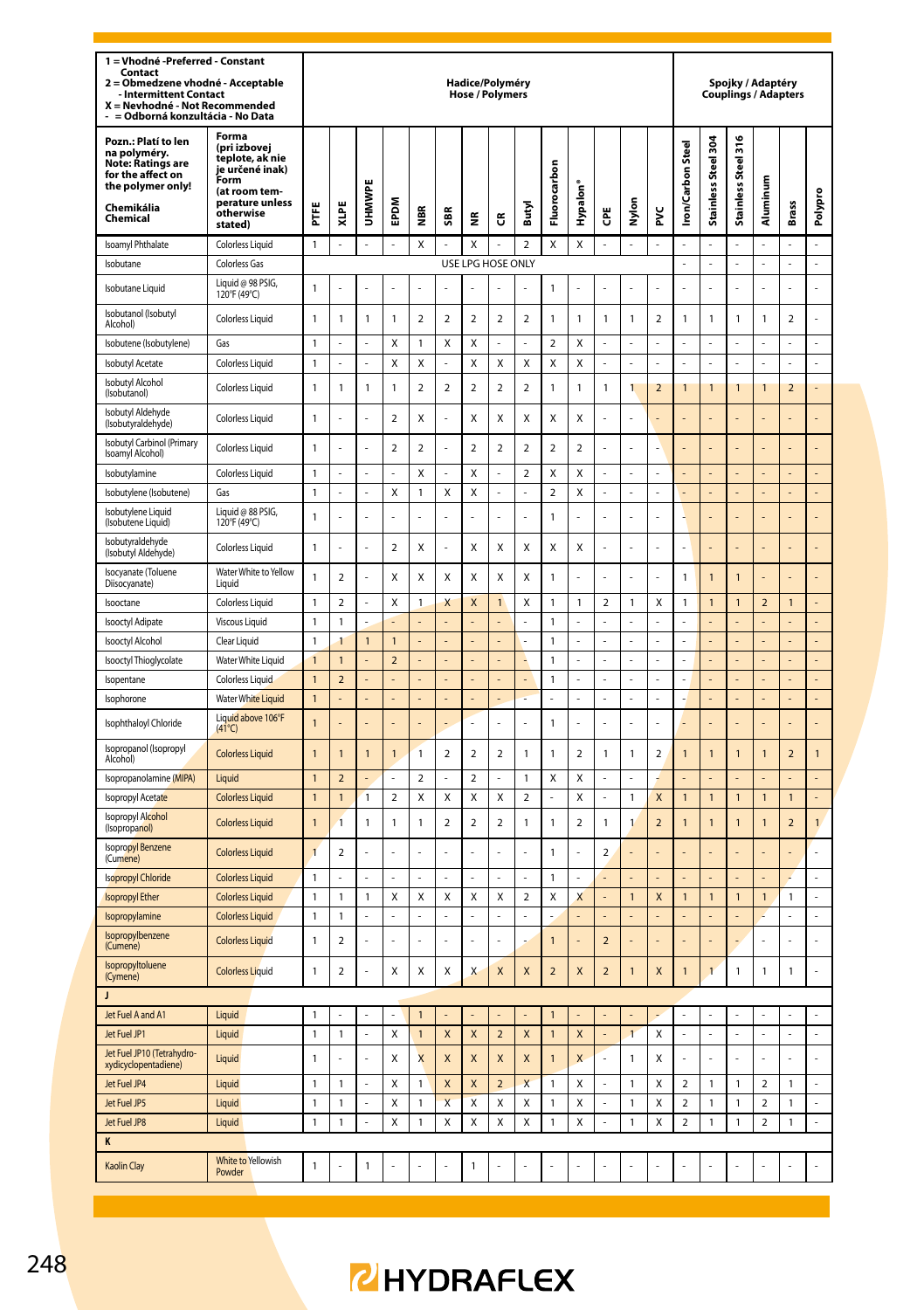| 1 = Vhodné - Preferred - Constant<br>Contact<br>2 = Obmedzene vhodné - Acceptable<br>Intermittent Contact<br>X = Nevhodné - Not Recommended<br>= Odborná konzultácia - No Data |                                                                                                                                      |                                |                                  |                |                         |                         |                          |                                  | Hadice/Polyméry<br><b>Hose / Polymers</b> |                |                              |                      |                          |                     |                |                          |                     | Spojky / Adaptéry<br>Couplings / Adapters |                          |                |                |
|--------------------------------------------------------------------------------------------------------------------------------------------------------------------------------|--------------------------------------------------------------------------------------------------------------------------------------|--------------------------------|----------------------------------|----------------|-------------------------|-------------------------|--------------------------|----------------------------------|-------------------------------------------|----------------|------------------------------|----------------------|--------------------------|---------------------|----------------|--------------------------|---------------------|-------------------------------------------|--------------------------|----------------|----------------|
| Pozn.: Platí to len<br>na polyméry.<br>Note: Ratings are<br>for the affect on<br>the polymer only!<br>Chemikália<br>Chemical                                                   | Forma<br>(pri izbovei<br>teplote, ak nie<br>je určené inak)<br>.<br>Form<br>(at room tem-<br>perature unless<br>otherwise<br>stated) | Ë                              | XLPE                             | <b>UHMN</b>    | EPDM                    | ă                       | SBR                      | $\tilde{\mathbf{z}}$             | G                                         | Butyl          | Fluorocarbon                 | Hypalon <sup>®</sup> | Ğ                        | Nylon               | ž              | ron/Carbon Stee          | Stainless Steel 304 | Steel 316<br>Stainless                    | Aluminum                 | <b>Brass</b>   | Polypro        |
| Isoamyl Phthalate                                                                                                                                                              | <b>Colorless Liquid</b>                                                                                                              | $\mathbf{1}$                   |                                  |                |                         | X                       |                          | X                                |                                           | $\overline{a}$ | X                            | X                    |                          |                     |                |                          |                     |                                           |                          |                |                |
| Isobutane                                                                                                                                                                      | <b>Colorless Gas</b>                                                                                                                 |                                |                                  |                |                         |                         |                          |                                  | USE LPG HOSE ONLY                         |                |                              |                      |                          |                     |                | L                        | ä,                  | l,                                        | ÷,                       | L.             | L              |
| Isobutane Liquid                                                                                                                                                               | Liquid @ 98 PSIG,<br>120°F (49°C)                                                                                                    | $\mathbf{1}$                   |                                  |                |                         |                         |                          |                                  |                                           |                | $\mathbf{1}$                 |                      |                          |                     |                |                          |                     |                                           |                          |                |                |
| Isobutanol (Isobutyl<br>Alcohol)                                                                                                                                               | <b>Colorless Liquid</b>                                                                                                              | $\mathbf{1}$                   | $\mathbf{1}$                     | $\mathbf{1}$   | $\mathbf{1}$            | $\overline{a}$          | $\overline{a}$           | $\overline{a}$                   | $\overline{a}$                            | $\overline{2}$ | $\mathbf{1}$                 | $\mathbf{1}$         | $\mathbf{1}$             | $\mathbf{1}$        | $\overline{a}$ | 1                        | $\mathbf{1}$        | $\mathbf{1}$                              | $\mathbf{1}$             | $\overline{a}$ |                |
| Isobutene (Isobutylene)                                                                                                                                                        | Gas                                                                                                                                  | $\mathbf{1}$                   |                                  | L.             | X                       | 1                       | X                        | X                                |                                           |                | $\mathbf 2$                  | Χ                    |                          | L                   |                |                          | L.                  |                                           | ÷                        |                | ÷              |
| Isobutyl Acetate                                                                                                                                                               | Colorless Liquid                                                                                                                     | $\mathbf{1}$                   |                                  | ä,             | Χ                       | X                       | ÷,                       | X                                | X                                         | X              | X                            | X                    | l,                       | L                   | l,             | L                        | L                   |                                           | L                        | $\overline{a}$ | L              |
| Isobutyl Alcohol<br>(Isobutanol)                                                                                                                                               | Colorless Liquid                                                                                                                     | $\mathbf{1}$                   | $\mathbf{1}$                     | 1              | 1                       | $\overline{a}$          | $\overline{\phantom{a}}$ | $\overline{a}$                   | $\overline{a}$                            | $\overline{a}$ | $\mathbf{1}$                 | $\mathbf{1}$         | $\mathbf{1}$             | $\mathbf{1}$        | $\overline{2}$ | $\mathbf{1}$             | 1                   | $\mathbf{1}$                              | 1                        | $\overline{2}$ |                |
| Isobutyl Aldehyde<br>(Isobutyraldehyde)                                                                                                                                        | <b>Colorless Liquid</b>                                                                                                              | $\mathbf{1}$                   |                                  |                | $\overline{a}$          | X                       |                          | X                                | X                                         | X              | X                            | X                    |                          |                     |                |                          |                     |                                           |                          |                |                |
| Isobutyl Carbinol (Primary<br>Isoamyl Alcohol)                                                                                                                                 | <b>Colorless Liquid</b>                                                                                                              | $\mathbf{1}$                   |                                  |                | $\overline{a}$          | $\overline{a}$          |                          | $\overline{a}$                   | $\overline{2}$                            | $\overline{2}$ | $\overline{a}$               | $\mathbf 2$          |                          |                     |                |                          |                     |                                           |                          |                |                |
| Isobutylamine                                                                                                                                                                  | Colorless Liquid                                                                                                                     | $\mathbf{1}$                   |                                  | $\overline{a}$ |                         | Χ                       |                          | X                                |                                           | $\overline{a}$ | Χ                            | Χ                    | ł.                       | L                   |                |                          |                     |                                           |                          |                |                |
| Isobutylene (Isobutene)                                                                                                                                                        | Gas                                                                                                                                  | $\mathbbm{1}$                  |                                  | $\overline{a}$ | Χ                       | 1                       | Χ                        | Χ                                |                                           | L              | $\mathbf 2$                  | Χ                    | L.                       | $\overline{a}$      | L,             | L,                       | L,                  |                                           | L,                       | $\overline{a}$ |                |
| Isobutylene Liquid<br>(Isobutene Liquid)                                                                                                                                       | Liquid @ 88 PSIG,<br>120°F (49°C)                                                                                                    | $\mathbf{1}$                   |                                  |                |                         |                         |                          |                                  |                                           |                | $\mathbf{1}$                 |                      |                          |                     |                |                          |                     |                                           |                          |                |                |
| Isobutyraldehyde<br>(Isobutyl Aldehyde)                                                                                                                                        | <b>Colorless Liquid</b>                                                                                                              | $\mathbf{1}$                   |                                  |                | $\overline{2}$          | X                       |                          | Χ                                | X                                         | X              | Χ                            | X                    |                          |                     |                | L                        |                     |                                           |                          |                | ä,             |
| Isocyanate (Toluene<br>Diisocyanate)                                                                                                                                           | Water White to Yellow<br>Liquid                                                                                                      | $\mathbf{1}$                   | $\overline{2}$                   |                | Χ                       | X                       | Χ                        | X                                | X                                         | X              | $\mathbf{1}$                 |                      |                          |                     |                | 1                        | $\overline{1}$      | $\overline{1}$                            |                          |                |                |
| Isooctane                                                                                                                                                                      | <b>Colorless Liquid</b>                                                                                                              | $\mathbf 1$                    | $\overline{\mathbf{c}}$          | $\overline{a}$ | Χ                       | $\mathbf{1}$            | Χ                        | X                                | $\mathbf{1}$                              | Χ              | $\mathbf{1}$                 | $\mathbf{1}$         | $\overline{\mathbf{c}}$  | 1                   | X              | 1                        | $\mathbf{1}$        | $\mathbf{1}$                              | $\overline{\mathbf{c}}$  | 1              | $\overline{a}$ |
| <b>Isooctyl Adipate</b>                                                                                                                                                        | <b>Viscous Liquid</b>                                                                                                                | $\mathbbm{1}$                  | $\mathbf{1}$                     | L              | İ.                      | L                       | L                        | $\overline{a}$                   | L.                                        | l,             | $\mathbf{1}$                 | L.                   | l,                       | L<br>$\overline{a}$ | L.             | L                        | L.                  |                                           | L                        | $\overline{a}$ | L              |
| Isooctyl Alcohol                                                                                                                                                               | Clear Liquid                                                                                                                         | $\mathbbm{1}$                  | $\mathbf{1}$                     | $\overline{1}$ | $\mathbf{1}$            |                         | ¢                        | $\overline{a}$<br>$\overline{a}$ |                                           |                | $\mathbf{1}$                 |                      | L                        |                     |                | L                        | $\overline{a}$      |                                           |                          |                |                |
| Isooctyl Thioglycolate                                                                                                                                                         | Water White Liquid<br><b>Colorless Liquid</b>                                                                                        | $\overline{1}$<br>$\mathbf{1}$ | $\overline{1}$<br>$\overline{2}$ | $\overline{a}$ | $\overline{\mathbf{c}}$ |                         |                          |                                  |                                           | L              | $\mathbf{1}$<br>$\mathbf{1}$ |                      | ł.                       | L,<br>L,            | l,             |                          |                     |                                           | $\overline{a}$           |                |                |
| Isopentane<br>Isophorone                                                                                                                                                       | <b>Water White Liquid</b>                                                                                                            | $\mathbf{1}$                   |                                  |                |                         |                         |                          |                                  |                                           |                |                              |                      |                          |                     |                |                          |                     |                                           |                          |                |                |
|                                                                                                                                                                                | Liquid above 106°F                                                                                                                   |                                |                                  |                |                         |                         |                          |                                  |                                           |                |                              |                      |                          |                     |                |                          |                     |                                           |                          |                |                |
| Isophthaloyl Chloride<br>Isopropanol (Isopropyl                                                                                                                                | $(41^{\circ}C)$                                                                                                                      | 1                              |                                  |                |                         |                         |                          | L,                               |                                           | í,             | 1                            | ż                    | ä,                       |                     | ä,             |                          |                     |                                           |                          |                |                |
| Alcohol)                                                                                                                                                                       | <b>Colorless Liquid</b>                                                                                                              | $\mathbf{1}$                   | $\mathbf{1}$                     | $\mathbf{1}$   | 1                       | 1                       | $\overline{2}$           | $\overline{2}$                   | $\overline{2}$                            | $\mathbf{1}$   | $\mathbf{1}$                 | $\overline{2}$       | $\mathbf{1}$             | 1                   | $\overline{2}$ | $\mathbf{1}$             | 1                   | $\mathbf{1}$                              | 1                        | $\overline{2}$ | $\overline{1}$ |
| Isopropanolamine (MIPA)                                                                                                                                                        | Liquid                                                                                                                               | $\overline{1}$                 | $\overline{2}$                   |                |                         | $\overline{\mathbf{c}}$ |                          | $\overline{\mathbf{c}}$          |                                           | $\overline{1}$ | X                            | X                    |                          |                     |                |                          |                     |                                           |                          |                |                |
| Isopropyl Acetate                                                                                                                                                              | <b>Colorless Liquid</b>                                                                                                              | $\mathbf{1}$                   | $\overline{1}$                   | 1              | $\overline{2}$          | X                       | X                        | X                                | X                                         | $\overline{a}$ |                              | Χ                    |                          | 1                   | X              | $\mathbf{1}$             | 1                   | $\mathbf{1}$                              | $\mathbf{1}$             | 1              |                |
| <b>Isopropyl Alcohol</b><br>(Isopropanol)                                                                                                                                      | <b>Colorless Liquid</b>                                                                                                              | $\overline{1}$                 | $\mathbf{1}$                     | 1              | 1                       | 1                       | $\overline{2}$           | 2                                | 2                                         | $\mathbf{1}$   | 1                            | 2                    | $\mathbf{1}$             | 1                   | $\overline{2}$ | $\overline{1}$           | 1                   | $\overline{1}$                            | 1                        | $\mathbf 2$    | 1              |
| <b>Isopropyl Benzene</b><br>(Cumene)                                                                                                                                           | <b>Colorless Liquid</b>                                                                                                              | $\overline{1}$                 | $\overline{2}$                   |                |                         | Į,                      | í,                       |                                  | í,                                        |                | $\mathbf{1}$                 | í,                   | $\overline{\phantom{a}}$ |                     |                |                          |                     |                                           |                          |                | Ĭ.             |
| <b>Isopropyl Chloride</b>                                                                                                                                                      | <b>Colorless Liquid</b>                                                                                                              | $\mathbf{1}$                   |                                  |                |                         |                         |                          |                                  |                                           |                | $\overline{1}$               |                      |                          |                     |                |                          |                     |                                           |                          |                |                |
| <b>Isopropyl Ether</b><br>Isopropylamine                                                                                                                                       | <b>Colorless Liquid</b><br><b>Colorless Liquid</b>                                                                                   | 1<br>$\mathbf{1}$              | $\mathbf{1}$<br>$\mathbf{1}$     | 1              | Χ                       | X                       | X                        | Χ                                | X                                         | $\overline{a}$ | Χ                            | X                    |                          | $\mathbf{1}$        | X              | $\mathbf{1}$             | $\mathbf{1}$        | $\mathbf{1}$                              | $\mathbf{1}$             | 1              | L,             |
| Isopropylbenzene<br>(Cumene)                                                                                                                                                   | <b>Colorless Liquid</b>                                                                                                              | $\mathbf{1}$                   | $\overline{\mathbf{c}}$          |                |                         |                         | ż                        |                                  |                                           |                | $\overline{1}$               |                      | $\overline{2}$           |                     |                |                          |                     |                                           |                          |                | ż              |
| Isopropyltoluene<br>(Cymene)                                                                                                                                                   | <b>Colorless Liquid</b>                                                                                                              | $\mathbf{1}$                   | 2                                |                | X                       | Χ                       | X                        | X                                | X                                         | X              | $\overline{2}$               | X                    | $\overline{2}$           | 1                   | X              | $\overline{1}$           | 1                   | 1                                         | 1                        | 1              | L              |
| J                                                                                                                                                                              |                                                                                                                                      |                                |                                  |                |                         |                         |                          |                                  |                                           |                |                              |                      |                          |                     |                |                          |                     |                                           |                          |                |                |
| Jet Fuel A and A1                                                                                                                                                              | Liquid                                                                                                                               | $\mathbf{1}$                   |                                  |                |                         | $\mathbf{1}$            |                          |                                  |                                           |                | $\mathbf{1}$                 |                      |                          |                     |                |                          |                     |                                           |                          |                |                |
| Jet Fuel JP1                                                                                                                                                                   | Liquid                                                                                                                               | $\mathbf{1}$                   | $\mathbf{1}$                     | l,             | Χ                       | $\mathbf{1}$            | X                        | $\pmb{\mathsf{X}}$               | $\overline{2}$                            | X              | $\mathbf{1}$                 | $\pmb{\mathsf{X}}$   |                          | $\overline{1}$      | X              |                          |                     |                                           |                          |                | l,             |
| Jet Fuel JP10 (Tetrahydro-<br>xydicyclopentadiene)                                                                                                                             | Liquid                                                                                                                               | $\mathbf{1}$                   | J.                               | L              | χ                       | X                       | X                        | X                                | X                                         | X              | $\mathbf{1}$                 | X                    | ä,                       | 1                   | Χ              | L                        | ä,                  | J.                                        | ÷,                       | ä,             | ä,             |
| Jet Fuel JP4                                                                                                                                                                   | Liquid                                                                                                                               | $\mathbf{1}$                   | 1                                |                | X                       | 1                       | X                        | X                                | $\overline{2}$                            | X              | $\mathbf{1}$                 | Χ                    |                          | 1                   | X              | $\overline{\mathbf{c}}$  | 1                   | $\mathbf{1}$                              | $\overline{2}$           | 1              |                |
| Jet Fuel JP5                                                                                                                                                                   | Liquid                                                                                                                               | $\overline{1}$                 | 1                                |                | x                       | 1                       | $\overline{\mathsf{x}}$  | $\mathsf{x}$                     | $\mathsf{x}$                              | $\mathsf{x}$   | $\mathbf{1}$                 | $\mathsf{x}$         |                          | 1                   | X              | $\overline{\phantom{a}}$ | 1                   | $\mathbf{1}$                              | $\overline{\phantom{a}}$ | 1              | $\overline{a}$ |
| let Fuel JP8<br>K                                                                                                                                                              | Liquid                                                                                                                               | $\mathbbm{1}$                  | 1                                | l,             | Χ                       | 1                       | Χ                        | X                                | $\mathsf{x}$                              | Χ              | 1                            | $\mathsf{x}$         |                          | 1                   | X              | 2                        | 1                   | $\mathbf{1}$                              | $\overline{\mathbf{c}}$  | 1              | $\overline{a}$ |
| Kaolin Clay                                                                                                                                                                    | White to Yellowish<br>Powder                                                                                                         | $\mathbf{1}$                   |                                  | 1              |                         |                         |                          | $\overline{1}$                   |                                           |                |                              |                      |                          |                     |                |                          |                     |                                           |                          |                |                |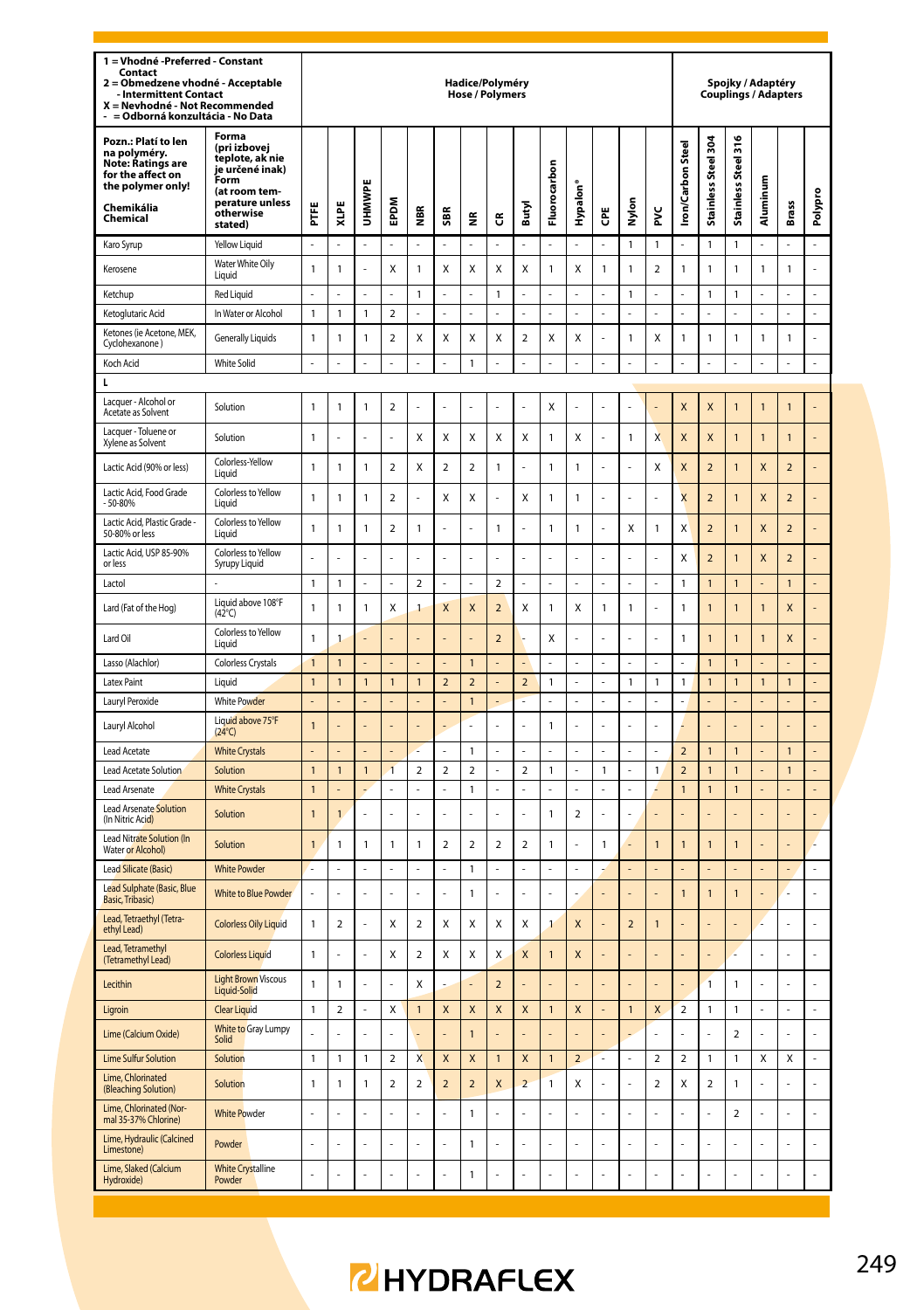| 1 = Vhodné - Preferred - Constant<br>Contact<br>Obmedzene vhodné - Acceptable<br>$\overline{a}$<br><b>Intermittent Contact</b><br>X = Nevhodné - Not Recommended<br>- = Odborná konzultácia - No Data |                                                                                                                                 |                                |                |              |                         |                         |                           |                           | Hadice/Polyméry<br><b>Hose / Polymers</b> |                          |                    |                      |    |                |                |                         |                          |                         | Spojky / Adaptéry<br><b>Couplings / Adapters</b> |                          |                |
|-------------------------------------------------------------------------------------------------------------------------------------------------------------------------------------------------------|---------------------------------------------------------------------------------------------------------------------------------|--------------------------------|----------------|--------------|-------------------------|-------------------------|---------------------------|---------------------------|-------------------------------------------|--------------------------|--------------------|----------------------|----|----------------|----------------|-------------------------|--------------------------|-------------------------|--------------------------------------------------|--------------------------|----------------|
| Pozn.: Platí to len<br>na polyméry.<br><b>Note: Ratings are</b><br>for the affect on<br>the polymer only!<br>Chemikália<br>Chemical                                                                   | Forma<br>(pri izbovej<br>teplote, ak nie<br>je určené inak)<br>Form<br>(at room tem-<br>perature unless<br>otherwise<br>stated) | Ë                              | XLPE           | <b>UHMWP</b> | EPDM                    | €                       | \$BR                      | š                         | G                                         | Butyl                    | Fluorocarbon       | Hypalon <sup>®</sup> | Ğ  | Nylon          | ž              | ron/Carbon Steel        | Stainless Steel 304      | Stainless Steel 316     | Aluminum                                         | <b>Brass</b>             | Polypro        |
| Karo Syrup                                                                                                                                                                                            | Yellow Liquid                                                                                                                   | ä,                             | í,             | ä,           | L.                      | ä,                      | J.                        | ÷.                        | ż                                         | ż                        | ä,                 | ä,                   | J, | 1              | $\mathbf{1}$   |                         | 1                        | $\mathbf{1}$            |                                                  | ä,                       | L.             |
| Kerosene                                                                                                                                                                                              | Water White Oily<br>Liquid                                                                                                      | $\mathbf{1}$                   | 1              |              | X                       | 1                       | X                         | X                         | X                                         | X                        | $\mathbf{1}$       | X                    | 1  | 1              | $\overline{2}$ | $\mathbf{1}$            | 1                        | $\mathbf{1}$            | 1                                                | 1                        | L              |
| Ketchup                                                                                                                                                                                               | <b>Red Liquid</b>                                                                                                               | ä,                             |                | Î,           | ä,                      | 1                       | ä,                        | ÷,                        | $\mathbf{1}$                              | í,                       | ä,                 | ä,                   | í. | 1              | ÷,             | Í.                      | 1                        | $\mathbf{1}$            |                                                  | ä,                       | l,             |
| Ketoglutaric Acid                                                                                                                                                                                     | In Water or Alcohol                                                                                                             | $\mathbf{1}$                   | 1              | 1            | 2                       | L                       | l,                        | ä,                        | ä,                                        | í,                       | J.                 | ä,                   | ä, | ÷,             | ÷,             | J.                      | L                        | L                       |                                                  | ä,                       | L.             |
| Ketones (ie Acetone, MEK,<br>Cyclohexanone)                                                                                                                                                           | <b>Generally Liquids</b>                                                                                                        | 1                              | 1              | 1            | $\mathbf 2$             | Χ                       | Χ                         | X                         | Χ                                         | $\overline{\mathbf{c}}$  | Χ                  | X                    |    | 1              | X              | $\mathbf{1}$            | 1                        | 1                       | $\mathbf{1}$                                     | 1                        | Ļ              |
| Koch Acid                                                                                                                                                                                             | <b>White Solid</b>                                                                                                              | $\overline{a}$                 |                | l,           | $\overline{a}$          |                         |                           | $\mathbf{1}$              |                                           |                          | L                  | L                    |    | L              | L              |                         | $\overline{a}$           | $\overline{a}$          |                                                  | $\overline{a}$           | L,             |
| L                                                                                                                                                                                                     |                                                                                                                                 |                                |                |              |                         |                         |                           |                           |                                           |                          |                    |                      |    |                |                |                         |                          |                         |                                                  |                          |                |
| Lacquer - Alcohol or<br>Acetate as Solvent                                                                                                                                                            | Solution                                                                                                                        | 1                              | 1              | $\mathbf{1}$ | 2                       | J                       | J.                        | L.                        | L                                         | L                        | Χ                  | L,                   | J  | L,             |                | X                       | X                        | $\mathbf{1}$            | 1                                                | $\overline{1}$           |                |
| Lacquer - Toluene or<br>Xylene as Solvent                                                                                                                                                             | Solution                                                                                                                        | $\mathbf{1}$                   |                |              |                         | Χ                       | Χ                         | X                         | Χ                                         | X                        | $\mathbf{1}$       | X                    |    | 1              | X              | X                       | X                        | $\overline{1}$          | 1                                                | $\overline{1}$           |                |
| Lactic Acid (90% or less)                                                                                                                                                                             | Colorless-Yellow<br>Liquid                                                                                                      | $\mathbf{1}$                   | 1              | $\mathbf{1}$ | $\overline{2}$          | X                       | $\overline{2}$            | $\mathfrak{p}$            | $\mathbf{1}$                              | Ē,                       | $\mathbf{1}$       | 1                    | Į, | í,             | X              | X                       | $\overline{\phantom{a}}$ | $\overline{1}$          | X                                                | $\overline{\phantom{0}}$ | Į.             |
| Lactic Acid, Food Grade<br>$-50 - 80%$                                                                                                                                                                | Colorless to Yellow<br>Liquid                                                                                                   | $\mathbf{1}$                   | 1              | 1            | $\mathfrak{p}$          | í,                      | X                         | X                         | í,                                        | X                        | $\mathbf{1}$       | $\mathbf{1}$         | Į, | í,             | J.             | X                       | $\overline{\phantom{0}}$ | $\mathbf{1}$            | X                                                | $\overline{\phantom{0}}$ | Į.             |
| Lactic Acid, Plastic Grade<br>50-80% or less                                                                                                                                                          | Colorless to Yellow<br>Liquid                                                                                                   | $\overline{1}$                 | 1              | $\mathbf{1}$ | $\overline{\mathbf{c}}$ | 1                       | l,                        | ÷,                        | $\mathbf{1}$                              | l,                       | $\mathbf{1}$       | $\mathbf{1}$         | Į, | X              | $\mathbf{1}$   | X                       | $\overline{\phantom{0}}$ | $\overline{1}$          | X                                                | $\overline{\phantom{0}}$ | L              |
| Lactic Acid, USP 85-90%<br>or less                                                                                                                                                                    | Colorless to Yellow<br>Syrupy Liquid                                                                                            | $\overline{a}$                 |                |              |                         |                         |                           | L                         | l,                                        |                          | L                  | l,                   |    |                | l,             | X                       | $\overline{\mathbf{c}}$  | $\mathbf{1}$            | X                                                | $\overline{\mathbf{c}}$  |                |
| Lactol                                                                                                                                                                                                |                                                                                                                                 | $\mathbf{1}$                   | 1              | ÷            | ä,                      | $\mathfrak{p}$          | ÷                         | ä,                        | $\overline{2}$                            | Î,                       | ä,                 | ä,                   | í. | Ē,             | ÷              | $\mathbf{1}$            | $\mathbf{1}$             | $\mathbf{1}$            |                                                  | $\mathbf{1}$             |                |
| Lard (Fat of the Hog)                                                                                                                                                                                 | Liquid above 108°F<br>$(42^{\circ}C)$                                                                                           | 1                              | 1              | 1            | X                       | $\mathbf{1}$            | X                         | X                         | $\overline{2}$                            | X                        | $\mathbf{1}$       | X                    | 1  | 1              |                | $\mathbf{1}$            | $\overline{1}$           | $\mathbf{1}$            | 1                                                | X                        |                |
| Lard Oil                                                                                                                                                                                              | Colorless to Yellow<br>I iauid                                                                                                  | $\mathbf{1}$                   | 1              |              |                         | L                       |                           |                           | $\mathbf 2$                               |                          | Χ                  | L.                   | J  | L.             | ż,             | $\mathbf{1}$            | $\overline{1}$           | $\overline{1}$          | $\mathbf{1}$                                     | X                        | $\overline{a}$ |
| Lasso (Alachlor)                                                                                                                                                                                      | Colorless Crystals                                                                                                              | $\overline{1}$                 | 1              |              |                         |                         |                           | $\overline{1}$            |                                           |                          | Ĭ.                 |                      |    |                |                |                         | $\overline{1}$           | $\overline{1}$          |                                                  |                          |                |
| Latex Paint                                                                                                                                                                                           | Liquid                                                                                                                          | $\overline{1}$                 | 1              | 1            | $\mathbf{1}$            | $\mathbf{1}$            | $\overline{2}$            | $\overline{a}$            |                                           | $\overline{2}$           | $\mathbf{1}$       |                      |    | 1              | 1              | 1                       | $\mathbf{1}$             | $\mathbf{1}$            | 1                                                | $\overline{1}$           | ÷,             |
| Lauryl Peroxide                                                                                                                                                                                       | <b>White Powder</b>                                                                                                             |                                |                |              |                         |                         |                           | $\overline{1}$            | L,                                        |                          | L                  | L,                   |    |                | L              |                         |                          | $\overline{a}$          |                                                  | L                        | L,             |
| Lauryl Alcohol                                                                                                                                                                                        | Liquid above 75°F<br>$(24^{\circ}C)$                                                                                            | 1                              |                |              | L,                      |                         | l,                        | $\overline{a}$            | Ĭ.                                        | L                        | $\mathbf{1}$       | ÷,                   | J  | Ĭ.             | ÷,             |                         | L,                       | L,                      |                                                  | L,                       | L,             |
| <b>Lead Acetate</b>                                                                                                                                                                                   | <b>White Crystals</b>                                                                                                           |                                |                |              |                         |                         |                           | $\mathbf{1}$              |                                           |                          |                    |                      |    |                |                | $\overline{a}$          | $\overline{1}$           | $\mathbf{1}$            |                                                  | $\mathbf{1}$             |                |
| Lead Acetate Solution                                                                                                                                                                                 | Solution                                                                                                                        | $\mathbf{1}$                   | $\mathbf{1}$   | $\mathbf{1}$ | $\mathbf{1}$            | $\overline{\mathbf{c}}$ | $\overline{\mathbf{2}}$   | $\mathbf 2$               | L,                                        | $\overline{\mathbf{c}}$  | $\mathbf{1}$       | l,                   | 1  | ÷,             | $\mathbf{1}$   | $\overline{\mathbf{c}}$ | 1                        | $\mathbf{1}$            |                                                  | 1                        | L,             |
| Lead Arsenate<br><b>Lead Arsenate Solution</b>                                                                                                                                                        | <b>White Crystals</b><br>Solution                                                                                               | $\mathbf{1}$<br>$\overline{1}$ | $\overline{1}$ |              |                         | ÷                       | ÷                         | $\mathbf{1}$              | L,                                        | i,                       | Ĭ.<br>$\mathbf{1}$ | $\overline{2}$       | i, | Ĭ.             |                | $\overline{1}$          | $\overline{1}$           | $\mathbf{1}$            |                                                  | ÷,<br>í,                 | L,<br>L        |
| (In Nitric Acid)<br>Lead Nitrate Solution (In                                                                                                                                                         | Solution                                                                                                                        | $\overline{1}$                 | 1              | $\mathbf{1}$ | 1                       | 1                       | $\overline{\phantom{a}}$  | $\mathfrak{p}$            | $\mathfrak{p}$                            | $\overline{\phantom{a}}$ | $\mathbf{1}$       | ä,                   | 1  |                | $\overline{1}$ | $\mathbf{1}$            | $\mathbf{1}$             | $\overline{1}$          |                                                  | í,                       | Ļ              |
| Water or Alcohol)                                                                                                                                                                                     |                                                                                                                                 |                                |                |              |                         |                         |                           |                           |                                           |                          |                    |                      |    |                |                |                         |                          |                         |                                                  |                          |                |
| <b>Lead Silicate (Basic)</b>                                                                                                                                                                          | <b>White Powder</b>                                                                                                             | L                              | L              | ä,           | L                       | L                       | J.                        | $\mathbf{1}$              | ä,                                        | L                        | ä,                 | ä,                   |    | ÷,             | ÷,             |                         | L                        | L                       |                                                  | ÷,                       | ÷,             |
| Lead Sulphate (Basic, Blue<br>Basic, Tribasic)                                                                                                                                                        | <b>White to Blue Powder</b>                                                                                                     |                                |                |              |                         |                         |                           | $\mathbf{1}$              |                                           |                          |                    |                      |    |                |                | $\overline{1}$          | $\overline{1}$           | $\overline{1}$          |                                                  | l,                       |                |
| Lead, Tetraethyl (Tetra-<br>ethyl Lead)                                                                                                                                                               | <b>Colorless Oily Liquid</b>                                                                                                    | 1                              | $\overline{2}$ |              | Χ                       | $\overline{2}$          | X                         | X                         | X                                         | X                        | $\mathbf{1}$       | X                    |    | $\overline{a}$ | $\overline{1}$ |                         |                          |                         |                                                  |                          |                |
| Lead, Tetramethyl<br>(Tetramethyl Lead)                                                                                                                                                               | <b>Colorless Liquid</b>                                                                                                         | 1                              |                |              | Χ                       | $\overline{\mathbf{c}}$ | X                         | X                         | X                                         | X                        | $\mathbf{1}$       | X                    |    |                |                |                         |                          |                         |                                                  |                          |                |
| Lecithin                                                                                                                                                                                              | <b>Light Brown Viscous</b><br>Liquid-Solid                                                                                      | $\mathbf{1}$                   | 1              |              | L.                      | Χ                       |                           |                           | $\mathbf 2$                               |                          |                    |                      |    |                |                |                         | 1                        | 1                       |                                                  | L                        | L              |
| Ligroin                                                                                                                                                                                               | <b>Clear Liquid</b>                                                                                                             | $\mathbf{1}$                   | $\overline{2}$ | l,           | Χ                       | $\overline{1}$          | $\boldsymbol{\mathsf{x}}$ | $\boldsymbol{\mathsf{x}}$ | $\mathsf{x}$                              | X                        | $\mathbf{1}$       | X                    |    | $\mathbf{1}$   | $\pmb{\chi}$   | $\overline{a}$          | $\mathbf{1}$             | $\mathbf{1}$            |                                                  | L,                       | L,             |
| Lime (Calcium Oxide)                                                                                                                                                                                  | White to Gray Lumpy<br>Solid                                                                                                    | ä,                             |                |              | ä,                      | ł,                      |                           | $\mathbf{1}$              | í,                                        |                          | ä,                 |                      |    |                | ÷.             |                         | í,                       | $\overline{\mathbf{c}}$ |                                                  | ä,                       | ä,             |
| <b>Lime Sulfur Solution</b>                                                                                                                                                                           | Solution                                                                                                                        | 1                              | 1              | 1            | 2                       | X                       | X                         | X                         | $\overline{1}$                            | X                        | 1                  | $\overline{2}$       |    |                | $\sqrt{2}$     | $\boldsymbol{2}$        | 1                        | 1                       | Χ                                                | Χ                        | L,             |
| Lime, Chlorinated<br>(Bleaching Solution)                                                                                                                                                             | Solution                                                                                                                        | 1                              | $\mathbf{1}$   | $\mathbf{1}$ | $\overline{2}$          | $\overline{2}$          | $\overline{2}$            | $\overline{2}$            | X                                         | $\overline{z}$           | $\mathbf{1}$       | X                    | J  | ÷,             | $\mathbf 2$    | X                       | $\overline{2}$           | $\mathbf{1}$            |                                                  | L                        | L.             |
| Lime, Chlorinated (Nor-<br>mal 35-37% Chlorine)                                                                                                                                                       | <b>White Powder</b>                                                                                                             | Ĭ.                             | í.             | ä,           | Ĭ.                      | ä,                      | l,                        | $\mathbf{1}$              | š                                         | Ē,                       | í,                 | ä,                   | í. | ł,             | J.             |                         | ł,                       | $\overline{2}$          |                                                  | Ĭ.                       | l,             |
| Lime, Hydraulic (Calcined<br>Limestone)                                                                                                                                                               | Powder                                                                                                                          | l,                             |                |              |                         |                         |                           | $\mathbf{1}$              |                                           |                          |                    |                      |    |                |                |                         | l,                       |                         |                                                  | l,                       | L              |
| Lime, Slaked (Calcium<br>Hydroxide)                                                                                                                                                                   | <b>White Crystalline</b><br>Powder                                                                                              |                                |                |              |                         |                         |                           | $\mathbf{1}$              |                                           |                          |                    |                      |    |                |                |                         | L                        |                         |                                                  | l,                       |                |

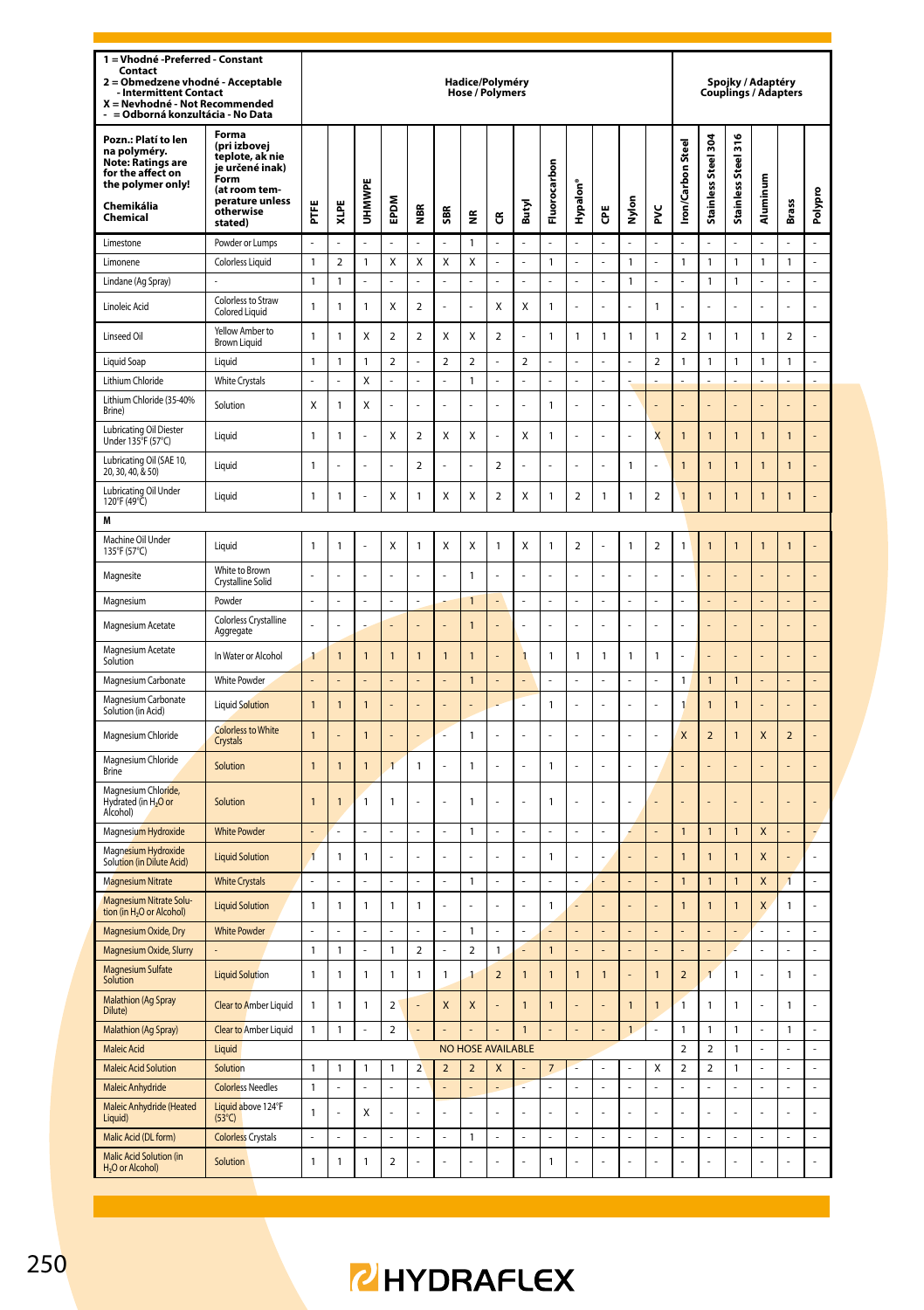| 1 = Vhodné -Preferred - Constant<br>Contact<br>Obmedzene vhodné - Acceptable<br>2<br><b>Intermittent Contact</b><br>X = Nevhodné - Not Recommended<br>= Odborná konzultácia - No Data |                                                                                                                                 |                              |                |                |                |                         |                |                          | Hadice/Polyméry<br>Hose / Polymers |                |                      |                |                |              |                         |                          |                              | Spojky / Adaptéry<br>Couplings / Adapters |                |                |                |
|---------------------------------------------------------------------------------------------------------------------------------------------------------------------------------------|---------------------------------------------------------------------------------------------------------------------------------|------------------------------|----------------|----------------|----------------|-------------------------|----------------|--------------------------|------------------------------------|----------------|----------------------|----------------|----------------|--------------|-------------------------|--------------------------|------------------------------|-------------------------------------------|----------------|----------------|----------------|
| Pozn.: Platí to len<br>na polyméry.<br>Note: Ratings are<br>for the affect on<br>the polymer only!<br>Chemikália<br>Chemical                                                          | Forma<br>(pri izbovej<br>teplote, ak nie<br>je určené inak)<br>Form<br>(at room tem-<br>perature unless<br>otherwise<br>stated) | Ë                            | XLPE           | UHMWPE         | EPDM           | les                     | SBR            | £                        | ű                                  | Butyl          | Fluorocarbon         | Hypalon'       | ĕ              | Nylon        | š                       | <b>Iron/Carbon Steel</b> | Stainless Steel 304          | Stainless Steel 316                       | Aluminum       | Brass          | Polypro        |
| I imestone                                                                                                                                                                            | Powder or Lumps                                                                                                                 |                              |                |                |                |                         |                | $\mathbf{1}$             |                                    |                | L                    | L,             |                |              |                         |                          |                              |                                           |                |                |                |
| I imonene                                                                                                                                                                             | <b>Colorless Liquid</b>                                                                                                         | $\mathbf{1}$                 | $\mathfrak{p}$ | 1              | X              | X                       | X              | X                        | l,                                 | l,             | $\mathbf{1}$         | ä,             | J,             | $\mathbf{1}$ | ä,                      | $\mathbf{1}$             | $\mathbf{1}$                 | $\mathbf{1}$                              | 1              | 1              | $\overline{a}$ |
| Lindane (Ag Spray)                                                                                                                                                                    |                                                                                                                                 | $\mathbf{1}$                 | 1              | ä,             | L.             | L                       | $\overline{a}$ | L.                       | J.                                 | L.             | ä,                   | ä,             | L              | 1            | ä,                      | J                        | 1                            | $\mathbf{1}$                              | L              | L              | L.             |
| Linoleic Acid                                                                                                                                                                         | Colorless to Straw<br>Colored Liquid                                                                                            | $\mathbf{1}$                 | $\mathbf{1}$   | 1              | Χ              | $\overline{\mathbf{c}}$ | $\overline{a}$ | ÷,                       | X                                  | X              | $\mathbf 1$          | l,             |                | l,           | $\mathbbm{1}$           |                          | Ļ                            | $\overline{a}$                            |                | L              | l,             |
| Linseed Oil                                                                                                                                                                           | Yellow Amber to<br><b>Brown Liquid</b>                                                                                          | $\mathbf{1}$                 | 1              | X              | $\overline{2}$ | $\overline{\mathbf{c}}$ | X              | X                        | $\mathbf 2$                        |                | $\mathbf{1}$         | 1              | $\mathbf{1}$   | 1            | 1                       | $\overline{a}$           | 1                            | 1                                         | 1              | $\overline{2}$ | l,             |
| Liquid Soap                                                                                                                                                                           | Liquid                                                                                                                          | $\mathbf{1}$                 | 1              | 1              | 2              | ż                       | $\overline{a}$ | $\overline{2}$           | ż                                  | $\overline{2}$ | ÷,                   | J.             |                | ä,           | 2                       | 1                        | 1                            | 1                                         | 1              | 1              | ä,             |
| Lithium Chloride                                                                                                                                                                      | <b>White Crystals</b>                                                                                                           | L,                           | L.             | $\mathsf{x}$   | ä,             | $\overline{a}$          | $\overline{a}$ | $\mathbf{1}$             | L.                                 | L.             | L.                   | J.             | L,             | ä,           |                         |                          | ź                            |                                           |                |                | $\overline{a}$ |
| Lithium Chloride (35-40%<br>Brine)                                                                                                                                                    | Solution                                                                                                                        | Χ                            | 1              | X              |                |                         |                |                          |                                    |                | $\mathbf{1}$         |                |                |              |                         |                          |                              |                                           |                |                |                |
| Lubricating Oil Diester<br>Under 135°F (57°C)                                                                                                                                         | Liquid                                                                                                                          | $\mathbf{1}$                 | 1              |                | Χ              | $\overline{\mathbf{c}}$ | X              | X                        |                                    | X              | $\mathbf{1}$         |                |                |              | $\overline{\mathsf{x}}$ | $\overline{1}$           | $\mathbf{1}$                 | $\mathbf{1}$                              | $\overline{1}$ | $\overline{1}$ |                |
| Lubricating Oil (SAE 10,<br>20, 30, 40, & 50)                                                                                                                                         | Liquid                                                                                                                          | $\mathbf{1}$                 |                |                |                | $\overline{\mathbf{c}}$ |                |                          | $\mathbf 2$                        |                |                      |                |                | 1            |                         | $\mathbf{1}$             | $\overline{1}$               | $\mathbf{1}$                              | $\mathbf{1}$   | $\overline{1}$ |                |
| Lubricating Oil Under<br>120°F (49°C)                                                                                                                                                 | Liquid                                                                                                                          | $\mathbf{1}$                 | 1              | ł,             | Χ              | 1                       | X              | X                        | $\mathbf 2$                        | X              | $\mathbf 1$          | $\mathbf 2$    | $\mathbf{1}$   | 1            | $\mathbf 2$             | $\mathbf{1}$             | 1                            | 1                                         | 1              | 1              |                |
| M                                                                                                                                                                                     |                                                                                                                                 |                              |                |                |                |                         |                |                          |                                    |                |                      |                |                |              |                         |                          |                              |                                           |                |                |                |
| Machine Oil Under<br>135°F (57°C)                                                                                                                                                     | Liquid                                                                                                                          | $\mathbf{1}$                 | 1              |                | Χ              | 1                       | X              | X                        | $\mathbf{1}$                       | X              | $\mathbf{1}$         | $\mathbf 2$    |                | $\mathbf{1}$ | $\overline{a}$          | $\mathbf{1}$             | 1                            | $\overline{1}$                            | 1              | $\overline{1}$ |                |
| Magnesite                                                                                                                                                                             | White to Brown<br>Crystalline Solid                                                                                             |                              |                |                |                |                         |                | $\mathbf{1}$             |                                    |                |                      |                |                |              |                         |                          |                              |                                           |                |                |                |
| Magnesium                                                                                                                                                                             | Powder                                                                                                                          | ä,                           | L              | ÷,             | ä,             | L                       |                | $\overline{1}$           | L.                                 | l,             | ä,                   | ä,             | L,             | ÷,           | L,                      | J                        | L                            |                                           |                | L              | L              |
| Magnesium Acetate                                                                                                                                                                     | Colorless Crystalline<br>Aggregate                                                                                              | l,                           |                |                |                |                         |                | $\mathbf{1}$             | ł,                                 |                |                      | l,             |                | l,           | l,                      |                          |                              |                                           |                |                |                |
| Magnesium Acetate<br>Solution                                                                                                                                                         | In Water or Alcohol                                                                                                             | $\mathbf{1}$                 | $\mathbf{1}$   | $\mathbf{1}$   | $\mathbf{1}$   | $\overline{1}$          | $\overline{1}$ | $\mathbf{1}$             |                                    | $\mathbf{1}$   | $\mathbf{1}$         | $\mathbf{1}$   | $\mathbf{1}$   | $\mathbf{1}$ | $\mathbf{1}$            |                          | ł,                           |                                           |                | i,             |                |
| Magnesium Carbonate                                                                                                                                                                   | <b>White Powder</b>                                                                                                             |                              |                |                |                |                         |                | $\overline{1}$           |                                    |                | ä,                   |                |                | ä,           |                         | 1                        | $\mathbf{1}$                 | 1                                         |                |                |                |
| Magnesium Carbonate<br>Solution (in Acid)                                                                                                                                             | <b>Liquid Solution</b>                                                                                                          | $\overline{1}$               | $\overline{1}$ | $\overline{1}$ |                |                         |                |                          |                                    |                | $\mathbf{1}$         |                |                |              |                         | $\mathbf{1}$             | $\overline{1}$               | $\overline{1}$                            |                |                |                |
| Magnesium Chloride                                                                                                                                                                    | <b>Colorless to White</b><br>Crystals                                                                                           | $\overline{1}$               |                | 1              |                |                         |                | $\mathbf{1}$             | l,                                 |                |                      | l,             |                | L,           |                         | X                        | $\overline{a}$               | 1                                         | X              | $\overline{a}$ |                |
| Magnesium Chloride<br>Brine                                                                                                                                                           | Solution                                                                                                                        | $\mathbf{1}$                 | $\overline{1}$ | 1              | $\overline{1}$ | $\mathbf{1}$            |                | $\mathbf{1}$             |                                    |                | $\mathbf{1}$         | l,             |                | l,           | l,                      |                          |                              |                                           |                |                |                |
| Magnesium Chloride,<br>Hydrated (in H <sub>2</sub> O or<br>Alcohol)                                                                                                                   | Solution                                                                                                                        | $\mathbf{1}$                 | 1              | 1              | $\mathbf{1}$   |                         |                | $\mathbf{1}$             |                                    |                | $\mathbf{1}$         |                |                |              |                         |                          |                              |                                           |                |                |                |
| Magnesium Hydroxide                                                                                                                                                                   | <b>White Powder</b>                                                                                                             |                              |                |                |                |                         |                | $\mathbf{1}$             |                                    |                |                      |                |                |              |                         | $\mathbf{1}$             | $\mathbf{1}$                 | 1                                         | X              |                |                |
| Magnesium Hydroxide<br>Solution (in Dilute Acid)                                                                                                                                      | <b>Liquid Solution</b>                                                                                                          | $\overline{1}$               | $\mathbf{1}$   | $\mathbf{1}$   | l,             | Ļ                       |                | i,                       | l,                                 | l,             | $\overline{1}$       | l,             |                |              |                         | $\overline{1}$           | $\overline{1}$               | 1                                         | X              |                | l,             |
| <b>Magnesium Nitrate</b>                                                                                                                                                              | <b>White Crystals</b>                                                                                                           | $\overline{a}$               |                | l,             | ÷.             | L                       | $\overline{a}$ | $\mathbf{1}$             | l,                                 | $\overline{a}$ | $\overline{a}$       | L              |                | L.           | ÷.                      | $\mathbf{1}$             | $\overline{1}$               | $\overline{1}$                            | $\mathsf{x}$   | $\overline{1}$ | $\overline{a}$ |
| Magnesium Nitrate Solu-<br>tion (in H <sub>2</sub> O or Alcohol)                                                                                                                      | <b>Liquid Solution</b>                                                                                                          | $\mathbf{1}$                 | $\mathbf{1}$   | 1              | $\mathbf{1}$   | $\mathbf{1}$            |                |                          |                                    |                | $\mathbf{1}$         |                |                |              |                         | 1                        | $\overline{1}$               | 1                                         | X              | $\mathbf{1}$   | $\overline{a}$ |
| Magnesium Oxide, Dry                                                                                                                                                                  | <b>White Powder</b>                                                                                                             | ÷                            | ä,             | ÷,             | ÷              | ä,                      | ä,             | $\overline{1}$           | Î,                                 | ä,             |                      |                |                | ÷,           |                         |                          | ä,                           |                                           | í.             | ä,             | ä,             |
| Magnesium Oxide, Slurry                                                                                                                                                               |                                                                                                                                 | $\mathbf{1}$                 | $\mathbf{1}$   | J.             | $\mathbf{1}$   | $\overline{a}$          | l,             | $\overline{\phantom{a}}$ | $\overline{1}$                     |                | $\overline{1}$       | L.             |                | L            | L.                      |                          | L                            | ż                                         | L              | L              | L,             |
| Magnesium Sulfate<br>Solution                                                                                                                                                         | <b>Liquid Solution</b>                                                                                                          | $\mathbf{1}$                 | $\mathbf{1}$   | 1              | $\mathbf{1}$   | $\mathbf{1}$            | 1              | $\overline{1}$           | $\overline{\mathbf{c}}$            | $\overline{1}$ | $\overline{1}$       | $\mathbf{1}$   | $\overline{1}$ |              | $\mathbf{1}$            | $\overline{a}$           | $\overline{1}$               | $\mathbf{1}$                              | $\overline{a}$ | $\mathbf{1}$   | ÷,             |
| <b>Malathion (Ag Spray</b><br><b>Dilute</b>                                                                                                                                           | <b>Clear to Amber Liquid</b>                                                                                                    | $\mathbf{1}$                 | $\mathbf{1}$   | 1              | $\mathbf 2$    |                         | X              | X                        |                                    | $\overline{1}$ | $\overline{1}$       |                |                | $\mathbf{1}$ | $\mathbf{1}$            | $\overline{1}$           | 1                            | 1                                         |                | $\mathbf{1}$   | L,             |
| Malathion (Ag Spray)                                                                                                                                                                  | Clear to Amber Liquid                                                                                                           | $\mathbf{1}$                 | 1              | ä,             | $\mathbf 2$    |                         |                |                          |                                    | $\mathbf{1}$   |                      |                |                | $\mathbf{1}$ | ä,                      | $\mathbf{1}$             | 1                            | $\mathbf{1}$                              | ż              | 1              | ä,             |
| <b>Maleic Acid</b>                                                                                                                                                                    | Liquid                                                                                                                          |                              |                |                |                |                         |                |                          | <b>NO HOSE AVAILABLE</b>           |                |                      |                |                | L            |                         | $\overline{2}$           | $\overline{\phantom{0}}$     | $\mathbf{1}$                              | L.<br>L.       | L<br>L         | L,<br>L,       |
| <b>Maleic Acid Solution</b><br>Maleic Anhydride                                                                                                                                       | Solution<br><b>Colorless Needles</b>                                                                                            | $\mathbf{1}$<br>$\mathbf{1}$ | 1              | 1<br>L.        | $\mathbf{1}$   | $\overline{a}$          | $\mathbf 2$    | $\mathbf 2$              | X                                  |                | $\overline{7}$<br>L. | $\overline{a}$ | L              | L.           | X<br>$\overline{a}$     | $\boldsymbol{2}$         | $\overline{\mathbf{c}}$<br>L | 1<br>$\overline{a}$                       | L              | L              | L.             |
| Maleic Anhydride (Heated<br>Liauid)                                                                                                                                                   | Liquid above 124°F<br>$(53^{\circ}C)$                                                                                           | $\mathbf{1}$                 | l,             | X              | L              | L                       | l,             | l.                       | l,                                 | l,             | L,                   | l,             | Ļ              | L            | l,                      |                          | L                            | L,                                        |                | L              | L              |
| Malic Acid (DL form)                                                                                                                                                                  | <b>Colorless Crystals</b>                                                                                                       | ä,                           |                | L.             | L.             |                         | l,             | $\mathbf{1}$             | L                                  | l,             | ä,                   | L.             | L.             | ä,           | ä,                      | J                        | ä,                           |                                           | L              | L              |                |
| Malic Acid Solution (in<br>H <sub>2</sub> O or Alcohol)                                                                                                                               | Solution                                                                                                                        | $\mathbf{1}$                 | $\mathbf{1}$   | $\mathbf{1}$   | $\overline{a}$ |                         |                |                          |                                    |                | $\mathbf{1}$         |                |                |              |                         |                          | l,                           |                                           |                |                |                |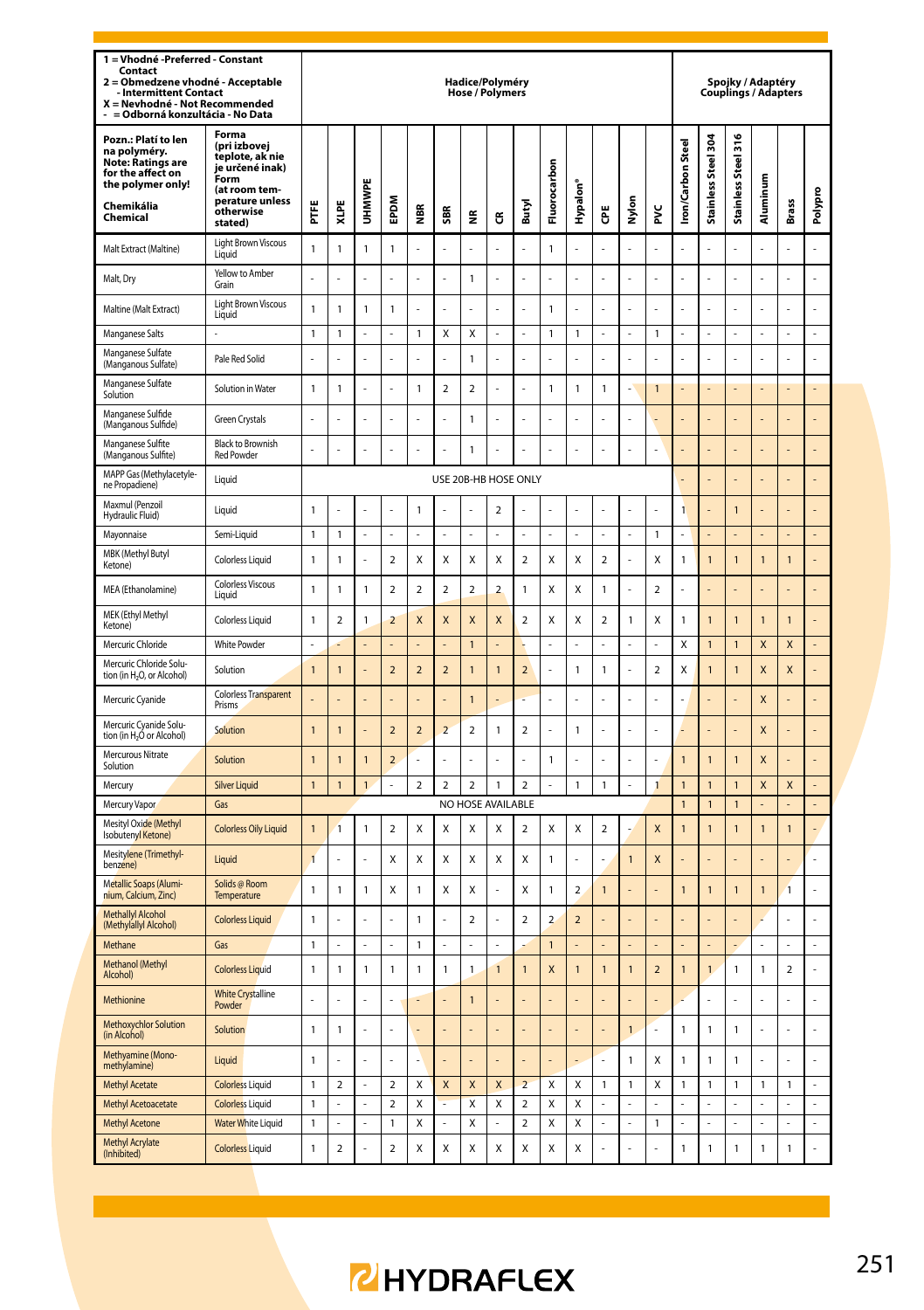| 1 = Vhodné -Preferred - Constant<br>Contact<br>2 = Obmedzene vhodné - Acceptable<br>Intermittent Contact<br>X = Nevhodné - Not Recommended<br>- = Odborná konzultácia - No Data |                                                                                                                                      |                                              |                         |                |                          |                         |                          | Hadice/Polyméry<br><b>Hose / Polymers</b> |                |                         |                         |                         |                         |              |                          |                          |                     |                               | Spojky / Adaptéry<br>Couplings / Adapters |                |         |
|---------------------------------------------------------------------------------------------------------------------------------------------------------------------------------|--------------------------------------------------------------------------------------------------------------------------------------|----------------------------------------------|-------------------------|----------------|--------------------------|-------------------------|--------------------------|-------------------------------------------|----------------|-------------------------|-------------------------|-------------------------|-------------------------|--------------|--------------------------|--------------------------|---------------------|-------------------------------|-------------------------------------------|----------------|---------|
| Pozn.: Platí to len<br>na polyméry.<br><b>Note: Ratings are</b><br>for the affect on<br>the polymer only!<br>Chemikália<br>Chemical                                             | Forma<br>(pri izbovei<br>teplote, ak nie<br>je určené inak)<br>.<br>Form<br>(at room tem-<br>perature unless<br>otherwise<br>stated) | FTE                                          | XLPE                    | UHMWPE         | EPDM                     | €                       | SBR                      | ž                                         | G              | Butyl                   | Fluorocarbon            | Hypalon'                | Ğ                       | Nylon        | ž                        | <b>Iron/Carbon Steel</b> | Stainless Steel 304 | Steel 316<br><b>Stainless</b> | Aluminum                                  | <b>Brass</b>   | Polypro |
| Malt Extract (Maltine)                                                                                                                                                          | Light Brown Viscous<br>Liquid                                                                                                        | $\mathbf{1}$                                 | 1                       | 1              | 1                        | L.                      | L.                       | $\overline{a}$                            | L.             | L.                      | $\mathbf{1}$            | L.                      | L.                      | L            | L                        |                          | L.                  | L                             | L.                                        |                | l,      |
| Malt, Dry                                                                                                                                                                       | Yellow to Amber<br>Grain                                                                                                             |                                              |                         |                |                          |                         |                          | 1                                         |                |                         |                         |                         |                         |              |                          |                          |                     |                               |                                           |                |         |
| Maltine (Malt Extract)                                                                                                                                                          | <b>Light Brown Viscous</b><br>Liquid                                                                                                 | 1                                            | 1                       | 1              | 1                        | ÷                       | L.                       | $\overline{a}$                            | L.             | L.                      | $\mathbf{1}$            | L,                      | L.                      | L            | l,                       | L,                       | ÷,                  | L                             | ÷                                         | L.             | l,      |
| Manganese Salts                                                                                                                                                                 |                                                                                                                                      | 1                                            | 1                       |                | L                        | 1                       | Χ                        | X                                         |                |                         | $\mathbf{1}$            | 1                       |                         | ÷,           | 1                        |                          | $\overline{a}$      |                               |                                           |                |         |
| Manganese Sulfate<br>(Manganous Sulfate)                                                                                                                                        | Pale Red Solid                                                                                                                       |                                              |                         |                |                          |                         |                          | $\mathbf{1}$                              |                |                         |                         |                         |                         |              |                          |                          |                     |                               |                                           |                |         |
| Manganese Sulfate<br>Solution                                                                                                                                                   | Solution in Water                                                                                                                    | 1                                            | 1                       | l,             | L                        | 1                       | $\overline{\mathbf{2}}$  | $\overline{\mathbf{2}}$                   | L.             | l,                      | $\mathbf{1}$            | 1                       | $\mathbf{1}$            | L            | í                        |                          | L                   |                               |                                           |                |         |
| Manganese Sulfide<br>(Manganous Sulfide)                                                                                                                                        | Green Crystals                                                                                                                       |                                              |                         | l,             |                          |                         |                          | 1                                         |                |                         |                         |                         |                         |              |                          |                          |                     |                               |                                           |                |         |
| Manganese Sulfite<br>(Manganous Sulfite)                                                                                                                                        | <b>Black to Brownish</b><br><b>Red Powder</b>                                                                                        | L                                            |                         | l,             |                          |                         | l,                       | $\overline{1}$                            |                |                         | L                       |                         | l,                      | L            |                          |                          |                     |                               |                                           |                |         |
| MAPP Gas (Methylacetyle-<br>ne Propadiene)                                                                                                                                      | Liquid                                                                                                                               |                                              | USE 20B-HB HOSE ONLY    |                |                          |                         |                          |                                           |                |                         |                         |                         |                         |              |                          |                          |                     |                               |                                           |                |         |
| Maxmul (Penzoil<br>Hydraulic Fluid)                                                                                                                                             | Liquid                                                                                                                               | 1<br>$\mathbf{1}$<br>$\overline{\mathbf{c}}$ |                         |                |                          |                         |                          |                                           |                |                         |                         |                         |                         |              |                          | 1                        |                     | $\overline{1}$                |                                           |                |         |
| Mayonnaise                                                                                                                                                                      | Semi-Liquid                                                                                                                          | 1                                            | 1                       | ä,             | ź                        |                         | L.                       | L                                         |                | L.                      | L                       | J,                      | L.                      | L.           | 1                        |                          | L.                  |                               |                                           |                | L       |
| MBK (Methyl Butyl<br>Ketone)                                                                                                                                                    | <b>Colorless Liquid</b>                                                                                                              | 1                                            | 1                       | l,             | $\overline{\mathbf{c}}$  | X                       | X                        | X                                         | Χ              | $\overline{\mathbf{c}}$ | X                       | Χ                       | $\overline{\mathbf{c}}$ | ÷,           | Χ                        | 1                        | $\mathbf{1}$        | 1                             | $\mathbf{1}$                              | $\mathbf{1}$   |         |
| MEA (Ethanolamine)                                                                                                                                                              | <b>Colorless Viscous</b><br>Liquid                                                                                                   | $\mathbf{1}$                                 | $\overline{1}$          | $\overline{1}$ | $\overline{a}$           | $\overline{a}$          | $\mathfrak{p}$           | $\overline{2}$                            | $\overline{a}$ | $\mathbf{1}$            | X                       | X                       | $\mathbf{1}$            | L            | $\overline{\phantom{a}}$ |                          | ä,                  |                               |                                           |                |         |
| MEK (Ethyl Methyl<br>Ketone)                                                                                                                                                    | <b>Colorless Liquid</b>                                                                                                              | 1                                            | $\overline{2}$          | $\mathbf{1}$   | $\overline{\mathbf{2}}$  | X                       | X                        | X                                         | X              | $\overline{\mathbf{c}}$ | X                       | Χ                       | $\overline{\mathbf{c}}$ | $\mathbf{1}$ | Χ                        | 1                        | $\mathbf{1}$        | 1                             | $\mathbf{1}$                              | $\mathbf{1}$   |         |
| Mercuric Chloride                                                                                                                                                               | White Powder                                                                                                                         | L                                            |                         | L              |                          |                         |                          | 1                                         |                |                         | L                       | L                       | L.                      | L            | L                        | X                        | $\mathbf{1}$        | 1                             | X                                         | X              |         |
| Mercuric Chloride Solu-<br>tion (in H <sub>2</sub> O, or Alcohol)                                                                                                               | Solution                                                                                                                             | $\overline{1}$                               | 1                       |                | $\overline{2}$           | $\overline{2}$          | $\overline{\phantom{a}}$ | $\overline{1}$                            | $\overline{1}$ | $\overline{2}$          | L                       | 1                       | $\overline{1}$          | L            | $\overline{a}$           | X                        | $\overline{1}$      | $\overline{1}$                | $\mathsf{x}$                              | $\mathsf{x}$   |         |
| Mercuric Cyanide                                                                                                                                                                | <b>Colorless Transparent</b><br>Prisms                                                                                               |                                              |                         |                |                          |                         |                          | $\overline{1}$                            |                |                         |                         |                         |                         |              |                          |                          |                     |                               | X                                         |                |         |
| Mercuric Cyanide Solu-<br>tion (in H <sub>2</sub> Ó or Alcohol)                                                                                                                 | Solution                                                                                                                             | $\overline{1}$                               | 1                       |                | $\overline{\phantom{0}}$ | $\overline{\mathbf{c}}$ | $\overline{\phantom{a}}$ | $\mathfrak{p}$                            | $\mathbf{1}$   | $\mathfrak{p}$          | $\overline{a}$          | 1                       | L,                      | L            | í,                       |                          | L                   |                               | X                                         | L.             | l,      |
| Mercurous Nitrate<br>Solution                                                                                                                                                   | Solution                                                                                                                             | $\overline{1}$                               | 1                       | $\mathbf{1}$   | $\mathcal{P}$            |                         |                          |                                           |                |                         | $\mathbf{1}$            |                         |                         |              |                          | $\mathbf{1}$             | $\overline{1}$      | 1                             | X                                         |                |         |
| Mercury                                                                                                                                                                         | <b>Silver Liquid</b>                                                                                                                 | $\overline{1}$                               | $\mathbf{1}$            | $\mathbf{1}$   | L,                       | $\mathbf 2$             | $\mathbf 2$              | $\overline{\mathbf{c}}$                   | $\mathbf{1}$   | $\mathbf 2$             |                         | 1                       | $\mathbf{1}$            | L            | 1                        | $\overline{1}$           | $\overline{1}$      | $\overline{1}$                | X                                         | X              |         |
| Mercury Vapor                                                                                                                                                                   | Gas                                                                                                                                  |                                              |                         |                |                          |                         |                          | NO HOSE AVAILABLE                         |                |                         |                         |                         |                         |              |                          | $\mathbf{1}$             | $\mathbf{1}$        | $\mathbf{1}$                  |                                           |                |         |
| Mesityl Oxide (Methyl<br><b>Isobutenvl Ketonel</b>                                                                                                                              | <b>Colorless Oily Liquid</b>                                                                                                         | 1                                            | 1                       | 1              | $\overline{\mathbf{c}}$  | Χ                       | X                        | Χ                                         | Χ              | $\overline{\mathbf{2}}$ | Χ                       | Χ                       | $\boldsymbol{2}$        |              | X                        | $\mathbf{1}$             | $\mathbf{1}$        | 1                             | 1                                         | $\mathbf{1}$   |         |
| Mesitylene (Trimethyl-<br>benzene)                                                                                                                                              | Liquid                                                                                                                               | $\mathbf{1}$                                 |                         | Ĭ.             | Χ                        | Χ                       | X                        | Χ                                         | Χ              | X                       | $\mathbf{1}$            |                         | J.                      | $\mathbf{1}$ | X                        |                          | ÷.                  |                               |                                           |                |         |
| Metallic Soaps (Alumi-<br>nium, Calcium, Zinc)                                                                                                                                  | Solids @ Room<br>Temperature                                                                                                         | 1                                            | 1                       | 1              | Χ                        | 1                       | X                        | Χ                                         | l,             | X                       | $\mathbf{1}$            | 2                       | $\mathbf{1}$            | L,           | L                        | $\mathbf{1}$             | 1                   | 1                             | 1                                         | $\mathbf{1}$   | l,      |
| Methallyl Alcohol<br>(Methylallyl Alcohol)                                                                                                                                      | <b>Colorless Liquid</b>                                                                                                              | $\mathbf{1}$                                 |                         | ł              | L                        | 1                       | ł                        | $\overline{\mathbf{c}}$                   |                | $\overline{\mathbf{c}}$ | $\overline{\mathbf{c}}$ | $\overline{\mathbf{c}}$ |                         |              |                          |                          |                     |                               |                                           |                |         |
| Methane                                                                                                                                                                         | Gas                                                                                                                                  | $\mathbf{1}$                                 |                         | ä,             |                          | 1                       | ÷                        | L,                                        |                |                         | $\overline{1}$          |                         |                         |              |                          |                          |                     |                               |                                           |                |         |
| Methanol (Methyl<br>Alcohol)                                                                                                                                                    | <b>Colorless Liquid</b>                                                                                                              | 1                                            | 1                       | $\mathbf{1}$   | 1                        | 1                       | $\mathbf{1}$             | $\mathbf{1}$                              | 1              | $\overline{1}$          | X                       | $\overline{1}$          | $\mathbf{1}$            | $\mathbf{1}$ | $\overline{2}$           | $\overline{1}$           | $\mathbf{1}$        | 1                             | 1                                         | $\overline{a}$ | Ļ       |
| Methionine                                                                                                                                                                      | <b>White Crystalline</b><br>Powder                                                                                                   | L                                            |                         |                |                          |                         |                          | $\overline{1}$                            |                |                         |                         |                         |                         |              |                          |                          |                     | L                             |                                           |                | Ļ       |
| Methoxychlor Solution<br>(in Alcohol)                                                                                                                                           | Solution                                                                                                                             | 1                                            | 1                       |                |                          |                         |                          |                                           |                |                         |                         |                         |                         | $\mathbf{1}$ |                          | $\mathbf{1}$             | 1                   | 1                             |                                           |                | Ļ       |
| Methyamine (Mono-<br>methylamine)                                                                                                                                               | Liquid                                                                                                                               | $\mathbf{1}$                                 |                         |                |                          |                         |                          |                                           |                |                         |                         |                         |                         | 1            | Χ                        | $\mathbf{1}$             | 1                   | 1                             |                                           |                |         |
| <b>Methyl Acetate</b>                                                                                                                                                           | <b>Colorless Liquid</b>                                                                                                              | 1                                            | $\overline{\mathbf{c}}$ | $\overline{a}$ | $\overline{a}$           | Χ                       | X                        | X                                         | X              | $\overline{a}$          | Χ                       | Χ                       | $\mathbf{1}$            | $\mathbf{1}$ | Χ                        | $\mathbf{1}$             | 1                   | 1                             | 1                                         | 1              | L       |
| Methyl Acetoacetate                                                                                                                                                             | <b>Colorless Liquid</b>                                                                                                              | 1                                            | L.                      | ä,             | 2                        | Χ                       |                          | Χ                                         | Χ              | $\overline{\mathbf{2}}$ | Χ                       | Χ                       | L.                      | L.           | L                        | L                        | ÷,                  | L                             | ä,                                        | ÷,             | L       |
| <b>Methyl Acetone</b>                                                                                                                                                           | <b>Water White Liquid</b>                                                                                                            | 1                                            |                         |                | 1                        | X                       |                          | Χ                                         |                | $\overline{\mathbf{c}}$ | Χ                       | Χ                       |                         | L            | 1                        |                          |                     |                               |                                           |                | L       |
| <b>Methyl Acrylate</b><br>(Inhibited)                                                                                                                                           | <b>Colorless Liquid</b>                                                                                                              | 1                                            | $\overline{2}$          | l,             | $\overline{\phantom{a}}$ | X                       | X                        | Χ                                         | $\mathsf{x}$   | X                       | Χ                       | X                       |                         | L            | L                        | 1                        | 1                   | 1                             | 1                                         | 1              |         |

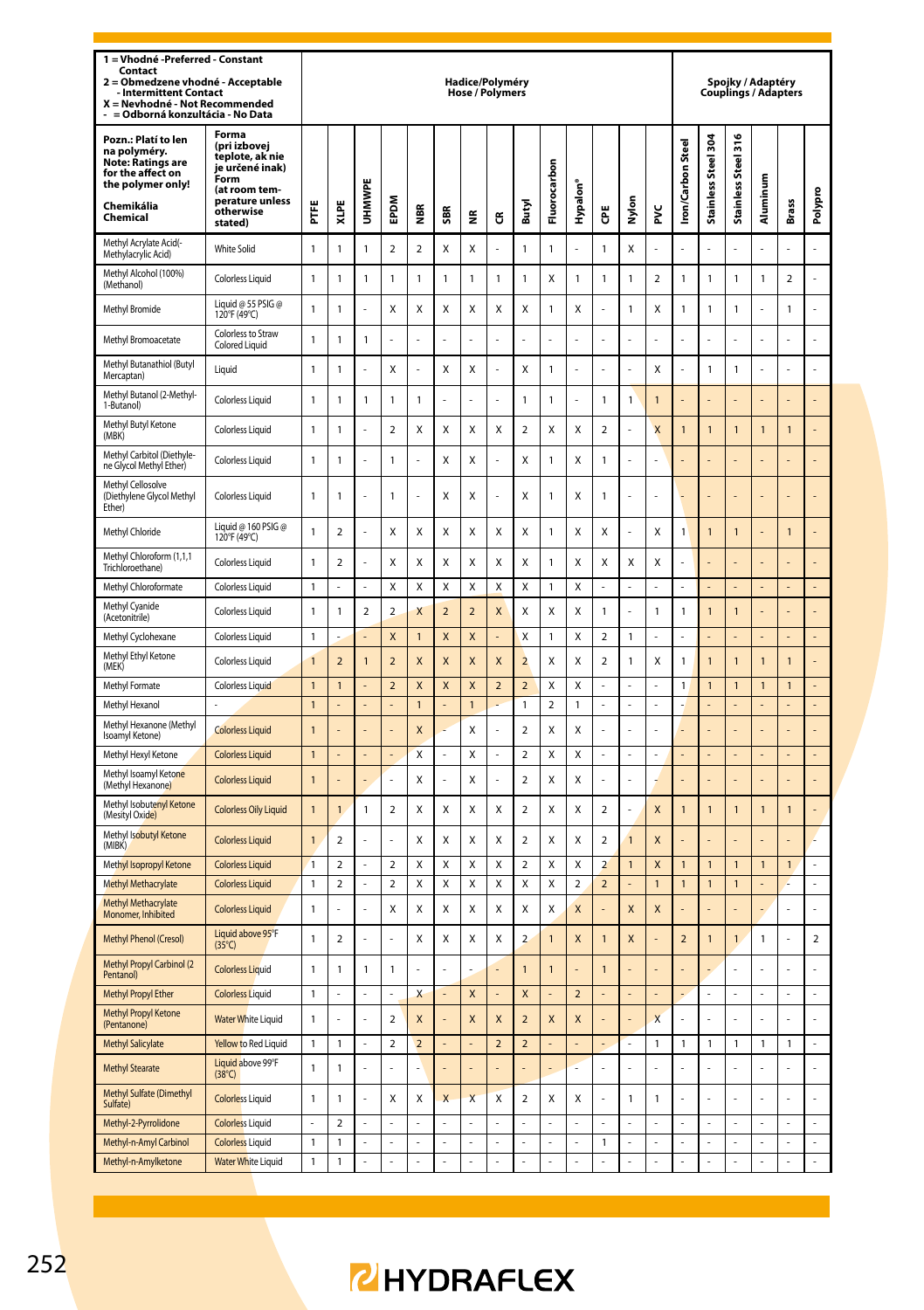| 1 = Vhodné - Preferred - Constant<br>Contact<br>= Obmedzene vhodné - Acceptable<br>$\overline{\mathbf{z}}$<br><b>Intermittent Contact</b><br>X = Nevhodné - Not Recommended<br>= Odborná konzultácia - No Data |                                                                                                                                 |                |                         |                |                |                         |                         | Hadice/Polyméry<br>Hose / Polymers |                           |                          |                         |                         |                          |                |                         |                  |                      | Spoiky / Adaptéry<br>Couplings / Adapters |                |                |                |
|----------------------------------------------------------------------------------------------------------------------------------------------------------------------------------------------------------------|---------------------------------------------------------------------------------------------------------------------------------|----------------|-------------------------|----------------|----------------|-------------------------|-------------------------|------------------------------------|---------------------------|--------------------------|-------------------------|-------------------------|--------------------------|----------------|-------------------------|------------------|----------------------|-------------------------------------------|----------------|----------------|----------------|
| Pozn.: Platí to len<br>na polyméry.<br><b>Note: Ratings are</b><br>for the affect on<br>the polymer only!<br>Chemikália<br>Chemical                                                                            | Forma<br>(pri izbovej<br>teplote, ak nie<br>je určené inak)<br>Form<br>(at room tem-<br>perature unless<br>otherwise<br>stated) | Ë              | XLPE                    | UHMWPE         | EPDM           | mer                     | SBR                     | 띂                                  | წ                         | Butyl                    | Fluorocarbon            | Hypalon <sup>®</sup>    | Ğ                        | Nylon          | ž                       | ron/Carbon Steel | Stainless Steel 304  | Stainless Steel 316                       | Aluminum       | <b>Brass</b>   | Polypro        |
| Methyl Acrylate Acid(-<br>Methylacrylic Acid)                                                                                                                                                                  | <b>White Solid</b>                                                                                                              | 1              | 1                       | 1              | $\overline{2}$ | $\overline{\mathbf{c}}$ | X                       | Χ                                  |                           | $\mathbf{1}$             | $\mathbf{1}$            |                         | $\mathbf{1}$             | X              |                         |                  |                      |                                           |                |                |                |
| Methyl Alcohol (100%)<br>(Methanol)                                                                                                                                                                            | <b>Colorless Liquid</b>                                                                                                         | $\mathbf{1}$   | $\mathbf{1}$            | $\mathbf{1}$   | $\mathbf{1}$   | $\mathbf{1}$            | $\mathbf{1}$            | $\mathbf{1}$                       | $\mathbf{1}$              | $\mathbf{1}$             | X                       | 1                       | 1                        | $\mathbf{1}$   | $\overline{a}$          | 1                | $\mathbf{1}$         | $\mathbf{1}$                              | $\mathbf{1}$   | $\overline{a}$ |                |
| <b>Methyl Bromide</b>                                                                                                                                                                                          | Liquid @ 55 PSIG @<br>120°F (49°C)                                                                                              | $\mathbf{1}$   | 1                       |                | X              | Χ                       | X                       | $\mathsf{x}$                       | X                         | X                        | $\mathbf{1}$            | X                       |                          | $\mathbf{1}$   | X                       | $\mathbf{1}$     | $\mathbf{1}$         | 1                                         |                | 1              | l,             |
| Methyl Bromoacetate                                                                                                                                                                                            | Colorless to Straw<br>Colored Liquid                                                                                            | 1              | 1                       | $\mathbf{1}$   |                |                         |                         |                                    |                           |                          |                         |                         |                          |                |                         |                  |                      |                                           |                |                | l,             |
| Methyl Butanathiol (Butyl<br>Mercaptan)                                                                                                                                                                        | Liquid                                                                                                                          | 1              | 1                       |                | X              |                         | X                       | Χ                                  |                           | X                        | $\mathbf{1}$            |                         |                          |                | X                       |                  | 1                    | 1                                         |                |                |                |
| Methyl Butanol (2-Methyl-<br>1-Butanol)                                                                                                                                                                        | <b>Colorless Liquid</b>                                                                                                         | $\mathbf{1}$   | 1                       | 1              | 1              | 1                       |                         |                                    | L                         | $\mathbf{1}$             | $\mathbf{1}$            | l                       | 1                        | $\mathbf{1}$   | $\overline{1}$          |                  |                      |                                           |                |                |                |
| Methyl Butyl Ketone<br>(MBK)                                                                                                                                                                                   | <b>Colorless Liquid</b>                                                                                                         | 1              | 1                       |                | $\overline{2}$ | Χ                       | X                       | X                                  | X                         | $\overline{\mathbf{c}}$  | X                       | X                       | $\overline{\mathbf{c}}$  |                | X                       | $\overline{1}$   | 1                    | 1                                         | $\overline{1}$ | 1              |                |
| Methyl Carbitol (Diethyle-<br>ne Glycol Methyl Ether)                                                                                                                                                          | <b>Colorless Liquid</b>                                                                                                         | 1              | 1                       |                | 1              |                         | X                       | Χ                                  |                           | X                        | $\mathbf{1}$            | X                       | 1                        |                |                         |                  |                      |                                           |                |                |                |
| Methyl Cellosolve<br>(Diethylene Glycol Methyl<br>Ether)                                                                                                                                                       | <b>Colorless Liquid</b>                                                                                                         | 1              | 1                       |                | 1              |                         | X                       | x                                  |                           | X                        | $\mathbf{1}$            | x                       | 1                        |                |                         |                  |                      |                                           |                |                |                |
| Methyl Chloride                                                                                                                                                                                                | Liquid @ 160 PSIG @<br>120°F (49°C)                                                                                             | 1              | $\overline{\mathbf{c}}$ |                | Χ              | Χ                       | X                       | Χ                                  | Χ                         | X                        | $\mathbf{1}$            | X                       | X                        | ÷,             | X                       | 1                | 1                    | 1                                         |                | $\overline{1}$ |                |
| Methyl Chloroform (1,1,1<br>Trichloroethane)                                                                                                                                                                   | Colorless Liquid                                                                                                                | 1              | $\overline{\mathbf{c}}$ | ä,             | Χ              | Χ                       | X                       | Χ                                  | Χ                         | X                        | $\mathbf{1}$            | Χ                       | X                        | X              | Χ                       | L                | L,                   |                                           |                | L              |                |
| Methyl Chloroformate                                                                                                                                                                                           | <b>Colorless Liquid</b>                                                                                                         | 1              |                         |                | X              | X                       | $\mathsf{x}$            | X                                  | X                         | $\mathsf{x}$             | 1                       | X                       |                          |                |                         |                  |                      |                                           |                |                |                |
| Methyl Cyanide<br>(Acetonitrile)                                                                                                                                                                               | Colorless Liquid                                                                                                                | 1              | 1                       | $\overline{2}$ | $\overline{a}$ | Χ                       | $\overline{2}$          | $\overline{2}$                     | X                         | X                        | X                       | X                       | 1                        | L.             | 1                       | 1                | $\mathbf{1}$         | $\mathbf{1}$                              |                | L              | l,             |
| Methyl Cyclohexane                                                                                                                                                                                             | Colorless Liquid                                                                                                                | 1              |                         |                | X              | $\overline{1}$          | $\overline{\mathsf{x}}$ | $\mathsf{x}$                       |                           | $\mathsf{x}$             | $\mathbf{1}$            | X                       | $\overline{\phantom{a}}$ | $\mathbf{1}$   | l,                      |                  |                      |                                           |                | L              | L.             |
| Methyl Ethyl Ketone<br>(MEK)                                                                                                                                                                                   | Colorless Liquid                                                                                                                | 1              | $\overline{2}$          | 1              | $\overline{a}$ | X                       | X                       | X                                  | X                         | $\overline{\mathbf{c}}$  | X                       | X                       | 2                        | $\mathbf{1}$   | X                       | 1                | 1                    | 1                                         | 1              | 1              |                |
| Methyl Formate                                                                                                                                                                                                 | <b>Colorless Liquid</b>                                                                                                         | $\mathbf{1}$   | 1                       |                | $\overline{2}$ | X                       | X                       | $\overline{\mathsf{x}}$            | $\overline{2}$            | $\overline{2}$           | X                       | x                       |                          | ×,             | Ē,                      | 1                | $\mathbf{1}$         | $\mathbf{1}$                              | $\mathbf{1}$   | $\mathbf{1}$   |                |
| Methyl Hexanol                                                                                                                                                                                                 |                                                                                                                                 | $\mathbf{1}$   |                         |                |                | 1                       |                         | $\overline{1}$                     |                           | $\overline{1}$           | 2                       | 1                       |                          |                |                         |                  |                      |                                           |                |                |                |
| Methyl Hexanone (Methyl<br>Isoamyl Ketone)                                                                                                                                                                     | <b>Colorless Liquid</b>                                                                                                         | $\mathbf{1}$   |                         |                | ÷,             | X                       |                         | X                                  |                           | $\overline{a}$           | X                       | Χ                       |                          |                |                         |                  |                      |                                           |                |                | ÷              |
| Methyl Hexyl Ketone                                                                                                                                                                                            | <b>Colorless Liquid</b>                                                                                                         | 1              |                         |                |                | Χ                       | L.                      | X                                  |                           | $\overline{a}$           | X                       | X                       | J.                       | ÷.             |                         |                  |                      |                                           |                |                |                |
| Methyl Isoamyl Ketone<br>(Methyl Hexanone)                                                                                                                                                                     | <b>Colorless Liquid</b>                                                                                                         | $\overline{1}$ |                         |                |                | X                       |                         | X                                  |                           | $\overline{a}$           | X                       | Χ                       |                          |                |                         |                  |                      |                                           |                |                |                |
| Methyl Isobutenyl Ketone<br>(Mesityl Oxide)                                                                                                                                                                    | <b>Colorless Oily Liquid</b>                                                                                                    | 1              | $\overline{1}$          | 1              | $\mathbf 2$    | Χ                       | X                       | Χ                                  | X                         | $\overline{\mathbf{c}}$  | Χ                       | X                       | $\boldsymbol{2}$         |                | X                       | $\overline{1}$   | $\mathbf{1}$         | 1                                         | $\overline{1}$ | $\mathbf{1}$   |                |
| Methyl Isobutyl Ketone<br>(MIBK)                                                                                                                                                                               | <b>Colorless Liquid</b>                                                                                                         | $\mathbf{1}$   | $\overline{2}$          |                |                | Χ                       | X                       | Χ                                  | Χ                         | $\overline{a}$           | Χ                       | X                       | $\overline{\mathbf{c}}$  | $\overline{1}$ | X                       |                  |                      |                                           |                |                |                |
| Methyl Isopropyl Ketone                                                                                                                                                                                        | <b>Colorless Liquid</b>                                                                                                         | 1              | $\overline{2}$          |                | 2              | Χ                       | X                       | X                                  | Χ                         | $\overline{a}$           | X                       | X                       | $\overline{a}$           | $\mathbf{1}$   | X                       | $\overline{1}$   | $\overline{1}$       | $\mathbf{1}$                              | $\overline{1}$ | $\overline{1}$ |                |
| <b>Methyl Methacrylate</b>                                                                                                                                                                                     | <b>Colorless Liquid</b>                                                                                                         | 1              | $\overline{\mathbf{c}}$ | ä,             | $\mathbf 2$    | Χ                       | X                       | Χ                                  | Χ                         | X                        | X                       | 2                       | $\overline{\mathbf{c}}$  | L,             | $\mathbf{1}$            | $\mathbf{1}$     | 1                    | $\mathbf{1}$                              |                |                | ä,             |
| <b>Methyl Methacrylate</b><br>Monomer, Inhibited                                                                                                                                                               | <b>Colorless Liquid</b>                                                                                                         | 1              |                         |                | Χ              | X                       | X                       | X                                  | X                         | X                        | X                       | X                       |                          | X              | X                       |                  |                      |                                           |                |                |                |
| Methyl Phenol (Cresol)                                                                                                                                                                                         | Liquid above 95°F<br>$(35^{\circ}C)$                                                                                            | 1              | $\overline{2}$          |                | $\overline{a}$ | Χ                       | X                       | X                                  | X                         | $\overline{a}$           | $\overline{1}$          | X                       | $\mathbf{1}$             | X              |                         | $\overline{2}$   | $\mathbf{1}$         | $\overline{1}$                            | $\mathbf{1}$   |                | $\overline{2}$ |
| Methyl Propyl Carbinol (2<br>Pentanol)                                                                                                                                                                         | <b>Colorless Liquid</b>                                                                                                         | $\overline{1}$ | 1                       | $\mathbf{1}$   | $\mathbf{1}$   |                         |                         |                                    |                           | $\overline{1}$           | $\overline{1}$          |                         | $\mathbf{1}$             |                |                         |                  |                      |                                           |                |                |                |
| <b>Methyl Propyl Ether</b>                                                                                                                                                                                     | <b>Colorless Liquid</b>                                                                                                         | 1              |                         | $\overline{a}$ | L.             | X                       | L.                      | X                                  |                           | X                        |                         | $\mathbf 2$             |                          |                |                         |                  | L,                   | $\overline{a}$                            |                | $\overline{a}$ | L              |
| <b>Methyl Propyl Ketone</b><br>(Pentanone)                                                                                                                                                                     | <b>Water White Liquid</b>                                                                                                       | $\overline{1}$ | L                       | L,             | $\overline{a}$ | $\mathsf{x}$            | ä,                      | $\overline{\mathsf{x}}$            | $\mathsf{x}$              | $\overline{\phantom{0}}$ | $\overline{\mathsf{x}}$ | $\overline{\mathsf{x}}$ | l,                       | L,             | $\overline{\mathsf{x}}$ | L                | L                    | L                                         | l,             | L,             | $\overline{a}$ |
| <b>Methyl Salicylate</b>                                                                                                                                                                                       | Yellow to Red Liquid                                                                                                            | 1              | 1                       | ä,             | $\overline{2}$ | $\overline{a}$          | L,                      | ÷,                                 | $\overline{2}$            | $\overline{2}$           | L,                      |                         | l,                       | ÷,             | 1                       | 1                | 1                    | 1                                         | 1              | 1              | L              |
| <b>Methyl Stearate</b>                                                                                                                                                                                         | Liquid above 99°F<br>$(38^{\circ}C)$                                                                                            | 1              | 1                       |                | L              |                         |                         |                                    |                           |                          | ä,                      |                         |                          | L              | l,                      |                  |                      |                                           |                |                | l              |
| Methyl Sulfate (Dimethyl<br>Sulfate)                                                                                                                                                                           | <b>Colorless Liquid</b>                                                                                                         | $\mathbf{1}$   | $\mathbf{1}$            |                | Χ              | Χ                       | $\overline{\mathsf{x}}$ | $\overline{\mathsf{x}}$            | $\boldsymbol{\mathsf{x}}$ | $\overline{a}$           | X                       | X                       |                          | $\mathbf{1}$   | 1                       |                  |                      |                                           |                |                | l,             |
| Methyl-2-Pyrrolidone                                                                                                                                                                                           | <b>Colorless Liquid</b>                                                                                                         | $\overline{a}$ | $\overline{\mathbf{c}}$ | L.             | L.             |                         | L.                      | L.                                 |                           | L.                       | L.                      |                         | L                        | L.             |                         | L                | L.                   | L.                                        | L              | $\overline{a}$ | $\overline{a}$ |
| Methyl-n-Amyl Carbinol<br>Methyl-n-Amylketone                                                                                                                                                                  | <b>Colorless Liquid</b><br><b>Water White Liquid</b>                                                                            | 1<br>1         | 1<br>1                  |                | L,             |                         | L                       | l,<br>÷,                           |                           |                          | l,                      | Ļ                       | 1                        | l,<br>÷,       | $\overline{a}$          |                  | L,<br>$\overline{a}$ |                                           |                | L,<br>L,       | L,             |
|                                                                                                                                                                                                                |                                                                                                                                 |                |                         |                |                |                         |                         |                                    |                           |                          |                         |                         |                          |                |                         |                  |                      |                                           |                |                |                |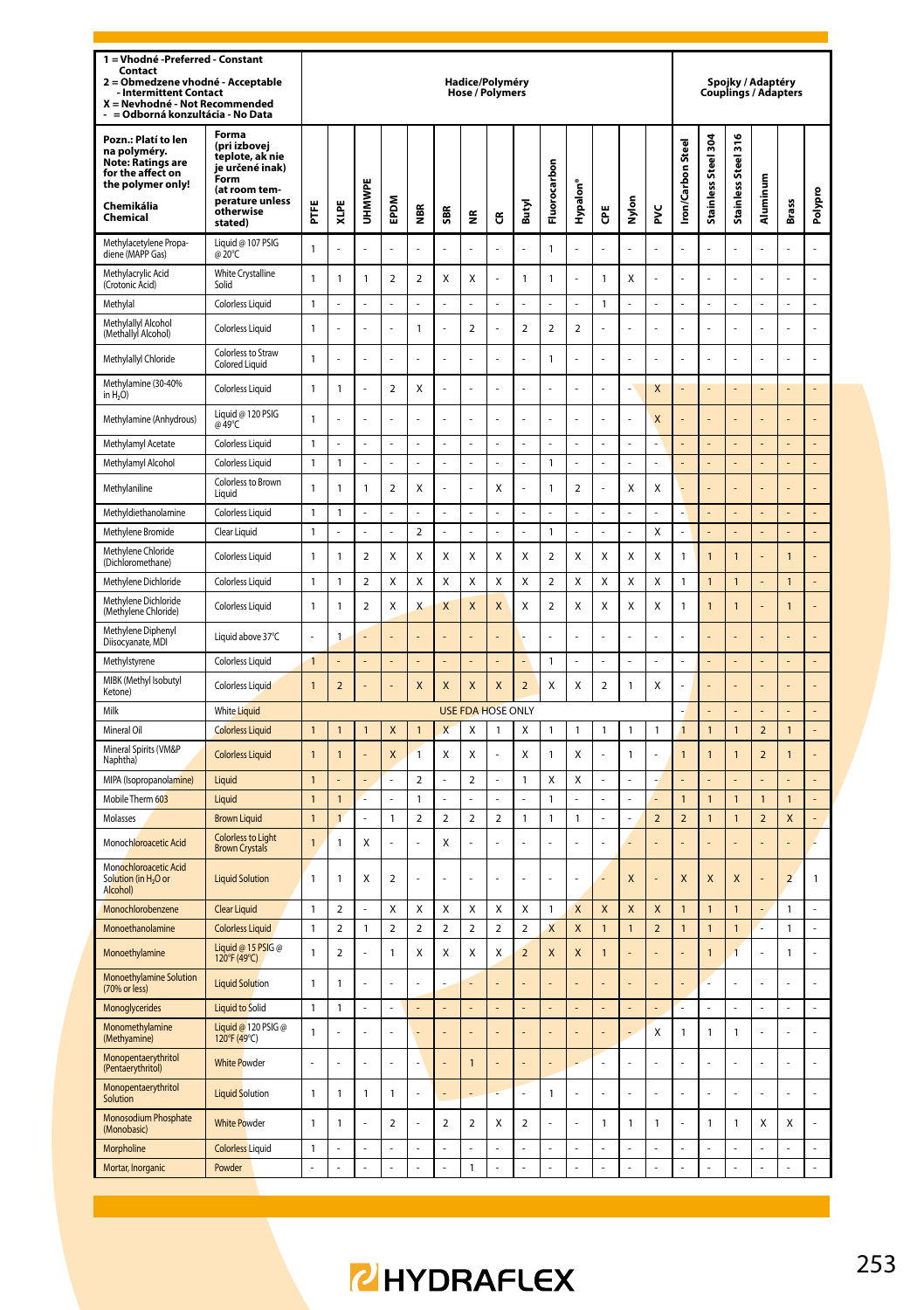| 1 = Vhodné -Preferred - Constant<br>Contact<br>Obmedzene vhodné - Acceptable<br>2<br><b>Intermittent Contact</b><br>X = Nevhodné - Not Recommended<br>= Odborná konzultácia - No Data |                                                                                                                                 |                                  |                               |                |                  |                   |                                         | Hadice/Polyméry<br>Hose / Polymers |                                         |                                |                         |                   |                         |                                             |                              |                                  |                                           |                                | Spojky / Adaptéry<br>Couplings / Adapters |                              |                      |
|---------------------------------------------------------------------------------------------------------------------------------------------------------------------------------------|---------------------------------------------------------------------------------------------------------------------------------|----------------------------------|-------------------------------|----------------|------------------|-------------------|-----------------------------------------|------------------------------------|-----------------------------------------|--------------------------------|-------------------------|-------------------|-------------------------|---------------------------------------------|------------------------------|----------------------------------|-------------------------------------------|--------------------------------|-------------------------------------------|------------------------------|----------------------|
| Pozn.: Platí to len<br>na polyméry.<br>Note: Ratings are<br>for the affect on<br>the polymer only!<br>Chemikália<br>Chemical                                                          | Forma<br>(pri izbovej<br>teplote, ak nie<br>je určené inak)<br>Form<br>(at room tem-<br>perature unless<br>otherwise<br>stated) | E                                | XLPE                          | UHMWPE         | EPDM             | NBR<br>M          | SBR                                     | ž                                  | ű                                       | Butyl                          | uorocarbor<br>됴         | Hypalon'          | Ğ                       | Nylon                                       | ž                            | <b>Iron/Carbon Steel</b>         | $\frac{304}{5}$<br><b>Stainless Steel</b> | Stainless Steel 316            | luminum<br>ਟ                              | Brass                        | Polypro              |
| Methylacetylene Propa-<br>diene (MAPP Gas)                                                                                                                                            | Liquid @ 107 PSIG<br>@ 20°C                                                                                                     | $\mathbf{1}$                     |                               |                |                  |                   |                                         |                                    |                                         |                                | $\overline{1}$          |                   |                         |                                             |                              |                                  |                                           |                                |                                           |                              |                      |
| Methylacrylic Acid<br>(Crotonic Acid)                                                                                                                                                 | White Crystalline<br>Solid                                                                                                      | $\mathbf{1}$                     | $\mathbf{1}$                  | 1              | $\overline{2}$   | $\mathbf 2$       | Χ                                       | Χ                                  | l,                                      | 1                              | $\overline{1}$          | l,                | 1                       | Χ                                           |                              |                                  | L,                                        | $\overline{a}$                 |                                           | l,                           | $\overline{a}$       |
| Methylal                                                                                                                                                                              | Colorless Liquid                                                                                                                | $\overline{1}$                   | L                             | L              | $\overline{a}$   | L                 | $\overline{a}$                          |                                    | $\overline{a}$                          | L                              | L.                      | L                 | $\mathbf{1}$            | $\overline{a}$                              | $\overline{a}$               | l                                | $\overline{a}$                            | $\overline{a}$                 | l,                                        | $\overline{a}$               | $\overline{a}$       |
| Methylallyl Alcohol<br>(Methally) Alcohol)                                                                                                                                            | Colorless Liquid                                                                                                                | $\mathbf{1}$                     |                               |                |                  | 1                 |                                         | $\mathbf 2$                        | Ĭ.                                      | $\mathbf 2$                    | $\mathbf 2$             | $\mathbf 2$       |                         |                                             | L,                           |                                  |                                           | L,                             |                                           |                              | L,                   |
| Methylallyl Chloride                                                                                                                                                                  | Colorless to Straw<br>Colored Liquid                                                                                            | $\mathbf{1}$                     | l,                            | l,             | ä,               | l,                | ÷,                                      | ÷,                                 | l,                                      | J.                             | $\mathbf{1}$            | í,                | l,                      | ÷,                                          | $\overline{a}$               | J                                | ä,                                        | L                              | l,                                        | ÷,                           | $\overline{a}$       |
| Methylamine (30-40%<br>in H <sub>2</sub> O)                                                                                                                                           | <b>Colorless Liquid</b>                                                                                                         | $\mathbf{1}$                     | 1                             | l,             | $\overline{2}$   | Χ                 | Í,                                      | ÷,                                 | l,                                      | J.                             |                         | í,                | ł,                      | J.                                          | X                            |                                  | L                                         |                                |                                           | ÷,                           |                      |
| Methylamine (Anhydrous)                                                                                                                                                               | Liquid @ 120 PSIG<br>@ 49°C                                                                                                     | $\mathbf{1}$                     |                               | L.             |                  | L                 | L                                       |                                    | l,                                      | L                              |                         | l,                | l,                      | L,                                          | X                            |                                  |                                           |                                |                                           |                              |                      |
| Methylamyl Acetate                                                                                                                                                                    | <b>Colorless Liquid</b>                                                                                                         | $\mathbf{1}$                     |                               |                |                  |                   |                                         |                                    |                                         |                                |                         |                   |                         |                                             |                              |                                  |                                           |                                |                                           |                              |                      |
| Methylamyl Alcohol                                                                                                                                                                    | Colorless Liquid                                                                                                                | $\overline{1}$                   | $\mathbf{1}$                  |                |                  |                   | l,                                      | L                                  |                                         |                                | $\overline{1}$          | l,                |                         |                                             | L                            |                                  | l,                                        |                                |                                           | l,                           | $\overline{a}$       |
| Methylaniline                                                                                                                                                                         | Colorless to Brown<br>Liquid                                                                                                    | $\mathbf{1}$                     | 1                             | 1              | $\overline{2}$   | Χ                 | l,                                      | ÷,                                 | Χ                                       | L                              | $\mathbf{1}$            | $\mathbf 2$       | Ļ                       | Χ                                           | X                            | l,                               | ÷,                                        |                                |                                           | ł,                           | L,                   |
| Methyldiethanolamine                                                                                                                                                                  | Colorless Liquid                                                                                                                | $\mathbf{1}$                     | 1                             |                |                  |                   |                                         |                                    |                                         |                                |                         |                   |                         |                                             |                              |                                  |                                           |                                |                                           |                              |                      |
| Methylene Bromide                                                                                                                                                                     | Clear Liquid                                                                                                                    | $\mathbf{1}$                     | L                             | L.             | ä,               | $\overline{2}$    | L.                                      | L.                                 | L.                                      | L                              | $\overline{1}$          | L,                | J                       | ÷,                                          | X                            |                                  | L                                         |                                |                                           | L                            | L                    |
| Methylene Chloride<br>(Dichloromethane)                                                                                                                                               | Colorless Liquid                                                                                                                | $\mathbf{1}$                     | 1                             | $\overline{2}$ | X                | Χ                 | X                                       | Χ                                  | Χ                                       | X                              | $\overline{\mathbf{c}}$ | Χ                 | X                       | Χ                                           | Χ                            | 1                                | 1                                         | $\mathbf{1}$                   |                                           | $\overline{1}$               |                      |
| Methylene Dichloride                                                                                                                                                                  | Colorless Liquid                                                                                                                | $\mathbf{1}$                     | 1                             | $\overline{2}$ | X                | χ                 | X                                       | X                                  | X                                       | X                              | $\overline{\mathbf{c}}$ | X                 | X                       | X                                           | X                            | 1                                | $\mathbf{1}$                              | $\mathbf{1}$                   |                                           | $\mathbf{1}$                 | ä,                   |
| Methylene Dichloride<br>(Methylene Chloride)                                                                                                                                          | Colorless Liquid                                                                                                                | $\mathbf{1}$                     | 1                             | $\overline{2}$ | X                | X                 | X                                       | X                                  | X                                       | X                              | $\overline{\mathbf{c}}$ | Χ                 | X                       | Χ                                           | Χ                            | 1                                | $\overline{1}$                            | $\overline{1}$                 |                                           | $\overline{1}$               |                      |
| Methylene Diphenyl<br>Diisocyanate, MDI                                                                                                                                               | Liquid above 37°C                                                                                                               |                                  | 1                             |                |                  |                   |                                         |                                    |                                         |                                |                         |                   |                         |                                             |                              |                                  |                                           |                                |                                           |                              |                      |
| Methylstyrene                                                                                                                                                                         | <b>Colorless Liquid</b>                                                                                                         | $\mathbf{1}$                     |                               | í,             | ä,               |                   | ä,                                      | ÷,                                 |                                         | L                              | $\overline{1}$          | l,                | L                       | J.                                          | L                            |                                  | ä,                                        | ä,                             |                                           | ä,                           | $\overline{a}$       |
| MIBK (Methyl Isobutyl<br>Ketone)                                                                                                                                                      | Colorless Liquid                                                                                                                | $\mathbf{1}$                     | $\overline{\mathbf{c}}$       |                | L,               | X                 | X                                       | $\mathsf{x}$                       | X                                       | $\overline{\mathbf{c}}$        | X                       | Χ                 | $\overline{\mathbf{c}}$ | $\mathbf 1$                                 | Χ                            |                                  | $\overline{a}$                            | $\overline{a}$                 |                                           | l,                           | $\overline{a}$       |
| Milk                                                                                                                                                                                  | White Liquid                                                                                                                    |                                  |                               |                |                  |                   |                                         | <b>USE FDA HOSE ONLY</b>           |                                         |                                |                         |                   |                         |                                             |                              |                                  |                                           |                                |                                           |                              |                      |
| Mineral Oil                                                                                                                                                                           | <b>Colorless Liquid</b>                                                                                                         | $\mathbf{1}$                     | $\mathbf{1}$                  | $\mathbf{1}$   | X                | $\mathbf{1}$      | X                                       | Χ                                  | $\mathbf{1}$                            | X                              | $\mathbf{1}$            | 1                 | 1                       | $\mathbf{1}$                                | 1                            | $\overline{1}$                   | $\mathbf{1}$                              | $\mathbf{1}$                   | $\overline{2}$                            | $\mathbf{1}$                 | L                    |
| Mineral Spirits (VM&P<br>Naphtha)                                                                                                                                                     | <b>Colorless Liquid</b>                                                                                                         | $\overline{1}$                   | $\overline{1}$                |                | X                | $\overline{1}$    | X                                       | X                                  |                                         | X                              | $\mathbf{1}$            | Χ                 |                         | $\mathbf{1}$                                |                              | 1                                | $\overline{1}$                            | $\mathbf{1}$                   | $\overline{a}$                            | $\overline{1}$               |                      |
| MIPA (Isopropanolamine)<br>Mobile Therm 603                                                                                                                                           | Liquid<br>Liquid                                                                                                                | $\overline{1}$<br>$\overline{1}$ | $\mathbf{1}$                  | ä,             | ä,               | 2<br>$\mathbf{1}$ | ä,                                      | $\overline{\mathbf{2}}$            |                                         | 1                              | Χ<br>$\overline{1}$     | Χ                 | í,                      | ÷,                                          |                              | $\overline{1}$                   | í,<br>$\overline{1}$                      | $\mathbf{1}$                   | 1                                         | $\overline{1}$               | $\overline{a}$       |
| Molasses                                                                                                                                                                              | <b>Brown Liquid</b>                                                                                                             | $\overline{1}$                   | $\mathbf{1}$                  | ä,             | 1                | $\mathbf 2$       | 2                                       | $\overline{\mathbf{2}}$            | 2                                       | 1                              | $\mathbf{1}$            | 1                 | í,                      | ÷,                                          | $\mathbf 2$                  | $\overline{\mathbf{c}}$          | 1                                         | 1                              | $\overline{\mathbf{c}}$                   | X                            | ÷,                   |
| Monochloroacetic Acid                                                                                                                                                                 | <b>Colorless to Light</b>                                                                                                       | $\mathbf{1}$                     | $\mathbf{1}$                  | X              |                  |                   | X                                       |                                    |                                         |                                |                         |                   |                         |                                             |                              |                                  |                                           |                                |                                           |                              |                      |
| Monochloroacetic Acid                                                                                                                                                                 | <b>Brown Crystals</b>                                                                                                           |                                  |                               |                |                  |                   |                                         |                                    |                                         |                                |                         |                   |                         |                                             |                              |                                  |                                           |                                |                                           |                              |                      |
| Solution (in H <sub>2</sub> O or<br><b>Alcoholl</b>                                                                                                                                   | <b>Liquid Solution</b>                                                                                                          | $\mathbf{1}$                     | $\mathbf{1}$                  | X              | $\mathbf 2$      |                   |                                         |                                    |                                         |                                |                         |                   |                         | $\overline{\mathsf{x}}$                     |                              | X                                | X                                         | X                              |                                           | $\overline{2}$               | 1                    |
| Monochlorobenzene                                                                                                                                                                     | <b>Clear Liquid</b>                                                                                                             | $\overline{1}$                   | $\overline{\phantom{a}}$      | ä,             | X<br>$\mathbf 2$ | X<br>$\mathbf 2$  | $\mathsf{x}$<br>$\overline{\mathbf{c}}$ | X                                  | $\mathsf{x}$<br>$\overline{\mathbf{c}}$ | $\mathsf{x}$<br>$\overline{2}$ | $\overline{1}$          | $\mathbf{x}$<br>X | X<br>$\overline{1}$     | $\boldsymbol{\mathsf{x}}$<br>$\overline{1}$ | X<br>$\overline{\mathbf{c}}$ | $\overline{1}$<br>$\overline{1}$ | $\overline{1}$<br>$\overline{1}$          | $\overline{1}$<br>$\mathbf{1}$ | í,<br>L                                   | $\mathbf{1}$                 | L.<br>$\overline{a}$ |
| Monoethanolamine<br>Monoethylamine                                                                                                                                                    | <b>Colorless Liquid</b><br>Liquid @ 15 PSIG @                                                                                   | $\mathbf{1}$<br>$\mathbf{1}$     | $\mathbf 2$<br>$\overline{2}$ | 1              | $\mathbf{1}$     | Χ                 | X                                       | $\mathbf 2$<br>X                   | X                                       | $\overline{2}$                 | X<br>$\mathsf{x}$       | X                 | $\overline{1}$          | ÷                                           |                              |                                  | $\overline{1}$                            | $\overline{1}$                 |                                           | $\mathbf{1}$<br>$\mathbf{1}$ | $\overline{a}$       |
| Monoethylamine Solution                                                                                                                                                               | 120°F (49°C)<br><b>Liquid Solution</b>                                                                                          | $\mathbf{1}$                     | $\mathbf{1}$                  |                |                  |                   |                                         |                                    |                                         |                                |                         |                   |                         |                                             |                              |                                  |                                           |                                |                                           |                              | l,                   |
| (70% or less)<br>Monoglycerides                                                                                                                                                       | <b>Liquid to Solid</b>                                                                                                          | $\mathbf{1}$                     | $\mathbf{1}$                  | ÷,             | ä,               | l,                | ÷,                                      | ÷,                                 | L,                                      | L,                             | ÷,                      | ÷,                | l,                      | ÷,                                          | L                            | J,                               | ä,                                        | ä,                             | ÷,                                        | ä,                           | ä,                   |
| Monomethylamine<br>(Methyamine)                                                                                                                                                       | Liquid @ 120 PSIG @<br>120°F (49°C)                                                                                             | $\mathbf{1}$                     |                               |                |                  |                   |                                         |                                    |                                         |                                |                         |                   |                         |                                             | X                            | 1                                | 1                                         | 1                              |                                           |                              |                      |
| Monopentaerythritol<br>(Pentaerythritol)                                                                                                                                              | <b>White Powder</b>                                                                                                             |                                  |                               |                |                  |                   |                                         | $\mathbf{1}$                       |                                         |                                |                         |                   |                         |                                             |                              |                                  |                                           |                                |                                           |                              |                      |
| Monopentaerythritol<br>Solution                                                                                                                                                       | <b>Liquid Solution</b>                                                                                                          | $\mathbf{1}$                     | 1                             | 1              | $\mathbf{1}$     |                   |                                         |                                    |                                         |                                | $\mathbf{1}$            |                   |                         |                                             |                              |                                  |                                           |                                |                                           |                              |                      |
| Monosodium Phosphate<br>(Monobasic)                                                                                                                                                   | <b>White Powder</b>                                                                                                             | $\mathbf{1}$                     | 1                             |                | $\overline{a}$   |                   | $\overline{a}$                          | $\overline{a}$                     | X                                       | $\overline{a}$                 |                         |                   | 1                       | $\overline{1}$                              | 1                            |                                  | $\mathbf{1}$                              | $\mathbf{1}$                   | X                                         | X                            | l,                   |
| Morpholine                                                                                                                                                                            | <b>Colorless Liquid</b>                                                                                                         | $\mathbf{1}$                     |                               | ä,             | ä,               | í,                | ä,                                      | ä,                                 |                                         | ä,                             | ÷,                      | í,                | í,                      | J.                                          | ä,                           | í,                               | ä,                                        | L                              | í,                                        | ÷,                           | $\overline{a}$       |
| Mortar, Inorganic                                                                                                                                                                     | Powder                                                                                                                          | ÷,                               |                               | ä,             | ä,               |                   | l,                                      | $\mathbf{1}$                       |                                         | l,                             | ÷,                      |                   | í,                      | ä,                                          |                              | í,                               | ä,                                        | L.                             | L                                         | ä,                           |                      |

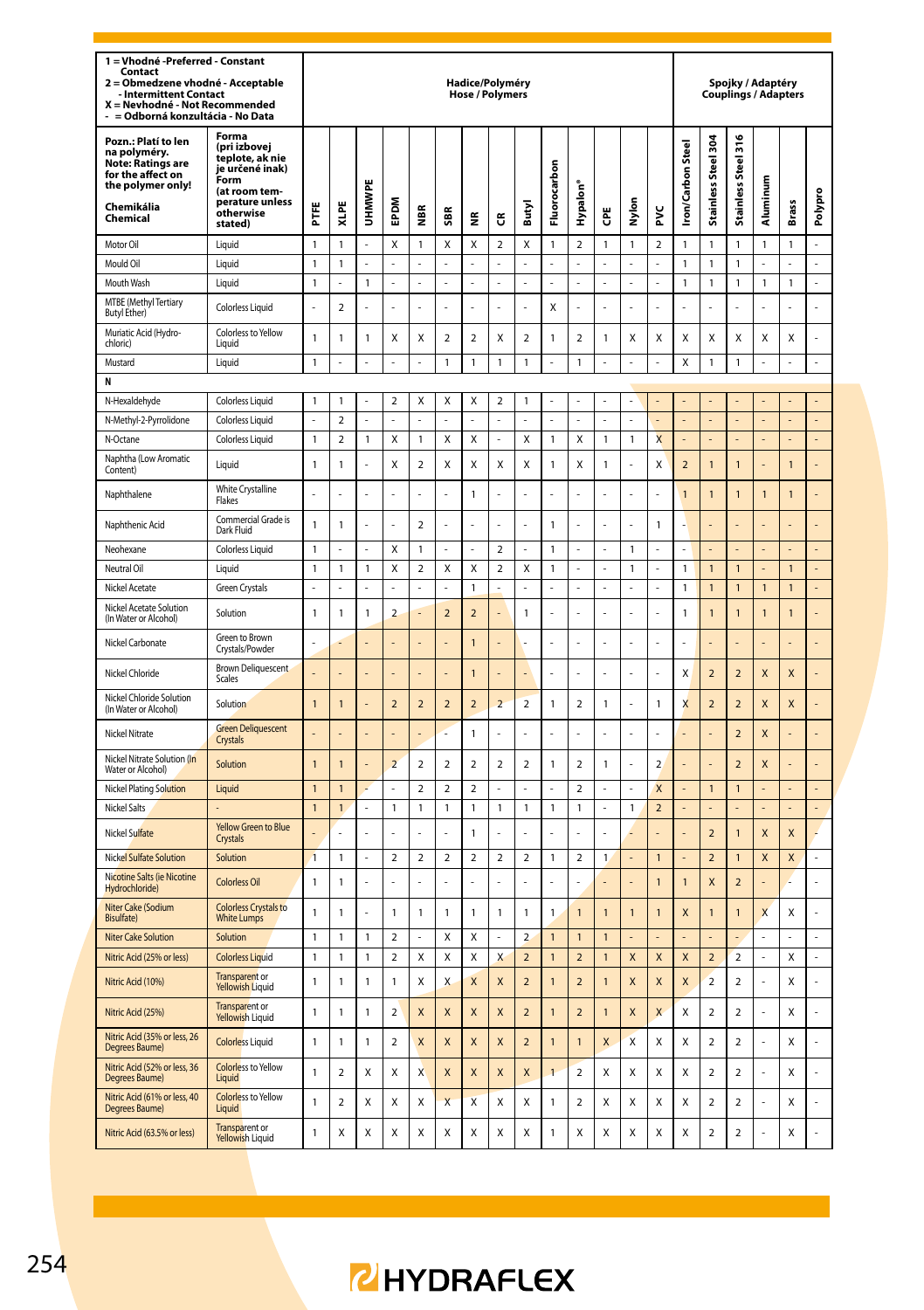| 1 = Vhodné - Preferred - Constant<br>Contact<br>Obmedzene vhodné - Acceptable<br>$\overline{\mathbf{2}}$<br><b>Intermittent Contact</b><br>X = Nevhodné - Not Recommended<br>= Odborná konzultácia - No Data |                                                                                                                                 |                |                         |                |                          |                         |                | Hadice/Polyméry<br><b>Hose / Polymers</b> |                         |                          |                |                         |                |                |                         |                          |                          | Spojky / Adaptéry<br><b>Couplings / Adapters</b> |                |                |                |
|--------------------------------------------------------------------------------------------------------------------------------------------------------------------------------------------------------------|---------------------------------------------------------------------------------------------------------------------------------|----------------|-------------------------|----------------|--------------------------|-------------------------|----------------|-------------------------------------------|-------------------------|--------------------------|----------------|-------------------------|----------------|----------------|-------------------------|--------------------------|--------------------------|--------------------------------------------------|----------------|----------------|----------------|
| Pozn.: Platí to len<br>na polyméry.<br><b>Note: Ratings are</b><br>for the affect on<br>the polymer only!<br>Chemikália<br>Chemical                                                                          | Forma<br>(pri izbovej<br>teplote, ak nie<br>je určené inak)<br>Form<br>(at room tem-<br>perature unless<br>otherwise<br>stated) | Ë              | XLPE                    | UHMWPE         | EPDM                     | ã                       | 5BR            | ۴                                         | ű                       | Butyl                    | Fluorocarbon   | Hypalon                 | ĕ              | <u>ទ</u><br>Σ  | ž                       | <b>Iron/Carbon Steel</b> | Stainless Steel 30       | Stainless Steel 316                              | Aluminum       | Brass          | Polypro        |
| Motor Oil                                                                                                                                                                                                    | Liquid                                                                                                                          | 1              | 1                       |                | x                        | 1                       | X              | X                                         | $\overline{2}$          | X                        | $\mathbf{1}$   | $\mathcal{P}$           | $\mathbf{1}$   | $\mathbf{1}$   | $\mathfrak{p}$          | 1                        | $\mathbf{1}$             | $\mathbf{1}$                                     | 1              | 1              |                |
| Mould Oil                                                                                                                                                                                                    | Liquid                                                                                                                          | $\overline{1}$ | 1                       | ä,             | L.                       | L.                      | L.             | L.                                        | L.                      | L.                       | ÷.             | L.                      | L.             | L.             | L.                      | $\mathbf{1}$             | $\mathbf{1}$             | $\mathbf{1}$                                     | L              | ä,             | L.             |
| Mouth Wash                                                                                                                                                                                                   | Liquid                                                                                                                          | $\mathbf{1}$   | L                       | 1              | ÷,                       | L.                      | l,             | ä,                                        | L.                      | L.                       | ä,             | L.                      | L.             | ä,             | ä,                      | 1                        | $\mathbf{1}$             | $\mathbbm{1}$                                    | 1              | 1              | L              |
| MTBE (Methyl Tertiary<br><b>Butyl Ether)</b>                                                                                                                                                                 | <b>Colorless Liquid</b>                                                                                                         | l,             | $\overline{\mathbf{c}}$ |                | L.                       | L                       |                | $\overline{a}$                            | L                       | L                        | X              | l,                      |                | L              | L.                      |                          | L,                       | L,                                               |                |                |                |
| Muriatic Acid (Hydro-<br>chloric)                                                                                                                                                                            | Colorless to Yellow<br>Liauid                                                                                                   | $\mathbf{1}$   | 1                       | 1              | X                        | χ                       | $\sqrt{2}$     | $\mathbf 2$                               | Χ                       | $\overline{\mathbf{c}}$  | $\mathbf{1}$   | $\overline{\mathbf{c}}$ | 1              | X              | X                       | Χ                        | X                        | Χ                                                | Χ              | X              | L              |
| Mustard                                                                                                                                                                                                      | Liquid                                                                                                                          | $\overline{1}$ | l,                      |                | ä,                       | l,                      | 1              | $\mathbf{1}$                              | $\mathbf{1}$            | $\mathbf{1}$             | ÷,             | $\mathbf{1}$            | l,             | l,             |                         | X                        | $\mathbf{1}$             | $\overline{1}$                                   |                | l,             | l,             |
| N                                                                                                                                                                                                            |                                                                                                                                 |                |                         |                |                          |                         |                |                                           |                         |                          |                |                         |                |                |                         |                          |                          |                                                  |                |                |                |
| N-Hexaldehyde                                                                                                                                                                                                | <b>Colorless Liquid</b>                                                                                                         | $\mathbf{1}$   | 1                       |                | $\overline{2}$           | Χ                       | X              | X                                         | $\overline{a}$          | 1                        | ä,             | L                       |                | ä,             |                         |                          |                          |                                                  |                |                |                |
| N-Methyl-2-Pyrrolidone                                                                                                                                                                                       | <b>Colorless Liquid</b>                                                                                                         |                | $\overline{\mathbf{c}}$ |                |                          |                         |                |                                           |                         |                          |                | l,                      |                |                |                         |                          |                          |                                                  |                |                |                |
| N-Octane                                                                                                                                                                                                     | Colorless Liquid                                                                                                                | $\overline{1}$ | $\overline{a}$          | $\mathbf{1}$   | X                        | $\mathbf{1}$            | $\mathsf{x}$   | X                                         | $\overline{a}$          | X                        | $\mathbf{1}$   | X                       | $\mathbf{1}$   | $\mathbf{1}$   | $\overline{\mathsf{x}}$ |                          | L,                       | L,                                               |                | $\overline{a}$ | $\overline{a}$ |
| Naphtha (Low Aromatic<br>Content)                                                                                                                                                                            | Liquid                                                                                                                          | $\mathbf{1}$   | $\mathbf{1}$            |                | Χ                        | $\overline{\mathbf{c}}$ | Χ              | X                                         | Χ                       | X                        | $\mathbf{1}$   | Χ                       | $\mathbf{1}$   | Ļ              | X                       | $\overline{\mathbf{c}}$  | $\mathbf{1}$             | $\mathbf{1}$                                     |                | $\overline{1}$ |                |
| Naphthalene                                                                                                                                                                                                  | White Crystalline<br>Flakes                                                                                                     | l,             |                         |                |                          | Ļ                       |                | $\mathbf{1}$                              | ł                       |                          |                | ł                       |                | l,             |                         | $\mathbf{1}$             | $\mathbf{1}$             | $\mathbf{1}$                                     | $\overline{1}$ | 1              |                |
| Naphthenic Acid                                                                                                                                                                                              | Commercial Grade is<br>Dark Fluid                                                                                               | $\overline{1}$ | 1                       | l,             | L,                       | $\mathfrak{p}$          | l,             | L,                                        | l,                      | l,                       | $\mathbf{1}$   | l,                      | l,             | L              | $\overline{1}$          |                          | l,                       |                                                  |                | L              |                |
| Neohexane                                                                                                                                                                                                    | <b>Colorless Liquid</b>                                                                                                         | $\mathbf{1}$   |                         |                | Χ                        | 1                       |                |                                           | $\overline{\mathbf{c}}$ |                          | $\mathbf{1}$   |                         |                | $\mathbbm{1}$  |                         |                          |                          |                                                  |                |                |                |
| Neutral Oil                                                                                                                                                                                                  | Liquid                                                                                                                          | $\mathbf{1}$   | 1                       | 1              | Χ                        | $\overline{\mathbf{c}}$ | X              | X                                         | $\mathbf 2$             | Χ                        | $\mathbf{1}$   |                         |                | 1              |                         | 1                        | $\mathbf{1}$             | $\mathbf{1}$                                     |                | 1              |                |
| Nickel Acetate                                                                                                                                                                                               | <b>Green Crystals</b>                                                                                                           | L              |                         | L              |                          | L                       |                | $\overline{1}$                            |                         |                          | $\overline{a}$ | l,                      | L              | L              | $\overline{a}$          | $\mathbf{1}$             | $\mathbf{1}$             | $\overline{1}$                                   | $\overline{1}$ | $\overline{1}$ | $\overline{a}$ |
| Nickel Acetate Solution<br>(In Water or Alcohol)                                                                                                                                                             | Solution                                                                                                                        | $\mathbf{1}$   | $\mathbf{1}$            | $\mathbf{1}$   | $\overline{2}$           |                         | $\overline{2}$ | $\overline{2}$                            | ł,                      | $\mathbf{1}$             | L.             | í,                      | į,             | L,             | ä,                      | 1                        | $\overline{1}$           | $\mathbf{1}$                                     | $\mathbf{1}$   | $\mathbf{1}$   | ä,             |
| Nickel Carbonate                                                                                                                                                                                             | Green to Brown<br>Crystals/Powder                                                                                               | L,             |                         |                |                          |                         |                | $\overline{1}$                            |                         |                          | L,             | l,                      |                | l,             | l,                      |                          |                          |                                                  |                | Į.             |                |
| Nickel Chloride                                                                                                                                                                                              | <b>Brown Deliquescent</b><br>Scales                                                                                             | L.             |                         |                |                          | L,                      |                | $\overline{1}$                            | Í.                      | l,                       | L.             | l,                      | ż              | ÷,             | ż                       | X                        | $\overline{\phantom{0}}$ | $\overline{2}$                                   | X              | X              |                |
| Nickel Chloride Solution<br>(In Water or Alcohol)                                                                                                                                                            | Solution                                                                                                                        | $\mathbf{1}$   | $\overline{1}$          |                | $\overline{2}$           | $\overline{a}$          | $\overline{a}$ | $\overline{2}$                            | $\overline{a}$          | $\overline{a}$           | $\mathbf{1}$   | $\overline{\mathbf{c}}$ | $\mathbf{1}$   | $\overline{a}$ | $\mathbf{1}$            | X                        | $\overline{2}$           | $\overline{2}$                                   | X              | X              |                |
| Nickel Nitrate                                                                                                                                                                                               | <b>Green Deliquescent</b><br>Crystals                                                                                           | L.             |                         |                |                          | l,                      |                | $\mathbf{1}$                              | l,                      | L                        | L.             | L                       | L              | ÷.             | L,                      |                          |                          | $\overline{2}$                                   | X              | L              |                |
| Nickel Nitrate Solution (In<br>Water or Alcohol)                                                                                                                                                             | Solution                                                                                                                        | $\mathbf{1}$   | $\overline{1}$          |                | $\overline{a}$           | $\overline{\mathbf{c}}$ | $\overline{2}$ | $\overline{\mathbf{c}}$                   | $\mathbf 2$             | $\overline{a}$           | $\mathbf{1}$   | $\mathbf 2$             | $\mathbf{1}$   |                | $\overline{a}$          |                          |                          | $\overline{2}$                                   | X              |                |                |
| <b>Nickel Plating Solution</b>                                                                                                                                                                               | Liquid                                                                                                                          | $\mathbf{1}$   | $\mathbf{1}$            | $\overline{a}$ | $\overline{a}$           | $\overline{2}$          | $\overline{2}$ | $\overline{\mathbf{c}}$                   | $\overline{a}$          | L.                       | $\overline{a}$ | $\overline{\mathbf{c}}$ | L.             | $\overline{a}$ | $\mathsf{x}$            |                          | $\mathbf{1}$             | $\mathbf{1}$                                     |                | $\overline{a}$ | L,             |
| Nickel Salts                                                                                                                                                                                                 |                                                                                                                                 | $\mathbf{1}$   | $\mathbf{1}$            |                | $\mathbf{1}$             | 1                       | 1              | $\mathbf{1}$                              | $\mathbf{1}$            | $\mathbf{1}$             | $\mathbf{1}$   | $\mathbf{1}$            |                | 1              | $\overline{2}$          |                          | L,                       |                                                  |                | L,             | L,             |
| Nickel Sulfate                                                                                                                                                                                               | Yellow Green to Blue<br>Crystals                                                                                                |                | l,                      | l,             | ä,                       | l,                      | l,             | $\mathbf{1}$                              | l,                      | L                        | ÷,             | l,                      | L              | L              |                         |                          | $\overline{2}$           | $\mathbf{1}$                                     | X              | X              |                |
| <b>Nickel Sulfate Solution</b>                                                                                                                                                                               | Solution                                                                                                                        | $\overline{1}$ | 1                       | L              | $\mathbf 2$              | $\overline{2}$          | $\overline{2}$ | $\overline{\mathbf{c}}$                   | $\mathbf 2$             | $\overline{a}$           | $\mathbf{1}$   | $\overline{\mathbf{2}}$ | $\mathbf{1}$   |                | $\overline{1}$          |                          | $\overline{2}$           | $\overline{1}$                                   | X              | X              | L.             |
| Nicotine Salts (ie Nicotine<br>Hydrochloride)                                                                                                                                                                | <b>Colorless Oil</b>                                                                                                            | $\mathbf{1}$   | $\mathbf{1}$            |                |                          |                         |                |                                           | l,                      |                          |                | l,                      |                |                | $\overline{1}$          | $\mathbf{1}$             | $\mathsf{x}$             | $\overline{2}$                                   |                |                |                |
| Niter Cake (Sodium<br><b>Bisulfate)</b>                                                                                                                                                                      | <b>Colorless Crystals to</b><br><b>White Lumps</b>                                                                              | $\mathbf{1}$   | $\mathbf{1}$            |                | $\mathbf{1}$             | $\mathbf{1}$            | $\mathbf{1}$   | $\mathbf{1}$                              | $\mathbf{1}$            | $\mathbf{1}$             | $\mathbf{1}$   | $\overline{1}$          | $\overline{1}$ | $\mathbf{1}$   | $\overline{1}$          | $\overline{\mathsf{x}}$  | $\mathbf{1}$             | $\overline{1}$                                   | $\mathsf{x}$   | X              | L              |
| <b>Niter Cake Solution</b>                                                                                                                                                                                   | Solution                                                                                                                        | $\mathbf{1}$   | 1                       | 1              | $\mathbf 2$              |                         | Χ              | X                                         |                         | $\overline{\mathbf{c}}$  | 1              | $\overline{1}$          | $\overline{1}$ |                |                         |                          |                          |                                                  |                |                |                |
| Nitric Acid (25% or less)                                                                                                                                                                                    | <b>Colorless Liquid</b>                                                                                                         | $\mathbf{1}$   | $\mathbf{1}$            | 1              | $\overline{\phantom{a}}$ | Χ                       | X              | X                                         | $\overline{\mathsf{x}}$ | $\overline{\phantom{0}}$ | $\overline{1}$ | $\overline{2}$          | $\overline{1}$ | $\mathsf{x}$   | $\overline{\mathsf{x}}$ | X                        | $\overline{2}$           | $\overline{a}$                                   | L              | Χ              | L.             |
| Nitric Acid (10%)                                                                                                                                                                                            | Transparent or<br><b>Yellowish Liquid</b>                                                                                       | $\mathbf{1}$   | 1                       | 1              | $\mathbf{1}$             | Χ                       | X              | $\boldsymbol{X}$                          | X                       | $\overline{a}$           | $\mathbf{1}$   | $\overline{2}$          | $\overline{1}$ | X              | X                       | X                        | $\overline{2}$           | $\overline{\mathbf{c}}$                          |                | Χ              |                |
| Nitric Acid (25%)                                                                                                                                                                                            | <b>Transparent or</b><br>Yellowish Liquid                                                                                       | $\mathbf{1}$   | 1                       | 1              | $\overline{2}$           | X                       | X              | X                                         | X                       | $\overline{a}$           | $\mathbf{1}$   | $\overline{2}$          | $\overline{1}$ | X              | X                       | X                        | $\overline{\mathbf{c}}$  | $\overline{\mathbf{c}}$                          |                | Χ              |                |
| Nitric Acid (35% or less, 26<br>Degrees Baume)                                                                                                                                                               | <b>Colorless Liquid</b>                                                                                                         | $\mathbf{1}$   | 1                       | 1              | $\overline{\phantom{a}}$ | X                       | X              | $\mathbf{x}$                              | $\mathsf{x}$            | $\overline{\phantom{0}}$ | $\overline{1}$ | $\mathbf{1}$            | X              | X              | X                       | X                        | $\mathfrak{p}$           | $\overline{\mathbf{c}}$                          |                | x              | $\overline{a}$ |
| Nitric Acid (52% or less, 36<br>Degrees Baume)                                                                                                                                                               | <b>Colorless to Yellow</b><br>Liquid                                                                                            | 1              | $\overline{2}$          | X              | X                        | X                       | X              | X                                         | X                       | X                        | $\overline{1}$ | $\overline{2}$          | X              | X              | Χ                       | Х                        | $\overline{2}$           | 2                                                |                | X              |                |
| Nitric Acid (61% or less, 40<br>Degrees Baume)                                                                                                                                                               | <b>Colorless to Yellow</b><br><b>Liquid</b>                                                                                     | 1              | $\overline{2}$          | X              | X                        | X                       | $\overline{X}$ | X                                         | Χ                       | X                        | $\mathbf{1}$   | $\overline{2}$          | X              | X              | X                       | Х                        | $\overline{2}$           | $\overline{2}$                                   |                | X              |                |
| Nitric Acid (63.5% or less)                                                                                                                                                                                  | Transparent or<br>Yellowish Liquid                                                                                              | $\mathbf{1}$   | X                       | X              | X                        | X                       | X              | X                                         | X                       | Χ                        | 1              | X                       | X              | X              | X                       | X                        | $\overline{a}$           | $\overline{a}$                                   |                | Χ              |                |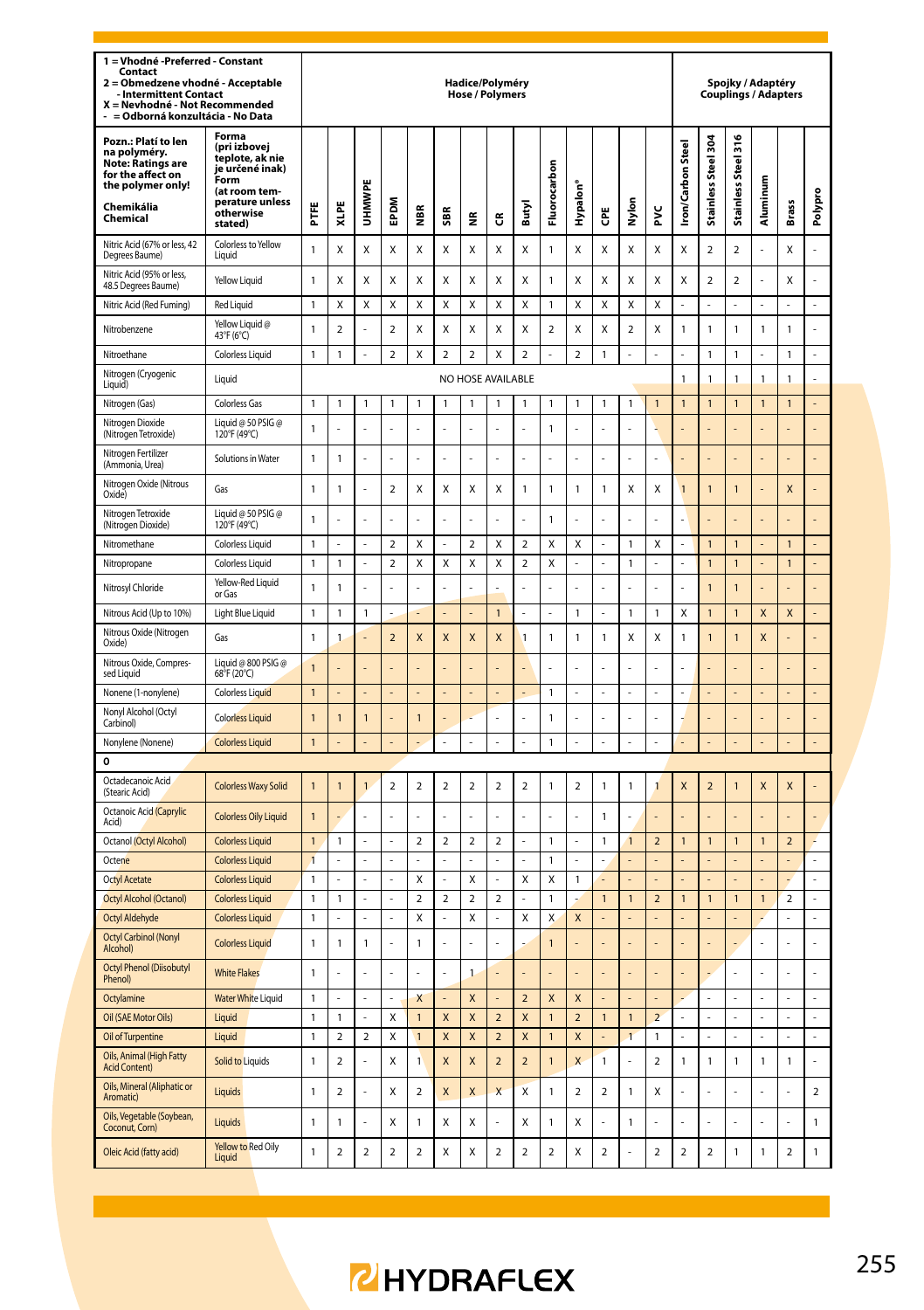| 1 = Vhodné -Preferred - Constant<br>Contact<br>2 = Obmedzene vhodné - Acceptable<br>- Intermittent Contact<br>X = Nevhodné - Not Recommended<br>= Odborná konzultácia - No Data |                                                                                                                                 |                              |                    |                         |                |                     |                                | Hadice/Polyméry<br><b>Hose / Polymers</b> |                         |                         |                         |                |                |                         |                         |                          |                        |                               | Spojky / Adaptéry<br><b>Couplings / Adapters</b> |                         |                     |
|---------------------------------------------------------------------------------------------------------------------------------------------------------------------------------|---------------------------------------------------------------------------------------------------------------------------------|------------------------------|--------------------|-------------------------|----------------|---------------------|--------------------------------|-------------------------------------------|-------------------------|-------------------------|-------------------------|----------------|----------------|-------------------------|-------------------------|--------------------------|------------------------|-------------------------------|--------------------------------------------------|-------------------------|---------------------|
| Pozn.: Platí to len<br>na polyméry.<br>Note: Ratings are<br>for the affect on<br>the polymer only!<br>Chemikália<br>Chemical                                                    | Forma<br>(pri izbovei<br>teplote, ak nie<br>je určené inak)<br>Form<br>(at room tem-<br>perature unless<br>otherwise<br>stated) | E                            | XLPE               | <b>UHMWPE</b>           | EPDM           | €                   | SBR                            | £                                         | ű                       | Butyl                   | Fluorocarbon            | Hypalon'       | Ğ              | Nylon                   | ž                       | <b>Iron/Carbon Steel</b> | 304<br>Stainless Steel | 316<br><b>Stainless Steel</b> | Aluminum                                         | Brass                   | Polypro             |
| Nitric Acid (67% or less, 42<br>Degrees Baume)                                                                                                                                  | Colorless to Yellow<br>Liquid                                                                                                   | $\mathbf{1}$                 | Χ                  | Χ                       | X              | Χ                   | Χ                              | X                                         | Χ                       | Χ                       | $\mathbf{1}$            | Χ              | X              | X                       | Χ                       | X                        | $\overline{2}$         | $\overline{2}$                |                                                  | X                       |                     |
| Nitric Acid (95% or less,<br>48.5 Degrees Baume)                                                                                                                                | Yellow Liquid                                                                                                                   | $\mathbf{1}$                 | X                  | X                       | X              | X                   | X                              | X                                         | X                       | Χ                       | $\mathbf{1}$            | X              | X              | x                       | X                       | X                        | $\overline{2}$         | $\overline{2}$                |                                                  | X                       | ź                   |
| Nitric Acid (Red Fuming)                                                                                                                                                        | <b>Red Liquid</b>                                                                                                               | $\mathbf{1}$                 | Χ                  | X                       | X              | Χ                   | X                              | X                                         | X                       | X                       | $\mathbf{1}$            | X              | X              | Χ                       | X                       |                          | L                      | $\overline{a}$                |                                                  | L                       | $\overline{a}$      |
| Nitrobenzene                                                                                                                                                                    | Yellow Liquid @<br>43°F (6°C)                                                                                                   | 1                            | $\mathbf 2$        |                         | $\mathbf 2$    | Χ                   | X                              | Χ                                         | X                       | Χ                       | $\overline{\mathbf{c}}$ | Χ              | X              | $\overline{\mathbf{c}}$ | Χ                       | $\mathbf{1}$             | 1                      | 1                             | 1                                                | 1                       | $\overline{a}$      |
| Nitroethane                                                                                                                                                                     | Colorless Liquid                                                                                                                | $\mathbf{1}$                 | $\mathbf{1}$       |                         | $\overline{2}$ | Χ                   | $\overline{\mathbf{c}}$        | $\overline{a}$                            | X                       | $\overline{\mathbf{c}}$ | L                       | $\overline{2}$ | $\overline{1}$ | L                       | L                       |                          | $\mathbf{1}$           | $\mathbf{1}$                  |                                                  | 1                       | $\overline{a}$      |
| Nitrogen (Cryogenic<br>Liquid)                                                                                                                                                  | Liquid                                                                                                                          |                              |                    |                         |                |                     |                                | NO HOSE AVAILABLE                         |                         |                         |                         |                |                |                         |                         | 1                        | 1                      | $\mathbf{1}$                  | Í                                                | 1                       |                     |
| Nitrogen (Gas)                                                                                                                                                                  | <b>Colorless Gas</b>                                                                                                            | $\mathbf{1}$                 | $\mathbf{1}$       | 1                       | $\mathbf{1}$   | $\mathbf{1}$        | $\mathbf{1}$                   | $\mathbf{1}$                              | $\mathbf{1}$            | $\mathbf{1}$            | $\mathbf{1}$            | $\mathbf{1}$   | $\mathbf{1}$   | $\mathbf{1}$            | $\mathbf{1}$            | $\overline{1}$           | $\mathbf{1}$           | $\overline{1}$                | 1                                                | $\mathbf{1}$            | L.                  |
| Nitrogen Dioxide<br>(Nitrogen Tetroxide)                                                                                                                                        | Liquid @ 50 PSIG @<br>120°F (49°C)                                                                                              | 1                            |                    |                         |                |                     |                                |                                           |                         |                         | $\mathbf{1}$            |                |                |                         | L                       |                          |                        |                               |                                                  |                         |                     |
| Nitrogen Fertilizer<br>(Ammonia, Urea)                                                                                                                                          | Solutions in Water                                                                                                              | $\mathbf{1}$                 | $\mathbf{1}$       | L                       | L              | L,                  | l,                             | L                                         | L,                      | l,                      | L                       | L,             | l,             | L                       | L                       |                          | $\overline{a}$         | L                             |                                                  | L                       | L                   |
| Nitrogen Oxide (Nitrous<br>Oxide)                                                                                                                                               | Gas                                                                                                                             | $\mathbf{1}$                 | $\mathbf{1}$       | l,                      | $\overline{2}$ | Χ                   | X                              | X                                         | X                       | $\mathbf{1}$            | $\mathbf{1}$            | 1              | $\mathbf{1}$   | Χ                       | Χ                       | $\overline{1}$           | $\overline{1}$         | $\mathbf{1}$                  |                                                  | X                       | L                   |
| Nitrogen Tetroxide<br>(Nitrogen Dioxide)                                                                                                                                        | Liquid @ 50 PSIG @<br>120°F (49°C)                                                                                              | $\mathbf{1}$                 | l,                 |                         | L,             | l,                  |                                | l,                                        | L,                      |                         | $\mathbf{1}$            | L,             |                | L                       | l,                      |                          | L                      | l,                            |                                                  | l,                      | L                   |
| Nitromethane                                                                                                                                                                    | Colorless Liquid                                                                                                                | $\mathbf{1}$                 | L.                 | L                       | $\overline{2}$ | Χ                   | L.                             | $\overline{a}$                            | X                       | $\overline{a}$          | Χ                       | Χ              | L,             | $\mathbf{1}$            | Χ                       |                          | $\mathbf{1}$           | $\mathbf{1}$                  |                                                  | $\mathbf{1}$            |                     |
| Nitropropane                                                                                                                                                                    | Colorless Liquid                                                                                                                | $\mathbf{1}$                 | $\mathbf{1}$       |                         | $\overline{2}$ | Χ                   | Χ                              | X                                         | Χ                       | $\mathbf 2$             | X                       | $\overline{a}$ |                | $\mathbf{1}$            | ÷,                      |                          | $\mathbf{1}$           | $\mathbf{1}$                  |                                                  | $\mathbf{1}$            |                     |
| Nitrosyl Chloride                                                                                                                                                               | Yellow-Red Liquid<br>or Gas                                                                                                     | $\mathbf{1}$                 | $\mathbf{1}$       |                         | ż              |                     |                                |                                           |                         |                         |                         |                |                |                         |                         |                          | $\overline{1}$         | $\overline{1}$                |                                                  |                         |                     |
| Nitrous Acid (Up to 10%)                                                                                                                                                        | Light Blue Liquid                                                                                                               | $\mathbf{1}$                 | $\mathbf{1}$       | 1                       | L,             | L.                  |                                | L,                                        | $\overline{1}$          | L                       | L                       | $\mathbf{1}$   | L,             | $\mathbf{1}$            | $\mathbf{1}$            | X                        | $\overline{1}$         | $\overline{1}$                | $\mathsf{x}$                                     | $\overline{\mathsf{x}}$ | $\overline{a}$      |
| Nitrous Oxide (Nitrogen<br>Oxide)                                                                                                                                               | Gas                                                                                                                             | 1                            | $\mathbf{1}$       |                         | $\overline{2}$ | X                   | X                              | X                                         | X                       | 1                       | $\mathbf{1}$            | 1              | $\mathbf{1}$   | Χ                       | Χ                       | $\mathbf{1}$             | $\overline{1}$         | $\mathbf{1}$                  | X                                                | L,                      | L,                  |
| Nitrous Oxide, Compres-<br>sed Liquid                                                                                                                                           | Liquid @ 800 PSIG @<br>68°F (20°C)                                                                                              | 1                            |                    |                         | L              |                     |                                | L,                                        |                         |                         | l,                      | L,             |                | í,                      | í,                      |                          | l,                     | L                             |                                                  | l,                      | L                   |
| Nonene (1-nonylene)                                                                                                                                                             | Colorless Liquid                                                                                                                | $\overline{1}$               |                    |                         |                |                     |                                |                                           |                         |                         | $\mathbf{1}$            |                |                | í,                      | í,                      |                          |                        |                               |                                                  |                         |                     |
| Nonyl Alcohol (Octyl<br>Carbinol)                                                                                                                                               | <b>Colorless Liquid</b>                                                                                                         | $\mathbf{1}$                 | $\overline{1}$     | $\overline{1}$          | L,             | $\overline{1}$      |                                | i.                                        |                         |                         | $\mathbf{1}$            | L              |                | l,                      | L                       |                          |                        |                               |                                                  |                         |                     |
| Nonylene (Nonene)                                                                                                                                                               | <b>Colorless Liquid</b>                                                                                                         | $\mathbf{1}$                 | L,                 | L                       | L.             | L.                  | L                              | L.                                        | L,                      | L.                      | $\mathbf{1}$            | L,             | J.             | L.                      | L,                      |                          | L,                     | $\overline{a}$                | L                                                | L,                      | $\overline{a}$      |
| 0                                                                                                                                                                               |                                                                                                                                 |                              |                    |                         |                |                     |                                |                                           |                         |                         |                         |                |                |                         |                         |                          |                        |                               |                                                  |                         |                     |
| Octadecanoic Acid<br>(Stearic Acid)                                                                                                                                             | <b>Colorless Waxy Solid</b>                                                                                                     | $\overline{1}$               | $\mathbf{1}$       | $\mathbf{1}$            | $\overline{2}$ | $\overline{a}$      | $\overline{a}$                 | $\overline{a}$                            | $\overline{a}$          | $\overline{a}$          | $\mathbf{1}$            | $\overline{a}$ | $\mathbf{1}$   | $\mathbf{1}$            | 1                       | X                        | $\overline{2}$         | 1                             | X                                                | $\mathsf{x}$            |                     |
| Octanoic Acid (Caprylic<br>Acid)                                                                                                                                                | <b>Colorless Oily Liquid</b>                                                                                                    | 1                            |                    |                         | L.             |                     |                                |                                           |                         |                         | l,                      |                | $\mathbf{1}$   | L,                      |                         |                          |                        |                               |                                                  |                         |                     |
| Octanol (Octyl Alcohol)                                                                                                                                                         | <b>Colorless Liquid</b>                                                                                                         | $\mathbf{1}$                 | $\mathbf{1}$       |                         |                | $\overline{2}$      | $\overline{a}$                 | $\overline{a}$                            | $\overline{a}$          |                         | $\mathbf{1}$            |                | $\mathbf{1}$   | $\overline{1}$          | $\overline{a}$          | $\overline{1}$           | $\mathbf{1}$           | $\mathbf{1}$                  | 1                                                | $\overline{a}$          |                     |
| Octene                                                                                                                                                                          | <b>Colorless Liquid</b>                                                                                                         | $\overline{1}$               |                    |                         | ÷,             | L                   |                                |                                           |                         |                         | $\mathbf{1}$            | L,             |                | $\overline{a}$          |                         |                          | L,                     | $\overline{a}$                |                                                  |                         | L,                  |
| <b>Octyl Acetate</b>                                                                                                                                                            | <b>Colorless Liquid</b>                                                                                                         | $\mathbf{1}$                 |                    |                         | ÷,             | Χ                   |                                | Χ                                         |                         | X                       | X                       | 1              |                |                         |                         |                          |                        |                               |                                                  |                         | ÷,                  |
| Octyl Alcohol (Octanol)                                                                                                                                                         | <b>Colorless Liquid</b>                                                                                                         | $\mathbf{1}$<br>$\mathbf{1}$ | $\mathbf{1}$<br>L. | ż<br>L                  | l,<br>ä,       | $\mathfrak{p}$<br>Χ | $\overline{\phantom{a}}$<br>L. | $\overline{\phantom{a}}$<br>X             | $\overline{a}$<br>L     | X                       | $\mathbf{1}$<br>X       | ż              | $\overline{1}$ | $\overline{1}$<br>÷     | $\overline{a}$          | $\overline{1}$           | $\overline{1}$<br>÷    | $\overline{1}$<br>l,          | $\overline{1}$                                   | $\mathfrak{p}$<br>L.    | L<br>$\overline{a}$ |
| <b>Octyl Aldehyde</b><br>Octyl Carbinol (Nonyl                                                                                                                                  | <b>Colorless Liquid</b><br><b>Colorless Liquid</b>                                                                              | $\mathbf{1}$                 | $\mathbf{1}$       | 1                       | ł,             | $\mathbf{1}$        |                                |                                           |                         |                         | $\mathbf{1}$            | X              |                |                         |                         |                          | L,                     |                               |                                                  | Ļ                       | L,                  |
| Alcohol)<br><b>Octyl Phenol (Diisobutyl</b><br>Phenol)                                                                                                                          | <b>White Flakes</b>                                                                                                             | $\mathbf{1}$                 |                    |                         |                |                     |                                | $\mathbf{1}$                              |                         |                         |                         |                |                |                         |                         |                          |                        |                               |                                                  |                         |                     |
| Octylamine                                                                                                                                                                      | <b>Water White Liquid</b>                                                                                                       | $\mathbf{1}$                 | $\overline{a}$     | L                       | $\overline{a}$ | Χ                   |                                | $\mathsf{x}$                              | $\overline{a}$          | $\overline{\mathbf{c}}$ | X                       | X              |                | ٠                       | L                       |                          | $\overline{a}$         | $\overline{a}$                |                                                  | $\overline{a}$          | L                   |
| Oil (SAE Motor Oils)                                                                                                                                                            | Liquid                                                                                                                          | $\mathbf{1}$                 | $\mathbf{1}$       | L.                      | X              | $\mathbf{1}$        | X                              | $\pmb{\mathsf{X}}$                        | $\overline{2}$          | X                       | $\mathbf{1}$            | $\overline{2}$ | $\mathbf{1}$   | $\mathbf{1}$            | $\overline{a}$          |                          | L.                     | ÷,                            | L.                                               | L.                      | ÷,                  |
| Oil of Turpentine                                                                                                                                                               | Liquid                                                                                                                          | 1                            | $\mathbf 2$        | $\overline{\mathbf{c}}$ | Χ              | $\mathbf{1}$        | X                              | X                                         | $\overline{2}$          | X                       | $\overline{1}$          | X              |                | $\overline{1}$          | 1                       |                          | L                      | L                             |                                                  | L                       | L,                  |
| Oils, Animal (High Fatty<br><b>Acid Content)</b>                                                                                                                                | <b>Solid to Liquids</b>                                                                                                         | $\mathbf{1}$                 | $\overline{2}$     | l,                      | $\mathbf x$    | $\mathbf{1}$        | $\overline{\mathsf{x}}$        | $\mathbf{x}$                              | $\overline{2}$          | $\overline{2}$          | $\overline{1}$          | $\mathbf{x}$   | $\mathbf{1}$   | L,                      | $\overline{2}$          | $\mathbf{1}$             | $\mathbf{1}$           | $\mathbf{1}$                  | $\mathbf{1}$                                     | $\mathbf{1}$            | L                   |
| Oils, Mineral (Aliphatic or<br><b>Aromatic</b>                                                                                                                                  | Liquids                                                                                                                         | $\mathbf{1}$                 | $\overline{2}$     | ż                       | X              | $\overline{2}$      | X                              | $\mathsf{x}$                              | $\mathsf{x}$            | X                       | $\mathbf{1}$            | $\overline{2}$ | $\overline{2}$ | $\mathbf{1}$            | X                       |                          | l,                     | L                             |                                                  | L                       | $\boldsymbol{2}$    |
| Oils, Vegetable (Soybean,<br>Coconut, Corn)                                                                                                                                     | Liquids                                                                                                                         | $\mathbf{1}$                 | $\mathbf{1}$       |                         | X              | $\mathbf{1}$        | X                              | X                                         |                         | X                       | $\mathbf{1}$            | X              |                | $\mathbf{1}$            |                         |                          | ż                      |                               |                                                  | ż                       | 1                   |
| Oleic Acid (fatty acid)                                                                                                                                                         | Yellow to Red Oily<br>Liquid                                                                                                    | $\mathbf{1}$                 | $\overline{2}$     | $\overline{a}$          | $\overline{2}$ | $\overline{2}$      | X                              | X                                         | $\overline{\mathbf{c}}$ | $\overline{a}$          | $\overline{a}$          | Χ              | $\mathbf 2$    | L                       | $\overline{\mathbf{c}}$ | $\boldsymbol{2}$         | $\overline{2}$         | 1                             | 1                                                | $\overline{2}$          | $\mathbf{1}$        |

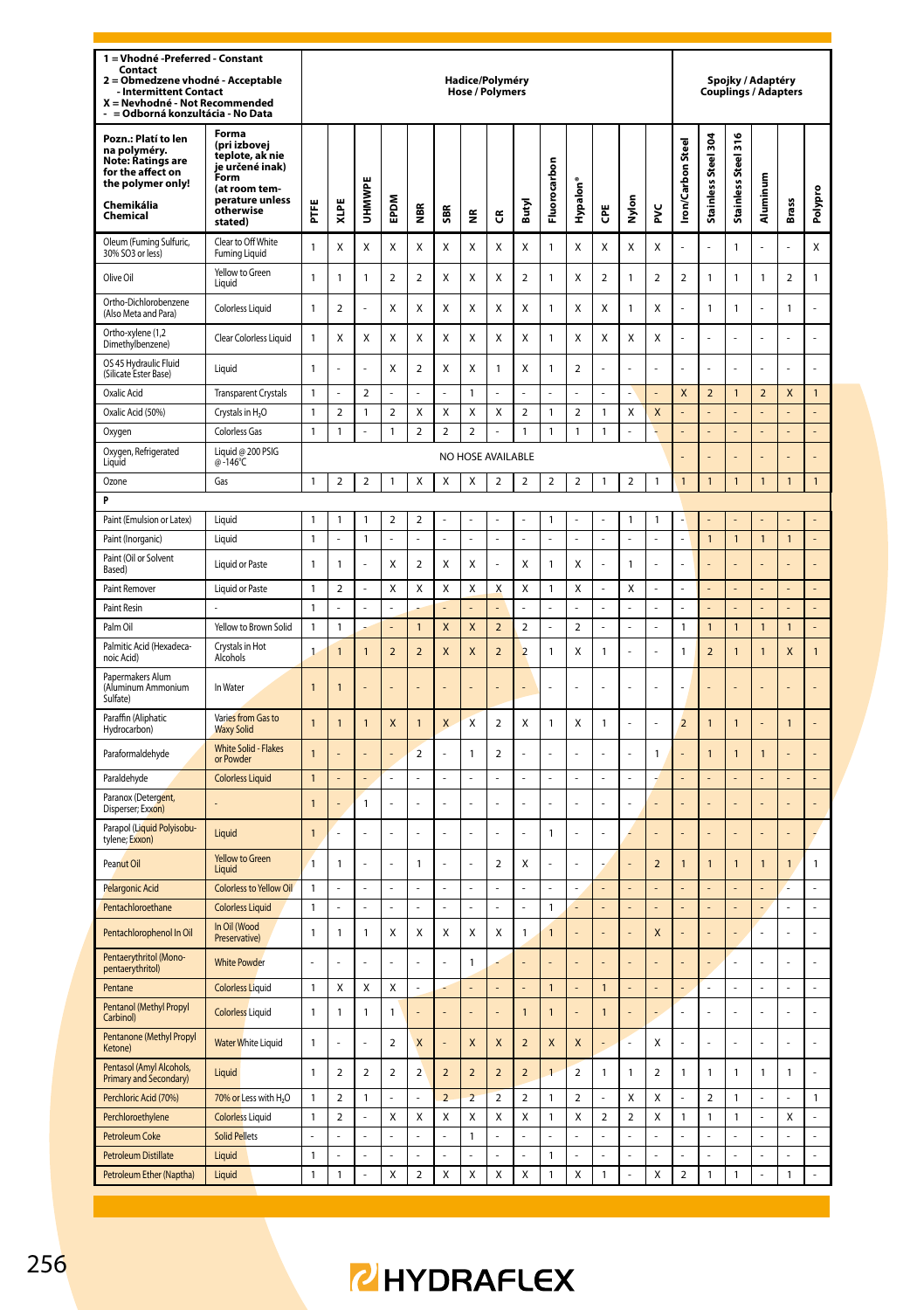| 1 = Vhodné -Preferred - Constant<br>Contact<br>Obmedzene vhodné - Acceptable<br>2<br><b>Intermittent Contact</b><br>X = Nevhodné - Not Recommended<br>= Odborná konzultácia - No Data |                                                                                                                                 |                |                         |                         |                          |                         |                          | Hadice/Polyméry<br><b>Hose / Polymers</b> |                         |                          |                         |                         |                         |                  |                         |                          |                          |                     | Spojky / Adaptéry<br>Couplings / Adapters |                         |                |
|---------------------------------------------------------------------------------------------------------------------------------------------------------------------------------------|---------------------------------------------------------------------------------------------------------------------------------|----------------|-------------------------|-------------------------|--------------------------|-------------------------|--------------------------|-------------------------------------------|-------------------------|--------------------------|-------------------------|-------------------------|-------------------------|------------------|-------------------------|--------------------------|--------------------------|---------------------|-------------------------------------------|-------------------------|----------------|
| Pozn.: Platí to len<br>na polyméry.<br><b>Note: Ratings are</b><br>for the affect on<br>the polymer only!<br>Chemikália<br>Chemical                                                   | Forma<br>(pri izbovei<br>teplote, ak nie<br>je určené inak)<br>Form<br>(at room tem-<br>perature unless<br>otherwise<br>stated) | Ë              | XLPE                    | <b>UHMWPE</b>           | EPDM                     | ₽                       | SBR <sub></sub>          | £                                         | 6                       | Butyl                    | Fluorocarbon            | Hypalon'                | Ğ                       | Nylon            | ž                       | <b>Iron/Carbon Steel</b> | Stainless Steel 304      | Stainless Steel 316 | Aluminum                                  | Brass                   | Polypro        |
| Oleum (Fuming Sulfuric,<br>30% SO3 or less)                                                                                                                                           | Clear to Off White<br><b>Fuming Liquid</b>                                                                                      | 1              | Χ                       | Χ                       | Χ                        | Χ                       | Χ                        | Χ                                         | Χ                       | Χ                        | $\mathbf{1}$            | Χ                       | X                       | X                | Χ                       |                          |                          | 1                   |                                           |                         | Χ              |
| Olive Oil                                                                                                                                                                             | Yellow to Green<br>Liauid                                                                                                       | $\mathbf{1}$   | 1                       | 1                       | $\mathbf 2$              | 2                       | X                        | Χ                                         | Χ                       | $\overline{\mathbf{c}}$  | $\mathbf{1}$            | Χ                       | $\overline{\mathbf{c}}$ | 1                | $\mathbf 2$             | $\overline{\mathbf{c}}$  | 1                        | 1                   | 1                                         | $\overline{\mathbf{c}}$ | 1              |
| Ortho-Dichlorobenzene<br>(Also Meta and Para)                                                                                                                                         | Colorless Liquid                                                                                                                | $\mathbf{1}$   | 2                       |                         | Χ                        | Χ                       | X                        | Χ                                         | Χ                       | X                        | $\mathbf{1}$            | X                       | X                       | 1                | Χ                       |                          | 1                        | 1                   |                                           | 1                       | L.             |
| Ortho-xvlene (1.2<br>Dimethylbenzene)                                                                                                                                                 | Clear Colorless Liquid                                                                                                          | $\mathbf{1}$   | Χ                       | Χ                       | Χ                        | Χ                       | X                        | Χ                                         | Χ                       | X                        | $\mathbf{1}$            | X                       | X                       | Χ                | Χ                       |                          | ł                        | L.                  |                                           | L                       | $\overline{a}$ |
| OS 45 Hydraulic Fluid<br>(Silicate Ester Base)                                                                                                                                        | Liquid                                                                                                                          | $\mathbf{1}$   |                         |                         | X                        | $\mathbf 2$             | X                        | X                                         | $\mathbf{1}$            | X                        | $\mathbf{1}$            | $\boldsymbol{2}$        |                         | ä,               |                         |                          |                          |                     |                                           |                         |                |
| Oxalic Acid                                                                                                                                                                           | <b>Transparent Crystals</b>                                                                                                     | $\mathbf{1}$   |                         | $\overline{2}$          |                          |                         |                          | $\overline{1}$                            |                         |                          |                         |                         |                         |                  |                         | $\mathsf{x}$             | $\overline{a}$           | $\overline{1}$      | $\overline{a}$                            | X                       | $\mathbf{1}$   |
| Oxalic Acid (50%)                                                                                                                                                                     | Crystals in H <sub>2</sub> O                                                                                                    | 1              | $\overline{\mathbf{c}}$ | 1                       | $\overline{a}$           | Χ                       | X                        | X                                         | X                       | $\overline{\mathbf{c}}$  | $\mathbf{1}$            | $\overline{a}$          | 1                       | Χ                | X                       |                          |                          |                     |                                           |                         | L,             |
| Oxygen                                                                                                                                                                                | Colorless Gas                                                                                                                   | $\mathbf{1}$   | 1                       |                         | 1                        | $\overline{\mathbf{c}}$ | $\overline{\mathbf{c}}$  | $\overline{\mathbf{2}}$                   |                         | $\mathbf{1}$             | $\mathbf{1}$            | 1                       | 1                       |                  | L                       |                          |                          |                     |                                           |                         |                |
| Oxygen, Refrigerated<br>Liquid                                                                                                                                                        | Liquid @ 200 PSIG<br>@-146°C                                                                                                    |                |                         |                         |                          |                         |                          | NO HOSE AVAILABLE                         |                         |                          |                         |                         |                         |                  |                         |                          | l,                       |                     |                                           | l,                      | ÷              |
| Ozone                                                                                                                                                                                 | Gas                                                                                                                             | $\mathbf{1}$   | $\mathbf 2$             | $\overline{\mathbf{c}}$ | 1                        | Χ                       | Χ                        | Χ                                         | $\overline{\mathbf{2}}$ | $\overline{\mathbf{c}}$  | $\overline{\mathbf{2}}$ | $\overline{a}$          | 1                       | $\boldsymbol{2}$ | 1                       | $\overline{1}$           | $\overline{1}$           | $\overline{1}$      | 1                                         | $\overline{1}$          | $\mathbf{1}$   |
| p                                                                                                                                                                                     |                                                                                                                                 |                |                         |                         |                          |                         |                          |                                           |                         |                          |                         |                         |                         |                  |                         |                          |                          |                     |                                           |                         |                |
| Paint (Emulsion or Latex)                                                                                                                                                             | Liquid                                                                                                                          | $\mathbf{1}$   | 1                       | $\mathbf{1}$            | $\overline{\mathbf{c}}$  | 2                       |                          |                                           |                         |                          | $\mathbf{1}$            |                         |                         | 1                | 1                       |                          |                          |                     |                                           |                         |                |
| Paint (Inorganic)                                                                                                                                                                     | Liquid                                                                                                                          | 1              | $\overline{a}$          | 1                       |                          | L                       |                          | L                                         | $\overline{a}$          |                          |                         |                         |                         |                  |                         |                          | $\overline{1}$           | 1                   | 1                                         | $\overline{1}$          |                |
| Paint (Oil or Solvent<br>Based)                                                                                                                                                       | <b>Liquid or Paste</b>                                                                                                          | $\mathbf{1}$   | $\mathbf{1}$            |                         | X                        | $\overline{2}$          | X                        | X                                         | í,                      | Χ                        | $\mathbf{1}$            | X                       |                         | 1                | ä,                      |                          | í,                       |                     |                                           |                         |                |
| Paint Remover                                                                                                                                                                         | <b>Liquid or Paste</b>                                                                                                          | 1              | $\overline{\mathbf{c}}$ |                         | X                        | Χ                       | X                        | X                                         | X                       | X                        | $\mathbf{1}$            | X                       |                         | Χ                | ä,                      |                          | L,                       | L,                  |                                           | L,                      | L,             |
| Paint Resin                                                                                                                                                                           |                                                                                                                                 | $\mathbf{1}$   |                         |                         |                          |                         |                          |                                           |                         |                          |                         |                         |                         |                  |                         |                          |                          |                     |                                           |                         |                |
| Palm Oil                                                                                                                                                                              | Yellow to Brown Solid                                                                                                           | 1              | 1                       |                         |                          | 1                       | X                        | X                                         | $\mathbf 2$             | $\overline{\mathbf{c}}$  | l,                      | $\boldsymbol{2}$        |                         |                  |                         | 1                        | $\mathbf{1}$             | 1                   | 1                                         | $\mathbf{1}$            |                |
| Palmitic Acid (Hexadeca-<br>noic Acid)                                                                                                                                                | Crystals in Hot<br>Alcohols                                                                                                     | 1              | $\mathbf{1}$            | $\mathbf{1}$            | $\overline{2}$           | $\overline{2}$          | X                        | X                                         | $\overline{2}$          | $\overline{2}$           | $\mathbf{1}$            | X                       | 1                       | ä,               | ä,                      | 1                        | $\overline{a}$           | $\mathbf{1}$        | $\mathbf{1}$                              | X                       | $\mathbf{1}$   |
| Papermakers Alum<br>(Aluminum Ammonium<br>Sulfate)                                                                                                                                    | In Water                                                                                                                        | 1              | 1                       |                         |                          |                         |                          |                                           |                         |                          |                         |                         |                         |                  |                         |                          |                          |                     |                                           |                         |                |
| Paraffin (Aliphatic<br>Hydrocarbon)                                                                                                                                                   | Varies from Gas to<br><b>Waxy Solid</b>                                                                                         | $\mathbf{1}$   | $\overline{1}$          | 1                       | X                        | $\overline{1}$          | $\overline{\mathsf{x}}$  | $\mathbf{x}$                              | $\overline{2}$          | X                        | $\mathbf{1}$            | X                       | 1                       |                  |                         | $\overline{a}$           | $\mathbf{1}$             | $\mathbf{1}$        |                                           | $\overline{1}$          |                |
| Paraformaldehyde                                                                                                                                                                      | White Solid - Flakes<br>or Powder                                                                                               | $\overline{1}$ |                         |                         | L,                       | $\overline{a}$          |                          | $\mathbf{1}$                              | $\overline{2}$          |                          | Ĭ.                      | ä,                      |                         | Ĭ.               | $\mathbf{1}$            |                          | 1                        | 1                   | 1                                         |                         |                |
| Paraldehyde                                                                                                                                                                           | <b>Colorless Liquid</b>                                                                                                         | $\overline{1}$ |                         |                         |                          |                         |                          |                                           |                         |                          |                         |                         |                         |                  |                         |                          |                          |                     |                                           |                         |                |
| Paranox (Detergent,<br>Disperser; Exxon)                                                                                                                                              |                                                                                                                                 | $\mathbf{1}$   |                         | 1                       | ä,                       | L                       | L                        | $\overline{a}$                            | L.                      |                          | L.                      | ä,                      | J                       | L,               |                         |                          | L                        |                     |                                           | L                       | L              |
| Parapol (Liquid Polyisobu-<br>tylene; Exxon)                                                                                                                                          | Liquid                                                                                                                          | $\mathbf{1}$   | l,                      |                         | L.                       | l,                      |                          | L.                                        | L                       |                          | $\mathbf{1}$            | L,                      |                         |                  |                         |                          | L                        |                     |                                           | L                       |                |
| Peanut Oil                                                                                                                                                                            | <b>Yellow to Green</b><br>Liquid                                                                                                | $\overline{1}$ | 1                       |                         | L.                       | 1                       |                          | L.                                        | $\mathbf 2$             | Χ                        | L.                      |                         |                         |                  | $\overline{2}$          | $\overline{1}$           | $\overline{1}$           | $\overline{1}$      | $\overline{1}$                            | $\overline{1}$          | $\mathbf{1}$   |
| <b>Pelargonic Acid</b>                                                                                                                                                                | Colorless to Yellow Oil                                                                                                         | $\mathbf{1}$   |                         |                         |                          |                         |                          |                                           |                         |                          |                         |                         |                         |                  |                         |                          |                          |                     |                                           |                         |                |
| Pentachloroethane                                                                                                                                                                     | <b>Colorless Liquid</b>                                                                                                         | 1              |                         |                         |                          |                         |                          |                                           |                         |                          | $\mathbf{1}$            |                         |                         |                  |                         |                          |                          |                     |                                           |                         |                |
| Pentachlorophenol In Oil                                                                                                                                                              | In Oil (Wood<br>Preservativel                                                                                                   | $\mathbf{1}$   | 1                       | 1                       | X                        | Χ                       | X                        | X                                         | Χ                       | $\mathbf{1}$             | $\overline{1}$          |                         |                         | L,               | X                       |                          | L                        |                     | L                                         | ż                       | ä,             |
| Pentaerythritol (Mono-<br>pentaerythritol)                                                                                                                                            | <b>White Powder</b>                                                                                                             | ä,             | ż                       | ż                       | ä,                       | l,                      | l,                       | $\mathbf{1}$                              |                         |                          | L                       |                         |                         | L,               |                         |                          | Į.                       | ä,                  | l,                                        | J,                      | ä,             |
| Pentane                                                                                                                                                                               | <b>Colorless Liquid</b>                                                                                                         | $\mathbf{1}$   | Χ                       | X                       | Χ                        | L,                      |                          |                                           | L,                      |                          | $\mathbf{1}$            |                         | $\overline{1}$          | L,               |                         |                          | L,                       | L,                  |                                           | L,                      | ÷,             |
| Pentanol (Methyl Propyl<br>Carbinol)                                                                                                                                                  | <b>Colorless</b> Liquid                                                                                                         | 1              | 1                       | 1                       | 1                        | ä,                      |                          | ä,                                        | ł,                      | $\mathbf{1}$             | $\mathbf{1}$            |                         | $\mathbf{1}$            | i,               |                         |                          | Î,                       |                     |                                           | J,                      |                |
| Pentanone (Methyl Propyl<br>Ketone)                                                                                                                                                   | <b>Water White Liquid</b>                                                                                                       | $\mathbf{1}$   |                         |                         | $\overline{\phantom{a}}$ | X                       |                          | X                                         | $\mathsf{x}$            | $\overline{\phantom{0}}$ | X                       | X                       |                         | ä,               | X                       |                          |                          |                     |                                           |                         |                |
| Pentasol (Amyl Alcohols,<br>Primary and Secondary)                                                                                                                                    | Liquid                                                                                                                          | $\mathbf{1}$   | $\overline{2}$          | $\overline{2}$          | $\overline{2}$           | $\overline{2}$          | $\overline{a}$           | $\overline{2}$                            | $\overline{2}$          | $\overline{a}$           | $\overline{1}$          | $\overline{\mathbf{c}}$ | 1                       | $\mathbf{1}$     | $\overline{\mathbf{c}}$ | 1                        | 1                        | 1                   | 1                                         | 1                       |                |
| Perchloric Acid (70%)                                                                                                                                                                 | 70% or Less with H <sub>2</sub> O                                                                                               | $\mathbf{1}$   | 2                       | $\mathbf{1}$            | L,                       | $\overline{a}$          | $\overline{\phantom{a}}$ | $\overline{z}$                            | $\overline{\mathbf{c}}$ | $\overline{\phantom{a}}$ | $\mathbf{1}$            | $\boldsymbol{2}$        | L                       | $\mathbf x$      | X                       |                          | $\overline{\phantom{0}}$ | $\mathbf{1}$        | L                                         | L.                      | $\overline{1}$ |
| Perchloroethylene                                                                                                                                                                     | <b>Colorless Liquid</b>                                                                                                         | 1              | $\overline{\mathbf{c}}$ | L                       | Χ                        | Χ                       | Χ                        | X                                         | Χ                       | Χ                        | $\mathbf{1}$            | X                       | $\boldsymbol{2}$        | $\overline{2}$   | X                       | 1                        | 1                        | 1                   |                                           | X                       | L              |
| Petroleum Coke                                                                                                                                                                        | <b>Solid Pellets</b>                                                                                                            | L              |                         |                         |                          |                         |                          | $\mathbf{1}$                              |                         |                          | ł.                      |                         |                         |                  |                         |                          |                          | J                   |                                           |                         | $\overline{a}$ |
| Petroleum Distillate                                                                                                                                                                  | Liquid                                                                                                                          | $\mathbf{1}$   | ä,                      | ä,                      | ä,                       | ä,                      |                          | l,                                        | ä,                      |                          | $\mathbf{1}$            | ä,                      |                         | ä,               | ä,                      |                          | ä,                       | ä,                  | ä,                                        | L                       | ÷              |
| Petroleum Ether (Naptha)                                                                                                                                                              | Liquid                                                                                                                          | $\mathbf{1}$   | 1                       | $\overline{a}$          | Χ                        | $\mathbf 2$             | Χ                        | Χ                                         | Χ                       | Χ                        | $\mathbf{1}$            | X                       | $\mathbf{1}$            | l,               | X                       | $\overline{\mathbf{c}}$  | 1                        | 1                   | L                                         | 1                       | L              |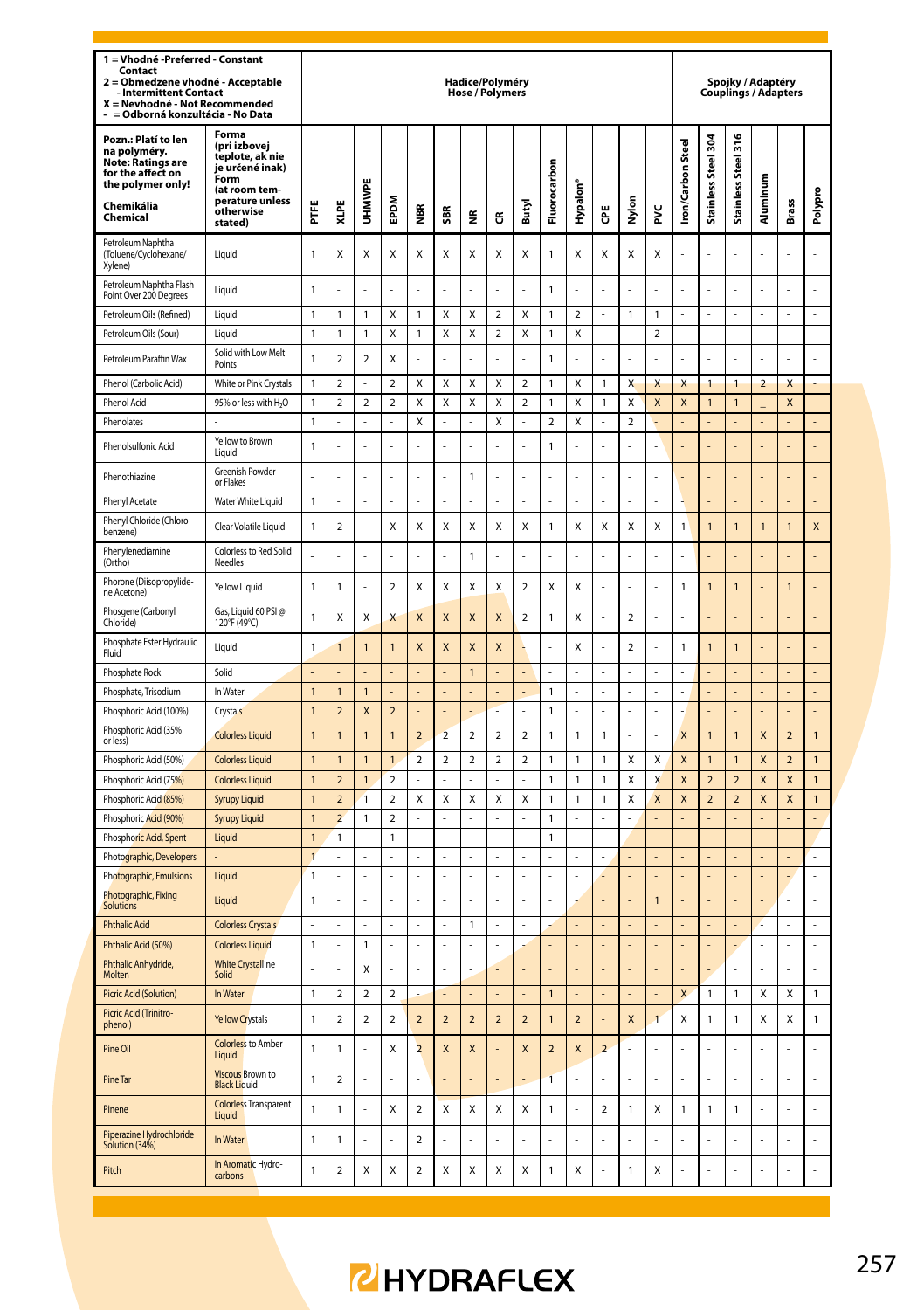| 1 = Vhodné - Preferred - Constant<br>Contact<br>Obmedzene vhodné - Acceptable<br>$\overline{a}$<br><b>Intermittent Contact</b><br>X = Nevhodné - Not Recommended<br>= Odborná konzultácia - No Data |                                                                                                                                 |                                  |                                         |                |                         |                         |                         | Hadice/Polyméry<br>Hose / Polymers |                         |                          |                                  |                |                          |                |                         |                         |                          |                          | Spojky / Adaptéry<br><b>Couplings / Adapters</b> |                         |                |
|-----------------------------------------------------------------------------------------------------------------------------------------------------------------------------------------------------|---------------------------------------------------------------------------------------------------------------------------------|----------------------------------|-----------------------------------------|----------------|-------------------------|-------------------------|-------------------------|------------------------------------|-------------------------|--------------------------|----------------------------------|----------------|--------------------------|----------------|-------------------------|-------------------------|--------------------------|--------------------------|--------------------------------------------------|-------------------------|----------------|
| Pozn.: Platí to len<br>na polyméry.<br>Note: Ratings are<br>for the affect on<br>the polymer only!<br>Chemikália<br>Chemical                                                                        | Forma<br>(pri izbovej<br>teplote, ak nie<br>je určené inak)<br>Form<br>(at room tem-<br>perature unless<br>otherwise<br>stated) | Ë                                | XLPE                                    | UHMWPE         | <b>MGdE</b>             | $\sim$<br>€             | SBR                     | €                                  | G                       | Butyl                    | Fluorocarbon                     | Hypalon        | Ğ                        | Nylon          | ž                       | Iron/Carbon Steel       | Stainless Steel 304      | Stainless Steel 316      | Aluminum                                         | <b>Brass</b>            | Polypro        |
| Petroleum Naphtha<br>(Toluene/Cyclohexane/<br>Xylene)                                                                                                                                               | Liquid                                                                                                                          | 1                                | Χ                                       | X              | X                       | Χ                       | X                       | X                                  | Χ                       | X                        | $\mathbf{1}$                     | X              | X                        | X              | X                       |                         |                          |                          |                                                  |                         |                |
| Petroleum Naphtha Flash<br>Point Over 200 Degrees                                                                                                                                                   | Liquid                                                                                                                          | 1                                |                                         |                |                         |                         |                         |                                    |                         |                          | $\mathbf{1}$                     |                |                          |                |                         |                         |                          |                          |                                                  |                         |                |
| Petroleum Oils (Refined)                                                                                                                                                                            | Liquid                                                                                                                          | $\mathbf{1}$                     | $\mathbf{1}$                            | $\mathbf{1}$   | $\mathbf x$             | $\mathbf{1}$            | $\mathbf{x}$            | $\mathbf{x}$                       | $\overline{2}$          | $\mathbf{x}$             | $\mathbf{1}$                     | $\mathcal{D}$  | J.                       | $\mathbf{1}$   | $\mathbf{1}$            | L,                      | ä,                       | ä,                       | L.                                               | ä,                      | L.             |
| Petroleum Oils (Sour)                                                                                                                                                                               | Liquid                                                                                                                          | $\mathbf{1}$                     | $\mathbf{1}$                            | 1              | X                       | $\mathbf{1}$            | X                       | X                                  | $\overline{a}$          | X                        | $\mathbf{1}$                     | X              | ÷                        | ÷              | $\overline{a}$          |                         | ÷,                       | Ĭ.                       | ł,                                               | ÷,                      | ÷,             |
| Petroleum Paraffin Wax                                                                                                                                                                              | Solid with Low Melt<br>Points                                                                                                   | 1                                | $\overline{2}$                          | $\overline{2}$ | X                       | L                       |                         | L.                                 | L                       |                          | $\mathbf{1}$                     | J              |                          | L.             | J                       |                         | L.                       | l,                       |                                                  | L.                      | L,             |
| Phenol (Carbolic Acid)                                                                                                                                                                              | White or Pink Crystals                                                                                                          | 1                                | $\overline{a}$                          | $\overline{a}$ | $\overline{\mathbf{c}}$ | X                       | X                       | X                                  | X                       | $\overline{2}$           | $\mathbf{1}$                     | X              | 1                        | X              | X                       | X                       | $\mathbf{1}$             | $\mathbf{1}$             | $\overline{2}$                                   | X                       |                |
| <b>Phenol Acid</b>                                                                                                                                                                                  | 95% or less with H <sub>2</sub> O                                                                                               | $\mathbf{1}$                     | $\overline{\phantom{a}}$                | $\mathfrak{p}$ | $\mathfrak{p}$          | X                       | X                       | X                                  | X                       | $\overline{\phantom{a}}$ | $\overline{1}$                   | X              | 1                        | X              | X                       | X                       | 1                        | $\overline{1}$           |                                                  | $\overline{\mathsf{x}}$ |                |
| Phenolates                                                                                                                                                                                          |                                                                                                                                 | 1                                |                                         |                | $\overline{a}$          | X                       |                         |                                    | X                       |                          | $\mathfrak{p}$                   | $\mathsf{x}$   |                          | $\mathfrak{p}$ |                         |                         |                          |                          |                                                  |                         |                |
| Phenolsulfonic Acid                                                                                                                                                                                 | Yellow to Brown<br>I iguid                                                                                                      | 1                                | l,                                      | L.             | ÷,                      | L                       | ÷,                      | ä,                                 | l,                      | L.                       | $\mathbf{1}$                     | L              | í,                       | ä,             | ä,                      | $\overline{a}$          | L                        | l,                       | L                                                | L                       | L,             |
| Phenothiazine                                                                                                                                                                                       | Greenish Powder<br>or Flakes                                                                                                    | ÷,                               |                                         |                | ÷,                      | L                       | L.                      | $\mathbf{1}$                       | L                       | L.                       | ä,                               | Ļ              | L,                       | ä,             | J                       |                         | L                        |                          |                                                  | L                       | L              |
| Phenyl Acetate                                                                                                                                                                                      | Water White Liquid                                                                                                              | $\mathbf{1}$                     |                                         |                |                         |                         |                         |                                    |                         |                          |                                  |                |                          |                |                         |                         |                          |                          |                                                  |                         |                |
| Phenyl Chloride (Chloro-<br>benzene)                                                                                                                                                                | Clear Volatile Liquid                                                                                                           | 1                                | $\overline{2}$                          |                | X                       | X                       | X                       | Χ                                  | Χ                       | X                        | $\mathbf{1}$                     | X              | X                        | X              | X                       | 1                       | $\mathbf{1}$             | $\overline{1}$           | $\overline{1}$                                   | $\overline{1}$          | $\mathsf{x}$   |
| Phenylenediamine<br>(Ortho)                                                                                                                                                                         | Colorless to Red Solid<br>Needles                                                                                               | ÷,                               | J,                                      | ÷              | ÷,                      | ż                       | L.                      | $\mathbf{1}$                       | l,                      | L.                       | L.                               | L              | J.                       | ä,             | L                       | J,                      | L                        | l,                       |                                                  | L.                      | l,             |
| Phorone (Diisopropylide-<br>ne Acetone)                                                                                                                                                             | Yellow Liquid                                                                                                                   | 1                                | $\mathbf{1}$                            |                | $\overline{a}$          | X                       | X                       | X                                  | X                       | $\overline{2}$           | X                                | X              |                          |                | Ļ                       | 1                       | $\overline{1}$           | $\overline{1}$           |                                                  | $\overline{1}$          | í,             |
| Phosgene (Carbonyl<br>Chloride)                                                                                                                                                                     | Gas, Liquid 60 PSI @<br>120°F (49°C)                                                                                            | $\mathbf{1}$                     | X                                       | X              | X                       | X                       | X                       | $\overline{\mathsf{x}}$            | X                       | $\overline{a}$           | $\mathbf{1}$                     | Χ              |                          | $\overline{a}$ | į,                      |                         |                          |                          |                                                  |                         | Ĭ.             |
| Phosphate Ester Hydraulic<br>Fluid                                                                                                                                                                  | Liquid                                                                                                                          | $\mathbf{1}$                     | 1                                       | 1              | $\mathbf{1}$            | X                       | $\mathsf{x}$            | X                                  | X                       |                          |                                  | X              |                          | $\overline{a}$ |                         | 1                       | $\mathbf{1}$             | $\mathbf{1}$             |                                                  |                         | L,             |
| Phosphate Rock                                                                                                                                                                                      | Solid                                                                                                                           |                                  |                                         |                |                         |                         |                         | $\overline{1}$                     |                         |                          | ÷.                               |                | J,                       | L.             |                         |                         |                          |                          |                                                  |                         |                |
| Phosphate, Trisodium                                                                                                                                                                                | In Water                                                                                                                        | $\overline{1}$                   | $\overline{1}$                          | $\overline{1}$ |                         |                         | L.                      | ÷.                                 | L                       | L.                       | $\mathbf{1}$                     | L              | L,                       | ä,             | L                       | L                       | L.                       | L,                       |                                                  | L                       | L.             |
| Phosphoric Acid (100%)                                                                                                                                                                              | Crystals                                                                                                                        | $\mathbf{1}$                     | $\overline{2}$                          | X              | $\overline{2}$          |                         | ä,                      | ÷,                                 | Ē,                      | ä,                       | $\mathbf{1}$                     | í,             | ä,                       | ÷,             | í,                      |                         | ä,                       | ä,                       |                                                  | ä,                      | ÷,             |
| Phosphoric Acid (35%<br>or less)                                                                                                                                                                    | <b>Colorless Liquid</b>                                                                                                         | $\mathbf{1}$                     | 1                                       | 1              | $\mathbf{1}$            | $\overline{a}$          | $\overline{2}$          | $\overline{\mathbf{c}}$            | $\overline{\mathbf{c}}$ | $\overline{a}$           | $\mathbf{1}$                     | 1              | 1                        | L.             | J                       | X                       | $\overline{1}$           | $\overline{1}$           | X                                                | $\overline{a}$          | $\mathbf{1}$   |
| Phosphoric Acid (50%)                                                                                                                                                                               | Colorless Liquid                                                                                                                | $\overline{1}$                   | $\overline{1}$                          | $\overline{1}$ | $\mathbf{1}$            | $\overline{a}$          | $\overline{a}$          | $\overline{2}$                     | $\overline{2}$          | $\overline{2}$           | $\overline{1}$                   | $\mathbf{1}$   | 1                        | X              | X                       | X                       | $\mathbf{1}$             | $\overline{1}$           | X                                                | $\overline{2}$          | $\mathbf{1}$   |
| Phosphoric Acid (75%)                                                                                                                                                                               | <b>Colorless Liquid</b>                                                                                                         | $\overline{1}$                   | $\overline{\phantom{a}}$                | 1              | $\mathfrak{p}$          |                         |                         |                                    |                         |                          | $\mathbf{1}$                     | $\mathbf{1}$   | 1                        | X              | X                       | X                       | $\overline{\phantom{0}}$ | $\overline{\phantom{a}}$ | $\overline{\mathsf{x}}$                          | X                       | $\overline{1}$ |
| Phosphoric Acid (85%)                                                                                                                                                                               | <b>Syrupy Liquid</b>                                                                                                            | $\overline{1}$                   | $\overline{\phantom{a}}$                | $\overline{1}$ | $\mathfrak{p}$          | X                       | $\mathsf{x}$            | X                                  | X                       | $\mathsf{x}$             | $\overline{1}$                   | $\mathbf{1}$   | $\mathbf{1}$             | X              | $\overline{\mathsf{x}}$ | $\overline{\mathsf{x}}$ | $\overline{2}$           | $\overline{2}$           | $\overline{\mathsf{x}}$                          | $\mathsf{x}$            | $\mathbf{1}$   |
| Phosphoric Acid (90%)                                                                                                                                                                               | <b>Syrupy Liquid</b>                                                                                                            | $\overline{1}$<br>$\overline{1}$ | $\overline{\mathbf{c}}$<br>$\mathbf{1}$ | 1              | $\overline{a}$          |                         | $\overline{a}$          | $\overline{a}$                     |                         |                          | $\overline{1}$<br>$\overline{1}$ | l              |                          | ÷,             |                         |                         |                          |                          |                                                  |                         | ¥              |
| Phosphoric Acid, Spent<br>Photographic, Developers                                                                                                                                                  | Liquid                                                                                                                          | $\overline{1}$                   |                                         |                | $\mathbf{1}$            |                         |                         |                                    |                         |                          |                                  |                |                          |                |                         |                         |                          |                          |                                                  |                         |                |
| Photographic, Emulsions                                                                                                                                                                             | Liquid                                                                                                                          | $\mathbf{1}$                     | L                                       | L              | L                       | L                       | l.                      | L,                                 | L                       | L                        | L                                | L              | é                        | L,             | L                       |                         | $\overline{a}$           | L,                       | L                                                | ä,                      | $\overline{a}$ |
| Photographic, Fixing<br>Solutions                                                                                                                                                                   | Liquid                                                                                                                          | 1                                |                                         |                | L.                      |                         |                         |                                    |                         |                          |                                  |                |                          |                | $\overline{1}$          |                         |                          |                          |                                                  | L.                      | L              |
| <b>Phthalic Acid</b>                                                                                                                                                                                | <b>Colorless Crystals</b>                                                                                                       |                                  |                                         |                | ÷                       |                         |                         | $\mathbf{1}$                       |                         |                          |                                  |                |                          |                |                         |                         |                          |                          |                                                  |                         |                |
| Phthalic Acid (50%)                                                                                                                                                                                 | <b>Colorless Liquid</b>                                                                                                         | $\mathbf{1}$                     |                                         | $\mathbf{1}$   | L                       |                         | L                       | L                                  |                         |                          | L.                               |                |                          | L,             |                         |                         | $\overline{a}$           | L                        |                                                  | L,                      | $\overline{a}$ |
| Phthalic Anhydride,<br>Molten                                                                                                                                                                       | <b>White Crystalline</b><br>Solid                                                                                               | ÷,                               | L                                       | Χ              | ÷,                      | L                       | l,                      | ä,                                 |                         |                          | ä,                               | l,             |                          | ä,             | l,                      |                         | ä,                       | L                        | l,                                               | ä,                      |                |
| <b>Picric Acid (Solution)</b>                                                                                                                                                                       | In Water                                                                                                                        | $\mathbf{1}$                     | $\overline{\mathbf{c}}$                 | $\overline{2}$ | $\overline{2}$          |                         |                         | ÷,                                 |                         |                          | $\mathbf{1}$                     |                |                          |                |                         | $\overline{\mathsf{x}}$ | $\mathbf{1}$             | $\mathbf{1}$             | X                                                | Χ                       | $\mathbf{1}$   |
| Picric Acid (Trinitro-<br>phenol)                                                                                                                                                                   | <b>Yellow Crystals</b>                                                                                                          | 1                                | $\overline{2}$                          | $\overline{2}$ | $\overline{2}$          | $\overline{2}$          | $\overline{2}$          | $\overline{a}$                     | $\overline{a}$          | $\overline{2}$           | $\overline{1}$                   | $\overline{2}$ |                          | X              | $\overline{1}$          | X                       | $\mathbf{1}$             | 1                        | X                                                | X                       | $\mathbf{1}$   |
| Pine Oil                                                                                                                                                                                            | <b>Colorless</b> to Amber<br>Liquid                                                                                             | $\mathbf{1}$                     | 1                                       | ä,             | X                       | $\overline{2}$          | $\overline{\mathsf{x}}$ | $\mathsf{x}$                       | l,                      | $\overline{\mathsf{x}}$  | $\overline{\phantom{a}}$         | $\mathbf{x}$   | $\overline{\phantom{a}}$ | ÷,             | í,                      |                         | ä,                       | J,                       | í,                                               | ä,                      | $\overline{a}$ |
| Pine Tar                                                                                                                                                                                            | <b>Viscous Brown to</b><br><b>Black Liquid</b>                                                                                  | 1                                | $\overline{\phantom{a}}$                |                | l,                      |                         |                         |                                    |                         |                          | $\overline{1}$                   | Ļ              |                          |                | Ļ                       |                         | ä,                       | l,                       |                                                  |                         | L              |
| Pinene                                                                                                                                                                                              | <b>Colorless Transparent</b><br>Liquid                                                                                          | 1                                | $\mathbf{1}$                            |                | X                       | $\overline{\mathbf{c}}$ | X                       | X                                  | X                       | X                        | $\mathbf{1}$                     | ì,             | $\overline{a}$           | $\mathbf{1}$   | X                       | 1                       | $\mathbf{1}$             | 1                        |                                                  |                         | ł              |
| Piperazine Hydrochloride<br>Solution (34%)                                                                                                                                                          | In Water                                                                                                                        | 1                                | 1                                       |                | l,                      | $\overline{\mathbf{c}}$ |                         | L,                                 |                         |                          |                                  | $\overline{a}$ |                          | l,             | l,                      |                         | l,                       | Ļ                        | L                                                | l,                      | ÷,             |
| Pitch                                                                                                                                                                                               | In Aromatic Hydro-<br>carbons                                                                                                   | 1                                | $\overline{2}$                          | Χ              | X                       | $\overline{2}$          | X                       | Χ                                  | Χ                       | Χ                        | $\mathbf{1}$                     | Χ              | Ĭ.                       | 1              | X                       | L                       | L                        | L                        | Ĭ.                                               | $\overline{a}$          |                |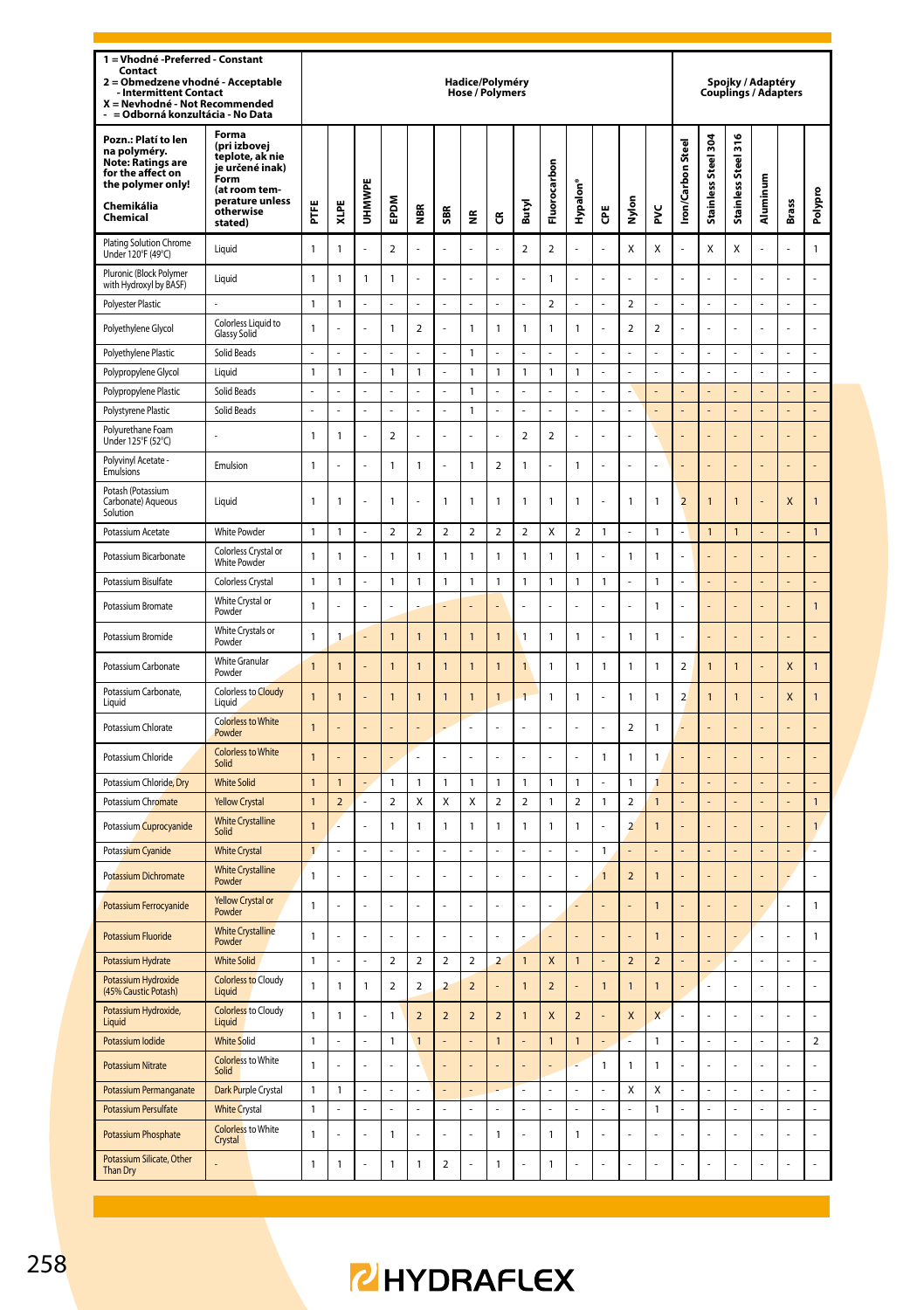| 1 = Vhodné -Preferred - Constant<br>Contact<br>Obmedzene vhodné - Acceptable<br>$\overline{a}$<br><b>Intermittent Contact</b><br>X = Nevhodné - Not Recommended<br>= Odborná konzultácia - No Data |                                                                                                                                 |                |                |              |                          |                          |                | Hadice/Polyméry<br><b>Hose / Polymers</b> |                          |                          |                          |                          |                |                          |                         |                          |                      | Spojky / Adaptéry<br><b>Couplings / Adapters</b> |          |                                  |                |
|----------------------------------------------------------------------------------------------------------------------------------------------------------------------------------------------------|---------------------------------------------------------------------------------------------------------------------------------|----------------|----------------|--------------|--------------------------|--------------------------|----------------|-------------------------------------------|--------------------------|--------------------------|--------------------------|--------------------------|----------------|--------------------------|-------------------------|--------------------------|----------------------|--------------------------------------------------|----------|----------------------------------|----------------|
| Pozn.: Platí to len<br>na polyméry.<br>Note: Ratings are<br>for the affect on<br>the polymer only!<br>Chemikália<br>Chemical                                                                       | Forma<br>(pri izbovej<br>teplote, ak nie<br>je určené inak)<br>Form<br>(at room tem-<br>perature unless<br>otherwise<br>stated) | FTFE           | XLPE           | UHMWPE       | EPDM                     | 9aw                      | SBR            | ž                                         | ű                        | Butyl                    | Fluorocarbon             | Hypalon <sup>®</sup>     | Ğ              | 5<br>Σ                   | š                       | <b>Iron/Carbon Steel</b> | Stainless Steel 304  | Stainless Steel 316                              | Aluminum | Brass                            | Polypro        |
| Plating Solution Chrome<br>Under 120°F (49°C)                                                                                                                                                      | Liquid                                                                                                                          | $\mathbf{1}$   | $\mathbf{1}$   | L.           | $\overline{\phantom{a}}$ | L                        | L.             | L.                                        | l,                       | $\overline{\phantom{a}}$ | $\overline{\phantom{a}}$ | L                        | J.             | X                        | X                       | L,                       | X                    | X                                                | L.       | L.                               | $\mathbf{1}$   |
| Pluronic (Block Polymer<br>with Hydroxyl by BASF)                                                                                                                                                  | Liquid                                                                                                                          | $\mathbf{1}$   | 1              | $\mathbf{1}$ | $\mathbf{1}$             | ż                        | L.             | ä,                                        | l,                       | L.                       | $\mathbf{1}$             | J,                       | J.             | ä,                       | L                       | J.                       | L                    | ż                                                | J.       | L                                | l,             |
| Polyester Plastic                                                                                                                                                                                  |                                                                                                                                 | 1              | 1              |              |                          |                          |                |                                           |                          |                          | $\overline{\mathbf{c}}$  |                          |                | $\boldsymbol{2}$         |                         |                          | L,                   |                                                  |          | $\overline{a}$                   | Ļ              |
| Polyethylene Glycol                                                                                                                                                                                | Colorless Liquid to<br><b>Glassy Solid</b>                                                                                      | $\mathbf{1}$   | ż              | J.           | $\mathbf{1}$             | $\overline{2}$           |                | $\mathbf{1}$                              | 1                        | $\mathbf{1}$             | $\mathbf{1}$             | 1                        |                | $\overline{\mathbf{c}}$  | $\overline{\mathbf{c}}$ |                          | L.                   | l                                                |          | L.                               | ä,             |
| Polyethylene Plastic                                                                                                                                                                               | Solid Beads                                                                                                                     |                |                |              |                          |                          |                | $\mathbf{1}$                              |                          |                          |                          |                          |                |                          |                         |                          |                      |                                                  |          |                                  |                |
| Polypropylene Glycol                                                                                                                                                                               | Liquid                                                                                                                          | $\mathbf{1}$   | 1              | ÷,           | 1                        | 1                        | ÷,             | $\mathbf{1}$                              | 1                        | $\mathbf{1}$             | $\mathbf{1}$             | 1                        | t,             | ÷,                       | L,                      | l,                       | L,                   | L,                                               | l,       | L,                               | ÷,             |
| Polypropylene Plastic                                                                                                                                                                              | Solid Beads                                                                                                                     | L,             |                |              |                          |                          |                | $\mathbf{1}$                              |                          |                          |                          |                          |                |                          |                         |                          |                      |                                                  |          |                                  |                |
| Polystyrene Plastic                                                                                                                                                                                | Solid Beads                                                                                                                     | $\overline{a}$ | $\overline{a}$ | L,           | L                        | L                        | L,             | $\mathbf{1}$                              | $\overline{a}$           | L,                       | L                        | L                        | J.             | L,                       | L                       | l,                       | $\overline{a}$       | L                                                | L,       | $\overline{a}$                   | $\overline{a}$ |
| Polyurethane Foam<br>Under 125°F (52°C)                                                                                                                                                            |                                                                                                                                 | $\mathbf{1}$   | 1              | L.           | $\mathbf 2$              | L                        | L.             | L.                                        | L                        | $\mathbf 2$              | $\mathbf 2$              | J                        | J.             | L.                       | ı                       |                          |                      |                                                  |          | L                                | l,             |
| Polyvinyl Acetate -<br>Emulsions                                                                                                                                                                   | Emulsion                                                                                                                        | $\mathbf{1}$   | L              | ÷,           | $\mathbf{1}$             | 1                        | ÷,             | $\mathbf{1}$                              | $\overline{\mathbf{2}}$  | $\mathbf{1}$             | L,                       | 1                        | J.             | ä,                       | L                       |                          | L                    | l                                                | l,       | L                                | $\overline{a}$ |
| Potash (Potassium<br>Carbonate) Aqueous<br>Solution                                                                                                                                                | Liauid                                                                                                                          | 1              | 1              |              | 1                        |                          | $\mathbf{1}$   | $\mathbf{1}$                              | 1                        | $\mathbf{1}$             | $\mathbf{1}$             | 1                        |                | $\mathbf{1}$             | 1                       | $\overline{2}$           | $\overline{1}$       | 1                                                |          | X                                | 1              |
| Potassium Acetate                                                                                                                                                                                  | <b>White Powder</b>                                                                                                             | $\mathbf{1}$   | $\mathbf{1}$   |              | $\overline{2}$           | $\overline{2}$           | $\overline{a}$ | $\overline{2}$                            | $\overline{2}$           | $\overline{a}$           | X                        | $\overline{2}$           | $\mathbf{1}$   | ÷,                       | 1                       |                          | $\mathbf{1}$         | $\overline{1}$                                   |          |                                  | $\mathbf{1}$   |
| Potassium Bicarbonate                                                                                                                                                                              | Colorless Crystal or<br>White Powder                                                                                            | 1              | 1              |              | 1                        | 1                        | 1              | $\mathbf{1}$                              | 1                        | $\mathbf{1}$             | $\mathbf{1}$             | 1                        |                | $\mathbf{1}$             | 1                       |                          |                      |                                                  |          |                                  |                |
| Potassium Bisulfate                                                                                                                                                                                | Colorless Crystal                                                                                                               | $\mathbf{1}$   | $\mathbf{1}$   |              | $\mathbf{1}$             | $\mathbf{1}$             | $\mathbf{1}$   | $\mathbf{1}$                              | $\mathbf{1}$             | $\mathbf{1}$             | $\mathbf{1}$             | 1                        | $\mathbf{1}$   | ÷,                       | 1                       |                          |                      |                                                  |          |                                  |                |
| Potassium Bromate                                                                                                                                                                                  | White Crystal or<br>Powder                                                                                                      | $\mathbf{1}$   |                |              |                          |                          |                |                                           |                          |                          |                          |                          |                |                          | 1                       |                          |                      |                                                  |          |                                  | 1              |
| Potassium Bromide                                                                                                                                                                                  | White Crystals or<br>Powder                                                                                                     | $\mathbf{1}$   | 1              | ÷.           | $\overline{1}$           | $\overline{1}$           | $\overline{1}$ | $\overline{1}$                            | 1                        | $\overline{1}$           | $\mathbf{1}$             | $\mathbf{1}$             | J.             | $\mathbf{1}$             | $\mathbf{1}$            | ÷.                       | ÷                    | J                                                |          | ÷                                | l,             |
| Potassium Carbonate                                                                                                                                                                                | <b>White Granular</b><br>Powder                                                                                                 | $\overline{1}$ | $\overline{1}$ | ÷,           | $\overline{1}$           | $\overline{1}$           | $\overline{1}$ | $\overline{1}$                            | $\overline{1}$           | $\overline{1}$           | $\mathbf{1}$             | 1                        | $\mathbf{1}$   | $\mathbf{1}$             | 1                       | $\overline{\phantom{a}}$ | $\overline{1}$       | $\overline{1}$                                   |          | X                                | $\mathbf{1}$   |
| Potassium Carbonate,<br>Liquid                                                                                                                                                                     | Colorless to Cloudy<br>Liquid                                                                                                   | $\overline{1}$ | $\overline{1}$ | ÷,           | $\mathbf{1}$             | $\overline{1}$           | $\overline{1}$ | $\overline{1}$                            | 1                        | $\overline{1}$           | $\mathbf{1}$             | 1                        | J.             | $\mathbf{1}$             | 1                       | $\overline{\phantom{a}}$ | $\overline{1}$       | $\overline{1}$                                   |          | X                                | 1              |
| Potassium Chlorate                                                                                                                                                                                 | <b>Colorless to White</b><br>Powder                                                                                             | $\overline{1}$ |                |              |                          |                          |                | ä,                                        | į,                       | ä,                       | í,                       |                          | J.             | $\mathfrak{p}$           | 1                       |                          |                      |                                                  |          |                                  |                |
| Potassium Chloride                                                                                                                                                                                 | <b>Colorless to White</b><br>Solid                                                                                              | $\overline{1}$ |                | ÷,           | ä,                       | í,                       | L,             | l,                                        |                          | L,                       | l,                       |                          | $\mathbf{1}$   | $\mathbf{1}$             | 1                       |                          |                      |                                                  |          |                                  |                |
| Potassium Chloride, Dry                                                                                                                                                                            | <b>White Solid</b>                                                                                                              | $\mathbf{1}$   | $\overline{1}$ | ÷,           | 1                        | 1                        | $\mathbf{1}$   | $\mathbf{1}$                              | 1                        | $\mathbf{1}$             | $\mathbf{1}$             | 1                        | J.             | $\mathbf{1}$             | 1                       |                          | L,                   | L                                                | ÷,       | L,                               | l,             |
| Potassium Chromate                                                                                                                                                                                 | <b>Yellow Crystal</b>                                                                                                           | $\mathbf{1}$   | $\overline{a}$ | L.           | $\overline{\mathbf{c}}$  | X                        | X              | Χ                                         | $\overline{\mathbf{2}}$  | $\overline{\mathbf{c}}$  | $\mathbf{1}$             | 2                        | $\mathbbm{1}$  | $\boldsymbol{2}$         | 1                       |                          |                      |                                                  |          |                                  | $\mathbf{1}$   |
| Potassium Cuprocyanide                                                                                                                                                                             | <b>White Crystalline</b><br>Solid                                                                                               | $\overline{1}$ |                | l,           | $\mathbf{1}$             | 1                        | $\overline{1}$ | $\mathbf{1}$                              | $\mathbf{1}$             | $\overline{1}$           | $\mathbf{1}$             | 1                        | J.             | $\overline{a}$           | $\overline{1}$          |                          | ä,                   |                                                  |          | L                                | $\mathbf{1}$   |
| Potassium Cyanide                                                                                                                                                                                  | <b>White Crystal</b>                                                                                                            | $\mathbf{1}$   |                | L.           |                          |                          | L.             | L.                                        |                          | L.                       |                          |                          | $\mathbf{1}$   |                          |                         |                          |                      |                                                  |          |                                  | L              |
| Potassium Dichromate                                                                                                                                                                               | <b>White Crystalline</b><br>Powder                                                                                              | $\mathbf{1}$   |                | Î,           |                          |                          | J.             | ä,                                        |                          | J.                       |                          |                          | $\mathbf{1}$   | $\overline{\phantom{0}}$ | 1                       |                          |                      |                                                  |          | L                                | l,             |
| Potassium Ferrocyanide                                                                                                                                                                             | Yellow Crystal or<br>Powder                                                                                                     | $\mathbf{1}$   | í,             | ł,           | L                        | Î,                       | ä,             | l,                                        | Í,                       | ä,                       | ä,                       |                          |                | ä,                       | $\mathbf{1}$            |                          | ä,                   |                                                  | ÷,       | L                                | $\mathbf{1}$   |
| Potassium Fluoride                                                                                                                                                                                 | <b>White Crystalline</b><br>Powder                                                                                              | $\mathbf{1}$   |                | J.           | ż                        |                          | J.             | L.                                        | l,                       |                          |                          |                          |                | L.                       | $\mathbf{1}$            |                          | L.                   |                                                  | J.       | $\overline{a}$                   | $\mathbf{1}$   |
| Potassium Hydrate                                                                                                                                                                                  | <b>White Solid</b>                                                                                                              | $\mathbf{1}$   | L,             | ÷,           | $\mathbf 2$              | $\overline{a}$           | $\mathbf 2$    | $\overline{\mathbf{c}}$                   | $\overline{\mathbf{c}}$  | $\mathbf{1}$             | X                        | $\overline{1}$           | l,             | $\mathbf 2$              | $\overline{\mathbf{c}}$ |                          | $\overline{a}$       |                                                  | ÷,       | ÷,                               | ÷,             |
| Potassium Hydroxide<br>(45% Caustic Potash)                                                                                                                                                        | <b>Colorless to Cloudy</b><br>Liquid                                                                                            | $\mathbf{1}$   | $\mathbf{1}$   | $\mathbf{1}$ | $\overline{2}$           | $\overline{2}$           | $\overline{2}$ | $\overline{2}$                            | l,                       | $\overline{1}$           | $\overline{2}$           | í.                       | $\overline{1}$ | $\overline{1}$           | $\overline{1}$          |                          | $\overline{a}$       | L                                                | L.       | $\overline{a}$                   | ł              |
| Potassium Hydroxide,<br>Liquid                                                                                                                                                                     | <b>Colorless</b> to Cloudy<br>Liquid                                                                                            | $\mathbf{1}$   | 1              | l,           | $\mathbf{1}$             | $\overline{\phantom{0}}$ | $\overline{2}$ | $\overline{a}$                            | $\overline{\phantom{0}}$ | $\overline{1}$           | $\overline{\mathsf{x}}$  | $\overline{\phantom{a}}$ |                | $\mathsf{x}$             | $\overline{\mathsf{x}}$ |                          | L                    |                                                  | l,       | L                                |                |
| Potassium Iodide                                                                                                                                                                                   | <b>White Solid</b>                                                                                                              | $\mathbf{1}$   | L.             | ä,           | $\mathbf{1}$             | $\mathbf{1}$             | ÷,             | L.                                        | $\mathbf{1}$             | ÷,                       | $\mathbf{1}$             | $\mathbf{1}$             | ÷,             | t                        | 1                       | L,                       | ÷,                   | L                                                | ä,       | L.                               | $\mathbf 2$    |
| <b>Potassium Nitrate</b>                                                                                                                                                                           | <b>Colorless</b> to White<br>Solid                                                                                              | $\mathbf{1}$   |                |              |                          |                          |                |                                           |                          |                          |                          |                          | $\overline{1}$ | $\mathbf{1}$             | $\mathbf{1}$            |                          |                      |                                                  |          |                                  |                |
| Potassium Permanganate                                                                                                                                                                             | Dark Purple Crystal                                                                                                             | $\mathbf{1}$   | 1              | ä,<br>L,     | $\overline{a}$<br>L      |                          | L.<br>L,       | L.<br>L                                   |                          | L.<br>L,                 | L.<br>L                  | L<br>L                   | J.<br>J,       | Χ<br>L,                  | Χ                       |                          | L.<br>$\overline{a}$ | L<br>L                                           | L.<br>l, | $\overline{a}$<br>$\overline{a}$ | L<br>L         |
| Potassium Persulfate                                                                                                                                                                               | <b>White Crystal</b><br><b>Colorless</b> to White                                                                               | 1              |                |              |                          |                          |                |                                           |                          |                          |                          |                          |                |                          | 1                       |                          |                      |                                                  |          |                                  |                |
| Potassium Phosphate<br>Potassium Silicate, Other                                                                                                                                                   | Crystal                                                                                                                         | $\mathbf{1}$   | L              | ä,           | $\mathbf{1}$             | L                        | J.             | ä,                                        | 1                        | J.                       | $\mathbf{1}$             | 1                        | J.             | ä,                       | L                       | L,                       | L                    | l,                                               | ä,       | L                                | J.             |
| Than Dry                                                                                                                                                                                           |                                                                                                                                 | $\mathbf{1}$   | $\mathbf{1}$   | l,           | $\mathbf{1}$             | $\mathbf{1}$             | $\overline{a}$ | L                                         | $\overline{1}$           | J.                       | $\mathbf{1}$             |                          | J.             | l,                       | l,                      |                          |                      | L                                                | l,       |                                  |                |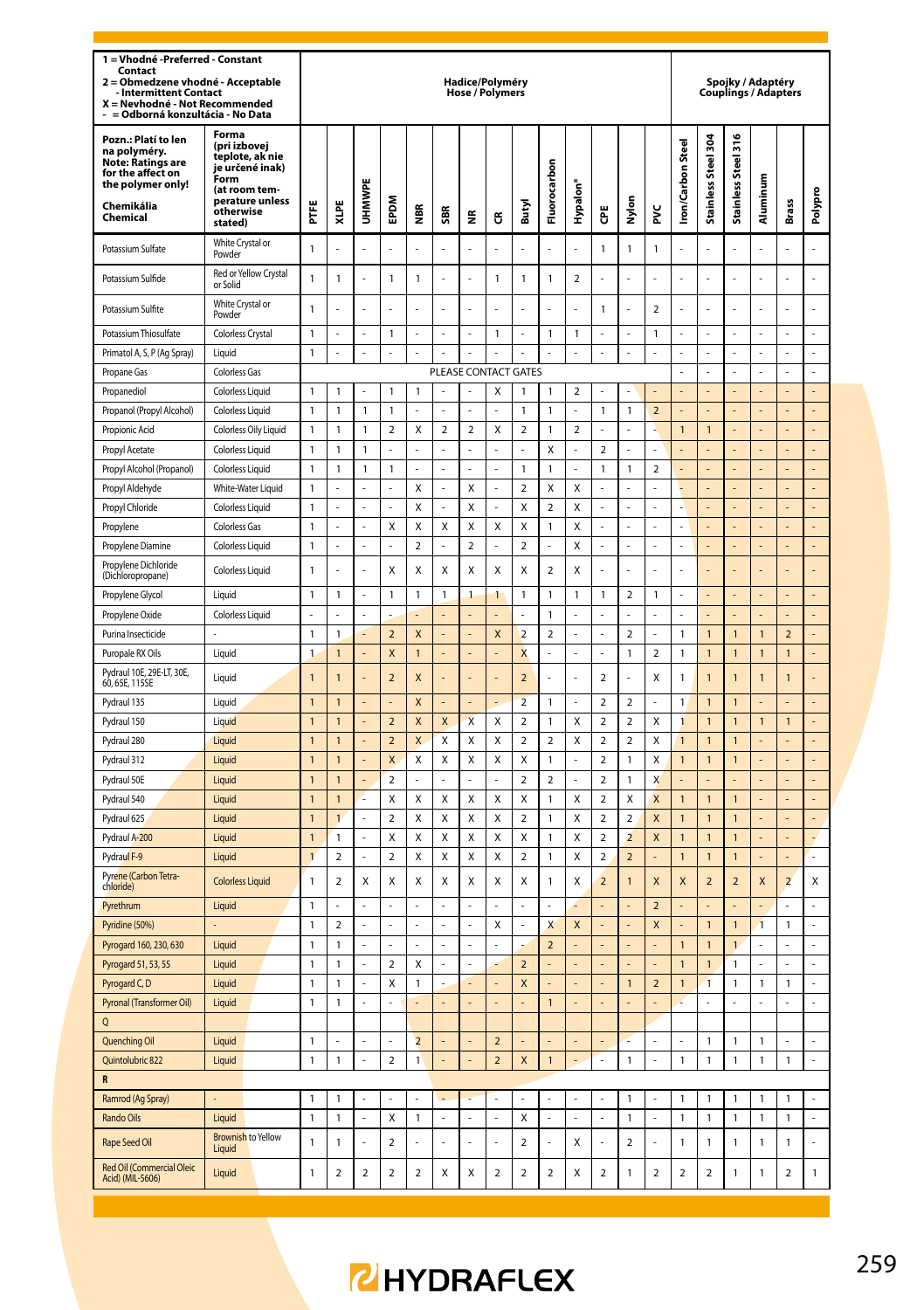| 1 = Vhodné -Preferred - Constant<br>Contact<br>Obmedzene vhodné - Acceptable<br>$\overline{ }$<br><b>Intermittent Contact</b><br>X = Nevhodné - Not Recommended<br>= Odborná konzultácia - No Data |                                                                                                                                        |                                |                   |                  |                               |                    |                | Hadice/Polyméry<br><b>Hose / Polymers</b> |                         |                               |                          |                         |                         |                                          |                          |                  |                               | Spojky / Adaptéry<br>Couplings / Adapters |                |                               |                |
|----------------------------------------------------------------------------------------------------------------------------------------------------------------------------------------------------|----------------------------------------------------------------------------------------------------------------------------------------|--------------------------------|-------------------|------------------|-------------------------------|--------------------|----------------|-------------------------------------------|-------------------------|-------------------------------|--------------------------|-------------------------|-------------------------|------------------------------------------|--------------------------|------------------|-------------------------------|-------------------------------------------|----------------|-------------------------------|----------------|
| Pozn.: Platí to len<br>na polyméry.<br><b>Note: Ratings are</b><br>for the affect on<br>the polymer only!<br>Chemikália<br>Chemical                                                                | Forma<br>(pri izbovej<br>teplote, ak nie<br>je určené inak)<br><b>Form</b><br>(at room tem-<br>perature unless<br>otherwise<br>stated) | Ë                              | XLPE              | <b>UHMWPE</b>    | <b>MGdE</b>                   | $\alpha$<br>€      | SBR            | €                                         | ű                       | Butyl                         | Fluorocarbon             | Hypalon'                | Ğ                       | Nylon                                    | ž                        | ron/Carbon Steel | Stainless Steel 304           | Stainless Steel 316                       | Aluminum       | <b>Brass</b>                  | Polypro        |
| Potassium Sulfate                                                                                                                                                                                  | White Crystal or<br>Powder                                                                                                             | $\mathbf{1}$                   |                   |                  |                               |                    |                |                                           |                         |                               |                          |                         | $\mathbf{1}$            | $\mathbf{1}$                             | $\overline{1}$           |                  |                               |                                           |                |                               |                |
| Potassium Sulfide                                                                                                                                                                                  | Red or Yellow Crystal<br>or Solid                                                                                                      | $\mathbf{1}$                   | 1                 | l,               | 1                             | $\mathbf{1}$       | l,             | ÷,                                        | $\mathbf{1}$            | 1                             | $\mathbf{1}$             | $\overline{\mathbf{2}}$ |                         | l,                                       |                          |                  | ÷,                            | L                                         |                | ÷,                            | L              |
| Potassium Sulfite                                                                                                                                                                                  | White Crystal or<br>Powder                                                                                                             | $\mathbf{1}$                   |                   |                  | L.                            |                    | L              |                                           | L                       |                               | L.                       | L                       | 1                       | L.                                       | $\overline{\mathbf{2}}$  |                  | L,                            | L                                         |                | L,                            | $\overline{a}$ |
| Potassium Thiosulfate                                                                                                                                                                              | Colorless Crystal                                                                                                                      | $\mathbf{1}$                   |                   |                  | $\mathbf{1}$                  |                    |                |                                           | 1                       |                               | $\mathbf{1}$             | $\mathbf{1}$            |                         |                                          | 1                        |                  |                               |                                           |                |                               |                |
| Primatol A, S, P (Ag Spray)                                                                                                                                                                        | I iauid                                                                                                                                | $\mathbf{1}$                   | l,                | ÷,               | L,                            | l,                 | L,             | L,                                        | L                       | L,                            | L,                       | L                       | L,                      | ÷,                                       | $\overline{a}$           | l,               | L,                            | L                                         |                | L,                            | L              |
| Propane Gas                                                                                                                                                                                        | Colorless Gas                                                                                                                          |                                |                   |                  |                               |                    |                | PLEASE CONTACT GATES                      |                         |                               |                          |                         |                         |                                          |                          |                  | ÷                             | ÷                                         |                | ÷,                            | $\overline{a}$ |
| Propanediol                                                                                                                                                                                        | Colorless Liquid                                                                                                                       | $\mathbf{1}$                   | 1                 |                  | $\mathbf{1}$                  | 1                  |                |                                           | X                       | 1                             | $\mathbf{1}$             | $\overline{a}$          |                         |                                          |                          |                  | ÷,                            |                                           |                | ÷,                            | L,             |
| Propanol (Propyl Alcohol)                                                                                                                                                                          | Colorless Liquid                                                                                                                       | $\mathbf{1}$                   | 1                 | 1                | $\mathbf{1}$                  |                    |                |                                           |                         | 1                             | $\overline{1}$           |                         | 1                       | $\mathbf{1}$                             | $\overline{\phantom{a}}$ |                  |                               |                                           |                | ä,                            | L,             |
| Propionic Acid                                                                                                                                                                                     | Colorless Oily Liquid                                                                                                                  | $\mathbf{1}$                   | 1                 | $\mathbf{1}$     | $\overline{2}$                | Χ                  | $\overline{2}$ | $\overline{2}$                            | X                       | $\overline{2}$                | $\overline{1}$           | $\overline{2}$          | L                       |                                          |                          | $\overline{1}$   | $\mathbf{1}$                  | L,                                        |                | L,                            | L,             |
| Propyl Acetate                                                                                                                                                                                     | Colorless Liquid                                                                                                                       | $\mathbf{1}$                   | 1                 | 1                |                               |                    |                |                                           |                         |                               | X                        |                         | $\overline{\mathbf{c}}$ |                                          |                          |                  |                               |                                           |                |                               |                |
| Propyl Alcohol (Propanol)                                                                                                                                                                          | <b>Colorless Liquid</b>                                                                                                                | $\overline{1}$                 | 1                 | 1                | $\mathbf{1}$                  | L                  | L              | L,                                        | $\overline{a}$          | 1                             | $\overline{1}$           | L                       | $\overline{1}$          | $\overline{1}$                           | $\overline{2}$           |                  | L,                            | L                                         |                | L,                            | L,             |
| Propyl Aldehyde                                                                                                                                                                                    | White-Water Liquid                                                                                                                     | $\mathbf{1}$                   |                   |                  |                               | Χ                  |                | Χ                                         | ÷                       | $\overline{2}$                | X                        | X                       |                         |                                          |                          |                  | ÷                             |                                           |                | ÷                             | ÷              |
| Propyl Chloride                                                                                                                                                                                    | <b>Colorless Liquid</b>                                                                                                                | $\overline{1}$                 |                   | L                | L,                            | X                  | L              | X                                         | $\overline{a}$          | X                             | $\overline{\phantom{a}}$ | $\mathsf{x}$            | L                       | L,                                       |                          |                  | L,                            |                                           |                | L,                            | $\overline{a}$ |
| Propylene                                                                                                                                                                                          | Colorless Gas                                                                                                                          | $\overline{1}$                 |                   |                  | X                             | X                  | X              | X                                         | X                       | x                             | $\mathbf{1}$             | X                       |                         | ÷,                                       |                          |                  | ÷,                            |                                           |                | ÷,                            | L,             |
| Propylene Diamine                                                                                                                                                                                  | <b>Colorless Liquid</b>                                                                                                                | $\mathbf{1}$                   |                   |                  |                               | $\overline{2}$     |                | $\overline{2}$                            |                         | $\overline{2}$                | l,                       | X                       | $\overline{a}$          | l,                                       | $\overline{a}$           |                  | L,                            |                                           |                | L,                            | L,             |
| Propylene Dichloride<br>(Dichloropropane)                                                                                                                                                          | <b>Colorless Liquid</b>                                                                                                                | $\mathbf{1}$                   |                   |                  | X                             | χ                  | Х              | X                                         | χ                       | X                             | $\overline{\mathbf{c}}$  | X                       | í,                      | ÷,                                       | l,                       | í.               | ä,                            |                                           |                | ÷,                            | L,             |
| Propylene Glycol                                                                                                                                                                                   | Liquid                                                                                                                                 | $\mathbf{1}$                   | 1                 |                  | $\mathbf 1$                   | 1                  | 1              | $\mathbf{1}$                              | 1                       | 1                             | $\mathbf{1}$             | $\mathbf{1}$            | 1                       | $\mathbf 2$                              | 1                        |                  |                               |                                           |                |                               |                |
| Propylene Oxide                                                                                                                                                                                    | Colorless Liquid                                                                                                                       | L                              | $\overline{a}$    | $\overline{a}$   |                               |                    |                |                                           |                         |                               | $\overline{1}$           | l,                      | $\overline{a}$          | l,                                       | L,                       | L                | $\overline{a}$                | $\overline{a}$                            | L              | $\overline{a}$                | L,             |
| Purina Insecticide                                                                                                                                                                                 |                                                                                                                                        | $\mathbf{1}$                   | $\mathbf{1}$      |                  | $\overline{2}$                | X                  |                |                                           | X                       | $\overline{a}$                | $\mathbf 2$              |                         |                         | $\overline{a}$                           |                          | 1                | $\mathbf{1}$                  | $\mathbf{1}$                              | $\overline{1}$ | $\overline{2}$                |                |
| Puropale RX Oils                                                                                                                                                                                   | Liquid                                                                                                                                 | $\mathbf{1}$                   | $\mathbf{1}$      |                  | X                             | 1                  | L,             | $\overline{a}$                            |                         | X                             | ÷,                       | L,                      | l,                      | $\mathbf{1}$                             | $\overline{\mathbf{c}}$  | 1                | $\mathbf{1}$                  | $\mathbf{1}$                              | $\overline{1}$ | $\mathbf{1}$                  | L,             |
| Pydraul 10E, 29E-LT, 30E,<br>60, 65E, 115SE                                                                                                                                                        | Liquid                                                                                                                                 | $\mathbf{1}$                   | $\mathbf{1}$      | ä,               | $\overline{2}$                | X                  | í,             | ä,                                        | L                       | $\overline{2}$                | ä,                       | l,                      | $\overline{2}$          | ä,                                       | X                        | 1                | $\mathbf{1}$                  | $\mathbf{1}$                              | $\overline{1}$ | $\mathbf{1}$                  | L,             |
| Pydraul 135                                                                                                                                                                                        | Liquid                                                                                                                                 | $\overline{1}$                 | $\overline{1}$    |                  |                               | X                  |                |                                           |                         | $\overline{2}$                | $\overline{1}$           |                         | $\overline{\mathbf{c}}$ | $\overline{2}$                           |                          | 1                | $\overline{1}$                | $\overline{1}$                            |                |                               |                |
| Pydraul 150                                                                                                                                                                                        | Liquid                                                                                                                                 | $\mathbf{1}$                   | $\mathbf{1}$      |                  | $\mathbf 2$                   | X                  | X              | $\pmb{\mathsf{X}}$                        | Χ                       | $\overline{\mathbf{c}}$       | $\mathbf{1}$             | Χ                       | $\overline{\mathbf{2}}$ | $\mathbf 2$                              | Χ                        | 1                | $\mathbf{1}$                  | $\mathbf{1}$                              | $\mathbf{1}$   | $\mathbf{1}$                  | $\overline{a}$ |
| Pydraul 280                                                                                                                                                                                        | Liquid                                                                                                                                 | $\mathbf{1}$                   | $\overline{1}$    |                  | $\mathbf 2$                   | X                  | X              | Χ                                         | Χ                       | 2                             | $\mathbf 2$              | Χ                       | 2                       | $\mathbf 2$                              | X                        | 1                | $\overline{1}$                | $\overline{1}$                            |                |                               |                |
| Pydraul 312                                                                                                                                                                                        | Liquid                                                                                                                                 | $\overline{1}$                 | $\overline{1}$    |                  | X                             | Χ                  | X              | X                                         | Χ                       | X                             | $\overline{1}$           | L,                      | $\overline{2}$          | $\overline{1}$                           | X                        | $\overline{1}$   | $\overline{1}$                | $\mathbf{1}$                              |                | L,                            | L,             |
| Pydraul 50E                                                                                                                                                                                        | Liquid                                                                                                                                 | $\overline{1}$                 | $\mathbf{1}$      |                  | $\mathbf 2$                   |                    |                |                                           |                         | 2                             | $\mathbf 2$              |                         | 2                       | $\mathbf{1}$                             | X                        |                  |                               |                                           |                |                               |                |
| Pydraul 540                                                                                                                                                                                        | Liquid                                                                                                                                 | $\mathbf{1}$                   | $\overline{1}$    |                  | X                             | Χ                  | X              | Χ                                         | Χ                       | X                             | $\mathbf{1}$             | X                       | $\overline{\mathbf{c}}$ | X                                        | X                        | $\overline{1}$   | $\mathbf{1}$                  | $\mathbf{1}$                              |                | L,                            | $\overline{a}$ |
| Pydraul 625                                                                                                                                                                                        | Liquid                                                                                                                                 | $\overline{1}$                 | $\overline{1}$    |                  | $\mathbf 2$                   | Χ                  | X              | X                                         | Χ                       | 2                             | $\mathbf{1}$             | Χ                       | 2                       | $\mathbf 2$                              | X                        |                  | $\overline{1}$                | $\overline{1}$                            |                |                               |                |
| Pydraul A-200                                                                                                                                                                                      | Liquid                                                                                                                                 | $\mathbf{1}$                   | $\mathbf{1}$      |                  | Χ                             | Χ                  | X              | Χ                                         | Χ                       | Χ                             | $\mathbf{1}$             | Χ                       | 2                       | $\overline{\mathbf{2}}$                  | X                        | $\overline{1}$   | $\mathbf{1}$                  | $\mathbf{1}$                              |                | L,                            | L,             |
| Pydraul F-9                                                                                                                                                                                        | Liquid                                                                                                                                 | $\overline{1}$                 | $\boldsymbol{2}$  |                  | $\mathbf 2$                   | Χ                  | X              | Χ                                         | Χ                       | $\overline{\mathbf{c}}$       | $\mathbf{1}$             | Χ                       | 2                       | $\mathbf 2$                              |                          | 1                | $\overline{1}$                | $\overline{1}$                            |                |                               | L              |
| Pyrene (Carbon Tetra-<br>chloride)                                                                                                                                                                 | <b>Colorless Liquid</b>                                                                                                                | $\mathbf{1}$                   | $\overline{2}$    | X                | X                             | X                  | X              | X                                         | X                       | X                             | $\overline{1}$           | X                       | $\overline{a}$          | $\overline{1}$                           | X                        | X                | $\overline{\phantom{0}}$      | $\overline{a}$                            | X              | $\overline{a}$                | X              |
| Pyrethrum                                                                                                                                                                                          | Liquid                                                                                                                                 | $\mathbf{1}$                   | L                 | L.               | ä,                            | L                  | L.             | ä,                                        | L.                      | L.                            | ä,                       |                         |                         | L.                                       | $\overline{2}$           |                  | L,                            |                                           |                | ä,                            | L              |
| Pyridine (50%)                                                                                                                                                                                     |                                                                                                                                        | $\mathbf{1}$                   | $\mathbf 2$       | $\overline{a}$   | ÷,                            | $\overline{a}$     | J.             | L.                                        | Χ                       | L.                            | X                        | X                       | L,                      | L.                                       | X                        |                  | $\mathbf{1}$                  | $\mathbf{1}$                              | $\mathbf{1}$   | $\mathbf{1}$                  | L.             |
| Pyrogard 160, 230, 630                                                                                                                                                                             | Liquid                                                                                                                                 | $\mathbf{1}$                   | 1                 | l,               | ÷,                            | Ļ                  | l,             | ÷,                                        | $\overline{a}$          |                               | $\overline{\mathbf{2}}$  |                         |                         | L,                                       | $\overline{a}$           | $\overline{1}$   | $\mathbf{1}$                  | $\mathbf{1}$                              |                | L,                            | ÷,             |
| Pyrogard 51, 53, 55                                                                                                                                                                                |                                                                                                                                        | $\mathbf{1}$                   | 1                 |                  | $\overline{2}$                | Χ                  | L.             | L.                                        |                         | $\overline{2}$                |                          |                         |                         |                                          |                          | 1                | $\mathbf{1}$                  | 1                                         |                |                               | L,             |
| Pyrogard C, D                                                                                                                                                                                      | Liquid<br>Liquid                                                                                                                       | $\mathbf{1}$                   | 1                 | ä,               | Χ                             | 1                  | ä,             | L,                                        | L                       | X                             | ÷.                       |                         | ÷,                      | $\mathbf{1}$                             | $\mathbf 2$              | $\mathbf{1}$     | $\mathbf{1}$                  | 1                                         | 1              | $\mathbf{1}$                  | ä,             |
| Pyronal (Transformer Oil)                                                                                                                                                                          | Liquid                                                                                                                                 | $\mathbf{1}$                   | 1                 | Ļ                | ÷,                            |                    |                |                                           |                         |                               | $\mathbf{1}$             |                         |                         |                                          |                          |                  | l,                            | L,                                        |                | l,                            | $\overline{a}$ |
|                                                                                                                                                                                                    |                                                                                                                                        |                                |                   |                  |                               |                    |                |                                           |                         |                               |                          |                         |                         |                                          |                          |                  |                               |                                           |                |                               |                |
| $\overline{0}$                                                                                                                                                                                     |                                                                                                                                        |                                | L                 | ÷,               | ä,                            |                    | L              |                                           |                         |                               | L.                       |                         | L.                      | z                                        | L.                       | L                |                               |                                           |                | L.                            | l,             |
| Quenching Oil                                                                                                                                                                                      | Liquid                                                                                                                                 | $\mathbf{1}$                   |                   |                  |                               | $\overline{a}$     |                |                                           | $\overline{\mathbf{c}}$ |                               |                          |                         |                         |                                          |                          |                  | $\mathbf{1}$                  | 1                                         | 1              |                               |                |
| Quintolubric 822                                                                                                                                                                                   | Liquid                                                                                                                                 | $\mathbf{1}$                   | $\mathbf{1}$      | t,               | $\mathbf 2$                   | $\mathbf{1}$       | l,             | L,                                        | $\overline{a}$          | X                             | $\mathbf{1}$             | L,                      | l,                      | $\mathbf{1}$                             | L,                       | 1                | $\mathbf{1}$                  | 1                                         | 1              | $\mathbf{1}$                  | ÷,             |
| R                                                                                                                                                                                                  |                                                                                                                                        |                                |                   |                  |                               |                    |                |                                           |                         |                               |                          |                         |                         |                                          |                          |                  |                               |                                           |                |                               |                |
| Ramrod (Ag Spray)                                                                                                                                                                                  |                                                                                                                                        | $\mathbf{1}$                   | 1                 | ä,               | ÷,                            | $\overline{a}$     |                |                                           |                         |                               | ÷,                       | l,                      | J.                      | $\mathbf{1}$                             | L                        | 1                | $\mathbf{1}$                  | 1                                         | 1              | 1                             | L              |
| Rando Oils<br>Rape Seed Oil                                                                                                                                                                        | Liquid<br><b>Brownish</b> to Yellow                                                                                                    | $\mathbf{1}$<br>$\overline{1}$ | 1<br>$\mathbf{1}$ |                  | Χ<br>$\overline{\phantom{a}}$ | $\mathbf{1}$<br>l, |                | ä,                                        | l,                      | X<br>$\overline{\phantom{a}}$ | L,                       | $\mathsf{x}$            | Í,                      | $\mathbf{1}$<br>$\overline{\phantom{a}}$ | L                        | 1<br>1           | $\mathbbm{1}$<br>$\mathbf{1}$ | 1<br>1                                    | 1<br>1         | $\mathbbm{1}$<br>$\mathbf{1}$ | L,<br>L        |
| Red Oil (Commercial Oleic<br>Acid) (MIL-5606)                                                                                                                                                      | Liquid<br>Liquid                                                                                                                       | $\mathbf{1}$                   | $\mathbf 2$       | $\boldsymbol{2}$ | $\mathbf 2$                   | $\mathbf 2$        | Χ              | Χ                                         | 2                       | $\mathbf 2$                   | $\mathbf 2$              | Χ                       | $\overline{\mathbf{2}}$ | $\mathbf{1}$                             | $\overline{\mathbf{c}}$  | 2                | $\overline{a}$                | 1                                         | 1              | $\overline{a}$                | 1              |
|                                                                                                                                                                                                    |                                                                                                                                        |                                |                   |                  |                               |                    |                |                                           |                         |                               |                          |                         |                         |                                          |                          |                  |                               |                                           |                |                               |                |

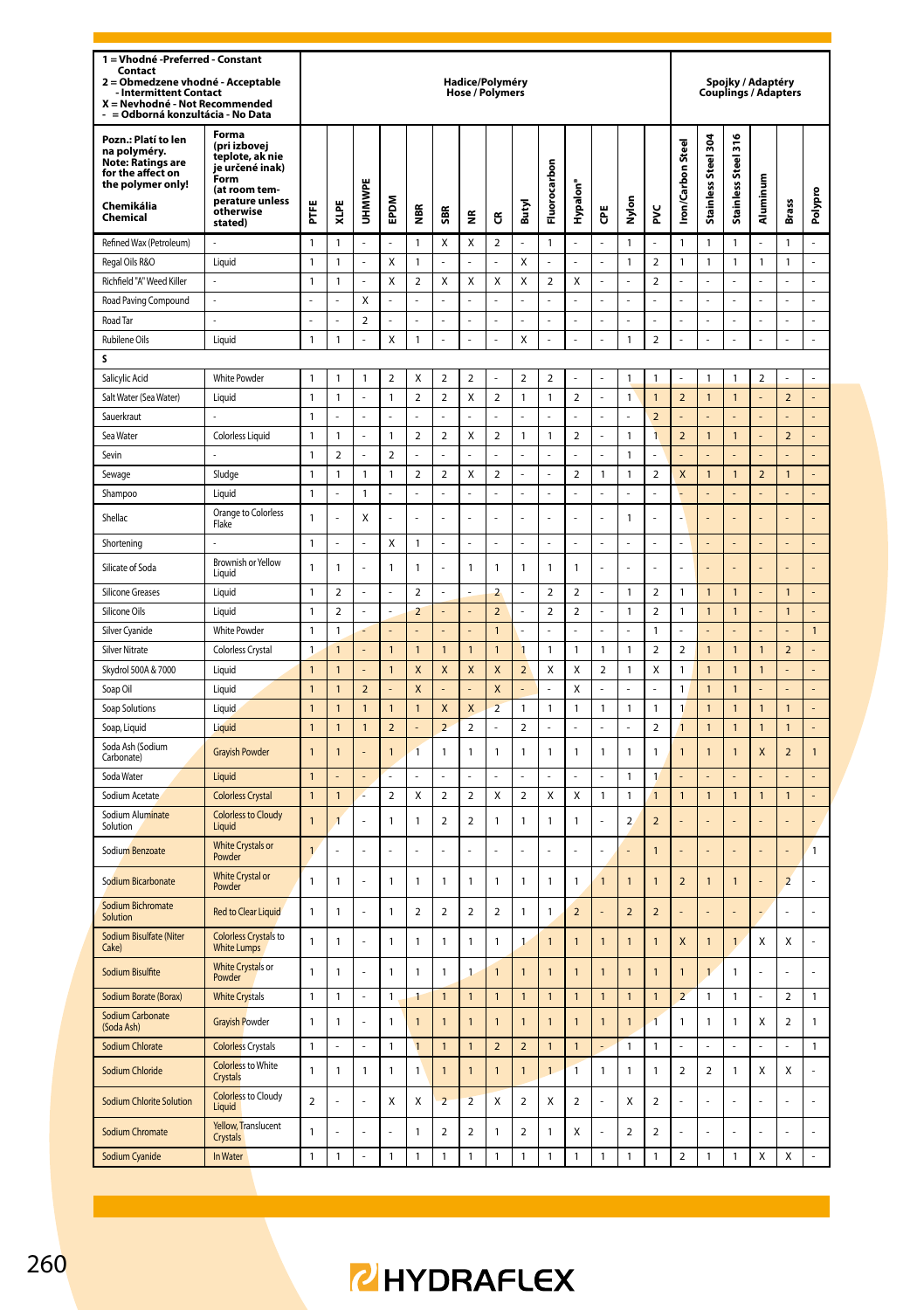| 1 = Vhodné - Preferred - Constant<br>Contact<br>2 = Obmedzene vhodné - Acceptable<br><b>Intermittent Contact</b><br>X = Nevhodné - Not Recommended<br>= Odborná konzultácia - No Data |                                                                                                                                 |                |                         |                          |                  |                  |                          | Hadice/Polyméry<br><b>Hose / Polymers</b> |                |                          |                         |                         |                         |                          |                         |                          |                     | Spojky / Adaptéry<br>Couplings / Adapters |                |                          |                |
|---------------------------------------------------------------------------------------------------------------------------------------------------------------------------------------|---------------------------------------------------------------------------------------------------------------------------------|----------------|-------------------------|--------------------------|------------------|------------------|--------------------------|-------------------------------------------|----------------|--------------------------|-------------------------|-------------------------|-------------------------|--------------------------|-------------------------|--------------------------|---------------------|-------------------------------------------|----------------|--------------------------|----------------|
| Pozn.: Platí to len<br>na polyméry.<br>Note: Ratings are<br>for the affect on<br>the polymer only!<br>Chemikália<br>Chemical                                                          | Forma<br>(pri izbovej<br>teplote, ak nie<br>je určené inak)<br>Form<br>(at room tem-<br>perature unless<br>otherwise<br>stated) | E              | XLPE                    | UHMWPE                   | EPDM             | NBR<br>M         | SBR                      | €                                         | Ĝ              | Butyl                    | Fluorocarbon            | Hypalon <sup>®</sup>    | Ğ                       | Nylon                    | ž                       | Iron/Carbon Steel        | Stainless Steel 304 | Stainless Steel 316                       | Aluminum       | <b>Brass</b>             | Polypro        |
| Refined Wax (Petroleum)                                                                                                                                                               |                                                                                                                                 | $\mathbf{1}$   | 1                       | l,                       |                  | 1                | Χ                        | X                                         | 2              | L                        | 1                       | $\overline{a}$          |                         | 1                        |                         | 1                        | $\mathbf{1}$        | $\mathbf{1}$                              |                | $\mathbf{1}$             | L.             |
| Regal Oils R&O                                                                                                                                                                        | Liquid                                                                                                                          | $\mathbf{1}$   | $\mathbf{1}$            | l,                       | X                | 1                |                          |                                           | l,             | X                        |                         | l,                      |                         | $\mathbf{1}$             | $\overline{\mathbf{c}}$ | $\overline{1}$           | $\mathbf{1}$        | $\mathbf{1}$                              | $\mathbf{1}$   | $\mathbf{1}$             | l,             |
| Richfield "A" Weed Killer                                                                                                                                                             |                                                                                                                                 | $\mathbf{1}$   | $\mathbf{1}$            |                          | X                | $\overline{a}$   | X                        | X                                         | Χ              | X                        | $\overline{2}$          | Χ                       |                         |                          | $\overline{2}$          |                          |                     |                                           |                |                          | l,             |
| Road Paving Compound                                                                                                                                                                  |                                                                                                                                 | L,             |                         | $\overline{\mathsf{x}}$  |                  |                  |                          |                                           |                |                          |                         |                         |                         | $\overline{a}$           |                         |                          | l,                  |                                           |                | Ĭ.                       | ä,             |
| Road Tar                                                                                                                                                                              |                                                                                                                                 |                |                         | $\overline{\phantom{a}}$ | ä,               |                  |                          | ÷,                                        |                |                          | ä,                      |                         |                         | ä,                       |                         |                          | ä,                  |                                           |                | í,                       | $\overline{a}$ |
| <b>Rubilene Oils</b>                                                                                                                                                                  | Liquid                                                                                                                          | $\mathbf{1}$   | $\mathbf{1}$            | L                        | X                | 1                | L                        | L                                         | $\overline{a}$ | X                        | L                       | $\overline{a}$          | L                       | $\mathbf{1}$             | $\overline{a}$          |                          | L                   | L                                         |                | L                        | L              |
| s                                                                                                                                                                                     |                                                                                                                                 |                |                         |                          |                  |                  |                          |                                           |                |                          |                         |                         |                         |                          |                         |                          |                     |                                           |                |                          |                |
| Salicylic Acid                                                                                                                                                                        | <b>White Powder</b>                                                                                                             | 1              | $\mathbf{1}$            | 1                        | 2                | X                | $\overline{2}$           | $\overline{2}$                            | L              | $\overline{2}$           | $\overline{\mathbf{c}}$ | ċ                       |                         | 1                        | $\mathbf{1}$            |                          | $\mathbf{1}$        | $\mathbf{1}$                              | $\overline{2}$ | ı                        |                |
| Salt Water (Sea Water)                                                                                                                                                                | Liquid                                                                                                                          | $\mathbf{1}$   | $\mathbf{1}$            | ł,                       | $\mathbbm{1}$    | $\boldsymbol{2}$ | $\overline{\mathbf{c}}$  | X                                         | $\mathbf 2$    | 1                        | $\mathbf{1}$            | $\mathbf 2$             | ż                       | 1                        | $\mathbf{1}$            | $\overline{\mathbf{c}}$  | $\mathbf{1}$        | $\mathbf{1}$                              |                | $\mathbf 2$              | ÷,             |
| Sauerkraut                                                                                                                                                                            |                                                                                                                                 | $\mathbf{1}$   | ı                       | L                        |                  |                  |                          |                                           |                |                          |                         | L.                      |                         |                          | $\overline{\mathbf{c}}$ |                          |                     |                                           |                |                          | L.             |
| Sea Water                                                                                                                                                                             | Colorless Liquid                                                                                                                | $\mathbf{1}$   | $\mathbf{1}$            | l,                       | $\mathbf{1}$     | $\overline{a}$   | $\overline{\mathbf{c}}$  | X                                         | $\mathbf 2$    | 1                        | $\mathbf{1}$            | $\mathbf 2$             | L                       | $\mathbf{1}$             | $\overline{\mathbf{1}}$ | $\overline{\mathbf{c}}$  | $\mathbf{1}$        | $\mathbf{1}$                              |                | $\overline{a}$           | ÷,             |
| Sevin                                                                                                                                                                                 |                                                                                                                                 | $\mathbf{1}$   | $\overline{\mathbf{2}}$ |                          | $\boldsymbol{2}$ |                  |                          |                                           |                |                          |                         |                         |                         | 1                        |                         |                          |                     |                                           |                |                          |                |
| Sewage                                                                                                                                                                                | Sludge                                                                                                                          | $\mathbf{1}$   | $\mathbf{1}$            | $\mathbf{1}$             | $\mathbf{1}$     | $\overline{a}$   | $\overline{a}$           | X                                         | $\overline{a}$ | L                        | L                       | $\overline{a}$          | $\mathbf{1}$            | $\mathbf{1}$             | $\overline{a}$          | X                        | $\mathbf{1}$        | $\mathbf{1}$                              | $\overline{a}$ | $\mathbf{1}$             | L              |
| Shampoo                                                                                                                                                                               | I iguid                                                                                                                         | $\mathbf{1}$   |                         | 1                        |                  |                  |                          |                                           |                |                          | ä,                      |                         |                         | Ĭ.                       |                         |                          |                     |                                           |                |                          | L,             |
| Shellac                                                                                                                                                                               | Orange to Colorless<br>Flake                                                                                                    | $\mathbf{1}$   | L                       | Χ                        | L.               | J                | L,                       | L.                                        | L              | ı                        | $\overline{a}$          | L                       | L                       | $\mathbf{1}$             | L.                      |                          | L                   |                                           |                | L                        | L.             |
| Shortening                                                                                                                                                                            |                                                                                                                                 | $\mathbf{1}$   | L                       | l,                       | X                | $\mathbf{1}$     | l,                       | L                                         | $\overline{a}$ | L                        | $\overline{a}$          | $\overline{a}$          | L                       | L,                       | L                       | L                        | L,                  | ä,                                        |                | L,                       | L,             |
| Silicate of Soda                                                                                                                                                                      | Brownish or Yellow<br>Liquid                                                                                                    | $\mathbf{1}$   | 1                       |                          | $\mathbf{1}$     | 1                |                          | $\mathbf{1}$                              | 1              | 1                        | 1                       | 1                       |                         |                          |                         |                          |                     |                                           |                |                          |                |
| <b>Silicone Greases</b>                                                                                                                                                               | Liquid                                                                                                                          | $\mathbf{1}$   | $\overline{2}$          | í,                       | ä,               | $\overline{a}$   | í,                       | ä,                                        | $\overline{2}$ | L                        | $\mathcal{D}$           | $\overline{2}$          | l,                      | $\mathbf{1}$             | $\overline{2}$          | 1                        | $\mathbf{1}$        | $\overline{1}$                            |                | $\overline{1}$           | L              |
| Silicone Oils                                                                                                                                                                         | Liquid                                                                                                                          | $\mathbf{1}$   | $\overline{a}$          | J,                       | ä,               | $\overline{2}$   | L.                       | ÷,                                        | $\overline{a}$ | l,                       | $\overline{2}$          | $\mathbf 2$             | l,                      | $\mathbf{1}$             | $\overline{2}$          | $\mathbf{1}$             | $\overline{1}$      | $\mathbf{1}$                              | L,             | $\overline{1}$           | ÷,             |
| Silver Cyanide                                                                                                                                                                        | White Powder                                                                                                                    | $\mathbf{1}$   | $\mathbf{1}$            |                          | L                | L                | L                        | ÷,                                        | $\mathbf{1}$   |                          | L,                      | L.                      | L                       | L,                       | $\mathbf{1}$            |                          | L,                  |                                           |                | L                        | $\mathbf{1}$   |
| <b>Silver Nitrate</b>                                                                                                                                                                 | Colorless Crystal                                                                                                               | $\mathbf{1}$   | 1                       | L                        | $\mathbf{1}$     | $\mathbf{1}$     | $\mathbf{1}$             | $\mathbf{1}$                              | $\mathbf{1}$   | $\overline{1}$           | $\mathbf{1}$            | 1                       | 1                       | $\mathbf{1}$             | $\overline{\mathbf{2}}$ | $\overline{\mathbf{c}}$  | $\mathbf{1}$        | $\mathbf{1}$                              | $\overline{1}$ | $\overline{\mathbf{c}}$  | L.             |
| Skydrol 500A & 7000                                                                                                                                                                   | Liquid                                                                                                                          | $\mathbf{1}$   | 1                       | l,                       | $\mathbf{1}$     | X                | X                        | X                                         | X              | $\overline{\mathbf{c}}$  | Χ                       | Χ                       | $\overline{\mathbf{c}}$ | $\mathbf{1}$             | Χ                       | $\overline{1}$           | $\mathbf{1}$        | $\mathbf{1}$                              | $\mathbf{1}$   | ÷,                       | ÷,             |
| Soap Oil                                                                                                                                                                              | Liquid                                                                                                                          | $\mathbf{1}$   | $\overline{1}$          | $\overline{a}$           |                  | X                |                          |                                           | X              |                          |                         | Χ                       |                         |                          |                         | $\mathbf{1}$             | $\overline{1}$      | $\mathbf{1}$                              |                |                          |                |
| Soap Solutions                                                                                                                                                                        | Liquid                                                                                                                          | $\mathbf{1}$   | $\overline{1}$          | $\mathbf{1}$             | $\mathbf{1}$     | $\mathbf{1}$     | $\mathsf{x}$             | X                                         | $\overline{2}$ | 1                        | $\mathbf{1}$            | 1                       | 1                       | $\mathbf{1}$             | $\mathbf{1}$            | $\overline{1}$           | $\mathbf{1}$        | $\mathbf{1}$                              | $\overline{1}$ | $\mathbf{1}$             | L,             |
| Soap, Liquid                                                                                                                                                                          | Liquid                                                                                                                          | $\mathbf{1}$   | $\mathbf{1}$            | $\mathbf{1}$             | $\overline{2}$   |                  | $\overline{a}$           | $\overline{\mathbf{c}}$                   |                | $\overline{2}$           |                         |                         |                         | $\overline{a}$           | $\overline{a}$          | $\overline{1}$           | $\mathbf{1}$        | $\mathbf{1}$                              | $\overline{1}$ | $\mathbf{1}$             | L,             |
| Soda Ash (Sodium<br>Carbonate)                                                                                                                                                        | <b>Grayish Powder</b>                                                                                                           | $\overline{1}$ | $\overline{1}$          |                          | $\mathbf{1}$     | $\overline{1}$   | 1                        | $\mathbf{1}$                              | 1              | 1                        | $\mathbf{1}$            | 1                       | 1                       | $\mathbf{1}$             | 1                       | $\mathbf{1}$             | $\overline{1}$      | $\overline{1}$                            | X              | $\overline{2}$           | 1              |
| Soda Water                                                                                                                                                                            | Liquid                                                                                                                          | $\mathbf{1}$   |                         | l,                       |                  | Ļ                |                          | Ĭ.                                        | l,             |                          | i,                      | l,                      |                         | $\mathbf{1}$             | $\mathbf{1}$            |                          | L,                  |                                           |                | į,                       | L,             |
| Sodium Acetate                                                                                                                                                                        | <b>Colorless Crystal</b>                                                                                                        | $\overline{1}$ | $\mathbf{1}$            |                          | $\mathfrak{p}$   | X                | $\overline{\phantom{a}}$ | $\mathfrak{p}$                            | X              | $\overline{\phantom{a}}$ | X                       | X                       | 1                       | 1                        | $\overline{1}$          | $\mathbf{1}$             | $\mathbf{1}$        | $\overline{1}$                            | $\mathbf{1}$   | $\mathbf{1}$             |                |
| Sodium Aluminate<br>Solution                                                                                                                                                          | <b>Colorless to Cloudy</b><br>Liquid                                                                                            | $\overline{1}$ | $\overline{1}$          |                          | $\mathbf{1}$     | $\mathbf{1}$     | $\overline{\mathbf{c}}$  | $\overline{\mathbf{c}}$                   | 1              | 1                        | $\mathbf{1}$            | 1                       |                         | $\overline{\mathbf{c}}$  | $\overline{\mathbf{c}}$ |                          |                     |                                           |                |                          |                |
| Sodium Benzoate                                                                                                                                                                       | <b>White Crystals or</b><br>Powder                                                                                              | $\mathbf{1}$   | L                       | L,                       |                  | L,               | L,                       |                                           | L              | L                        |                         | J                       |                         |                          | $\overline{1}$          |                          |                     |                                           |                | L.                       | 1              |
| Sodium Bicarbonate                                                                                                                                                                    | <b>White Crystal or</b><br>Powder                                                                                               | $\mathbf{1}$   | $\mathbf{1}$            |                          | $\mathbf{1}$     | 1                | $\mathbf{1}$             | $\mathbf{1}$                              | 1              | $\mathbf{1}$             | $\mathbf{1}$            | 1                       | $\overline{1}$          | $\overline{1}$           | $\overline{1}$          | $\overline{\mathbf{c}}$  | $\overline{1}$      | $\overline{1}$                            |                | $\overline{a}$           | ÷,             |
| Sodium Bichromate<br>Solution                                                                                                                                                         | <b>Red to Clear Liquid</b>                                                                                                      | $\mathbf{1}$   | $\mathbf{1}$            |                          | $\mathbf{1}$     | $\mathbf 2$      | $\boldsymbol{2}$         | $\boldsymbol{2}$                          | $\mathbf 2$    | 1                        | $\mathbf{1}$            | $\overline{\mathbf{c}}$ |                         | $\overline{\phantom{a}}$ | $\mathbf 2$             |                          |                     |                                           |                |                          | l,             |
| Sodium Bisulfate (Niter<br>Cake)                                                                                                                                                      | <b>Colorless Crystals to</b><br><b>White Lumps</b>                                                                              | $\mathbf{1}$   | $\mathbf{1}$            |                          | $\mathbf{1}$     | 1                | 1                        | $\mathbf{1}$                              | $\mathbf{1}$   | 1                        | $\overline{1}$          | $\overline{1}$          | 1                       | $\overline{1}$           | 1                       | X                        | $\mathbf{1}$        | $\mathbf{1}$                              | X              | Χ                        | ÷,             |
| Sodium Bisulfite                                                                                                                                                                      | <b>White Crystals or</b><br>Powder                                                                                              | $\mathbf{1}$   | $\mathbf{1}$            |                          | $\mathbf{1}$     | 1                | 1                        | $\mathbf{1}$                              | $\overline{1}$ | 1                        | $\overline{1}$          | $\overline{1}$          | 1                       | 1                        | $\overline{1}$          | $\overline{1}$           | $\overline{1}$      | $\mathbf{1}$                              |                |                          | ÷,             |
| Sodium Borate (Borax)                                                                                                                                                                 | <b>White Crystals</b>                                                                                                           | $\mathbf{1}$   | $\mathbf{1}$            | J.                       | $\mathbf{1}$     | 1                | $\mathbf{1}$             | $\mathbf{1}$                              | $\overline{1}$ | $\overline{1}$           | $\overline{1}$          | $\overline{1}$          | $\overline{1}$          | $\overline{1}$           | $\overline{1}$          | $\overline{\phantom{0}}$ | $\mathbf{1}$        | $\mathbf{1}$                              | l,             | $\overline{\phantom{a}}$ | $\mathbf{1}$   |
| Sodium Carbonate<br>(Soda Ash)                                                                                                                                                        | <b>Gravish Powder</b>                                                                                                           | $\mathbf{1}$   | $\mathbf{1}$            |                          | 1                | $\mathbf{1}$     | $\mathbf{1}$             | $\overline{1}$                            | $\mathbf{1}$   | $\overline{1}$           | $\overline{1}$          | $\mathbf{1}$            | $\overline{1}$          | $\overline{1}$           | $\overline{1}$          | 1                        | $\mathbf{1}$        | $\mathbf{1}$                              | Χ              | $\overline{\mathbf{c}}$  | 1              |
| Sodium Chlorate                                                                                                                                                                       | <b>Colorless Crystals</b>                                                                                                       | 1              | L,                      | ä,                       | 1                | $\mathbf{1}$     | 1                        | $\mathbf{1}$                              | $\mathbf 2$    | $\overline{\mathbf{c}}$  | 1                       | 1                       | Į.                      | 1                        | 1                       |                          | ä,                  | ä,                                        |                | ä,                       | 1              |
| Sodium Chloride                                                                                                                                                                       | <b>Colorless to White</b><br>Crystals                                                                                           | $\mathbf{1}$   | $\mathbf{1}$            | $\mathbf{1}$             | $\mathbf{1}$     | $\mathbf{1}$     | $\overline{1}$           | $\mathbf{1}$                              | $\overline{1}$ | $\overline{1}$           | $\overline{1}$          | 1                       | $\mathbf{1}$            | $\mathbf{1}$             | $\mathbf{1}$            | $\overline{2}$           | $\overline{a}$      | $\mathbf{1}$                              | X              | Χ                        |                |
| <b>Sodium Chlorite Solution</b>                                                                                                                                                       | <b>Colorless</b> to Cloudy<br>Liquid                                                                                            | $\overline{a}$ |                         |                          | X                | X                | $\overline{\phantom{0}}$ | $\overline{2}$                            | X              | $\overline{\phantom{0}}$ | X                       | $\overline{a}$          |                         | X                        | $\overline{a}$          |                          | L                   |                                           |                | l,                       | l,             |
| Sodium Chromate                                                                                                                                                                       | Yellow, Translucent<br>Crystals                                                                                                 | $\mathbf{1}$   |                         |                          |                  | 1                | $\overline{a}$           | $\overline{a}$                            | 1              | $\overline{a}$           | $\mathbf{1}$            | X                       |                         | $\overline{a}$           | $\overline{2}$          |                          |                     |                                           |                |                          |                |
| Sodium Cyanide                                                                                                                                                                        | In Water                                                                                                                        | $\mathbf{1}$   | $\mathbf{1}$            | ÷,                       | $\mathbbm{1}$    | 1                | 1                        | $\mathbbm{1}$                             | 1              | 1                        | $\mathbf{1}$            | 1                       | 1                       | $\mathbf{1}$             | $\mathbf{1}$            | $\overline{\mathbf{c}}$  | $\mathbf{1}$        | $\mathbf{1}$                              | Χ              | Χ                        | ÷,             |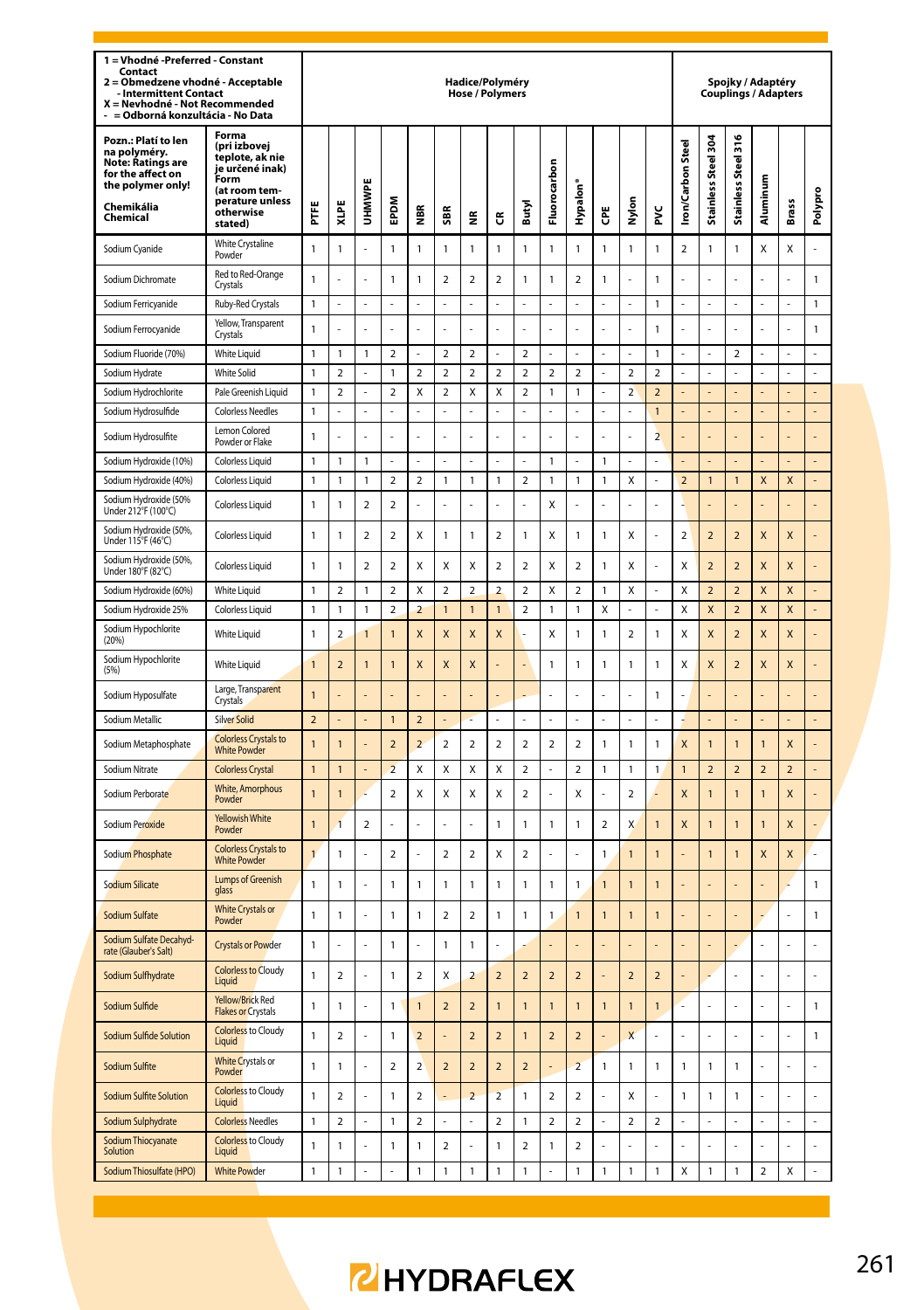| 1 = Vhodné - Preferred - Constant<br>Contact<br>Obmedzene vhodné - Acceptable<br>$\overline{\mathbf{2}}$<br><b>Intermittent Contact</b><br>X = Nevhodné - Not Recommended<br>= Odborná konzultácia - No Data |                                                                                                                                 |                |                          |                         |                          |                          |                          | Hadice/Polyméry<br>Hose / Polymers |                          |                          |                |                         |                |                         |                         |                          |                         | Spojky / Adaptéry<br>Couplings / Adapters |                         |                         |                |
|--------------------------------------------------------------------------------------------------------------------------------------------------------------------------------------------------------------|---------------------------------------------------------------------------------------------------------------------------------|----------------|--------------------------|-------------------------|--------------------------|--------------------------|--------------------------|------------------------------------|--------------------------|--------------------------|----------------|-------------------------|----------------|-------------------------|-------------------------|--------------------------|-------------------------|-------------------------------------------|-------------------------|-------------------------|----------------|
| Pozn.: Platí to len<br>na polyméry.<br>Note: Ratings are<br>for the affect on<br>the polymer only!<br>Chemikália<br>Chemical                                                                                 | Forma<br>(pri izbovej<br>teplote, ak nie<br>je určené inak)<br>Form<br>(at room tem-<br>perature unless<br>otherwise<br>stated) | Ë              | XLPE                     | UHMWPI                  | <b>MGdE</b>              | ã                        | 5BR                      | £                                  | წ                        | Butyl                    | Fluorocarbon   | Hypalon <sup>®</sup>    | ĕ              | Nylon                   | ž                       | <b>Iron/Carbon Steel</b> | Stainless Steel 304     | Stainless Steel 316                       | Aluminum                | Brass                   | Polypro        |
| Sodium Cyanide                                                                                                                                                                                               | White Crystaline<br>Powder                                                                                                      | $\mathbf{1}$   | $\overline{1}$           |                         | $\mathbf{1}$             | 1                        | 1                        | $\mathbf{1}$                       | 1                        | 1                        | $\mathbf{1}$   | 1                       | 1              | $\mathbf{1}$            | 1                       | $\overline{\mathbf{c}}$  | $\mathbf{1}$            | $\mathbf{1}$                              | X                       | Χ                       |                |
| Sodium Dichromate                                                                                                                                                                                            | Red to Red-Orange<br>Crystals                                                                                                   | $\mathbf{1}$   | L                        |                         | $\mathbf{1}$             | 1                        | $\overline{\mathbf{c}}$  | $\boldsymbol{2}$                   | $\mathbf 2$              | 1                        | $\mathbf{1}$   | $\mathbf 2$             | 1              | L.                      | 1                       |                          | L.                      | L.                                        |                         | L.                      | $\mathbf{1}$   |
| Sodium Ferricvanide                                                                                                                                                                                          | Ruby-Red Crystals                                                                                                               | $\overline{1}$ |                          | L                       |                          |                          |                          | L                                  | L                        | L                        | $\overline{a}$ | $\overline{a}$          |                | $\overline{a}$          | 1                       |                          | L                       | L                                         |                         | L                       | $\mathbf{1}$   |
| Sodium Ferrocyanide                                                                                                                                                                                          | Yellow, Transparent<br>Crystals                                                                                                 | $\mathbf{1}$   | L                        | L.                      |                          | L                        | L,                       | L.                                 | L                        | L,                       | L.             | l,                      | L              | L.                      | 1                       |                          | L.                      | L.                                        |                         |                         | $\mathbf{1}$   |
| Sodium Fluoride (70%)                                                                                                                                                                                        | White I jaujd                                                                                                                   | $\mathbf{1}$   | 1                        | $\mathbf{1}$            | $\overline{2}$           |                          | $\overline{a}$           | $\overline{a}$                     |                          | $\overline{a}$           |                |                         |                | L                       | 1                       |                          | l,                      | $\overline{2}$                            |                         | ä,                      | ä,             |
| Sodium Hydrate                                                                                                                                                                                               | <b>White Solid</b>                                                                                                              | $\mathbf{1}$   | $\overline{a}$           |                         | $\mathbf{1}$             | $\overline{a}$           | $\overline{a}$           | $\overline{a}$                     | $\overline{a}$           | $\overline{a}$           | $\overline{a}$ | $\overline{2}$          |                | $\overline{2}$          | $\overline{\mathbf{c}}$ |                          | L                       |                                           |                         | L                       | L              |
| Sodium Hydrochlorite                                                                                                                                                                                         | Pale Greenish Liquid                                                                                                            | $\mathbf{1}$   | $\overline{2}$           |                         | $\overline{2}$           | X                        | $\overline{a}$           | X                                  | Χ                        | $\overline{2}$           | $\mathbf{1}$   | $\mathbf{1}$            |                | $\overline{2}$          | $\overline{2}$          |                          |                         |                                           |                         |                         |                |
| Sodium Hydrosulfide                                                                                                                                                                                          | <b>Colorless Needles</b>                                                                                                        | $\mathbf{1}$   |                          | L                       | L                        |                          | L                        | L                                  | L                        | L                        | $\overline{a}$ | $\overline{a}$          | L              | $\overline{a}$          | $\overline{1}$          |                          | L                       | L,                                        |                         | L                       | $\overline{a}$ |
| Sodium Hydrosulfite                                                                                                                                                                                          | I emon Colored<br>Powder or Flake                                                                                               | $\mathbf{1}$   |                          |                         |                          |                          |                          |                                    |                          |                          |                |                         |                |                         | $\overline{2}$          |                          |                         |                                           |                         |                         |                |
| Sodium Hydroxide (10%)                                                                                                                                                                                       | <b>Colorless Liquid</b>                                                                                                         | $\mathbf{1}$   | 1                        | 1                       |                          |                          |                          |                                    |                          |                          | 1              |                         | 1              |                         |                         |                          |                         |                                           |                         |                         |                |
| Sodium Hydroxide (40%)                                                                                                                                                                                       | <b>Colorless Liquid</b>                                                                                                         | $\overline{1}$ | 1                        | $\mathbf{1}$            | $\mathfrak{p}$           | $\overline{\phantom{a}}$ | 1                        | $\mathbf{1}$                       | $\mathbf{1}$             | $\overline{\phantom{a}}$ | 1              | $\mathbf{1}$            | $\mathbf{1}$   | X                       | $\overline{a}$          | $\overline{\phantom{0}}$ | $\overline{1}$          | $\overline{1}$                            | X                       | $\mathsf{x}$            |                |
| Sodium Hydroxide (50%<br>Under 212°F (100°C)                                                                                                                                                                 | Colorless Liquid                                                                                                                | $\mathbf{1}$   | 1                        | $\overline{a}$          | $\overline{\mathbf{c}}$  | L                        | l,                       | ÷,                                 | $\overline{a}$           | l,                       | X              | $\overline{a}$          | ł              | ÷,                      | $\overline{a}$          |                          | l,                      | ÷,                                        |                         | L,                      | ÷,             |
| Sodium Hydroxide (50%,<br>Under 115°F (46°C)                                                                                                                                                                 | Colorless Liquid                                                                                                                | $\mathbf{1}$   | 1                        | $\overline{a}$          | $\overline{\mathbf{c}}$  | X                        | 1                        | 1                                  | $\overline{\mathbf{c}}$  | 1                        | X              | 1                       | 1              | X                       | l,                      | $\overline{2}$           | $\overline{2}$          | $\overline{2}$                            | X                       | X                       |                |
| Sodium Hydroxide (50%,<br>Under 180°F (82°C)                                                                                                                                                                 | <b>Colorless Liquid</b>                                                                                                         | 1              | 1                        | $\overline{\mathbf{c}}$ | 2                        | Χ                        | X                        | X                                  | 2                        | $\overline{\mathbf{c}}$  | X              | 2                       | 1              | X                       | J,                      | X                        | $\overline{\mathbf{c}}$ | $\overline{\mathbf{c}}$                   | X                       | X                       |                |
| Sodium Hydroxide (60%)                                                                                                                                                                                       | <b>White Liquid</b>                                                                                                             | $\mathbf{1}$   | $\overline{2}$           | 1                       | $\overline{2}$           | X                        | $\overline{2}$           | $\overline{a}$                     | $\overline{a}$           | $\overline{a}$           | X              | $\overline{\mathbf{c}}$ | 1              | X                       |                         | X                        | $\overline{a}$          | $\overline{a}$                            | X                       | X                       |                |
| Sodium Hydroxide 25%                                                                                                                                                                                         | <b>Colorless Liquid</b>                                                                                                         | $\overline{1}$ | 1                        | 1                       | $\overline{\phantom{a}}$ | $\overline{a}$           | $\ddot{\phantom{a}}$     | $\mathbf{1}$                       | $\mathbf{1}$             | $\overline{\phantom{a}}$ | 1              | $\mathbf{1}$            | X              | L                       | $\overline{a}$          | $\mathsf{x}$             | $\overline{\mathsf{x}}$ | $\overline{2}$                            | $\overline{\mathsf{x}}$ | $\overline{\mathsf{x}}$ | L.             |
| Sodium Hypochlorite<br>(20%)                                                                                                                                                                                 | White Liquid                                                                                                                    | $\mathbf{1}$   | $\overline{\mathbf{c}}$  |                         | $\mathbf{1}$             | X                        | X                        | X                                  | X                        |                          | Χ              | 1                       | 1              | $\overline{\mathbf{c}}$ | 1                       | X                        | X                       | $\mathbf 2$                               | X                       | X                       |                |
| Sodium Hypochlorite<br>(5%)                                                                                                                                                                                  | White Liquid                                                                                                                    | $\overline{1}$ | $\overline{2}$           | $\overline{1}$          | $\overline{1}$           | X                        | X                        | X                                  | l,                       | ä,                       | $\mathbf{1}$   | 1                       | 1              | 1                       | 1                       | X                        | X                       | $\overline{\mathbf{c}}$                   | X                       | X                       | ä,             |
| Sodium Hyposulfate                                                                                                                                                                                           | Large, Transparent<br>Crystals                                                                                                  | $\overline{1}$ |                          |                         |                          |                          |                          |                                    | L,                       |                          | L.             | L                       | J.             |                         | 1                       |                          |                         |                                           |                         |                         | ä,             |
| Sodium Metallic                                                                                                                                                                                              | <b>Silver Solid</b>                                                                                                             | $\overline{2}$ |                          |                         | $\mathbf{1}$             | $\overline{2}$           |                          |                                    |                          |                          |                |                         |                |                         |                         |                          |                         |                                           |                         |                         |                |
| Sodium Metaphosphate                                                                                                                                                                                         | <b>Colorless Crystals to</b><br><b>White Powder</b>                                                                             | $\overline{1}$ | $\overline{1}$           |                         | $\overline{2}$           | $\overline{2}$           | $\overline{\mathbf{c}}$  | $\overline{\mathbf{c}}$            | $\overline{\mathbf{c}}$  | $\overline{2}$           | $\overline{2}$ | $\overline{2}$          | 1              | $\mathbf{1}$            | 1                       | X                        | $\overline{1}$          | $\overline{1}$                            | $\mathbf{1}$            | $\overline{\mathsf{x}}$ | L.             |
| Sodium Nitrate                                                                                                                                                                                               | <b>Colorless Crystal</b>                                                                                                        | $\mathbf{1}$   | $\overline{1}$           |                         | $\overline{2}$           | X                        | X                        | X                                  | X                        | $\overline{\mathbf{c}}$  | ÷,             | $\overline{\mathbf{c}}$ | 1              | $\mathbf{1}$            | 1                       | $\overline{1}$           | $\overline{2}$          | $\overline{2}$                            | $\overline{a}$          | $\overline{2}$          | L,             |
| Sodium Perborate                                                                                                                                                                                             | White, Amorphous<br>Powder                                                                                                      | $\mathbf{1}$   | $\overline{1}$           |                         | $\overline{\mathbf{2}}$  | X                        | X                        | X                                  | X                        | $\overline{2}$           | ä,             | X                       | J,             | $\overline{\mathbf{c}}$ |                         | X                        | $\mathbf{1}$            | $\overline{1}$                            | $\mathbf{1}$            | X                       | L.             |
| Sodium Peroxide                                                                                                                                                                                              | Yellowish White<br>Powder                                                                                                       | $\overline{1}$ | $\overline{1}$           | $\overline{2}$          | ä,                       | í,                       | ä,                       | ä,                                 | 1                        | 1                        | $\mathbf{1}$   | 1                       | $\overline{2}$ | X                       | $\overline{1}$          | X                        | $\overline{1}$          | $\overline{1}$                            | $\mathbf{1}$            | X                       | ä,             |
| Sodium Phosphate                                                                                                                                                                                             | <b>Colorless Crystals to</b><br><b>White Powder</b>                                                                             | $\overline{1}$ | 1                        |                         | $\mathfrak{p}$           | Į,                       | $\overline{\phantom{a}}$ | $\mathfrak{p}$                     | X                        | $\mathfrak{p}$           | ä,             | Į,                      | 1              | $\mathbf{1}$            | $\mathbf{1}$            |                          | $\mathbf{1}$            | $\mathbf{1}$                              | X                       | $\overline{\mathsf{x}}$ | ä,             |
| <b>Sodium Silicate</b>                                                                                                                                                                                       | <b>Lumps of Greenish</b><br>glass                                                                                               | $\mathbf{1}$   | 1                        |                         | $\mathbf{1}$             | 1                        | 1                        | $\mathbf{1}$                       | 1                        | 1                        | $\mathbf{1}$   | 1                       | 1              | $\mathbf{1}$            | $\mathbf{1}$            |                          |                         |                                           |                         |                         | $\mathbf{1}$   |
| Sodium Sulfate                                                                                                                                                                                               | <b>White Crystals or</b><br>Powder                                                                                              | $\overline{1}$ | 1                        |                         | $\mathbf{1}$             | 1                        | $\overline{\phantom{a}}$ | $\mathfrak{p}$                     | 1                        | 1                        | 1              | $\mathbf{1}$            | 1              | $\mathbf{1}$            | $\mathbf{1}$            |                          |                         |                                           |                         |                         | $\mathbf{1}$   |
| Sodium Sulfate Decahyd-<br>rate (Glauber's Salt)                                                                                                                                                             | <b>Crystals or Powder</b>                                                                                                       | $\mathbf{1}$   |                          |                         | $\mathbf{1}$             |                          | 1                        | $\mathbf{1}$                       |                          |                          |                |                         |                |                         |                         |                          |                         |                                           |                         |                         |                |
| Sodium Sulfhydrate                                                                                                                                                                                           | <b>Colorless to Cloudy</b><br>Liquid                                                                                            | $\mathbf{1}$   | $\overline{2}$           |                         | $\mathbf{1}$             | $\overline{a}$           | X                        | $\overline{a}$                     | $\overline{2}$           | $\overline{a}$           | $\overline{2}$ | $\overline{a}$          |                | $\overline{2}$          | $\overline{a}$          |                          |                         |                                           |                         |                         |                |
| Sodium Sulfide                                                                                                                                                                                               | Yellow/Brick Red<br><b>Flakes or Crystals</b>                                                                                   | $\mathbf{1}$   | 1                        |                         | $\mathbf{1}$             | $\mathbf{1}$             | $\overline{a}$           | $\overline{a}$                     | $\mathbf{1}$             | $\mathbf{1}$             | $\mathbf{1}$   | 1                       | 1              | $\mathbf{1}$            | $\overline{1}$          |                          |                         |                                           |                         |                         | $\mathbf{1}$   |
| Sodium Sulfide Solution                                                                                                                                                                                      | <b>Colorless to Cloudy</b><br>Liquid                                                                                            | $\mathbf{1}$   | $\overline{a}$           |                         | $\mathbf{1}$             | $\overline{2}$           |                          | $\overline{a}$                     | $\overline{a}$           | $\overline{1}$           | $\overline{2}$ | $\overline{a}$          |                | $\mathsf{x}$            |                         |                          |                         |                                           |                         |                         | $\mathbf{1}$   |
| Sodium Sulfite                                                                                                                                                                                               | <b>White Crystals or</b><br>Powder                                                                                              | $\mathbf{1}$   | $\overline{1}$           |                         | $\overline{2}$           | $\overline{2}$           | $\overline{a}$           | $\overline{a}$                     | $\overline{2}$           | $\overline{a}$           |                | $\overline{a}$          | $\mathbf{1}$   | 1                       | 1                       | $\mathbf{1}$             | $\mathbf{1}$            | $\mathbf{1}$                              |                         | $\overline{a}$          | l,             |
| Sodium Sulfite Solution                                                                                                                                                                                      | <b>Colorless to Cloudy</b><br>Liquid                                                                                            | $\mathbf{1}$   | $\overline{\mathbf{c}}$  |                         | $\mathbf{1}$             | $\overline{\mathbf{c}}$  |                          | $\overline{a}$                     | $\overline{2}$           | 1                        | $\overline{2}$ | $\mathbf 2$             |                | X                       |                         | 1                        | $\mathbf{1}$            | $\mathbf{1}$                              |                         |                         | l,             |
| Sodium Sulphydrate                                                                                                                                                                                           | <b>Colorless Needles</b>                                                                                                        | $\overline{1}$ | $\overline{\phantom{a}}$ | L                       | $\overline{1}$           | $\overline{\phantom{a}}$ | L                        |                                    | $\overline{\phantom{a}}$ | $\mathbf{1}$             | $\mathfrak{p}$ | $\mathfrak{p}$          |                | $\mathfrak{p}$          | $\mathfrak{p}$          |                          | L                       | L                                         |                         | L                       | $\overline{a}$ |
| Sodium Thiocyanate<br>Solution                                                                                                                                                                               | <b>Colorless to Cloudy</b><br>Liquid                                                                                            | $\mathbf{1}$   | $\overline{1}$           | l,                      | $\mathbf{1}$             | 1                        | $\overline{\mathbf{c}}$  | ÷,                                 | 1                        | $\overline{\mathbf{c}}$  | $\mathbf{1}$   | $\overline{\mathbf{c}}$ | Ļ              | $\overline{a}$          | $\overline{a}$          | $\overline{a}$           | l,                      | ÷,                                        | $\overline{a}$          | l,                      | ÷,             |
| Sodium Thiosulfate (HPO)                                                                                                                                                                                     | <b>White Powder</b>                                                                                                             | $\mathbf{1}$   | 1                        |                         | $\overline{a}$           | 1                        | 1                        | $\mathbf{1}$                       | 1                        | 1                        | $\overline{a}$ | $\mathbf{1}$            | 1              | $\mathbf{1}$            | 1                       | X                        | $\mathbf{1}$            | $\mathbf{1}$                              | $\overline{a}$          | X                       |                |

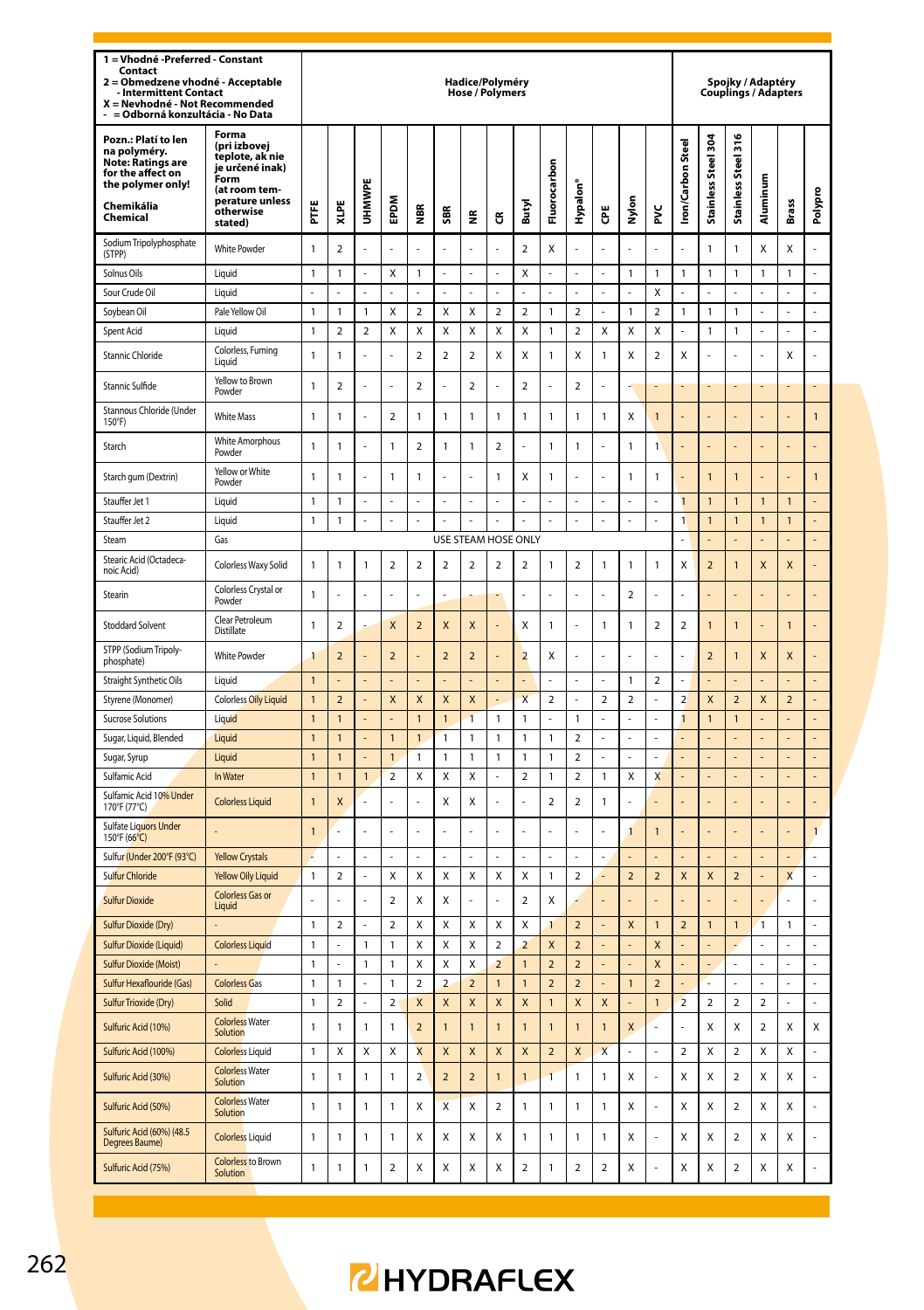| 1 = Vhodné -Preferred - Constant<br>Contact<br>Obmedzene vhodné - Acceptable<br>$\overline{\mathbf{z}}$<br><b>Intermittent Contact</b><br>X = Nevhodné - Not Recommended<br>= Odborná konzultácia - No Data |                                                                                                                                 |                                |                         |                |                         |                          |                           | Hadice/Polyméry<br><b>Hose / Polymers</b> |                         |                          |                              |                                           |                          |                |                          |                          |                     |                          | Spojky / Adaptéry<br><b>Couplings / Adapters</b> |                         |                |
|-------------------------------------------------------------------------------------------------------------------------------------------------------------------------------------------------------------|---------------------------------------------------------------------------------------------------------------------------------|--------------------------------|-------------------------|----------------|-------------------------|--------------------------|---------------------------|-------------------------------------------|-------------------------|--------------------------|------------------------------|-------------------------------------------|--------------------------|----------------|--------------------------|--------------------------|---------------------|--------------------------|--------------------------------------------------|-------------------------|----------------|
| Pozn.: Platí to len<br>na polyméry.<br><b>Note: Ratings are</b><br>for the affect on<br>the polymer only!<br>Chemikália<br>Chemical                                                                         | Forma<br>(pri izbovej<br>teplote, ak nie<br>je určené inak)<br>Form<br>(at room tem-<br>perature unless<br>otherwise<br>stated) | Ë                              | XLPE                    | UHMWPI         | EPDM                    | €                        | SBR                       | €                                         | ű                       | Butyl                    | Fluorocarbon                 | Hypalon                                   | Ğ                        | Nylon          | ž                        | Iron/Carbon Steel        | Stainless Steel 304 | Stainless Steel 316      | Aluminum                                         | <b>Brass</b>            | Polypro        |
| Sodium Tripolyphosphate<br>(STPP)                                                                                                                                                                           | <b>White Powder</b>                                                                                                             | $\mathbf{1}$                   | $\overline{2}$          | l,             |                         |                          | ÷,                        | l,                                        |                         | $\overline{a}$           | X                            | Ļ                                         |                          |                |                          |                          | $\mathbf{1}$        | 1                        | X                                                | Χ                       |                |
| Solnus Oils                                                                                                                                                                                                 | Liquid                                                                                                                          | $\mathbf{1}$                   | 1                       | ä,             | Χ                       | 1                        | ä,                        | ä,                                        | L                       | Χ                        | L.                           | L                                         | ÷,                       | $\mathbf{1}$   | 1                        | $\mathbf{1}$             | 1                   | 1                        | $\mathbf{1}$                                     | 1                       | L              |
| Sour Crude Oil                                                                                                                                                                                              | Liquid                                                                                                                          | $\overline{a}$                 |                         | ÷              | ÷                       |                          | ÷                         | $\overline{a}$                            |                         |                          | $\overline{a}$               |                                           | ÷                        | $\overline{a}$ | X                        |                          | L.                  |                          |                                                  | L.                      | L              |
| Soybean Oil                                                                                                                                                                                                 | Pale Yellow Oil                                                                                                                 | $\mathbf{1}$                   | 1                       | $\mathbf{1}$   | Χ                       | $\overline{\mathbf{c}}$  | X                         | Χ                                         | $\overline{\mathbf{2}}$ | $\overline{\mathbf{c}}$  | $\mathbf{1}$                 | 2                                         | J.                       | $\mathbf{1}$   | $\overline{\mathbf{c}}$  | $\mathbf{1}$             | 1                   | 1                        | ä,                                               | L                       | L              |
| Spent Acid                                                                                                                                                                                                  | Liquid                                                                                                                          | $\mathbf{1}$                   | 2                       | $\overline{2}$ | Χ                       | Χ                        | X                         | Χ                                         | Χ                       | Χ                        | $\mathbf{1}$                 | 2                                         | Χ                        | Χ              | Χ                        |                          | 1                   | 1                        | J.                                               | L.                      | L,             |
| Stannic Chloride                                                                                                                                                                                            | Colorless, Fuming<br>Liquid                                                                                                     | $\mathbf{1}$                   | $\mathbf{1}$            | l,             | $\overline{a}$          | $\overline{\phantom{a}}$ | $\overline{\phantom{a}}$  | $\mathfrak{p}$                            | X                       | X                        | $\mathbf{1}$                 | X                                         | $\overline{1}$           | X              | $\overline{\phantom{a}}$ | X                        | $\overline{a}$      | l,                       |                                                  | X                       | L              |
| Stannic Sulfide                                                                                                                                                                                             | Yellow to Brown<br>Powder                                                                                                       | $\mathbf{1}$                   | $\mathfrak{p}$          | l,             | $\overline{a}$          | $\mathfrak{p}$           |                           | $\overline{\phantom{a}}$                  | l,                      | $\overline{\phantom{a}}$ | L                            | $\overline{\phantom{a}}$                  |                          | ă,             |                          |                          |                     |                          |                                                  |                         |                |
| Stannous Chloride (Under<br>150°F)                                                                                                                                                                          | <b>White Mass</b>                                                                                                               | 1                              | 1                       |                | $\mathbf 2$             | 1                        | $\mathbf{1}$              | $\mathbf{1}$                              | 1                       | $\mathbf{1}$             | $\mathbf{1}$                 | 1                                         | $\mathbf{1}$             | Χ              | $\mathbf{1}$             |                          |                     |                          |                                                  |                         | 1              |
| Starch                                                                                                                                                                                                      | White Amorphous<br>Powder                                                                                                       | 1                              | 1                       | l,             | $\mathbf{1}$            | $\overline{\mathbf{c}}$  | $\mathbf{1}$              | $\mathbf{1}$                              | 2                       |                          | $\mathbf{1}$                 | 1                                         |                          | $\mathbf{1}$   | 1                        |                          |                     |                          |                                                  |                         |                |
| Starch gum (Dextrin)                                                                                                                                                                                        | Yellow or White<br>Powder                                                                                                       | $\mathbf{1}$                   | 1                       |                | $\mathbf{1}$            | 1                        |                           |                                           | 1                       | Χ                        | $\mathbf{1}$                 |                                           |                          | $\mathbf{1}$   | 1                        |                          | $\mathbf{1}$        | 1                        |                                                  |                         | $\mathbf{1}$   |
| Stauffer Jet 1                                                                                                                                                                                              | Liquid                                                                                                                          | 1                              | 1                       | ÷.             | ż                       | J,                       | ÷.                        | L.                                        | l,                      | ÷.                       | L.                           |                                           | J.                       | J.             | í.                       | $\overline{1}$           | $\overline{1}$      | 1                        | $\overline{1}$                                   | $\overline{1}$          |                |
| Stauffer Jet 2                                                                                                                                                                                              | Liquid                                                                                                                          | $\mathbf{1}$                   | 1                       | t,             | L.                      | ÷,                       | J.                        | ä,                                        | L.                      | ä,                       | ä,                           | L                                         | J.                       | ä,             | í,                       | $\mathbf{1}$             | $\overline{1}$      | 1                        | $\overline{1}$                                   | $\overline{1}$          | L              |
| Steam                                                                                                                                                                                                       | Gas                                                                                                                             |                                |                         |                |                         |                          | USE STEAM HOSE            |                                           |                         | <b>ONLY</b>              |                              |                                           |                          |                |                          | ż                        | ä,                  |                          |                                                  |                         |                |
| Stearic Acid (Octadeca-<br>noic Acid)                                                                                                                                                                       | Colorless Waxy Solid                                                                                                            | 1                              | $\mathbf{1}$            | $\mathbf{1}$   | $\overline{2}$          | $\overline{2}$           | $\overline{a}$            | $\overline{2}$                            | $\overline{2}$          | $\overline{a}$           | $\mathbf{1}$                 | $\overline{2}$                            | $\mathbf{1}$             | $\mathbf{1}$   | 1                        | X                        | $\overline{a}$      | 1                        | X                                                | X                       |                |
| Stearin                                                                                                                                                                                                     | Colorless Crystal or<br>Powder                                                                                                  | 1                              |                         | l,             | ı                       |                          | Í,                        |                                           |                         |                          | l,                           |                                           |                          | $\overline{a}$ | l                        |                          |                     |                          |                                                  |                         |                |
| <b>Stoddard Solvent</b>                                                                                                                                                                                     | Clear Petroleum<br>Distillate                                                                                                   | $\mathbf{1}$                   | $\overline{a}$          |                | X                       | $\overline{a}$           | $\mathsf{x}$              | X                                         |                         | X                        | $\mathbf{1}$                 | J                                         | $\mathbf{1}$             | $\mathbf{1}$   | $\overline{\mathbf{c}}$  | $\overline{a}$           | $\mathbf{1}$        | 1                        |                                                  | $\mathbf{1}$            |                |
| STPP (Sodium Tripoly-<br>phosphate)                                                                                                                                                                         | <b>White Powder</b>                                                                                                             | 1                              | $\overline{a}$          |                | $\overline{a}$          |                          | $\overline{2}$            | $\overline{2}$                            |                         | $\overline{2}$           | Χ                            |                                           |                          |                |                          |                          | $\overline{a}$      | 1                        | X                                                | X                       |                |
| Straight Synthetic Oils                                                                                                                                                                                     | Liquid                                                                                                                          | $\overline{1}$                 |                         |                |                         |                          |                           |                                           |                         |                          |                              |                                           |                          | $\mathbf{1}$   | $\overline{\phantom{a}}$ |                          |                     |                          |                                                  |                         | $\overline{a}$ |
| Styrene (Monomer)                                                                                                                                                                                           | <b>Colorless Oily Liquid</b>                                                                                                    | $\mathbf{1}$                   | $\overline{\mathbf{c}}$ |                | X                       | X                        | $\mathsf{x}$              | $\mathsf{x}$                              |                         | $\overline{\mathsf{x}}$  | $\mathbf 2$                  |                                           | $\overline{\phantom{a}}$ | $\mathfrak{p}$ |                          | $\overline{\phantom{0}}$ | X                   | $\overline{\phantom{0}}$ | X                                                | $\overline{\mathbf{c}}$ |                |
| Sucrose Solutions                                                                                                                                                                                           | Liquid                                                                                                                          | $\mathbf{1}$                   | $\overline{1}$          | L,             | L.                      | $\overline{1}$           | $\overline{1}$            | $\overline{1}$                            | $\mathbf{1}$            | $\mathbf{1}$             | L                            | 1                                         | l,                       | L,             |                          | 1                        | $\overline{1}$      | $\overline{1}$           | l,                                               |                         | $\overline{a}$ |
| Sugar, Liquid, Blended                                                                                                                                                                                      | Liquid                                                                                                                          | $\overline{1}$                 | $\overline{1}$          |                | $\mathbf{1}$            | 1                        | 1                         | $\mathbf{1}$                              | $\overline{1}$          | 1                        | $\mathbf{1}$                 | $\overline{\phantom{a}}$                  |                          | L.             |                          |                          |                     |                          |                                                  |                         |                |
| Sugar, Syrup                                                                                                                                                                                                | Liquid                                                                                                                          | $\overline{1}$                 | $\overline{1}$          |                | $\overline{1}$          | $\mathbf{1}$             | $\overline{1}$            | $\overline{1}$                            | $\overline{1}$          | $\overline{1}$           | $\overline{1}$               | $\mathfrak{p}$                            |                          | L              |                          |                          |                     |                          |                                                  | ä,                      |                |
| Sulfamic Acid<br>Sulfamic Acid 10% Under                                                                                                                                                                    | In Water<br><b>Colorless Liquid</b>                                                                                             | $\overline{1}$<br>$\mathbf{1}$ | $\overline{1}$<br>X     | $\overline{1}$ | $\mathfrak{p}$<br>L.    | X<br>L                   | X<br>X                    | X<br>Χ                                    | $\overline{a}$          | $\mathfrak{p}$<br>J.     | 1<br>$\overline{\mathbf{c}}$ | $\mathfrak{p}$<br>$\overline{\mathbf{c}}$ | 1<br>1                   | X<br>L.        | X                        |                          | L                   | l                        |                                                  | L                       | l,             |
| 170°F (77°C)<br>Sulfate Liquors Under                                                                                                                                                                       |                                                                                                                                 | $\mathbf{1}$                   | L                       | L.             | L.                      | L                        | L.                        | L.                                        | L                       | J.                       | L.                           | J                                         |                          | 1              | $\mathbf{1}$             |                          | L                   | l                        |                                                  | L                       | $\mathbf{1}$   |
| 150°F (66°C)                                                                                                                                                                                                |                                                                                                                                 |                                |                         |                |                         |                          |                           |                                           |                         |                          |                              | L                                         |                          |                |                          |                          |                     |                          |                                                  |                         | L              |
| Sulfur (Under 200°F (93°C)<br>Sulfur Chloride                                                                                                                                                               | <b>Yellow Crystals</b><br><b>Yellow Oily Liquid</b>                                                                             | $\mathbf{1}$                   | $\overline{2}$          |                | Χ                       | X                        | X                         | X                                         | X                       | X                        | $\mathbf{1}$                 | $\overline{2}$                            |                          | $\overline{2}$ | $\overline{\phantom{a}}$ | $\mathsf{x}$             | $\mathsf{x}$        | $\overline{\phantom{0}}$ |                                                  | $\mathsf{x}$            | L              |
| <b>Sulfur Dioxide</b>                                                                                                                                                                                       | <b>Colorless Gas or</b><br>Liquid                                                                                               | L.                             |                         |                | $\overline{\mathbf{c}}$ | Χ                        | X                         | L.                                        |                         | $\overline{\phantom{a}}$ | Χ                            |                                           |                          |                |                          |                          |                     |                          |                                                  | L.                      | l              |
| Sulfur Dioxide (Dry)                                                                                                                                                                                        |                                                                                                                                 | $\mathbf{1}$                   | $\overline{2}$          | L,             | $\overline{a}$          | X                        | X                         | X                                         | X                       | X                        | $\mathbf{1}$                 | $\overline{2}$                            | l,                       | X              | $\mathbf{1}$             | $\overline{a}$           | $\mathbf{1}$        | $\mathbf{1}$             | $\mathbf{1}$                                     | $\mathbf{1}$            | $\overline{a}$ |
| Sulfur Dioxide (Liquid)                                                                                                                                                                                     | <b>Colorless Liquid</b>                                                                                                         | $\mathbf{1}$                   |                         | 1              | 1                       | X                        | X                         | X                                         | $\mathfrak{p}$          | $\overline{\phantom{a}}$ | X                            | $\overline{\phantom{0}}$                  |                          |                | X                        |                          |                     |                          |                                                  |                         |                |
| <b>Sulfur Dioxide (Moist)</b>                                                                                                                                                                               |                                                                                                                                 | $\mathbf{1}$                   |                         | 1              | $\mathbf{1}$            | x                        | $\overline{\mathsf{x}}$   | $\mathsf{x}$                              | $\overline{2}$          | $\overline{1}$           | $\overline{\phantom{0}}$     | $\overline{\phantom{0}}$                  |                          | L,             | $\overline{\mathsf{x}}$  |                          | L,                  |                          | l,                                               | $\overline{a}$          |                |
| Sulfur Hexaflouride (Gas)                                                                                                                                                                                   | <b>Colorless Gas</b>                                                                                                            | 1                              | 1                       |                | 1                       | $\overline{a}$           | $\overline{\phantom{a}}$  | $\overline{\phantom{0}}$                  | $\overline{1}$          | 1                        | $\overline{\phantom{0}}$     | $\overline{\phantom{0}}$                  |                          | $\mathbf{1}$   | $\overline{\phantom{a}}$ |                          |                     |                          |                                                  | ä,                      |                |
| Sulfur Trioxide (Dry)                                                                                                                                                                                       | Solid                                                                                                                           | $\mathbf{1}$                   | $\mathcal{L}$           | L.             | $\mathfrak{p}$          | $\mathsf{x}$             | $\boldsymbol{\mathsf{x}}$ | $\overline{\mathsf{x}}$                   | $\overline{\mathsf{x}}$ | $\mathsf{x}$             | $\overline{1}$               | $\overline{\mathsf{x}}$                   | $\mathsf{x}$             | L.             | $\overline{1}$           | $\overline{2}$           | $\mathfrak{p}$      | $\overline{\phantom{a}}$ | $\overline{2}$                                   | $\overline{a}$          | L              |
| Sulfuric Acid (10%)                                                                                                                                                                                         | <b>Colorless Water</b><br>Solution                                                                                              | 1                              | 1                       | 1              | 1                       | $\overline{\mathbf{c}}$  | $\mathbf{1}$              | $\mathbf{1}$                              | 1                       | $\mathbf{1}$             | $\mathbf{1}$                 | $\overline{1}$                            | $\mathbf{1}$             | X              | í                        |                          | Χ                   | Χ                        | $\mathbf 2$                                      | Χ                       | X              |
| Sulfuric Acid (100%)                                                                                                                                                                                        | <b>Colorless Liquid</b>                                                                                                         | $\mathbf{1}$                   | X                       | X              | X                       | $\overline{\mathsf{x}}$  | $\overline{\mathsf{x}}$   | $\overline{\mathsf{x}}$                   | X                       | $\overline{\mathsf{x}}$  | $\overline{2}$               | X                                         | $\mathbf{x}$             | ÷.             |                          | $\mathcal{L}$            | X                   | $\overline{ }$           | X                                                | X                       |                |
| Sulfuric Acid (30%)                                                                                                                                                                                         | <b>Colorless Water</b><br>Solution                                                                                              | $\mathbf{1}$                   | $\mathbf{1}$            | $\mathbf{1}$   | $\mathbf{1}$            | $\overline{\mathbf{c}}$  | $\overline{2}$            | $\overline{a}$                            | $\overline{1}$          | $\mathbf{1}$             | $\overline{1}$               | 1                                         | $\mathbf{1}$             | Χ              | $\overline{a}$           | X                        | X                   | $\overline{\mathbf{c}}$  | Χ                                                | X                       | Ļ              |
| Sulfuric Acid (50%)                                                                                                                                                                                         | <b>Colorless Water</b><br>Solution                                                                                              | $\mathbf{1}$                   | 1                       | $\mathbf{1}$   | $\mathbf{1}$            | Χ                        | X                         | Χ                                         | $\overline{\mathbf{2}}$ | $\mathbf{1}$             | $\mathbf{1}$                 | 1                                         | $\mathbf{1}$             | X              |                          | X                        | Χ                   | $\overline{\mathbf{c}}$  | Χ                                                | Χ                       | L              |
| <b>Sulfuric Acid (60%) (48.5</b><br>Degrees Baume)                                                                                                                                                          | <b>Colorless Liquid</b>                                                                                                         | $\mathbf{1}$                   | 1                       | $\mathbf{1}$   | $\mathbf{1}$            | Χ                        | X                         | Χ                                         | X                       | $\mathbf{1}$             | $\mathbf{1}$                 | 1                                         | $\mathbf{1}$             | X              |                          | X                        | Χ                   | $\overline{a}$           | Χ                                                | Χ                       | L              |
| Sulfuric Acid (75%)                                                                                                                                                                                         | <b>Colorless</b> to Brown<br>Solution                                                                                           | $\mathbf{1}$                   | 1                       | $\mathbf{1}$   | $\overline{2}$          | Χ                        | X                         | Χ                                         | Χ                       | $\overline{2}$           | $\mathbf{1}$                 | 2                                         | $\overline{2}$           | X              |                          | X                        | Χ                   | 2                        | Χ                                                | Χ                       |                |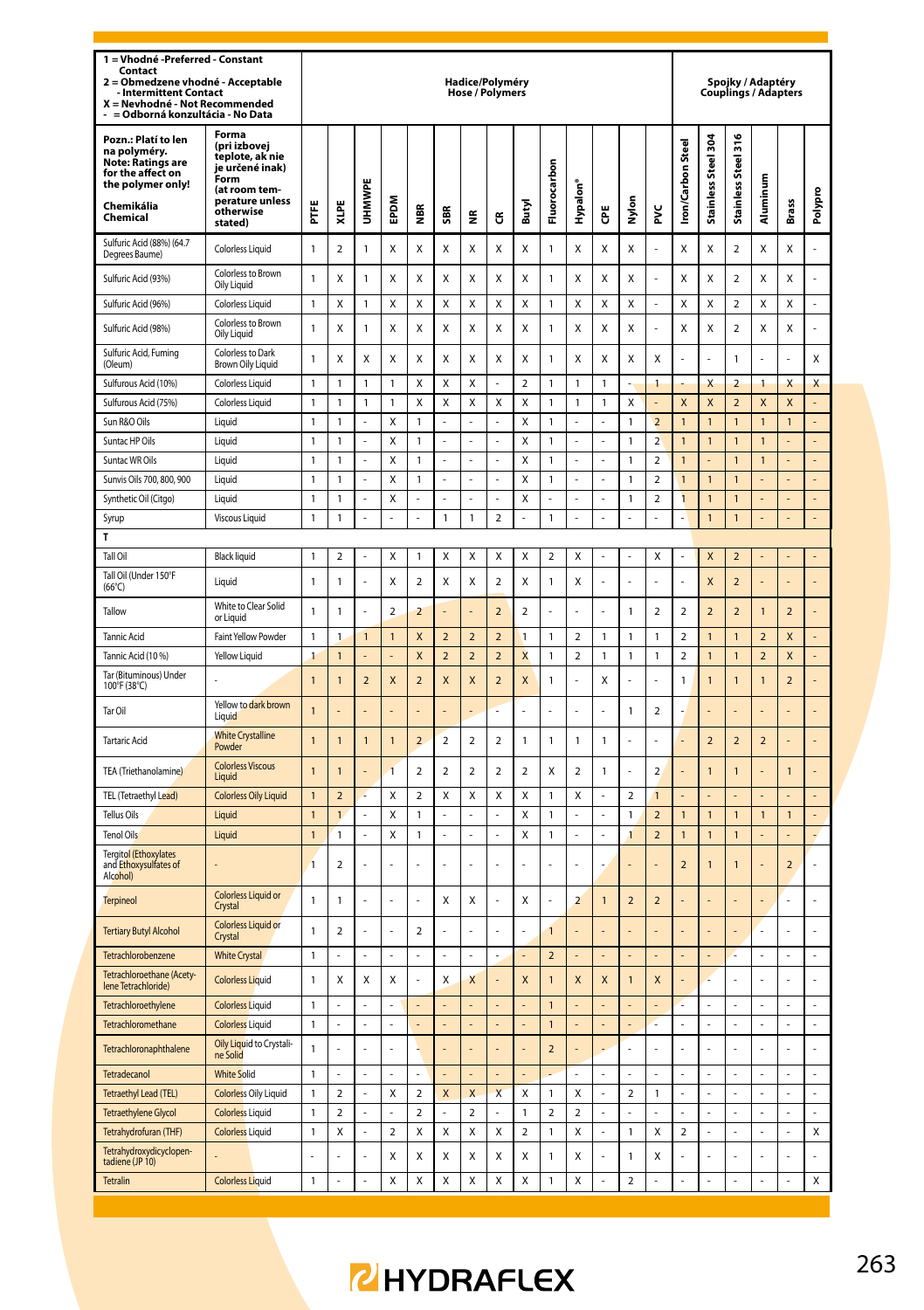| 1 = Vhodné -Preferred - Constant<br>Contact<br>= Obmedzene vhodné - Acceptable<br>$\overline{\mathbf{z}}$<br>- Intermittent Contact<br>X = Nevhodné - Not Recommended<br>= Odborná konzultácia - No Data |                                                                                                                                 |                              |                         |                |                |                          |                         | Hadice/Polyméry<br><b>Hose / Polymers</b> |                               |                         |                         |                         |                |                          |                               |                         |                                |                              | Spojky / Adaptéry       | <b>Couplings / Adapters</b> |          |
|----------------------------------------------------------------------------------------------------------------------------------------------------------------------------------------------------------|---------------------------------------------------------------------------------------------------------------------------------|------------------------------|-------------------------|----------------|----------------|--------------------------|-------------------------|-------------------------------------------|-------------------------------|-------------------------|-------------------------|-------------------------|----------------|--------------------------|-------------------------------|-------------------------|--------------------------------|------------------------------|-------------------------|-----------------------------|----------|
| Pozn.: Platí to len<br>na polyméry.<br><b>Note: Ratings are</b><br>for the affect on<br>the polymer only!<br>Chemikália<br>Chemical                                                                      | Forma<br>(pri izbovej<br>teplote, ak nie<br>je určené inak)<br>Form<br>(at room tem-<br>perature unless<br>otherwise<br>stated) | Ë                            | XLPE                    | UHMWPE         | <b>MGdE</b>    | les                      | SBR                     | ž                                         | G                             | Butyl                   | Fluorocarbon            | Hypalon <sup>®</sup>    | ĕ              | Nylon                    | ž                             | Iron/Carbon Steel       | Stainless Steel 304            | Stainless Steel 316          | Aluminum                | Brass                       | Polypro  |
| Sulfuric Acid (88%) (64.7<br>Degrees Baume)                                                                                                                                                              | Colorless Liquid                                                                                                                | 1                            | $\overline{\mathbf{c}}$ | 1              | X              | Χ                        | Χ                       | Χ                                         | Χ                             | Χ                       | $\mathbf{1}$            | Χ                       | Χ              | х                        |                               | Χ                       | Χ                              | $\overline{2}$               | Χ                       | Χ                           |          |
| Sulfuric Acid (93%)                                                                                                                                                                                      | Colorless to Brown<br>Oily Liquid                                                                                               | 1                            | х                       | 1              | Χ              | χ                        | х                       | Χ                                         | Χ                             | Χ                       | 1                       | Χ                       | Χ              | х                        |                               | Χ                       | х                              | $\overline{\mathbf{2}}$      | Χ                       | х                           |          |
| Sulfuric Acid (96%)                                                                                                                                                                                      | Colorless Liquid                                                                                                                | 1                            | Χ                       | 1              | X              | Χ                        | Χ                       | х                                         | X                             | Χ                       | $\mathbf{1}$            | Χ                       | X              | х                        | ٠                             | Χ                       | х                              | $\overline{2}$               | Χ                       | X                           | ÷.       |
| Sulfuric Acid (98%)                                                                                                                                                                                      | Colorless to Brown<br>Oily Liquid                                                                                               | 1                            | χ                       | 1              | Χ              | χ                        | Χ                       | х                                         | Χ                             | Χ                       | 1                       | Χ                       | Χ              | х                        |                               | Χ                       | χ                              | 2                            | Χ                       | χ                           |          |
| Sulfuric Acid, Fuming<br>(Oleum)                                                                                                                                                                         | Colorless to Dark<br>Brown Oily Liquid                                                                                          | $\mathbf{1}$                 | Χ                       | х              | Χ              | χ                        | Χ                       | Χ                                         | Χ                             | Χ                       | 1                       | Χ                       | Χ              | X                        | Χ                             |                         |                                | 1                            |                         |                             | Χ        |
| Sulfurous Acid (10%)                                                                                                                                                                                     | Colorless Liquid                                                                                                                | 1                            | 1                       | 1              | 1              | Χ                        | Χ                       | х                                         | ÷                             | $\overline{2}$          | $\mathbf{1}$            | 1                       | 1              | ٠                        | $\mathbf{1}$                  |                         | X                              | $\overline{2}$               | 1                       | X                           | X        |
| Sulfurous Acid (75%)                                                                                                                                                                                     | <b>Colorless Liquid</b>                                                                                                         | 1                            | 1                       | 1              | 1              | Χ                        | Χ                       | х                                         | X                             | X                       | $\mathbf{1}$            | 1                       | 1              | х                        |                               | X                       | X                              | $\overline{2}$               | X                       | X                           | ÷,       |
| Sun R&O Oils                                                                                                                                                                                             | Liquid                                                                                                                          | 1                            | 1                       |                | Χ              | 1                        |                         |                                           | í,                            | Χ                       | $\mathbf{1}$            | ÷,                      |                | 1                        | $\overline{\mathbf{c}}$       | $\mathbf{1}$            | $\mathbf{1}$                   | $\mathbf{1}$                 | $\mathbf{1}$            | 1                           |          |
| Suntac HP Oils                                                                                                                                                                                           | Liquid                                                                                                                          | 1                            | 1                       |                | Χ              | 1                        |                         | l,                                        |                               | X                       | 1                       |                         |                | 1                        | $\overline{2}$                | $\overline{1}$          | 1                              | 1                            | 1                       |                             | L        |
| Suntac WR Oils                                                                                                                                                                                           | Liquid                                                                                                                          | 1                            | 1                       |                | Χ              | 1                        |                         | L.                                        |                               | X                       | $\mathbf{1}$            |                         |                | 1                        | $\overline{\mathbf{c}}$       | $\overline{1}$          |                                | 1                            | $\mathbf{1}$            |                             | L        |
| Sunvis Oils 700, 800, 900                                                                                                                                                                                | Liquid                                                                                                                          | $\mathbf{1}$                 | $\mathbf{1}$            | l,             | X              | $\mathbf{1}$             | l,                      | $\overline{\phantom{a}}$<br>L,            | $\overline{a}$                | X                       | $\mathbf{1}$<br>L,      | ä,                      | Ļ              | $\mathbf{1}$             | $\overline{\mathbf{c}}$       | $\mathbf{1}$            | $\overline{1}$                 | $\mathbf{1}$                 |                         | ä,                          | ÷,       |
| Synthetic Oil (Citgo)                                                                                                                                                                                    | Liquid                                                                                                                          | $\mathbf{1}$<br>$\mathbf{1}$ | 1<br>1                  | l,<br>ł,       | X<br>÷,        | ä,<br>Ĭ.                 | l,<br>$\mathbf{1}$      | $\mathbf{1}$                              | ä,<br>$\overline{\mathbf{c}}$ | Χ<br>i,                 | $\mathbf{1}$            | ÷,                      | l,<br>i,       | $\mathbf{1}$<br>÷,       | $\overline{\mathbf{c}}$<br>÷, | 1                       | $\overline{1}$<br>$\mathbf{1}$ | $\mathbf{1}$<br>$\mathbf{1}$ |                         | í,<br>$\Box$                | ÷,<br>÷, |
| Syrup<br>T                                                                                                                                                                                               | Viscous Liquid                                                                                                                  |                              |                         |                |                |                          |                         |                                           |                               |                         |                         |                         |                |                          |                               |                         |                                |                              |                         |                             |          |
| Tall Oil                                                                                                                                                                                                 | <b>Black liquid</b>                                                                                                             | $\mathbf{1}$                 | $\overline{\mathbf{2}}$ | í,             | Χ              | 1                        | Χ                       | X                                         | Χ                             | X                       | $\overline{2}$          | Χ                       |                | í,                       | Χ                             |                         | X                              | $\overline{2}$               |                         |                             |          |
| Tall Oil (Under 150°F<br>$(66^{\circ}C)$                                                                                                                                                                 | Liquid                                                                                                                          | $\mathbf{1}$                 | $\mathbf{1}$            |                | X              | $\overline{\mathbf{2}}$  | Χ                       | X                                         | 2                             | Χ                       | $\mathbf{1}$            | Χ                       |                |                          |                               |                         | X                              | $\overline{2}$               |                         |                             |          |
| Tallow                                                                                                                                                                                                   | White to Clear Solid<br>or Liquid                                                                                               | 1                            | 1                       | ä,             | $\overline{2}$ | 2                        |                         | ä,                                        | $\overline{2}$                | $\overline{\mathbf{c}}$ | í,                      |                         |                | 1                        | 2                             | $\overline{\mathbf{2}}$ | $\overline{2}$                 | $\overline{2}$               | $\mathbf{1}$            | $\overline{2}$              |          |
| <b>Tannic Acid</b>                                                                                                                                                                                       | Faint Yellow Powder                                                                                                             | 1                            | 1                       | $\mathbf{1}$   | 1              | X                        | $\overline{\mathbf{c}}$ | $\overline{2}$                            | $\overline{\mathbf{c}}$       | $\mathbf{1}$            | $\mathbf{1}$            | 2                       | 1              | 1                        | 1                             | 2                       | $\mathbf{1}$                   | $\mathbf{1}$                 | $\overline{\mathbf{c}}$ | X                           |          |
| Tannic Acid (10 %)                                                                                                                                                                                       | Yellow Liquid                                                                                                                   | 1                            | $\mathbf{1}$            |                | L,             | X                        | $\overline{2}$          | $\overline{2}$                            | $\overline{2}$                | X                       | $\mathbf{1}$            | $\overline{\mathbf{c}}$ | 1              | 1                        | 1                             | $\overline{a}$          | $\mathbf{1}$                   | $\mathbf{1}$                 | $\overline{2}$          | X                           |          |
| Tar (Bituminous) Under<br>100°F (38°C)                                                                                                                                                                   |                                                                                                                                 | $\mathbf{1}$                 | $\mathbf{1}$            | $\overline{2}$ | X              | $\overline{2}$           | X                       | X                                         | $\overline{2}$                | X                       | $\mathbf{1}$            |                         | X              | í,                       | í,                            | 1                       | $\overline{1}$                 | $\mathbf{1}$                 | $\mathbf{1}$            | $\overline{a}$              |          |
| Tar Oil                                                                                                                                                                                                  | Yellow to dark brown<br>Liquid                                                                                                  | $\overline{1}$               |                         |                |                |                          |                         |                                           |                               |                         |                         |                         |                | 1                        | $\overline{\mathbf{c}}$       |                         |                                |                              |                         |                             |          |
| <b>Tartaric Acid</b>                                                                                                                                                                                     | <b>White Crystalline</b><br>Powder                                                                                              | 1                            | 1                       | 1              | 1              | $\overline{2}$           | $\overline{\mathbf{2}}$ | $\overline{\mathbf{2}}$                   | 2                             | 1                       | 1                       | 1                       | 1              |                          |                               |                         | $\overline{2}$                 | 2                            | 2                       |                             |          |
| TEA (Triethanolamine)                                                                                                                                                                                    | <b>Colorless Viscous</b><br>Liquid                                                                                              | $\mathbf{1}$                 | $\mathbf{1}$            |                | $\mathbf{1}$   | 2                        | 2                       | 2                                         | 2                             | 2                       | X                       | 2                       | 1              | ł,                       | 2                             |                         | $\mathbf{1}$                   | 1                            |                         | $\mathbf{1}$                |          |
| <b>TEL</b> (Tetraethyl Lead)                                                                                                                                                                             | <b>Colorless Oily Liquid</b>                                                                                                    | $\mathbf{1}$                 | $\overline{2}$          | r.             | X              | $\mathcal{P}$            | Χ                       | X                                         | X                             | X                       | $\mathbf{1}$            | X                       | Į,             | $\mathcal{P}$            | $\mathbf{1}$                  |                         | ÷,                             |                              |                         | í,                          |          |
| <b>Tellus Oils</b>                                                                                                                                                                                       | Liquid                                                                                                                          | $\mathbf{1}$                 | $\mathbf{1}$            | ł,             | Χ              | 1                        |                         | ÷,                                        | ÷,                            | Χ                       | $\mathbf{1}$            | ÷,                      |                | 1                        | $\overline{2}$                | $\mathbf{1}$            | $\mathbf{1}$                   | $\mathbf{1}$                 | $\mathbf{1}$            | $\mathbf{1}$                | L,       |
| <b>Tenol Oils</b>                                                                                                                                                                                        | Liquid                                                                                                                          | $\mathbf{1}$                 | 1                       | Ĭ.             | Χ              | 1                        | í,                      | ÷,                                        | $\overline{a}$                | Χ                       | 1                       | ÷,                      | Ĭ.             | 1                        | $\mathbf 2$                   | $\mathbf{1}$            | $\mathbf{1}$                   | 1                            | L,                      | ÷,                          | ä,       |
| <b>Tergitol (Ethoxylates</b><br>and Ethoxysulfates of<br>Alcohol)                                                                                                                                        |                                                                                                                                 | $\mathbf{1}$                 | 2                       |                |                |                          |                         |                                           |                               |                         |                         |                         |                | ٠                        |                               | $\overline{a}$          | $\mathbf{1}$                   | $\mathbf{1}$                 |                         | $\overline{2}$              |          |
| Terpineol                                                                                                                                                                                                | <b>Colorless Liquid or</b><br>Crystal                                                                                           | $\mathbf{1}$                 | 1                       |                |                |                          | Χ                       | Χ                                         |                               | Χ                       |                         | $\overline{2}$          | $\mathbf{1}$   | $\overline{2}$           | $\overline{2}$                |                         |                                |                              |                         |                             |          |
| <b>Tertiary Butyl Alcohol</b>                                                                                                                                                                            | <b>Colorless Liquid or</b><br>Crystal                                                                                           | 1                            | 2                       |                |                | 2                        |                         |                                           |                               |                         | $\mathbf{1}$            |                         |                | ٠                        |                               |                         | ÷                              |                              |                         |                             |          |
| Tetrachlorobenzene                                                                                                                                                                                       | <b>White Crystal</b>                                                                                                            | 1                            |                         |                | ä,             | L.                       |                         | l,                                        |                               |                         | $\overline{\mathbf{c}}$ |                         |                | ä,                       |                               |                         | ä,                             |                              |                         | ź                           | L        |
| Tetrachloroethane (Acety-<br>lene Tetrachloride)                                                                                                                                                         | <b>Colorless Liquid</b>                                                                                                         | 1                            | Χ                       | Χ              | Χ              |                          | X                       | X                                         |                               | X                       | $\mathbf{1}$            | X                       | X              | $\mathbf{1}$             | X                             |                         |                                |                              |                         |                             |          |
| Tetrachloroethylene                                                                                                                                                                                      | <b>Colorless Liquid</b>                                                                                                         | 1                            |                         |                | ä,             |                          |                         |                                           |                               |                         | $\mathbf{1}$            |                         |                | Ē,                       |                               |                         | í,                             |                              |                         | ä,                          |          |
| Tetrachloromethane                                                                                                                                                                                       | <b>Colorless Liquid</b>                                                                                                         | $\mathbf{1}$                 |                         |                |                |                          |                         |                                           |                               |                         | 1                       |                         |                |                          |                               |                         |                                |                              |                         |                             |          |
| Tetrachloronaphthalene                                                                                                                                                                                   | Oily Liquid to Crystaline Solid                                                                                                 | $\mathbf{1}$                 | ł                       |                |                |                          |                         |                                           |                               |                         | $\overline{2}$          |                         |                | Ĭ.                       | í,                            |                         | Ĭ.                             |                              |                         | Ĭ.                          |          |
| Tetradecanol                                                                                                                                                                                             | <b>White Solid</b>                                                                                                              | $\mathbf{1}$                 | ÷,                      | ÷,             | ÷,             | $\overline{\phantom{a}}$ | L.                      | ÷,                                        | L,                            | L,                      | L.                      | ÷,                      | L              | $\overline{\phantom{a}}$ | ÷,                            | L,                      | $\overline{\phantom{a}}$       | ÷,                           | L                       | $\overline{\phantom{a}}$    | ÷,       |
| Tetraethyl Lead (TEL)                                                                                                                                                                                    | <b>Colorless Oily Liquid</b>                                                                                                    | $\mathbf{1}$                 | $\mathbf 2$             | J.             | X              | $\mathbf 2$              | X                       | $\mathsf{x}$                              | $\overline{\mathsf{x}}$       | Χ                       | $\mathbf{1}$            | X                       |                | $\boldsymbol{2}$         | $\mathbbm{1}$                 |                         | ×.                             | L.                           |                         | L.                          | ä,       |
| Tetraethylene Glycol                                                                                                                                                                                     | <b>Colorless Liquid</b>                                                                                                         | $\mathbf{1}$                 | $\overline{2}$          | Ĭ.             | ÷              | $\overline{2}$           | $\overline{a}$          | $\mathbf 2$                               | $\overline{a}$                | $\mathbf{1}$            | $\mathbf 2$             | $\overline{\mathbf{c}}$ |                | ÷,                       | ÷,                            |                         | ÷,                             | ÷,                           |                         | ÷,                          | ÷        |
| Tetrahydrofuran (THF)                                                                                                                                                                                    | <b>Colorless Liquid</b>                                                                                                         | 1                            | Χ                       | ÷,             | $\mathbf 2$    | Χ                        | Χ                       | Χ                                         | Χ                             | $\overline{\mathbf{c}}$ | $\mathbf{1}$            | Χ                       | $\overline{a}$ | $\mathbf{1}$             | Χ                             | $\mathbf 2$             | $\bar{\phantom{a}}$            | ÷.                           | $\overline{a}$          | $\bar{\phantom{a}}$         | Χ        |
| Tetrahydroxydicyclopen-<br>tadiene (JP 10)                                                                                                                                                               |                                                                                                                                 |                              | l,                      |                | Χ              | Χ                        | Χ                       | X                                         | Χ                             | Χ                       | $\mathbf{1}$            | Χ                       |                | $\mathbbm{1}$            | Χ                             |                         | l,                             | ä,                           |                         | l,                          | ä,       |
| Tetralin                                                                                                                                                                                                 | <b>Colorless Liquid</b>                                                                                                         | $\mathbf{1}$                 | ÷,                      | Ĭ.             | Χ              | Χ                        | Χ                       | Χ                                         | X                             | Χ                       | $\mathbf{1}$            | Χ                       | J,             | $\overline{\mathbf{c}}$  | ÷,                            | L                       | $\overline{\phantom{a}}$       | ÷,                           | L                       | ÷,                          | X        |

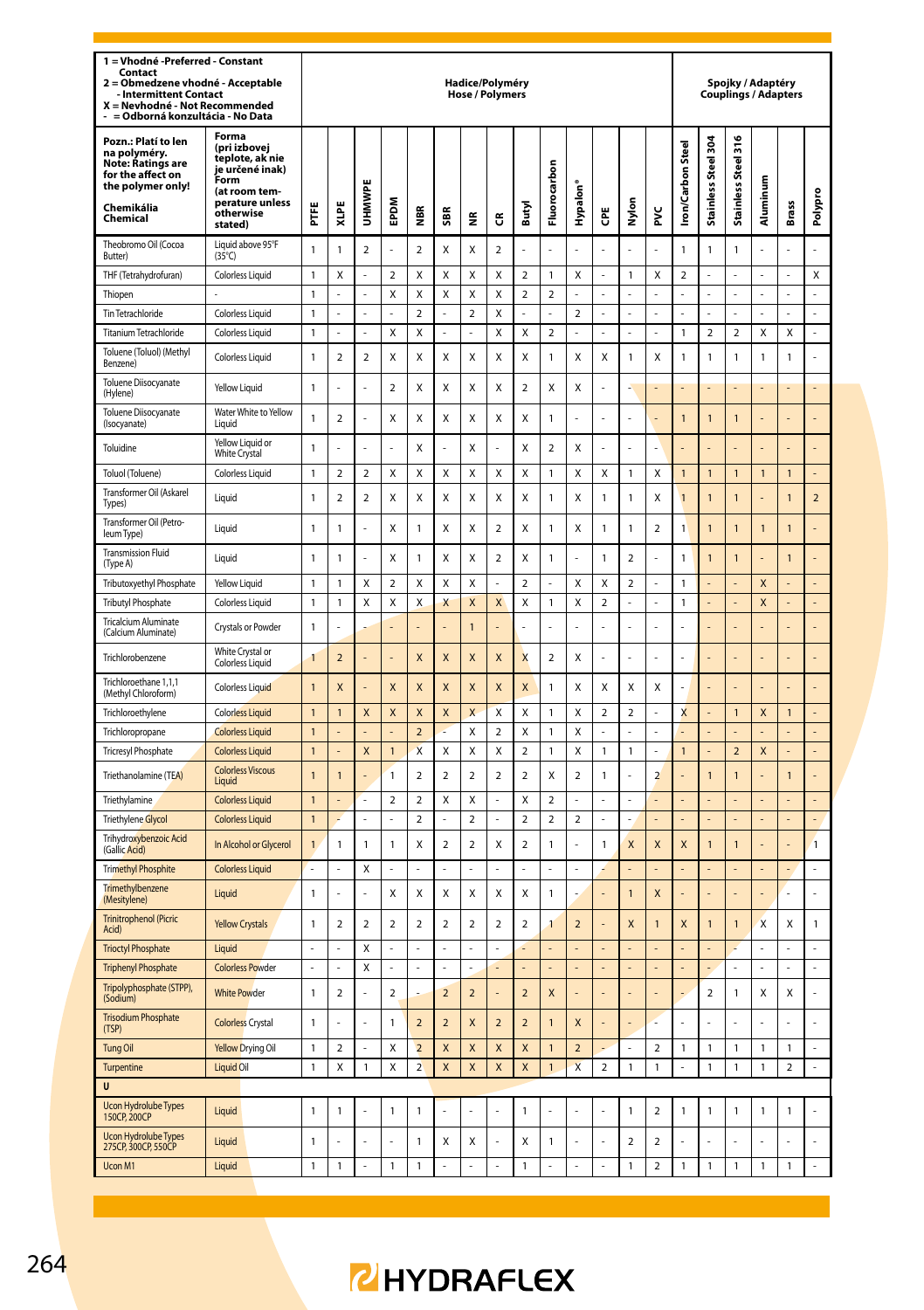| 1 = Vhodné - Preferred - Constant<br>Contact<br>2 = Obmedzene vhodné - Acceptable<br>Intermittent Contact<br>X = Nevhodné - Not Recommended<br>- = Odborná konzultácia - No Data |                                                                                                                                 | Hadice/Polyméry<br><b>Hose / Polymers</b> |                          |                          |                          |                         |                          |                          |                         |                         |                         | Spojky / Adaptéry<br><b>Couplings / Adapters</b> |                         |                         |                          |                         |                     |                         |                |                         |                |
|----------------------------------------------------------------------------------------------------------------------------------------------------------------------------------|---------------------------------------------------------------------------------------------------------------------------------|-------------------------------------------|--------------------------|--------------------------|--------------------------|-------------------------|--------------------------|--------------------------|-------------------------|-------------------------|-------------------------|--------------------------------------------------|-------------------------|-------------------------|--------------------------|-------------------------|---------------------|-------------------------|----------------|-------------------------|----------------|
| Pozn.: Platí to len<br>na polyméry.<br><b>Note: Ratings are</b><br>for the affect on<br>the polymer only!<br>Chemikália<br>Chemical                                              | Forma<br>(pri izbovej<br>teplote, ak nie<br>je určené inak)<br>Form<br>(at room tem-<br>perature unless<br>otherwise<br>stated) | FTFE                                      | XLPE                     | UHMWF                    | EPDM                     | ă                       | \$BR                     | $\tilde{\mathbf{z}}$     | ű                       | Butyl                   | Fluorocarbon            | Hypalon'                                         | Ğ                       | Nylon                   | ž                        | ron/Carbon Steel        | Stainless Steel 304 | Steel 316<br>Stainless  | Aluminum       | <b>Brass</b>            | Polypro        |
| Theobromo Oil (Cocoa<br>Butter)                                                                                                                                                  | Liquid above 95°F<br>$(35^{\circ}C)$                                                                                            | 1                                         | 1                        | $\overline{\mathbf{c}}$  |                          | $\overline{2}$          | X                        | X                        | $\overline{\mathbf{c}}$ |                         |                         |                                                  |                         |                         |                          | 1                       | 1                   | 1                       |                |                         |                |
| THF (Tetrahydrofuran)                                                                                                                                                            | Colorless Liquid                                                                                                                | 1                                         | Χ                        | ä,                       | $\overline{2}$           | Χ                       | X                        | X                        | Χ                       | 2                       | 1                       | Χ                                                |                         | 1                       | Χ                        | 2                       |                     |                         |                |                         | Χ              |
| Thiopen                                                                                                                                                                          |                                                                                                                                 | $\mathbf{1}$                              |                          | ä,                       | X                        | X                       | X                        | X                        | X                       | $\overline{\mathbf{c}}$ | 2                       |                                                  | L.                      | L                       |                          |                         | L.                  |                         | L.             | ÷,                      | L              |
| Tin Tetrachloride                                                                                                                                                                | Colorless Liquid                                                                                                                | 1                                         | L.                       | ä,                       | $\overline{a}$           | $\overline{2}$          | L.                       | $\overline{\mathbf{c}}$  | Χ                       | L.                      | L                       | $\overline{\mathbf{c}}$                          | ä,                      | L.                      | í,                       | L.                      | L.                  | L                       | L.             | ÷,                      | L              |
| Titanium Tetrachloride                                                                                                                                                           | Colorless Liquid                                                                                                                | 1                                         |                          | L.                       | Χ                        | Χ                       | L.                       | L                        | Χ                       | Χ                       | $\overline{\mathbf{c}}$ | L                                                | L.                      | L.                      | L                        | $\mathbf{1}$            | $\boldsymbol{2}$    | $\overline{\mathbf{c}}$ | X              | Χ                       | L              |
| Toluene (Toluol) (Methyl<br>Benzene)                                                                                                                                             | Colorless Liquid                                                                                                                | $\mathbf{1}$                              | $\overline{\phantom{a}}$ | $\overline{\phantom{a}}$ | X                        | X                       | X                        | Χ                        | X                       | x                       | $\mathbf{1}$            | x                                                | X                       | $\mathbf{1}$            | X                        | $\mathbf{1}$            | $\mathbf{1}$        | 1                       | 1              | $\mathbf{1}$            | l,             |
| Toluene Diisocyanate<br>(Hylene)                                                                                                                                                 | Yellow Liquid                                                                                                                   | 1                                         |                          | l,                       | $\mathcal{P}$            | x                       | x                        | X                        | X                       | $\mathcal{P}$           | X                       | X                                                |                         |                         |                          |                         |                     |                         |                |                         |                |
| Toluene Diisocyanate<br>(Isocyanate)                                                                                                                                             | Water White to Yellow<br>Liquid                                                                                                 | $\mathbf{1}$                              | $\overline{a}$           | Ļ                        | Χ                        | X                       | X                        | X                        | X                       | X                       | $\mathbf{1}$            |                                                  |                         | L,                      |                          | $\mathbf{1}$            | $\overline{1}$      | 1                       |                |                         |                |
| Toluidine                                                                                                                                                                        | Yellow Liquid or<br><b>White Crystal</b>                                                                                        | $\mathbf{1}$                              |                          | L                        | L                        | X                       | l,                       | X                        |                         | X                       | $\overline{2}$          | X                                                | í,                      | L                       |                          |                         |                     |                         |                |                         |                |
| Toluol (Toluene)                                                                                                                                                                 | <b>Colorless Liquid</b>                                                                                                         | 1                                         | $\overline{\mathbf{c}}$  | $\mathbf 2$              | Χ                        | Χ                       | Χ                        | Χ                        | X                       | Χ                       | $\mathbf{1}$            | Χ                                                | Χ                       | $\mathbf{1}$            | Χ                        | $\mathbf{1}$            | $\mathbf{1}$        | 1                       | 1              | $\mathbf{1}$            |                |
| Transformer Oil (Askarel<br>Types)                                                                                                                                               | Liquid                                                                                                                          | $\mathbf{1}$                              | $\overline{a}$           | $\overline{a}$           | Χ                        | X                       | $\mathsf{x}$             | X                        | X                       | $\mathsf{x}$            | $\mathbf{1}$            | Χ                                                | $\overline{1}$          | $\overline{1}$          | Χ                        | $\overline{1}$          | $\overline{1}$      | $\overline{1}$          |                | $\overline{1}$          | $\overline{a}$ |
| Transformer Oil (Petro-<br>leum Type)                                                                                                                                            | Liquid                                                                                                                          | $\mathbf{1}$                              | 1                        |                          | x                        | 1                       | $\mathsf{x}$             | X                        | $\overline{a}$          | $\mathsf{x}$            | $\mathbf{1}$            | X                                                | $\mathbf{1}$            | $\overline{1}$          | $\overline{a}$           | $\mathbf{1}$            | $\overline{1}$      | $\overline{1}$          | $\overline{1}$ | $\overline{1}$          | í,             |
| <b>Transmission Fluid</b><br>(Type A)                                                                                                                                            | Liquid                                                                                                                          | 1                                         | 1                        |                          | Χ                        | 1                       | Χ                        | Χ                        | $\overline{\mathbf{c}}$ | Χ                       | $\mathbf{1}$            |                                                  | $\mathbf{1}$            | $\overline{\mathbf{c}}$ |                          | 1                       | $\mathbf{1}$        | $\overline{1}$          |                | $\mathbf{1}$            |                |
| Tributoxyethyl Phosphate                                                                                                                                                         | Yellow Liquid                                                                                                                   | 1                                         | 1                        | X                        | $\overline{2}$           | X                       | $\mathsf{x}$             | $\mathsf{x}$             | L.                      | $\overline{\mathbf{c}}$ | L                       | X                                                | X                       | 2                       | L                        | $\mathbf{1}$            |                     |                         | X              |                         | L              |
| <b>Tributyl Phosphate</b>                                                                                                                                                        | <b>Colorless Liquid</b>                                                                                                         | 1                                         | 1                        | X                        | Χ                        | X                       | X                        | X                        | $\pmb{\mathsf{X}}$      | Χ                       | $\mathbf{1}$            | Χ                                                | $\overline{\mathbf{c}}$ | L                       | í,                       | $\mathbf{1}$            | L.                  | L                       | X              | L.                      | L              |
| <b>Tricalcium Aluminate</b><br>(Calcium Aluminate)                                                                                                                               | Crystals or Powder                                                                                                              | $\mathbf{1}$                              |                          |                          |                          |                         |                          | $\overline{1}$           |                         |                         |                         |                                                  |                         | L                       |                          |                         |                     |                         |                |                         |                |
| Trichlorobenzene                                                                                                                                                                 | White Crystal or<br>Colorless Liquid                                                                                            | 1                                         | $\overline{2}$           |                          |                          | X                       | X                        | X                        | X                       | X                       | $\overline{2}$          | X                                                |                         |                         |                          |                         |                     |                         |                |                         |                |
| Trichloroethane 1,1,1<br>(Methyl Chloroform)                                                                                                                                     | Colorless Liquid                                                                                                                | $\mathbf{1}$                              | X                        |                          | X                        | $\overline{\mathsf{x}}$ | $\overline{\mathsf{x}}$  | X                        | $\overline{\mathsf{x}}$ | $\overline{\mathsf{x}}$ | $\mathbf{1}$            | Χ                                                | X                       | X                       | X                        |                         |                     |                         |                |                         |                |
| Trichloroethylene                                                                                                                                                                | <b>Colorless Liquid</b>                                                                                                         | $\overline{1}$                            | 1                        | X                        | X                        | X                       | X                        | X                        | X                       | X                       | $\mathbf{1}$            | X                                                | $\overline{2}$          | $\mathbf 2$             | J,                       | $\overline{\mathsf{x}}$ |                     | $\overline{1}$          | X              | $\mathbf{1}$            | $\overline{a}$ |
| Trichloropropane                                                                                                                                                                 | <b>Colorless Liquid</b>                                                                                                         | $\mathbf{1}$                              |                          | L,                       |                          | $\overline{2}$          | z                        | X                        | $\overline{\mathbf{c}}$ | X                       | 1                       | X                                                | ä,                      | L.                      | ı                        |                         |                     |                         |                |                         |                |
| <b>Tricresyl Phosphate</b>                                                                                                                                                       | <b>Colorless Liquid</b>                                                                                                         | $\mathbf{1}$                              |                          | X                        | $\mathbf{1}$             | $\overline{\mathsf{x}}$ | X                        | X                        | X                       | $\overline{\mathbf{c}}$ | 1                       | Χ                                                | $\mathbf{1}$            | $\mathbf{1}$            | ı                        | $\mathbf{1}$            |                     | $\overline{a}$          | X              |                         | $\overline{a}$ |
| Triethanolamine (TEA)                                                                                                                                                            | <b>Colorless Viscous</b><br>Liquid                                                                                              | $\overline{1}$                            | 1                        | í,                       | 1                        | $\overline{2}$          | $\overline{2}$           | $\overline{2}$           | $\overline{2}$          | $\overline{2}$          | X                       | $\overline{2}$                                   | $\mathbf{1}$            | ä,                      | $\overline{\phantom{0}}$ |                         | $\overline{1}$      | 1                       |                | $\overline{1}$          |                |
| Triethylamine                                                                                                                                                                    | <b>Colorless Liquid</b>                                                                                                         | $\overline{1}$                            |                          | L,                       | $\overline{\mathbf{c}}$  | $\overline{2}$          | X                        | X                        | L                       | X                       | $\overline{a}$          | L                                                |                         | L,                      | L                        |                         |                     |                         |                |                         | $\overline{a}$ |
| <b>Triethylene Glycol</b>                                                                                                                                                        | <b>Colorless Liquid</b>                                                                                                         | 1                                         |                          |                          |                          | $\overline{2}$          |                          | $\overline{\mathbf{c}}$  |                         | $\overline{2}$          | 2                       | $\overline{a}$                                   |                         |                         |                          |                         |                     |                         |                |                         |                |
| Trihydroxybenzoic Acid<br>(Gallic Acid)                                                                                                                                          | In Alcohol or Glycerol                                                                                                          | $\overline{1}$                            | 1                        | $\overline{1}$           | $\mathbf{1}$             | x                       | $\mathfrak{p}$           | $\overline{2}$           | $\mathsf{x}$            | $\mathfrak{p}$          | $\mathbf{1}$            | í,                                               | $\overline{1}$          | X                       | X                        | $\mathsf{x}$            | $\overline{1}$      | 1                       |                | ä,                      | $\overline{1}$ |
| <b>Trimethyl Phosphite</b>                                                                                                                                                       | <b>Colorless Liquid</b>                                                                                                         |                                           |                          | X                        |                          |                         | l,                       |                          |                         | l,                      |                         |                                                  |                         |                         |                          |                         |                     |                         |                |                         |                |
| Trimethylbenzene<br>(Mesitylene)                                                                                                                                                 | Liquid                                                                                                                          | $\mathbf{1}$                              |                          | í.                       | X                        | X                       | X                        | X                        | X                       | X                       | $\mathbf{1}$            |                                                  |                         | $\overline{1}$          | $\mathsf{x}$             |                         | ÷                   |                         |                | L.                      | ł              |
| <b>Trinitrophenol (Picric</b><br>Acid)                                                                                                                                           | <b>Yellow Crystals</b>                                                                                                          | $\mathbf{1}$                              | $\overline{2}$           | $\overline{2}$           | $\overline{2}$           | $\overline{2}$          | $\overline{2}$           | $\overline{2}$           | $\overline{2}$          | $\overline{a}$          | 1                       | $\overline{2}$                                   |                         | X                       | $\overline{1}$           | X                       | $\overline{1}$      | $\overline{1}$          | X              | X                       | $\mathbf{1}$   |
| <b>Trioctyl Phosphate</b>                                                                                                                                                        | Liquid                                                                                                                          |                                           |                          | X                        |                          |                         |                          |                          |                         |                         |                         |                                                  |                         |                         |                          |                         |                     |                         |                |                         |                |
| <b>Triphenyl Phosphate</b>                                                                                                                                                       | <b>Colorless Powder</b>                                                                                                         | ÷,                                        | $\overline{a}$           | X                        | ÷,                       | $\overline{a}$          | ÷,                       | ÷,                       |                         | L                       |                         |                                                  |                         |                         |                          |                         |                     | L                       | L,             | ÷,                      | ÷,             |
| Tripolyphosphate (STPP),<br>(Sodium)                                                                                                                                             | <b>White Powder</b>                                                                                                             | $\mathbf{1}$                              | $\mathfrak{p}$           | L                        | $\overline{\phantom{a}}$ |                         | $\overline{\phantom{a}}$ | $\overline{\phantom{a}}$ | L                       | $\overline{\mathbf{c}}$ | X                       | L                                                | L.                      | L                       | L,                       |                         | $\mathbf 2$         | 1                       | X              | X                       | l,             |
| <b>Trisodium Phosphate</b><br>(TSP)                                                                                                                                              | <b>Colorless Crystal</b>                                                                                                        | 1                                         |                          | l,                       | 1                        | $\overline{\mathbf{c}}$ | $\overline{2}$           | $\mathsf{x}$             | $\overline{2}$          | $\overline{2}$          | $\overline{1}$          | X                                                |                         | L,                      |                          |                         | L                   | ź                       |                | ÷,                      | l,             |
| <b>Tung Oil</b>                                                                                                                                                                  | <b>Yellow Drying Oil</b>                                                                                                        | 1                                         | $\overline{\mathbf{c}}$  |                          | Χ                        | $\overline{a}$          | X                        | X                        | X                       | X                       | 1                       | $\overline{\mathbf{c}}$                          |                         |                         | $\overline{\mathbf{c}}$  | 1                       | 1                   | 1                       | 1              | 1                       | Ļ              |
| Turpentine<br>$\mathbf{u}$                                                                                                                                                       | Liquid Oil                                                                                                                      | 1                                         | X                        | $\mathbf{1}$             | Χ                        | $\overline{2}$          | X                        | X                        | X                       | X                       | 1                       | X                                                | $\overline{\mathbf{c}}$ | 1                       | 1                        | L,                      | 1                   | 1                       | 1              | $\overline{\mathbf{c}}$ | ÷,             |
| <b>Ucon Hydrolube Types</b><br>150CP <sub>200</sub> CP                                                                                                                           | Liquid                                                                                                                          | 1                                         | 1                        |                          | 1                        | 1                       |                          |                          |                         | $\mathbf{1}$            |                         |                                                  |                         | $\mathbf{1}$            | 2                        | $\mathbf{1}$            | 1                   | 1                       | 1              | 1                       |                |
| <b>Ucon Hydrolube Types</b><br>275CP, 300CP, 550CP                                                                                                                               | Liquid                                                                                                                          | 1                                         |                          | L                        |                          | 1                       | X                        | X                        |                         | X                       | $\mathbf{1}$            |                                                  | J.                      | $\overline{2}$          | $\overline{2}$           |                         |                     |                         |                |                         | ż              |
| Ucon M1                                                                                                                                                                          | Liquid                                                                                                                          | 1                                         | 1                        |                          | 1                        | 1                       |                          |                          |                         | 1                       |                         |                                                  |                         | 1                       | $\overline{\mathbf{c}}$  | 1                       | 1                   | 1                       | 1              | 1                       |                |
|                                                                                                                                                                                  |                                                                                                                                 |                                           |                          |                          |                          |                         |                          |                          |                         |                         |                         |                                                  |                         |                         |                          |                         |                     |                         |                |                         |                |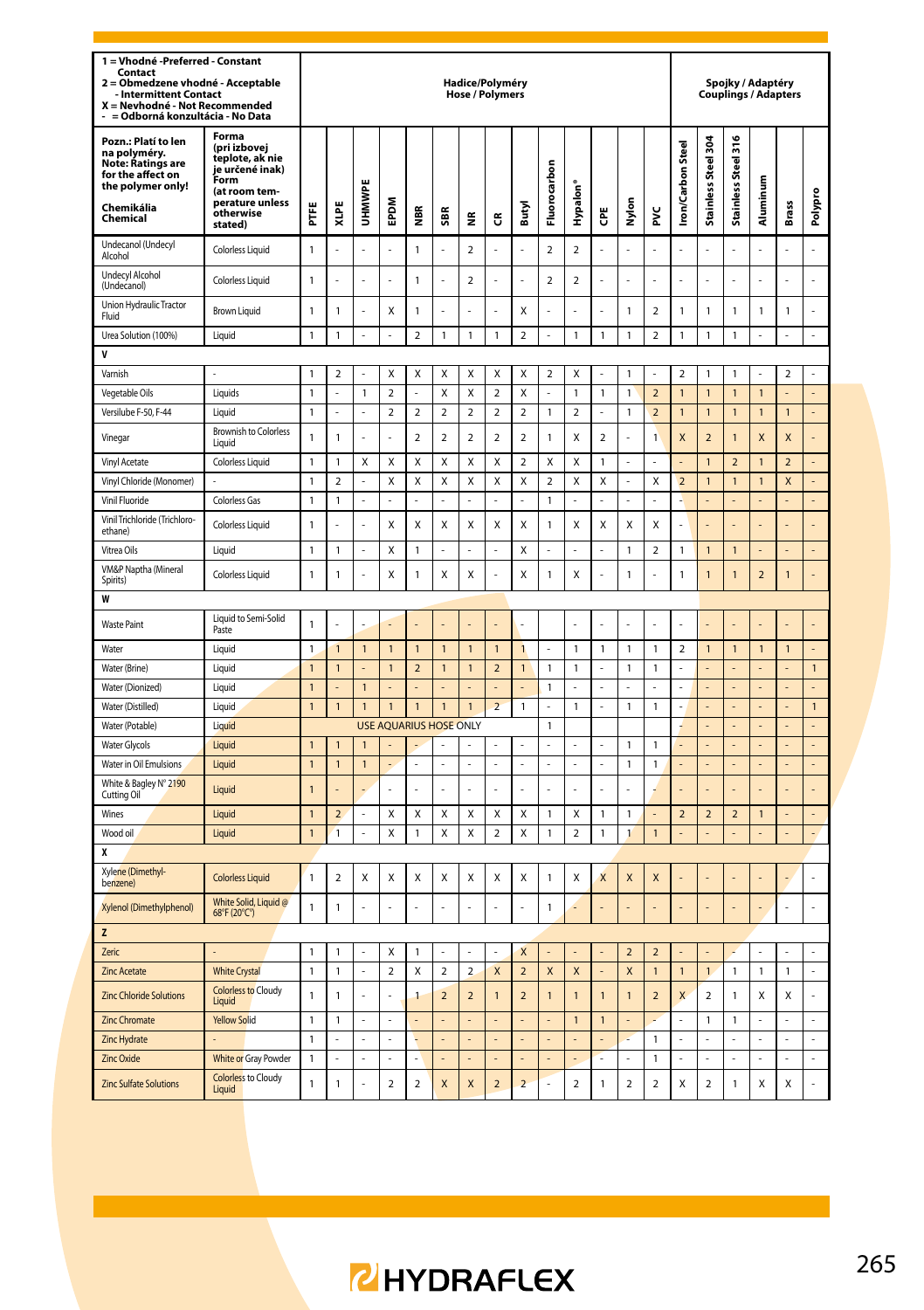| 1 = Vhodné -Preferred - Constant<br>Contact<br>2 = Obmedzene vhodné - Acceptable<br><b>Intermittent Contact</b><br>X = Nevhodné - Not Recommended            |                                                                                                                      | Hadice/Polyméry<br><b>Hose / Polymers</b> |                     |                |                               |                         |                                           |                                                    |                         |                                                    |                         |                         | Spojky / Adaptéry<br>Couplings / Adapters |                     |                              |                          |                                         |                     |                |                |                |
|--------------------------------------------------------------------------------------------------------------------------------------------------------------|----------------------------------------------------------------------------------------------------------------------|-------------------------------------------|---------------------|----------------|-------------------------------|-------------------------|-------------------------------------------|----------------------------------------------------|-------------------------|----------------------------------------------------|-------------------------|-------------------------|-------------------------------------------|---------------------|------------------------------|--------------------------|-----------------------------------------|---------------------|----------------|----------------|----------------|
| - = Odborná konzultácia - No Data<br>Pozn.: Platí to len<br>na polyméry.<br><b>Note: Ratings are</b><br>for the affect on<br>the polymer only!<br>Chemikália | Forma<br>(pri izbovej<br>teplote, ak nie<br>je určené inak)<br>Form<br>(at room tem-<br>perature unless<br>otherwise | FTFE                                      | XLPE                | <b>UHMWPE</b>  | EPDM                          | NBK<br>2                | \$BR                                      | ž                                                  |                         | Butyl                                              | Fluorocarbon            | Hypalon®                | Ğ                                         | Nylon               | š                            | <b>Iron/Carbon Steel</b> | Stainless Steel 304                     | Stainless Steel 316 | Aluminum       | <b>Brass</b>   | Polypro        |
| Chemical<br>Undecanol (Undecyl                                                                                                                               | stated)<br>Colorless Liquid                                                                                          | $\mathbf{1}$                              |                     |                |                               | $\mathbf{1}$            |                                           | $\overline{a}$                                     | ű<br>l,                 |                                                    | $\overline{a}$          | $\overline{a}$          |                                           |                     |                              |                          |                                         |                     |                |                |                |
| Alcohol<br><b>Undecyl Alcohol</b>                                                                                                                            | Colorless Liquid                                                                                                     | 1                                         |                     |                |                               | 1                       |                                           | $\overline{\mathbf{c}}$                            |                         |                                                    | $\overline{\mathbf{c}}$ | $\mathbf 2$             |                                           |                     |                              |                          |                                         |                     |                |                |                |
| (Undecanol)<br>Union Hydraulic Tractor                                                                                                                       | Brown Liquid                                                                                                         | $\mathbf{1}$                              | 1                   | L,             | X                             | $\mathbf{1}$            | L,                                        |                                                    | l,                      | X                                                  | í,                      | l,                      |                                           | $\mathbf{1}$        | $\boldsymbol{2}$             | $\mathbf{1}$             | 1                                       | $\mathbf{1}$        | $\mathbf{1}$   | $\mathbf{1}$   | L              |
| Fluid                                                                                                                                                        |                                                                                                                      | $\mathbf{1}$                              | 1                   | l,             | L                             | $\overline{2}$          |                                           |                                                    | $\mathbf{1}$            | $\overline{2}$                                     | L,                      |                         | 1                                         | $\mathbf{1}$        | $\mathbf 2$                  | $\mathbf{1}$             | $\mathbf{1}$                            | $\mathbf{1}$        | l,             | L,             | l,             |
| Urea Solution (100%)<br>V                                                                                                                                    | Liquid                                                                                                               |                                           |                     |                |                               |                         | $\mathbf{1}$                              | $\mathbf{1}$                                       |                         |                                                    |                         | $\mathbf{1}$            |                                           |                     |                              |                          |                                         |                     |                |                |                |
| Varnish                                                                                                                                                      |                                                                                                                      | $\mathbf{1}$                              | $\overline{2}$      | ÷,             | Χ                             | X                       | X                                         | Χ                                                  | X                       | Χ                                                  | $\overline{\mathbf{c}}$ | Χ                       | í,                                        | $\overline{1}$      | l,                           | $\overline{2}$           | $\mathbf{1}$                            | $\mathbf{1}$        | l,             | $\overline{a}$ | L,             |
| Vegetable Oils                                                                                                                                               | Liquids                                                                                                              | 1                                         |                     | 1              | 2                             |                         | X                                         | Х                                                  | $\overline{\mathbf{2}}$ | Χ                                                  |                         | 1                       | 1                                         | $\mathbf{1}$        | $\mathbf 2$                  | $\overline{1}$           | $\overline{1}$                          | 1                   | $\overline{1}$ |                | $\overline{a}$ |
| Versilube F-50, F-44                                                                                                                                         | Liquid                                                                                                               | $\mathbf{1}$                              | $\overline{a}$      | L,             | $\overline{a}$                | $\overline{a}$          | $\overline{a}$                            | $\overline{a}$                                     | $\overline{a}$          | $\overline{2}$                                     | $\mathbf{1}$            | $\overline{a}$          | L                                         | $\mathbf{1}$        | $\overline{2}$               | $\overline{1}$           | $\overline{1}$                          | $\mathbf{1}$        | $\overline{1}$ | $\overline{1}$ | L,             |
| Vinegar                                                                                                                                                      | <b>Brownish to Colorless</b><br>Liquid                                                                               | $\mathbf{1}$                              | $\mathbf{1}$        | Î,             | l,                            | $\overline{\mathbf{c}}$ | $\overline{a}$                            | $\overline{a}$                                     | $\overline{\mathbf{c}}$ | $\overline{\mathbf{c}}$                            | $\mathbf{1}$            | Χ                       | $\overline{\mathbf{c}}$                   | í,                  | $\mathbf{1}$                 | X                        | $\overline{\phantom{a}}$                | $\mathbf{1}$        | X              | $\mathsf{x}$   |                |
| Vinyl Acetate                                                                                                                                                | Colorless Liquid                                                                                                     | $\mathbf{1}$                              | $\mathbf{1}$        | X              | X                             | X                       | X                                         | X                                                  | X                       | $\overline{2}$                                     | X                       | X                       | $\mathbf{1}$                              | L,                  | L                            |                          | $\overline{1}$                          | $\overline{2}$      | $\overline{1}$ | $\overline{2}$ | L,             |
| Vinyl Chloride (Monomer)                                                                                                                                     |                                                                                                                      | $\mathbf{1}$                              | 2                   | L.             | Χ                             | Χ                       | Χ                                         | X                                                  | Χ                       | X                                                  | $\overline{\mathbf{2}}$ | Χ                       | X                                         | ÷,                  | X                            | $\overline{2}$           | $\mathbf{1}$                            | $\mathbf{1}$        | $\mathbf{1}$   | X              | L,             |
| Vinil Fluoride                                                                                                                                               | Colorless Gas                                                                                                        | $\mathbf{1}$                              | 1                   |                | ÷,                            |                         |                                           | í,                                                 |                         | ÷                                                  | 1                       |                         |                                           | ÷,                  |                              |                          | L,                                      |                     |                |                |                |
| Vinil Trichloride (Trichloro-<br>ethane)                                                                                                                     | Colorless Liquid                                                                                                     | $\mathbf{1}$                              |                     |                | Χ                             | Χ                       | X                                         | Χ                                                  | Χ                       | Χ                                                  | 1                       | Χ                       | X                                         | Χ                   | Χ                            |                          |                                         |                     |                |                |                |
| Vitrea Oils                                                                                                                                                  | Liquid                                                                                                               | $\mathbf{1}$                              | 1                   |                | Χ                             | $\mathbf{1}$            |                                           |                                                    |                         | X                                                  |                         |                         |                                           | $\mathbf{1}$        | $\mathbf 2$                  | $\mathbf{1}$             | $\mathbf{1}$                            | $\mathbf{1}$        |                |                | L,             |
| VM&P Naptha (Mineral<br>Spirits)                                                                                                                             | Colorless Liquid                                                                                                     | $\mathbf{1}$                              | 1                   |                | Χ                             | $\mathbf{1}$            | X                                         | Χ                                                  |                         | Χ                                                  | 1                       | Χ                       |                                           | $\mathbf{1}$        |                              | $\mathbf{1}$             | $\mathbf{1}$                            | $\mathbf{1}$        | $\overline{2}$ | $\mathbf{1}$   |                |
| W                                                                                                                                                            |                                                                                                                      |                                           |                     |                |                               |                         |                                           |                                                    |                         |                                                    |                         |                         |                                           |                     |                              |                          |                                         |                     |                |                |                |
| <b>Waste Paint</b>                                                                                                                                           | Liquid to Semi-Solid<br>Paste                                                                                        | $\mathbf{1}$                              |                     |                |                               |                         |                                           |                                                    |                         |                                                    |                         |                         |                                           |                     |                              |                          |                                         |                     |                |                |                |
| Water                                                                                                                                                        | Liquid                                                                                                               | $\mathbf{1}$                              | $\overline{1}$      | $\mathbf{1}$   | $\overline{1}$                | $\overline{1}$          | $\mathbf{1}$                              | $\mathbf{1}$                                       | $\overline{1}$          | $\mathbf{1}$                                       |                         | $\mathbf{1}$            | 1                                         | $\mathbf{1}$        | $\mathbf{1}$                 | $\overline{2}$           | $\mathbf{1}$                            | $\mathbf{1}$        | $\overline{1}$ | $\mathbf{1}$   | L,             |
| Water (Brine)                                                                                                                                                | Liquid                                                                                                               | $\mathbf{1}$                              | $\overline{1}$      |                | $\overline{1}$                | $\overline{a}$          | $\overline{1}$                            | $\mathbf{1}$                                       | $\overline{2}$          | $\mathbf{1}$                                       | $\mathbf{1}$            | $\mathbf{1}$            | J                                         | 1                   | $\mathbf{1}$                 | L                        | L                                       |                     |                | L              | $\mathbf{1}$   |
| Water (Dionized)                                                                                                                                             | Liquid                                                                                                               | $\mathbf{1}$                              | ä,                  | $\mathbf{1}$   |                               |                         |                                           | ä,                                                 |                         | L,                                                 | 1                       | ä,                      |                                           | ÷,                  | ä,                           |                          | ä,                                      | ä,                  |                |                | L.             |
| Water (Distilled)                                                                                                                                            | Liquid                                                                                                               | $\mathbf{1}$                              | $\overline{1}$      | $\mathbf{1}$   | $\overline{1}$                | $\overline{1}$          | $\overline{1}$                            | $\overline{1}$                                     | $\overline{a}$          | 1                                                  | ÷,                      | $\mathbf{1}$            | L                                         | $\mathbf{1}$        | $\mathbf{1}$                 |                          | L                                       |                     |                | L              | $\mathbf{1}$   |
| Water (Potable)                                                                                                                                              | Liquid                                                                                                               |                                           |                     |                | <b>USE AQUARIUS HOSE ONLY</b> |                         |                                           |                                                    |                         |                                                    | 1                       |                         |                                           |                     |                              |                          |                                         |                     |                |                |                |
| <b>Water Glycols</b>                                                                                                                                         | Liquid                                                                                                               | $\mathbf{1}$                              | $\overline{1}$      | $\overline{1}$ |                               |                         |                                           |                                                    | L                       | J.                                                 | L,                      | L,                      | J                                         | $\mathbf{1}$        | $\mathbf{1}$                 |                          | L                                       | L                   |                | L              | L,             |
| Water in Oil Emulsions                                                                                                                                       | Liquid                                                                                                               | $\mathbf{1}$                              | $\mathbf{1}$        | $\mathbf{1}$   |                               |                         | ä,                                        | ä,                                                 | l,                      | J.                                                 | L,                      | í,                      | ä,                                        | 1                   | 1                            |                          | L                                       |                     |                | L              | L,             |
| White & Bagley N° 2190<br>Cutting Oil                                                                                                                        | Liquid                                                                                                               | $\overline{1}$                            |                     |                | ä,                            |                         |                                           |                                                    |                         |                                                    |                         | í.                      |                                           |                     |                              |                          |                                         |                     |                |                |                |
| Wines                                                                                                                                                        | <b>Liquid</b>                                                                                                        | $\mathbf{1}$                              | $\overline{a}$      | ä,             | Χ                             | Χ                       | Χ                                         | Χ                                                  | Χ                       | Χ                                                  | $\mathbf{1}$            | Χ                       | 1                                         | $\mathbf{1}$        | ä,                           | $\overline{a}$           | $\overline{2}$                          | $\overline{2}$      | $\mathbf{1}$   | L              | L,             |
| Wood oil                                                                                                                                                     | Liquid                                                                                                               | $\mathbf{1}$                              | 1                   | ä,             | Χ                             | $\mathbf{1}$            | X                                         | X                                                  | $\overline{\mathbf{2}}$ | Χ                                                  | $\mathbf{1}$            | $\mathbf 2$             | 1                                         | $\mathbf{1}$        | $\overline{1}$               |                          | ä,                                      |                     |                | í,             | L,             |
| X                                                                                                                                                            |                                                                                                                      |                                           |                     |                |                               |                         |                                           |                                                    |                         |                                                    |                         |                         |                                           |                     |                              |                          |                                         |                     |                |                |                |
| Xylene (Dimethyl-<br>benzene)                                                                                                                                | <b>Colorless Liquid</b>                                                                                              | $\mathbf{1}$                              | $\overline{2}$      | X              | Χ                             | Χ                       | X                                         | Χ                                                  | Χ                       | Χ                                                  | 1                       | Χ                       | X                                         | X                   | X                            |                          |                                         |                     |                |                |                |
| Xylenol (Dimethylphenol)                                                                                                                                     | White Solid, Liquid @<br>68°F (20°C°)                                                                                | $\mathbf{1}$                              | 1                   |                |                               |                         |                                           |                                                    |                         |                                                    | 1                       |                         |                                           |                     |                              |                          |                                         |                     |                | l,             |                |
| Z                                                                                                                                                            |                                                                                                                      |                                           |                     |                |                               |                         |                                           |                                                    |                         |                                                    |                         |                         |                                           |                     |                              |                          |                                         |                     |                |                |                |
| Zeric                                                                                                                                                        |                                                                                                                      | $\mathbf{1}$                              | 1                   |                | X                             | $\mathbf{1}$            |                                           |                                                    |                         | X                                                  |                         |                         |                                           | $\overline{2}$      | $\overline{2}$               |                          |                                         |                     |                |                |                |
| <b>Zinc Acetate</b><br><b>Zinc Chloride Solutions</b>                                                                                                        | <b>White Crystal</b><br><b>Colorless to Cloudy</b>                                                                   | 1<br>1                                    | 1<br>1              |                | $\overline{\mathbf{2}}$       | Χ<br>1                  | $\overline{a}$<br>$\overline{\mathbf{c}}$ | $\overline{\mathbf{c}}$<br>$\overline{\mathbf{c}}$ | X<br>$\overline{1}$     | $\overline{\mathbf{c}}$<br>$\overline{\mathbf{c}}$ | X<br>$\mathbf{1}$       | X<br>$\mathbf{1}$       | 1                                         | X<br>$\overline{1}$ | $\mathbf{1}$<br>$\mathbf 2$  | $\mathbf{1}$<br>X        | $\mathbf{1}$<br>$\overline{\mathbf{c}}$ | $\mathbf{1}$<br>1   | 1<br>Χ         | 1<br>X         | L              |
|                                                                                                                                                              | Liquid                                                                                                               |                                           |                     |                |                               |                         |                                           |                                                    |                         |                                                    |                         |                         |                                           |                     |                              |                          |                                         |                     |                |                |                |
| Zinc Chromate                                                                                                                                                | <b>Yellow Solid</b>                                                                                                  | 1                                         | 1<br>$\overline{a}$ | l,             | L,                            | L                       |                                           | L,                                                 | $\overline{a}$          |                                                    | L,                      | $\mathbf{1}$<br>l,      | $\mathbf{1}$                              | ć                   |                              |                          | 1<br>l,                                 | 1<br>L.             |                | l,             | L,             |
| <b>Zinc Hydrate</b><br>Zinc Oxide                                                                                                                            | <b>White or Gray Powder</b>                                                                                          | $\mathbf{1}$<br>1                         | J.                  | ÷              | ٠                             |                         |                                           | ÷                                                  |                         | ł,                                                 | ÷                       |                         |                                           | ÷,                  | $\mathbf{1}$<br>$\mathbf{1}$ |                          | i,                                      |                     |                | i,             | í,             |
| <b>Zinc Sulfate Solutions</b>                                                                                                                                | <b>Colorless to Cloudy</b><br>Liquid                                                                                 | $\mathbf{1}$                              | 1                   |                | $\overline{a}$                | $\overline{\mathbf{c}}$ | X                                         | X                                                  | $\overline{2}$          | $\overline{2}$                                     | ä,                      | $\overline{\mathbf{c}}$ | 1                                         | $\mathbf 2$         | $\overline{\mathbf{c}}$      | Χ                        | $\overline{2}$                          | $\mathbf{1}$        | Χ              | Χ              |                |